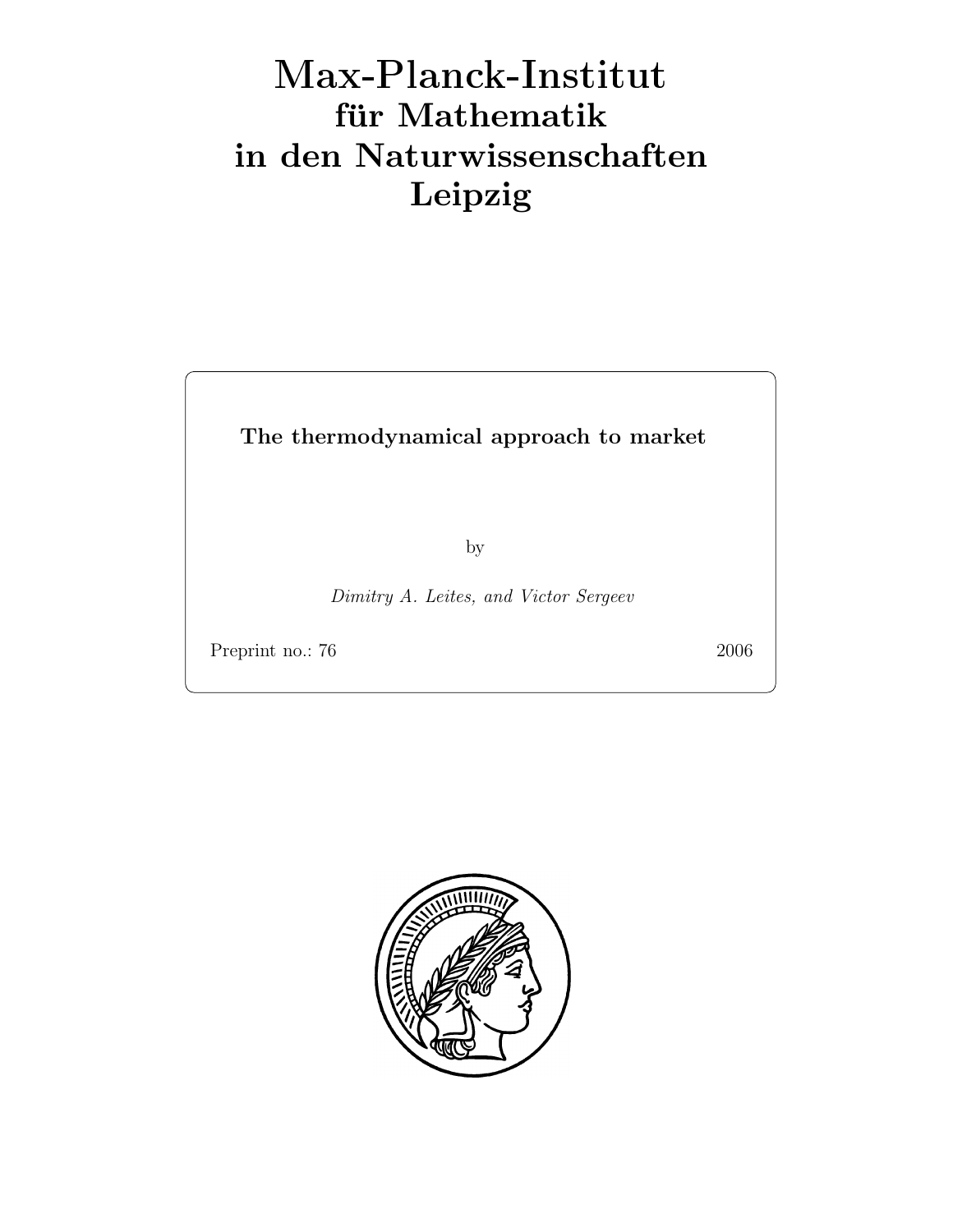## Max-Plan
k-Institut für Mathematik in den Naturwissenschaften Leipzig

The thermodynamical approach to market

by

Dimitry A. Leites, and Victor Sergeev

Preprint no.: 76 2006

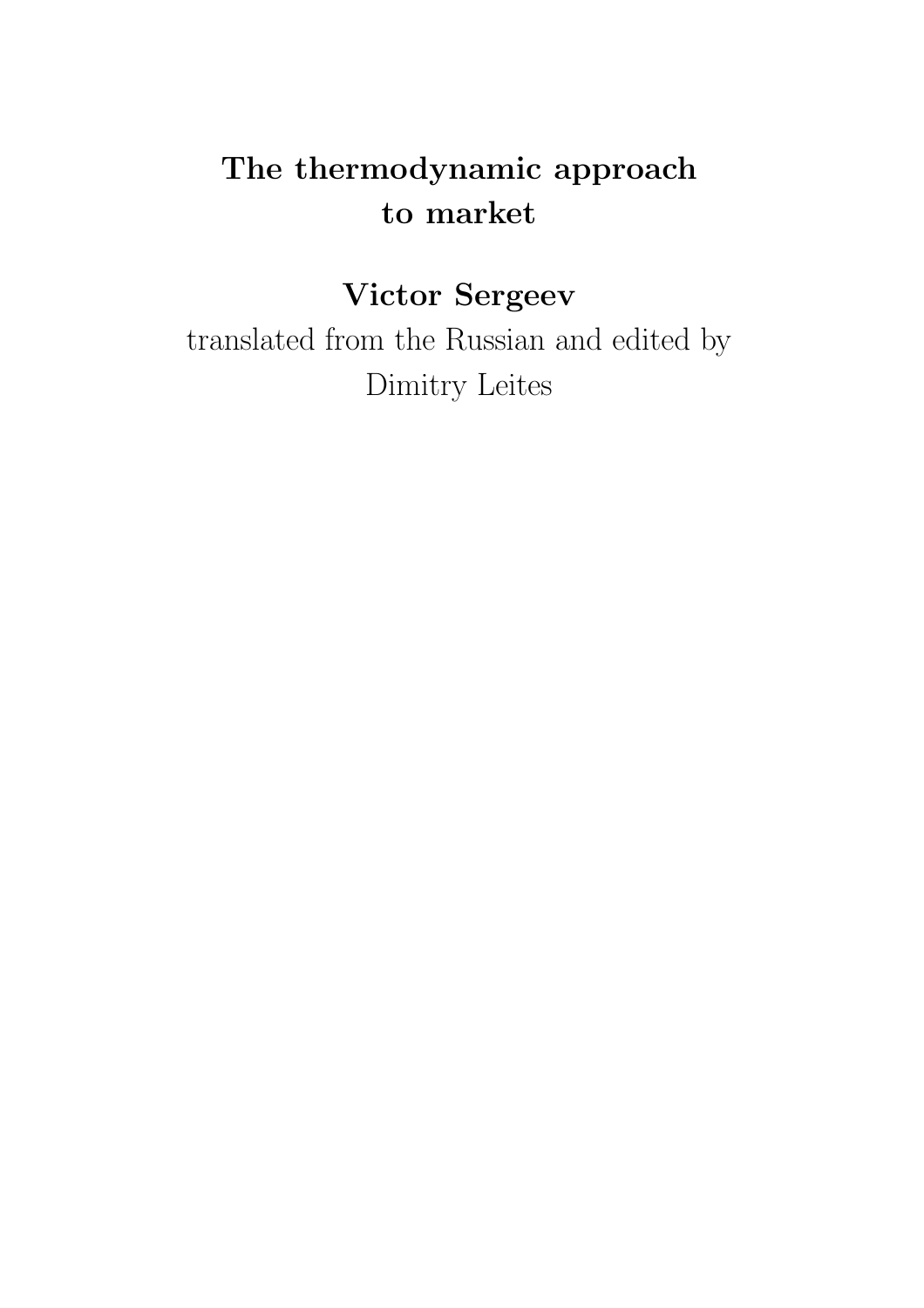## The thermodynamic approach to market

## Victor Sergeev

translated from the Russian and edited by Dimitry Leites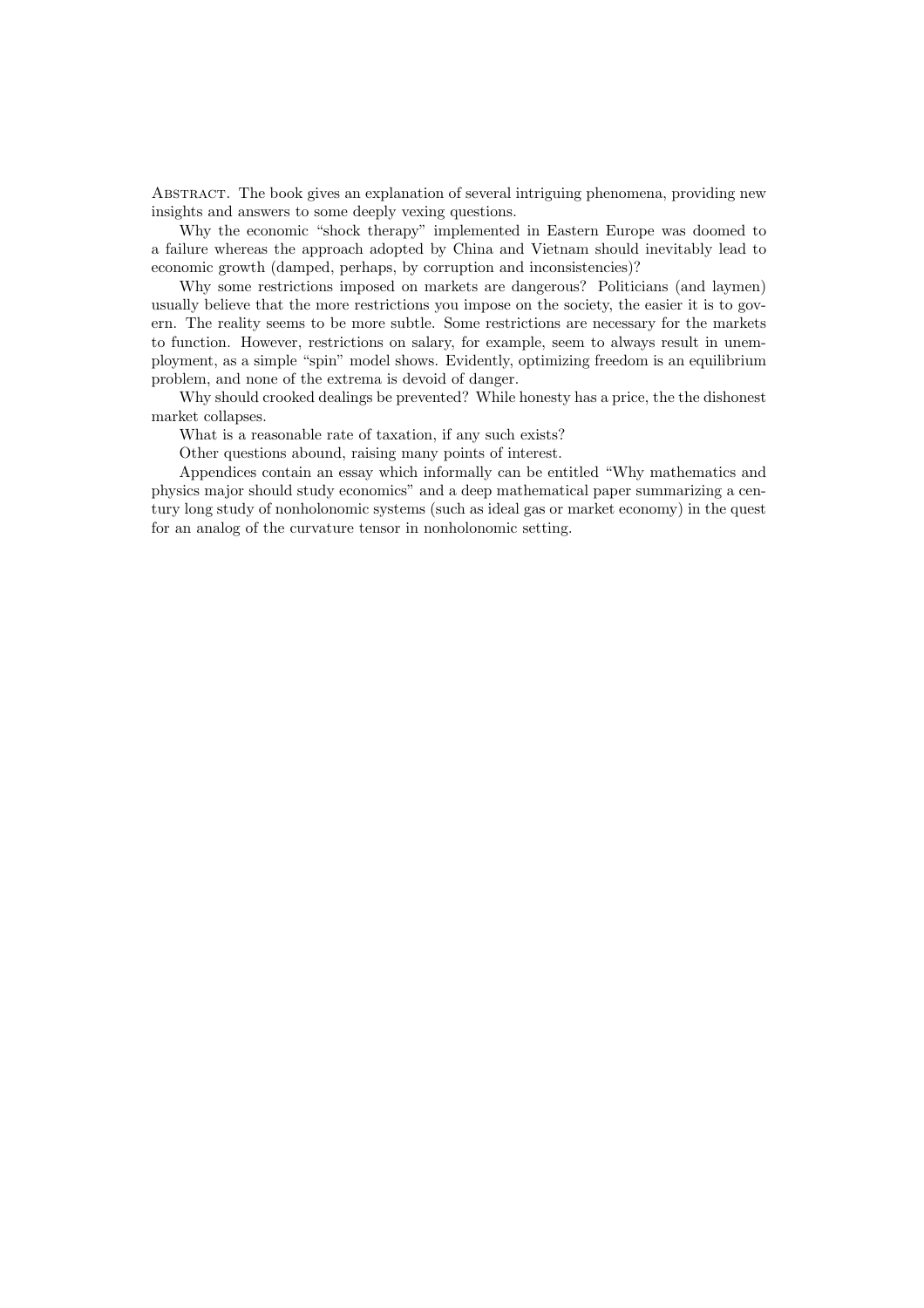Abstract. The book gives an explanation of several intriguing phenomena, providing new insights and answers to some deeply vexing questions.

Why the economic "shock therapy" implemented in Eastern Europe was doomed to a failure whereas the approach adopted by China and Vietnam should inevitably lead to economic growth (damped, perhaps, by corruption and inconsistencies)?

Why some restrictions imposed on markets are dangerous? Politicians (and laymen) usually believe that the more restrictions you impose on the society, the easier it is to govern. The reality seems to be more subtle. Some restrictions are necessary for the markets to function. However, restrictions on salary, for example, seem to always result in unemployment, as a simple "spin" model shows. Evidently, optimizing freedom is an equilibrium problem, and none of the extrema is devoid of danger.

Why should crooked dealings be prevented? While honesty has a price, the the dishonest market collapses.

What is a reasonable rate of taxation, if any such exists?

Other questions abound, raising many points of interest.

Appendices contain an essay which informally can be entitled "Why mathematics and physics major should study economics" and a deep mathematical paper summarizing a century long study of nonholonomic systems (such as ideal gas or market economy) in the quest for an analog of the curvature tensor in nonholonomic setting.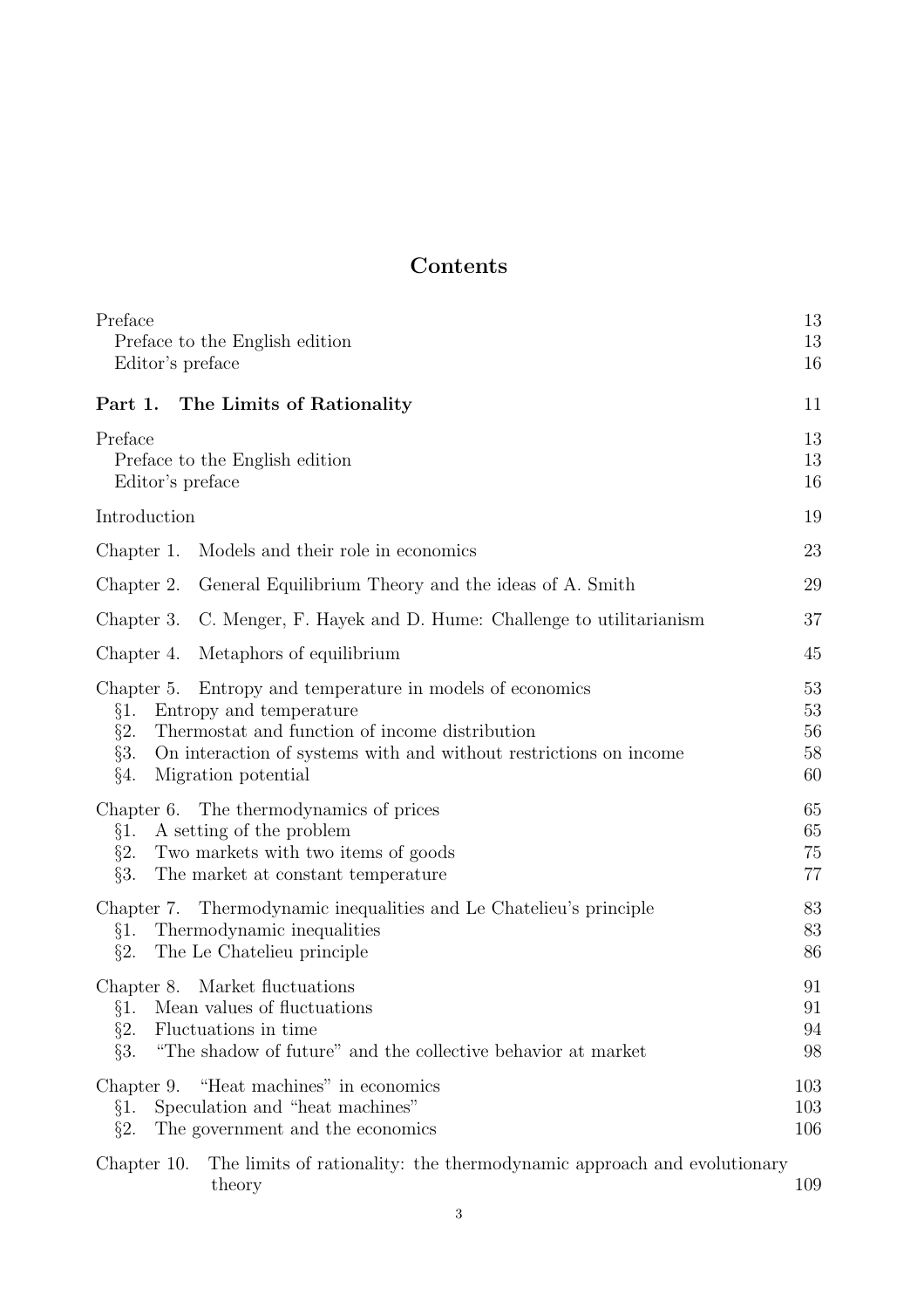## Contents

| Preface<br>Preface to the English edition<br>Editor's preface                                                                                                                                                                                                           | 13<br>13<br>16             |
|-------------------------------------------------------------------------------------------------------------------------------------------------------------------------------------------------------------------------------------------------------------------------|----------------------------|
| The Limits of Rationality<br>Part 1.                                                                                                                                                                                                                                    | 11                         |
| Preface<br>Preface to the English edition<br>Editor's preface                                                                                                                                                                                                           | 13<br>13<br>16             |
| Introduction                                                                                                                                                                                                                                                            | 19                         |
| Models and their role in economics<br>Chapter 1.                                                                                                                                                                                                                        | 23                         |
| General Equilibrium Theory and the ideas of A. Smith<br>Chapter 2.                                                                                                                                                                                                      | 29                         |
| C. Menger, F. Hayek and D. Hume: Challenge to utilitarianism<br>Chapter 3.                                                                                                                                                                                              | 37                         |
| Metaphors of equilibrium<br>Chapter 4.                                                                                                                                                                                                                                  | 45                         |
| Chapter 5.<br>Entropy and temperature in models of economics<br>Entropy and temperature<br>§1.<br>Thermostat and function of income distribution<br>$\S2.$<br>§3.<br>On interaction of systems with and without restrictions on income<br>$\S4.$<br>Migration potential | 53<br>53<br>56<br>58<br>60 |
| Chapter 6. The thermodynamics of prices<br>A setting of the problem<br>§1.<br>Two markets with two items of goods<br>$\S2.$<br>§3.<br>The market at constant temperature                                                                                                | 65<br>65<br>75<br>77       |
| Thermodynamic inequalities and Le Chatelieu's principle<br>Chapter 7.<br>Thermodynamic inequalities<br>§1.<br>$\S2.$<br>The Le Chatelieu principle                                                                                                                      | 83<br>83<br>86             |
| Chapter 8. Market fluctuations<br>§1. Mean values of fluctuations<br>$\S2.$<br>Fluctuations in time<br>§3.<br>"The shadow of future" and the collective behavior at market                                                                                              | 91<br>91<br>94<br>98       |
| "Heat machines" in economics<br>Chapter 9.<br>Speculation and "heat machines"<br>§1.<br>$\S2.$<br>The government and the economics                                                                                                                                      | 103<br>103<br>106          |
| The limits of rationality: the thermodynamic approach and evolutionary<br>Chapter 10.<br>theory                                                                                                                                                                         | 109                        |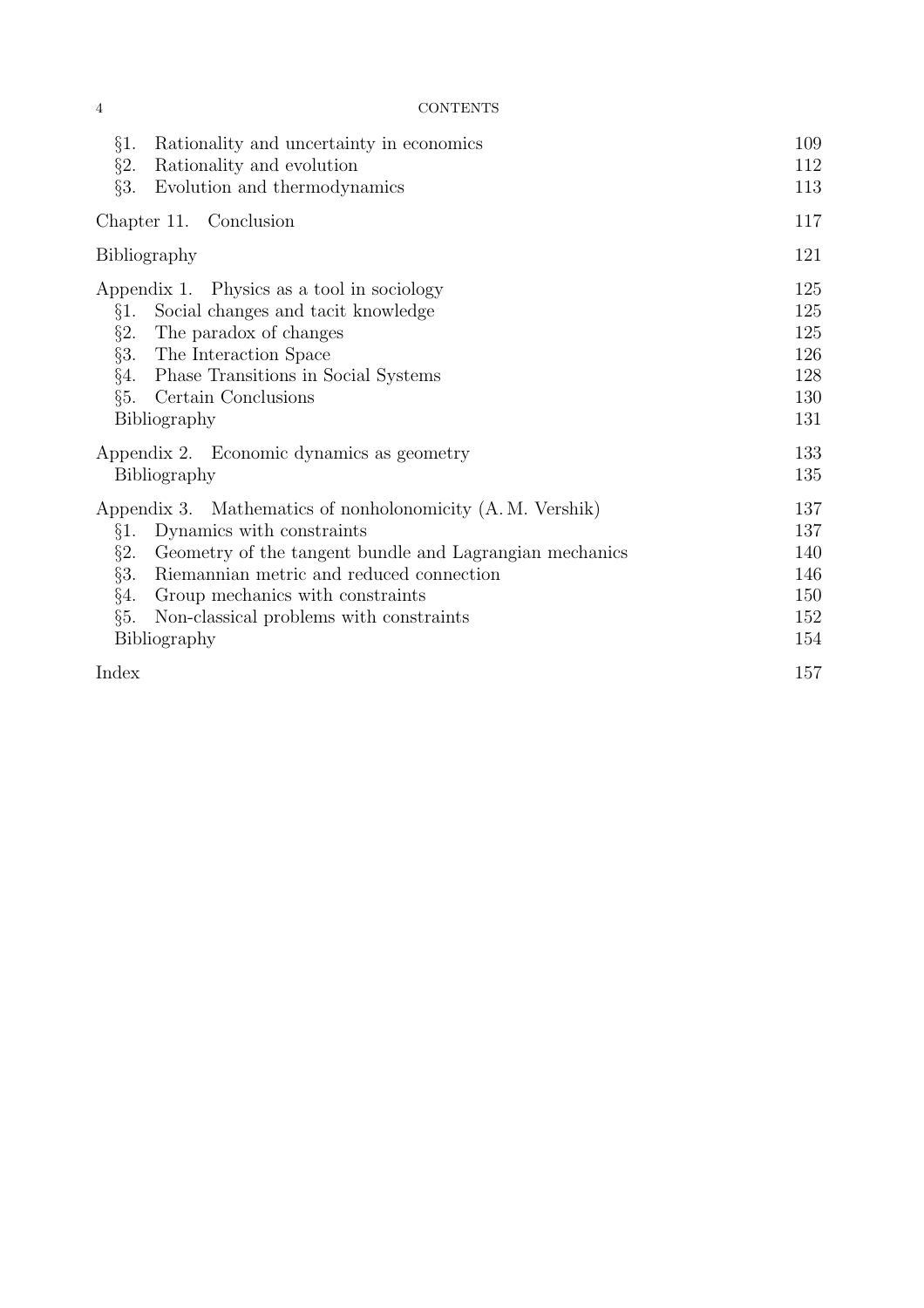| §1.<br>Rationality and uncertainty in economics<br>$\S2.$<br>Rationality and evolution<br>§3.<br>Evolution and thermodynamics                                                                                                                                                                                                      | 109<br>112<br>113                             |
|------------------------------------------------------------------------------------------------------------------------------------------------------------------------------------------------------------------------------------------------------------------------------------------------------------------------------------|-----------------------------------------------|
| Chapter 11. Conclusion                                                                                                                                                                                                                                                                                                             | 117                                           |
| Bibliography                                                                                                                                                                                                                                                                                                                       | 121                                           |
| Appendix 1. Physics as a tool in sociology<br>Social changes and tacit knowledge<br>§1.<br>$\S2.$<br>The paradox of changes<br>$\S3.$<br>The Interaction Space<br>§4.<br>Phase Transitions in Social Systems<br>§5.<br>Certain Conclusions<br>Bibliography                                                                         | 125<br>125<br>125<br>126<br>128<br>130<br>131 |
| Appendix 2. Economic dynamics as geometry<br>Bibliography                                                                                                                                                                                                                                                                          | 133<br>135                                    |
| Appendix 3. Mathematics of nonholonomicity (A.M. Vershik)<br>Dynamics with constraints<br>§1.<br>$\S2.$<br>Geometry of the tangent bundle and Lagrangian mechanics<br>§3.<br>Riemannian metric and reduced connection<br>§4.<br>Group mechanics with constraints<br>§5.<br>Non-classical problems with constraints<br>Bibliography | 137<br>137<br>140<br>146<br>150<br>152<br>154 |
| Index                                                                                                                                                                                                                                                                                                                              | 157                                           |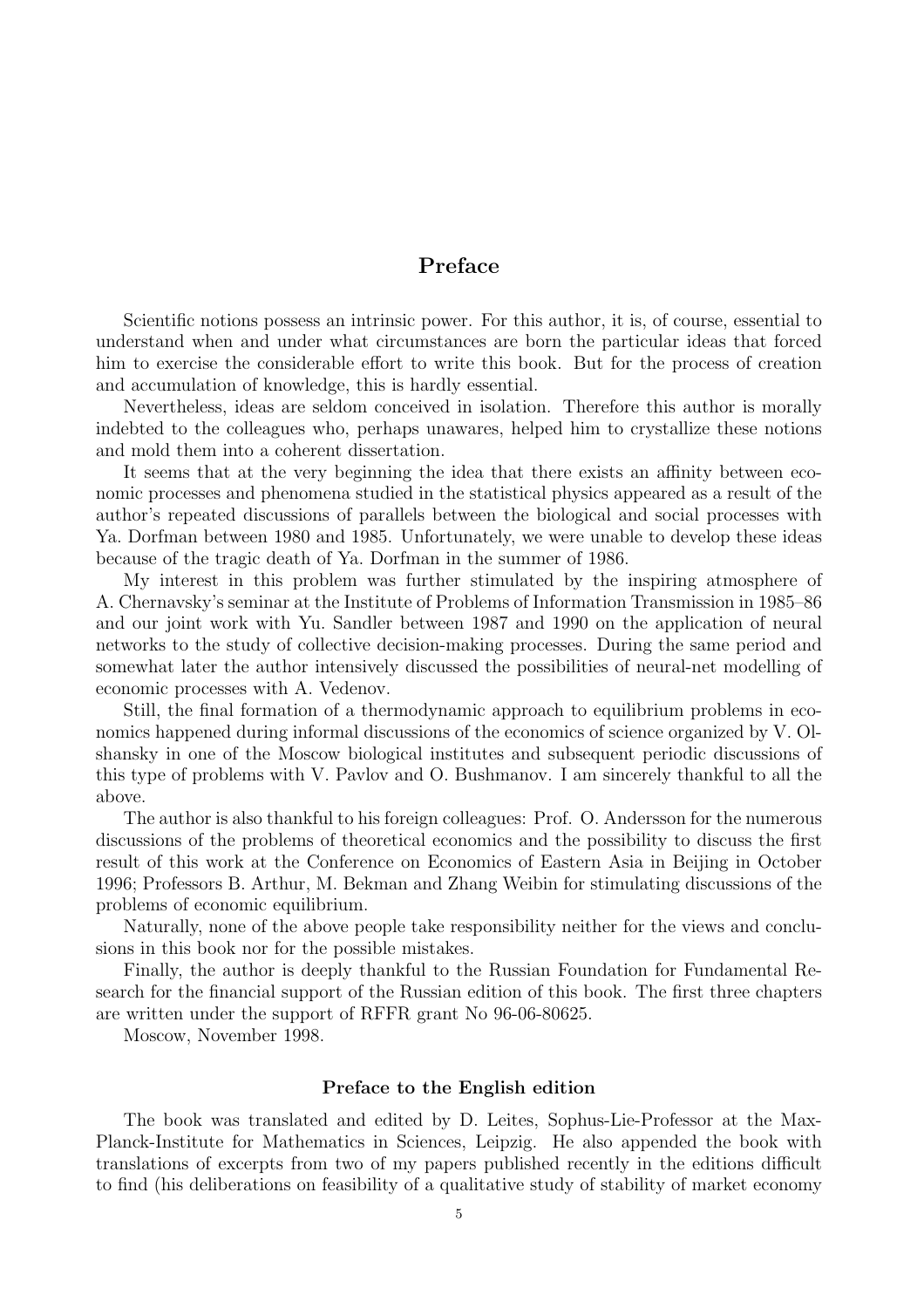## Preface

Scientific notions possess an intrinsic power. For this author, it is, of course, essential to understand when and under what circumstances are born the particular ideas that forced him to exercise the considerable effort to write this book. But for the process of creation and accumulation of knowledge, this is hardly essential.

Nevertheless, ideas are seldom conceived in isolation. Therefore this author is morally indebted to the colleagues who, perhaps unawares, helped him to crystallize these notions and mold them into a coherent dissertation.

It seems that at the very beginning the idea that there exists an affinity between economic processes and phenomena studied in the statistical physics appeared as a result of the author's repeated discussions of parallels between the biological and social processes with Ya. Dorfman between 1980 and 1985. Unfortunately, we were unable to develop these ideas because of the tragic death of Ya. Dorfman in the summer of 1986.

My interest in this problem was further stimulated by the inspiring atmosphere of A. Chernavsky's seminar at the Institute of Problems of Information Transmission in 1985–86 and our joint work with Yu. Sandler between 1987 and 1990 on the application of neural networks to the study of collective decision-making processes. During the same period and somewhat later the author intensively discussed the possibilities of neural-net modelling of economic processes with A. Vedenov.

Still, the final formation of a thermodynamic approach to equilibrium problems in economics happened during informal discussions of the economics of science organized by V. Olshansky in one of the Moscow biological institutes and subsequent periodic discussions of this type of problems with V. Pavlov and O. Bushmanov. I am sincerely thankful to all the above.

The author is also thankful to his foreign colleagues: Prof. O. Andersson for the numerous discussions of the problems of theoretical economics and the possibility to discuss the first result of this work at the Conference on Economics of Eastern Asia in Beijing in October 1996; Professors B. Arthur, M. Bekman and Zhang Weibin for stimulating discussions of the problems of economic equilibrium.

Naturally, none of the above people take responsibility neither for the views and conclusions in this book nor for the possible mistakes.

Finally, the author is deeply thankful to the Russian Foundation for Fundamental Research for the financial support of the Russian edition of this book. The first three chapters are written under the support of RFFR grant No 96-06-80625.

Moscow, November 1998.

#### Preface to the English edition

The book was translated and edited by D. Leites, Sophus-Lie-Professor at the Max-Planck-Institute for Mathematics in Sciences, Leipzig. He also appended the book with translations of excerpts from two of my papers published recently in the editions difficult to find (his deliberations on feasibility of a qualitative study of stability of market economy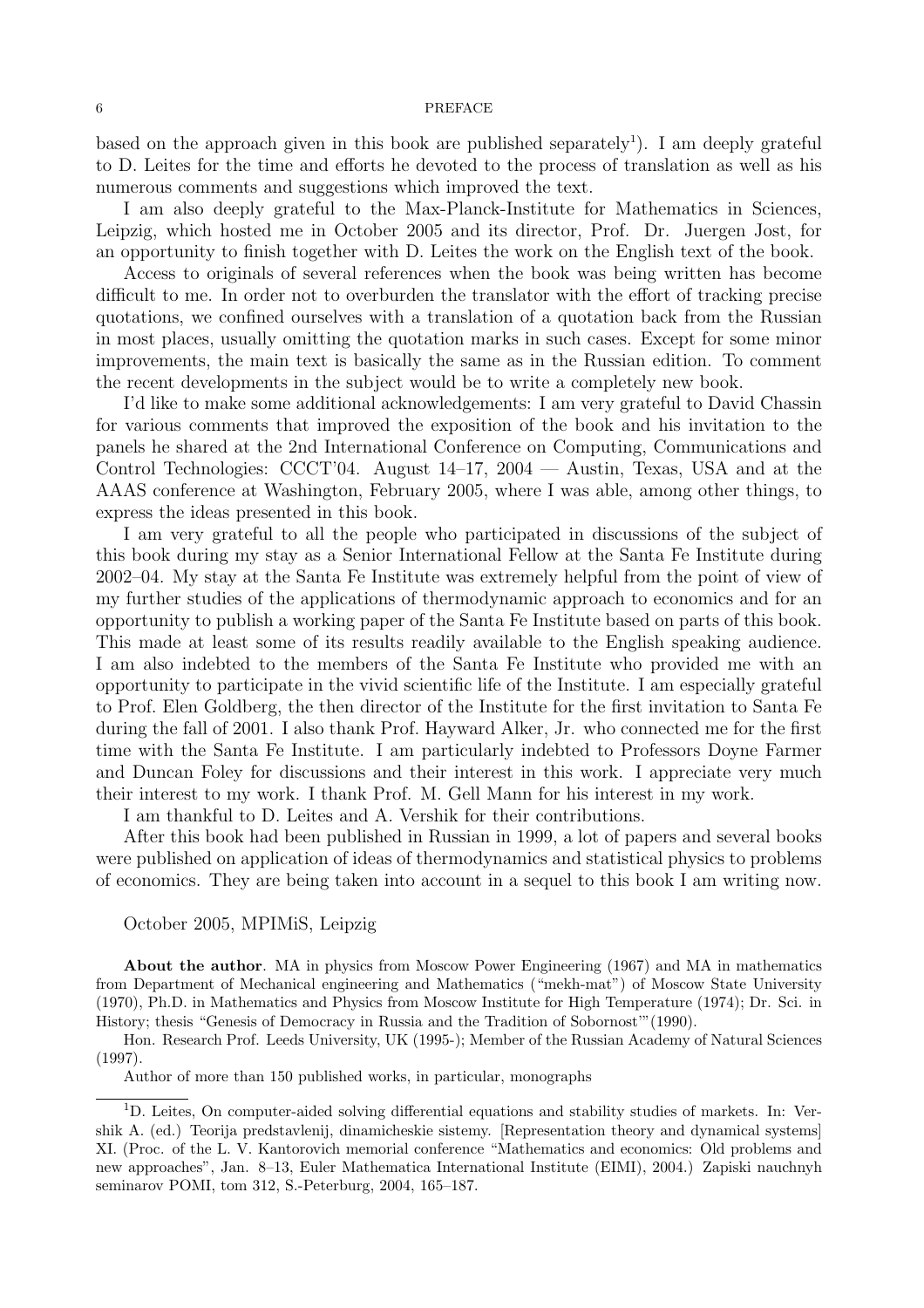#### 6 PREFACE

based on the approach given in this book are published separately<sup>1</sup>). I am deeply grateful to D. Leites for the time and efforts he devoted to the process of translation as well as his numerous comments and suggestions which improved the text.

I am also deeply grateful to the Max-Planck-Institute for Mathematics in Sciences, Leipzig, which hosted me in October 2005 and its director, Prof. Dr. Juergen Jost, for an opportunity to finish together with D. Leites the work on the English text of the book.

Access to originals of several references when the book was being written has become difficult to me. In order not to overburden the translator with the effort of tracking precise quotations, we confined ourselves with a translation of a quotation back from the Russian in most places, usually omitting the quotation marks in such cases. Except for some minor improvements, the main text is basically the same as in the Russian edition. To comment the recent developments in the subject would be to write a completely new book.

I'd like to make some additional acknowledgements: I am very grateful to David Chassin for various comments that improved the exposition of the book and his invitation to the panels he shared at the 2nd International Conference on Computing, Communications and Control Technologies: CCCT'04. August 14–17, 2004 — Austin, Texas, USA and at the AAAS conference at Washington, February 2005, where I was able, among other things, to express the ideas presented in this book.

I am very grateful to all the people who participated in discussions of the subject of this book during my stay as a Senior International Fellow at the Santa Fe Institute during 2002–04. My stay at the Santa Fe Institute was extremely helpful from the point of view of my further studies of the applications of thermodynamic approach to economics and for an opportunity to publish a working paper of the Santa Fe Institute based on parts of this book. This made at least some of its results readily available to the English speaking audience. I am also indebted to the members of the Santa Fe Institute who provided me with an opportunity to participate in the vivid scientific life of the Institute. I am especially grateful to Prof. Elen Goldberg, the then director of the Institute for the first invitation to Santa Fe during the fall of 2001. I also thank Prof. Hayward Alker, Jr. who connected me for the first time with the Santa Fe Institute. I am particularly indebted to Professors Doyne Farmer and Duncan Foley for discussions and their interest in this work. I appreciate very much their interest to my work. I thank Prof. M. Gell Mann for his interest in my work.

I am thankful to D. Leites and A. Vershik for their contributions.

After this book had been published in Russian in 1999, a lot of papers and several books were published on application of ideas of thermodynamics and statistical physics to problems of economics. They are being taken into account in a sequel to this book I am writing now.

#### October 2005, MPIMiS, Leipzig

About the author. MA in physics from Moscow Power Engineering (1967) and MA in mathematics from Department of Mechanical engineering and Mathematics ("mekh-mat") of Moscow State University (1970), Ph.D. in Mathematics and Physics from Moscow Institute for High Temperature (1974); Dr. Sci. in History; thesis "Genesis of Democracy in Russia and the Tradition of Sobornost'"(1990).

Hon. Research Prof. Leeds University, UK (1995-); Member of the Russian Academy of Natural Sciences (1997).

Author of more than 150 published works, in particular, monographs

<sup>&</sup>lt;sup>1</sup>D. Leites, On computer-aided solving differential equations and stability studies of markets. In: Vershik A. (ed.) Teorija predstavlenij, dinamicheskie sistemy. [Representation theory and dynamical systems] XI. (Proc. of the L. V. Kantorovich memorial conference "Mathematics and economics: Old problems and new approaches", Jan. 8–13, Euler Mathematica International Institute (EIMI), 2004.) Zapiski nauchnyh seminarov POMI, tom 312, S.-Peterburg, 2004, 165–187.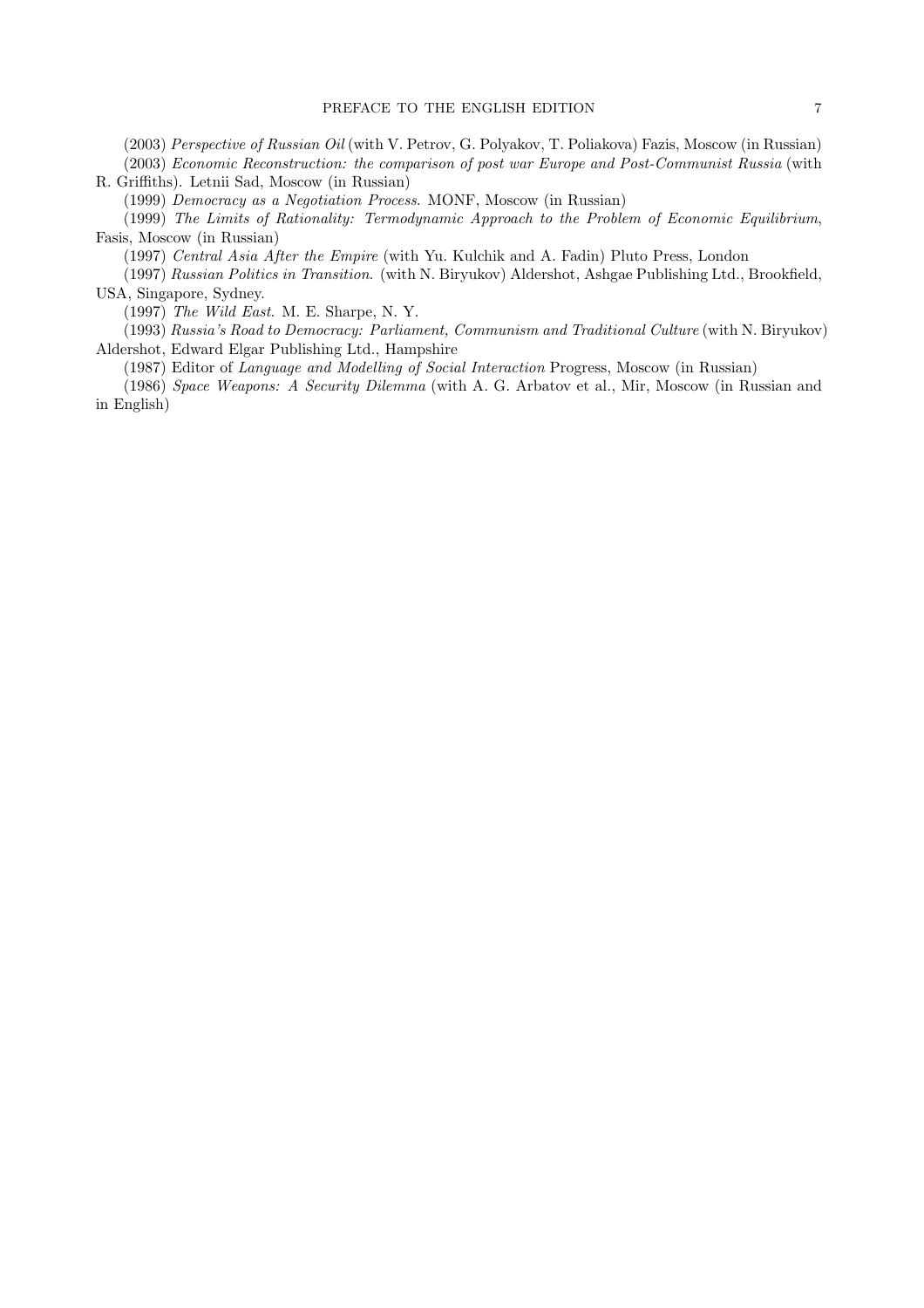(2003) Perspective of Russian Oil (with V. Petrov, G. Polyakov, T. Poliakova) Fazis, Moscow (in Russian) (2003) Economic Reconstruction: the comparison of post war Europe and Post-Communist Russia (with R. Griffiths). Letnii Sad, Moscow (in Russian)

(1999) Democracy as a Negotiation Process. MONF, Moscow (in Russian)

(1999) The Limits of Rationality: Termodynamic Approach to the Problem of Economic Equilibrium, Fasis, Moscow (in Russian)

(1997) Central Asia After the Empire (with Yu. Kulchik and A. Fadin) Pluto Press, London

(1997) Russian Politics in Transition. (with N. Biryukov) Aldershot, Ashgae Publishing Ltd., Brookfield, USA, Singapore, Sydney.

(1997) The Wild East. M. E. Sharpe, N. Y.

(1993) Russia's Road to Democracy: Parliament, Communism and Traditional Culture (with N. Biryukov) Aldershot, Edward Elgar Publishing Ltd., Hampshire

(1987) Editor of Language and Modelling of Social Interaction Progress, Moscow (in Russian)

(1986) Space Weapons: A Security Dilemma (with A. G. Arbatov et al., Mir, Moscow (in Russian and in English)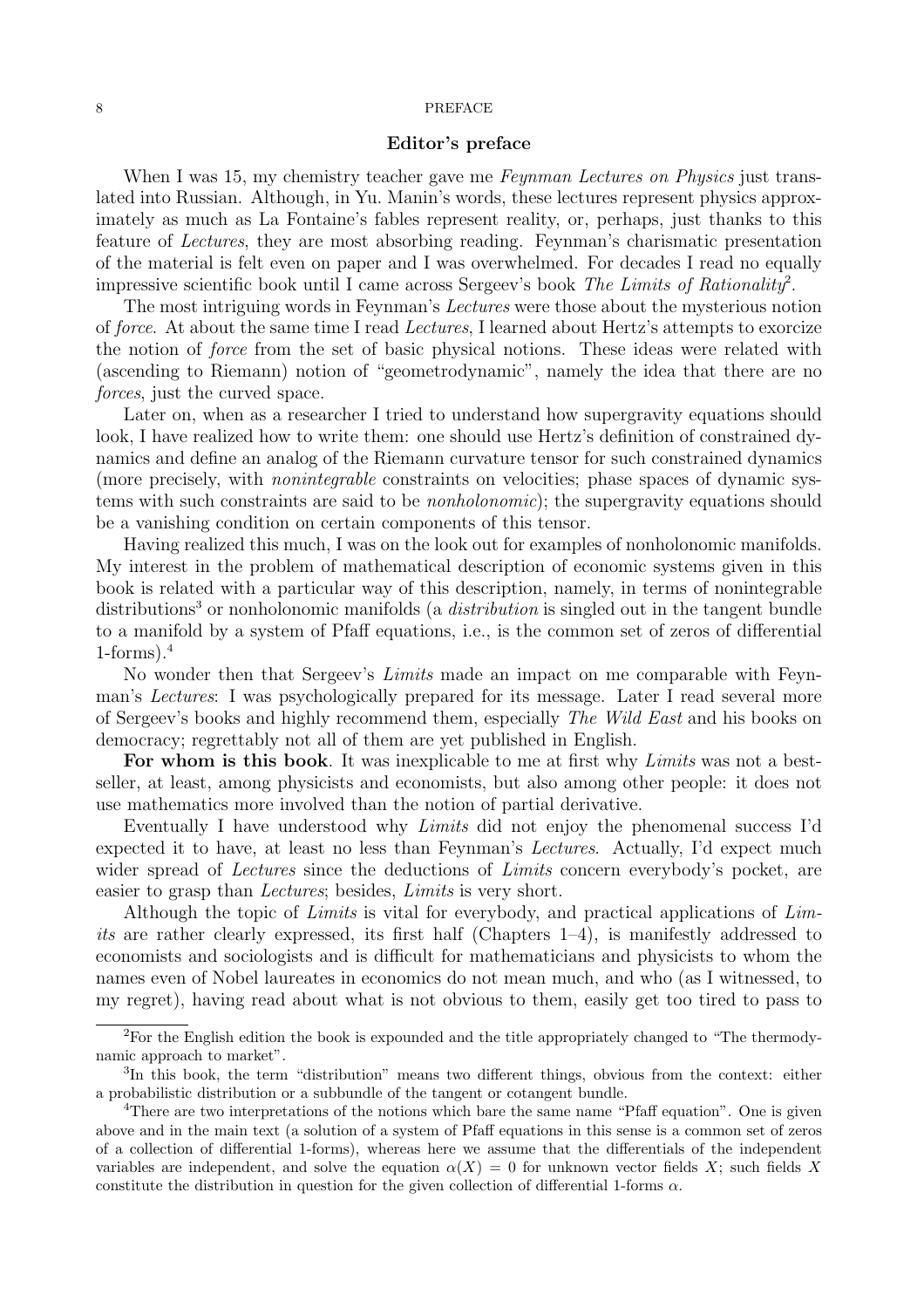#### 8 PREFACE

#### Editor's preface

When I was 15, my chemistry teacher gave me *Feynman Lectures on Physics* just translated into Russian. Although, in Yu. Manin's words, these lectures represent physics approximately as much as La Fontaine's fables represent reality, or, perhaps, just thanks to this feature of Lectures, they are most absorbing reading. Feynman's charismatic presentation of the material is felt even on paper and I was overwhelmed. For decades I read no equally impressive scientific book until I came across Sergeev's book The Limits of Rationality<sup>2</sup>.

The most intriguing words in Feynman's Lectures were those about the mysterious notion of force. At about the same time I read Lectures, I learned about Hertz's attempts to exorcize the notion of force from the set of basic physical notions. These ideas were related with (ascending to Riemann) notion of "geometrodynamic", namely the idea that there are no forces, just the curved space.

Later on, when as a researcher I tried to understand how supergravity equations should look, I have realized how to write them: one should use Hertz's definition of constrained dynamics and define an analog of the Riemann curvature tensor for such constrained dynamics (more precisely, with nonintegrable constraints on velocities; phase spaces of dynamic systems with such constraints are said to be nonholonomic); the supergravity equations should be a vanishing condition on certain components of this tensor.

Having realized this much, I was on the look out for examples of nonholonomic manifolds. My interest in the problem of mathematical description of economic systems given in this book is related with a particular way of this description, namely, in terms of nonintegrable distributions<sup>3</sup> or nonholonomic manifolds (a *distribution* is singled out in the tangent bundle to a manifold by a system of Pfaff equations, i.e., is the common set of zeros of differential  $1$ -forms). $4$ 

No wonder then that Sergeev's Limits made an impact on me comparable with Feynman's Lectures: I was psychologically prepared for its message. Later I read several more of Sergeev's books and highly recommend them, especially The Wild East and his books on democracy; regrettably not all of them are yet published in English.

For whom is this book. It was inexplicable to me at first why Limits was not a bestseller, at least, among physicists and economists, but also among other people: it does not use mathematics more involved than the notion of partial derivative.

Eventually I have understood why Limits did not enjoy the phenomenal success I'd expected it to have, at least no less than Feynman's Lectures. Actually, I'd expect much wider spread of *Lectures* since the deductions of *Limits* concern everybody's pocket, are easier to grasp than Lectures; besides, Limits is very short.

Although the topic of Limits is vital for everybody, and practical applications of Limits are rather clearly expressed, its first half (Chapters 1–4), is manifestly addressed to economists and sociologists and is difficult for mathematicians and physicists to whom the names even of Nobel laureates in economics do not mean much, and who (as I witnessed, to my regret), having read about what is not obvious to them, easily get too tired to pass to

<sup>&</sup>lt;sup>2</sup>For the English edition the book is expounded and the title appropriately changed to "The thermodynamic approach to market".

<sup>&</sup>lt;sup>3</sup>In this book, the term "distribution" means two different things, obvious from the context: either a probabilistic distribution or a subbundle of the tangent or cotangent bundle.

<sup>&</sup>lt;sup>4</sup>There are two interpretations of the notions which bare the same name "Pfaff equation". One is given above and in the main text (a solution of a system of Pfaff equations in this sense is a common set of zeros of a collection of differential 1-forms), whereas here we assume that the differentials of the independent variables are independent, and solve the equation  $\alpha(X) = 0$  for unknown vector fields X; such fields X constitute the distribution in question for the given collection of differential 1-forms  $\alpha$ .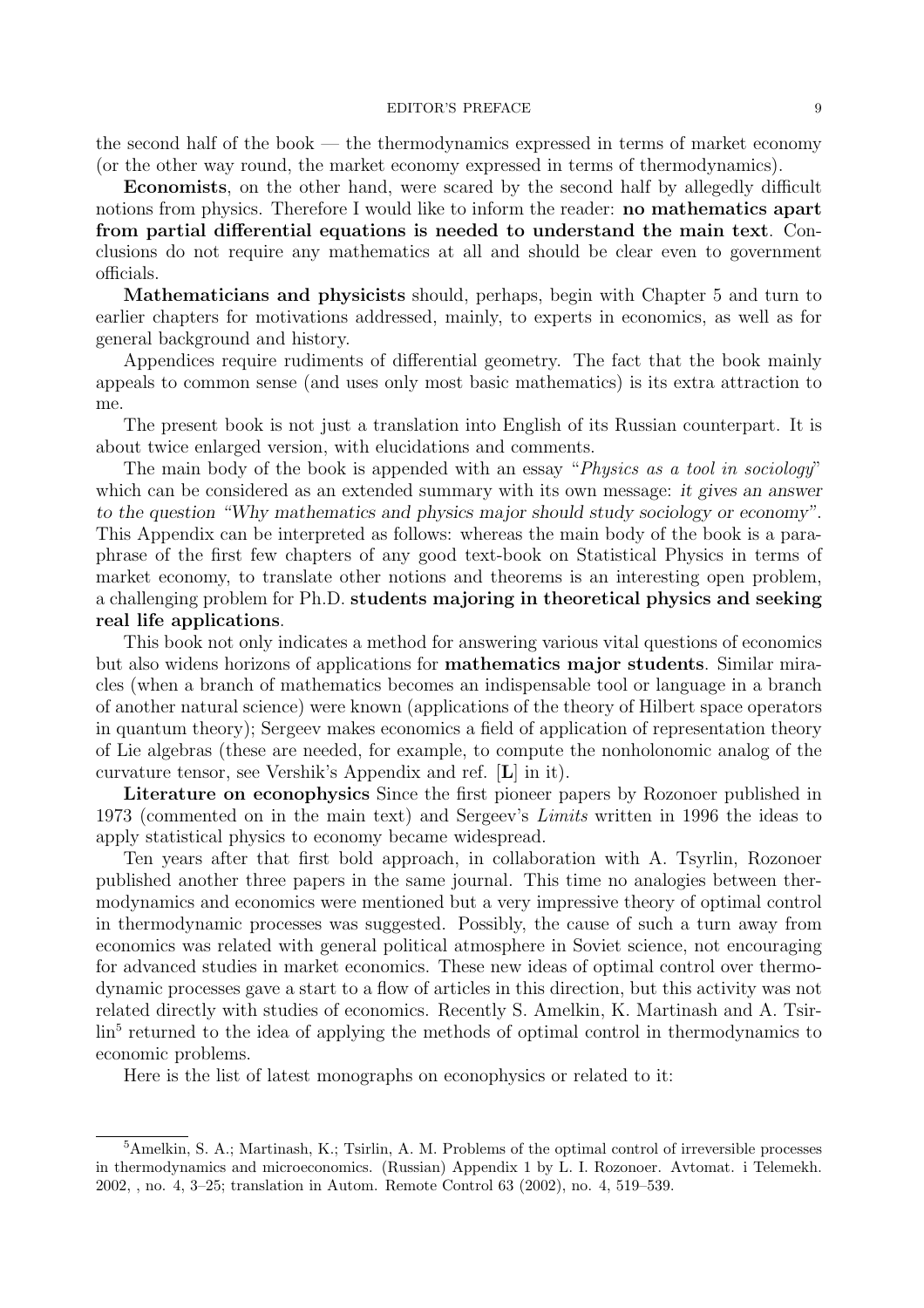#### EDITOR'S PREFACE 9

the second half of the book — the thermodynamics expressed in terms of market economy (or the other way round, the market economy expressed in terms of thermodynamics).

Economists, on the other hand, were scared by the second half by allegedly difficult notions from physics. Therefore I would like to inform the reader: **no mathematics apart** from partial differential equations is needed to understand the main text. Conclusions do not require any mathematics at all and should be clear even to government officials.

Mathematicians and physicists should, perhaps, begin with Chapter 5 and turn to earlier chapters for motivations addressed, mainly, to experts in economics, as well as for general background and history.

Appendices require rudiments of differential geometry. The fact that the book mainly appeals to common sense (and uses only most basic mathematics) is its extra attraction to me.

The present book is not just a translation into English of its Russian counterpart. It is about twice enlarged version, with elucidations and comments.

The main body of the book is appended with an essay "*Physics as a tool in sociology*" which can be considered as an extended summary with its own message: it gives an answer to the question "Why mathematics and physics major should study sociology or economy". This Appendix can be interpreted as follows: whereas the main body of the book is a paraphrase of the first few chapters of any good text-book on Statistical Physics in terms of market economy, to translate other notions and theorems is an interesting open problem, a challenging problem for Ph.D. students majoring in theoretical physics and seeking real life applications.

This book not only indicates a method for answering various vital questions of economics but also widens horizons of applications for mathematics major students. Similar miracles (when a branch of mathematics becomes an indispensable tool or language in a branch of another natural science) were known (applications of the theory of Hilbert space operators in quantum theory); Sergeev makes economics a field of application of representation theory of Lie algebras (these are needed, for example, to compute the nonholonomic analog of the curvature tensor, see Vershik's Appendix and ref. [L] in it).

Literature on econophysics Since the first pioneer papers by Rozonoer published in 1973 (commented on in the main text) and Sergeev's Limits written in 1996 the ideas to apply statistical physics to economy became widespread.

Ten years after that first bold approach, in collaboration with A. Tsyrlin, Rozonoer published another three papers in the same journal. This time no analogies between thermodynamics and economics were mentioned but a very impressive theory of optimal control in thermodynamic processes was suggested. Possibly, the cause of such a turn away from economics was related with general political atmosphere in Soviet science, not encouraging for advanced studies in market economics. These new ideas of optimal control over thermodynamic processes gave a start to a flow of articles in this direction, but this activity was not related directly with studies of economics. Recently S. Amelkin, K. Martinash and A. Tsirlin<sup>5</sup> returned to the idea of applying the methods of optimal control in thermodynamics to economic problems.

Here is the list of latest monographs on econophysics or related to it:

 $5$ Amelkin, S. A.; Martinash, K.; Tsirlin, A. M. Problems of the optimal control of irreversible processes in thermodynamics and microeconomics. (Russian) Appendix 1 by L. I. Rozonoer. Avtomat. i Telemekh. 2002, , no. 4, 3–25; translation in Autom. Remote Control 63 (2002), no. 4, 519–539.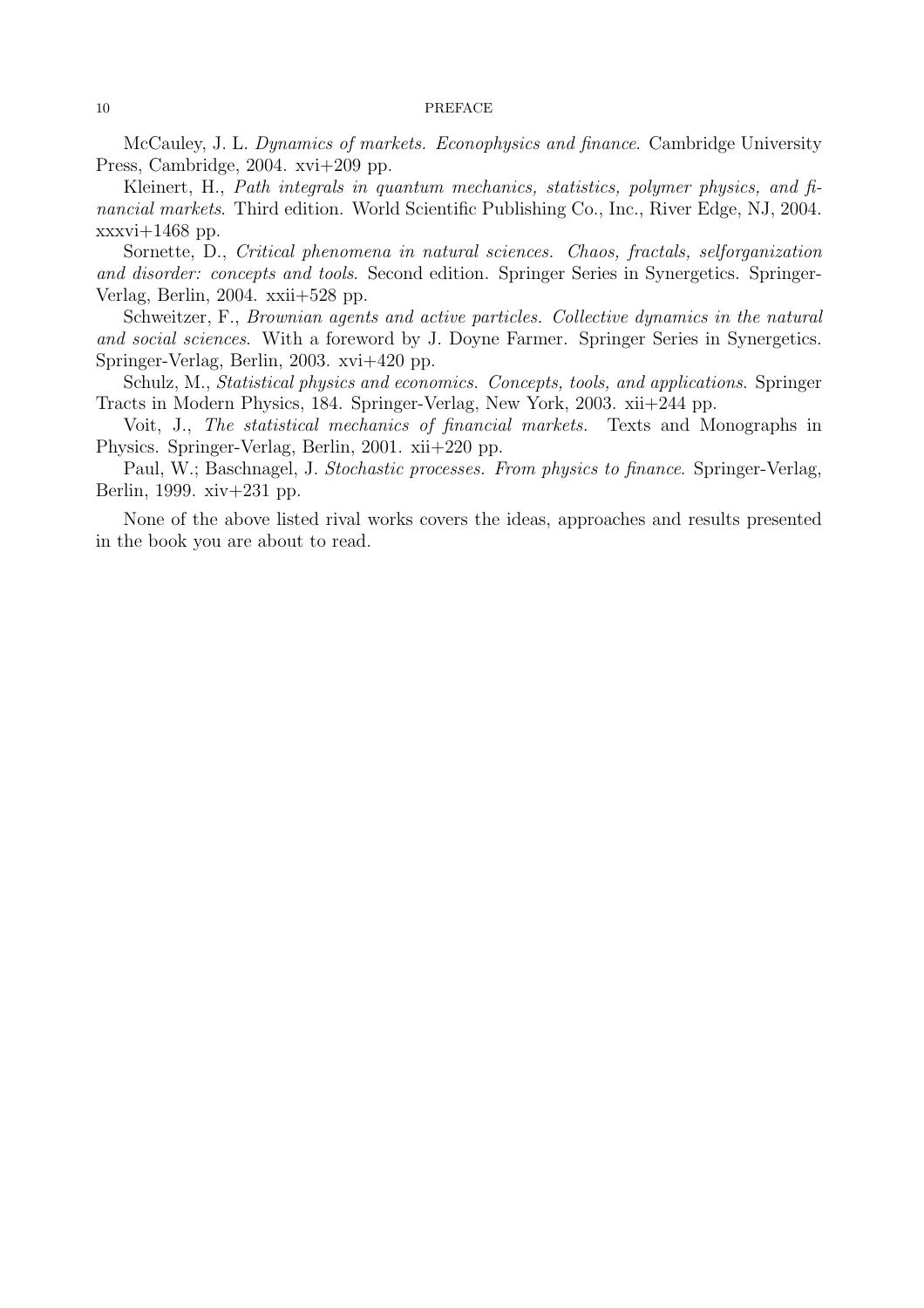#### 10 PREFACE

McCauley, J. L. Dynamics of markets. Econophysics and finance. Cambridge University Press, Cambridge, 2004. xvi+209 pp.

Kleinert, H., Path integrals in quantum mechanics, statistics, polymer physics, and financial markets. Third edition. World Scientific Publishing Co., Inc., River Edge, NJ, 2004.  $xxxvi+1468$  pp.

Sornette, D., Critical phenomena in natural sciences. Chaos, fractals, selforganization and disorder: concepts and tools. Second edition. Springer Series in Synergetics. Springer-Verlag, Berlin, 2004. xxii+528 pp.

Schweitzer, F., Brownian agents and active particles. Collective dynamics in the natural and social sciences. With a foreword by J. Doyne Farmer. Springer Series in Synergetics. Springer-Verlag, Berlin, 2003. xvi+420 pp.

Schulz, M., *Statistical physics and economics. Concepts, tools, and applications.* Springer Tracts in Modern Physics, 184. Springer-Verlag, New York, 2003. xii+244 pp.

Voit, J., The statistical mechanics of financial markets. Texts and Monographs in Physics. Springer-Verlag, Berlin, 2001. xii+220 pp.

Paul, W.; Baschnagel, J. Stochastic processes. From physics to finance. Springer-Verlag, Berlin, 1999. xiv+231 pp.

None of the above listed rival works covers the ideas, approaches and results presented in the book you are about to read.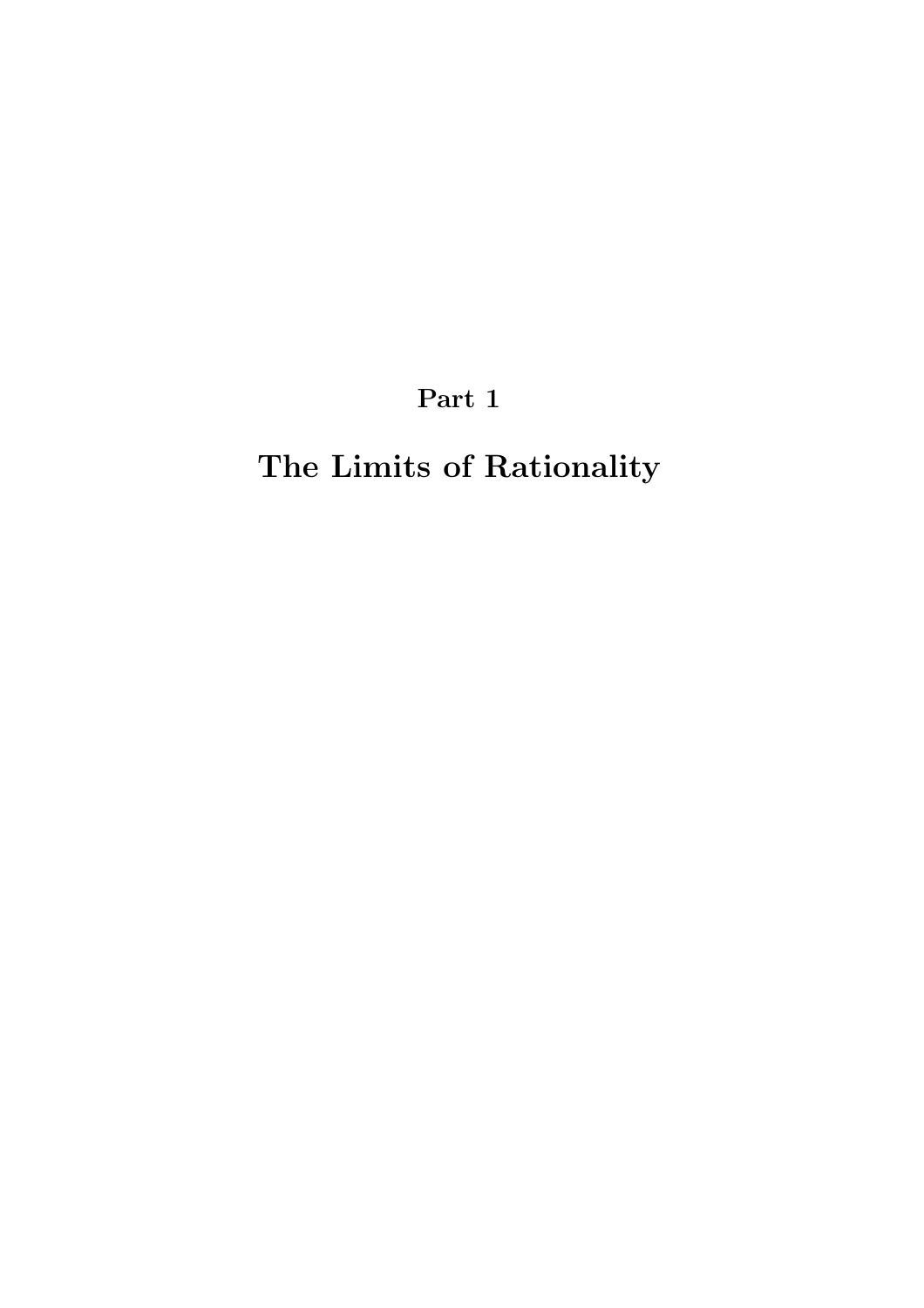Part 1

# The Limits of Rationality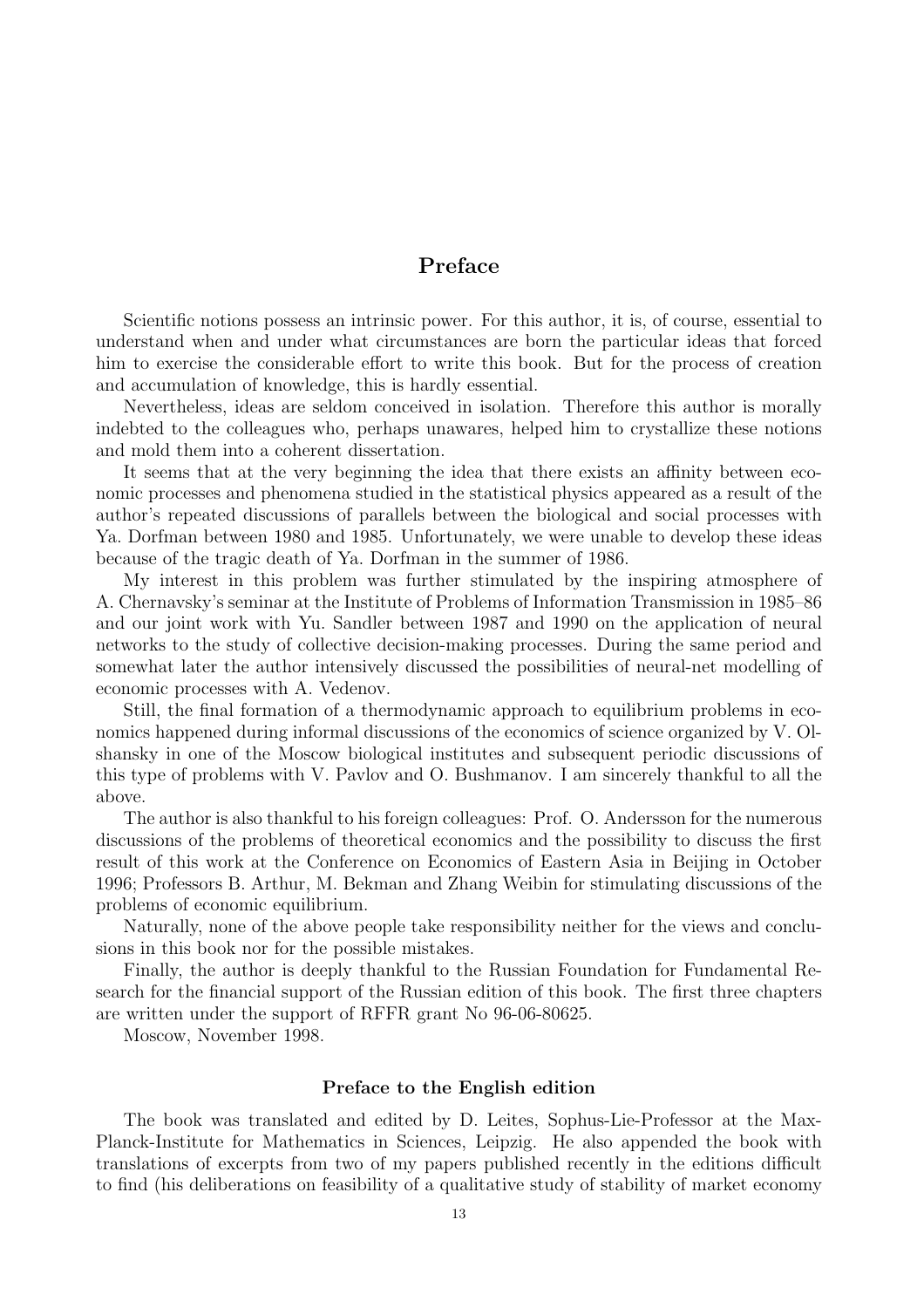## Preface

Scientific notions possess an intrinsic power. For this author, it is, of course, essential to understand when and under what circumstances are born the particular ideas that forced him to exercise the considerable effort to write this book. But for the process of creation and accumulation of knowledge, this is hardly essential.

Nevertheless, ideas are seldom conceived in isolation. Therefore this author is morally indebted to the colleagues who, perhaps unawares, helped him to crystallize these notions and mold them into a coherent dissertation.

It seems that at the very beginning the idea that there exists an affinity between economic processes and phenomena studied in the statistical physics appeared as a result of the author's repeated discussions of parallels between the biological and social processes with Ya. Dorfman between 1980 and 1985. Unfortunately, we were unable to develop these ideas because of the tragic death of Ya. Dorfman in the summer of 1986.

My interest in this problem was further stimulated by the inspiring atmosphere of A. Chernavsky's seminar at the Institute of Problems of Information Transmission in 1985–86 and our joint work with Yu. Sandler between 1987 and 1990 on the application of neural networks to the study of collective decision-making processes. During the same period and somewhat later the author intensively discussed the possibilities of neural-net modelling of economic processes with A. Vedenov.

Still, the final formation of a thermodynamic approach to equilibrium problems in economics happened during informal discussions of the economics of science organized by V. Olshansky in one of the Moscow biological institutes and subsequent periodic discussions of this type of problems with V. Pavlov and O. Bushmanov. I am sincerely thankful to all the above.

The author is also thankful to his foreign colleagues: Prof. O. Andersson for the numerous discussions of the problems of theoretical economics and the possibility to discuss the first result of this work at the Conference on Economics of Eastern Asia in Beijing in October 1996; Professors B. Arthur, M. Bekman and Zhang Weibin for stimulating discussions of the problems of economic equilibrium.

Naturally, none of the above people take responsibility neither for the views and conclusions in this book nor for the possible mistakes.

Finally, the author is deeply thankful to the Russian Foundation for Fundamental Research for the financial support of the Russian edition of this book. The first three chapters are written under the support of RFFR grant No 96-06-80625.

Moscow, November 1998.

#### Preface to the English edition

The book was translated and edited by D. Leites, Sophus-Lie-Professor at the Max-Planck-Institute for Mathematics in Sciences, Leipzig. He also appended the book with translations of excerpts from two of my papers published recently in the editions difficult to find (his deliberations on feasibility of a qualitative study of stability of market economy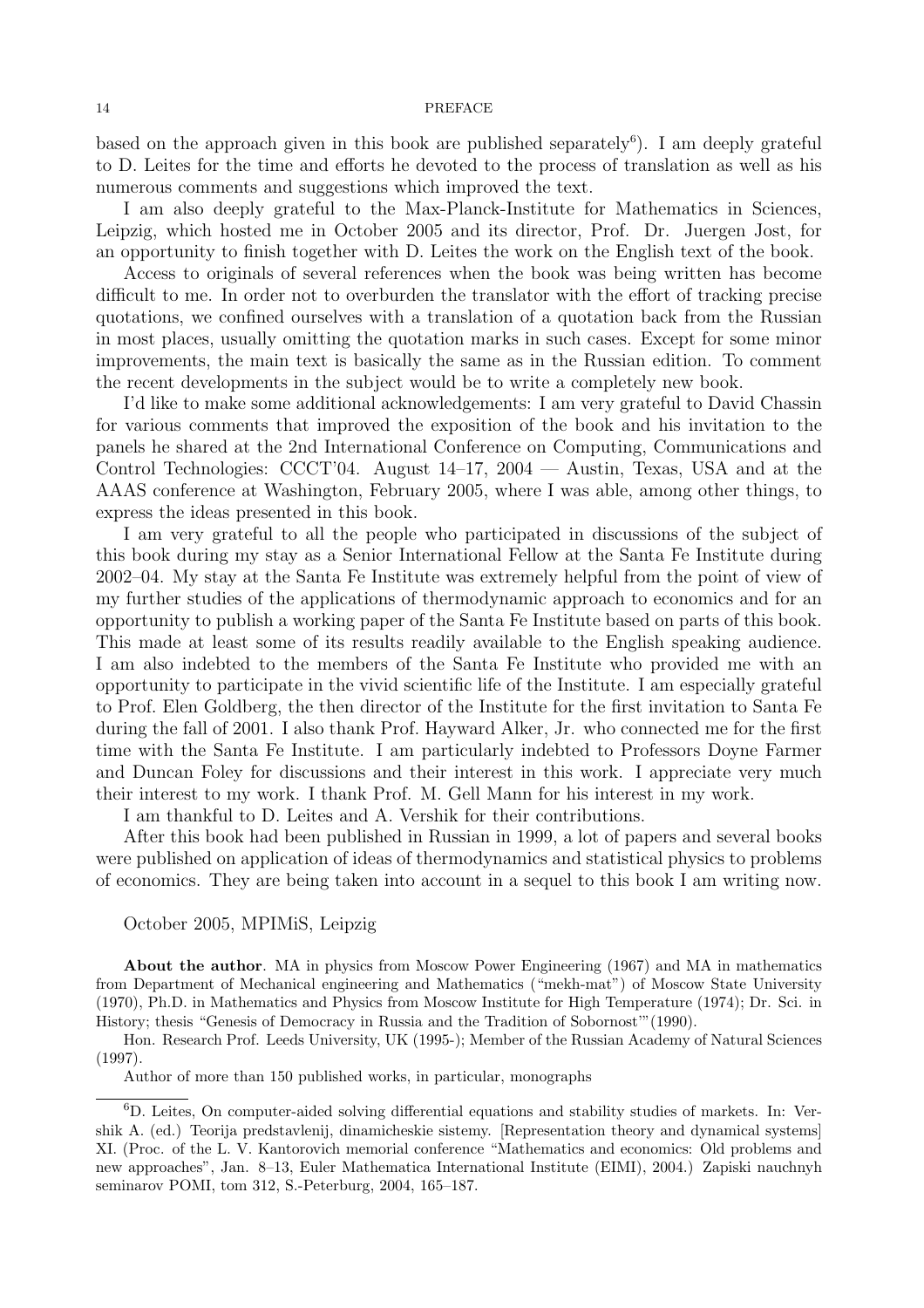#### 14 PREFACE

based on the approach given in this book are published separately<sup>6</sup>). I am deeply grateful to D. Leites for the time and efforts he devoted to the process of translation as well as his numerous comments and suggestions which improved the text.

I am also deeply grateful to the Max-Planck-Institute for Mathematics in Sciences, Leipzig, which hosted me in October 2005 and its director, Prof. Dr. Juergen Jost, for an opportunity to finish together with D. Leites the work on the English text of the book.

Access to originals of several references when the book was being written has become difficult to me. In order not to overburden the translator with the effort of tracking precise quotations, we confined ourselves with a translation of a quotation back from the Russian in most places, usually omitting the quotation marks in such cases. Except for some minor improvements, the main text is basically the same as in the Russian edition. To comment the recent developments in the subject would be to write a completely new book.

I'd like to make some additional acknowledgements: I am very grateful to David Chassin for various comments that improved the exposition of the book and his invitation to the panels he shared at the 2nd International Conference on Computing, Communications and Control Technologies: CCCT'04. August 14–17, 2004 — Austin, Texas, USA and at the AAAS conference at Washington, February 2005, where I was able, among other things, to express the ideas presented in this book.

I am very grateful to all the people who participated in discussions of the subject of this book during my stay as a Senior International Fellow at the Santa Fe Institute during 2002–04. My stay at the Santa Fe Institute was extremely helpful from the point of view of my further studies of the applications of thermodynamic approach to economics and for an opportunity to publish a working paper of the Santa Fe Institute based on parts of this book. This made at least some of its results readily available to the English speaking audience. I am also indebted to the members of the Santa Fe Institute who provided me with an opportunity to participate in the vivid scientific life of the Institute. I am especially grateful to Prof. Elen Goldberg, the then director of the Institute for the first invitation to Santa Fe during the fall of 2001. I also thank Prof. Hayward Alker, Jr. who connected me for the first time with the Santa Fe Institute. I am particularly indebted to Professors Doyne Farmer and Duncan Foley for discussions and their interest in this work. I appreciate very much their interest to my work. I thank Prof. M. Gell Mann for his interest in my work.

I am thankful to D. Leites and A. Vershik for their contributions.

After this book had been published in Russian in 1999, a lot of papers and several books were published on application of ideas of thermodynamics and statistical physics to problems of economics. They are being taken into account in a sequel to this book I am writing now.

#### October 2005, MPIMiS, Leipzig

About the author. MA in physics from Moscow Power Engineering (1967) and MA in mathematics from Department of Mechanical engineering and Mathematics ("mekh-mat") of Moscow State University (1970), Ph.D. in Mathematics and Physics from Moscow Institute for High Temperature (1974); Dr. Sci. in History; thesis "Genesis of Democracy in Russia and the Tradition of Sobornost'"(1990).

Hon. Research Prof. Leeds University, UK (1995-); Member of the Russian Academy of Natural Sciences (1997).

Author of more than 150 published works, in particular, monographs

<sup>6</sup>D. Leites, On computer-aided solving differential equations and stability studies of markets. In: Vershik A. (ed.) Teorija predstavlenij, dinamicheskie sistemy. [Representation theory and dynamical systems] XI. (Proc. of the L. V. Kantorovich memorial conference "Mathematics and economics: Old problems and new approaches", Jan. 8–13, Euler Mathematica International Institute (EIMI), 2004.) Zapiski nauchnyh seminarov POMI, tom 312, S.-Peterburg, 2004, 165–187.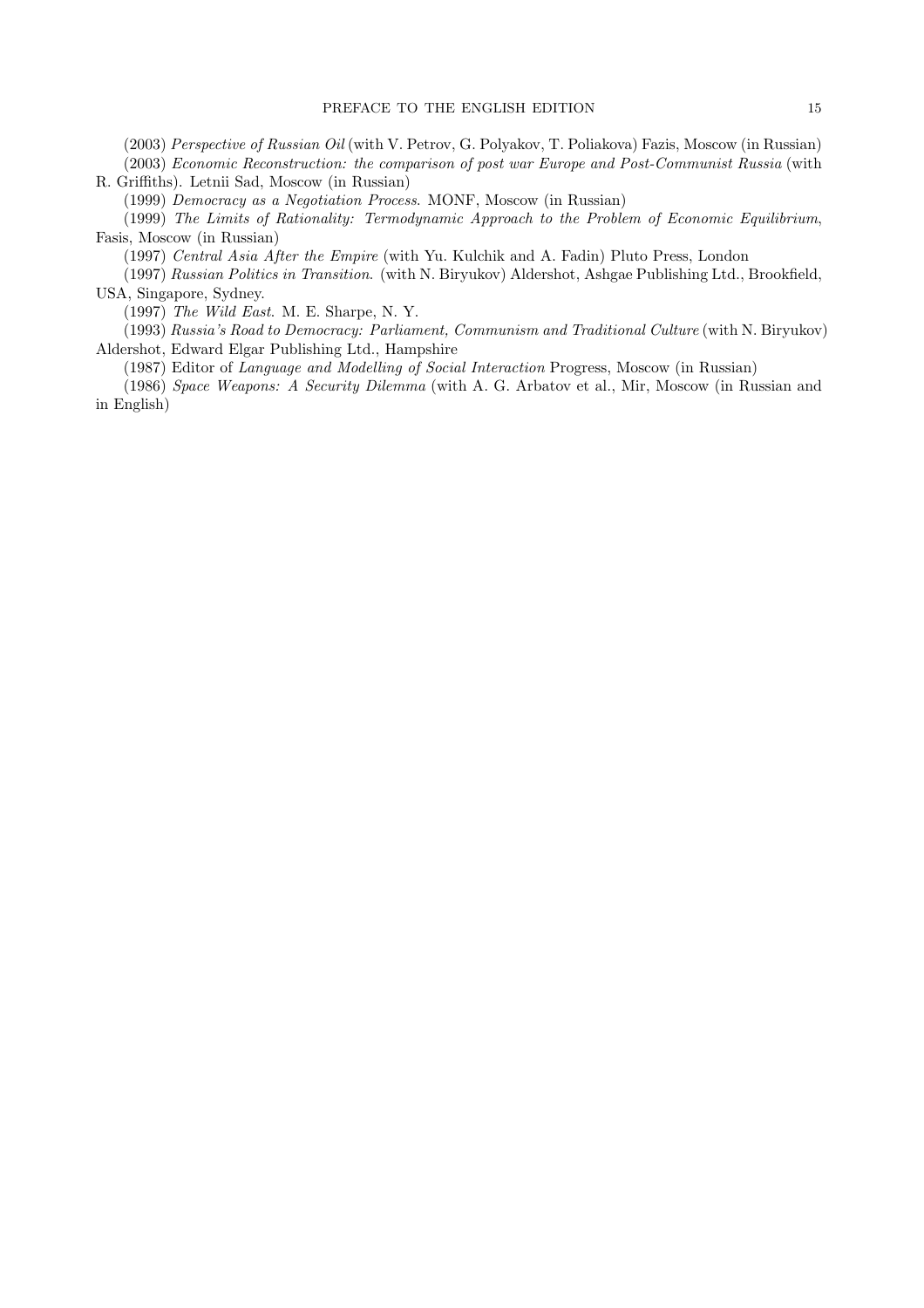(2003) Perspective of Russian Oil (with V. Petrov, G. Polyakov, T. Poliakova) Fazis, Moscow (in Russian) (2003) Economic Reconstruction: the comparison of post war Europe and Post-Communist Russia (with R. Griffiths). Letnii Sad, Moscow (in Russian)

(1999) Democracy as a Negotiation Process. MONF, Moscow (in Russian)

(1999) The Limits of Rationality: Termodynamic Approach to the Problem of Economic Equilibrium, Fasis, Moscow (in Russian)

(1997) Central Asia After the Empire (with Yu. Kulchik and A. Fadin) Pluto Press, London

(1997) Russian Politics in Transition. (with N. Biryukov) Aldershot, Ashgae Publishing Ltd., Brookfield, USA, Singapore, Sydney.

(1997) The Wild East. M. E. Sharpe, N. Y.

(1993) Russia's Road to Democracy: Parliament, Communism and Traditional Culture (with N. Biryukov) Aldershot, Edward Elgar Publishing Ltd., Hampshire

(1987) Editor of Language and Modelling of Social Interaction Progress, Moscow (in Russian)

(1986) Space Weapons: A Security Dilemma (with A. G. Arbatov et al., Mir, Moscow (in Russian and in English)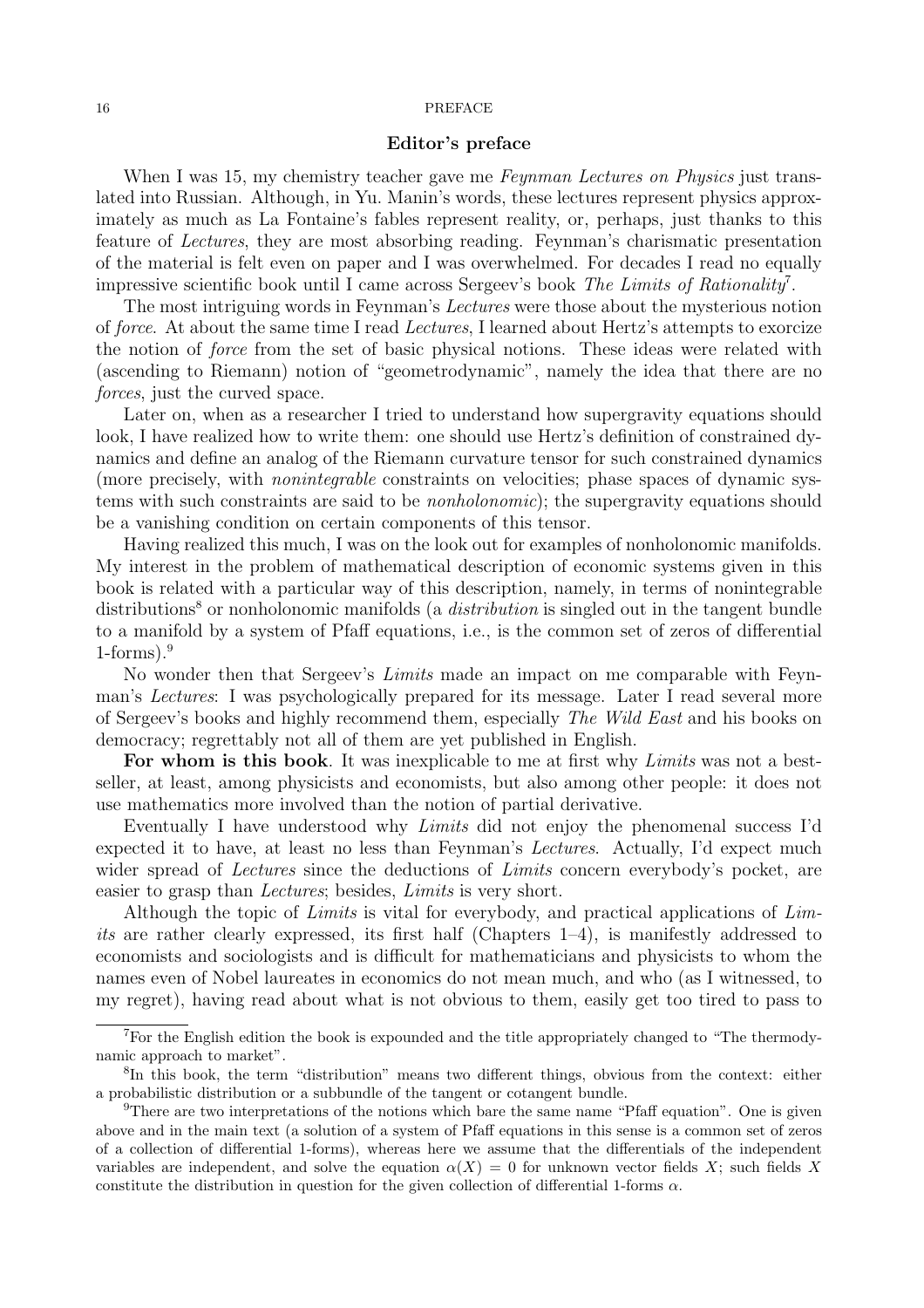#### 16 PREFACE

#### Editor's preface

When I was 15, my chemistry teacher gave me *Feynman Lectures on Physics* just translated into Russian. Although, in Yu. Manin's words, these lectures represent physics approximately as much as La Fontaine's fables represent reality, or, perhaps, just thanks to this feature of Lectures, they are most absorbing reading. Feynman's charismatic presentation of the material is felt even on paper and I was overwhelmed. For decades I read no equally impressive scientific book until I came across Sergeev's book The Limits of Rationality<sup>7</sup>.

The most intriguing words in Feynman's Lectures were those about the mysterious notion of force. At about the same time I read Lectures, I learned about Hertz's attempts to exorcize the notion of force from the set of basic physical notions. These ideas were related with (ascending to Riemann) notion of "geometrodynamic", namely the idea that there are no forces, just the curved space.

Later on, when as a researcher I tried to understand how supergravity equations should look, I have realized how to write them: one should use Hertz's definition of constrained dynamics and define an analog of the Riemann curvature tensor for such constrained dynamics (more precisely, with nonintegrable constraints on velocities; phase spaces of dynamic systems with such constraints are said to be nonholonomic); the supergravity equations should be a vanishing condition on certain components of this tensor.

Having realized this much, I was on the look out for examples of nonholonomic manifolds. My interest in the problem of mathematical description of economic systems given in this book is related with a particular way of this description, namely, in terms of nonintegrable distributions<sup>8</sup> or nonholonomic manifolds (a *distribution* is singled out in the tangent bundle to a manifold by a system of Pfaff equations, i.e., is the common set of zeros of differential  $1$ -forms).<sup>9</sup>

No wonder then that Sergeev's Limits made an impact on me comparable with Feynman's Lectures: I was psychologically prepared for its message. Later I read several more of Sergeev's books and highly recommend them, especially The Wild East and his books on democracy; regrettably not all of them are yet published in English.

For whom is this book. It was inexplicable to me at first why Limits was not a bestseller, at least, among physicists and economists, but also among other people: it does not use mathematics more involved than the notion of partial derivative.

Eventually I have understood why Limits did not enjoy the phenomenal success I'd expected it to have, at least no less than Feynman's Lectures. Actually, I'd expect much wider spread of *Lectures* since the deductions of *Limits* concern everybody's pocket, are easier to grasp than Lectures; besides, Limits is very short.

Although the topic of Limits is vital for everybody, and practical applications of Limits are rather clearly expressed, its first half (Chapters 1–4), is manifestly addressed to economists and sociologists and is difficult for mathematicians and physicists to whom the names even of Nobel laureates in economics do not mean much, and who (as I witnessed, to my regret), having read about what is not obvious to them, easily get too tired to pass to

<sup>&</sup>lt;sup>7</sup>For the English edition the book is expounded and the title appropriately changed to "The thermodynamic approach to market".

<sup>&</sup>lt;sup>8</sup>In this book, the term "distribution" means two different things, obvious from the context: either a probabilistic distribution or a subbundle of the tangent or cotangent bundle.

<sup>&</sup>lt;sup>9</sup>There are two interpretations of the notions which bare the same name "Pfaff equation". One is given above and in the main text (a solution of a system of Pfaff equations in this sense is a common set of zeros of a collection of differential 1-forms), whereas here we assume that the differentials of the independent variables are independent, and solve the equation  $\alpha(X) = 0$  for unknown vector fields X; such fields X constitute the distribution in question for the given collection of differential 1-forms  $\alpha$ .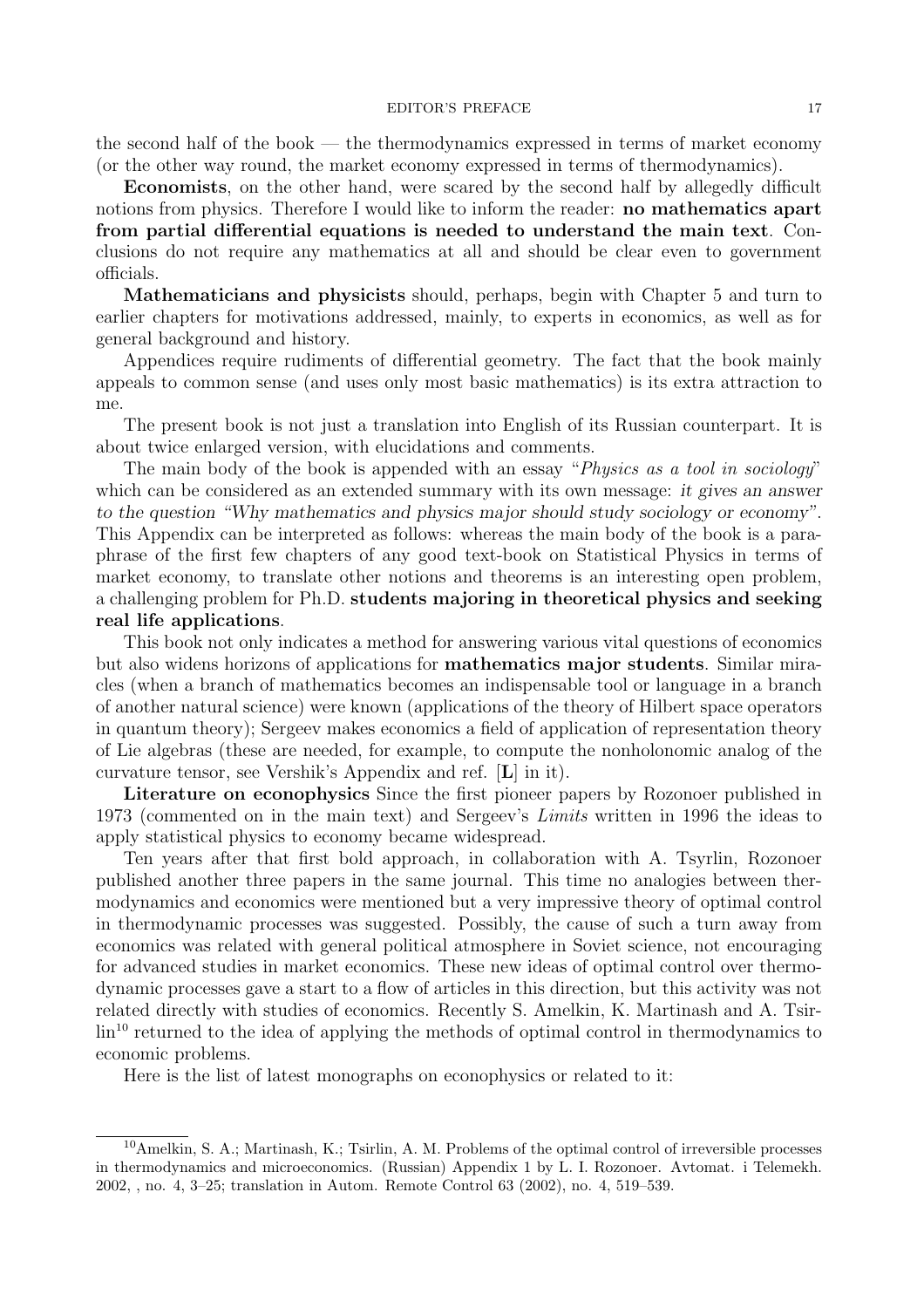#### EDITOR'S PREFACE 17

the second half of the book — the thermodynamics expressed in terms of market economy (or the other way round, the market economy expressed in terms of thermodynamics).

Economists, on the other hand, were scared by the second half by allegedly difficult notions from physics. Therefore I would like to inform the reader: **no mathematics apart** from partial differential equations is needed to understand the main text. Conclusions do not require any mathematics at all and should be clear even to government officials.

Mathematicians and physicists should, perhaps, begin with Chapter 5 and turn to earlier chapters for motivations addressed, mainly, to experts in economics, as well as for general background and history.

Appendices require rudiments of differential geometry. The fact that the book mainly appeals to common sense (and uses only most basic mathematics) is its extra attraction to me.

The present book is not just a translation into English of its Russian counterpart. It is about twice enlarged version, with elucidations and comments.

The main body of the book is appended with an essay "*Physics as a tool in sociology*" which can be considered as an extended summary with its own message: it gives an answer to the question "Why mathematics and physics major should study sociology or economy". This Appendix can be interpreted as follows: whereas the main body of the book is a paraphrase of the first few chapters of any good text-book on Statistical Physics in terms of market economy, to translate other notions and theorems is an interesting open problem, a challenging problem for Ph.D. students majoring in theoretical physics and seeking real life applications.

This book not only indicates a method for answering various vital questions of economics but also widens horizons of applications for mathematics major students. Similar miracles (when a branch of mathematics becomes an indispensable tool or language in a branch of another natural science) were known (applications of the theory of Hilbert space operators in quantum theory); Sergeev makes economics a field of application of representation theory of Lie algebras (these are needed, for example, to compute the nonholonomic analog of the curvature tensor, see Vershik's Appendix and ref. [L] in it).

Literature on econophysics Since the first pioneer papers by Rozonoer published in 1973 (commented on in the main text) and Sergeev's Limits written in 1996 the ideas to apply statistical physics to economy became widespread.

Ten years after that first bold approach, in collaboration with A. Tsyrlin, Rozonoer published another three papers in the same journal. This time no analogies between thermodynamics and economics were mentioned but a very impressive theory of optimal control in thermodynamic processes was suggested. Possibly, the cause of such a turn away from economics was related with general political atmosphere in Soviet science, not encouraging for advanced studies in market economics. These new ideas of optimal control over thermodynamic processes gave a start to a flow of articles in this direction, but this activity was not related directly with studies of economics. Recently S. Amelkin, K. Martinash and A. Tsir- $\text{lin}^{\text{10}}$  returned to the idea of applying the methods of optimal control in thermodynamics to economic problems.

Here is the list of latest monographs on econophysics or related to it:

 $10$ Amelkin, S. A.; Martinash, K.; Tsirlin, A. M. Problems of the optimal control of irreversible processes in thermodynamics and microeconomics. (Russian) Appendix 1 by L. I. Rozonoer. Avtomat. i Telemekh. 2002, , no. 4, 3–25; translation in Autom. Remote Control 63 (2002), no. 4, 519–539.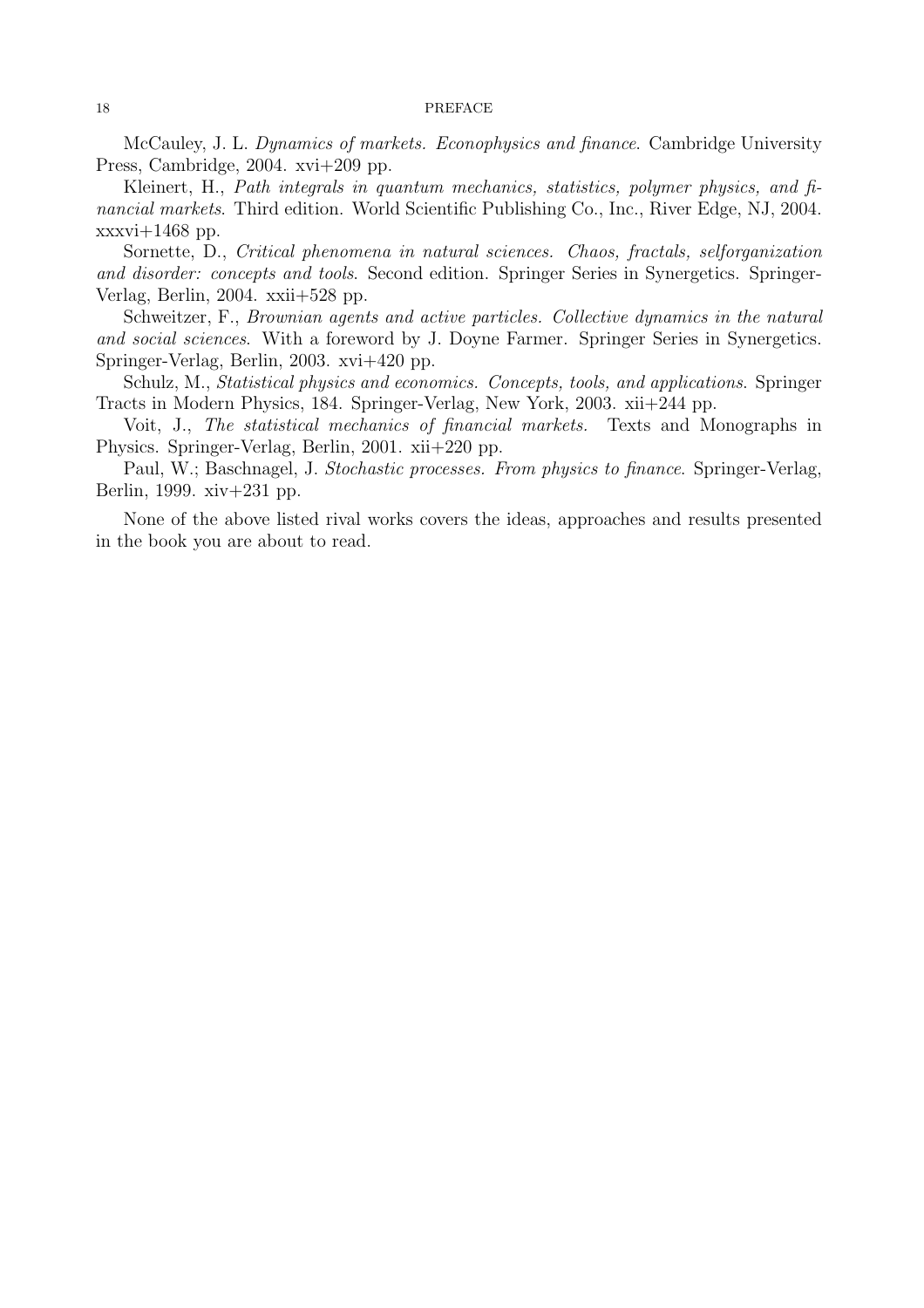#### 18 PREFACE

McCauley, J. L. Dynamics of markets. Econophysics and finance. Cambridge University Press, Cambridge, 2004. xvi+209 pp.

Kleinert, H., Path integrals in quantum mechanics, statistics, polymer physics, and financial markets. Third edition. World Scientific Publishing Co., Inc., River Edge, NJ, 2004.  $xxxvi+1468$  pp.

Sornette, D., Critical phenomena in natural sciences. Chaos, fractals, selforganization and disorder: concepts and tools. Second edition. Springer Series in Synergetics. Springer-Verlag, Berlin, 2004. xxii+528 pp.

Schweitzer, F., Brownian agents and active particles. Collective dynamics in the natural and social sciences. With a foreword by J. Doyne Farmer. Springer Series in Synergetics. Springer-Verlag, Berlin, 2003. xvi+420 pp.

Schulz, M., *Statistical physics and economics. Concepts, tools, and applications.* Springer Tracts in Modern Physics, 184. Springer-Verlag, New York, 2003. xii+244 pp.

Voit, J., The statistical mechanics of financial markets. Texts and Monographs in Physics. Springer-Verlag, Berlin, 2001. xii+220 pp.

Paul, W.; Baschnagel, J. Stochastic processes. From physics to finance. Springer-Verlag, Berlin, 1999. xiv+231 pp.

None of the above listed rival works covers the ideas, approaches and results presented in the book you are about to read.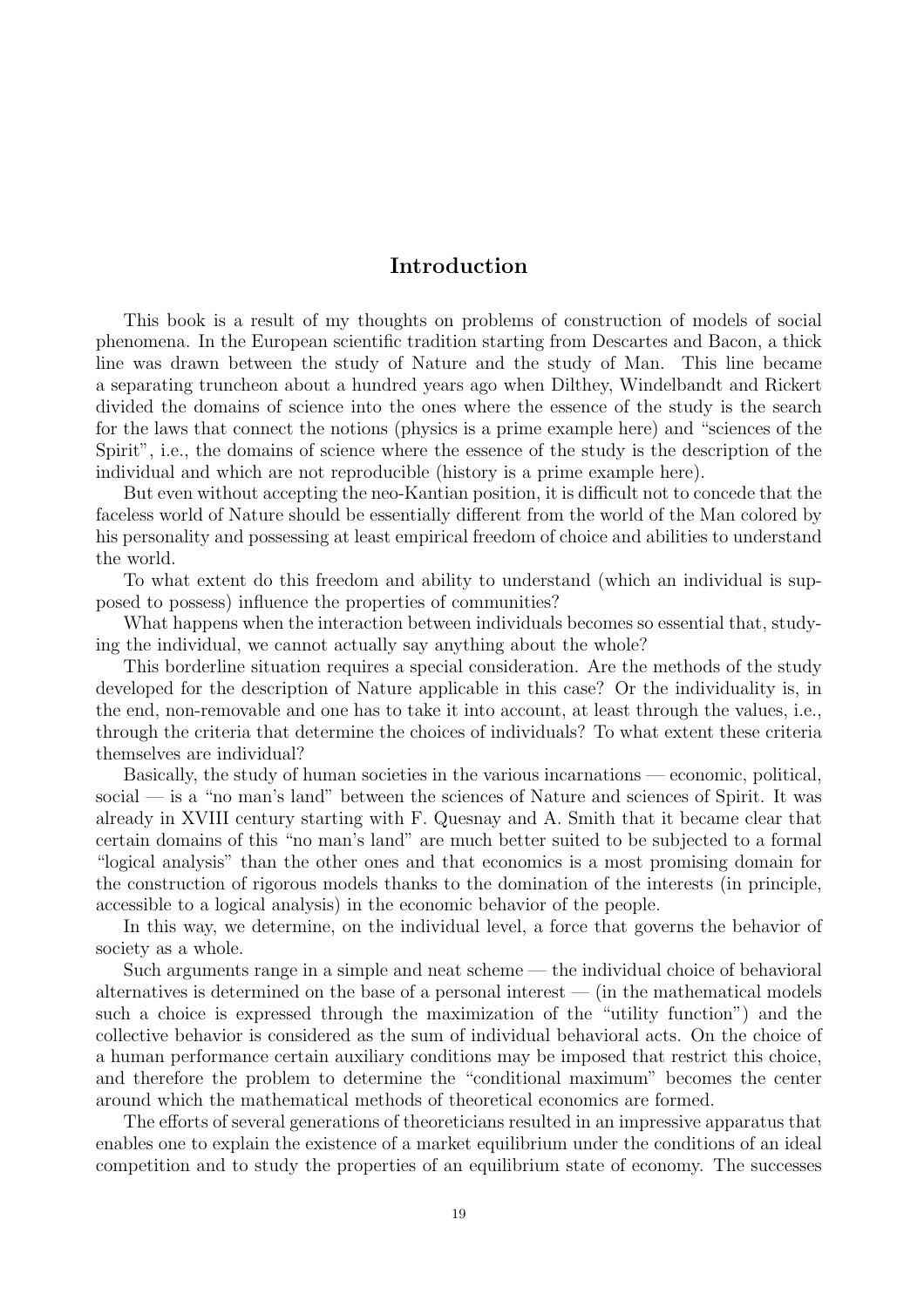## Introduction

This book is a result of my thoughts on problems of construction of models of social phenomena. In the European scientific tradition starting from Descartes and Bacon, a thick line was drawn between the study of Nature and the study of Man. This line became a separating truncheon about a hundred years ago when Dilthey, Windelbandt and Rickert divided the domains of science into the ones where the essence of the study is the search for the laws that connect the notions (physics is a prime example here) and "sciences of the Spirit", i.e., the domains of science where the essence of the study is the description of the individual and which are not reproducible (history is a prime example here).

But even without accepting the neo-Kantian position, it is difficult not to concede that the faceless world of Nature should be essentially different from the world of the Man colored by his personality and possessing at least empirical freedom of choice and abilities to understand the world.

To what extent do this freedom and ability to understand (which an individual is supposed to possess) influence the properties of communities?

What happens when the interaction between individuals becomes so essential that, studying the individual, we cannot actually say anything about the whole?

This borderline situation requires a special consideration. Are the methods of the study developed for the description of Nature applicable in this case? Or the individuality is, in the end, non-removable and one has to take it into account, at least through the values, i.e., through the criteria that determine the choices of individuals? To what extent these criteria themselves are individual?

Basically, the study of human societies in the various incarnations — economic, political, social — is a "no man's land" between the sciences of Nature and sciences of Spirit. It was already in XVIII century starting with F. Quesnay and A. Smith that it became clear that certain domains of this "no man's land" are much better suited to be subjected to a formal "logical analysis" than the other ones and that economics is a most promising domain for the construction of rigorous models thanks to the domination of the interests (in principle, accessible to a logical analysis) in the economic behavior of the people.

In this way, we determine, on the individual level, a force that governs the behavior of society as a whole.

Such arguments range in a simple and neat scheme — the individual choice of behavioral alternatives is determined on the base of a personal interest  $-$  (in the mathematical models such a choice is expressed through the maximization of the "utility function") and the collective behavior is considered as the sum of individual behavioral acts. On the choice of a human performance certain auxiliary conditions may be imposed that restrict this choice, and therefore the problem to determine the "conditional maximum" becomes the center around which the mathematical methods of theoretical economics are formed.

The efforts of several generations of theoreticians resulted in an impressive apparatus that enables one to explain the existence of a market equilibrium under the conditions of an ideal competition and to study the properties of an equilibrium state of economy. The successes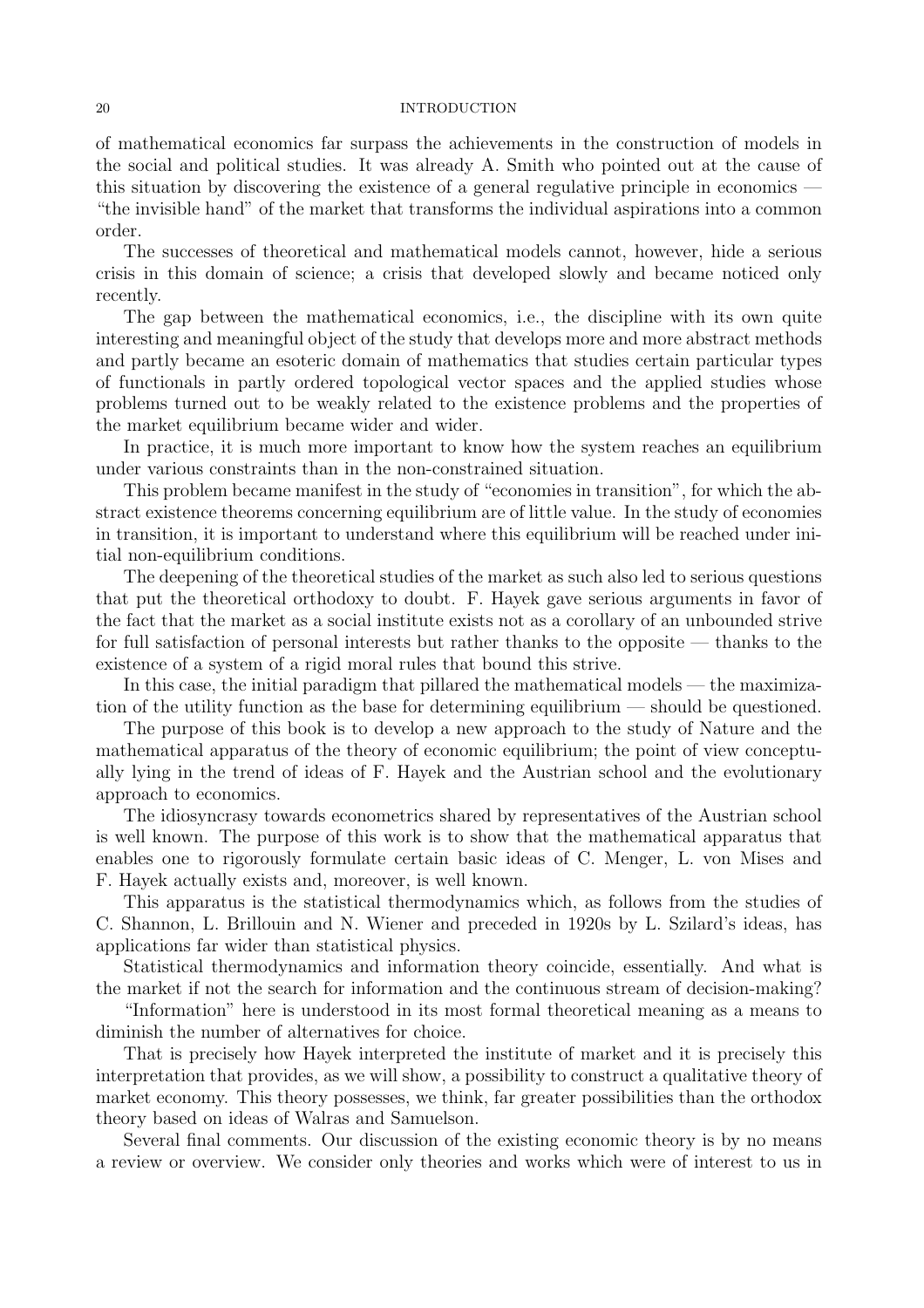#### 20 INTRODUCTION

of mathematical economics far surpass the achievements in the construction of models in the social and political studies. It was already A. Smith who pointed out at the cause of this situation by discovering the existence of a general regulative principle in economics — "the invisible hand" of the market that transforms the individual aspirations into a common order.

The successes of theoretical and mathematical models cannot, however, hide a serious crisis in this domain of science; a crisis that developed slowly and became noticed only recently.

The gap between the mathematical economics, i.e., the discipline with its own quite interesting and meaningful object of the study that develops more and more abstract methods and partly became an esoteric domain of mathematics that studies certain particular types of functionals in partly ordered topological vector spaces and the applied studies whose problems turned out to be weakly related to the existence problems and the properties of the market equilibrium became wider and wider.

In practice, it is much more important to know how the system reaches an equilibrium under various constraints than in the non-constrained situation.

This problem became manifest in the study of "economies in transition", for which the abstract existence theorems concerning equilibrium are of little value. In the study of economies in transition, it is important to understand where this equilibrium will be reached under initial non-equilibrium conditions.

The deepening of the theoretical studies of the market as such also led to serious questions that put the theoretical orthodoxy to doubt. F. Hayek gave serious arguments in favor of the fact that the market as a social institute exists not as a corollary of an unbounded strive for full satisfaction of personal interests but rather thanks to the opposite — thanks to the existence of a system of a rigid moral rules that bound this strive.

In this case, the initial paradigm that pillared the mathematical models — the maximization of the utility function as the base for determining equilibrium — should be questioned.

The purpose of this book is to develop a new approach to the study of Nature and the mathematical apparatus of the theory of economic equilibrium; the point of view conceptually lying in the trend of ideas of F. Hayek and the Austrian school and the evolutionary approach to economics.

The idiosyncrasy towards econometrics shared by representatives of the Austrian school is well known. The purpose of this work is to show that the mathematical apparatus that enables one to rigorously formulate certain basic ideas of C. Menger, L. von Mises and F. Hayek actually exists and, moreover, is well known.

This apparatus is the statistical thermodynamics which, as follows from the studies of C. Shannon, L. Brillouin and N. Wiener and preceded in 1920s by L. Szilard's ideas, has applications far wider than statistical physics.

Statistical thermodynamics and information theory coincide, essentially. And what is the market if not the search for information and the continuous stream of decision-making?

"Information" here is understood in its most formal theoretical meaning as a means to diminish the number of alternatives for choice.

That is precisely how Hayek interpreted the institute of market and it is precisely this interpretation that provides, as we will show, a possibility to construct a qualitative theory of market economy. This theory possesses, we think, far greater possibilities than the orthodox theory based on ideas of Walras and Samuelson.

Several final comments. Our discussion of the existing economic theory is by no means a review or overview. We consider only theories and works which were of interest to us in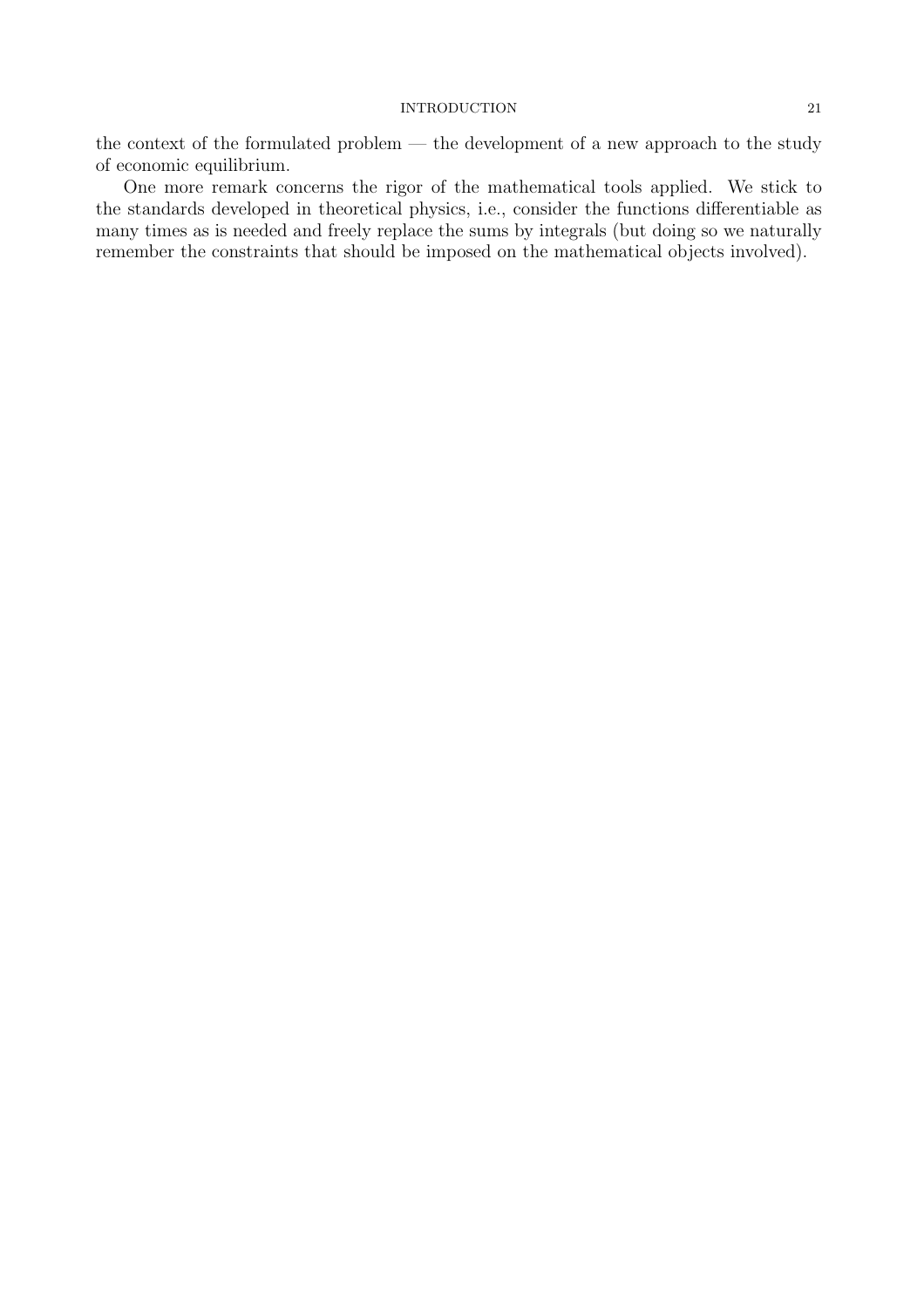#### INTRODUCTION 21

the context of the formulated problem — the development of a new approach to the study of economic equilibrium.

One more remark concerns the rigor of the mathematical tools applied. We stick to the standards developed in theoretical physics, i.e., consider the functions differentiable as many times as is needed and freely replace the sums by integrals (but doing so we naturally remember the constraints that should be imposed on the mathematical objects involved).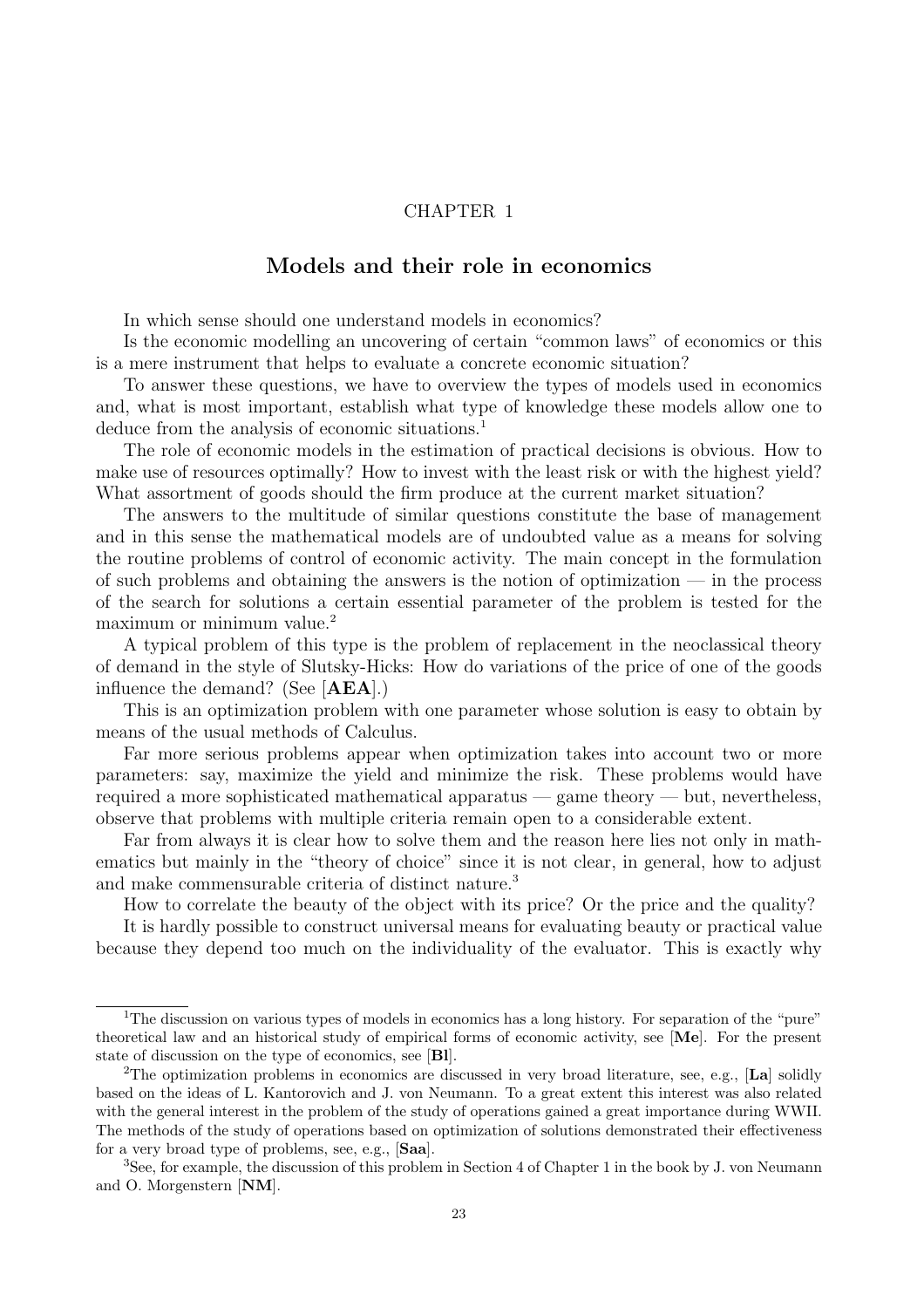### CHAPTER 1

## Models and their role in economics

In which sense should one understand models in economics?

Is the economic modelling an uncovering of certain "common laws" of economics or this is a mere instrument that helps to evaluate a concrete economic situation?

To answer these questions, we have to overview the types of models used in economics and, what is most important, establish what type of knowledge these models allow one to deduce from the analysis of economic situations.<sup>1</sup>

The role of economic models in the estimation of practical decisions is obvious. How to make use of resources optimally? How to invest with the least risk or with the highest yield? What assortment of goods should the firm produce at the current market situation?

The answers to the multitude of similar questions constitute the base of management and in this sense the mathematical models are of undoubted value as a means for solving the routine problems of control of economic activity. The main concept in the formulation of such problems and obtaining the answers is the notion of optimization  $-$  in the process of the search for solutions a certain essential parameter of the problem is tested for the maximum or minimum value.<sup>2</sup>

A typical problem of this type is the problem of replacement in the neoclassical theory of demand in the style of Slutsky-Hicks: How do variations of the price of one of the goods influence the demand? (See [AEA].)

This is an optimization problem with one parameter whose solution is easy to obtain by means of the usual methods of Calculus.

Far more serious problems appear when optimization takes into account two or more parameters: say, maximize the yield and minimize the risk. These problems would have required a more sophisticated mathematical apparatus — game theory — but, nevertheless, observe that problems with multiple criteria remain open to a considerable extent.

Far from always it is clear how to solve them and the reason here lies not only in mathematics but mainly in the "theory of choice" since it is not clear, in general, how to adjust and make commensurable criteria of distinct nature.<sup>3</sup>

How to correlate the beauty of the object with its price? Or the price and the quality?

It is hardly possible to construct universal means for evaluating beauty or practical value because they depend too much on the individuality of the evaluator. This is exactly why

<sup>&</sup>lt;sup>1</sup>The discussion on various types of models in economics has a long history. For separation of the "pure" theoretical law and an historical study of empirical forms of economic activity, see [Me]. For the present state of discussion on the type of economics, see [Bl].

<sup>&</sup>lt;sup>2</sup>The optimization problems in economics are discussed in very broad literature, see, e.g., [La] solidly based on the ideas of L. Kantorovich and J. von Neumann. To a great extent this interest was also related with the general interest in the problem of the study of operations gained a great importance during WWII. The methods of the study of operations based on optimization of solutions demonstrated their effectiveness for a very broad type of problems, see, e.g., [Saa].

<sup>3</sup>See, for example, the discussion of this problem in Section 4 of Chapter 1 in the book by J. von Neumann and O. Morgenstern [NM].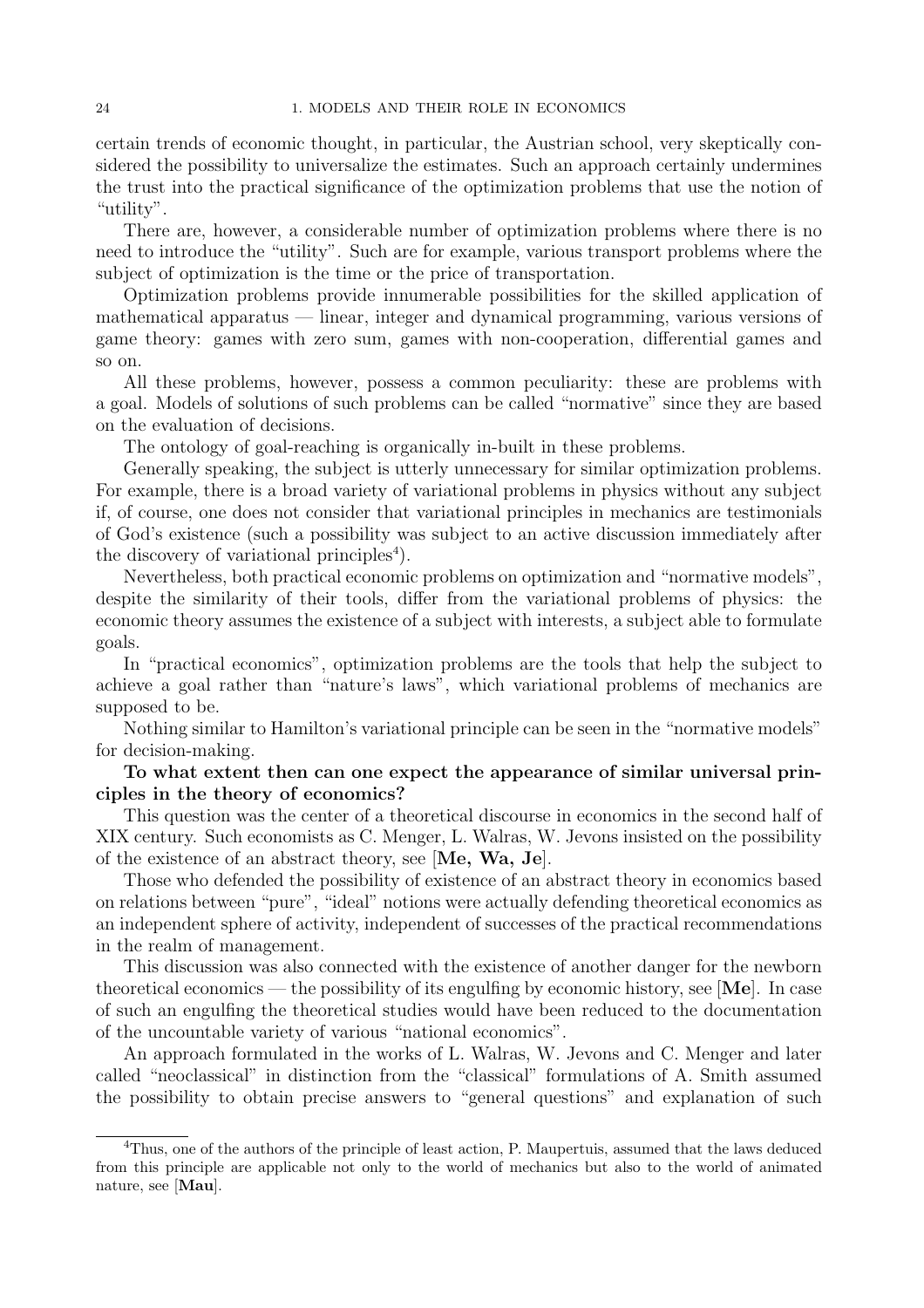certain trends of economic thought, in particular, the Austrian school, very skeptically considered the possibility to universalize the estimates. Such an approach certainly undermines the trust into the practical significance of the optimization problems that use the notion of "utility".

There are, however, a considerable number of optimization problems where there is no need to introduce the "utility". Such are for example, various transport problems where the subject of optimization is the time or the price of transportation.

Optimization problems provide innumerable possibilities for the skilled application of mathematical apparatus — linear, integer and dynamical programming, various versions of game theory: games with zero sum, games with non-cooperation, differential games and so on.

All these problems, however, possess a common peculiarity: these are problems with a goal. Models of solutions of such problems can be called "normative" since they are based on the evaluation of decisions.

The ontology of goal-reaching is organically in-built in these problems.

Generally speaking, the subject is utterly unnecessary for similar optimization problems. For example, there is a broad variety of variational problems in physics without any subject if, of course, one does not consider that variational principles in mechanics are testimonials of God's existence (such a possibility was subject to an active discussion immediately after the discovery of variational principles<sup>4</sup>).

Nevertheless, both practical economic problems on optimization and "normative models", despite the similarity of their tools, differ from the variational problems of physics: the economic theory assumes the existence of a subject with interests, a subject able to formulate goals.

In "practical economics", optimization problems are the tools that help the subject to achieve a goal rather than "nature's laws", which variational problems of mechanics are supposed to be.

Nothing similar to Hamilton's variational principle can be seen in the "normative models" for decision-making.

### To what extent then can one expect the appearance of similar universal principles in the theory of economics?

This question was the center of a theoretical discourse in economics in the second half of XIX century. Such economists as C. Menger, L. Walras, W. Jevons insisted on the possibility of the existence of an abstract theory, see [Me, Wa, Je].

Those who defended the possibility of existence of an abstract theory in economics based on relations between "pure", "ideal" notions were actually defending theoretical economics as an independent sphere of activity, independent of successes of the practical recommendations in the realm of management.

This discussion was also connected with the existence of another danger for the newborn theoretical economics — the possibility of its engulfing by economic history, see  $|\mathbf{Me}|$ . In case of such an engulfing the theoretical studies would have been reduced to the documentation of the uncountable variety of various "national economics".

An approach formulated in the works of L. Walras, W. Jevons and C. Menger and later called "neoclassical" in distinction from the "classical" formulations of A. Smith assumed the possibility to obtain precise answers to "general questions" and explanation of such

<sup>&</sup>lt;sup>4</sup>Thus, one of the authors of the principle of least action, P. Maupertuis, assumed that the laws deduced from this principle are applicable not only to the world of mechanics but also to the world of animated nature, see [Mau].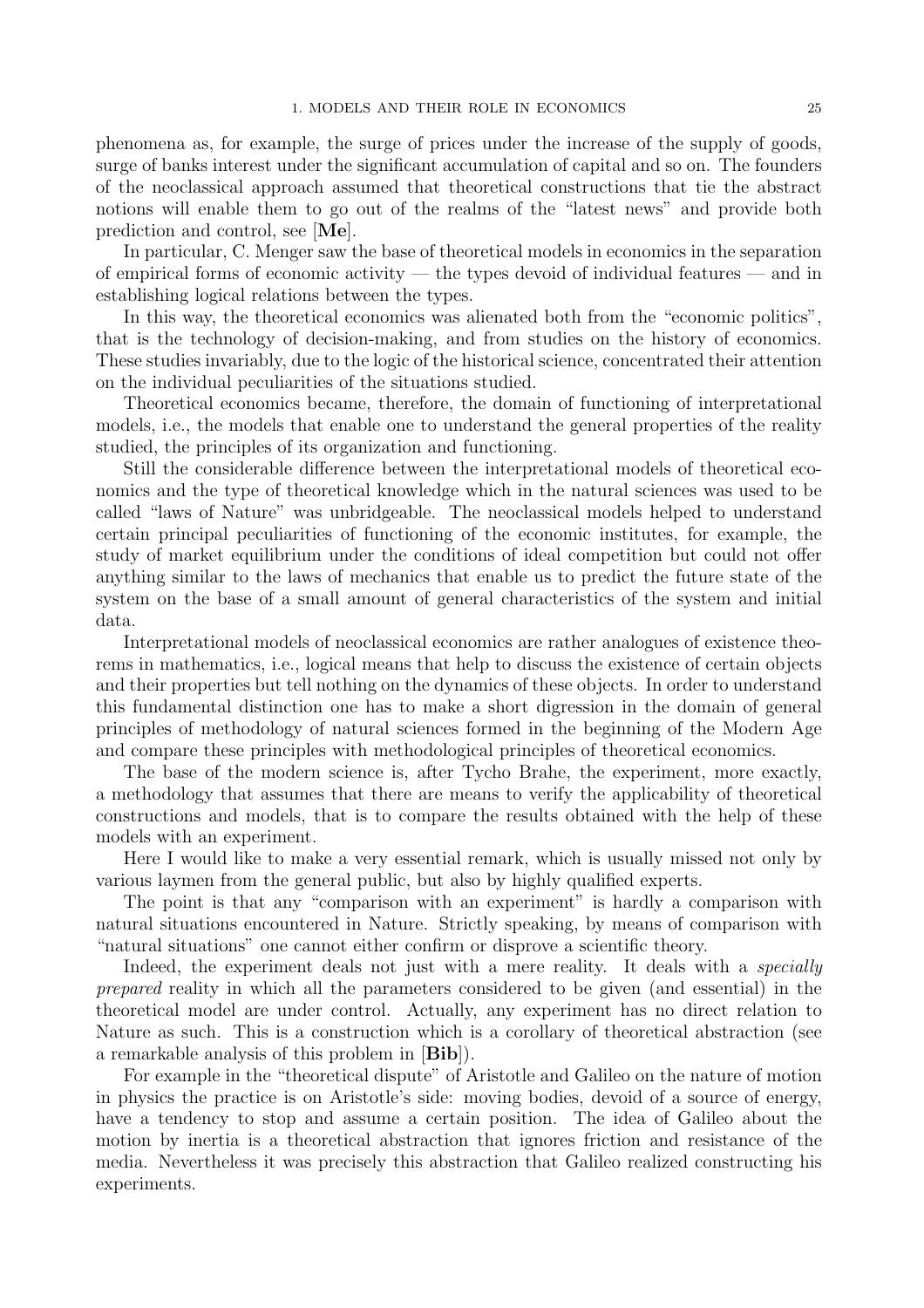phenomena as, for example, the surge of prices under the increase of the supply of goods, surge of banks interest under the significant accumulation of capital and so on. The founders of the neoclassical approach assumed that theoretical constructions that tie the abstract notions will enable them to go out of the realms of the "latest news" and provide both prediction and control, see [Me].

In particular, C. Menger saw the base of theoretical models in economics in the separation of empirical forms of economic activity — the types devoid of individual features — and in establishing logical relations between the types.

In this way, the theoretical economics was alienated both from the "economic politics", that is the technology of decision-making, and from studies on the history of economics. These studies invariably, due to the logic of the historical science, concentrated their attention on the individual peculiarities of the situations studied.

Theoretical economics became, therefore, the domain of functioning of interpretational models, i.e., the models that enable one to understand the general properties of the reality studied, the principles of its organization and functioning.

Still the considerable difference between the interpretational models of theoretical economics and the type of theoretical knowledge which in the natural sciences was used to be called "laws of Nature" was unbridgeable. The neoclassical models helped to understand certain principal peculiarities of functioning of the economic institutes, for example, the study of market equilibrium under the conditions of ideal competition but could not offer anything similar to the laws of mechanics that enable us to predict the future state of the system on the base of a small amount of general characteristics of the system and initial data.

Interpretational models of neoclassical economics are rather analogues of existence theorems in mathematics, i.e., logical means that help to discuss the existence of certain objects and their properties but tell nothing on the dynamics of these objects. In order to understand this fundamental distinction one has to make a short digression in the domain of general principles of methodology of natural sciences formed in the beginning of the Modern Age and compare these principles with methodological principles of theoretical economics.

The base of the modern science is, after Tycho Brahe, the experiment, more exactly, a methodology that assumes that there are means to verify the applicability of theoretical constructions and models, that is to compare the results obtained with the help of these models with an experiment.

Here I would like to make a very essential remark, which is usually missed not only by various laymen from the general public, but also by highly qualified experts.

The point is that any "comparison with an experiment" is hardly a comparison with natural situations encountered in Nature. Strictly speaking, by means of comparison with "natural situations" one cannot either confirm or disprove a scientific theory.

Indeed, the experiment deals not just with a mere reality. It deals with a *specially* prepared reality in which all the parameters considered to be given (and essential) in the theoretical model are under control. Actually, any experiment has no direct relation to Nature as such. This is a construction which is a corollary of theoretical abstraction (see a remarkable analysis of this problem in [Bib]).

For example in the "theoretical dispute" of Aristotle and Galileo on the nature of motion in physics the practice is on Aristotle's side: moving bodies, devoid of a source of energy, have a tendency to stop and assume a certain position. The idea of Galileo about the motion by inertia is a theoretical abstraction that ignores friction and resistance of the media. Nevertheless it was precisely this abstraction that Galileo realized constructing his experiments.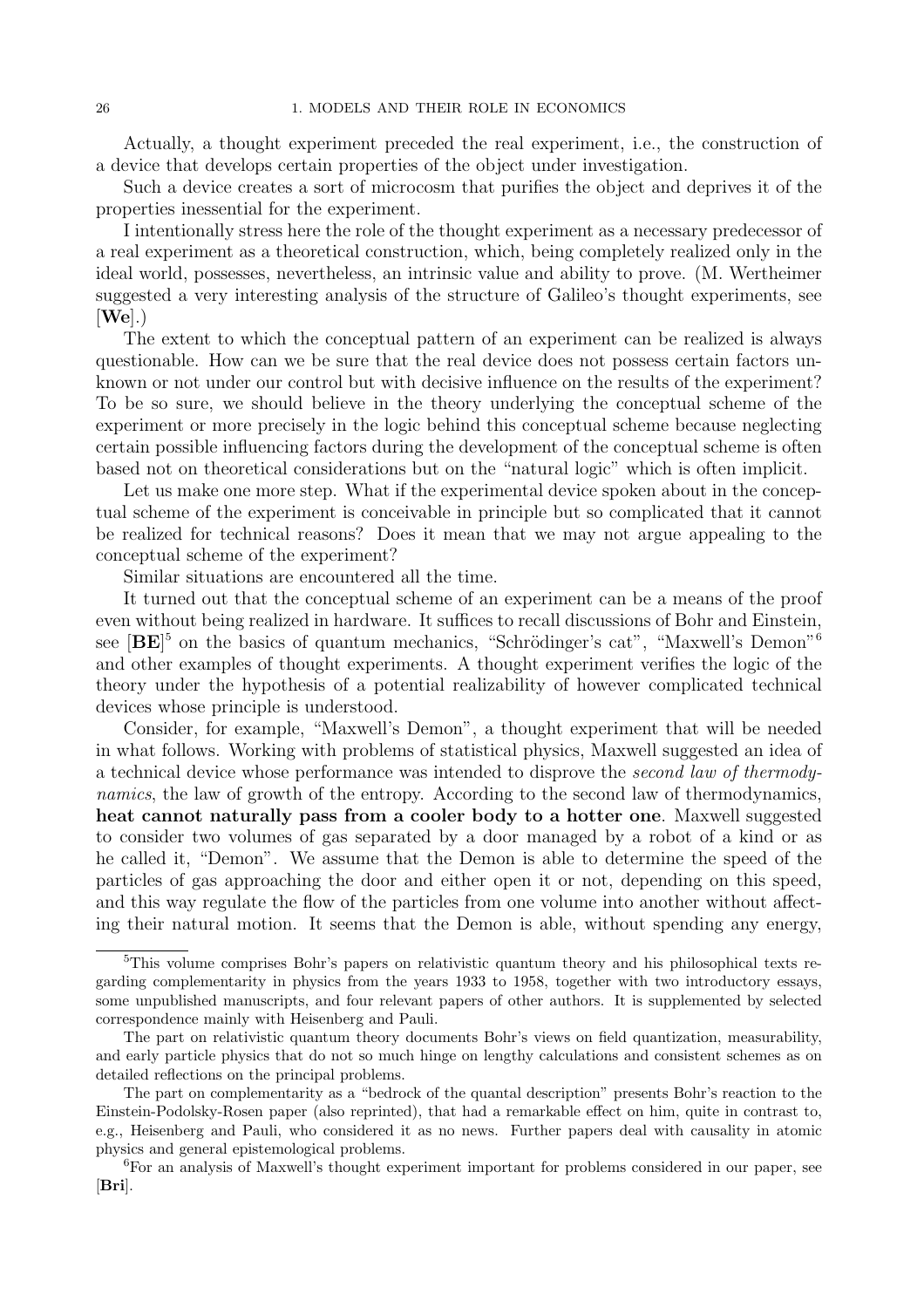Actually, a thought experiment preceded the real experiment, i.e., the construction of a device that develops certain properties of the object under investigation.

Such a device creates a sort of microcosm that purifies the object and deprives it of the properties inessential for the experiment.

I intentionally stress here the role of the thought experiment as a necessary predecessor of a real experiment as a theoretical construction, which, being completely realized only in the ideal world, possesses, nevertheless, an intrinsic value and ability to prove. (M. Wertheimer suggested a very interesting analysis of the structure of Galileo's thought experiments, see  $[\mathbf{W}\mathbf{e}]$ .)

The extent to which the conceptual pattern of an experiment can be realized is always questionable. How can we be sure that the real device does not possess certain factors unknown or not under our control but with decisive influence on the results of the experiment? To be so sure, we should believe in the theory underlying the conceptual scheme of the experiment or more precisely in the logic behind this conceptual scheme because neglecting certain possible influencing factors during the development of the conceptual scheme is often based not on theoretical considerations but on the "natural logic" which is often implicit.

Let us make one more step. What if the experimental device spoken about in the conceptual scheme of the experiment is conceivable in principle but so complicated that it cannot be realized for technical reasons? Does it mean that we may not argue appealing to the conceptual scheme of the experiment?

Similar situations are encountered all the time.

It turned out that the conceptual scheme of an experiment can be a means of the proof even without being realized in hardware. It suffices to recall discussions of Bohr and Einstein, see  $[BE]^5$  on the basics of quantum mechanics, "Schrödinger's cat", "Maxwell's Demon"<sup>6</sup> and other examples of thought experiments. A thought experiment verifies the logic of the theory under the hypothesis of a potential realizability of however complicated technical devices whose principle is understood.

Consider, for example, "Maxwell's Demon", a thought experiment that will be needed in what follows. Working with problems of statistical physics, Maxwell suggested an idea of a technical device whose performance was intended to disprove the second law of thermodynamics, the law of growth of the entropy. According to the second law of thermodynamics, heat cannot naturally pass from a cooler body to a hotter one. Maxwell suggested to consider two volumes of gas separated by a door managed by a robot of a kind or as he called it, "Demon". We assume that the Demon is able to determine the speed of the particles of gas approaching the door and either open it or not, depending on this speed, and this way regulate the flow of the particles from one volume into another without affecting their natural motion. It seems that the Demon is able, without spending any energy,

<sup>&</sup>lt;sup>5</sup>This volume comprises Bohr's papers on relativistic quantum theory and his philosophical texts regarding complementarity in physics from the years 1933 to 1958, together with two introductory essays, some unpublished manuscripts, and four relevant papers of other authors. It is supplemented by selected correspondence mainly with Heisenberg and Pauli.

The part on relativistic quantum theory documents Bohr's views on field quantization, measurability, and early particle physics that do not so much hinge on lengthy calculations and consistent schemes as on detailed reflections on the principal problems.

The part on complementarity as a "bedrock of the quantal description" presents Bohr's reaction to the Einstein-Podolsky-Rosen paper (also reprinted), that had a remarkable effect on him, quite in contrast to, e.g., Heisenberg and Pauli, who considered it as no news. Further papers deal with causality in atomic physics and general epistemological problems.

<sup>6</sup>For an analysis of Maxwell's thought experiment important for problems considered in our paper, see [Bri].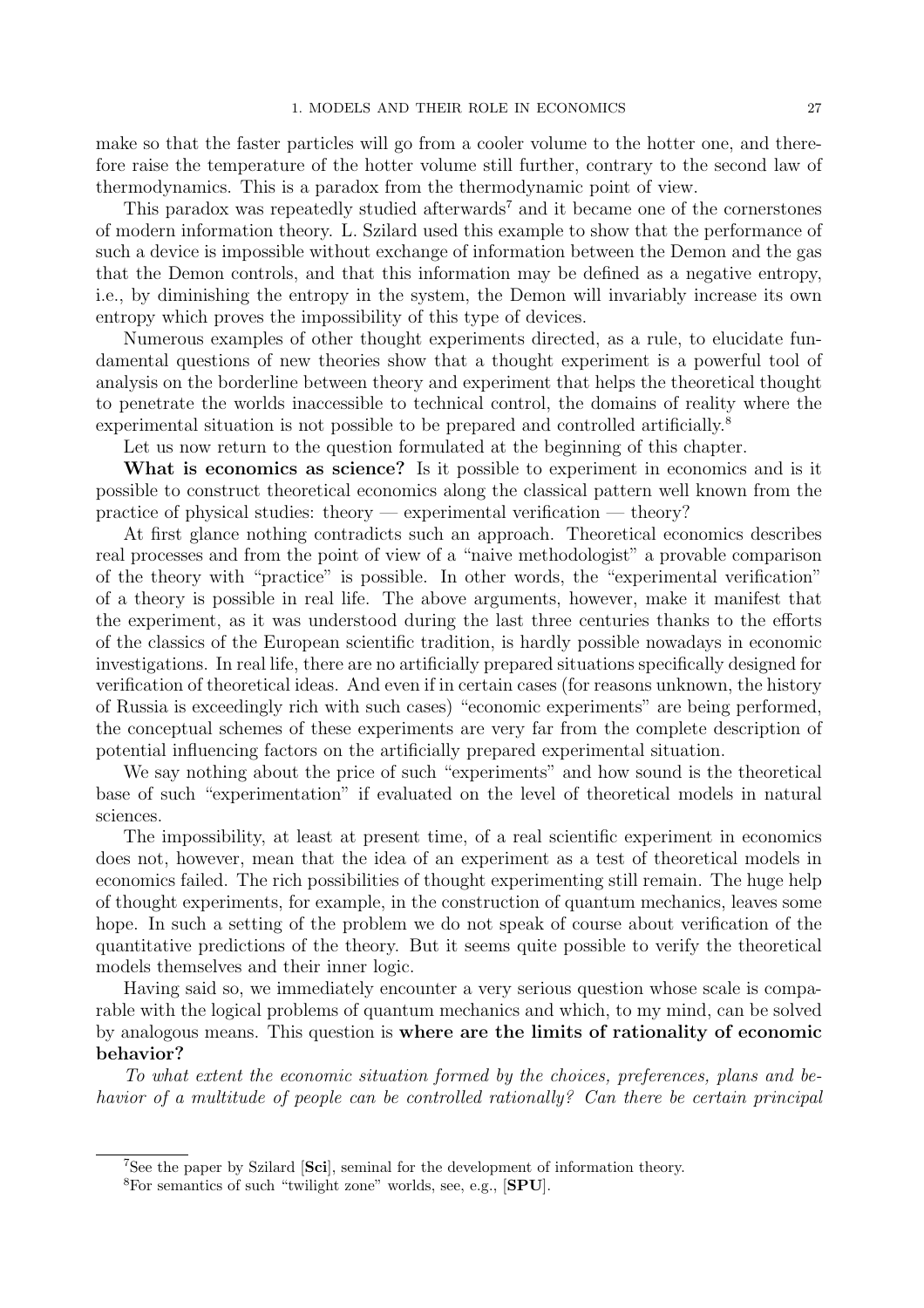make so that the faster particles will go from a cooler volume to the hotter one, and therefore raise the temperature of the hotter volume still further, contrary to the second law of thermodynamics. This is a paradox from the thermodynamic point of view.

This paradox was repeatedly studied afterwards<sup>7</sup> and it became one of the cornerstones of modern information theory. L. Szilard used this example to show that the performance of such a device is impossible without exchange of information between the Demon and the gas that the Demon controls, and that this information may be defined as a negative entropy, i.e., by diminishing the entropy in the system, the Demon will invariably increase its own entropy which proves the impossibility of this type of devices.

Numerous examples of other thought experiments directed, as a rule, to elucidate fundamental questions of new theories show that a thought experiment is a powerful tool of analysis on the borderline between theory and experiment that helps the theoretical thought to penetrate the worlds inaccessible to technical control, the domains of reality where the experimental situation is not possible to be prepared and controlled artificially.<sup>8</sup>

Let us now return to the question formulated at the beginning of this chapter.

What is economics as science? Is it possible to experiment in economics and is it possible to construct theoretical economics along the classical pattern well known from the practice of physical studies: theory — experimental verification — theory?

At first glance nothing contradicts such an approach. Theoretical economics describes real processes and from the point of view of a "naive methodologist" a provable comparison of the theory with "practice" is possible. In other words, the "experimental verification" of a theory is possible in real life. The above arguments, however, make it manifest that the experiment, as it was understood during the last three centuries thanks to the efforts of the classics of the European scientific tradition, is hardly possible nowadays in economic investigations. In real life, there are no artificially prepared situations specifically designed for verification of theoretical ideas. And even if in certain cases (for reasons unknown, the history of Russia is exceedingly rich with such cases) "economic experiments" are being performed, the conceptual schemes of these experiments are very far from the complete description of potential influencing factors on the artificially prepared experimental situation.

We say nothing about the price of such "experiments" and how sound is the theoretical base of such "experimentation" if evaluated on the level of theoretical models in natural sciences.

The impossibility, at least at present time, of a real scientific experiment in economics does not, however, mean that the idea of an experiment as a test of theoretical models in economics failed. The rich possibilities of thought experimenting still remain. The huge help of thought experiments, for example, in the construction of quantum mechanics, leaves some hope. In such a setting of the problem we do not speak of course about verification of the quantitative predictions of the theory. But it seems quite possible to verify the theoretical models themselves and their inner logic.

Having said so, we immediately encounter a very serious question whose scale is comparable with the logical problems of quantum mechanics and which, to my mind, can be solved by analogous means. This question is where are the limits of rationality of economic behavior?

To what extent the economic situation formed by the choices, preferences, plans and behavior of a multitude of people can be controlled rationally? Can there be certain principal

<sup>7</sup>See the paper by Szilard [Sci], seminal for the development of information theory.

<sup>8</sup>For semantics of such "twilight zone" worlds, see, e.g., [SPU].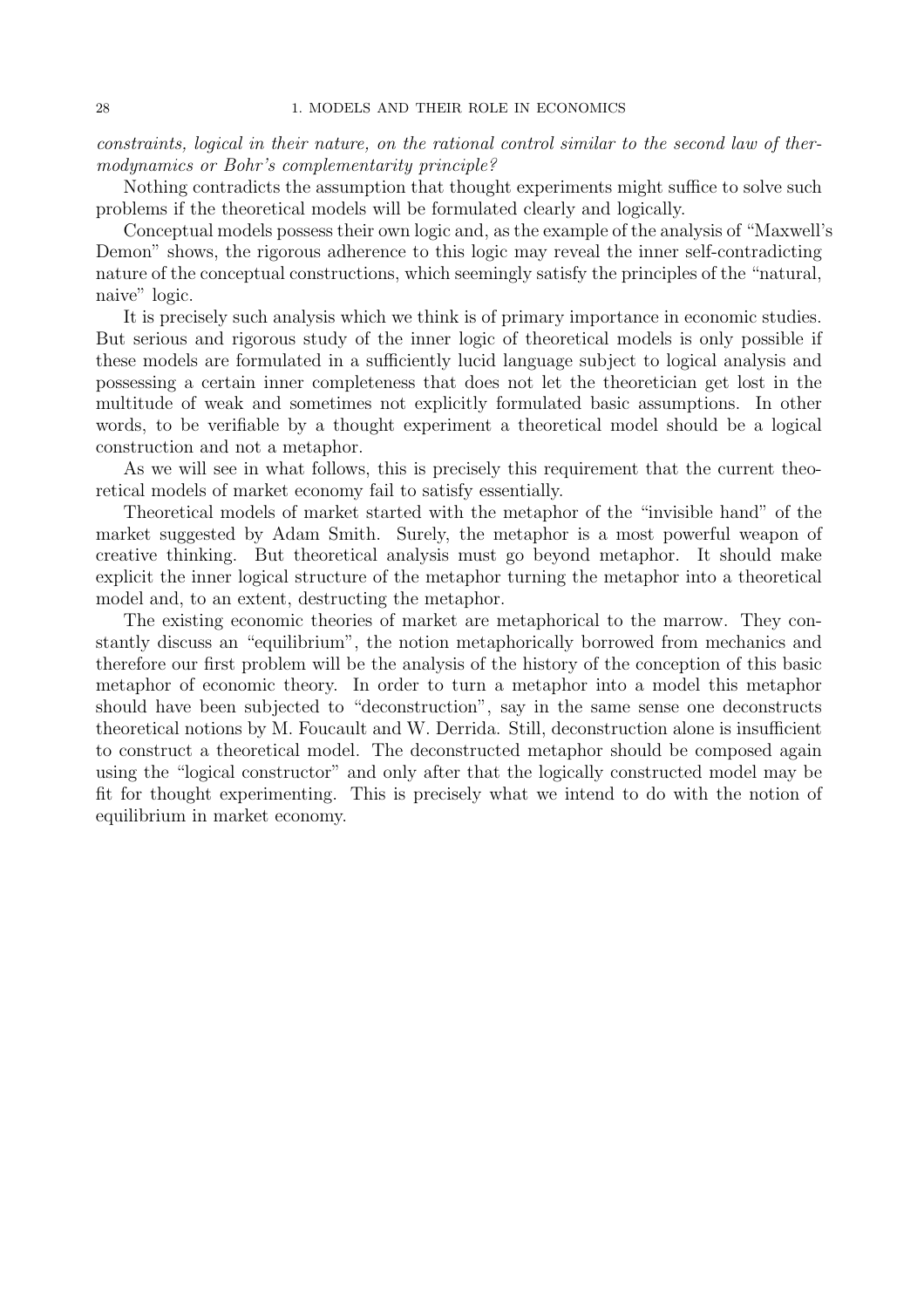constraints, logical in their nature, on the rational control similar to the second law of thermodynamics or Bohr's complementarity principle?

Nothing contradicts the assumption that thought experiments might suffice to solve such problems if the theoretical models will be formulated clearly and logically.

Conceptual models possess their own logic and, as the example of the analysis of "Maxwell's Demon" shows, the rigorous adherence to this logic may reveal the inner self-contradicting nature of the conceptual constructions, which seemingly satisfy the principles of the "natural, naive" logic.

It is precisely such analysis which we think is of primary importance in economic studies. But serious and rigorous study of the inner logic of theoretical models is only possible if these models are formulated in a sufficiently lucid language subject to logical analysis and possessing a certain inner completeness that does not let the theoretician get lost in the multitude of weak and sometimes not explicitly formulated basic assumptions. In other words, to be verifiable by a thought experiment a theoretical model should be a logical construction and not a metaphor.

As we will see in what follows, this is precisely this requirement that the current theoretical models of market economy fail to satisfy essentially.

Theoretical models of market started with the metaphor of the "invisible hand" of the market suggested by Adam Smith. Surely, the metaphor is a most powerful weapon of creative thinking. But theoretical analysis must go beyond metaphor. It should make explicit the inner logical structure of the metaphor turning the metaphor into a theoretical model and, to an extent, destructing the metaphor.

The existing economic theories of market are metaphorical to the marrow. They constantly discuss an "equilibrium", the notion metaphorically borrowed from mechanics and therefore our first problem will be the analysis of the history of the conception of this basic metaphor of economic theory. In order to turn a metaphor into a model this metaphor should have been subjected to "deconstruction", say in the same sense one deconstructs theoretical notions by M. Foucault and W. Derrida. Still, deconstruction alone is insufficient to construct a theoretical model. The deconstructed metaphor should be composed again using the "logical constructor" and only after that the logically constructed model may be fit for thought experimenting. This is precisely what we intend to do with the notion of equilibrium in market economy.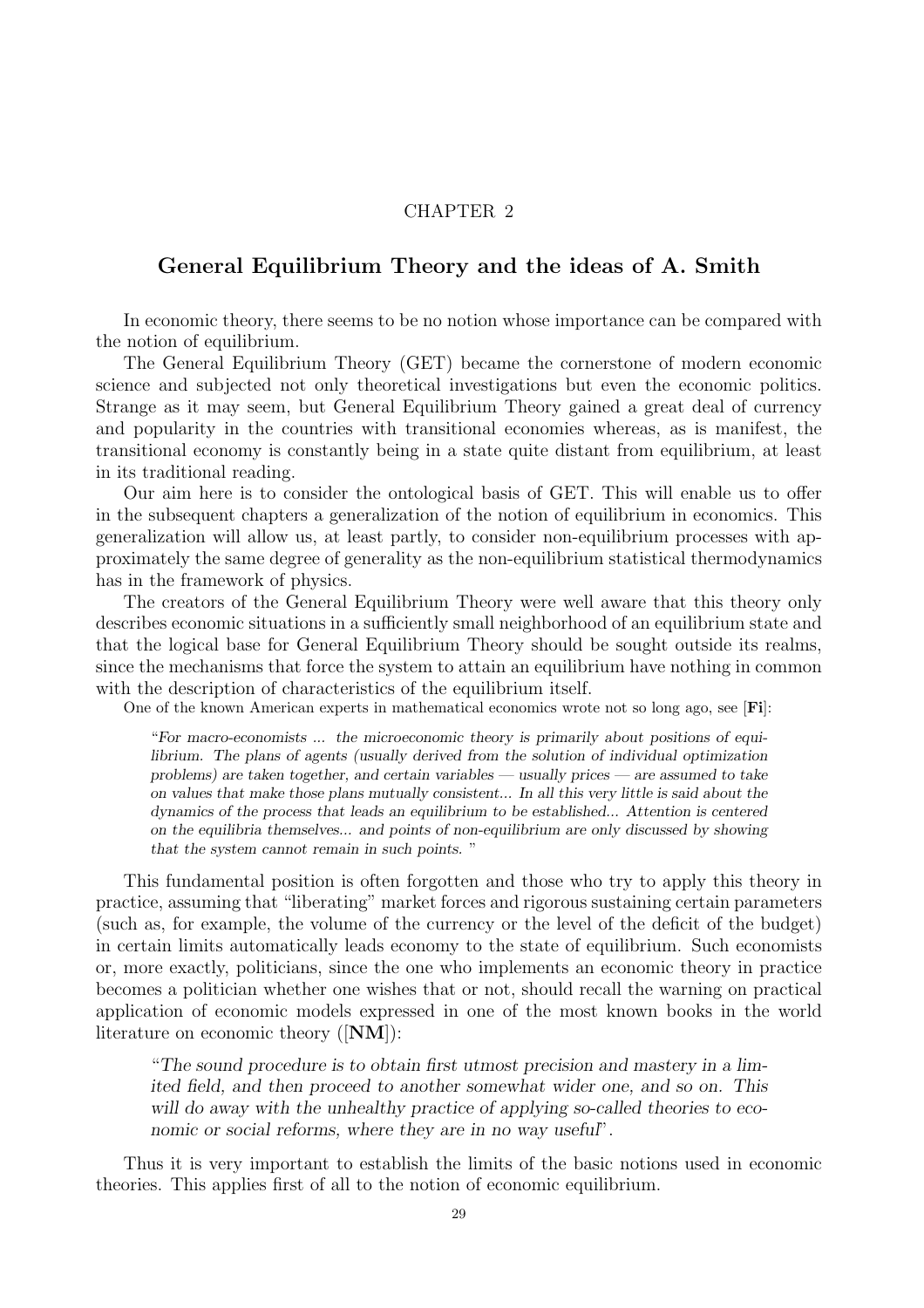### CHAPTER 2

## General Equilibrium Theory and the ideas of A. Smith

In economic theory, there seems to be no notion whose importance can be compared with the notion of equilibrium.

The General Equilibrium Theory (GET) became the cornerstone of modern economic science and subjected not only theoretical investigations but even the economic politics. Strange as it may seem, but General Equilibrium Theory gained a great deal of currency and popularity in the countries with transitional economies whereas, as is manifest, the transitional economy is constantly being in a state quite distant from equilibrium, at least in its traditional reading.

Our aim here is to consider the ontological basis of GET. This will enable us to offer in the subsequent chapters a generalization of the notion of equilibrium in economics. This generalization will allow us, at least partly, to consider non-equilibrium processes with approximately the same degree of generality as the non-equilibrium statistical thermodynamics has in the framework of physics.

The creators of the General Equilibrium Theory were well aware that this theory only describes economic situations in a sufficiently small neighborhood of an equilibrium state and that the logical base for General Equilibrium Theory should be sought outside its realms, since the mechanisms that force the system to attain an equilibrium have nothing in common with the description of characteristics of the equilibrium itself.

One of the known American experts in mathematical economics wrote not so long ago, see [Fi]:

"For macro-economists ... the microeconomic theory is primarily about positions of equilibrium. The plans of agents (usually derived from the solution of individual optimization problems) are taken together, and certain variables — usually prices — are assumed to take on values that make those plans mutually consistent... In all this very little is said about the dynamics of the process that leads an equilibrium to be established... Attention is centered on the equilibria themselves... and points of non-equilibrium are only discussed by showing that the system cannot remain in such points. "

This fundamental position is often forgotten and those who try to apply this theory in practice, assuming that "liberating" market forces and rigorous sustaining certain parameters (such as, for example, the volume of the currency or the level of the deficit of the budget) in certain limits automatically leads economy to the state of equilibrium. Such economists or, more exactly, politicians, since the one who implements an economic theory in practice becomes a politician whether one wishes that or not, should recall the warning on practical application of economic models expressed in one of the most known books in the world literature on economic theory ([NM]):

"The sound procedure is to obtain first utmost precision and mastery in a limited field, and then proceed to another somewhat wider one, and so on. This will do away with the unhealthy practice of applying so-called theories to economic or social reforms, where they are in no way useful".

Thus it is very important to establish the limits of the basic notions used in economic theories. This applies first of all to the notion of economic equilibrium.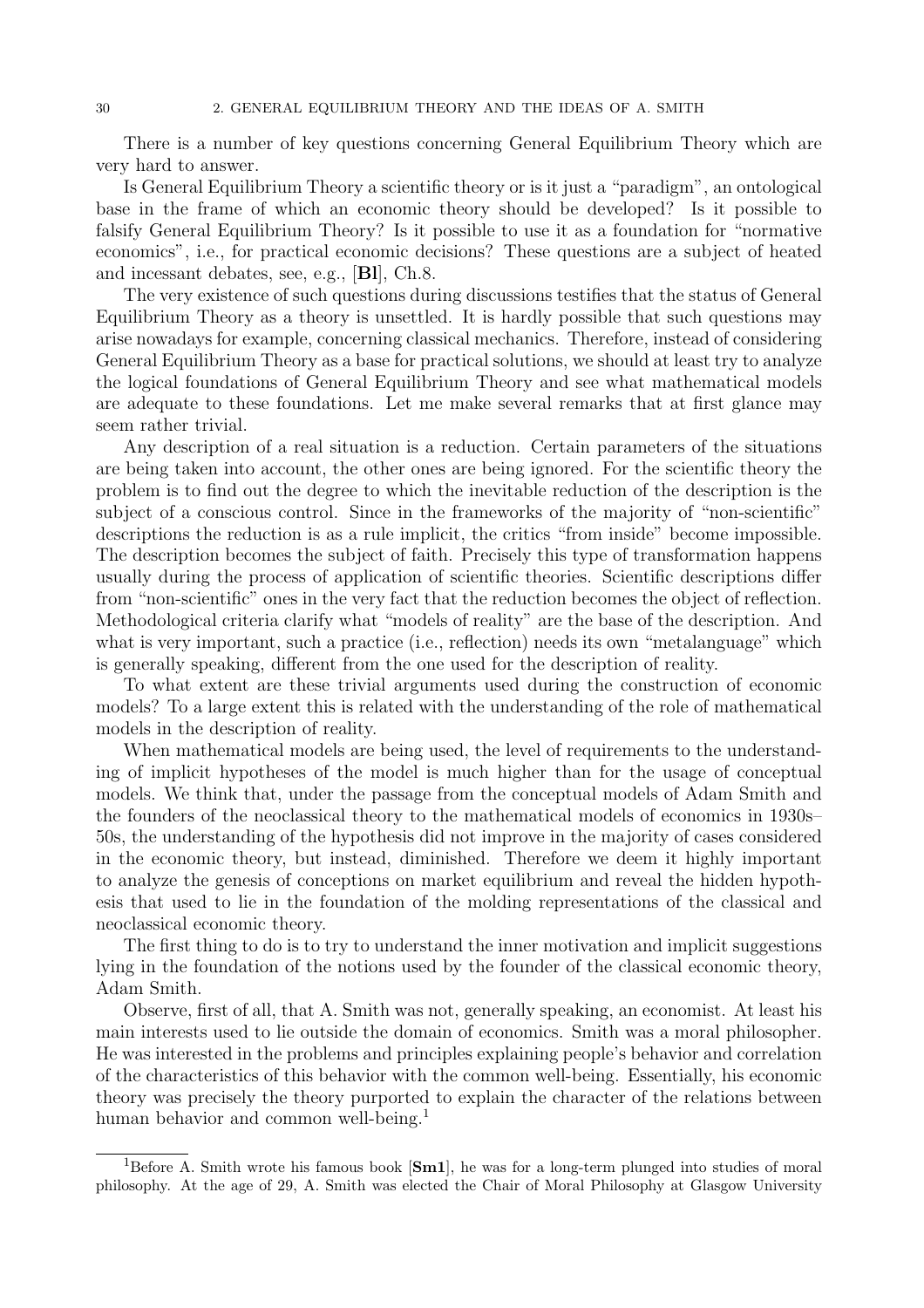There is a number of key questions concerning General Equilibrium Theory which are very hard to answer.

Is General Equilibrium Theory a scientific theory or is it just a "paradigm", an ontological base in the frame of which an economic theory should be developed? Is it possible to falsify General Equilibrium Theory? Is it possible to use it as a foundation for "normative economics", i.e., for practical economic decisions? These questions are a subject of heated and incessant debates, see, e.g., [Bl], Ch.8.

The very existence of such questions during discussions testifies that the status of General Equilibrium Theory as a theory is unsettled. It is hardly possible that such questions may arise nowadays for example, concerning classical mechanics. Therefore, instead of considering General Equilibrium Theory as a base for practical solutions, we should at least try to analyze the logical foundations of General Equilibrium Theory and see what mathematical models are adequate to these foundations. Let me make several remarks that at first glance may seem rather trivial.

Any description of a real situation is a reduction. Certain parameters of the situations are being taken into account, the other ones are being ignored. For the scientific theory the problem is to find out the degree to which the inevitable reduction of the description is the subject of a conscious control. Since in the frameworks of the majority of "non-scientific" descriptions the reduction is as a rule implicit, the critics "from inside" become impossible. The description becomes the subject of faith. Precisely this type of transformation happens usually during the process of application of scientific theories. Scientific descriptions differ from "non-scientific" ones in the very fact that the reduction becomes the object of reflection. Methodological criteria clarify what "models of reality" are the base of the description. And what is very important, such a practice (i.e., reflection) needs its own "metalanguage" which is generally speaking, different from the one used for the description of reality.

To what extent are these trivial arguments used during the construction of economic models? To a large extent this is related with the understanding of the role of mathematical models in the description of reality.

When mathematical models are being used, the level of requirements to the understanding of implicit hypotheses of the model is much higher than for the usage of conceptual models. We think that, under the passage from the conceptual models of Adam Smith and the founders of the neoclassical theory to the mathematical models of economics in 1930s– 50s, the understanding of the hypothesis did not improve in the majority of cases considered in the economic theory, but instead, diminished. Therefore we deem it highly important to analyze the genesis of conceptions on market equilibrium and reveal the hidden hypothesis that used to lie in the foundation of the molding representations of the classical and neoclassical economic theory.

The first thing to do is to try to understand the inner motivation and implicit suggestions lying in the foundation of the notions used by the founder of the classical economic theory, Adam Smith.

Observe, first of all, that A. Smith was not, generally speaking, an economist. At least his main interests used to lie outside the domain of economics. Smith was a moral philosopher. He was interested in the problems and principles explaining people's behavior and correlation of the characteristics of this behavior with the common well-being. Essentially, his economic theory was precisely the theory purported to explain the character of the relations between human behavior and common well-being.<sup>1</sup>

<sup>&</sup>lt;sup>1</sup>Before A. Smith wrote his famous book  $[\text{Sm1}]$ , he was for a long-term plunged into studies of moral philosophy. At the age of 29, A. Smith was elected the Chair of Moral Philosophy at Glasgow University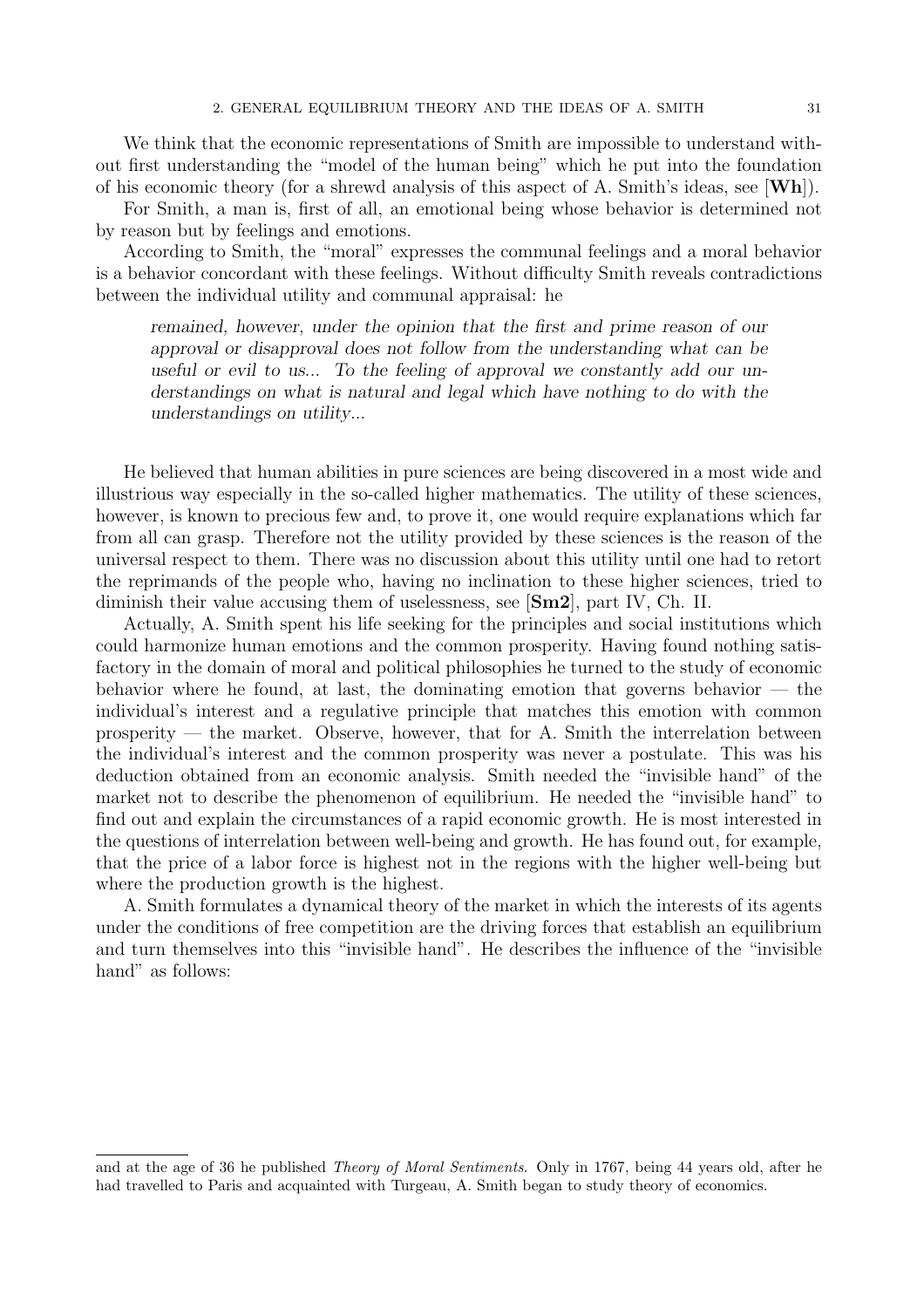We think that the economic representations of Smith are impossible to understand without first understanding the "model of the human being" which he put into the foundation of his economic theory (for a shrewd analysis of this aspect of A. Smith's ideas, see [Wh]).

For Smith, a man is, first of all, an emotional being whose behavior is determined not by reason but by feelings and emotions.

According to Smith, the "moral" expresses the communal feelings and a moral behavior is a behavior concordant with these feelings. Without difficulty Smith reveals contradictions between the individual utility and communal appraisal: he

remained, however, under the opinion that the first and prime reason of our approval or disapproval does not follow from the understanding what can be useful or evil to us... To the feeling of approval we constantly add our understandings on what is natural and legal which have nothing to do with the understandings on utility...

He believed that human abilities in pure sciences are being discovered in a most wide and illustrious way especially in the so-called higher mathematics. The utility of these sciences, however, is known to precious few and, to prove it, one would require explanations which far from all can grasp. Therefore not the utility provided by these sciences is the reason of the universal respect to them. There was no discussion about this utility until one had to retort the reprimands of the people who, having no inclination to these higher sciences, tried to diminish their value accusing them of uselessness, see [Sm2], part IV, Ch. II.

Actually, A. Smith spent his life seeking for the principles and social institutions which could harmonize human emotions and the common prosperity. Having found nothing satisfactory in the domain of moral and political philosophies he turned to the study of economic behavior where he found, at last, the dominating emotion that governs behavior — the individual's interest and a regulative principle that matches this emotion with common prosperity — the market. Observe, however, that for A. Smith the interrelation between the individual's interest and the common prosperity was never a postulate. This was his deduction obtained from an economic analysis. Smith needed the "invisible hand" of the market not to describe the phenomenon of equilibrium. He needed the "invisible hand" to find out and explain the circumstances of a rapid economic growth. He is most interested in the questions of interrelation between well-being and growth. He has found out, for example, that the price of a labor force is highest not in the regions with the higher well-being but where the production growth is the highest.

A. Smith formulates a dynamical theory of the market in which the interests of its agents under the conditions of free competition are the driving forces that establish an equilibrium and turn themselves into this "invisible hand". He describes the influence of the "invisible hand" as follows:

and at the age of 36 he published Theory of Moral Sentiments. Only in 1767, being 44 years old, after he had travelled to Paris and acquainted with Turgeau, A. Smith began to study theory of economics.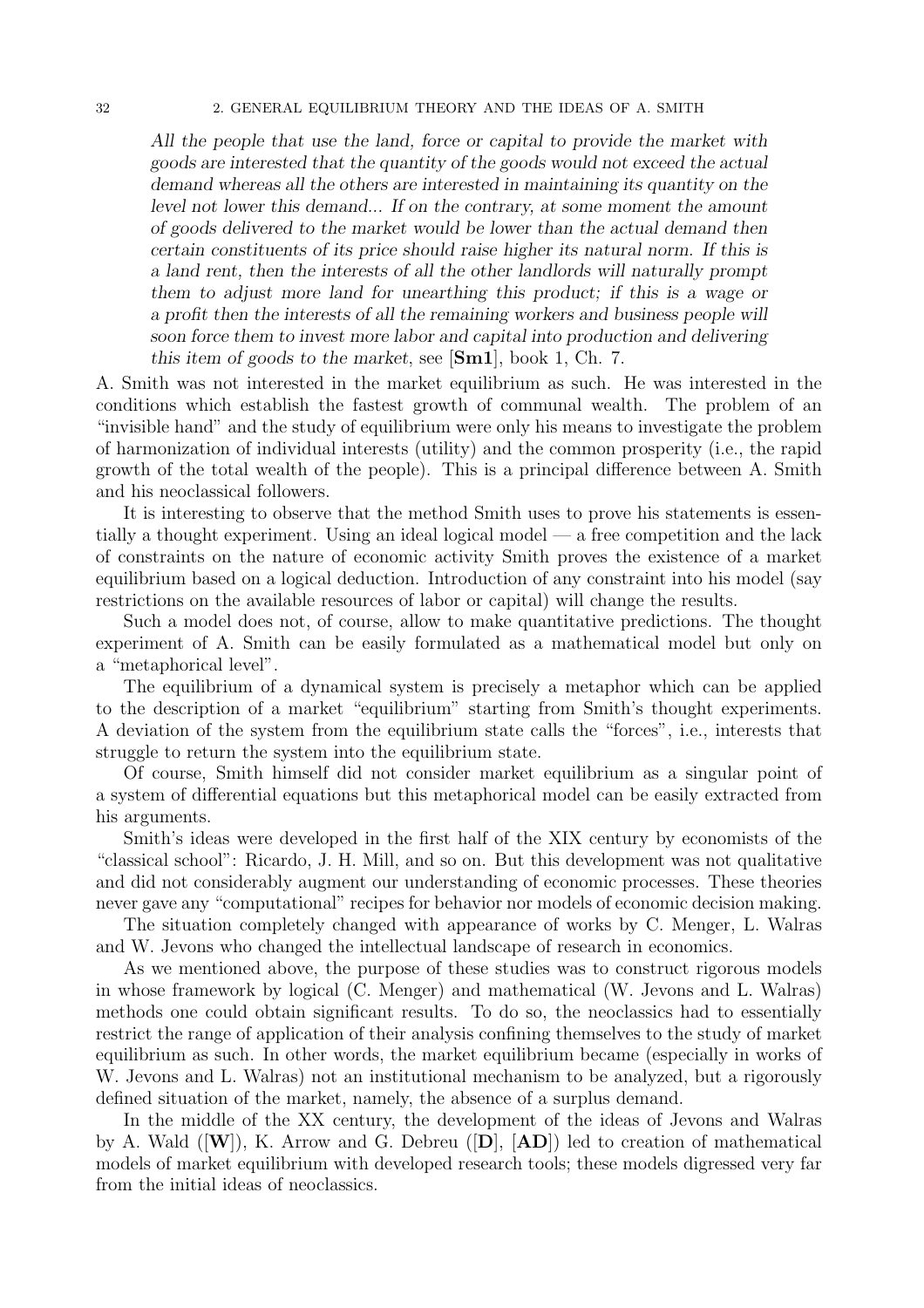#### 32 2. GENERAL EQUILIBRIUM THEORY AND THE IDEAS OF A. SMITH

All the people that use the land, force or capital to provide the market with goods are interested that the quantity of the goods would not exceed the actual demand whereas all the others are interested in maintaining its quantity on the level not lower this demand... If on the contrary, at some moment the amount of goods delivered to the market would be lower than the actual demand then certain constituents of its price should raise higher its natural norm. If this is a land rent, then the interests of all the other landlords will naturally prompt them to adjust more land for unearthing this product; if this is a wage or a profit then the interests of all the remaining workers and business people will soon force them to invest more labor and capital into production and delivering this item of goods to the market, see  $[\text{Sm1}]$ , book 1, Ch. 7.

A. Smith was not interested in the market equilibrium as such. He was interested in the conditions which establish the fastest growth of communal wealth. The problem of an "invisible hand" and the study of equilibrium were only his means to investigate the problem of harmonization of individual interests (utility) and the common prosperity (i.e., the rapid growth of the total wealth of the people). This is a principal difference between A. Smith and his neoclassical followers.

It is interesting to observe that the method Smith uses to prove his statements is essentially a thought experiment. Using an ideal logical model — a free competition and the lack of constraints on the nature of economic activity Smith proves the existence of a market equilibrium based on a logical deduction. Introduction of any constraint into his model (say restrictions on the available resources of labor or capital) will change the results.

Such a model does not, of course, allow to make quantitative predictions. The thought experiment of A. Smith can be easily formulated as a mathematical model but only on a "metaphorical level".

The equilibrium of a dynamical system is precisely a metaphor which can be applied to the description of a market "equilibrium" starting from Smith's thought experiments. A deviation of the system from the equilibrium state calls the "forces", i.e., interests that struggle to return the system into the equilibrium state.

Of course, Smith himself did not consider market equilibrium as a singular point of a system of differential equations but this metaphorical model can be easily extracted from his arguments.

Smith's ideas were developed in the first half of the XIX century by economists of the "classical school": Ricardo, J. H. Mill, and so on. But this development was not qualitative and did not considerably augment our understanding of economic processes. These theories never gave any "computational" recipes for behavior nor models of economic decision making.

The situation completely changed with appearance of works by C. Menger, L. Walras and W. Jevons who changed the intellectual landscape of research in economics.

As we mentioned above, the purpose of these studies was to construct rigorous models in whose framework by logical (C. Menger) and mathematical (W. Jevons and L. Walras) methods one could obtain significant results. To do so, the neoclassics had to essentially restrict the range of application of their analysis confining themselves to the study of market equilibrium as such. In other words, the market equilibrium became (especially in works of W. Jevons and L. Walras) not an institutional mechanism to be analyzed, but a rigorously defined situation of the market, namely, the absence of a surplus demand.

In the middle of the XX century, the development of the ideas of Jevons and Walras by A. Wald  $([W])$ , K. Arrow and G. Debreu  $([D], [AD])$  led to creation of mathematical models of market equilibrium with developed research tools; these models digressed very far from the initial ideas of neoclassics.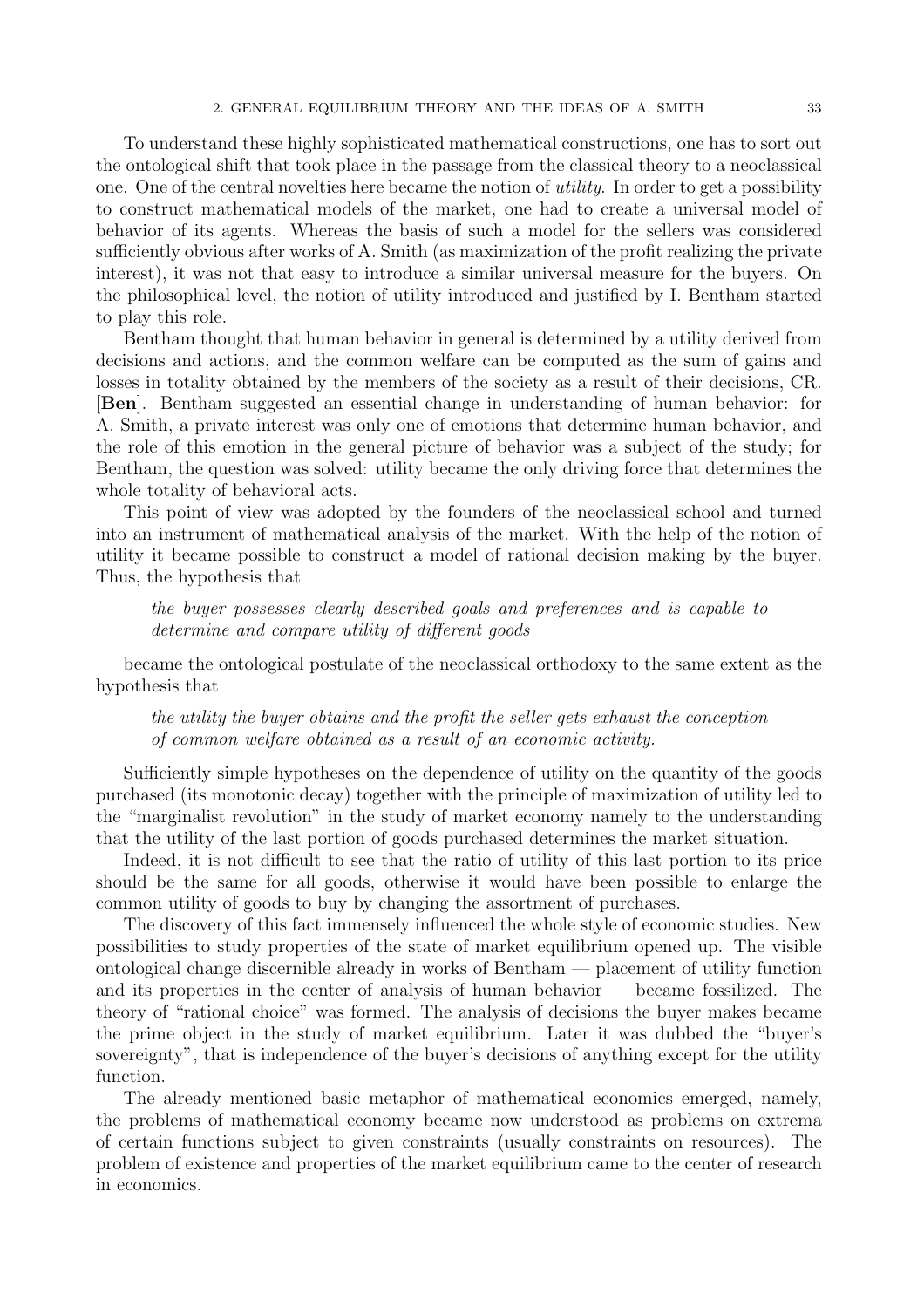To understand these highly sophisticated mathematical constructions, one has to sort out the ontological shift that took place in the passage from the classical theory to a neoclassical one. One of the central novelties here became the notion of utility. In order to get a possibility to construct mathematical models of the market, one had to create a universal model of behavior of its agents. Whereas the basis of such a model for the sellers was considered sufficiently obvious after works of A. Smith (as maximization of the profit realizing the private interest), it was not that easy to introduce a similar universal measure for the buyers. On the philosophical level, the notion of utility introduced and justified by I. Bentham started to play this role.

Bentham thought that human behavior in general is determined by a utility derived from decisions and actions, and the common welfare can be computed as the sum of gains and losses in totality obtained by the members of the society as a result of their decisions, CR. [Ben]. Bentham suggested an essential change in understanding of human behavior: for A. Smith, a private interest was only one of emotions that determine human behavior, and the role of this emotion in the general picture of behavior was a subject of the study; for Bentham, the question was solved: utility became the only driving force that determines the whole totality of behavioral acts.

This point of view was adopted by the founders of the neoclassical school and turned into an instrument of mathematical analysis of the market. With the help of the notion of utility it became possible to construct a model of rational decision making by the buyer. Thus, the hypothesis that

the buyer possesses clearly described goals and preferences and is capable to determine and compare utility of different goods

became the ontological postulate of the neoclassical orthodoxy to the same extent as the hypothesis that

the utility the buyer obtains and the profit the seller gets exhaust the conception of common welfare obtained as a result of an economic activity.

Sufficiently simple hypotheses on the dependence of utility on the quantity of the goods purchased (its monotonic decay) together with the principle of maximization of utility led to the "marginalist revolution" in the study of market economy namely to the understanding that the utility of the last portion of goods purchased determines the market situation.

Indeed, it is not difficult to see that the ratio of utility of this last portion to its price should be the same for all goods, otherwise it would have been possible to enlarge the common utility of goods to buy by changing the assortment of purchases.

The discovery of this fact immensely influenced the whole style of economic studies. New possibilities to study properties of the state of market equilibrium opened up. The visible ontological change discernible already in works of Bentham — placement of utility function and its properties in the center of analysis of human behavior — became fossilized. The theory of "rational choice" was formed. The analysis of decisions the buyer makes became the prime object in the study of market equilibrium. Later it was dubbed the "buyer's sovereignty", that is independence of the buyer's decisions of anything except for the utility function.

The already mentioned basic metaphor of mathematical economics emerged, namely, the problems of mathematical economy became now understood as problems on extrema of certain functions subject to given constraints (usually constraints on resources). The problem of existence and properties of the market equilibrium came to the center of research in economics.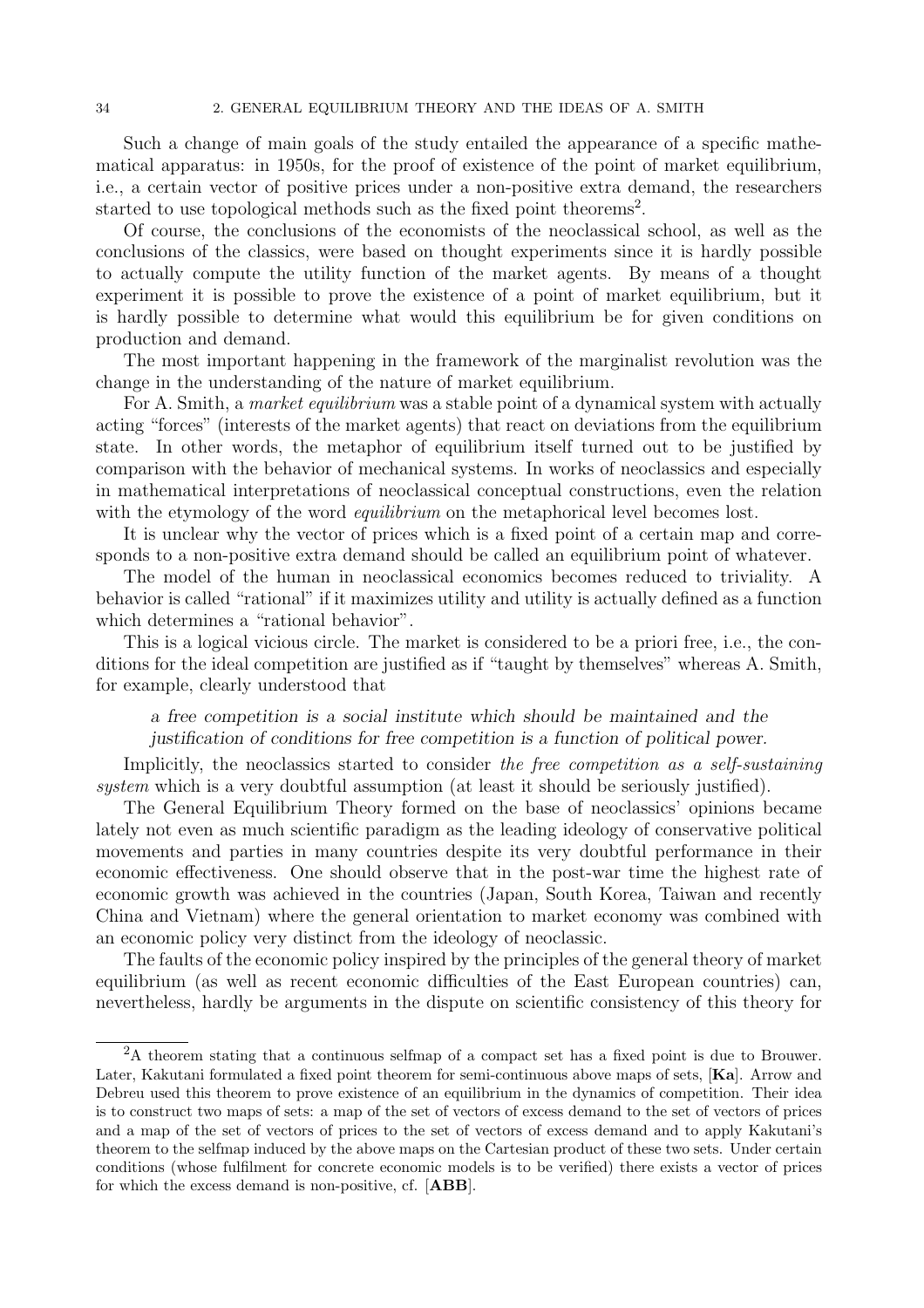Such a change of main goals of the study entailed the appearance of a specific mathematical apparatus: in 1950s, for the proof of existence of the point of market equilibrium, i.e., a certain vector of positive prices under a non-positive extra demand, the researchers started to use topological methods such as the fixed point theorems<sup>2</sup>.

Of course, the conclusions of the economists of the neoclassical school, as well as the conclusions of the classics, were based on thought experiments since it is hardly possible to actually compute the utility function of the market agents. By means of a thought experiment it is possible to prove the existence of a point of market equilibrium, but it is hardly possible to determine what would this equilibrium be for given conditions on production and demand.

The most important happening in the framework of the marginalist revolution was the change in the understanding of the nature of market equilibrium.

For A. Smith, a *market equilibrium* was a stable point of a dynamical system with actually acting "forces" (interests of the market agents) that react on deviations from the equilibrium state. In other words, the metaphor of equilibrium itself turned out to be justified by comparison with the behavior of mechanical systems. In works of neoclassics and especially in mathematical interpretations of neoclassical conceptual constructions, even the relation with the etymology of the word *equilibrium* on the metaphorical level becomes lost.

It is unclear why the vector of prices which is a fixed point of a certain map and corresponds to a non-positive extra demand should be called an equilibrium point of whatever.

The model of the human in neoclassical economics becomes reduced to triviality. A behavior is called "rational" if it maximizes utility and utility is actually defined as a function which determines a "rational behavior".

This is a logical vicious circle. The market is considered to be a priori free, i.e., the conditions for the ideal competition are justified as if "taught by themselves" whereas A. Smith, for example, clearly understood that

### a free competition is a social institute which should be maintained and the justification of conditions for free competition is a function of political power.

Implicitly, the neoclassics started to consider the free competition as a self-sustaining system which is a very doubtful assumption (at least it should be seriously justified).

The General Equilibrium Theory formed on the base of neoclassics' opinions became lately not even as much scientific paradigm as the leading ideology of conservative political movements and parties in many countries despite its very doubtful performance in their economic effectiveness. One should observe that in the post-war time the highest rate of economic growth was achieved in the countries (Japan, South Korea, Taiwan and recently China and Vietnam) where the general orientation to market economy was combined with an economic policy very distinct from the ideology of neoclassic.

The faults of the economic policy inspired by the principles of the general theory of market equilibrium (as well as recent economic difficulties of the East European countries) can, nevertheless, hardly be arguments in the dispute on scientific consistency of this theory for

<sup>&</sup>lt;sup>2</sup>A theorem stating that a continuous selfmap of a compact set has a fixed point is due to Brouwer. Later, Kakutani formulated a fixed point theorem for semi-continuous above maps of sets, [Ka]. Arrow and Debreu used this theorem to prove existence of an equilibrium in the dynamics of competition. Their idea is to construct two maps of sets: a map of the set of vectors of excess demand to the set of vectors of prices and a map of the set of vectors of prices to the set of vectors of excess demand and to apply Kakutani's theorem to the selfmap induced by the above maps on the Cartesian product of these two sets. Under certain conditions (whose fulfilment for concrete economic models is to be verified) there exists a vector of prices for which the excess demand is non-positive, cf. [ABB].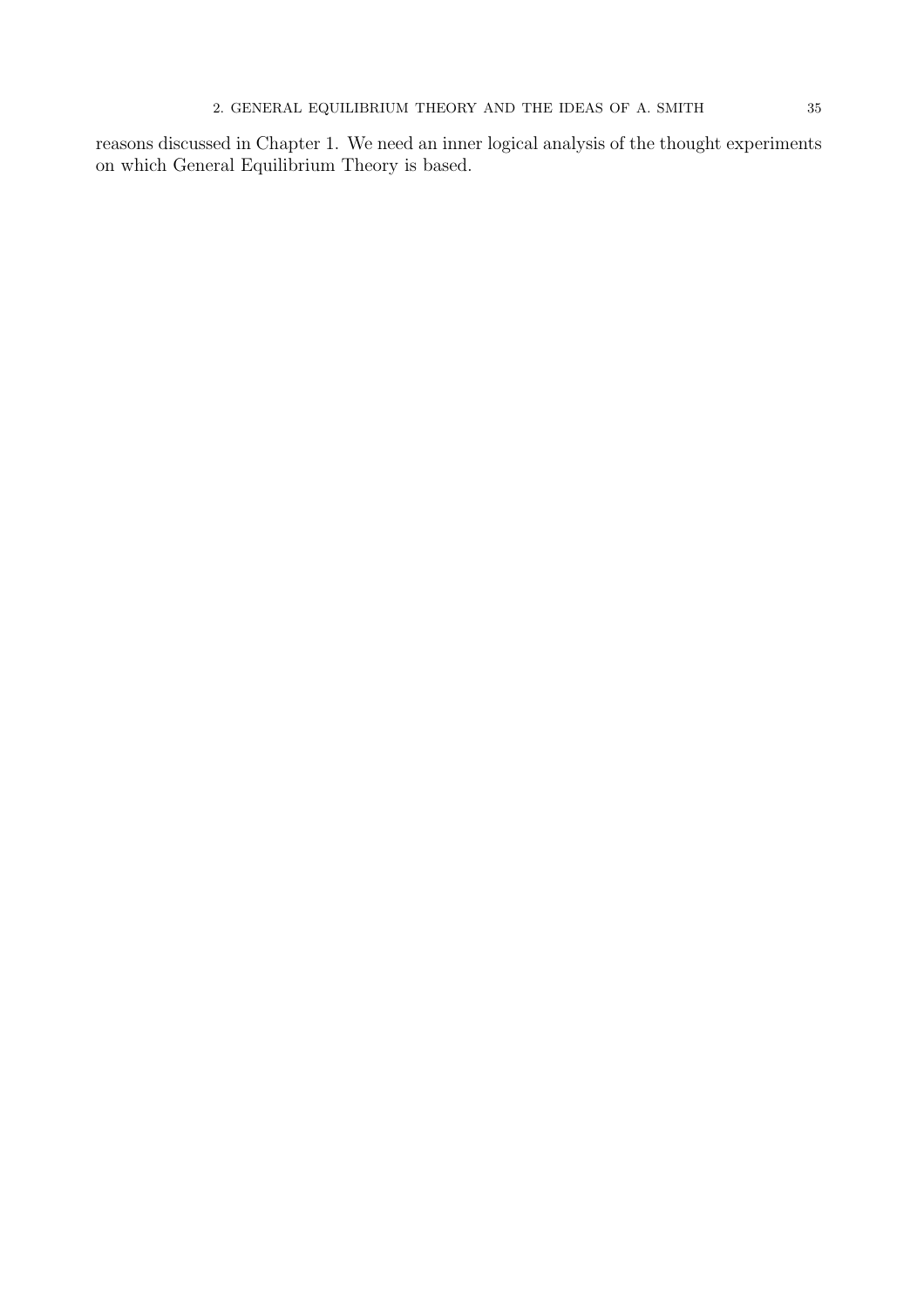reasons discussed in Chapter 1. We need an inner logical analysis of the thought experiments on which General Equilibrium Theory is based.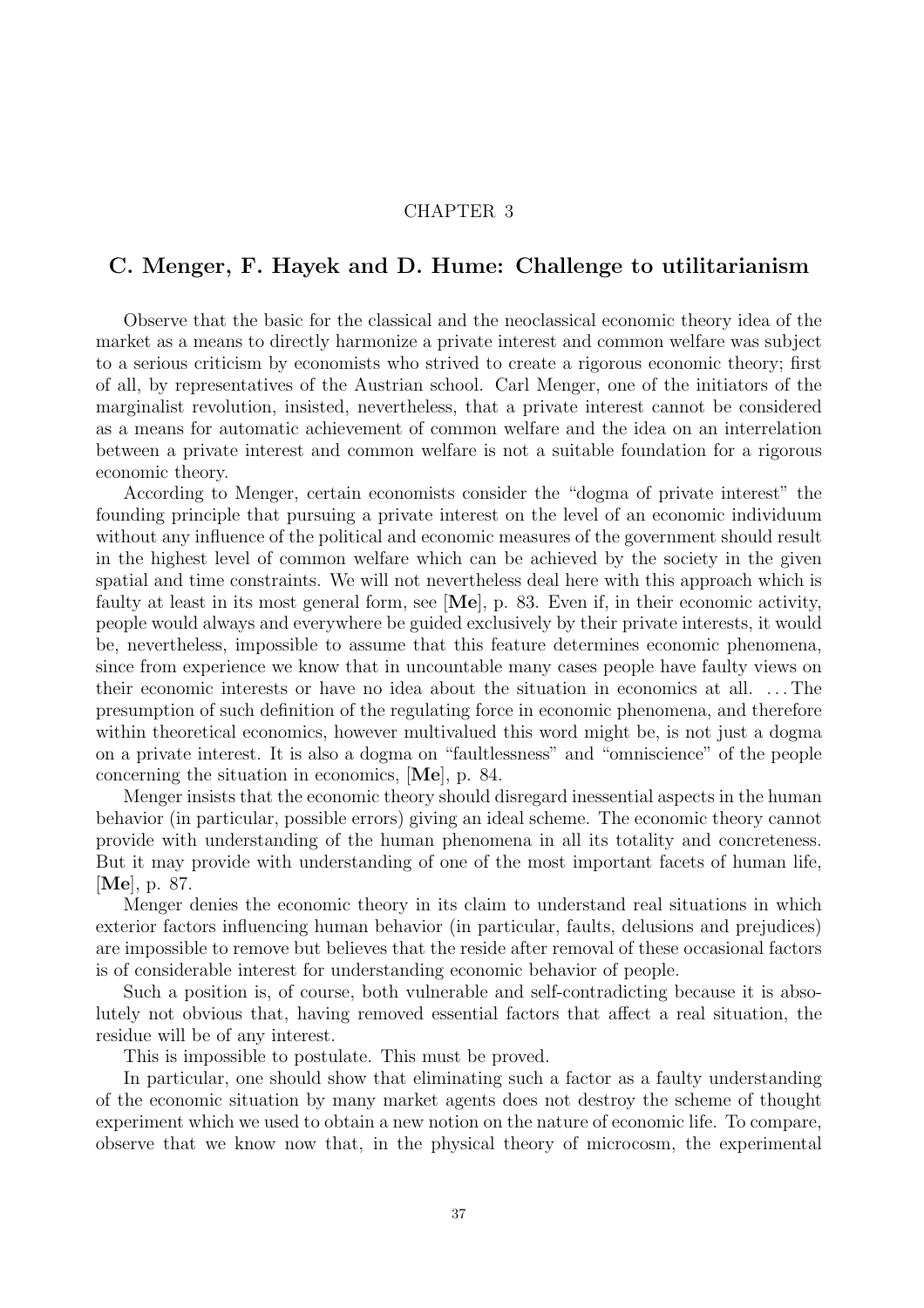# CHAPTER 3

# C. Menger, F. Hayek and D. Hume: Challenge to utilitarianism

Observe that the basic for the classical and the neoclassical economic theory idea of the market as a means to directly harmonize a private interest and common welfare was subject to a serious criticism by economists who strived to create a rigorous economic theory; first of all, by representatives of the Austrian school. Carl Menger, one of the initiators of the marginalist revolution, insisted, nevertheless, that a private interest cannot be considered as a means for automatic achievement of common welfare and the idea on an interrelation between a private interest and common welfare is not a suitable foundation for a rigorous economic theory.

According to Menger, certain economists consider the "dogma of private interest" the founding principle that pursuing a private interest on the level of an economic individuum without any influence of the political and economic measures of the government should result in the highest level of common welfare which can be achieved by the society in the given spatial and time constraints. We will not nevertheless deal here with this approach which is faulty at least in its most general form, see [Me], p. 83. Even if, in their economic activity, people would always and everywhere be guided exclusively by their private interests, it would be, nevertheless, impossible to assume that this feature determines economic phenomena, since from experience we know that in uncountable many cases people have faulty views on their economic interests or have no idea about the situation in economics at all. .. .The presumption of such definition of the regulating force in economic phenomena, and therefore within theoretical economics, however multivalued this word might be, is not just a dogma on a private interest. It is also a dogma on "faultlessness" and "omniscience" of the people concerning the situation in economics, [Me], p. 84.

Menger insists that the economic theory should disregard inessential aspects in the human behavior (in particular, possible errors) giving an ideal scheme. The economic theory cannot provide with understanding of the human phenomena in all its totality and concreteness. But it may provide with understanding of one of the most important facets of human life, [Me], p. 87.

Menger denies the economic theory in its claim to understand real situations in which exterior factors influencing human behavior (in particular, faults, delusions and prejudices) are impossible to remove but believes that the reside after removal of these occasional factors is of considerable interest for understanding economic behavior of people.

Such a position is, of course, both vulnerable and self-contradicting because it is absolutely not obvious that, having removed essential factors that affect a real situation, the residue will be of any interest.

This is impossible to postulate. This must be proved.

In particular, one should show that eliminating such a factor as a faulty understanding of the economic situation by many market agents does not destroy the scheme of thought experiment which we used to obtain a new notion on the nature of economic life. To compare, observe that we know now that, in the physical theory of microcosm, the experimental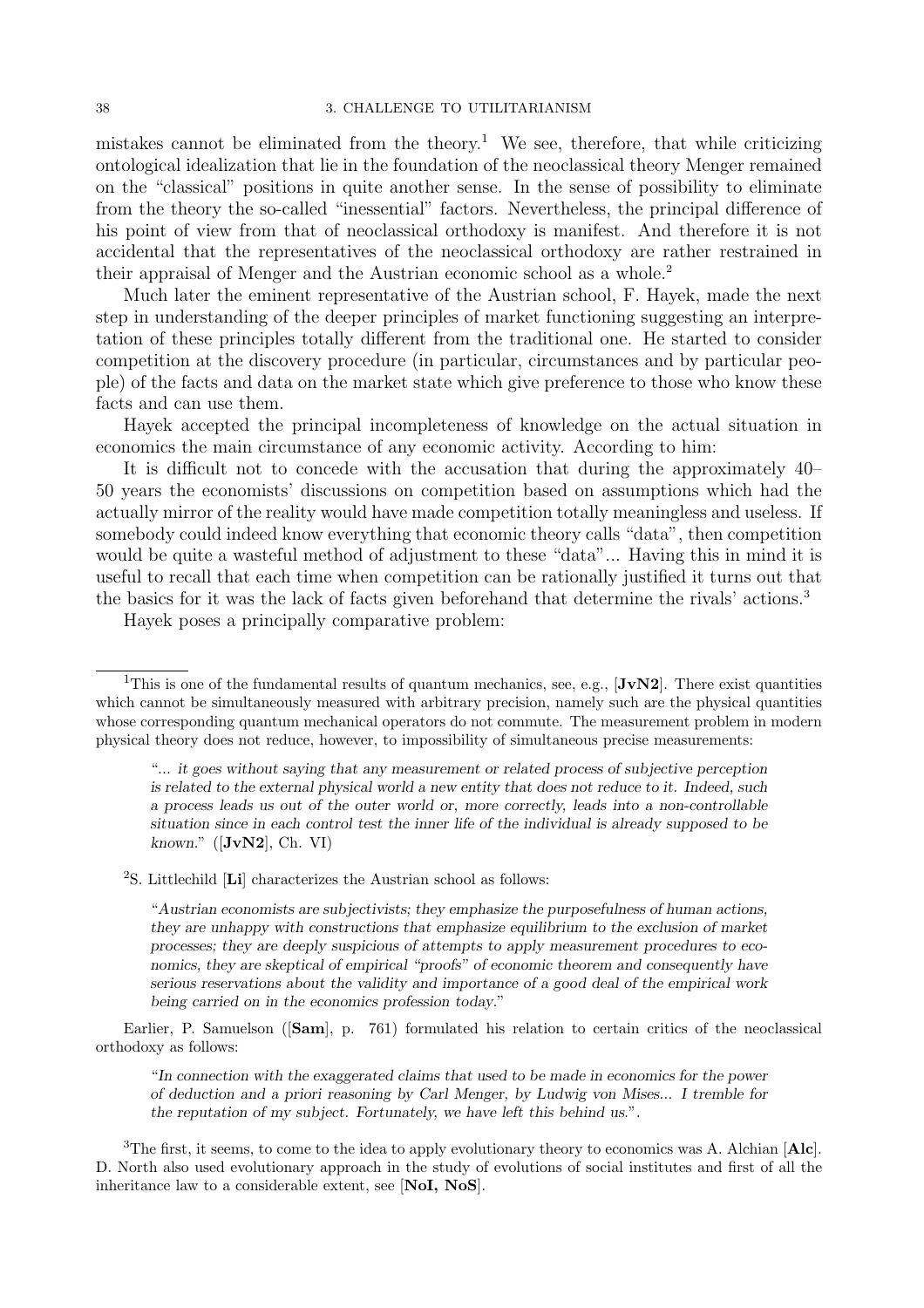mistakes cannot be eliminated from the theory.<sup>1</sup> We see, therefore, that while criticizing ontological idealization that lie in the foundation of the neoclassical theory Menger remained on the "classical" positions in quite another sense. In the sense of possibility to eliminate from the theory the so-called "inessential" factors. Nevertheless, the principal difference of his point of view from that of neoclassical orthodoxy is manifest. And therefore it is not accidental that the representatives of the neoclassical orthodoxy are rather restrained in their appraisal of Menger and the Austrian economic school as a whole.<sup>2</sup>

Much later the eminent representative of the Austrian school, F. Hayek, made the next step in understanding of the deeper principles of market functioning suggesting an interpretation of these principles totally different from the traditional one. He started to consider competition at the discovery procedure (in particular, circumstances and by particular people) of the facts and data on the market state which give preference to those who know these facts and can use them.

Hayek accepted the principal incompleteness of knowledge on the actual situation in economics the main circumstance of any economic activity. According to him:

It is difficult not to concede with the accusation that during the approximately 40– 50 years the economists' discussions on competition based on assumptions which had the actually mirror of the reality would have made competition totally meaningless and useless. If somebody could indeed know everything that economic theory calls "data", then competition would be quite a wasteful method of adjustment to these "data"... Having this in mind it is useful to recall that each time when competition can be rationally justified it turns out that the basics for it was the lack of facts given beforehand that determine the rivals' actions.<sup>3</sup>

Hayek poses a principally comparative problem:

 $^{2}S.$  Littlechild  $\left[{\bf Li}\right]$  characterizes the Austrian school as follows:

"Austrian economists are subjectivists; they emphasize the purposefulness of human actions, they are unhappy with constructions that emphasize equilibrium to the exclusion of market processes; they are deeply suspicious of attempts to apply measurement procedures to economics, they are skeptical of empirical "proofs" of economic theorem and consequently have serious reservations about the validity and importance of a good deal of the empirical work being carried on in the economics profession today."

Earlier, P. Samuelson ([Sam], p. 761) formulated his relation to certain critics of the neoclassical orthodoxy as follows:

"In connection with the exaggerated claims that used to be made in economics for the power of deduction and a priori reasoning by Carl Menger, by Ludwig von Mises... I tremble for the reputation of my subject. Fortunately, we have left this behind us.".

<sup>3</sup>The first, it seems, to come to the idea to apply evolutionary theory to economics was A. Alchian  $[**A**l**c**]$ . D. North also used evolutionary approach in the study of evolutions of social institutes and first of all the inheritance law to a considerable extent, see [NoI, NoS].

<sup>&</sup>lt;sup>1</sup>This is one of the fundamental results of quantum mechanics, see, e.g.,  $[JvN2]$ . There exist quantities which cannot be simultaneously measured with arbitrary precision, namely such are the physical quantities whose corresponding quantum mechanical operators do not commute. The measurement problem in modern physical theory does not reduce, however, to impossibility of simultaneous precise measurements:

<sup>&</sup>quot;... it goes without saying that any measurement or related process of subjective perception is related to the external physical world a new entity that does not reduce to it. Indeed, such a process leads us out of the outer world or, more correctly, leads into a non-controllable situation since in each control test the inner life of the individual is already supposed to be known."  $([JvN2], Ch. VI)$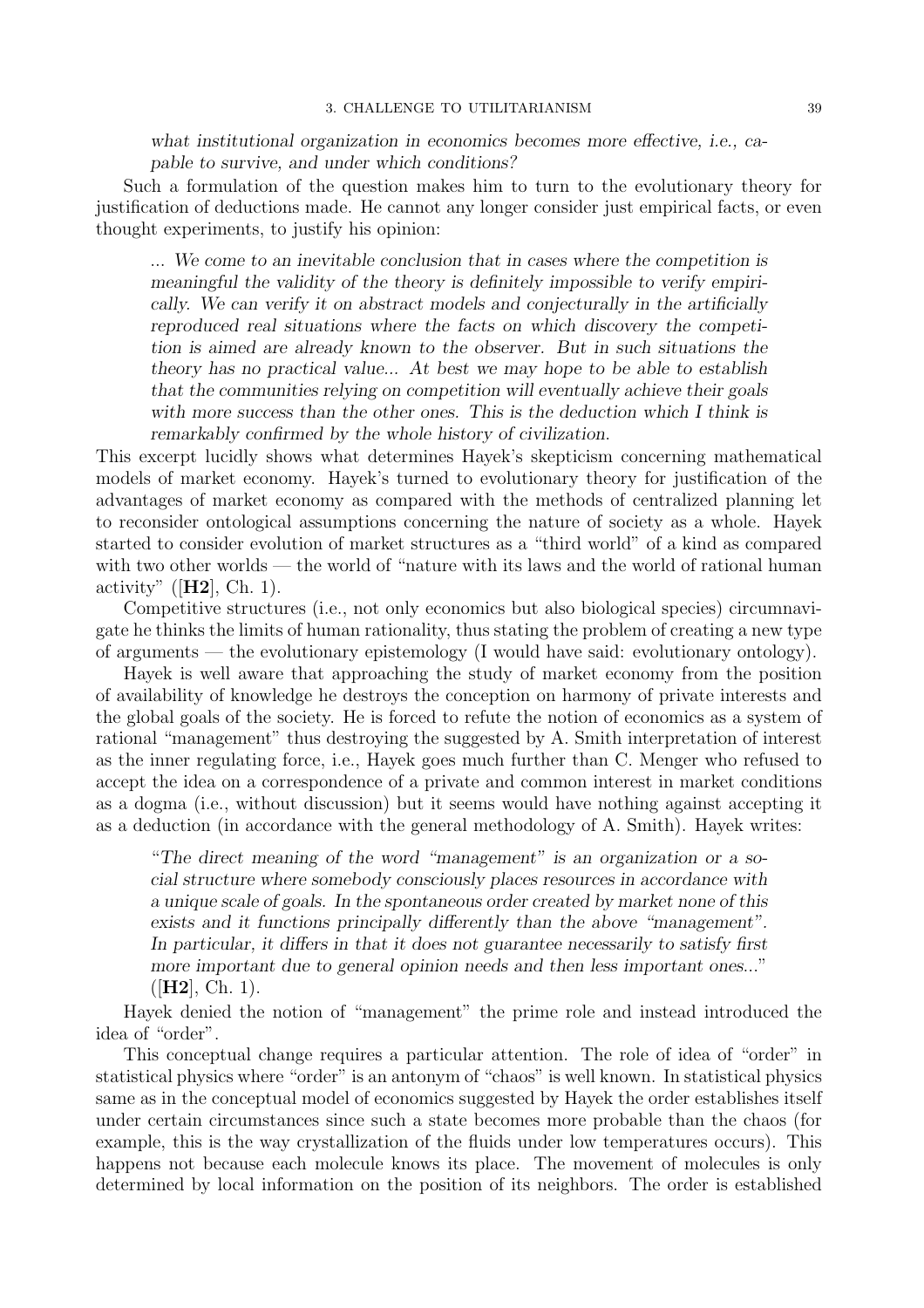what institutional organization in economics becomes more effective, i.e., capable to survive, and under which conditions?

Such a formulation of the question makes him to turn to the evolutionary theory for justification of deductions made. He cannot any longer consider just empirical facts, or even thought experiments, to justify his opinion:

... We come to an inevitable conclusion that in cases where the competition is meaningful the validity of the theory is definitely impossible to verify empirically. We can verify it on abstract models and conjecturally in the artificially reproduced real situations where the facts on which discovery the competition is aimed are already known to the observer. But in such situations the theory has no practical value... At best we may hope to be able to establish that the communities relying on competition will eventually achieve their goals with more success than the other ones. This is the deduction which I think is remarkably confirmed by the whole history of civilization.

This excerpt lucidly shows what determines Hayek's skepticism concerning mathematical models of market economy. Hayek's turned to evolutionary theory for justification of the advantages of market economy as compared with the methods of centralized planning let to reconsider ontological assumptions concerning the nature of society as a whole. Hayek started to consider evolution of market structures as a "third world" of a kind as compared with two other worlds — the world of "nature with its laws and the world of rational human activity" ( $[H2]$ , Ch. 1).

Competitive structures (i.e., not only economics but also biological species) circumnavigate he thinks the limits of human rationality, thus stating the problem of creating a new type of arguments — the evolutionary epistemology (I would have said: evolutionary ontology).

Hayek is well aware that approaching the study of market economy from the position of availability of knowledge he destroys the conception on harmony of private interests and the global goals of the society. He is forced to refute the notion of economics as a system of rational "management" thus destroying the suggested by A. Smith interpretation of interest as the inner regulating force, i.e., Hayek goes much further than C. Menger who refused to accept the idea on a correspondence of a private and common interest in market conditions as a dogma (i.e., without discussion) but it seems would have nothing against accepting it as a deduction (in accordance with the general methodology of A. Smith). Hayek writes:

"The direct meaning of the word "management" is an organization or a social structure where somebody consciously places resources in accordance with a unique scale of goals. In the spontaneous order created by market none of this exists and it functions principally differently than the above "management". In particular, it differs in that it does not guarantee necessarily to satisfy first more important due to general opinion needs and then less important ones..."  $([H2], Ch. 1).$ 

Hayek denied the notion of "management" the prime role and instead introduced the idea of "order".

This conceptual change requires a particular attention. The role of idea of "order" in statistical physics where "order" is an antonym of "chaos" is well known. In statistical physics same as in the conceptual model of economics suggested by Hayek the order establishes itself under certain circumstances since such a state becomes more probable than the chaos (for example, this is the way crystallization of the fluids under low temperatures occurs). This happens not because each molecule knows its place. The movement of molecules is only determined by local information on the position of its neighbors. The order is established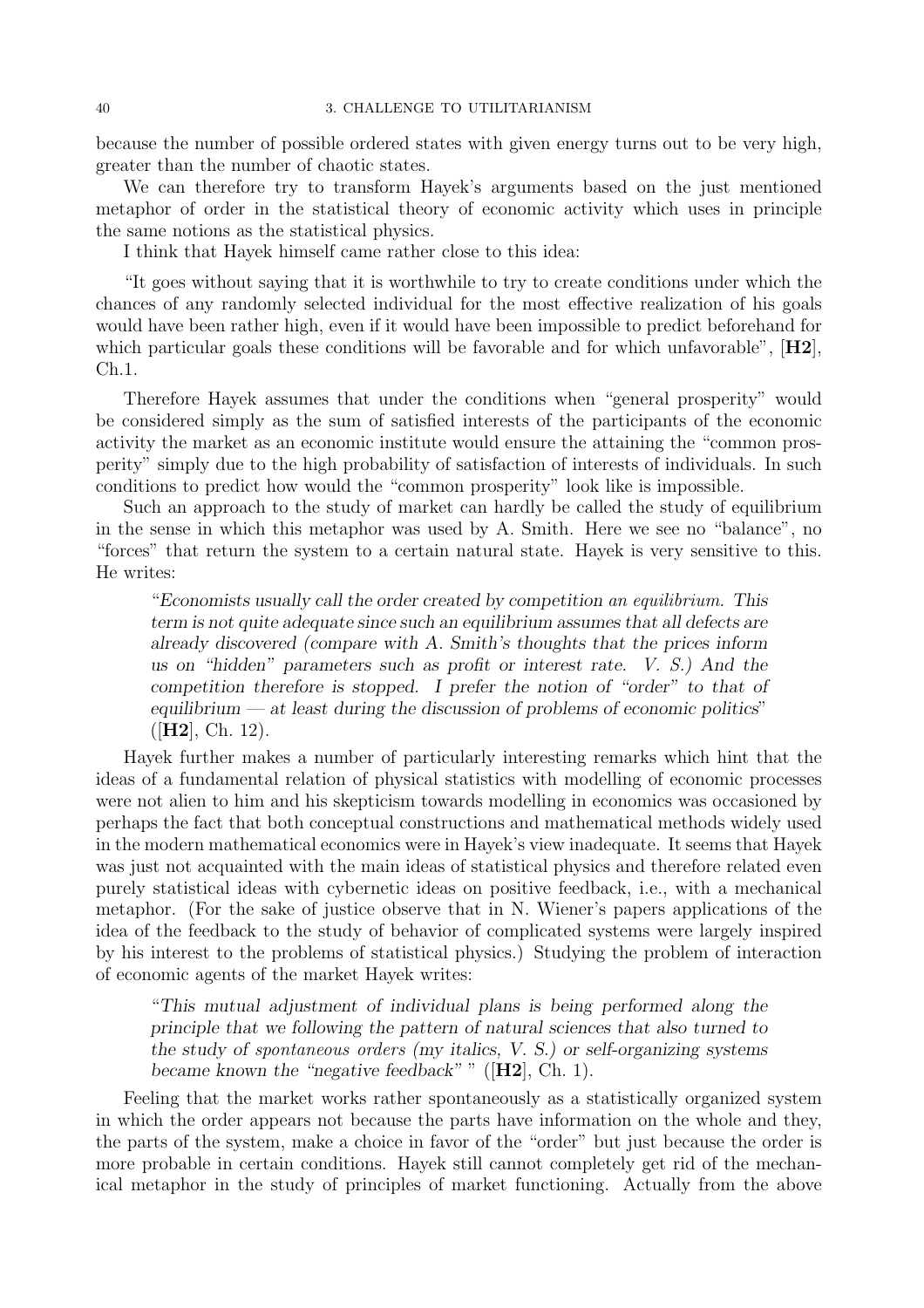because the number of possible ordered states with given energy turns out to be very high, greater than the number of chaotic states.

We can therefore try to transform Hayek's arguments based on the just mentioned metaphor of order in the statistical theory of economic activity which uses in principle the same notions as the statistical physics.

I think that Hayek himself came rather close to this idea:

"It goes without saying that it is worthwhile to try to create conditions under which the chances of any randomly selected individual for the most effective realization of his goals would have been rather high, even if it would have been impossible to predict beforehand for which particular goals these conditions will be favorable and for which unfavorable",  $[H2]$ , Ch.1.

Therefore Hayek assumes that under the conditions when "general prosperity" would be considered simply as the sum of satisfied interests of the participants of the economic activity the market as an economic institute would ensure the attaining the "common prosperity" simply due to the high probability of satisfaction of interests of individuals. In such conditions to predict how would the "common prosperity" look like is impossible.

Such an approach to the study of market can hardly be called the study of equilibrium in the sense in which this metaphor was used by A. Smith. Here we see no "balance", no "forces" that return the system to a certain natural state. Hayek is very sensitive to this. He writes:

"Economists usually call the order created by competition an equilibrium. This term is not quite adequate since such an equilibrium assumes that all defects are already discovered (compare with A. Smith's thoughts that the prices inform us on "hidden" parameters such as profit or interest rate. V. S.) And the competition therefore is stopped. I prefer the notion of "order" to that of equilibrium  $-$  at least during the discussion of problems of economic politics"  $([H2], Ch. 12).$ 

Hayek further makes a number of particularly interesting remarks which hint that the ideas of a fundamental relation of physical statistics with modelling of economic processes were not alien to him and his skepticism towards modelling in economics was occasioned by perhaps the fact that both conceptual constructions and mathematical methods widely used in the modern mathematical economics were in Hayek's view inadequate. It seems that Hayek was just not acquainted with the main ideas of statistical physics and therefore related even purely statistical ideas with cybernetic ideas on positive feedback, i.e., with a mechanical metaphor. (For the sake of justice observe that in N. Wiener's papers applications of the idea of the feedback to the study of behavior of complicated systems were largely inspired by his interest to the problems of statistical physics.) Studying the problem of interaction of economic agents of the market Hayek writes:

"This mutual adjustment of individual plans is being performed along the principle that we following the pattern of natural sciences that also turned to the study of spontaneous orders (my italics, V. S.) or self-organizing systems became known the "negative feedback" "  $(H2]$ , Ch. 1).

Feeling that the market works rather spontaneously as a statistically organized system in which the order appears not because the parts have information on the whole and they, the parts of the system, make a choice in favor of the "order" but just because the order is more probable in certain conditions. Hayek still cannot completely get rid of the mechanical metaphor in the study of principles of market functioning. Actually from the above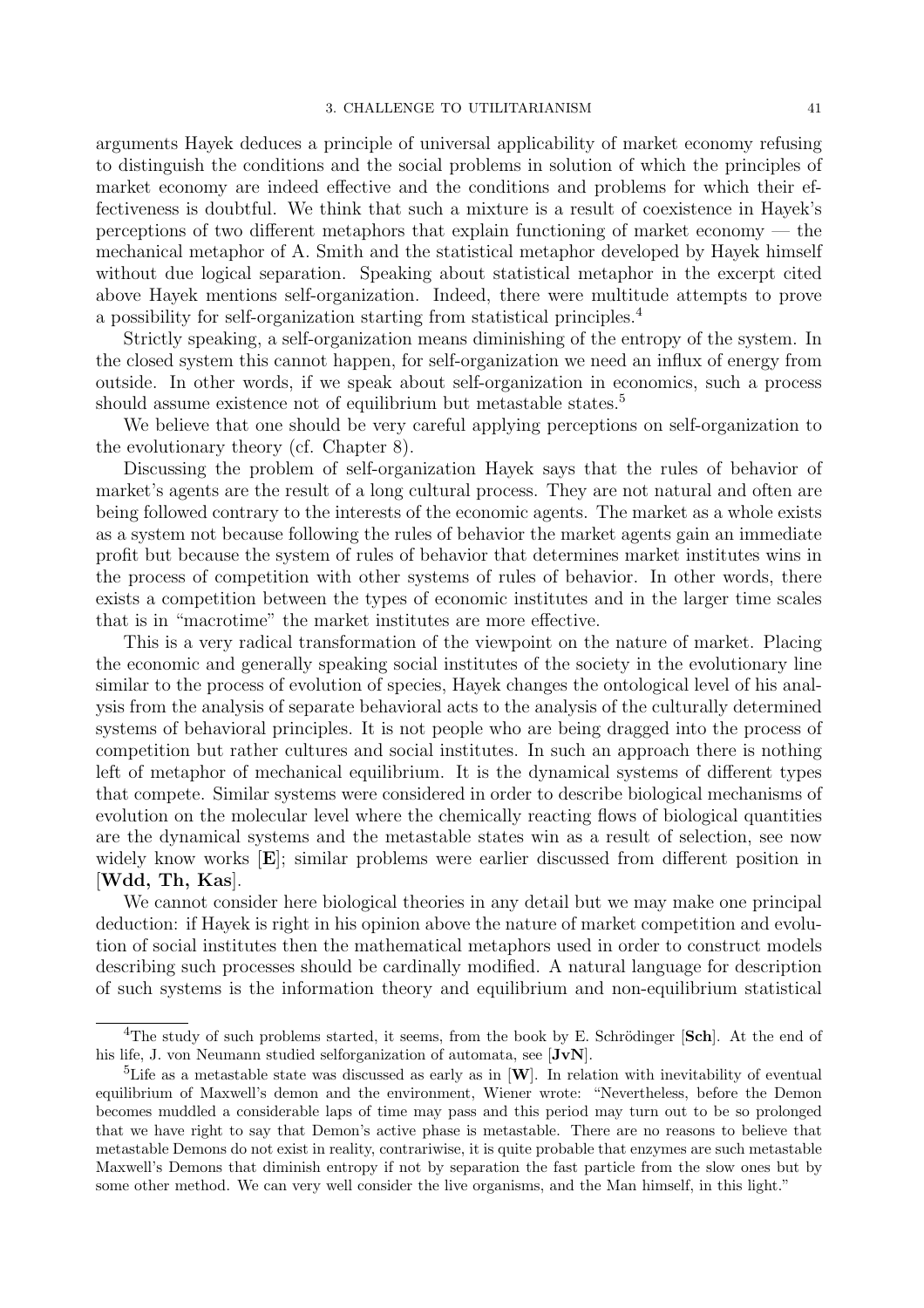arguments Hayek deduces a principle of universal applicability of market economy refusing to distinguish the conditions and the social problems in solution of which the principles of market economy are indeed effective and the conditions and problems for which their effectiveness is doubtful. We think that such a mixture is a result of coexistence in Hayek's perceptions of two different metaphors that explain functioning of market economy — the mechanical metaphor of A. Smith and the statistical metaphor developed by Hayek himself without due logical separation. Speaking about statistical metaphor in the excerpt cited above Hayek mentions self-organization. Indeed, there were multitude attempts to prove a possibility for self-organization starting from statistical principles.<sup>4</sup>

Strictly speaking, a self-organization means diminishing of the entropy of the system. In the closed system this cannot happen, for self-organization we need an influx of energy from outside. In other words, if we speak about self-organization in economics, such a process should assume existence not of equilibrium but metastable states.<sup>5</sup>

We believe that one should be very careful applying perceptions on self-organization to the evolutionary theory (cf. Chapter 8).

Discussing the problem of self-organization Hayek says that the rules of behavior of market's agents are the result of a long cultural process. They are not natural and often are being followed contrary to the interests of the economic agents. The market as a whole exists as a system not because following the rules of behavior the market agents gain an immediate profit but because the system of rules of behavior that determines market institutes wins in the process of competition with other systems of rules of behavior. In other words, there exists a competition between the types of economic institutes and in the larger time scales that is in "macrotime" the market institutes are more effective.

This is a very radical transformation of the viewpoint on the nature of market. Placing the economic and generally speaking social institutes of the society in the evolutionary line similar to the process of evolution of species, Hayek changes the ontological level of his analysis from the analysis of separate behavioral acts to the analysis of the culturally determined systems of behavioral principles. It is not people who are being dragged into the process of competition but rather cultures and social institutes. In such an approach there is nothing left of metaphor of mechanical equilibrium. It is the dynamical systems of different types that compete. Similar systems were considered in order to describe biological mechanisms of evolution on the molecular level where the chemically reacting flows of biological quantities are the dynamical systems and the metastable states win as a result of selection, see now widely know works [E]; similar problems were earlier discussed from different position in [Wdd, Th, Kas].

We cannot consider here biological theories in any detail but we may make one principal deduction: if Hayek is right in his opinion above the nature of market competition and evolution of social institutes then the mathematical metaphors used in order to construct models describing such processes should be cardinally modified. A natural language for description of such systems is the information theory and equilibrium and non-equilibrium statistical

 ${}^{4}$ The study of such problems started, it seems, from the book by E. Schrödinger [Sch]. At the end of his life, J. von Neumann studied selforganization of automata, see [JvN].

<sup>&</sup>lt;sup>5</sup>Life as a metastable state was discussed as early as in  $[\mathbf{W}]$ . In relation with inevitability of eventual equilibrium of Maxwell's demon and the environment, Wiener wrote: "Nevertheless, before the Demon becomes muddled a considerable laps of time may pass and this period may turn out to be so prolonged that we have right to say that Demon's active phase is metastable. There are no reasons to believe that metastable Demons do not exist in reality, contrariwise, it is quite probable that enzymes are such metastable Maxwell's Demons that diminish entropy if not by separation the fast particle from the slow ones but by some other method. We can very well consider the live organisms, and the Man himself, in this light."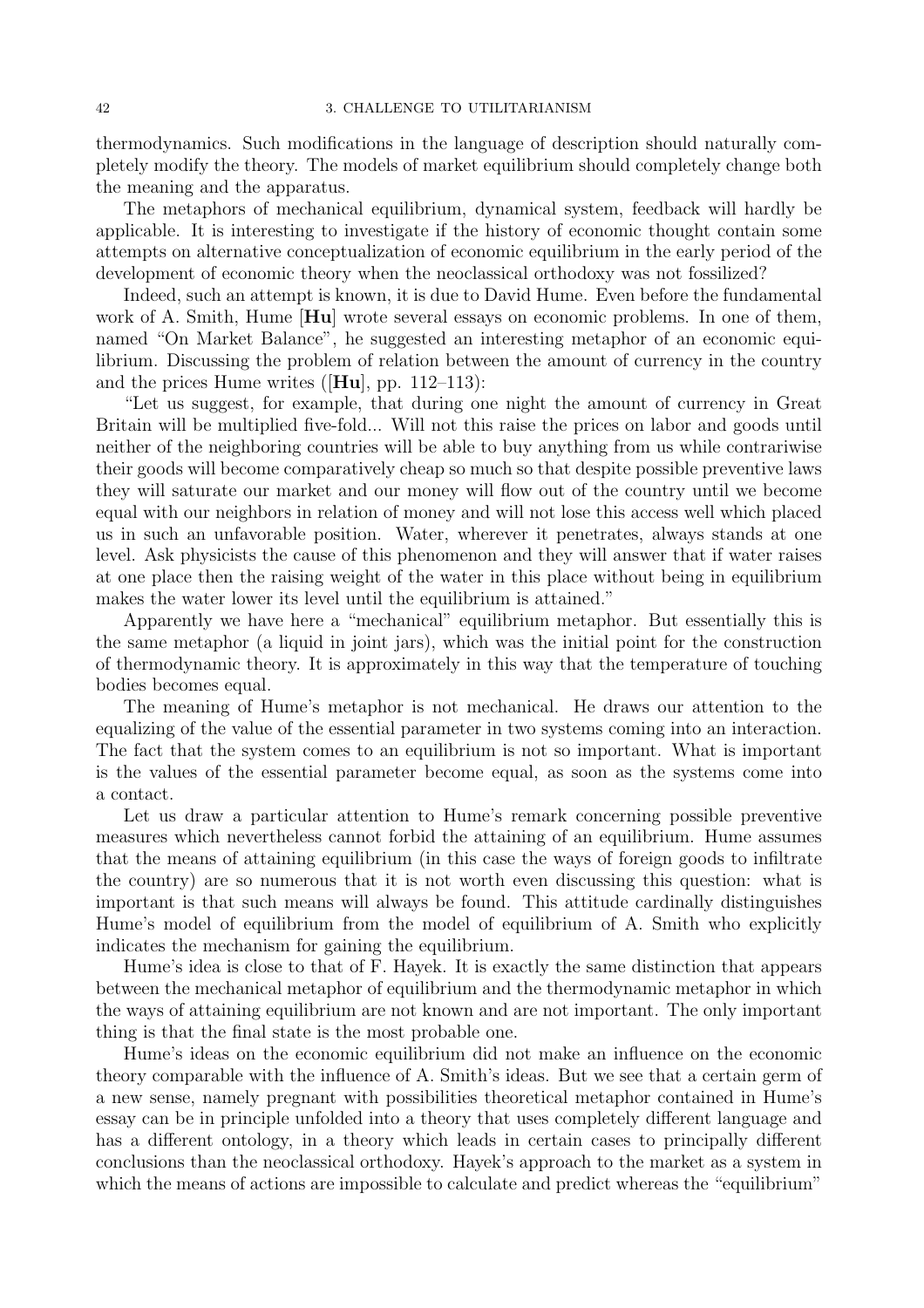thermodynamics. Such modifications in the language of description should naturally completely modify the theory. The models of market equilibrium should completely change both the meaning and the apparatus.

The metaphors of mechanical equilibrium, dynamical system, feedback will hardly be applicable. It is interesting to investigate if the history of economic thought contain some attempts on alternative conceptualization of economic equilibrium in the early period of the development of economic theory when the neoclassical orthodoxy was not fossilized?

Indeed, such an attempt is known, it is due to David Hume. Even before the fundamental work of A. Smith, Hume  $[Hu]$  wrote several essays on economic problems. In one of them, named "On Market Balance", he suggested an interesting metaphor of an economic equilibrium. Discussing the problem of relation between the amount of currency in the country and the prices Hume writes ( $[Hu]$ , pp. 112–113):

"Let us suggest, for example, that during one night the amount of currency in Great Britain will be multiplied five-fold... Will not this raise the prices on labor and goods until neither of the neighboring countries will be able to buy anything from us while contrariwise their goods will become comparatively cheap so much so that despite possible preventive laws they will saturate our market and our money will flow out of the country until we become equal with our neighbors in relation of money and will not lose this access well which placed us in such an unfavorable position. Water, wherever it penetrates, always stands at one level. Ask physicists the cause of this phenomenon and they will answer that if water raises at one place then the raising weight of the water in this place without being in equilibrium makes the water lower its level until the equilibrium is attained."

Apparently we have here a "mechanical" equilibrium metaphor. But essentially this is the same metaphor (a liquid in joint jars), which was the initial point for the construction of thermodynamic theory. It is approximately in this way that the temperature of touching bodies becomes equal.

The meaning of Hume's metaphor is not mechanical. He draws our attention to the equalizing of the value of the essential parameter in two systems coming into an interaction. The fact that the system comes to an equilibrium is not so important. What is important is the values of the essential parameter become equal, as soon as the systems come into a contact.

Let us draw a particular attention to Hume's remark concerning possible preventive measures which nevertheless cannot forbid the attaining of an equilibrium. Hume assumes that the means of attaining equilibrium (in this case the ways of foreign goods to infiltrate the country) are so numerous that it is not worth even discussing this question: what is important is that such means will always be found. This attitude cardinally distinguishes Hume's model of equilibrium from the model of equilibrium of A. Smith who explicitly indicates the mechanism for gaining the equilibrium.

Hume's idea is close to that of F. Hayek. It is exactly the same distinction that appears between the mechanical metaphor of equilibrium and the thermodynamic metaphor in which the ways of attaining equilibrium are not known and are not important. The only important thing is that the final state is the most probable one.

Hume's ideas on the economic equilibrium did not make an influence on the economic theory comparable with the influence of A. Smith's ideas. But we see that a certain germ of a new sense, namely pregnant with possibilities theoretical metaphor contained in Hume's essay can be in principle unfolded into a theory that uses completely different language and has a different ontology, in a theory which leads in certain cases to principally different conclusions than the neoclassical orthodoxy. Hayek's approach to the market as a system in which the means of actions are impossible to calculate and predict whereas the "equilibrium"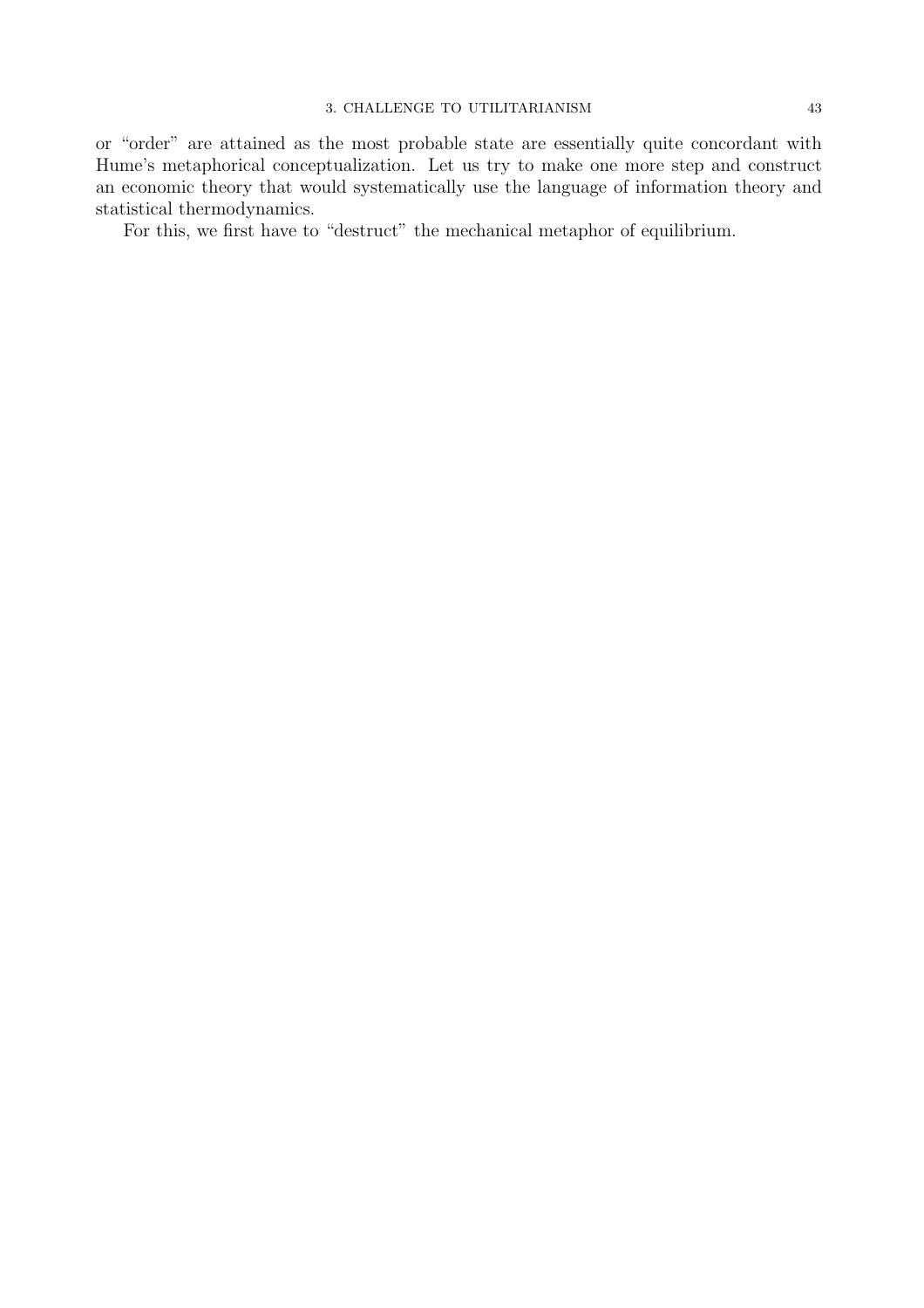or "order" are attained as the most probable state are essentially quite concordant with Hume's metaphorical conceptualization. Let us try to make one more step and construct an economic theory that would systematically use the language of information theory and statistical thermodynamics.

For this, we first have to "destruct" the mechanical metaphor of equilibrium.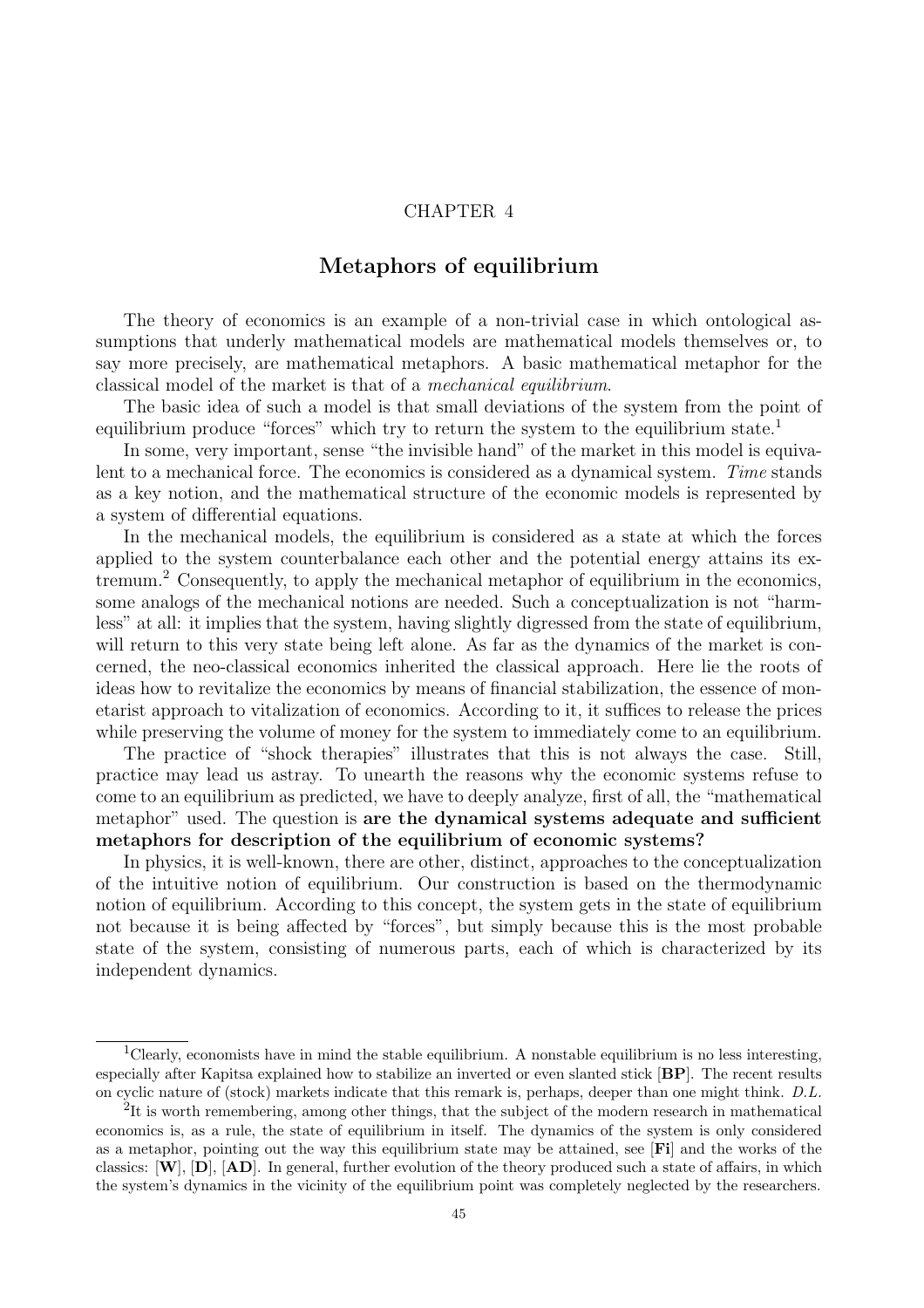# CHAPTER 4

# Metaphors of equilibrium

The theory of economics is an example of a non-trivial case in which ontological assumptions that underly mathematical models are mathematical models themselves or, to say more precisely, are mathematical metaphors. A basic mathematical metaphor for the classical model of the market is that of a mechanical equilibrium.

The basic idea of such a model is that small deviations of the system from the point of equilibrium produce "forces" which try to return the system to the equilibrium state.<sup>1</sup>

In some, very important, sense "the invisible hand" of the market in this model is equivalent to a mechanical force. The economics is considered as a dynamical system. Time stands as a key notion, and the mathematical structure of the economic models is represented by a system of differential equations.

In the mechanical models, the equilibrium is considered as a state at which the forces applied to the system counterbalance each other and the potential energy attains its extremum.<sup>2</sup> Consequently, to apply the mechanical metaphor of equilibrium in the economics, some analogs of the mechanical notions are needed. Such a conceptualization is not "harmless" at all: it implies that the system, having slightly digressed from the state of equilibrium, will return to this very state being left alone. As far as the dynamics of the market is concerned, the neo-classical economics inherited the classical approach. Here lie the roots of ideas how to revitalize the economics by means of financial stabilization, the essence of monetarist approach to vitalization of economics. According to it, it suffices to release the prices while preserving the volume of money for the system to immediately come to an equilibrium.

The practice of "shock therapies" illustrates that this is not always the case. Still, practice may lead us astray. To unearth the reasons why the economic systems refuse to come to an equilibrium as predicted, we have to deeply analyze, first of all, the "mathematical metaphor" used. The question is are the dynamical systems adequate and sufficient metaphors for description of the equilibrium of economic systems?

In physics, it is well-known, there are other, distinct, approaches to the conceptualization of the intuitive notion of equilibrium. Our construction is based on the thermodynamic notion of equilibrium. According to this concept, the system gets in the state of equilibrium not because it is being affected by "forces", but simply because this is the most probable state of the system, consisting of numerous parts, each of which is characterized by its independent dynamics.

<sup>&</sup>lt;sup>1</sup>Clearly, economists have in mind the stable equilibrium. A nonstable equilibrium is no less interesting, especially after Kapitsa explained how to stabilize an inverted or even slanted stick [BP]. The recent results on cyclic nature of (stock) markets indicate that this remark is, perhaps, deeper than one might think. D.L.

 $2$ It is worth remembering, among other things, that the subject of the modern research in mathematical economics is, as a rule, the state of equilibrium in itself. The dynamics of the system is only considered as a metaphor, pointing out the way this equilibrium state may be attained, see [Fi] and the works of the classics:  $[\mathbf{W}]$ ,  $[\mathbf{D}]$ ,  $[\mathbf{AD}]$ . In general, further evolution of the theory produced such a state of affairs, in which the system's dynamics in the vicinity of the equilibrium point was completely neglected by the researchers.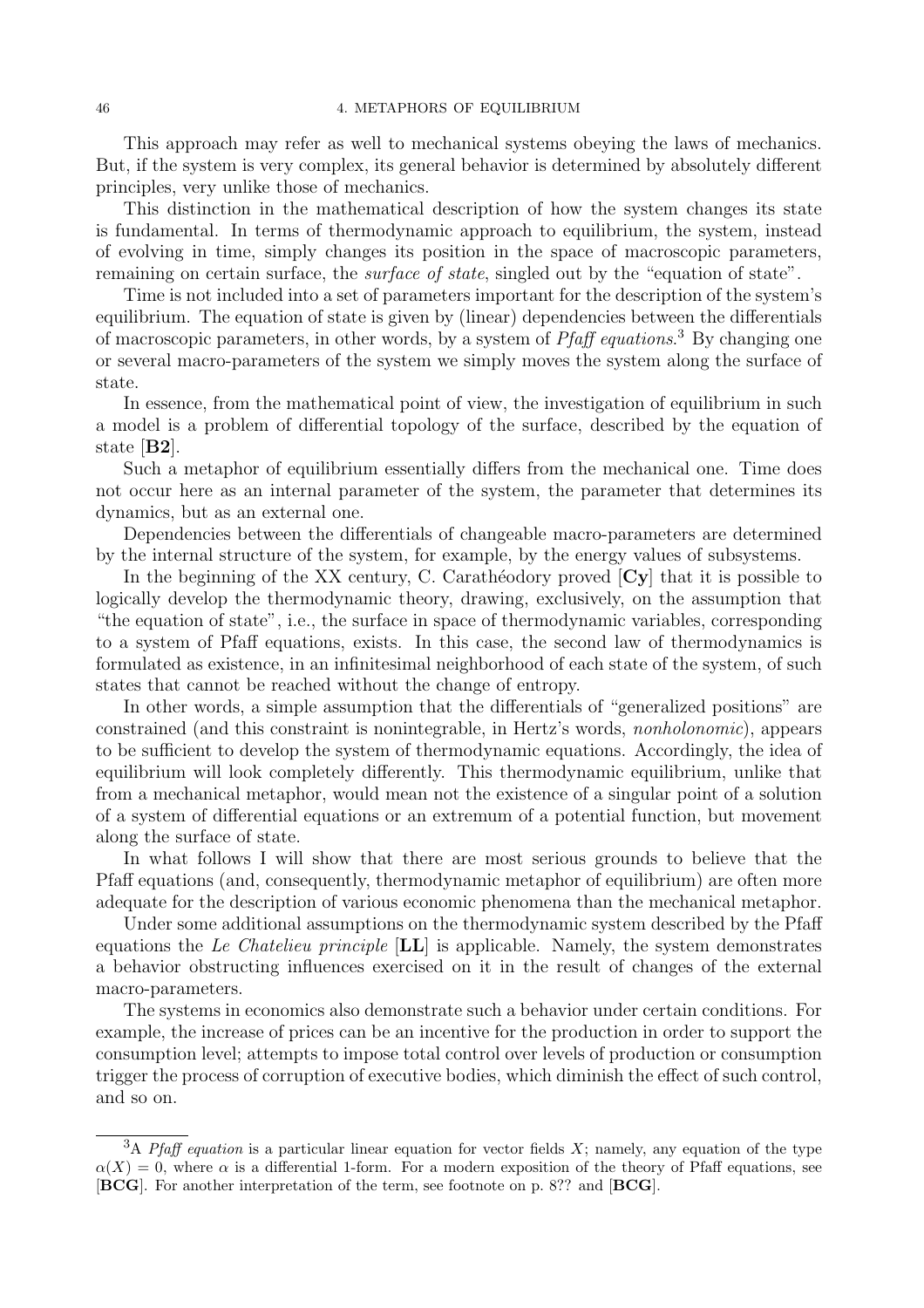This approach may refer as well to mechanical systems obeying the laws of mechanics. But, if the system is very complex, its general behavior is determined by absolutely different principles, very unlike those of mechanics.

This distinction in the mathematical description of how the system changes its state is fundamental. In terms of thermodynamic approach to equilibrium, the system, instead of evolving in time, simply changes its position in the space of macroscopic parameters, remaining on certain surface, the *surface of state*, singled out by the "equation of state".

Time is not included into a set of parameters important for the description of the system's equilibrium. The equation of state is given by (linear) dependencies between the differentials of macroscopic parameters, in other words, by a system of *Pfaff equations*.<sup>3</sup> By changing one or several macro-parameters of the system we simply moves the system along the surface of state.

In essence, from the mathematical point of view, the investigation of equilibrium in such a model is a problem of differential topology of the surface, described by the equation of state [B2].

Such a metaphor of equilibrium essentially differs from the mechanical one. Time does not occur here as an internal parameter of the system, the parameter that determines its dynamics, but as an external one.

Dependencies between the differentials of changeable macro-parameters are determined by the internal structure of the system, for example, by the energy values of subsystems.

In the beginning of the XX century, C. Carathéodory proved  $\langle Cy \rangle$  that it is possible to logically develop the thermodynamic theory, drawing, exclusively, on the assumption that "the equation of state", i.e., the surface in space of thermodynamic variables, corresponding to a system of Pfaff equations, exists. In this case, the second law of thermodynamics is formulated as existence, in an infinitesimal neighborhood of each state of the system, of such states that cannot be reached without the change of entropy.

In other words, a simple assumption that the differentials of "generalized positions" are constrained (and this constraint is nonintegrable, in Hertz's words, nonholonomic), appears to be sufficient to develop the system of thermodynamic equations. Accordingly, the idea of equilibrium will look completely differently. This thermodynamic equilibrium, unlike that from a mechanical metaphor, would mean not the existence of a singular point of a solution of a system of differential equations or an extremum of a potential function, but movement along the surface of state.

In what follows I will show that there are most serious grounds to believe that the Pfaff equations (and, consequently, thermodynamic metaphor of equilibrium) are often more adequate for the description of various economic phenomena than the mechanical metaphor.

Under some additional assumptions on the thermodynamic system described by the Pfaff equations the Le Chatelieu principle  $[LL]$  is applicable. Namely, the system demonstrates a behavior obstructing influences exercised on it in the result of changes of the external macro-parameters.

The systems in economics also demonstrate such a behavior under certain conditions. For example, the increase of prices can be an incentive for the production in order to support the consumption level; attempts to impose total control over levels of production or consumption trigger the process of corruption of executive bodies, which diminish the effect of such control, and so on.

<sup>&</sup>lt;sup>3</sup>A *Pfaff equation* is a particular linear equation for vector fields X; namely, any equation of the type  $\alpha(X) = 0$ , where  $\alpha$  is a differential 1-form. For a modern exposition of the theory of Pfaff equations, see [BCG]. For another interpretation of the term, see footnote on p. 8?? and [BCG].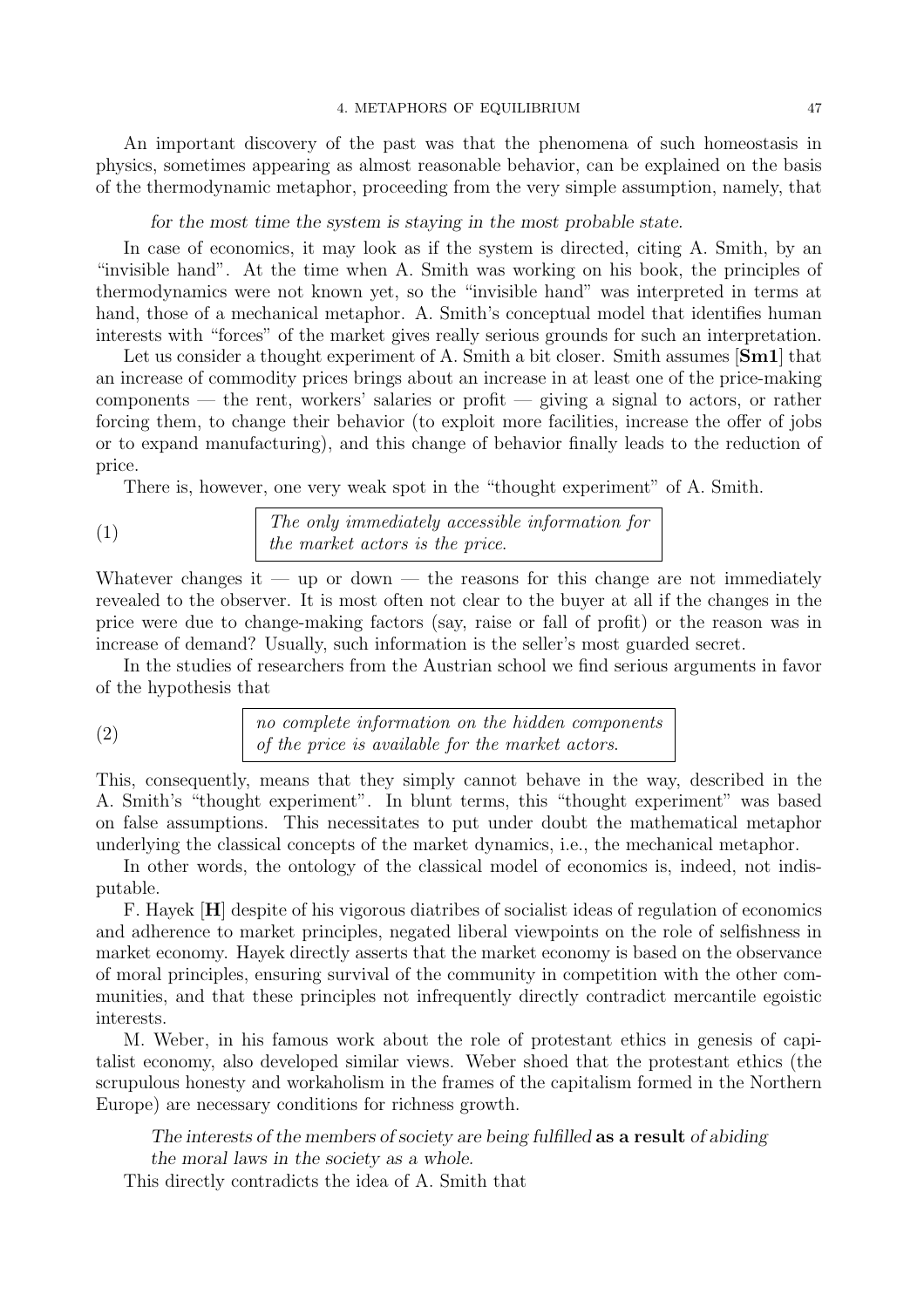An important discovery of the past was that the phenomena of such homeostasis in physics, sometimes appearing as almost reasonable behavior, can be explained on the basis of the thermodynamic metaphor, proceeding from the very simple assumption, namely, that

#### for the most time the system is staying in the most probable state.

In case of economics, it may look as if the system is directed, citing A. Smith, by an "invisible hand". At the time when A. Smith was working on his book, the principles of thermodynamics were not known yet, so the "invisible hand" was interpreted in terms at hand, those of a mechanical metaphor. A. Smith's conceptual model that identifies human interests with "forces" of the market gives really serious grounds for such an interpretation.

Let us consider a thought experiment of A. Smith a bit closer. Smith assumes [Sm1] that an increase of commodity prices brings about an increase in at least one of the price-making components — the rent, workers' salaries or profit — giving a signal to actors, or rather forcing them, to change their behavior (to exploit more facilities, increase the offer of jobs or to expand manufacturing), and this change of behavior finally leads to the reduction of price.

There is, however, one very weak spot in the "thought experiment" of A. Smith.

(1) The only immediately accessible information for the market actors is the price.

Whatever changes it — up or down — the reasons for this change are not immediately revealed to the observer. It is most often not clear to the buyer at all if the changes in the price were due to change-making factors (say, raise or fall of profit) or the reason was in increase of demand? Usually, such information is the seller's most guarded secret.

In the studies of researchers from the Austrian school we find serious arguments in favor of the hypothesis that

(2) no complete information on the hidden components of the price is available for the market actors.

This, consequently, means that they simply cannot behave in the way, described in the A. Smith's "thought experiment". In blunt terms, this "thought experiment" was based on false assumptions. This necessitates to put under doubt the mathematical metaphor underlying the classical concepts of the market dynamics, i.e., the mechanical metaphor.

In other words, the ontology of the classical model of economics is, indeed, not indisputable.

F. Hayek [H] despite of his vigorous diatribes of socialist ideas of regulation of economics and adherence to market principles, negated liberal viewpoints on the role of selfishness in market economy. Hayek directly asserts that the market economy is based on the observance of moral principles, ensuring survival of the community in competition with the other communities, and that these principles not infrequently directly contradict mercantile egoistic interests.

M. Weber, in his famous work about the role of protestant ethics in genesis of capitalist economy, also developed similar views. Weber shoed that the protestant ethics (the scrupulous honesty and workaholism in the frames of the capitalism formed in the Northern Europe) are necessary conditions for richness growth.

The interests of the members of society are being fulfilled as a result of abiding the moral laws in the society as a whole.

This directly contradicts the idea of A. Smith that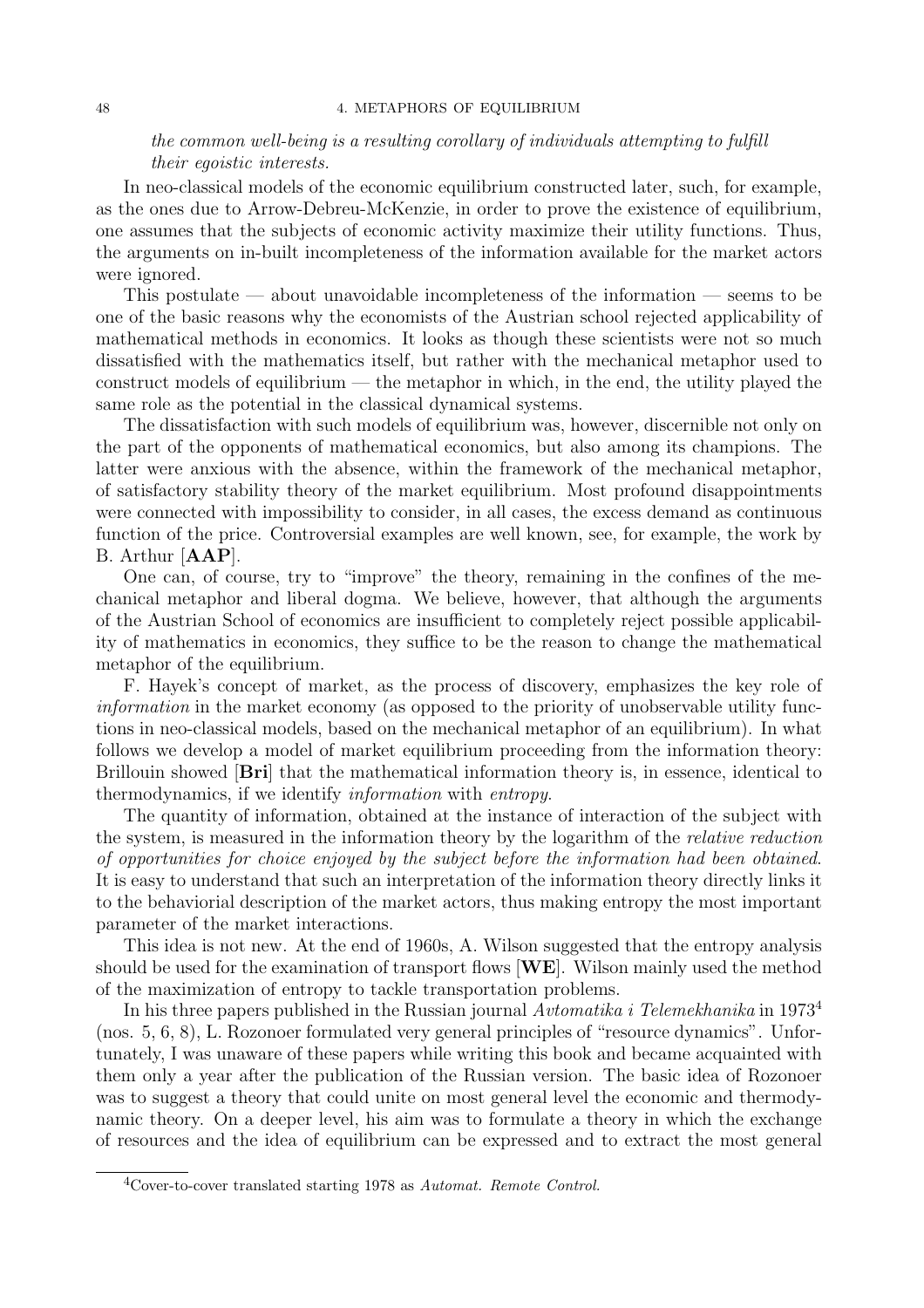## the common well-being is a resulting corollary of individuals attempting to fulfill their egoistic interests.

In neo-classical models of the economic equilibrium constructed later, such, for example, as the ones due to Arrow-Debreu-McKenzie, in order to prove the existence of equilibrium, one assumes that the subjects of economic activity maximize their utility functions. Thus, the arguments on in-built incompleteness of the information available for the market actors were ignored.

This postulate — about unavoidable incompleteness of the information — seems to be one of the basic reasons why the economists of the Austrian school rejected applicability of mathematical methods in economics. It looks as though these scientists were not so much dissatisfied with the mathematics itself, but rather with the mechanical metaphor used to construct models of equilibrium — the metaphor in which, in the end, the utility played the same role as the potential in the classical dynamical systems.

The dissatisfaction with such models of equilibrium was, however, discernible not only on the part of the opponents of mathematical economics, but also among its champions. The latter were anxious with the absence, within the framework of the mechanical metaphor, of satisfactory stability theory of the market equilibrium. Most profound disappointments were connected with impossibility to consider, in all cases, the excess demand as continuous function of the price. Controversial examples are well known, see, for example, the work by B. Arthur [AAP].

One can, of course, try to "improve" the theory, remaining in the confines of the mechanical metaphor and liberal dogma. We believe, however, that although the arguments of the Austrian School of economics are insufficient to completely reject possible applicability of mathematics in economics, they suffice to be the reason to change the mathematical metaphor of the equilibrium.

F. Hayek's concept of market, as the process of discovery, emphasizes the key role of information in the market economy (as opposed to the priority of unobservable utility functions in neo-classical models, based on the mechanical metaphor of an equilibrium). In what follows we develop a model of market equilibrium proceeding from the information theory: Brillouin showed [Bri] that the mathematical information theory is, in essence, identical to thermodynamics, if we identify information with entropy.

The quantity of information, obtained at the instance of interaction of the subject with the system, is measured in the information theory by the logarithm of the relative reduction of opportunities for choice enjoyed by the subject before the information had been obtained. It is easy to understand that such an interpretation of the information theory directly links it to the behaviorial description of the market actors, thus making entropy the most important parameter of the market interactions.

This idea is not new. At the end of 1960s, A. Wilson suggested that the entropy analysis should be used for the examination of transport flows  $[\mathbf{WE}]$ . Wilson mainly used the method of the maximization of entropy to tackle transportation problems.

In his three papers published in the Russian journal Avtomatika i Telemekhanika in 1973<sup>4</sup> (nos. 5, 6, 8), L. Rozonoer formulated very general principles of "resource dynamics". Unfortunately, I was unaware of these papers while writing this book and became acquainted with them only a year after the publication of the Russian version. The basic idea of Rozonoer was to suggest a theory that could unite on most general level the economic and thermodynamic theory. On a deeper level, his aim was to formulate a theory in which the exchange of resources and the idea of equilibrium can be expressed and to extract the most general

 $4$ Cover-to-cover translated starting 1978 as Automat. Remote Control.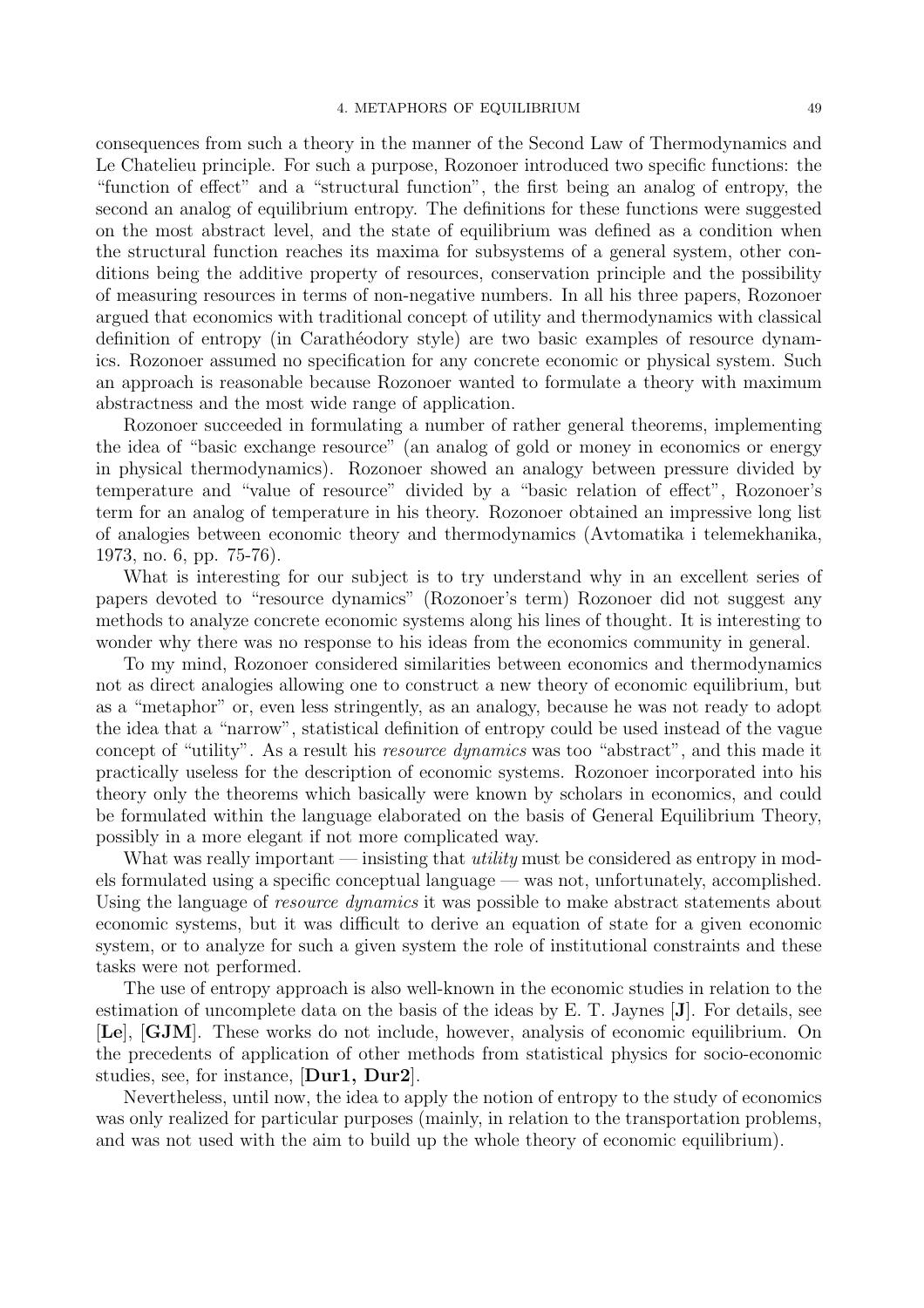consequences from such a theory in the manner of the Second Law of Thermodynamics and Le Chatelieu principle. For such a purpose, Rozonoer introduced two specific functions: the "function of effect" and a "structural function", the first being an analog of entropy, the second an analog of equilibrium entropy. The definitions for these functions were suggested on the most abstract level, and the state of equilibrium was defined as a condition when the structural function reaches its maxima for subsystems of a general system, other conditions being the additive property of resources, conservation principle and the possibility of measuring resources in terms of non-negative numbers. In all his three papers, Rozonoer argued that economics with traditional concept of utility and thermodynamics with classical definition of entropy (in Carathéodory style) are two basic examples of resource dynamics. Rozonoer assumed no specification for any concrete economic or physical system. Such an approach is reasonable because Rozonoer wanted to formulate a theory with maximum abstractness and the most wide range of application.

Rozonoer succeeded in formulating a number of rather general theorems, implementing the idea of "basic exchange resource" (an analog of gold or money in economics or energy in physical thermodynamics). Rozonoer showed an analogy between pressure divided by temperature and "value of resource" divided by a "basic relation of effect", Rozonoer's term for an analog of temperature in his theory. Rozonoer obtained an impressive long list of analogies between economic theory and thermodynamics (Avtomatika i telemekhanika, 1973, no. 6, pp. 75-76).

What is interesting for our subject is to try understand why in an excellent series of papers devoted to "resource dynamics" (Rozonoer's term) Rozonoer did not suggest any methods to analyze concrete economic systems along his lines of thought. It is interesting to wonder why there was no response to his ideas from the economics community in general.

To my mind, Rozonoer considered similarities between economics and thermodynamics not as direct analogies allowing one to construct a new theory of economic equilibrium, but as a "metaphor" or, even less stringently, as an analogy, because he was not ready to adopt the idea that a "narrow", statistical definition of entropy could be used instead of the vague concept of "utility". As a result his *resource dynamics* was too "abstract", and this made it practically useless for the description of economic systems. Rozonoer incorporated into his theory only the theorems which basically were known by scholars in economics, and could be formulated within the language elaborated on the basis of General Equilibrium Theory, possibly in a more elegant if not more complicated way.

What was really important — insisting that *utility* must be considered as entropy in models formulated using a specific conceptual language — was not, unfortunately, accomplished. Using the language of *resource dynamics* it was possible to make abstract statements about economic systems, but it was difficult to derive an equation of state for a given economic system, or to analyze for such a given system the role of institutional constraints and these tasks were not performed.

The use of entropy approach is also well-known in the economic studies in relation to the estimation of uncomplete data on the basis of the ideas by E. T. Jaynes [J]. For details, see [Le], [GJM]. These works do not include, however, analysis of economic equilibrium. On the precedents of application of other methods from statistical physics for socio-economic studies, see, for instance, [Dur1, Dur2].

Nevertheless, until now, the idea to apply the notion of entropy to the study of economics was only realized for particular purposes (mainly, in relation to the transportation problems, and was not used with the aim to build up the whole theory of economic equilibrium).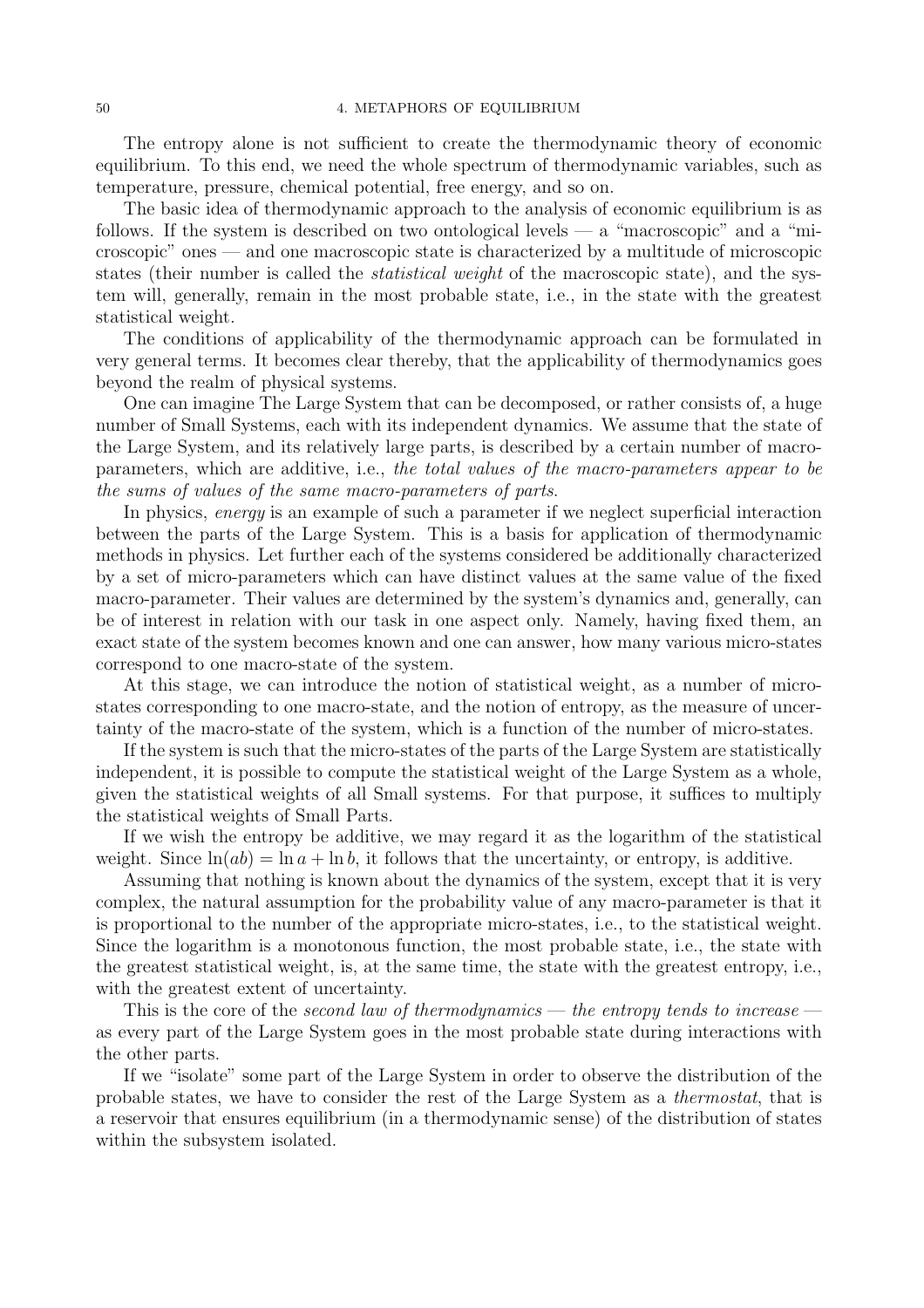The entropy alone is not sufficient to create the thermodynamic theory of economic equilibrium. To this end, we need the whole spectrum of thermodynamic variables, such as temperature, pressure, chemical potential, free energy, and so on.

The basic idea of thermodynamic approach to the analysis of economic equilibrium is as follows. If the system is described on two ontological levels — a "macroscopic" and a "microscopic" ones — and one macroscopic state is characterized by a multitude of microscopic states (their number is called the *statistical weight* of the macroscopic state), and the system will, generally, remain in the most probable state, i.e., in the state with the greatest statistical weight.

The conditions of applicability of the thermodynamic approach can be formulated in very general terms. It becomes clear thereby, that the applicability of thermodynamics goes beyond the realm of physical systems.

One can imagine The Large System that can be decomposed, or rather consists of, a huge number of Small Systems, each with its independent dynamics. We assume that the state of the Large System, and its relatively large parts, is described by a certain number of macroparameters, which are additive, i.e., the total values of the macro-parameters appear to be the sums of values of the same macro-parameters of parts.

In physics, energy is an example of such a parameter if we neglect superficial interaction between the parts of the Large System. This is a basis for application of thermodynamic methods in physics. Let further each of the systems considered be additionally characterized by a set of micro-parameters which can have distinct values at the same value of the fixed macro-parameter. Their values are determined by the system's dynamics and, generally, can be of interest in relation with our task in one aspect only. Namely, having fixed them, an exact state of the system becomes known and one can answer, how many various micro-states correspond to one macro-state of the system.

At this stage, we can introduce the notion of statistical weight, as a number of microstates corresponding to one macro-state, and the notion of entropy, as the measure of uncertainty of the macro-state of the system, which is a function of the number of micro-states.

If the system is such that the micro-states of the parts of the Large System are statistically independent, it is possible to compute the statistical weight of the Large System as a whole, given the statistical weights of all Small systems. For that purpose, it suffices to multiply the statistical weights of Small Parts.

If we wish the entropy be additive, we may regard it as the logarithm of the statistical weight. Since  $\ln(ab) = \ln a + \ln b$ , it follows that the uncertainty, or entropy, is additive.

Assuming that nothing is known about the dynamics of the system, except that it is very complex, the natural assumption for the probability value of any macro-parameter is that it is proportional to the number of the appropriate micro-states, i.e., to the statistical weight. Since the logarithm is a monotonous function, the most probable state, i.e., the state with the greatest statistical weight, is, at the same time, the state with the greatest entropy, i.e., with the greatest extent of uncertainty.

This is the core of the *second law of thermodynamics* — the entropy tends to increase as every part of the Large System goes in the most probable state during interactions with the other parts.

If we "isolate" some part of the Large System in order to observe the distribution of the probable states, we have to consider the rest of the Large System as a thermostat, that is a reservoir that ensures equilibrium (in a thermodynamic sense) of the distribution of states within the subsystem isolated.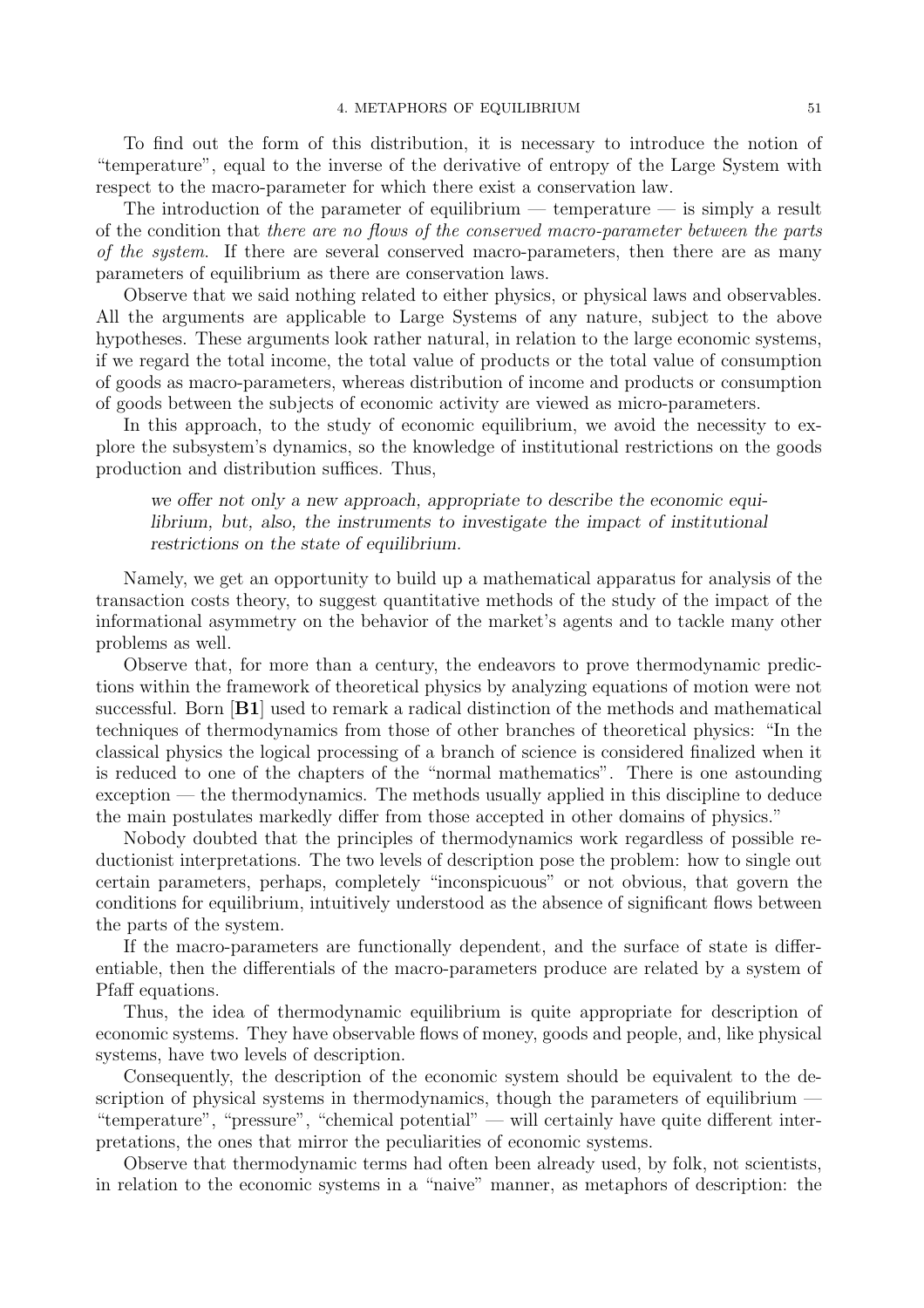To find out the form of this distribution, it is necessary to introduce the notion of "temperature", equal to the inverse of the derivative of entropy of the Large System with respect to the macro-parameter for which there exist a conservation law.

The introduction of the parameter of equilibrium — temperature — is simply a result of the condition that there are no flows of the conserved macro-parameter between the parts of the system. If there are several conserved macro-parameters, then there are as many parameters of equilibrium as there are conservation laws.

Observe that we said nothing related to either physics, or physical laws and observables. All the arguments are applicable to Large Systems of any nature, subject to the above hypotheses. These arguments look rather natural, in relation to the large economic systems, if we regard the total income, the total value of products or the total value of consumption of goods as macro-parameters, whereas distribution of income and products or consumption of goods between the subjects of economic activity are viewed as micro-parameters.

In this approach, to the study of economic equilibrium, we avoid the necessity to explore the subsystem's dynamics, so the knowledge of institutional restrictions on the goods production and distribution suffices. Thus,

we offer not only a new approach, appropriate to describe the economic equilibrium, but, also, the instruments to investigate the impact of institutional restrictions on the state of equilibrium.

Namely, we get an opportunity to build up a mathematical apparatus for analysis of the transaction costs theory, to suggest quantitative methods of the study of the impact of the informational asymmetry on the behavior of the market's agents and to tackle many other problems as well.

Observe that, for more than a century, the endeavors to prove thermodynamic predictions within the framework of theoretical physics by analyzing equations of motion were not successful. Born [B1] used to remark a radical distinction of the methods and mathematical techniques of thermodynamics from those of other branches of theoretical physics: "In the classical physics the logical processing of a branch of science is considered finalized when it is reduced to one of the chapters of the "normal mathematics". There is one astounding exception — the thermodynamics. The methods usually applied in this discipline to deduce the main postulates markedly differ from those accepted in other domains of physics."

Nobody doubted that the principles of thermodynamics work regardless of possible reductionist interpretations. The two levels of description pose the problem: how to single out certain parameters, perhaps, completely "inconspicuous" or not obvious, that govern the conditions for equilibrium, intuitively understood as the absence of significant flows between the parts of the system.

If the macro-parameters are functionally dependent, and the surface of state is differentiable, then the differentials of the macro-parameters produce are related by a system of Pfaff equations.

Thus, the idea of thermodynamic equilibrium is quite appropriate for description of economic systems. They have observable flows of money, goods and people, and, like physical systems, have two levels of description.

Consequently, the description of the economic system should be equivalent to the description of physical systems in thermodynamics, though the parameters of equilibrium "temperature", "pressure", "chemical potential" — will certainly have quite different interpretations, the ones that mirror the peculiarities of economic systems.

Observe that thermodynamic terms had often been already used, by folk, not scientists, in relation to the economic systems in a "naive" manner, as metaphors of description: the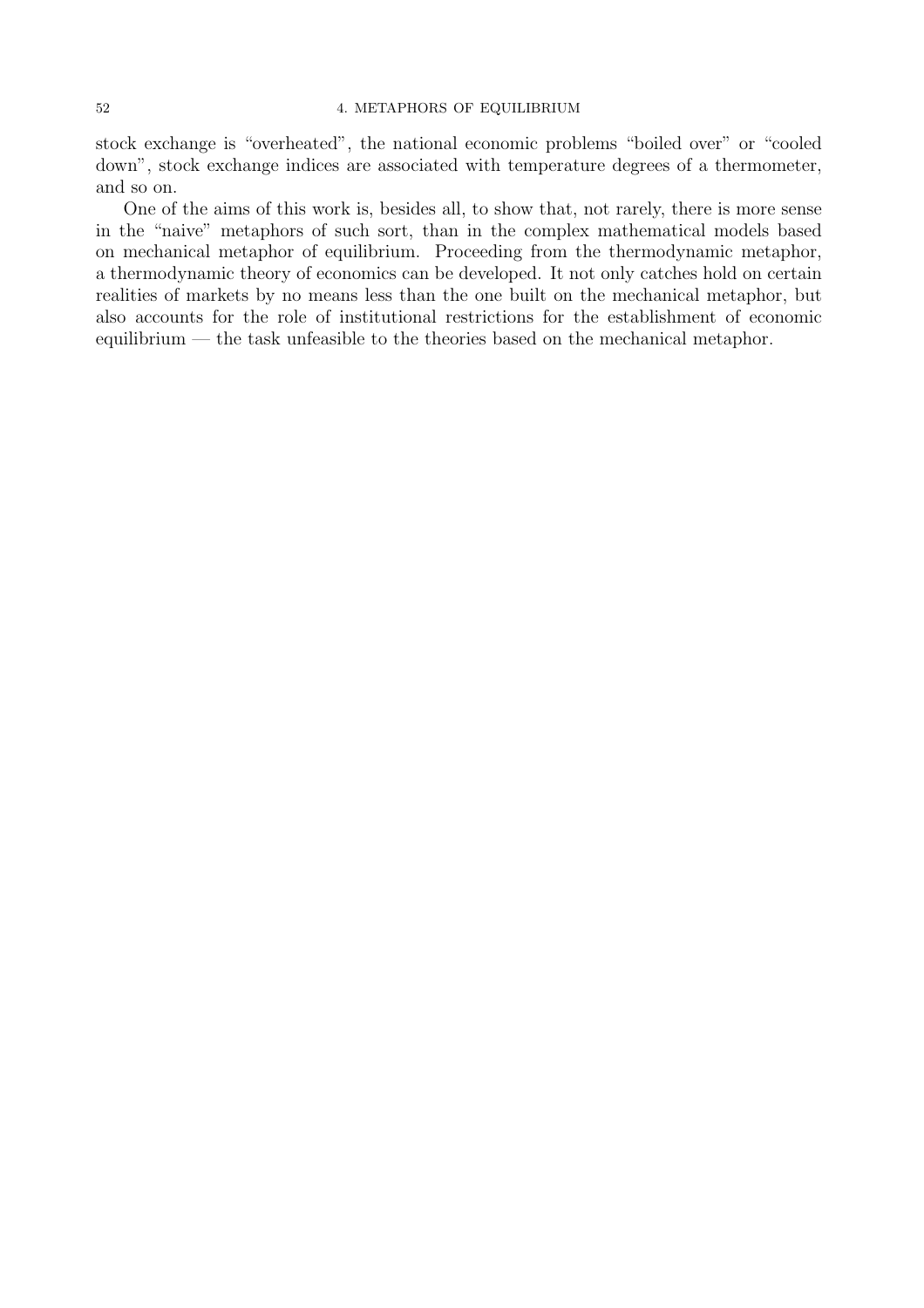#### 52 4. METAPHORS OF EQUILIBRIUM

stock exchange is "overheated", the national economic problems "boiled over" or "cooled down", stock exchange indices are associated with temperature degrees of a thermometer, and so on.

One of the aims of this work is, besides all, to show that, not rarely, there is more sense in the "naive" metaphors of such sort, than in the complex mathematical models based on mechanical metaphor of equilibrium. Proceeding from the thermodynamic metaphor, a thermodynamic theory of economics can be developed. It not only catches hold on certain realities of markets by no means less than the one built on the mechanical metaphor, but also accounts for the role of institutional restrictions for the establishment of economic equilibrium — the task unfeasible to the theories based on the mechanical metaphor.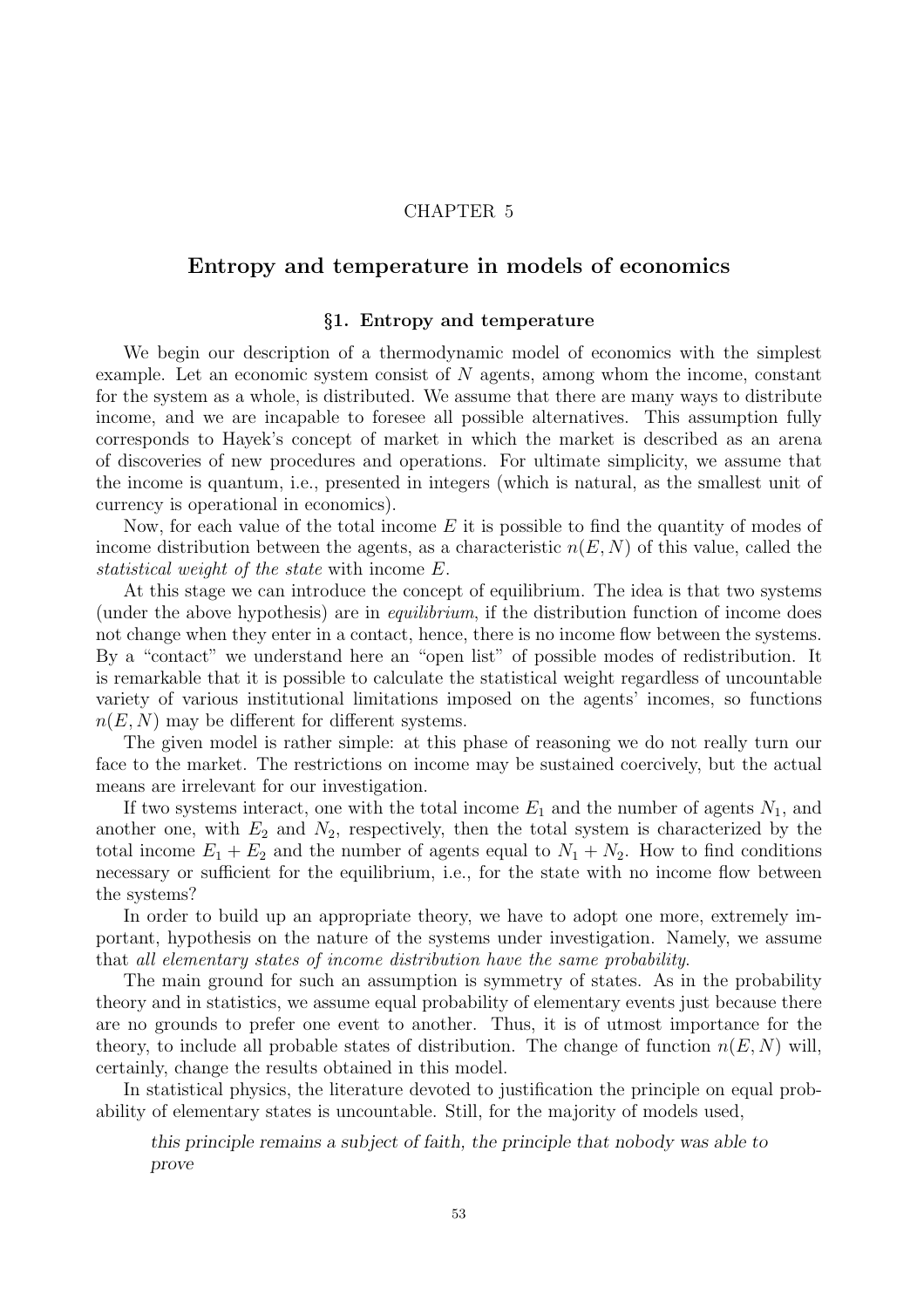## CHAPTER 5

# Entropy and temperature in models of economics

### §1. Entropy and temperature

We begin our description of a thermodynamic model of economics with the simplest example. Let an economic system consist of N agents, among whom the income, constant for the system as a whole, is distributed. We assume that there are many ways to distribute income, and we are incapable to foresee all possible alternatives. This assumption fully corresponds to Hayek's concept of market in which the market is described as an arena of discoveries of new procedures and operations. For ultimate simplicity, we assume that the income is quantum, i.e., presented in integers (which is natural, as the smallest unit of currency is operational in economics).

Now, for each value of the total income  $E$  it is possible to find the quantity of modes of income distribution between the agents, as a characteristic  $n(E, N)$  of this value, called the statistical weight of the state with income E.

At this stage we can introduce the concept of equilibrium. The idea is that two systems (under the above hypothesis) are in equilibrium, if the distribution function of income does not change when they enter in a contact, hence, there is no income flow between the systems. By a "contact" we understand here an "open list" of possible modes of redistribution. It is remarkable that it is possible to calculate the statistical weight regardless of uncountable variety of various institutional limitations imposed on the agents' incomes, so functions  $n(E, N)$  may be different for different systems.

The given model is rather simple: at this phase of reasoning we do not really turn our face to the market. The restrictions on income may be sustained coercively, but the actual means are irrelevant for our investigation.

If two systems interact, one with the total income  $E_1$  and the number of agents  $N_1$ , and another one, with  $E_2$  and  $N_2$ , respectively, then the total system is characterized by the total income  $E_1 + E_2$  and the number of agents equal to  $N_1 + N_2$ . How to find conditions necessary or sufficient for the equilibrium, i.e., for the state with no income flow between the systems?

In order to build up an appropriate theory, we have to adopt one more, extremely important, hypothesis on the nature of the systems under investigation. Namely, we assume that all elementary states of income distribution have the same probability.

The main ground for such an assumption is symmetry of states. As in the probability theory and in statistics, we assume equal probability of elementary events just because there are no grounds to prefer one event to another. Thus, it is of utmost importance for the theory, to include all probable states of distribution. The change of function  $n(E, N)$  will, certainly, change the results obtained in this model.

In statistical physics, the literature devoted to justification the principle on equal probability of elementary states is uncountable. Still, for the majority of models used,

this principle remains a subject of faith, the principle that nobody was able to prove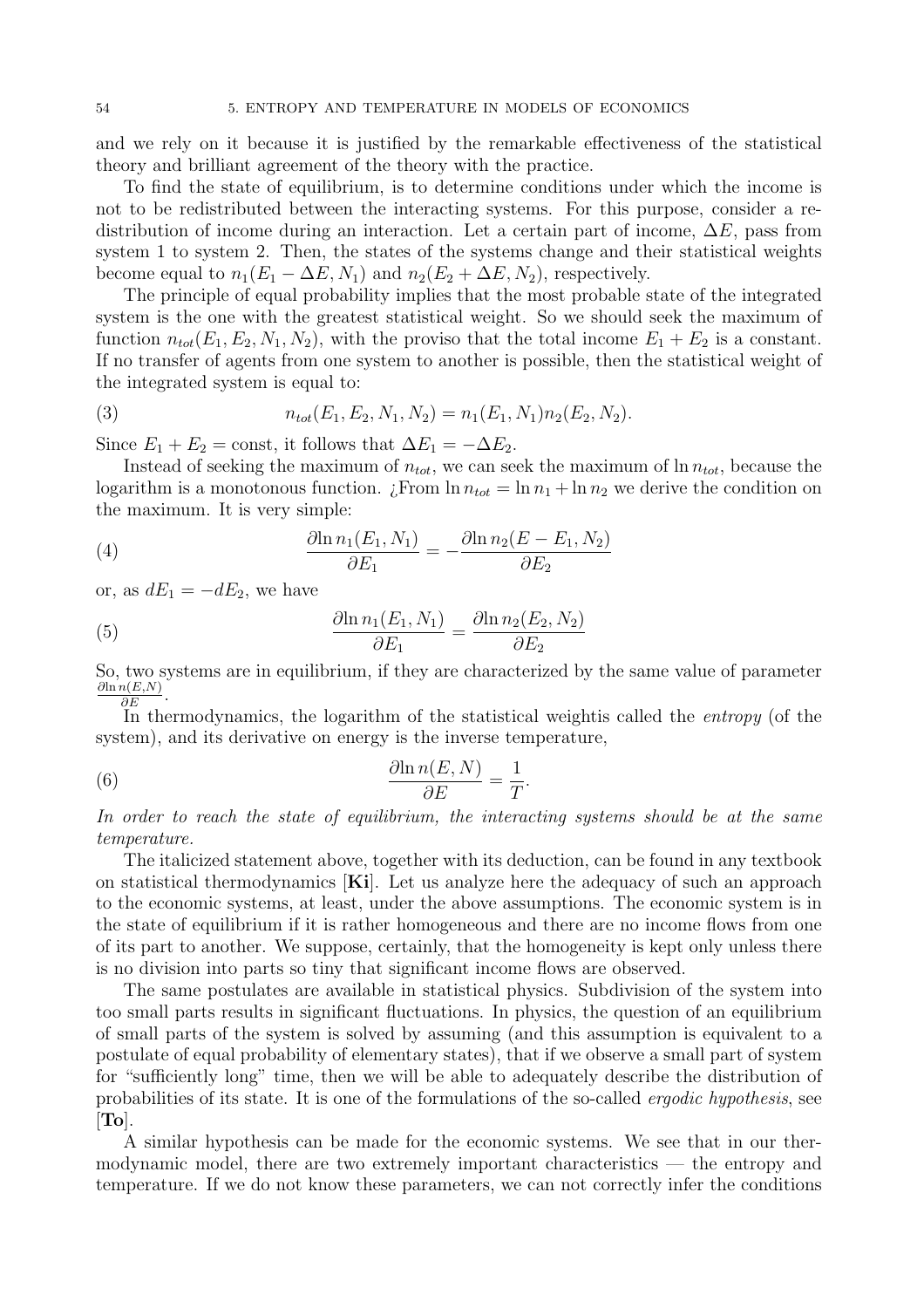and we rely on it because it is justified by the remarkable effectiveness of the statistical theory and brilliant agreement of the theory with the practice.

To find the state of equilibrium, is to determine conditions under which the income is not to be redistributed between the interacting systems. For this purpose, consider a redistribution of income during an interaction. Let a certain part of income,  $\Delta E$ , pass from system 1 to system 2. Then, the states of the systems change and their statistical weights become equal to  $n_1(E_1 - \Delta E, N_1)$  and  $n_2(E_2 + \Delta E, N_2)$ , respectively.

The principle of equal probability implies that the most probable state of the integrated system is the one with the greatest statistical weight. So we should seek the maximum of function  $n_{tot}(E_1, E_2, N_1, N_2)$ , with the proviso that the total income  $E_1 + E_2$  is a constant. If no transfer of agents from one system to another is possible, then the statistical weight of the integrated system is equal to:

(3) 
$$
n_{tot}(E_1, E_2, N_1, N_2) = n_1(E_1, N_1) n_2(E_2, N_2).
$$

Since  $E_1 + E_2 = \text{const}$ , it follows that  $\Delta E_1 = -\Delta E_2$ .

Instead of seeking the maximum of  $n_{tot}$ , we can seek the maximum of  $\ln n_{tot}$ , because the logarithm is a monotonous function.  $\lim_{t \to t} \ln n_{tot} = \ln n_1 + \ln n_2$  we derive the condition on the maximum. It is very simple:

(4) 
$$
\frac{\partial \ln n_1(E_1, N_1)}{\partial E_1} = -\frac{\partial \ln n_2(E - E_1, N_2)}{\partial E_2}
$$

or, as  $dE_1 = -dE_2$ , we have

(5) 
$$
\frac{\partial \ln n_1(E_1, N_1)}{\partial E_1} = \frac{\partial \ln n_2(E_2, N_2)}{\partial E_2}
$$

So, two systems are in equilibrium, if they are characterized by the same value of parameter  $\frac{\partial \ln n(E,N)}{\partial E}$ .

In thermodynamics, the logarithm of the statistical weightis called the *entropy* (of the system), and its derivative on energy is the inverse temperature,

(6) 
$$
\frac{\partial \ln n(E, N)}{\partial E} = \frac{1}{T}
$$

In order to reach the state of equilibrium, the interacting systems should be at the same temperature.

.

The italicized statement above, together with its deduction, can be found in any textbook on statistical thermodynamics  $[Ki]$ . Let us analyze here the adequacy of such an approach to the economic systems, at least, under the above assumptions. The economic system is in the state of equilibrium if it is rather homogeneous and there are no income flows from one of its part to another. We suppose, certainly, that the homogeneity is kept only unless there is no division into parts so tiny that significant income flows are observed.

The same postulates are available in statistical physics. Subdivision of the system into too small parts results in significant fluctuations. In physics, the question of an equilibrium of small parts of the system is solved by assuming (and this assumption is equivalent to a postulate of equal probability of elementary states), that if we observe a small part of system for "sufficiently long" time, then we will be able to adequately describe the distribution of probabilities of its state. It is one of the formulations of the so-called ergodic hypothesis, see  $[T<sub>o</sub>]$ .

A similar hypothesis can be made for the economic systems. We see that in our thermodynamic model, there are two extremely important characteristics — the entropy and temperature. If we do not know these parameters, we can not correctly infer the conditions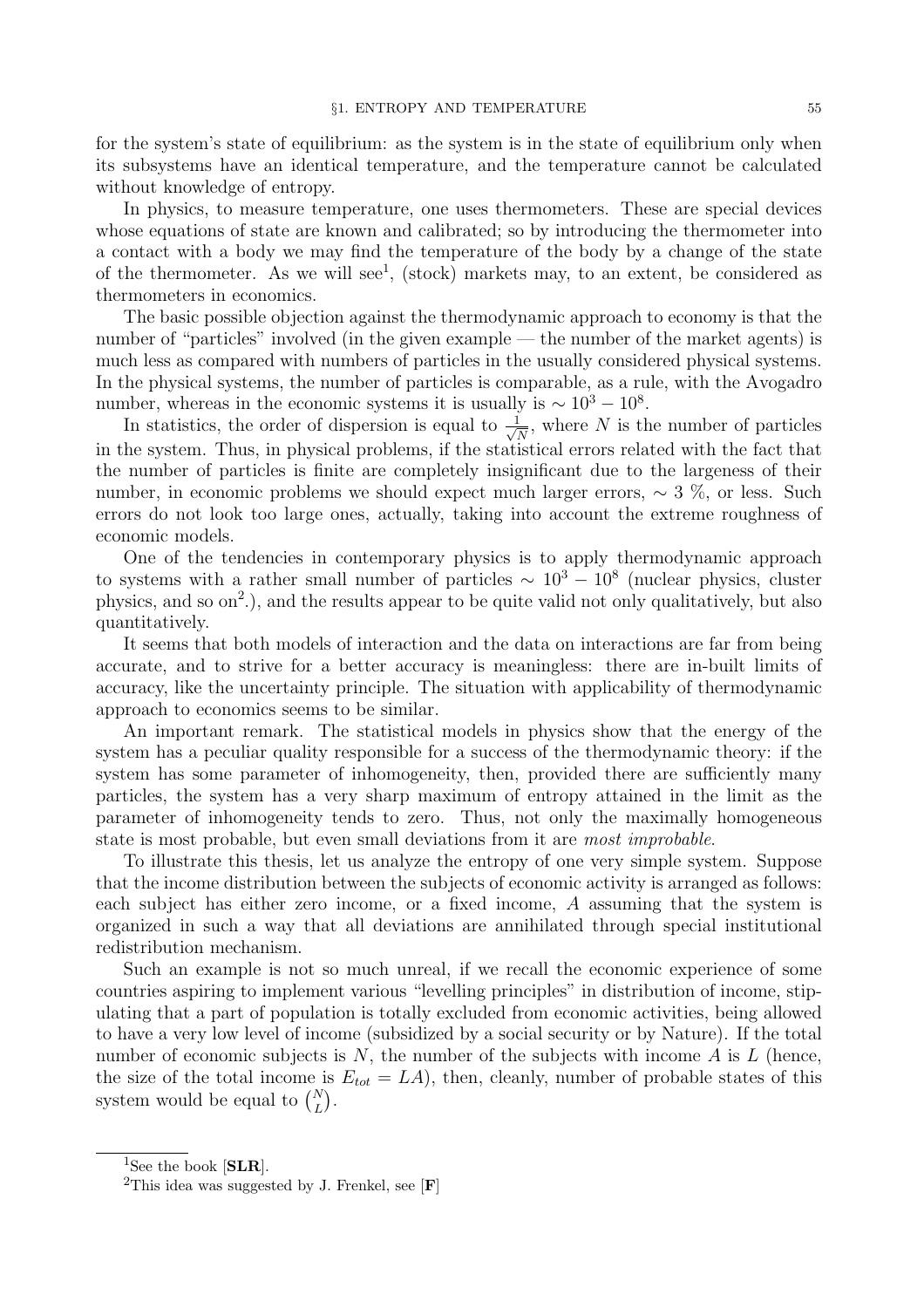for the system's state of equilibrium: as the system is in the state of equilibrium only when its subsystems have an identical temperature, and the temperature cannot be calculated without knowledge of entropy.

In physics, to measure temperature, one uses thermometers. These are special devices whose equations of state are known and calibrated; so by introducing the thermometer into a contact with a body we may find the temperature of the body by a change of the state of the thermometer. As we will see<sup>1</sup>, (stock) markets may, to an extent, be considered as thermometers in economics.

The basic possible objection against the thermodynamic approach to economy is that the number of "particles" involved (in the given example — the number of the market agents) is much less as compared with numbers of particles in the usually considered physical systems. In the physical systems, the number of particles is comparable, as a rule, with the Avogadro number, whereas in the economic systems it is usually is  $\sim 10^3 - 10^8$ .

In statistics, the order of dispersion is equal to  $\frac{1}{\sqrt{2}}$  $\frac{1}{\overline{N}}$ , where N is the number of particles in the system. Thus, in physical problems, if the statistical errors related with the fact that the number of particles is finite are completely insignificant due to the largeness of their number, in economic problems we should expect much larger errors, ∼ 3 %, or less. Such errors do not look too large ones, actually, taking into account the extreme roughness of economic models.

One of the tendencies in contemporary physics is to apply thermodynamic approach to systems with a rather small number of particles  $\sim 10^3 - 10^8$  (nuclear physics, cluster physics, and so on<sup>2</sup>.), and the results appear to be quite valid not only qualitatively, but also quantitatively.

It seems that both models of interaction and the data on interactions are far from being accurate, and to strive for a better accuracy is meaningless: there are in-built limits of accuracy, like the uncertainty principle. The situation with applicability of thermodynamic approach to economics seems to be similar.

An important remark. The statistical models in physics show that the energy of the system has a peculiar quality responsible for a success of the thermodynamic theory: if the system has some parameter of inhomogeneity, then, provided there are sufficiently many particles, the system has a very sharp maximum of entropy attained in the limit as the parameter of inhomogeneity tends to zero. Thus, not only the maximally homogeneous state is most probable, but even small deviations from it are most improbable.

To illustrate this thesis, let us analyze the entropy of one very simple system. Suppose that the income distribution between the subjects of economic activity is arranged as follows: each subject has either zero income, or a fixed income, A assuming that the system is organized in such a way that all deviations are annihilated through special institutional redistribution mechanism.

Such an example is not so much unreal, if we recall the economic experience of some countries aspiring to implement various "levelling principles" in distribution of income, stipulating that a part of population is totally excluded from economic activities, being allowed to have a very low level of income (subsidized by a social security or by Nature). If the total number of economic subjects is  $N$ , the number of the subjects with income  $A$  is  $L$  (hence, the size of the total income is  $E_{tot} = LA$ , then, cleanly, number of probable states of this system would be equal to  $\binom{N}{L}$ .

<sup>&</sup>lt;sup>1</sup>See the book [SLR].

<sup>&</sup>lt;sup>2</sup>This idea was suggested by J. Frenkel, see [F]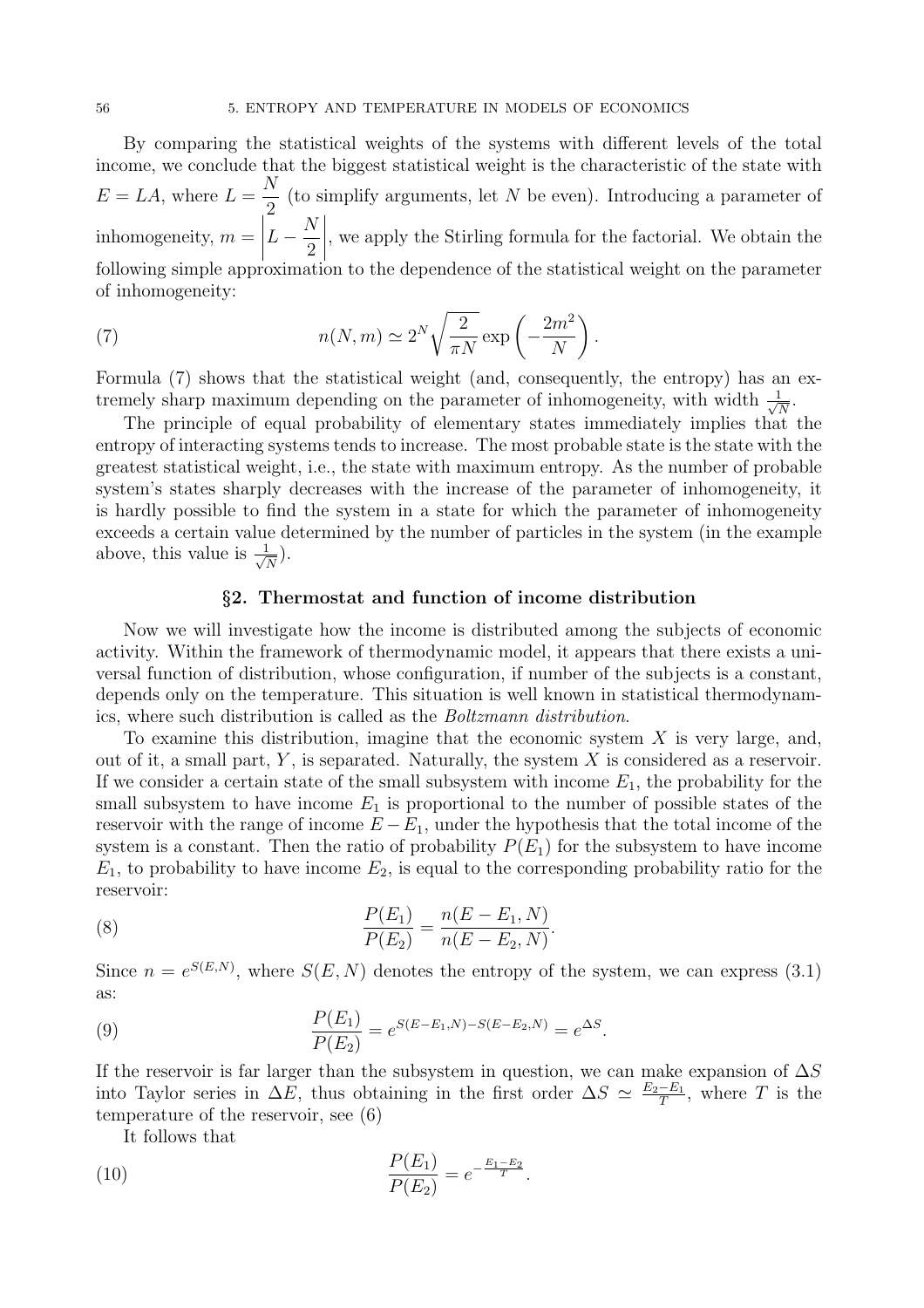By comparing the statistical weights of the systems with different levels of the total income, we conclude that the biggest statistical weight is the characteristic of the state with  $E = LA$ , where  $L =$  $\overline{N}$ 2 (to simplify arguments, let N be even). Introducing a parameter of inhomogeneity,  $m =$  $\left| \begin{matrix} L \\ L \end{matrix} \right|$  $\overline{N}$ 2 ¯ ¯ ¯ ¯ , we apply the Stirling formula for the factorial. We obtain the following simple approximation to the dependence of the statistical weight on the parameter of inhomogeneity:

(7) 
$$
n(N,m) \simeq 2^N \sqrt{\frac{2}{\pi N}} \exp\left(-\frac{2m^2}{N}\right).
$$

Formula (7) shows that the statistical weight (and, consequently, the entropy) has an extremely sharp maximum depending on the parameter of inhomogeneity, with width  $\frac{1}{\sqrt{2}}$  $\frac{1}{\overline{N}}$  .

The principle of equal probability of elementary states immediately implies that the entropy of interacting systems tends to increase. The most probable state is the state with the greatest statistical weight, i.e., the state with maximum entropy. As the number of probable system's states sharply decreases with the increase of the parameter of inhomogeneity, it is hardly possible to find the system in a state for which the parameter of inhomogeneity exceeds a certain value determined by the number of particles in the system (in the example above, this value is  $\frac{1}{\sqrt{2}}$  $\frac{1}{\overline{N}}$ ).

#### §2. Thermostat and function of income distribution

Now we will investigate how the income is distributed among the subjects of economic activity. Within the framework of thermodynamic model, it appears that there exists a universal function of distribution, whose configuration, if number of the subjects is a constant, depends only on the temperature. This situation is well known in statistical thermodynamics, where such distribution is called as the Boltzmann distribution.

To examine this distribution, imagine that the economic system  $X$  is very large, and, out of it, a small part,  $Y$ , is separated. Naturally, the system  $X$  is considered as a reservoir. If we consider a certain state of the small subsystem with income  $E_1$ , the probability for the small subsystem to have income  $E_1$  is proportional to the number of possible states of the reservoir with the range of income  $E - E_1$ , under the hypothesis that the total income of the system is a constant. Then the ratio of probability  $P(E_1)$  for the subsystem to have income  $E_1$ , to probability to have income  $E_2$ , is equal to the corresponding probability ratio for the reservoir:

(8) 
$$
\frac{P(E_1)}{P(E_2)} = \frac{n(E - E_1, N)}{n(E - E_2, N)}.
$$

Since  $n = e^{S(E,N)}$ , where  $S(E,N)$  denotes the entropy of the system, we can express (3.1) as:

(9) 
$$
\frac{P(E_1)}{P(E_2)} = e^{S(E - E_1, N) - S(E - E_2, N)} = e^{\Delta S}.
$$

If the reservoir is far larger than the subsystem in question, we can make expansion of  $\Delta S$ into Taylor series in  $\Delta E$ , thus obtaining in the first order  $\Delta S \simeq \frac{E_2 - E_1}{T}$ , where T is the temperature of the reservoir, see (6)

It follows that

(10) 
$$
\frac{P(E_1)}{P(E_2)} = e^{-\frac{E_1 - E_2}{T}}.
$$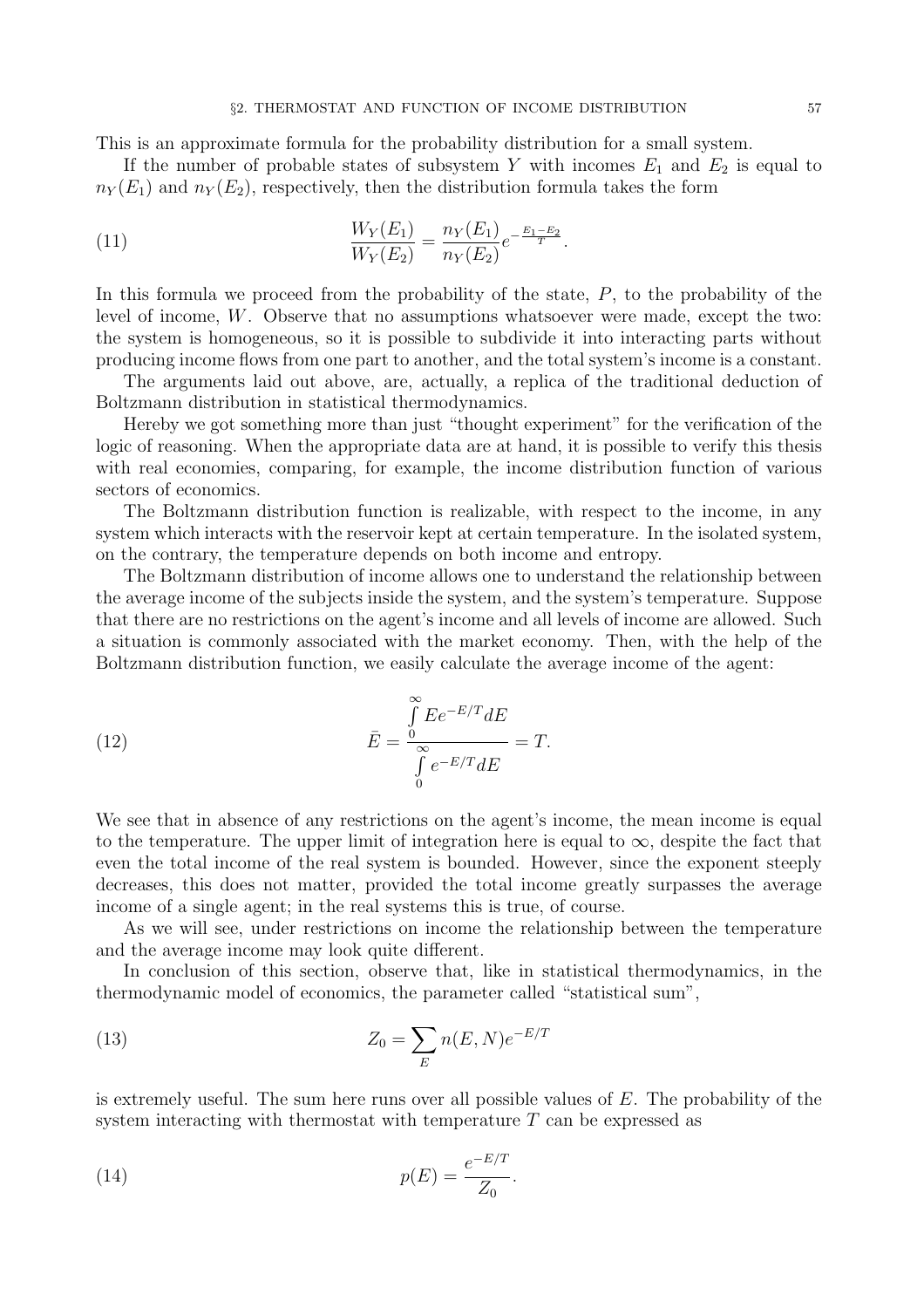This is an approximate formula for the probability distribution for a small system.

If the number of probable states of subsystem Y with incomes  $E_1$  and  $E_2$  is equal to  $n_Y(E_1)$  and  $n_Y(E_2)$ , respectively, then the distribution formula takes the form

(11) 
$$
\frac{W_Y(E_1)}{W_Y(E_2)} = \frac{n_Y(E_1)}{n_Y(E_2)} e^{-\frac{E_1 - E_2}{T}}.
$$

In this formula we proceed from the probability of the state,  $P$ , to the probability of the level of income, W. Observe that no assumptions whatsoever were made, except the two: the system is homogeneous, so it is possible to subdivide it into interacting parts without producing income flows from one part to another, and the total system's income is a constant.

The arguments laid out above, are, actually, a replica of the traditional deduction of Boltzmann distribution in statistical thermodynamics.

Hereby we got something more than just "thought experiment" for the verification of the logic of reasoning. When the appropriate data are at hand, it is possible to verify this thesis with real economies, comparing, for example, the income distribution function of various sectors of economics.

The Boltzmann distribution function is realizable, with respect to the income, in any system which interacts with the reservoir kept at certain temperature. In the isolated system, on the contrary, the temperature depends on both income and entropy.

The Boltzmann distribution of income allows one to understand the relationship between the average income of the subjects inside the system, and the system's temperature. Suppose that there are no restrictions on the agent's income and all levels of income are allowed. Such a situation is commonly associated with the market economy. Then, with the help of the Boltzmann distribution function, we easily calculate the average income of the agent:

(12) 
$$
\bar{E} = \frac{\int_{0}^{\infty} E e^{-E/T} dE}{\int_{0}^{\infty} e^{-E/T} dE} = T.
$$

We see that in absence of any restrictions on the agent's income, the mean income is equal to the temperature. The upper limit of integration here is equal to  $\infty$ , despite the fact that even the total income of the real system is bounded. However, since the exponent steeply decreases, this does not matter, provided the total income greatly surpasses the average income of a single agent; in the real systems this is true, of course.

As we will see, under restrictions on income the relationship between the temperature and the average income may look quite different.

In conclusion of this section, observe that, like in statistical thermodynamics, in the thermodynamic model of economics, the parameter called "statistical sum",

(13) 
$$
Z_0 = \sum_{E} n(E, N)e^{-E/T}
$$

is extremely useful. The sum here runs over all possible values of  $E$ . The probability of the system interacting with thermostat with temperature  $T$  can be expressed as

(14) 
$$
p(E) = \frac{e^{-E/T}}{Z_0}.
$$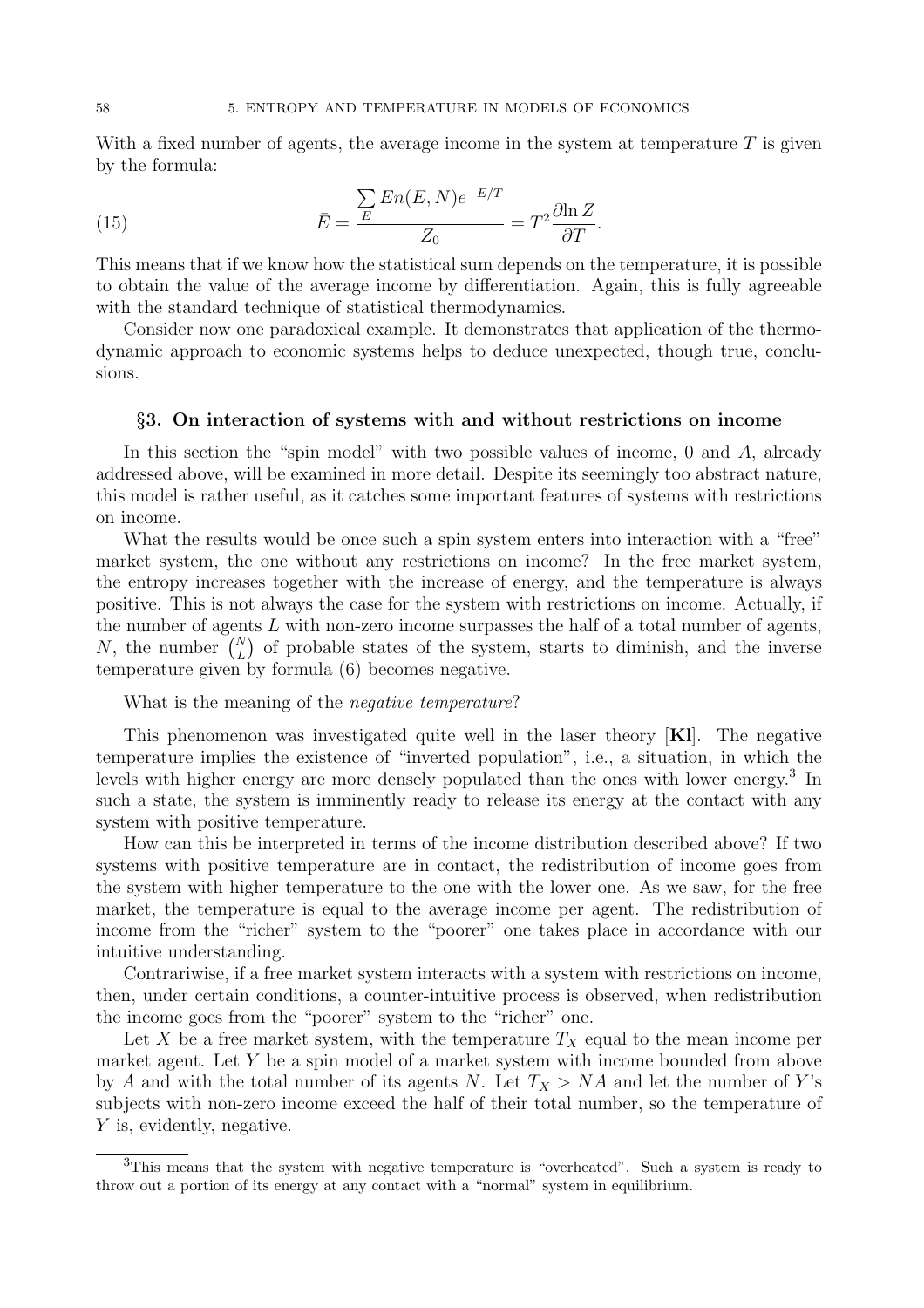With a fixed number of agents, the average income in the system at temperature  $T$  is given by the formula:

(15) 
$$
\bar{E} = \frac{\sum_{E} En(E, N)e^{-E/T}}{Z_0} = T^2 \frac{\partial \ln Z}{\partial T}.
$$

This means that if we know how the statistical sum depends on the temperature, it is possible to obtain the value of the average income by differentiation. Again, this is fully agreeable with the standard technique of statistical thermodynamics.

Consider now one paradoxical example. It demonstrates that application of the thermodynamic approach to economic systems helps to deduce unexpected, though true, conclusions.

#### §3. On interaction of systems with and without restrictions on income

In this section the "spin model" with two possible values of income, 0 and A, already addressed above, will be examined in more detail. Despite its seemingly too abstract nature, this model is rather useful, as it catches some important features of systems with restrictions on income.

What the results would be once such a spin system enters into interaction with a "free" market system, the one without any restrictions on income? In the free market system, the entropy increases together with the increase of energy, and the temperature is always positive. This is not always the case for the system with restrictions on income. Actually, if the number of agents L with non-zero income surpasses the half of a total number of agents, N, the number  $\binom{N}{L}$  of probable states of the system, starts to diminish, and the inverse temperature given by formula (6) becomes negative.

What is the meaning of the *negative temperature*?

This phenomenon was investigated quite well in the laser theory [Kl]. The negative temperature implies the existence of "inverted population", i.e., a situation, in which the levels with higher energy are more densely populated than the ones with lower energy.<sup>3</sup> In such a state, the system is imminently ready to release its energy at the contact with any system with positive temperature.

How can this be interpreted in terms of the income distribution described above? If two systems with positive temperature are in contact, the redistribution of income goes from the system with higher temperature to the one with the lower one. As we saw, for the free market, the temperature is equal to the average income per agent. The redistribution of income from the "richer" system to the "poorer" one takes place in accordance with our intuitive understanding.

Contrariwise, if a free market system interacts with a system with restrictions on income, then, under certain conditions, a counter-intuitive process is observed, when redistribution the income goes from the "poorer" system to the "richer" one.

Let X be a free market system, with the temperature  $T_X$  equal to the mean income per market agent. Let Y be a spin model of a market system with income bounded from above by A and with the total number of its agents N. Let  $T_X > NA$  and let the number of Y's subjects with non-zero income exceed the half of their total number, so the temperature of Y is, evidently, negative.

<sup>&</sup>lt;sup>3</sup>This means that the system with negative temperature is "overheated". Such a system is ready to throw out a portion of its energy at any contact with a "normal" system in equilibrium.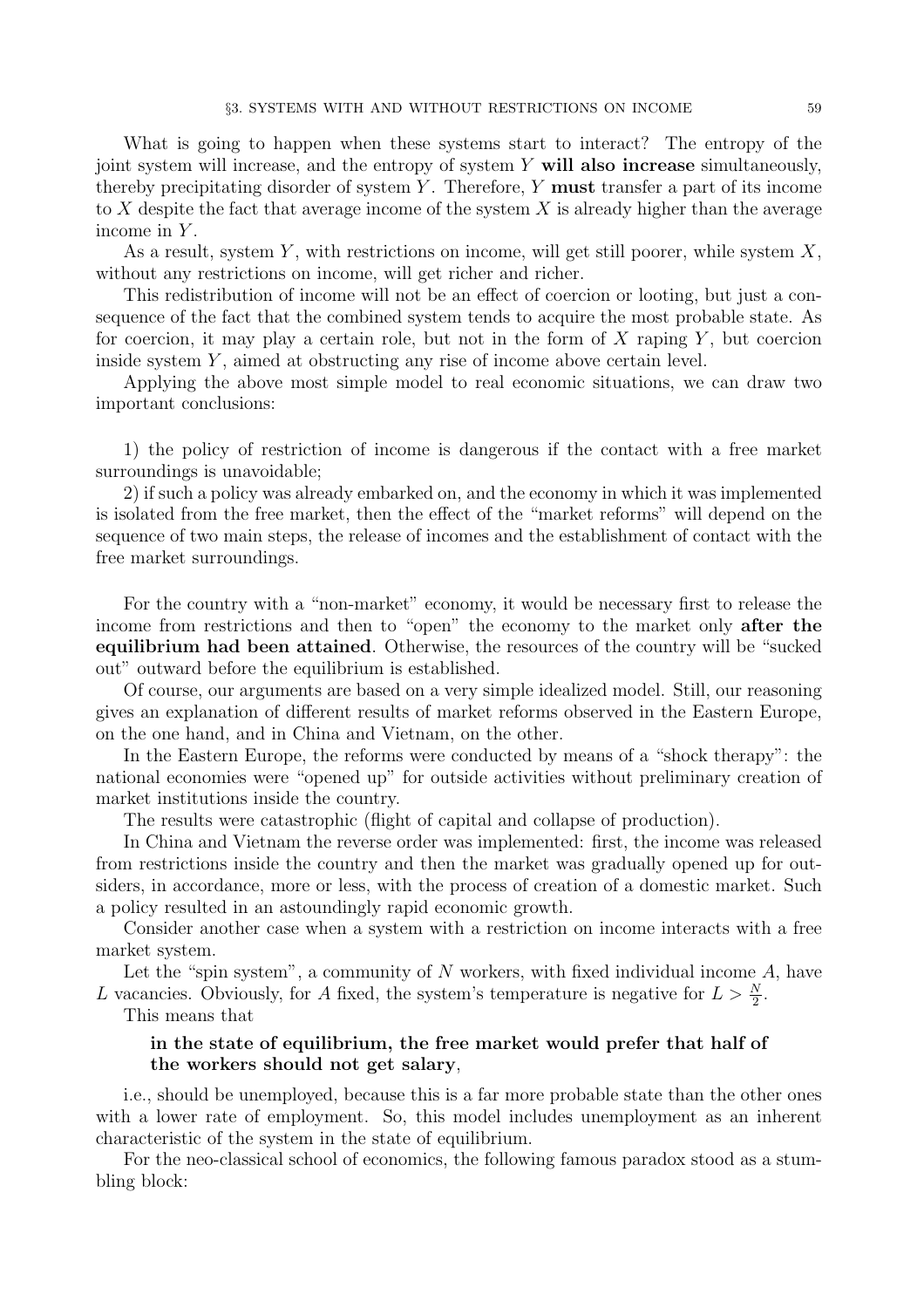What is going to happen when these systems start to interact? The entropy of the joint system will increase, and the entropy of system Y will also increase simultaneously, thereby precipitating disorder of system Y. Therefore, Y **must** transfer a part of its income to X despite the fact that average income of the system X is already higher than the average income in  $Y$ .

As a result, system Y, with restrictions on income, will get still poorer, while system  $X$ , without any restrictions on income, will get richer and richer.

This redistribution of income will not be an effect of coercion or looting, but just a consequence of the fact that the combined system tends to acquire the most probable state. As for coercion, it may play a certain role, but not in the form of  $X$  raping  $Y$ , but coercion inside system  $Y$ , aimed at obstructing any rise of income above certain level.

Applying the above most simple model to real economic situations, we can draw two important conclusions:

1) the policy of restriction of income is dangerous if the contact with a free market surroundings is unavoidable;

2) if such a policy was already embarked on, and the economy in which it was implemented is isolated from the free market, then the effect of the "market reforms" will depend on the sequence of two main steps, the release of incomes and the establishment of contact with the free market surroundings.

For the country with a "non-market" economy, it would be necessary first to release the income from restrictions and then to "open" the economy to the market only after the equilibrium had been attained. Otherwise, the resources of the country will be "sucked out" outward before the equilibrium is established.

Of course, our arguments are based on a very simple idealized model. Still, our reasoning gives an explanation of different results of market reforms observed in the Eastern Europe, on the one hand, and in China and Vietnam, on the other.

In the Eastern Europe, the reforms were conducted by means of a "shock therapy": the national economies were "opened up" for outside activities without preliminary creation of market institutions inside the country.

The results were catastrophic (flight of capital and collapse of production).

In China and Vietnam the reverse order was implemented: first, the income was released from restrictions inside the country and then the market was gradually opened up for outsiders, in accordance, more or less, with the process of creation of a domestic market. Such a policy resulted in an astoundingly rapid economic growth.

Consider another case when a system with a restriction on income interacts with a free market system.

Let the "spin system", a community of  $N$  workers, with fixed individual income  $A$ , have L vacancies. Obviously, for A fixed, the system's temperature is negative for  $L > \frac{N}{2}$ .

This means that

### in the state of equilibrium, the free market would prefer that half of the workers should not get salary,

i.e., should be unemployed, because this is a far more probable state than the other ones with a lower rate of employment. So, this model includes unemployment as an inherent characteristic of the system in the state of equilibrium.

For the neo-classical school of economics, the following famous paradox stood as a stumbling block: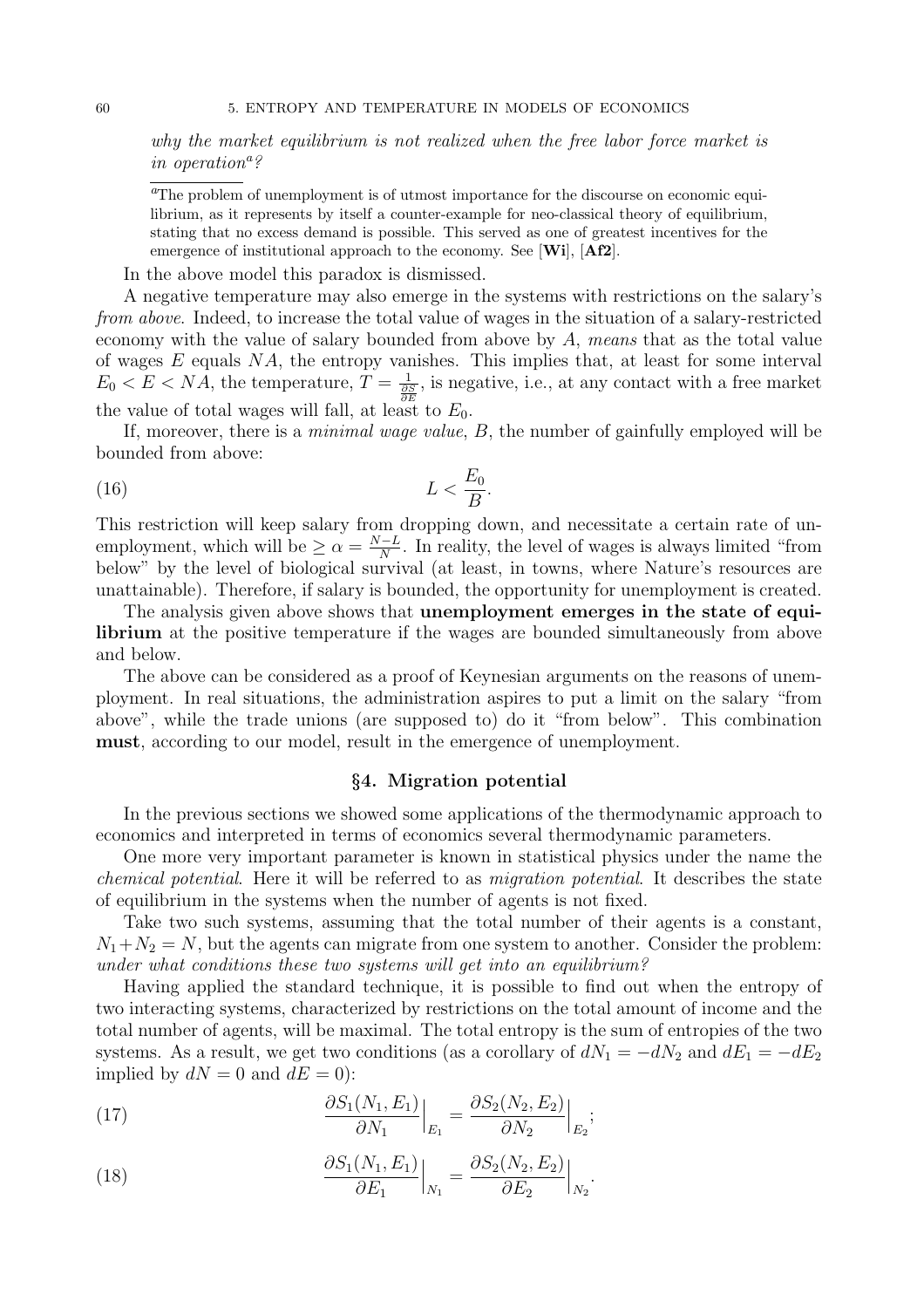why the market equilibrium is not realized when the free labor force market is in operation<sup>a?</sup>

<sup>a</sup>The problem of unemployment is of utmost importance for the discourse on economic equilibrium, as it represents by itself a counter-example for neo-classical theory of equilibrium, stating that no excess demand is possible. This served as one of greatest incentives for the emergence of institutional approach to the economy. See [Wi], [Af2].

In the above model this paradox is dismissed.

A negative temperature may also emerge in the systems with restrictions on the salary's from above. Indeed, to increase the total value of wages in the situation of a salary-restricted economy with the value of salary bounded from above by  $A$ , means that as the total value of wages  $E$  equals  $NA$ , the entropy vanishes. This implies that, at least for some interval  $E_0 < E < NA$ , the temperature,  $T = \frac{1}{\frac{\partial S}{\partial E}}$ , is negative, i.e., at any contact with a free market the value of total wages will fall, at least to  $E_0$ .

If, moreover, there is a *minimal wage value*,  $B$ , the number of gainfully employed will be bounded from above:

$$
(16)\t\t\t L<\frac{E_0}{B}.
$$

This restriction will keep salary from dropping down, and necessitate a certain rate of unemployment, which will be  $\geq \alpha = \frac{N-L}{N}$ . In reality, the level of wages is always limited "from below" by the level of biological survival (at least, in towns, where Nature's resources are unattainable). Therefore, if salary is bounded, the opportunity for unemployment is created.

The analysis given above shows that unemployment emerges in the state of equilibrium at the positive temperature if the wages are bounded simultaneously from above and below.

The above can be considered as a proof of Keynesian arguments on the reasons of unemployment. In real situations, the administration aspires to put a limit on the salary "from above", while the trade unions (are supposed to) do it "from below". This combination must, according to our model, result in the emergence of unemployment.

### §4. Migration potential

In the previous sections we showed some applications of the thermodynamic approach to economics and interpreted in terms of economics several thermodynamic parameters.

One more very important parameter is known in statistical physics under the name the chemical potential. Here it will be referred to as migration potential. It describes the state of equilibrium in the systems when the number of agents is not fixed.

Take two such systems, assuming that the total number of their agents is a constant,  $N_1+N_2=N$ , but the agents can migrate from one system to another. Consider the problem: under what conditions these two systems will get into an equilibrium?

Having applied the standard technique, it is possible to find out when the entropy of two interacting systems, characterized by restrictions on the total amount of income and the total number of agents, will be maximal. The total entropy is the sum of entropies of the two systems. As a result, we get two conditions (as a corollary of  $dN_1 = -dN_2$  and  $dE_1 = -dE_2$ implied by  $dN = 0$  and  $dE = 0$ :

(17) 
$$
\frac{\partial S_1(N_1, E_1)}{\partial N_1}\Big|_{E_1} = \frac{\partial S_2(N_2, E_2)}{\partial N_2}\Big|_{E_2};
$$

(18) 
$$
\frac{\partial S_1(N_1, E_1)}{\partial E_1}\Big|_{N_1} = \frac{\partial S_2(N_2, E_2)}{\partial E_2}\Big|_{N_2}.
$$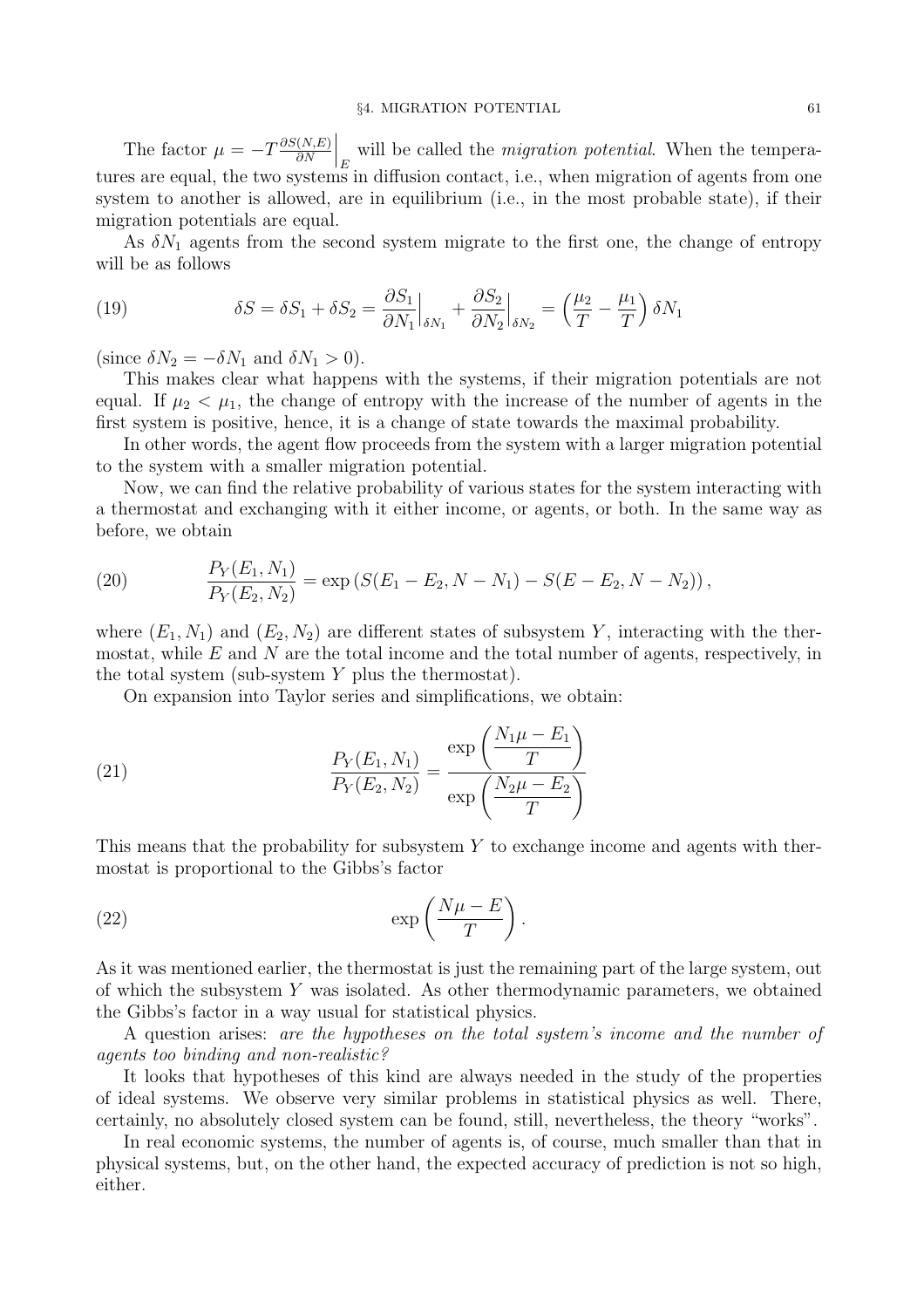The factor  $\mu = -T \frac{\partial S(N,E)}{\partial N}$ ∂N will be called the *migration potential*. When the temperatures are equal, the two systems in diffusion contact, i.e., when migration of agents from one system to another is allowed, are in equilibrium (i.e., in the most probable state), if their migration potentials are equal.

As  $\delta N_1$  agents from the second system migrate to the first one, the change of entropy will be as follows

(19) 
$$
\delta S = \delta S_1 + \delta S_2 = \frac{\partial S_1}{\partial N_1}\Big|_{\delta N_1} + \frac{\partial S_2}{\partial N_2}\Big|_{\delta N_2} = \left(\frac{\mu_2}{T} - \frac{\mu_1}{T}\right)\delta N_1
$$

(since  $\delta N_2 = -\delta N_1$  and  $\delta N_1 > 0$ ).

This makes clear what happens with the systems, if their migration potentials are not equal. If  $\mu_2 < \mu_1$ , the change of entropy with the increase of the number of agents in the first system is positive, hence, it is a change of state towards the maximal probability.

In other words, the agent flow proceeds from the system with a larger migration potential to the system with a smaller migration potential.

Now, we can find the relative probability of various states for the system interacting with a thermostat and exchanging with it either income, or agents, or both. In the same way as before, we obtain

(20) 
$$
\frac{P_Y(E_1, N_1)}{P_Y(E_2, N_2)} = \exp\left(S(E_1 - E_2, N - N_1) - S(E - E_2, N - N_2)\right),
$$

where  $(E_1, N_1)$  and  $(E_2, N_2)$  are different states of subsystem Y, interacting with the thermostat, while  $E$  and  $N$  are the total income and the total number of agents, respectively, in the total system (sub-system  $Y$  plus the thermostat).

On expansion into Taylor series and simplifications, we obtain:

(21) 
$$
\frac{P_Y(E_1, N_1)}{P_Y(E_2, N_2)} = \frac{\exp\left(\frac{N_1\mu - E_1}{T}\right)}{\exp\left(\frac{N_2\mu - E_2}{T}\right)}
$$

This means that the probability for subsystem  $Y$  to exchange income and agents with thermostat is proportional to the Gibbs's factor

$$
(22) \t\t exp\left(\frac{N\mu - E}{T}\right).
$$

As it was mentioned earlier, the thermostat is just the remaining part of the large system, out of which the subsystem Y was isolated. As other thermodynamic parameters, we obtained the Gibbs's factor in a way usual for statistical physics.

A question arises: are the hypotheses on the total system's income and the number of agents too binding and non-realistic?

It looks that hypotheses of this kind are always needed in the study of the properties of ideal systems. We observe very similar problems in statistical physics as well. There, certainly, no absolutely closed system can be found, still, nevertheless, the theory "works".

In real economic systems, the number of agents is, of course, much smaller than that in physical systems, but, on the other hand, the expected accuracy of prediction is not so high, either.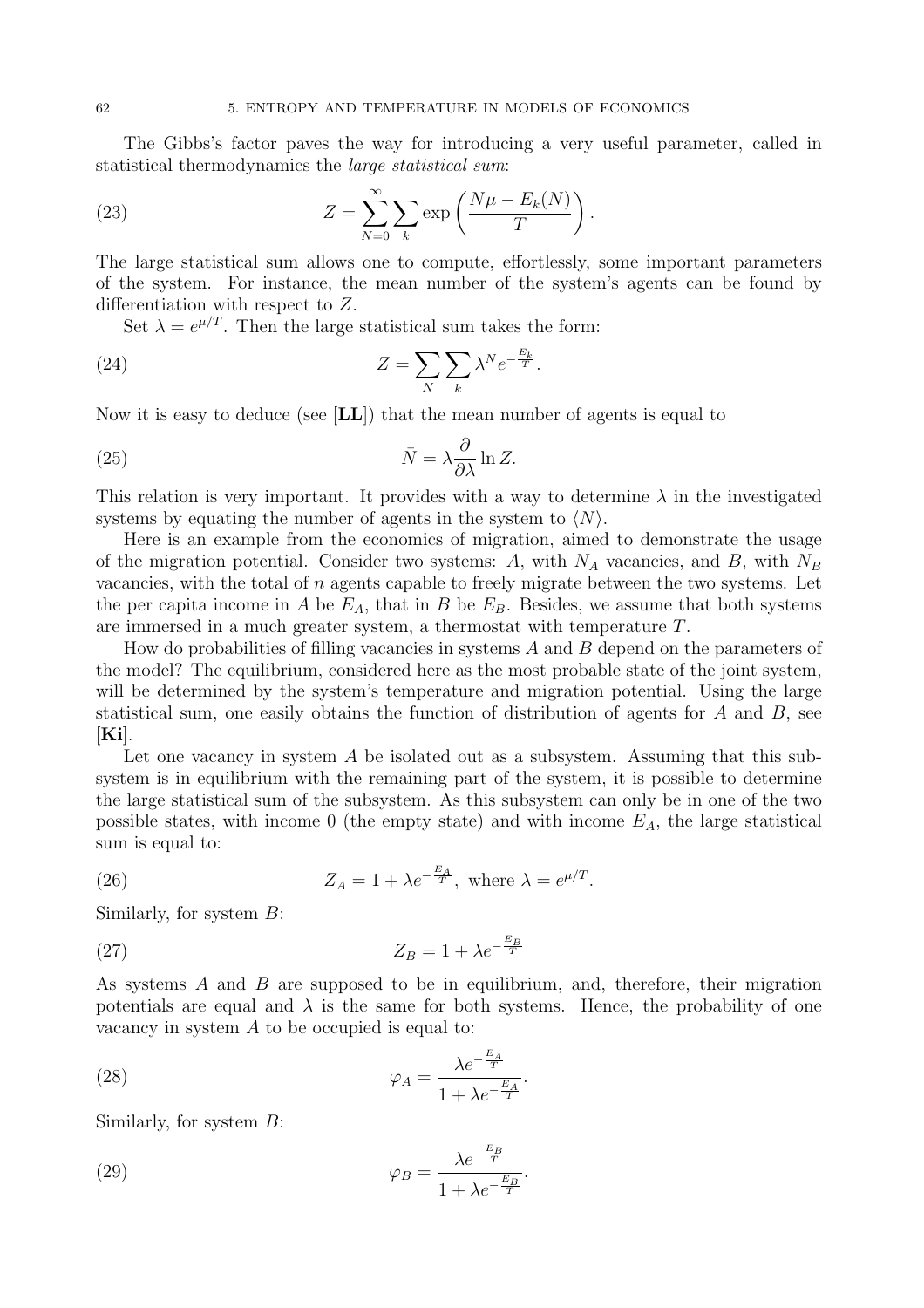The Gibbs's factor paves the way for introducing a very useful parameter, called in statistical thermodynamics the large statistical sum:

(23) 
$$
Z = \sum_{N=0}^{\infty} \sum_{k} \exp\left(\frac{N\mu - E_k(N)}{T}\right).
$$

The large statistical sum allows one to compute, effortlessly, some important parameters of the system. For instance, the mean number of the system's agents can be found by differentiation with respect to Z.

Set  $\lambda = e^{\mu/T}$ . Then the large statistical sum takes the form:

(24) 
$$
Z = \sum_{N} \sum_{k} \lambda^{N} e^{-\frac{E_{k}}{T}}.
$$

Now it is easy to deduce (see [LL]) that the mean number of agents is equal to

(25) 
$$
\bar{N} = \lambda \frac{\partial}{\partial \lambda} \ln Z.
$$

This relation is very important. It provides with a way to determine  $\lambda$  in the investigated systems by equating the number of agents in the system to  $\langle N \rangle$ .

Here is an example from the economics of migration, aimed to demonstrate the usage of the migration potential. Consider two systems:  $A$ , with  $N_A$  vacancies, and  $B$ , with  $N_B$ vacancies, with the total of  $n$  agents capable to freely migrate between the two systems. Let the per capita income in A be  $E_A$ , that in B be  $E_B$ . Besides, we assume that both systems are immersed in a much greater system, a thermostat with temperature T.

How do probabilities of filling vacancies in systems  $A$  and  $B$  depend on the parameters of the model? The equilibrium, considered here as the most probable state of the joint system, will be determined by the system's temperature and migration potential. Using the large statistical sum, one easily obtains the function of distribution of agents for  $A$  and  $B$ , see  $[Ki].$ 

Let one vacancy in system A be isolated out as a subsystem. Assuming that this subsystem is in equilibrium with the remaining part of the system, it is possible to determine the large statistical sum of the subsystem. As this subsystem can only be in one of the two possible states, with income 0 (the empty state) and with income  $E_A$ , the large statistical sum is equal to:

(26) 
$$
Z_A = 1 + \lambda e^{-\frac{E_A}{T}}, \text{ where } \lambda = e^{\mu/T}.
$$

Similarly, for system  $B$ :

$$
Z_B = 1 + \lambda e^{-\frac{E_B}{T}}
$$

As systems  $A$  and  $B$  are supposed to be in equilibrium, and, therefore, their migration potentials are equal and  $\lambda$  is the same for both systems. Hence, the probability of one vacancy in system A to be occupied is equal to:

(28) 
$$
\varphi_A = \frac{\lambda e^{-\frac{E_A}{T}}}{1 + \lambda e^{-\frac{E_A}{T}}}.
$$

Similarly, for system  $B$ :

(29) 
$$
\varphi_B = \frac{\lambda e^{-\frac{E_B}{T}}}{1 + \lambda e^{-\frac{E_B}{T}}}.
$$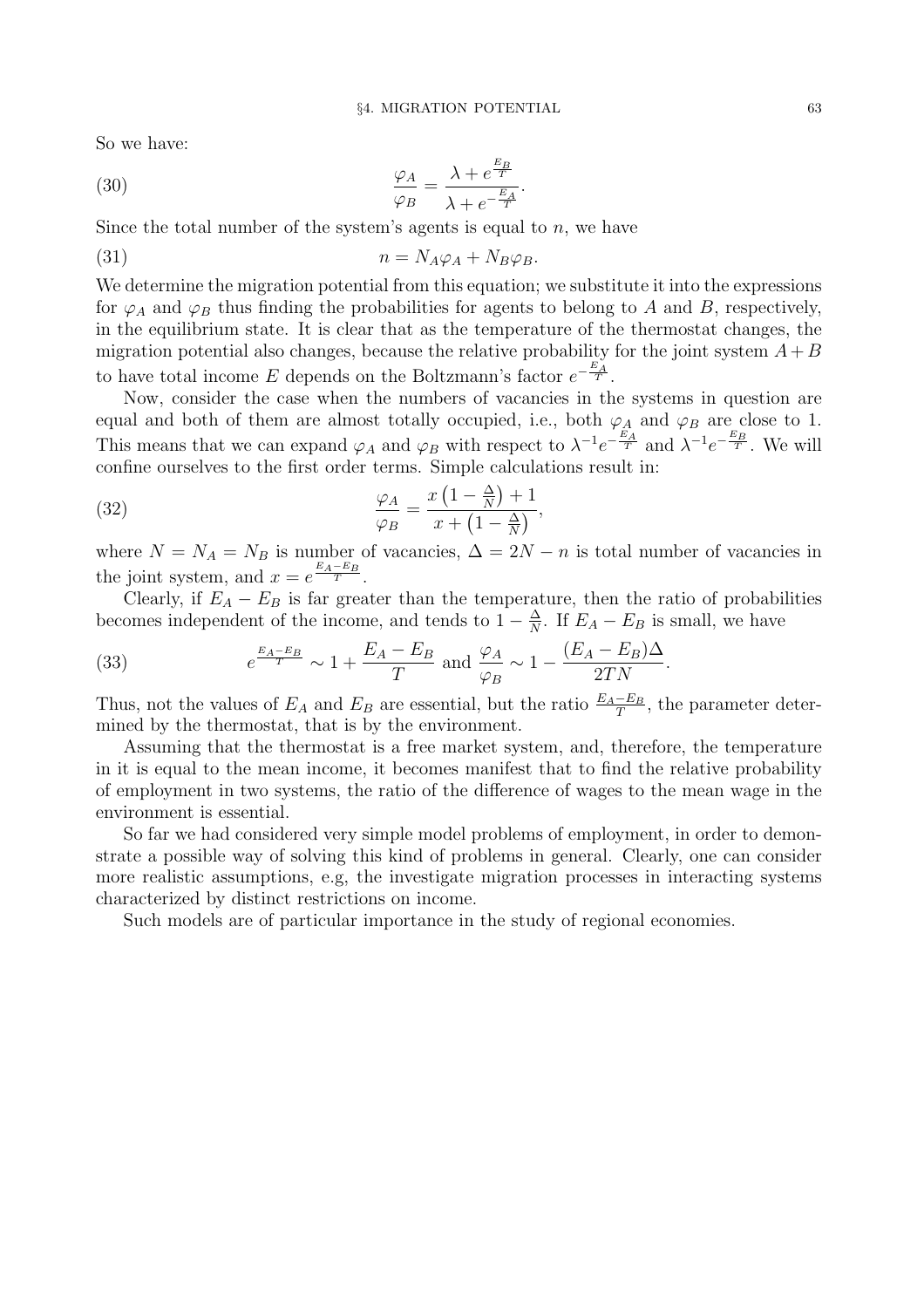So we have:

(30) 
$$
\frac{\varphi_A}{\varphi_B} = \frac{\lambda + e^{\frac{E_B}{T}}}{\lambda + e^{-\frac{E_A}{T}}}.
$$

Since the total number of the system's agents is equal to  $n$ , we have

$$
(31) \t\t n = N_A \varphi_A + N_B \varphi_B.
$$

We determine the migration potential from this equation; we substitute it into the expressions for  $\varphi_A$  and  $\varphi_B$  thus finding the probabilities for agents to belong to A and B, respectively, in the equilibrium state. It is clear that as the temperature of the thermostat changes, the migration potential also changes, because the relative probability for the joint system  $A+B$ to have total income E depends on the Boltzmann's factor  $e^{-\frac{E_A}{T}}$ .

Now, consider the case when the numbers of vacancies in the systems in question are equal and both of them are almost totally occupied, i.e., both  $\varphi_A$  and  $\varphi_B$  are close to 1. This means that we can expand  $\varphi_A$  and  $\varphi_B$  with respect to  $\lambda^{-1}e^{-\frac{E_A}{T}}$  and  $\lambda^{-1}e^{-\frac{E_B}{T}}$ . We will confine ourselves to the first order terms. Simple calculations result in:

(32) 
$$
\frac{\varphi_A}{\varphi_B} = \frac{x\left(1 - \frac{\Delta}{N}\right) + 1}{x + \left(1 - \frac{\Delta}{N}\right)},
$$

where  $N = N_A = N_B$  is number of vacancies,  $\Delta = 2N - n$  is total number of vacancies in the joint system, and  $x = e^{\frac{E_A - E_B}{T}}$ .

Clearly, if  $E_A - E_B$  is far greater than the temperature, then the ratio of probabilities becomes independent of the income, and tends to  $1 - \frac{\Delta}{N}$  $\frac{\Delta}{N}$ . If  $E_A - E_B$  is small, we have

(33) 
$$
e^{\frac{E_A - E_B}{T}} \sim 1 + \frac{E_A - E_B}{T} \text{ and } \frac{\varphi_A}{\varphi_B} \sim 1 - \frac{(E_A - E_B)\Delta}{2TN}.
$$

Thus, not the values of  $E_A$  and  $E_B$  are essential, but the ratio  $\frac{E_A-E_B}{T}$ , the parameter determined by the thermostat, that is by the environment.

Assuming that the thermostat is a free market system, and, therefore, the temperature in it is equal to the mean income, it becomes manifest that to find the relative probability of employment in two systems, the ratio of the difference of wages to the mean wage in the environment is essential.

So far we had considered very simple model problems of employment, in order to demonstrate a possible way of solving this kind of problems in general. Clearly, one can consider more realistic assumptions, e.g, the investigate migration processes in interacting systems characterized by distinct restrictions on income.

Such models are of particular importance in the study of regional economies.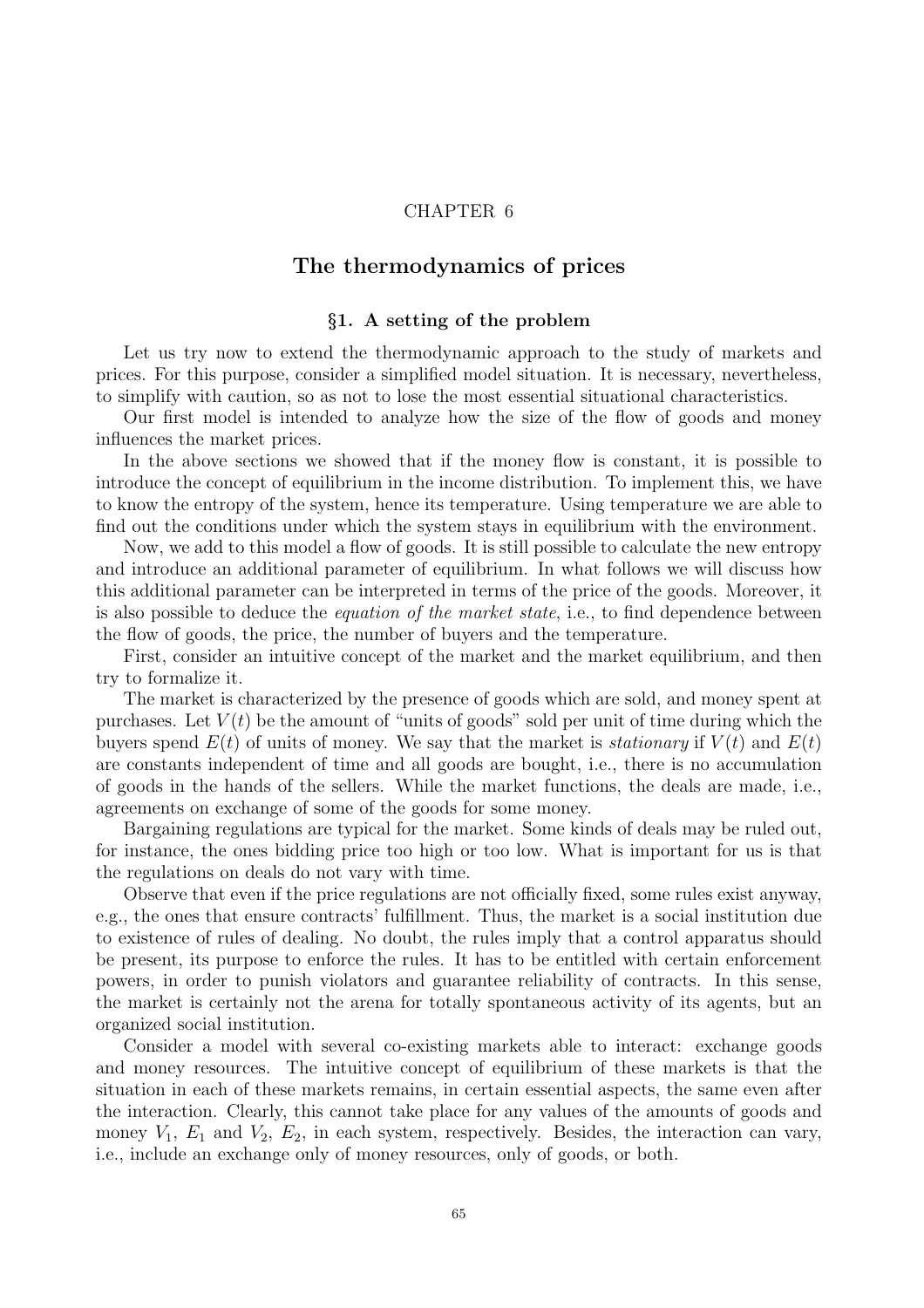# CHAPTER 6

# The thermodynamics of prices

### §1. A setting of the problem

Let us try now to extend the thermodynamic approach to the study of markets and prices. For this purpose, consider a simplified model situation. It is necessary, nevertheless, to simplify with caution, so as not to lose the most essential situational characteristics.

Our first model is intended to analyze how the size of the flow of goods and money influences the market prices.

In the above sections we showed that if the money flow is constant, it is possible to introduce the concept of equilibrium in the income distribution. To implement this, we have to know the entropy of the system, hence its temperature. Using temperature we are able to find out the conditions under which the system stays in equilibrium with the environment.

Now, we add to this model a flow of goods. It is still possible to calculate the new entropy and introduce an additional parameter of equilibrium. In what follows we will discuss how this additional parameter can be interpreted in terms of the price of the goods. Moreover, it is also possible to deduce the *equation of the market state*, i.e., to find dependence between the flow of goods, the price, the number of buyers and the temperature.

First, consider an intuitive concept of the market and the market equilibrium, and then try to formalize it.

The market is characterized by the presence of goods which are sold, and money spent at purchases. Let  $V(t)$  be the amount of "units of goods" sold per unit of time during which the buyers spend  $E(t)$  of units of money. We say that the market is *stationary* if  $V(t)$  and  $E(t)$ are constants independent of time and all goods are bought, i.e., there is no accumulation of goods in the hands of the sellers. While the market functions, the deals are made, i.e., agreements on exchange of some of the goods for some money.

Bargaining regulations are typical for the market. Some kinds of deals may be ruled out, for instance, the ones bidding price too high or too low. What is important for us is that the regulations on deals do not vary with time.

Observe that even if the price regulations are not officially fixed, some rules exist anyway, e.g., the ones that ensure contracts' fulfillment. Thus, the market is a social institution due to existence of rules of dealing. No doubt, the rules imply that a control apparatus should be present, its purpose to enforce the rules. It has to be entitled with certain enforcement powers, in order to punish violators and guarantee reliability of contracts. In this sense, the market is certainly not the arena for totally spontaneous activity of its agents, but an organized social institution.

Consider a model with several co-existing markets able to interact: exchange goods and money resources. The intuitive concept of equilibrium of these markets is that the situation in each of these markets remains, in certain essential aspects, the same even after the interaction. Clearly, this cannot take place for any values of the amounts of goods and money  $V_1$ ,  $E_1$  and  $V_2$ ,  $E_2$ , in each system, respectively. Besides, the interaction can vary, i.e., include an exchange only of money resources, only of goods, or both.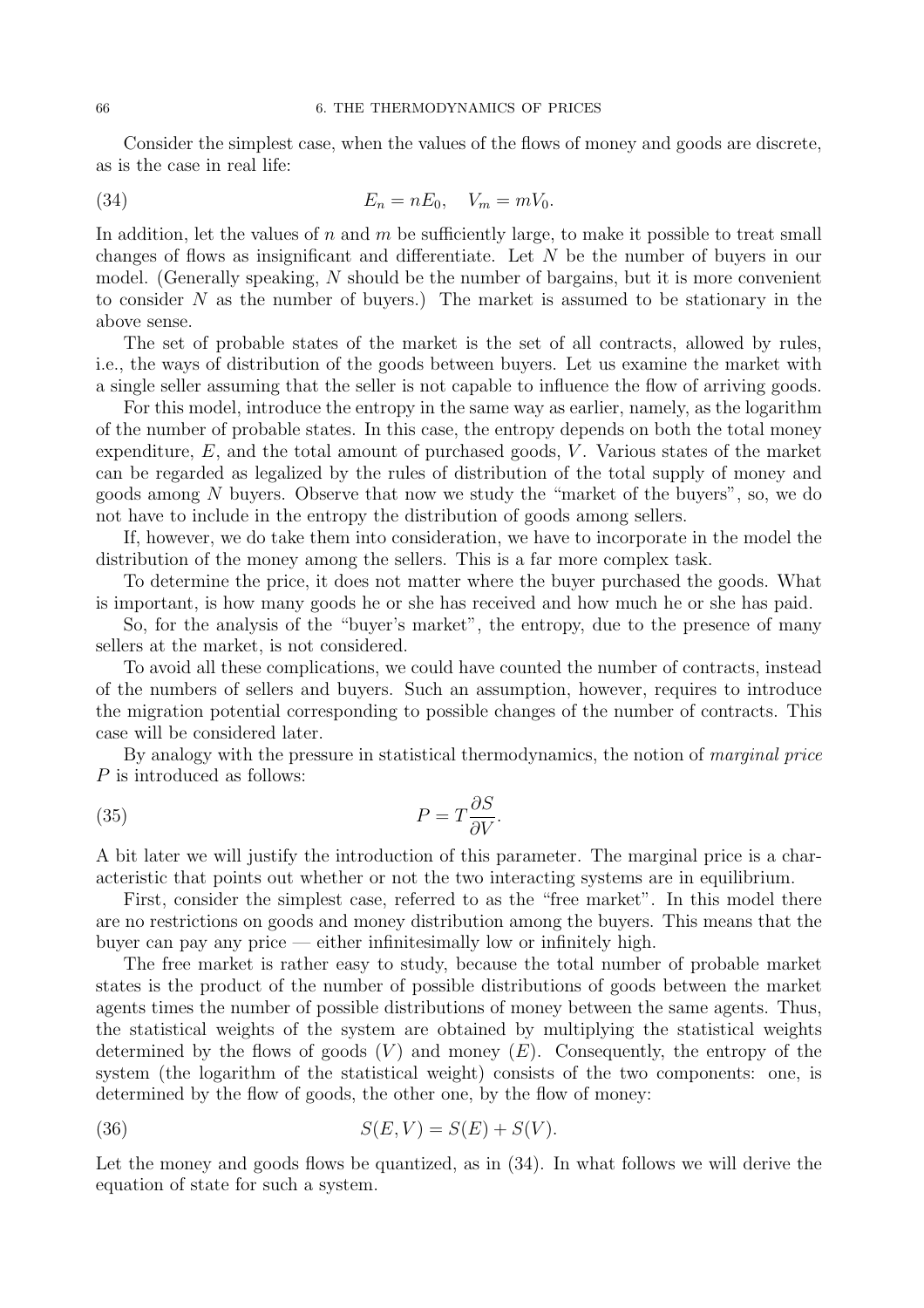Consider the simplest case, when the values of the flows of money and goods are discrete, as is the case in real life:

(34) 
$$
E_n = nE_0, \quad V_m = mV_0.
$$

In addition, let the values of n and m be sufficiently large, to make it possible to treat small changes of flows as insignificant and differentiate. Let N be the number of buyers in our model. (Generally speaking, N should be the number of bargains, but it is more convenient to consider  $N$  as the number of buyers.) The market is assumed to be stationary in the above sense.

The set of probable states of the market is the set of all contracts, allowed by rules, i.e., the ways of distribution of the goods between buyers. Let us examine the market with a single seller assuming that the seller is not capable to influence the flow of arriving goods.

For this model, introduce the entropy in the same way as earlier, namely, as the logarithm of the number of probable states. In this case, the entropy depends on both the total money expenditure,  $E$ , and the total amount of purchased goods,  $V$ . Various states of the market can be regarded as legalized by the rules of distribution of the total supply of money and goods among  $N$  buyers. Observe that now we study the "market of the buyers", so, we do not have to include in the entropy the distribution of goods among sellers.

If, however, we do take them into consideration, we have to incorporate in the model the distribution of the money among the sellers. This is a far more complex task.

To determine the price, it does not matter where the buyer purchased the goods. What is important, is how many goods he or she has received and how much he or she has paid.

So, for the analysis of the "buyer's market", the entropy, due to the presence of many sellers at the market, is not considered.

To avoid all these complications, we could have counted the number of contracts, instead of the numbers of sellers and buyers. Such an assumption, however, requires to introduce the migration potential corresponding to possible changes of the number of contracts. This case will be considered later.

By analogy with the pressure in statistical thermodynamics, the notion of *marginal price* P is introduced as follows:

(35) 
$$
P = T \frac{\partial S}{\partial V}.
$$

A bit later we will justify the introduction of this parameter. The marginal price is a characteristic that points out whether or not the two interacting systems are in equilibrium.

First, consider the simplest case, referred to as the "free market". In this model there are no restrictions on goods and money distribution among the buyers. This means that the buyer can pay any price — either infinitesimally low or infinitely high.

The free market is rather easy to study, because the total number of probable market states is the product of the number of possible distributions of goods between the market agents times the number of possible distributions of money between the same agents. Thus, the statistical weights of the system are obtained by multiplying the statistical weights determined by the flows of goods  $(V)$  and money  $(E)$ . Consequently, the entropy of the system (the logarithm of the statistical weight) consists of the two components: one, is determined by the flow of goods, the other one, by the flow of money:

(36) 
$$
S(E, V) = S(E) + S(V).
$$

Let the money and goods flows be quantized, as in (34). In what follows we will derive the equation of state for such a system.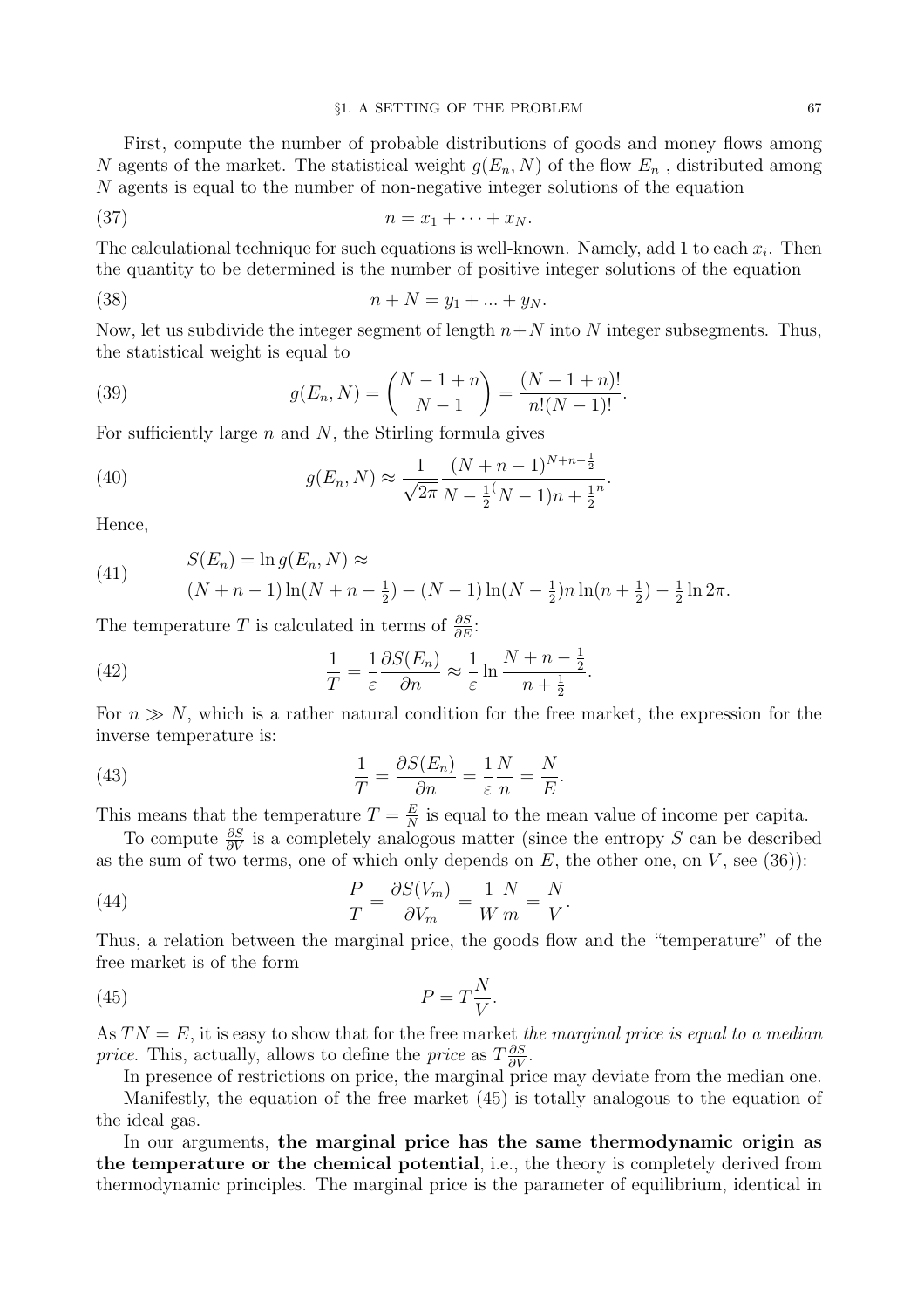First, compute the number of probable distributions of goods and money flows among N agents of the market. The statistical weight  $g(E_n, N)$  of the flow  $E_n$ , distributed among N agents is equal to the number of non-negative integer solutions of the equation

$$
(37) \t\t n = x_1 + \cdots + x_N.
$$

The calculational technique for such equations is well-known. Namely, add 1 to each  $x_i$ . Then the quantity to be determined is the number of positive integer solutions of the equation

(38) 
$$
n + N = y_1 + ... + y_N.
$$

Now, let us subdivide the integer segment of length  $n+N$  into N integer subsegments. Thus, the statistical weight is equal to

(39) 
$$
g(E_n, N) = {N-1+n \choose N-1} = \frac{(N-1+n)!}{n!(N-1)!}.
$$

For sufficiently large  $n$  and  $N$ , the Stirling formula gives

(40) 
$$
g(E_n, N) \approx \frac{1}{\sqrt{2\pi}} \frac{(N+n-1)^{N+n-\frac{1}{2}}}{N-\frac{1}{2}(N-1)n+\frac{1}{2}^n}.
$$

Hence,

(41) 
$$
S(E_n) = \ln g(E_n, N) \approx
$$

$$
(N + n - 1)\ln(N + n - \frac{1}{2}) - (N - 1)\ln(N - \frac{1}{2})n\ln(n + \frac{1}{2}) - \frac{1}{2}\ln 2\pi.
$$

The temperature T is calculated in terms of  $\frac{\partial S}{\partial E}$ :

(42) 
$$
\frac{1}{T} = \frac{1}{\varepsilon} \frac{\partial S(E_n)}{\partial n} \approx \frac{1}{\varepsilon} \ln \frac{N+n-\frac{1}{2}}{n+\frac{1}{2}}.
$$

For  $n \gg N$ , which is a rather natural condition for the free market, the expression for the inverse temperature is:

(43) 
$$
\frac{1}{T} = \frac{\partial S(E_n)}{\partial n} = \frac{1}{\varepsilon} \frac{N}{n} = \frac{N}{E}.
$$

This means that the temperature  $T = \frac{E}{N}$  $\frac{E}{N}$  is equal to the mean value of income per capita.

To compute  $\frac{\partial S}{\partial V}$  is a completely analogous matter (since the entropy S can be described as the sum of two terms, one of which only depends on  $E$ , the other one, on  $V$ , see (36)):

(44) 
$$
\frac{P}{T} = \frac{\partial S(V_m)}{\partial V_m} = \frac{1}{W} \frac{N}{m} = \frac{N}{V}.
$$

Thus, a relation between the marginal price, the goods flow and the "temperature" of the free market is of the form

$$
(45) \t\t P = T\frac{N}{V}.
$$

As  $TN = E$ , it is easy to show that for the free market the marginal price is equal to a median *price.* This, actually, allows to define the *price* as  $T\frac{\partial S}{\partial V}$ .

In presence of restrictions on price, the marginal price may deviate from the median one. Manifestly, the equation of the free market (45) is totally analogous to the equation of the ideal gas.

In our arguments, the marginal price has the same thermodynamic origin as the temperature or the chemical potential, i.e., the theory is completely derived from thermodynamic principles. The marginal price is the parameter of equilibrium, identical in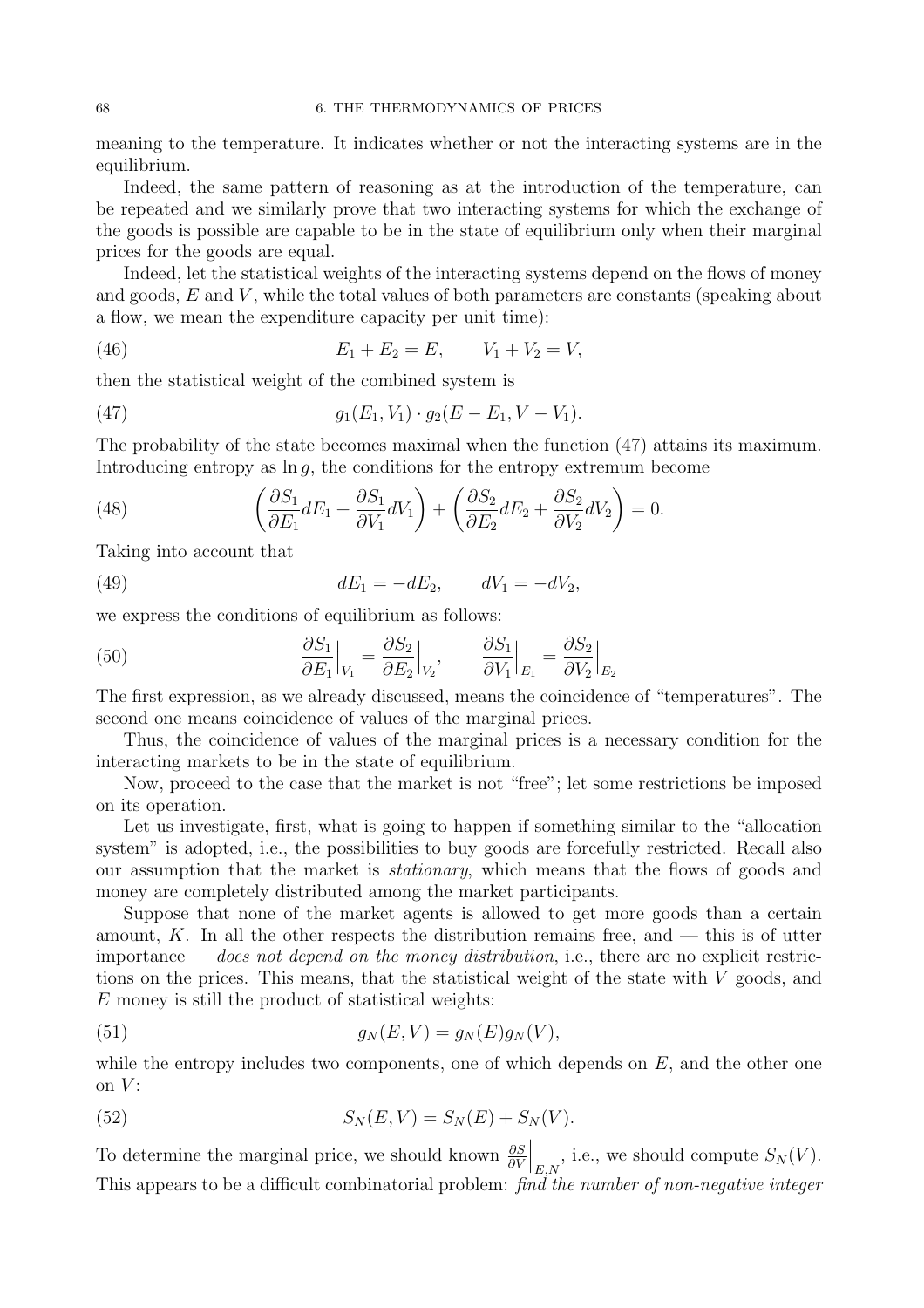meaning to the temperature. It indicates whether or not the interacting systems are in the equilibrium.

Indeed, the same pattern of reasoning as at the introduction of the temperature, can be repeated and we similarly prove that two interacting systems for which the exchange of the goods is possible are capable to be in the state of equilibrium only when their marginal prices for the goods are equal.

Indeed, let the statistical weights of the interacting systems depend on the flows of money and goods,  $E$  and  $V$ , while the total values of both parameters are constants (speaking about a flow, we mean the expenditure capacity per unit time):

(46) 
$$
E_1 + E_2 = E, \qquad V_1 + V_2 = V,
$$

then the statistical weight of the combined system is

(47) 
$$
g_1(E_1, V_1) \cdot g_2(E - E_1, V - V_1).
$$

The probability of the state becomes maximal when the function (47) attains its maximum. Introducing entropy as  $\ln q$ , the conditions for the entropy extremum become

(48) 
$$
\left(\frac{\partial S_1}{\partial E_1} dE_1 + \frac{\partial S_1}{\partial V_1} dV_1\right) + \left(\frac{\partial S_2}{\partial E_2} dE_2 + \frac{\partial S_2}{\partial V_2} dV_2\right) = 0.
$$

Taking into account that

(49) 
$$
dE_1 = -dE_2, \qquad dV_1 = -dV_2,
$$

we express the conditions of equilibrium as follows:

(50) 
$$
\frac{\partial S_1}{\partial E_1}\Big|_{V_1} = \frac{\partial S_2}{\partial E_2}\Big|_{V_2}, \qquad \frac{\partial S_1}{\partial V_1}\Big|_{E_1} = \frac{\partial S_2}{\partial V_2}\Big|_{E_2}
$$

The first expression, as we already discussed, means the coincidence of "temperatures". The second one means coincidence of values of the marginal prices.

Thus, the coincidence of values of the marginal prices is a necessary condition for the interacting markets to be in the state of equilibrium.

Now, proceed to the case that the market is not "free"; let some restrictions be imposed on its operation.

Let us investigate, first, what is going to happen if something similar to the "allocation system" is adopted, i.e., the possibilities to buy goods are forcefully restricted. Recall also our assumption that the market is stationary, which means that the flows of goods and money are completely distributed among the market participants.

Suppose that none of the market agents is allowed to get more goods than a certain amount, K. In all the other respects the distribution remains free, and  $-$  this is of utter importance — does not depend on the money distribution, i.e., there are no explicit restrictions on the prices. This means, that the statistical weight of the state with V goods, and E money is still the product of statistical weights:

(51) 
$$
g_N(E,V) = g_N(E)g_N(V),
$$

while the entropy includes two components, one of which depends on  $E$ , and the other one on  $V$ :

(52) 
$$
S_N(E, V) = S_N(E) + S_N(V).
$$

To determine the marginal price, we should known  $\frac{\partial S}{\partial V}$  $\Big|_{E,N}$ , i.e., we should compute  $S_N(V)$ . This appears to be a difficult combinatorial problem: find the number of non-negative integer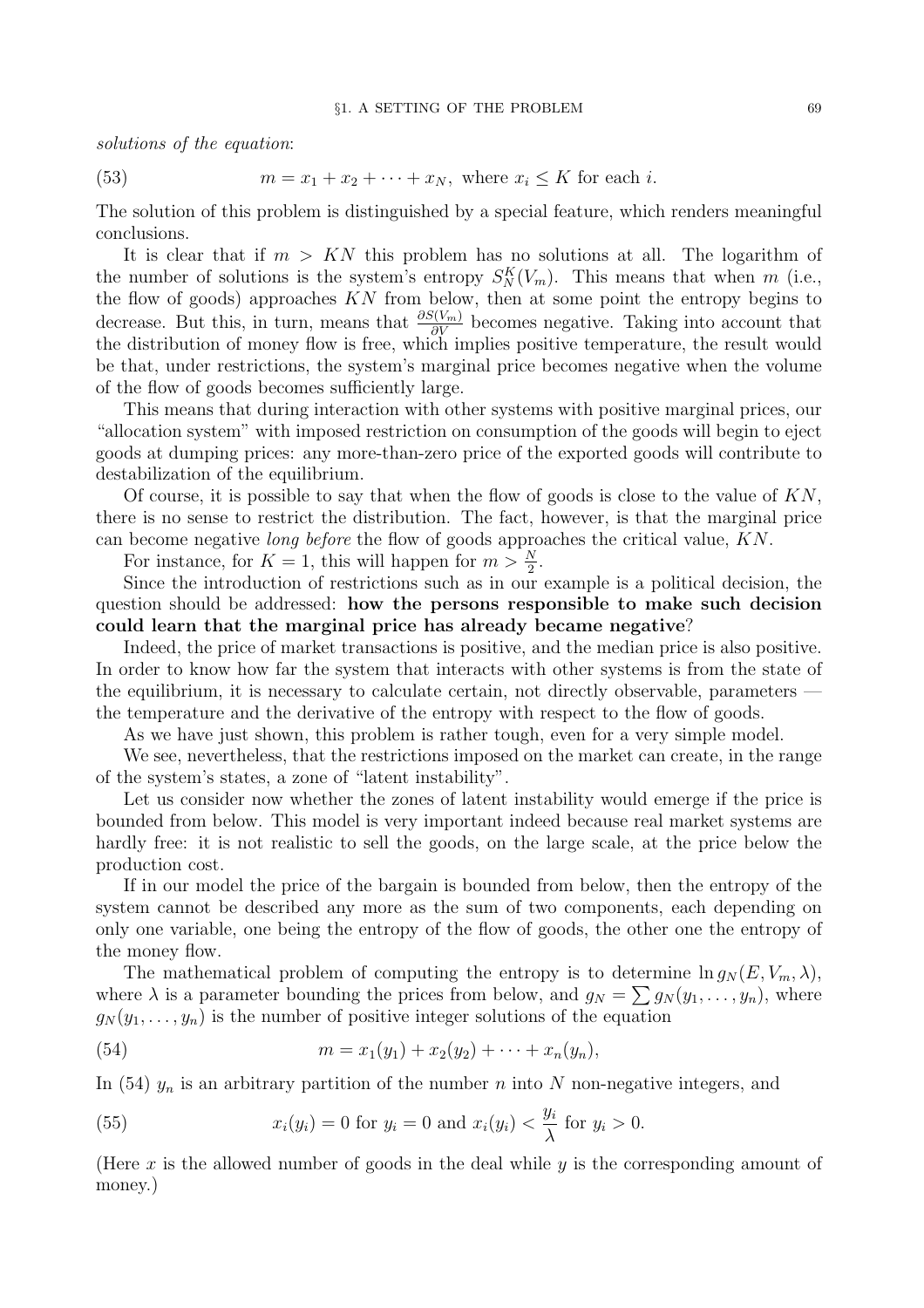solutions of the equation:

(53)  $m = x_1 + x_2 + \cdots + x_N$ , where  $x_i \le K$  for each *i*.

The solution of this problem is distinguished by a special feature, which renders meaningful conclusions.

It is clear that if  $m > KN$  this problem has no solutions at all. The logarithm of the number of solutions is the system's entropy  $S_N^K(V_m)$ . This means that when m (i.e., the flow of goods) approaches KN from below, then at some point the entropy begins to decrease. But this, in turn, means that  $\frac{\partial S(V_m)}{\partial V}$  becomes negative. Taking into account that the distribution of money flow is free, which implies positive temperature, the result would be that, under restrictions, the system's marginal price becomes negative when the volume of the flow of goods becomes sufficiently large.

This means that during interaction with other systems with positive marginal prices, our "allocation system" with imposed restriction on consumption of the goods will begin to eject goods at dumping prices: any more-than-zero price of the exported goods will contribute to destabilization of the equilibrium.

Of course, it is possible to say that when the flow of goods is close to the value of  $KN$ , there is no sense to restrict the distribution. The fact, however, is that the marginal price can become negative long before the flow of goods approaches the critical value, KN.

For instance, for  $K = 1$ , this will happen for  $m > \frac{N}{2}$ .

Since the introduction of restrictions such as in our example is a political decision, the question should be addressed: how the persons responsible to make such decision could learn that the marginal price has already became negative?

Indeed, the price of market transactions is positive, and the median price is also positive. In order to know how far the system that interacts with other systems is from the state of the equilibrium, it is necessary to calculate certain, not directly observable, parameters the temperature and the derivative of the entropy with respect to the flow of goods.

As we have just shown, this problem is rather tough, even for a very simple model.

We see, nevertheless, that the restrictions imposed on the market can create, in the range of the system's states, a zone of "latent instability".

Let us consider now whether the zones of latent instability would emerge if the price is bounded from below. This model is very important indeed because real market systems are hardly free: it is not realistic to sell the goods, on the large scale, at the price below the production cost.

If in our model the price of the bargain is bounded from below, then the entropy of the system cannot be described any more as the sum of two components, each depending on only one variable, one being the entropy of the flow of goods, the other one the entropy of the money flow.

The mathematical problem of computing the entropy is to determine  $\ln g_N(E, V_m, \lambda)$ , where  $\lambda$  is a parameter bounding the prices from below, and  $g_N = \sum g_N(y_1, \ldots, y_n)$ , where  $g_N(y_1,\ldots,y_n)$  is the number of positive integer solutions of the equation

(54) 
$$
m = x_1(y_1) + x_2(y_2) + \cdots + x_n(y_n),
$$

In (54)  $y_n$  is an arbitrary partition of the number n into N non-negative integers, and

(55) 
$$
x_i(y_i) = 0
$$
 for  $y_i = 0$  and  $x_i(y_i) < \frac{y_i}{\lambda}$  for  $y_i > 0$ .

(Here  $x$  is the allowed number of goods in the deal while  $y$  is the corresponding amount of money.)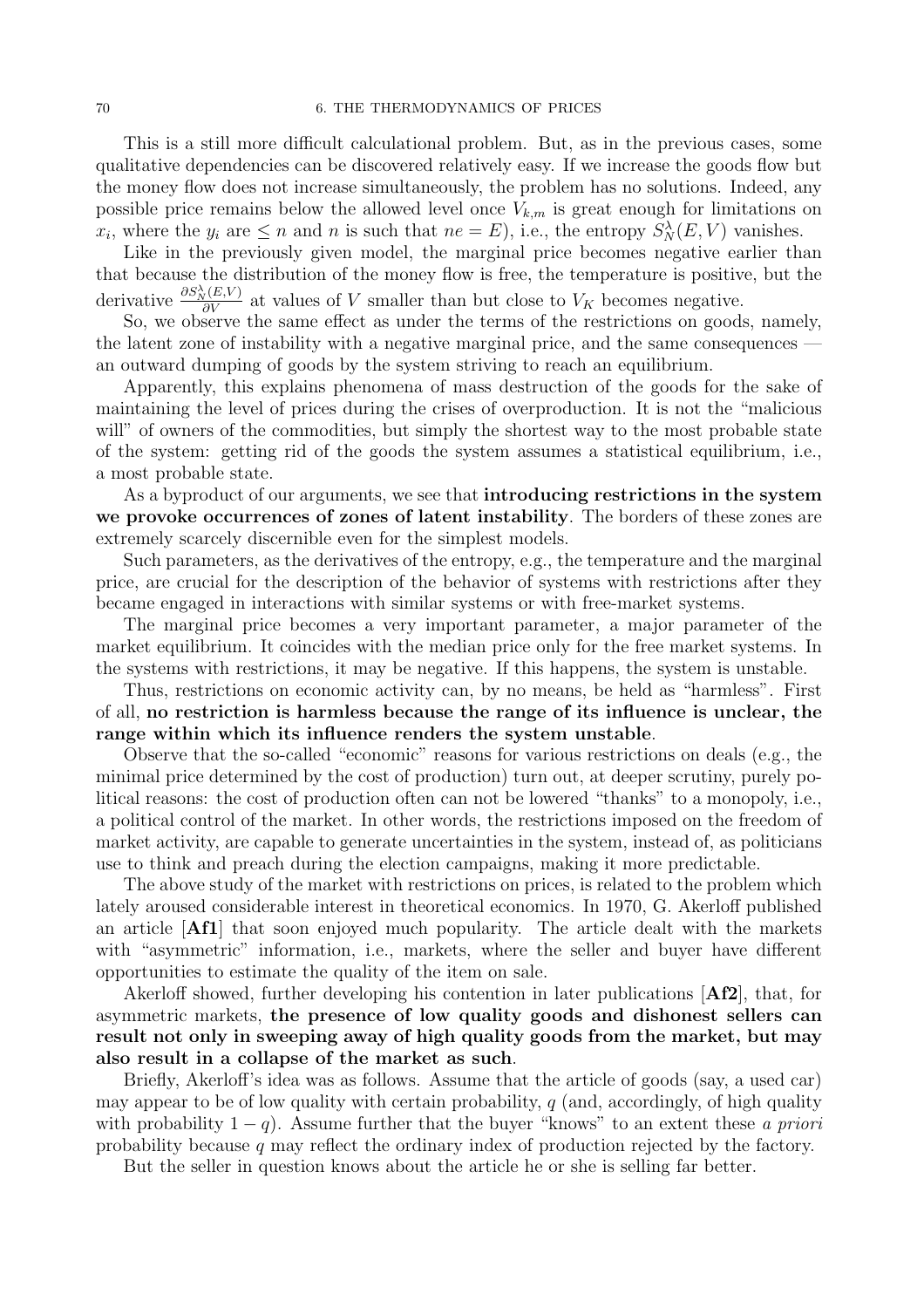This is a still more difficult calculational problem. But, as in the previous cases, some qualitative dependencies can be discovered relatively easy. If we increase the goods flow but the money flow does not increase simultaneously, the problem has no solutions. Indeed, any possible price remains below the allowed level once  $V_{k,m}$  is great enough for limitations on  $x_i$ , where the  $y_i$  are  $\leq n$  and n is such that  $ne = E$ ), i.e., the entropy  $S_N^{\lambda}(E, V)$  vanishes.

Like in the previously given model, the marginal price becomes negative earlier than that because the distribution of the money flow is free, the temperature is positive, but the derivative  $\frac{\partial S_N^{\lambda}(E,V)}{\partial V}$  at values of V smaller than but close to  $V_K$  becomes negative.

So, we observe the same effect as under the terms of the restrictions on goods, namely, the latent zone of instability with a negative marginal price, and the same consequences an outward dumping of goods by the system striving to reach an equilibrium.

Apparently, this explains phenomena of mass destruction of the goods for the sake of maintaining the level of prices during the crises of overproduction. It is not the "malicious will" of owners of the commodities, but simply the shortest way to the most probable state of the system: getting rid of the goods the system assumes a statistical equilibrium, i.e., a most probable state.

As a byproduct of our arguments, we see that **introducing restrictions in the system** we provoke occurrences of zones of latent instability. The borders of these zones are extremely scarcely discernible even for the simplest models.

Such parameters, as the derivatives of the entropy, e.g., the temperature and the marginal price, are crucial for the description of the behavior of systems with restrictions after they became engaged in interactions with similar systems or with free-market systems.

The marginal price becomes a very important parameter, a major parameter of the market equilibrium. It coincides with the median price only for the free market systems. In the systems with restrictions, it may be negative. If this happens, the system is unstable.

Thus, restrictions on economic activity can, by no means, be held as "harmless". First of all, no restriction is harmless because the range of its influence is unclear, the range within which its influence renders the system unstable.

Observe that the so-called "economic" reasons for various restrictions on deals (e.g., the minimal price determined by the cost of production) turn out, at deeper scrutiny, purely political reasons: the cost of production often can not be lowered "thanks" to a monopoly, i.e., a political control of the market. In other words, the restrictions imposed on the freedom of market activity, are capable to generate uncertainties in the system, instead of, as politicians use to think and preach during the election campaigns, making it more predictable.

The above study of the market with restrictions on prices, is related to the problem which lately aroused considerable interest in theoretical economics. In 1970, G. Akerloff published an article [Af1] that soon enjoyed much popularity. The article dealt with the markets with "asymmetric" information, i.e., markets, where the seller and buyer have different opportunities to estimate the quality of the item on sale.

Akerloff showed, further developing his contention in later publications [Af2], that, for asymmetric markets, the presence of low quality goods and dishonest sellers can result not only in sweeping away of high quality goods from the market, but may also result in a collapse of the market as such.

Briefly, Akerloff's idea was as follows. Assume that the article of goods (say, a used car) may appear to be of low quality with certain probability,  $q$  (and, accordingly, of high quality with probability  $1 - q$ ). Assume further that the buyer "knows" to an extent these a priori probability because q may reflect the ordinary index of production rejected by the factory.

But the seller in question knows about the article he or she is selling far better.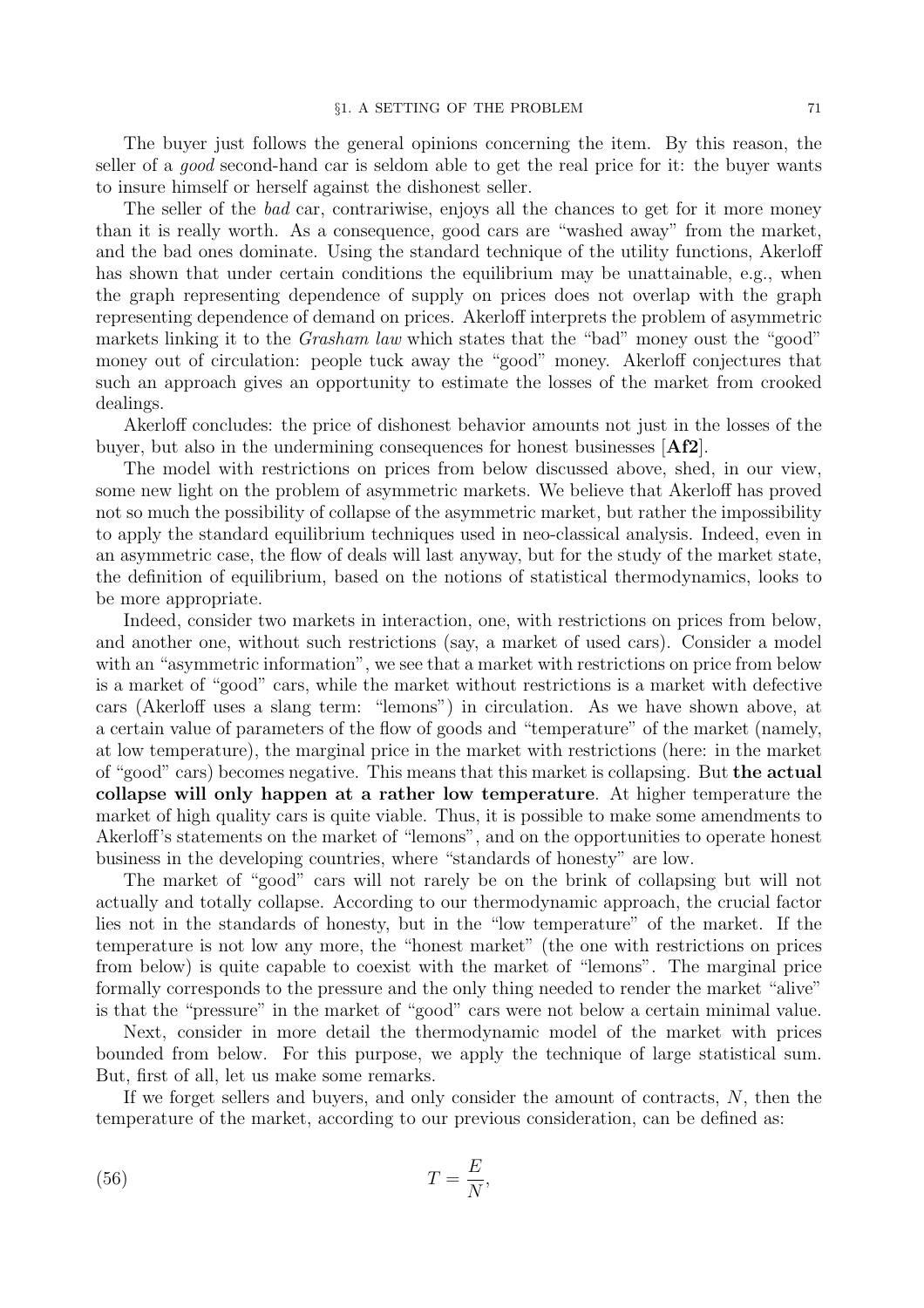The buyer just follows the general opinions concerning the item. By this reason, the seller of a *good* second-hand car is seldom able to get the real price for it: the buyer wants to insure himself or herself against the dishonest seller.

The seller of the bad car, contrariwise, enjoys all the chances to get for it more money than it is really worth. As a consequence, good cars are "washed away" from the market, and the bad ones dominate. Using the standard technique of the utility functions, Akerloff has shown that under certain conditions the equilibrium may be unattainable, e.g., when the graph representing dependence of supply on prices does not overlap with the graph representing dependence of demand on prices. Akerloff interprets the problem of asymmetric markets linking it to the Grasham law which states that the "bad" money oust the "good" money out of circulation: people tuck away the "good" money. Akerloff conjectures that such an approach gives an opportunity to estimate the losses of the market from crooked dealings.

Akerloff concludes: the price of dishonest behavior amounts not just in the losses of the buyer, but also in the undermining consequences for honest businesses  $[{\bf Af2}]$ .

The model with restrictions on prices from below discussed above, shed, in our view, some new light on the problem of asymmetric markets. We believe that Akerloff has proved not so much the possibility of collapse of the asymmetric market, but rather the impossibility to apply the standard equilibrium techniques used in neo-classical analysis. Indeed, even in an asymmetric case, the flow of deals will last anyway, but for the study of the market state, the definition of equilibrium, based on the notions of statistical thermodynamics, looks to be more appropriate.

Indeed, consider two markets in interaction, one, with restrictions on prices from below, and another one, without such restrictions (say, a market of used cars). Consider a model with an "asymmetric information", we see that a market with restrictions on price from below is a market of "good" cars, while the market without restrictions is a market with defective cars (Akerloff uses a slang term: "lemons") in circulation. As we have shown above, at a certain value of parameters of the flow of goods and "temperature" of the market (namely, at low temperature), the marginal price in the market with restrictions (here: in the market of "good" cars) becomes negative. This means that this market is collapsing. But the actual collapse will only happen at a rather low temperature. At higher temperature the market of high quality cars is quite viable. Thus, it is possible to make some amendments to Akerloff's statements on the market of "lemons", and on the opportunities to operate honest business in the developing countries, where "standards of honesty" are low.

The market of "good" cars will not rarely be on the brink of collapsing but will not actually and totally collapse. According to our thermodynamic approach, the crucial factor lies not in the standards of honesty, but in the "low temperature" of the market. If the temperature is not low any more, the "honest market" (the one with restrictions on prices from below) is quite capable to coexist with the market of "lemons". The marginal price formally corresponds to the pressure and the only thing needed to render the market "alive" is that the "pressure" in the market of "good" cars were not below a certain minimal value.

Next, consider in more detail the thermodynamic model of the market with prices bounded from below. For this purpose, we apply the technique of large statistical sum. But, first of all, let us make some remarks.

If we forget sellers and buyers, and only consider the amount of contracts,  $N$ , then the temperature of the market, according to our previous consideration, can be defined as:

$$
(56)\t\t T = \frac{E}{N},
$$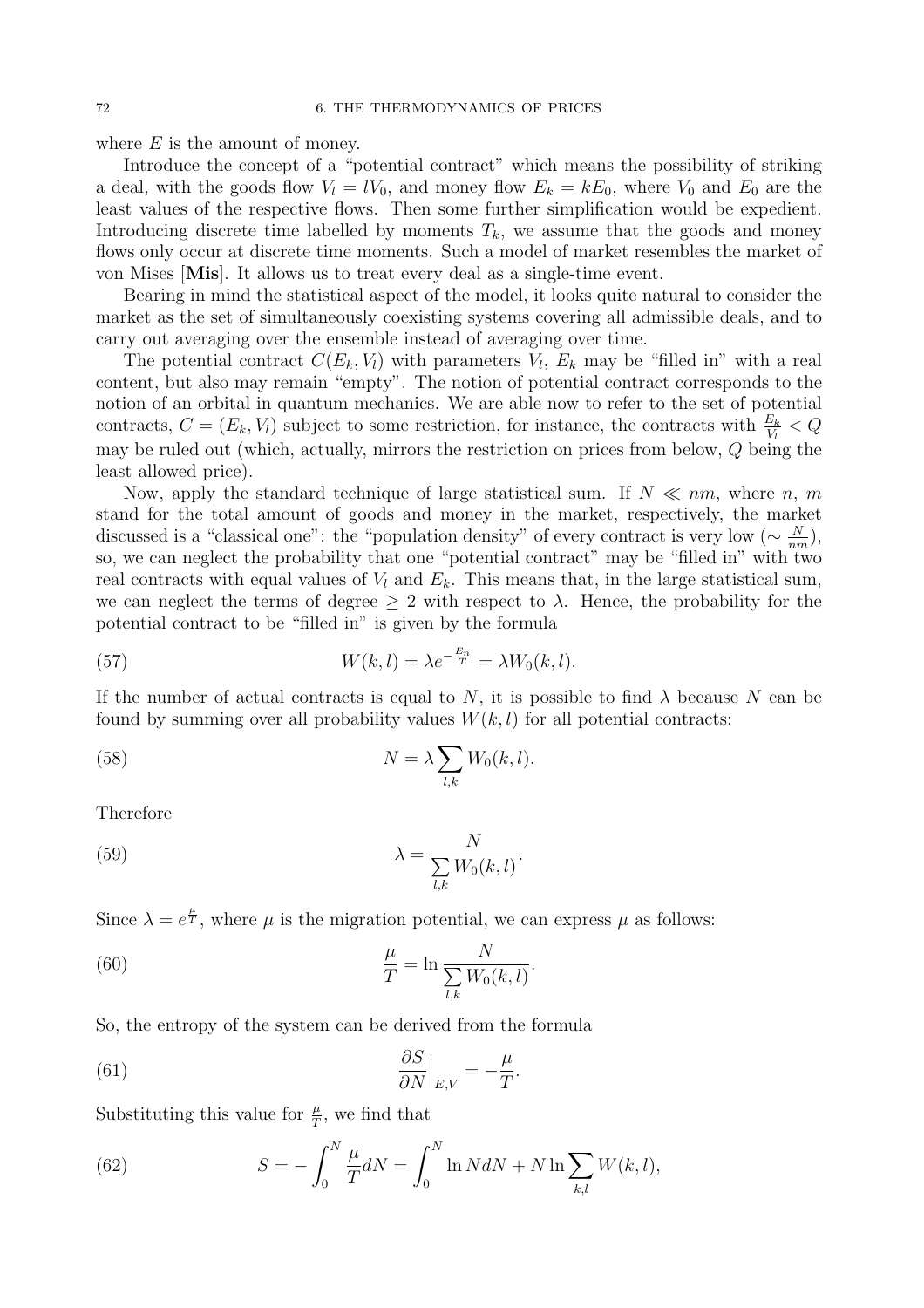where  $E$  is the amount of money.

Introduce the concept of a "potential contract" which means the possibility of striking a deal, with the goods flow  $V_l = lV_0$ , and money flow  $E_k = kE_0$ , where  $V_0$  and  $E_0$  are the least values of the respective flows. Then some further simplification would be expedient. Introducing discrete time labelled by moments  $T_k$ , we assume that the goods and money flows only occur at discrete time moments. Such a model of market resembles the market of von Mises [Mis]. It allows us to treat every deal as a single-time event.

Bearing in mind the statistical aspect of the model, it looks quite natural to consider the market as the set of simultaneously coexisting systems covering all admissible deals, and to carry out averaging over the ensemble instead of averaging over time.

The potential contract  $C(E_k, V_l)$  with parameters  $V_l$ ,  $E_k$  may be "filled in" with a real content, but also may remain "empty". The notion of potential contract corresponds to the notion of an orbital in quantum mechanics. We are able now to refer to the set of potential contracts,  $C = (E_k, V_l)$  subject to some restriction, for instance, the contracts with  $\frac{E_k}{V_l} < Q$ may be ruled out (which, actually, mirrors the restriction on prices from below, Q being the least allowed price).

Now, apply the standard technique of large statistical sum. If  $N \ll nm$ , where n, m stand for the total amount of goods and money in the market, respectively, the market discussed is a "classical one": the "population density" of every contract is very low ( $\sim \frac{N}{nn}$  $\frac{N}{nm}$ ), so, we can neglect the probability that one "potential contract" may be "filled in" with two real contracts with equal values of  $V_l$  and  $E_k$ . This means that, in the large statistical sum, we can neglect the terms of degree  $\geq 2$  with respect to  $\lambda$ . Hence, the probability for the potential contract to be "filled in" is given by the formula

(57) 
$$
W(k,l) = \lambda e^{-\frac{E_n}{T}} = \lambda W_0(k,l).
$$

If the number of actual contracts is equal to N, it is possible to find  $\lambda$  because N can be found by summing over all probability values  $W(k, l)$  for all potential contracts:

(58) 
$$
N = \lambda \sum_{l,k} W_0(k,l).
$$

Therefore

(59) 
$$
\lambda = \frac{N}{\sum_{l,k} W_0(k,l)}.
$$

Since  $\lambda = e^{\frac{\mu}{T}}$ , where  $\mu$  is the migration potential, we can express  $\mu$  as follows:

(60) 
$$
\frac{\mu}{T} = \ln \frac{N}{\sum_{l,k} W_0(k,l)}.
$$

So, the entropy of the system can be derived from the formula

(61) 
$$
\frac{\partial S}{\partial N}\Big|_{E,V} = -\frac{\mu}{T}.
$$

Substituting this value for  $\frac{\mu}{T}$ , we find that

(62) 
$$
S = -\int_0^N \frac{\mu}{T} dN = \int_0^N \ln N dN + N \ln \sum_{k,l} W(k,l),
$$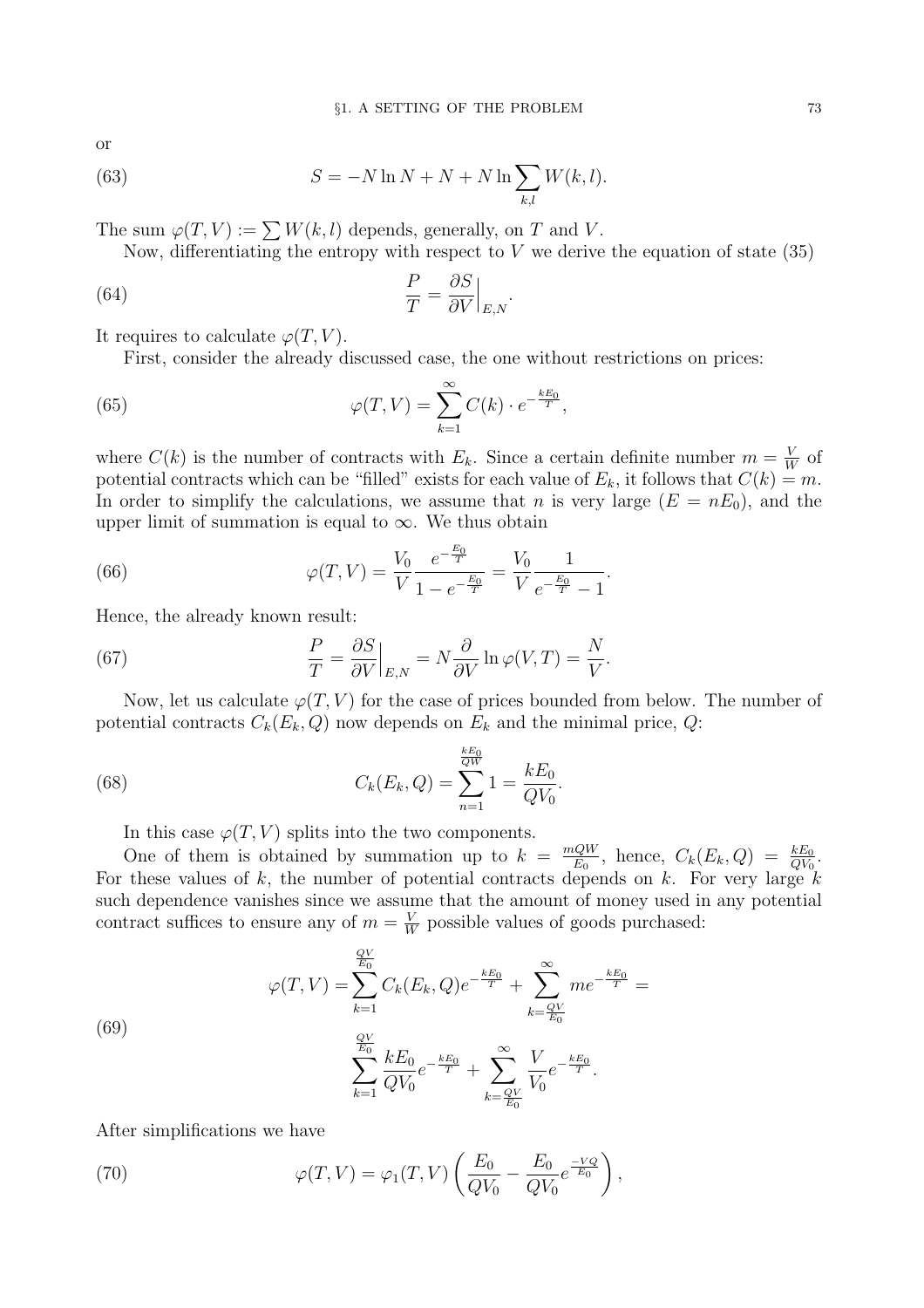or

(63) 
$$
S = -N \ln N + N + N \ln \sum_{k,l} W(k,l).
$$

The sum  $\varphi(T, V) := \sum W(k, l)$  depends, generally, on T and V.

Now, differentiating the entropy with respect to  $V$  we derive the equation of state (35)

(64) 
$$
\frac{P}{T} = \frac{\partial S}{\partial V}\Big|_{E,N}.
$$

It requires to calculate  $\varphi(T, V)$ .

First, consider the already discussed case, the one without restrictions on prices:

(65) 
$$
\varphi(T,V) = \sum_{k=1}^{\infty} C(k) \cdot e^{-\frac{kE_0}{T}},
$$

where  $C(k)$  is the number of contracts with  $E_k$ . Since a certain definite number  $m = \frac{V}{W}$  $\frac{V}{W}$  of potential contracts which can be "filled" exists for each value of  $E_k$ , it follows that  $C(k) = m$ . In order to simplify the calculations, we assume that n is very large  $(E = nE_0)$ , and the upper limit of summation is equal to  $\infty$ . We thus obtain

.

(66) 
$$
\varphi(T,V) = \frac{V_0}{V} \frac{e^{-\frac{E_0}{T}}}{1 - e^{-\frac{E_0}{T}}} = \frac{V_0}{V} \frac{1}{e^{-\frac{E_0}{T}} - 1}
$$

Hence, the already known result:

(67) 
$$
\frac{P}{T} = \frac{\partial S}{\partial V}\Big|_{E,N} = N\frac{\partial}{\partial V}\ln\varphi(V,T) = \frac{N}{V}.
$$

Now, let us calculate  $\varphi(T, V)$  for the case of prices bounded from below. The number of potential contracts  $C_k(E_k,Q)$  now depends on  $E_k$  and the minimal price, Q:

(68) 
$$
C_k(E_k, Q) = \sum_{n=1}^{\frac{kE_0}{QW}} 1 = \frac{kE_0}{QV_0}.
$$

In this case  $\varphi(T, V)$  splits into the two components.

One of them is obtained by summation up to  $k = \frac{mQW}{F_0}$  $\frac{QW}{E_0}$ , hence,  $C_k(E_k, Q) = \frac{kE_0}{QV_0}$ . For these values of k, the number of potential contracts depends on k. For very large  $k$ such dependence vanishes since we assume that the amount of money used in any potential contract suffices to ensure any of  $m = \frac{V}{W}$  $\frac{V}{W}$  possible values of goods purchased:

(69)  

$$
\varphi(T, V) = \sum_{k=1}^{\frac{QV}{E_0}} C_k(E_k, Q) e^{-\frac{kE_0}{T}} + \sum_{k=\frac{QV}{E_0}}^{\infty} m e^{-\frac{kE_0}{T}} =
$$

$$
\sum_{k=1}^{\frac{QV}{E_0}} \frac{kE_0}{QV_0} e^{-\frac{kE_0}{T}} + \sum_{k=\frac{QV}{E_0}}^{\infty} \frac{V}{V_0} e^{-\frac{kE_0}{T}}.
$$

After simplifications we have

(70) 
$$
\varphi(T,V) = \varphi_1(T,V) \left( \frac{E_0}{QV_0} - \frac{E_0}{QV_0} e^{\frac{-VQ}{E_0}} \right),
$$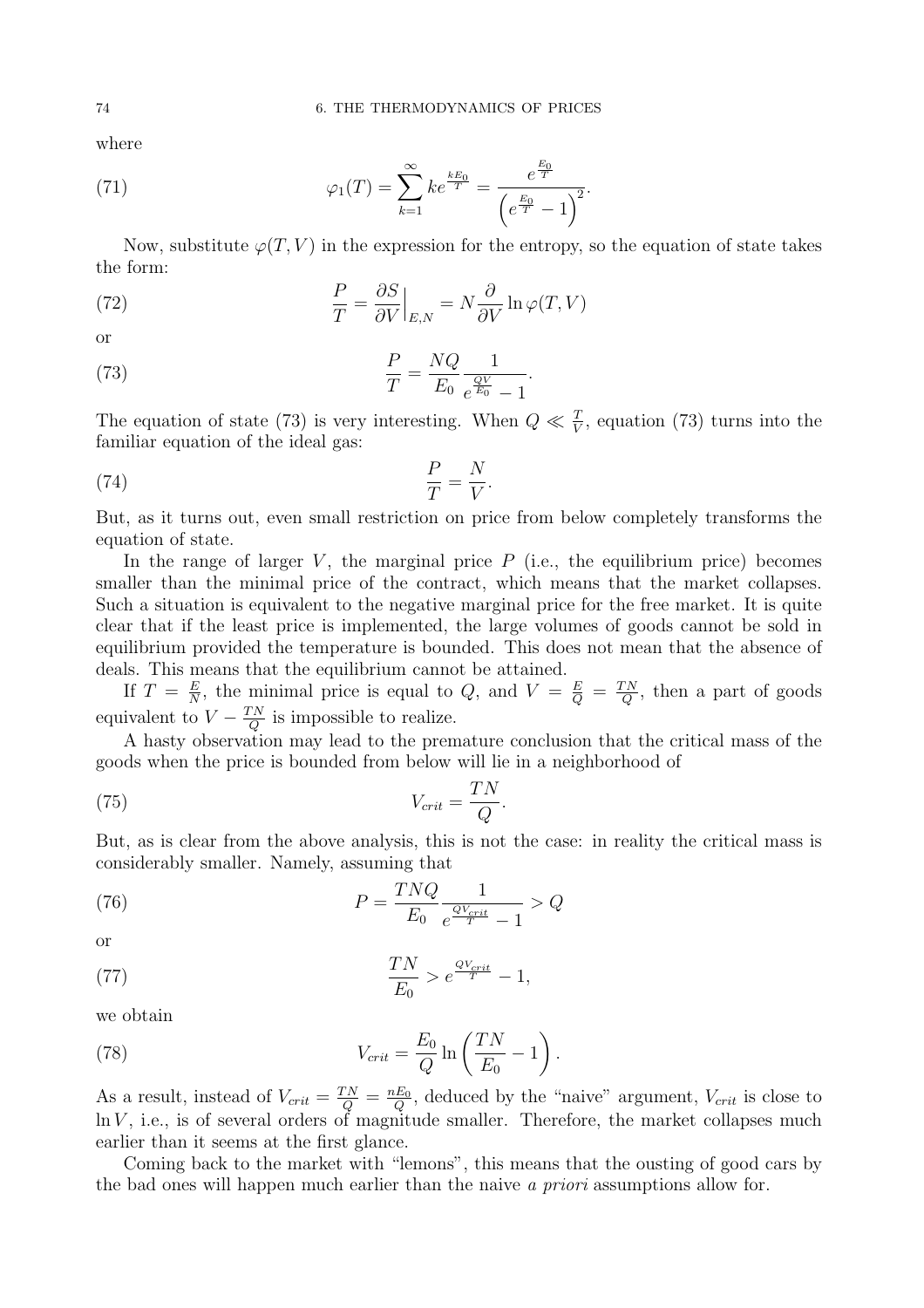where

(71) 
$$
\varphi_1(T) = \sum_{k=1}^{\infty} k e^{\frac{kE_0}{T}} = \frac{e^{\frac{E_0}{T}}}{\left(e^{\frac{E_0}{T}} - 1\right)^2}.
$$

Now, substitute  $\varphi(T, V)$  in the expression for the entropy, so the equation of state takes the form:

(72) 
$$
\frac{P}{T} = \frac{\partial S}{\partial V}\Big|_{E,N} = N \frac{\partial}{\partial V} \ln \varphi(T, V)
$$

or

(73) 
$$
\frac{P}{T} = \frac{NQ}{E_0} \frac{1}{e^{\frac{QV}{E_0}} - 1}.
$$

The equation of state (73) is very interesting. When  $Q \ll \frac{T}{V}$ , equation (73) turns into the familiar equation of the ideal gas:

$$
\frac{P}{T} = \frac{N}{V}.
$$

But, as it turns out, even small restriction on price from below completely transforms the equation of state.

In the range of larger V, the marginal price  $P$  (i.e., the equilibrium price) becomes smaller than the minimal price of the contract, which means that the market collapses. Such a situation is equivalent to the negative marginal price for the free market. It is quite clear that if the least price is implemented, the large volumes of goods cannot be sold in equilibrium provided the temperature is bounded. This does not mean that the absence of deals. This means that the equilibrium cannot be attained.

If  $T = \frac{E}{N}$  $\frac{E}{N}$ , the minimal price is equal to Q, and  $V = \frac{E}{Q} = \frac{TN}{Q}$  $\frac{d}{d}$ , then a part of goods equivalent to  $V - \frac{TN}{Q}$  $\frac{d}{d}$  is impossible to realize.

A hasty observation may lead to the premature conclusion that the critical mass of the goods when the price is bounded from below will lie in a neighborhood of

(75) 
$$
V_{crit} = \frac{TN}{Q}.
$$

But, as is clear from the above analysis, this is not the case: in reality the critical mass is considerably smaller. Namely, assuming that

(76) 
$$
P = \frac{TNQ}{E_0} \frac{1}{e^{\frac{QV_{crit}}{T}} - 1} > Q
$$

or

(77) 
$$
\frac{TN}{E_0} > e^{\frac{QV_{crit}}{T}} - 1,
$$

we obtain

(78) 
$$
V_{crit} = \frac{E_0}{Q} \ln\left(\frac{TN}{E_0} - 1\right).
$$

As a result, instead of  $V_{crit} = \frac{TN}{Q} = \frac{nE_0}{Q}$  $\frac{E_0}{Q}$ , deduced by the "naive" argument,  $V_{crit}$  is close to  $\ln V$ , i.e., is of several orders of magnitude smaller. Therefore, the market collapses much earlier than it seems at the first glance.

Coming back to the market with "lemons", this means that the ousting of good cars by the bad ones will happen much earlier than the naive a priori assumptions allow for.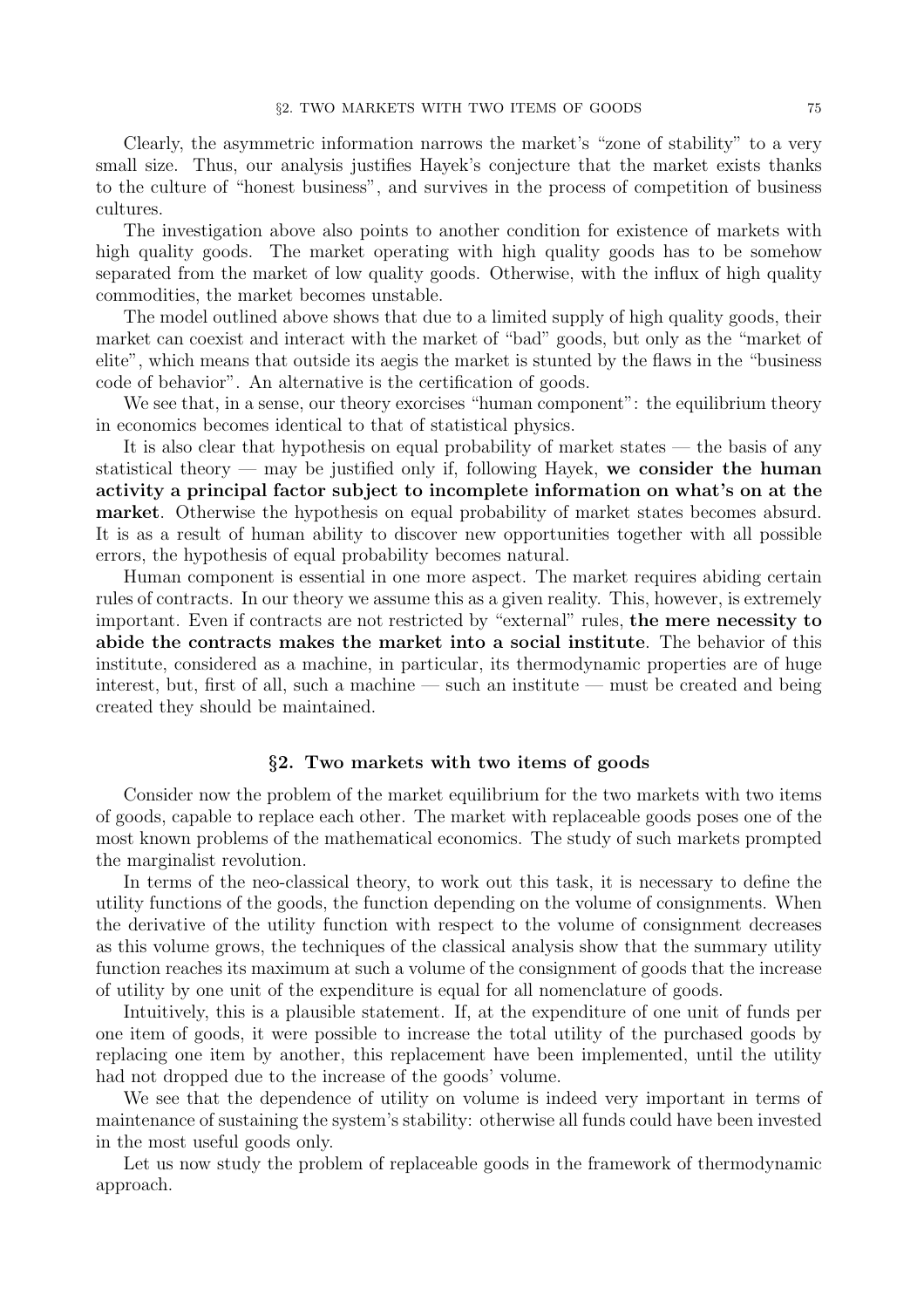Clearly, the asymmetric information narrows the market's "zone of stability" to a very small size. Thus, our analysis justifies Hayek's conjecture that the market exists thanks to the culture of "honest business", and survives in the process of competition of business cultures.

The investigation above also points to another condition for existence of markets with high quality goods. The market operating with high quality goods has to be somehow separated from the market of low quality goods. Otherwise, with the influx of high quality commodities, the market becomes unstable.

The model outlined above shows that due to a limited supply of high quality goods, their market can coexist and interact with the market of "bad" goods, but only as the "market of elite", which means that outside its aegis the market is stunted by the flaws in the "business code of behavior". An alternative is the certification of goods.

We see that, in a sense, our theory exorcises "human component": the equilibrium theory in economics becomes identical to that of statistical physics.

It is also clear that hypothesis on equal probability of market states — the basis of any statistical theory — may be justified only if, following Hayek, we consider the human activity a principal factor subject to incomplete information on what's on at the market. Otherwise the hypothesis on equal probability of market states becomes absurd. It is as a result of human ability to discover new opportunities together with all possible errors, the hypothesis of equal probability becomes natural.

Human component is essential in one more aspect. The market requires abiding certain rules of contracts. In our theory we assume this as a given reality. This, however, is extremely important. Even if contracts are not restricted by "external" rules, the mere necessity to abide the contracts makes the market into a social institute. The behavior of this institute, considered as a machine, in particular, its thermodynamic properties are of huge interest, but, first of all, such a machine — such an institute — must be created and being created they should be maintained.

#### §2. Two markets with two items of goods

Consider now the problem of the market equilibrium for the two markets with two items of goods, capable to replace each other. The market with replaceable goods poses one of the most known problems of the mathematical economics. The study of such markets prompted the marginalist revolution.

In terms of the neo-classical theory, to work out this task, it is necessary to define the utility functions of the goods, the function depending on the volume of consignments. When the derivative of the utility function with respect to the volume of consignment decreases as this volume grows, the techniques of the classical analysis show that the summary utility function reaches its maximum at such a volume of the consignment of goods that the increase of utility by one unit of the expenditure is equal for all nomenclature of goods.

Intuitively, this is a plausible statement. If, at the expenditure of one unit of funds per one item of goods, it were possible to increase the total utility of the purchased goods by replacing one item by another, this replacement have been implemented, until the utility had not dropped due to the increase of the goods' volume.

We see that the dependence of utility on volume is indeed very important in terms of maintenance of sustaining the system's stability: otherwise all funds could have been invested in the most useful goods only.

Let us now study the problem of replaceable goods in the framework of thermodynamic approach.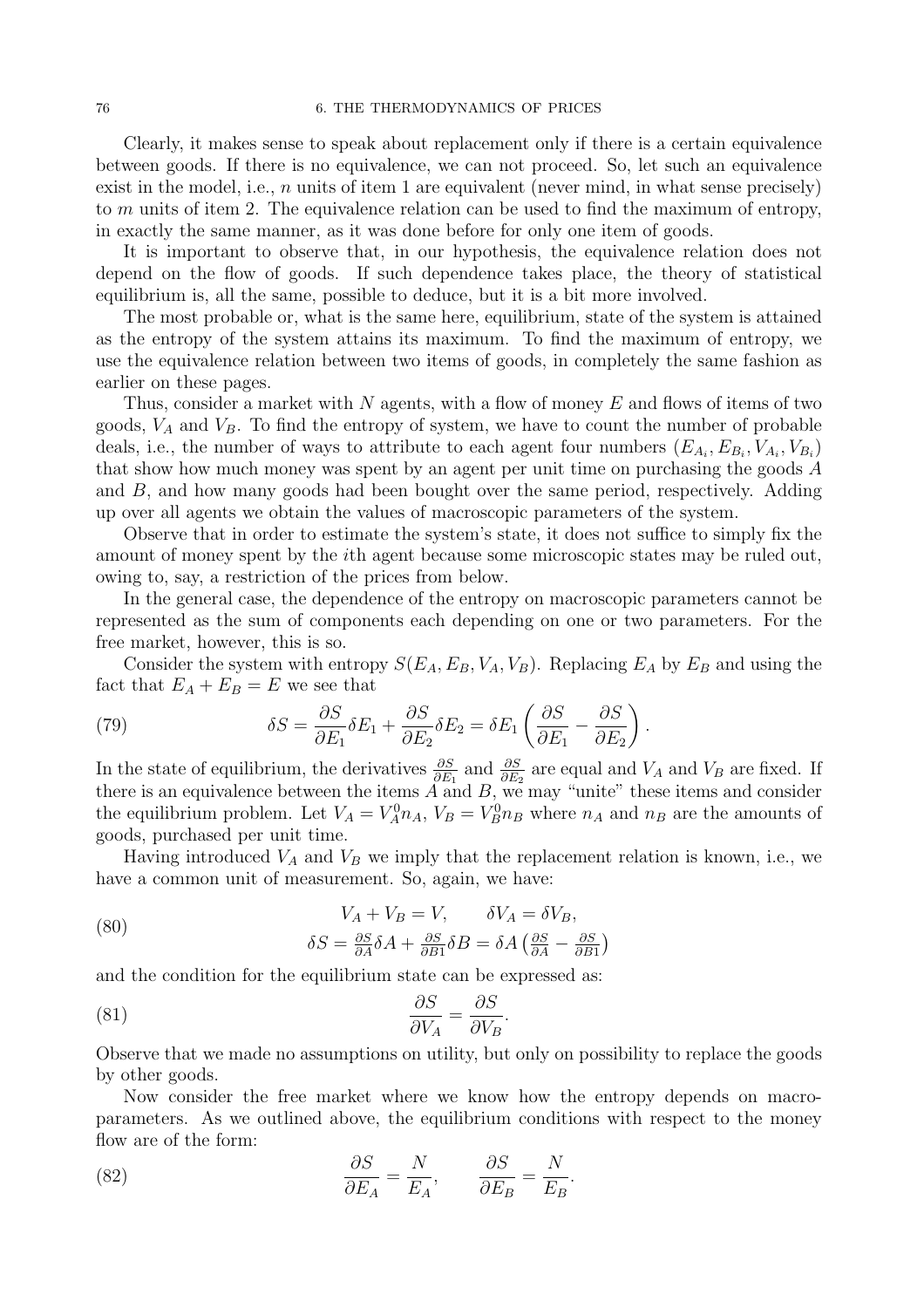Clearly, it makes sense to speak about replacement only if there is a certain equivalence between goods. If there is no equivalence, we can not proceed. So, let such an equivalence exist in the model, i.e.,  $n$  units of item 1 are equivalent (never mind, in what sense precisely) to m units of item 2. The equivalence relation can be used to find the maximum of entropy, in exactly the same manner, as it was done before for only one item of goods.

It is important to observe that, in our hypothesis, the equivalence relation does not depend on the flow of goods. If such dependence takes place, the theory of statistical equilibrium is, all the same, possible to deduce, but it is a bit more involved.

The most probable or, what is the same here, equilibrium, state of the system is attained as the entropy of the system attains its maximum. To find the maximum of entropy, we use the equivalence relation between two items of goods, in completely the same fashion as earlier on these pages.

Thus, consider a market with N agents, with a flow of money  $E$  and flows of items of two goods,  $V_A$  and  $V_B$ . To find the entropy of system, we have to count the number of probable deals, i.e., the number of ways to attribute to each agent four numbers  $(E_{A_i}, E_{B_i}, V_{A_i}, V_{B_i})$ that show how much money was spent by an agent per unit time on purchasing the goods A and B, and how many goods had been bought over the same period, respectively. Adding up over all agents we obtain the values of macroscopic parameters of the system.

Observe that in order to estimate the system's state, it does not suffice to simply fix the amount of money spent by the ith agent because some microscopic states may be ruled out, owing to, say, a restriction of the prices from below.

In the general case, the dependence of the entropy on macroscopic parameters cannot be represented as the sum of components each depending on one or two parameters. For the free market, however, this is so.

Consider the system with entropy  $S(E_A, E_B, V_A, V_B)$ . Replacing  $E_A$  by  $E_B$  and using the fact that  $E_A + E_B = E$  we see that

(79) 
$$
\delta S = \frac{\partial S}{\partial E_1} \delta E_1 + \frac{\partial S}{\partial E_2} \delta E_2 = \delta E_1 \left( \frac{\partial S}{\partial E_1} - \frac{\partial S}{\partial E_2} \right).
$$

In the state of equilibrium, the derivatives  $\frac{\partial S}{\partial E_1}$  and  $\frac{\partial S}{\partial E_2}$  are equal and  $V_A$  and  $V_B$  are fixed. If there is an equivalence between the items  $A$  and  $B$ , we may "unite" these items and consider the equilibrium problem. Let  $V_A = V_A^0 n_A$ ,  $V_B = V_B^0 n_B$  where  $n_A$  and  $n_B$  are the amounts of goods, purchased per unit time.

Having introduced  $V_A$  and  $V_B$  we imply that the replacement relation is known, i.e., we have a common unit of measurement. So, again, we have:

(80) 
$$
V_A + V_B = V, \qquad \delta V_A = \delta V_B,
$$

$$
\delta S = \frac{\partial S}{\partial A} \delta A + \frac{\partial S}{\partial B1} \delta B = \delta A \left(\frac{\partial S}{\partial A} - \frac{\partial S}{\partial B1}\right)
$$

and the condition for the equilibrium state can be expressed as:

(81) 
$$
\frac{\partial S}{\partial V_A} = \frac{\partial S}{\partial V_B}
$$

Observe that we made no assumptions on utility, but only on possibility to replace the goods by other goods.

.

Now consider the free market where we know how the entropy depends on macroparameters. As we outlined above, the equilibrium conditions with respect to the money flow are of the form:

(82) 
$$
\frac{\partial S}{\partial E_A} = \frac{N}{E_A}, \qquad \frac{\partial S}{\partial E_B} = \frac{N}{E_B}.
$$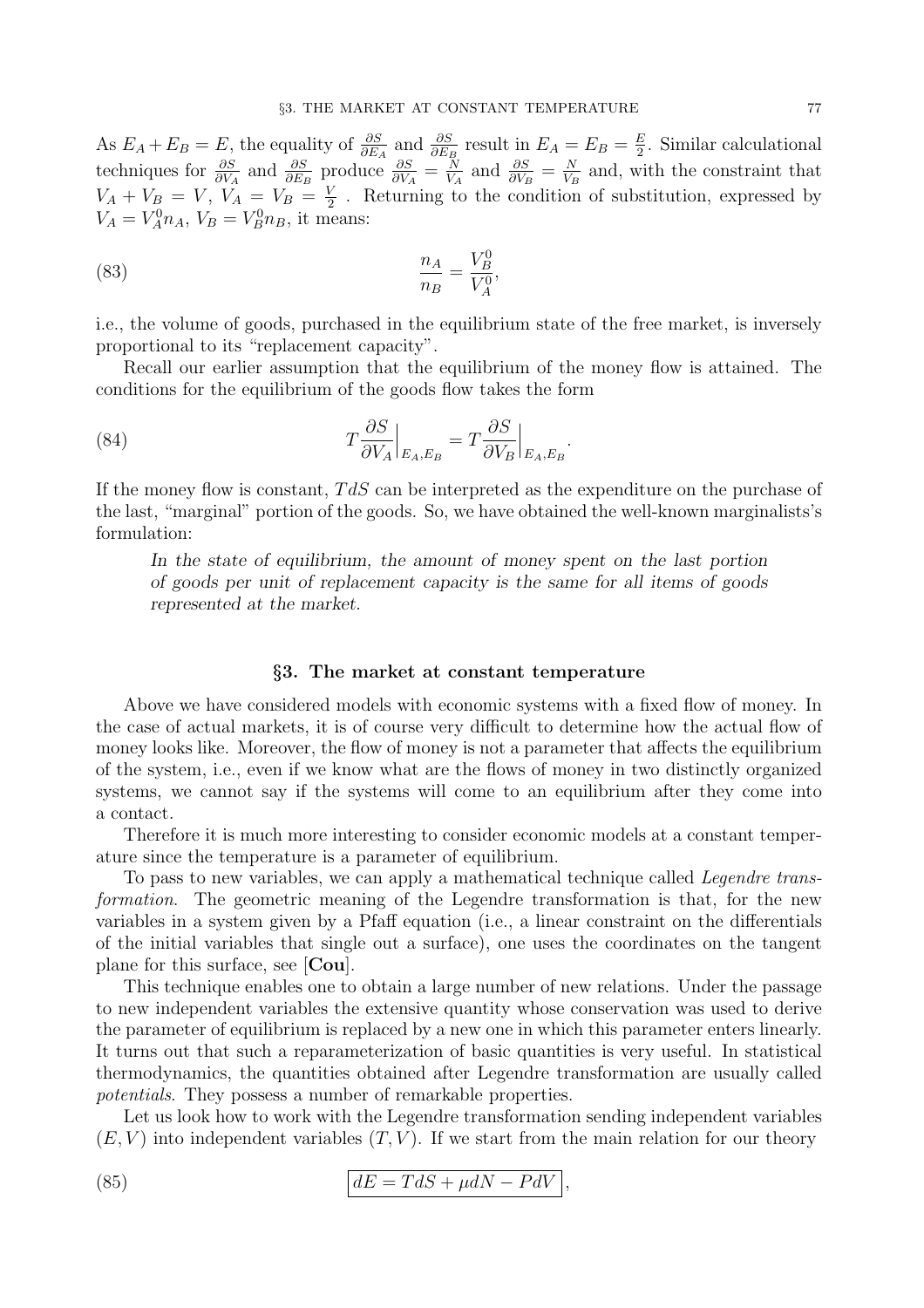As  $E_A + E_B = E$ , the equality of  $\frac{\partial S}{\partial E_A}$  and  $\frac{\partial S}{\partial E_B}$  result in  $E_A = E_B = \frac{E}{2}$  $\frac{E}{2}$ . Similar calculational techniques for  $\frac{\partial S}{\partial V_A}$  and  $\frac{\partial S}{\partial E_B}$  produce  $\frac{\partial S}{\partial V_A} = \frac{N}{V_A}$  $\frac{N}{V_A}$  and  $\frac{\partial S}{\partial V_B} = \frac{N}{V_B}$  $\frac{N}{V_B}$  and, with the constraint that  $V_A + V_B = V, V_A = V_B = \frac{V}{2}$  $\frac{V}{2}$ . Returning to the condition of substitution, expressed by  $V_A = V_A^0 n_A$ ,  $V_B = V_B^0 n_B$ , it means:

(83) 
$$
\frac{n_A}{n_B} = \frac{V_B^0}{V_A^0},
$$

i.e., the volume of goods, purchased in the equilibrium state of the free market, is inversely proportional to its "replacement capacity".

Recall our earlier assumption that the equilibrium of the money flow is attained. The conditions for the equilibrium of the goods flow takes the form

.

(84) 
$$
T\frac{\partial S}{\partial V_A}\Big|_{E_A,E_B} = T\frac{\partial S}{\partial V_B}\Big|_{E_A,E_B}
$$

If the money flow is constant, TdS can be interpreted as the expenditure on the purchase of the last, "marginal" portion of the goods. So, we have obtained the well-known marginalists's formulation:

In the state of equilibrium, the amount of money spent on the last portion of goods per unit of replacement capacity is the same for all items of goods represented at the market.

### §3. The market at constant temperature

Above we have considered models with economic systems with a fixed flow of money. In the case of actual markets, it is of course very difficult to determine how the actual flow of money looks like. Moreover, the flow of money is not a parameter that affects the equilibrium of the system, i.e., even if we know what are the flows of money in two distinctly organized systems, we cannot say if the systems will come to an equilibrium after they come into a contact.

Therefore it is much more interesting to consider economic models at a constant temperature since the temperature is a parameter of equilibrium.

To pass to new variables, we can apply a mathematical technique called *Legendre trans*formation. The geometric meaning of the Legendre transformation is that, for the new variables in a system given by a Pfaff equation (i.e., a linear constraint on the differentials of the initial variables that single out a surface), one uses the coordinates on the tangent plane for this surface, see [Cou].

This technique enables one to obtain a large number of new relations. Under the passage to new independent variables the extensive quantity whose conservation was used to derive the parameter of equilibrium is replaced by a new one in which this parameter enters linearly. It turns out that such a reparameterization of basic quantities is very useful. In statistical thermodynamics, the quantities obtained after Legendre transformation are usually called potentials. They possess a number of remarkable properties.

Let us look how to work with the Legendre transformation sending independent variables  $(E, V)$  into independent variables  $(T, V)$ . If we start from the main relation for our theory

(85) 
$$
dE = TdS + \mu dN - PdV,
$$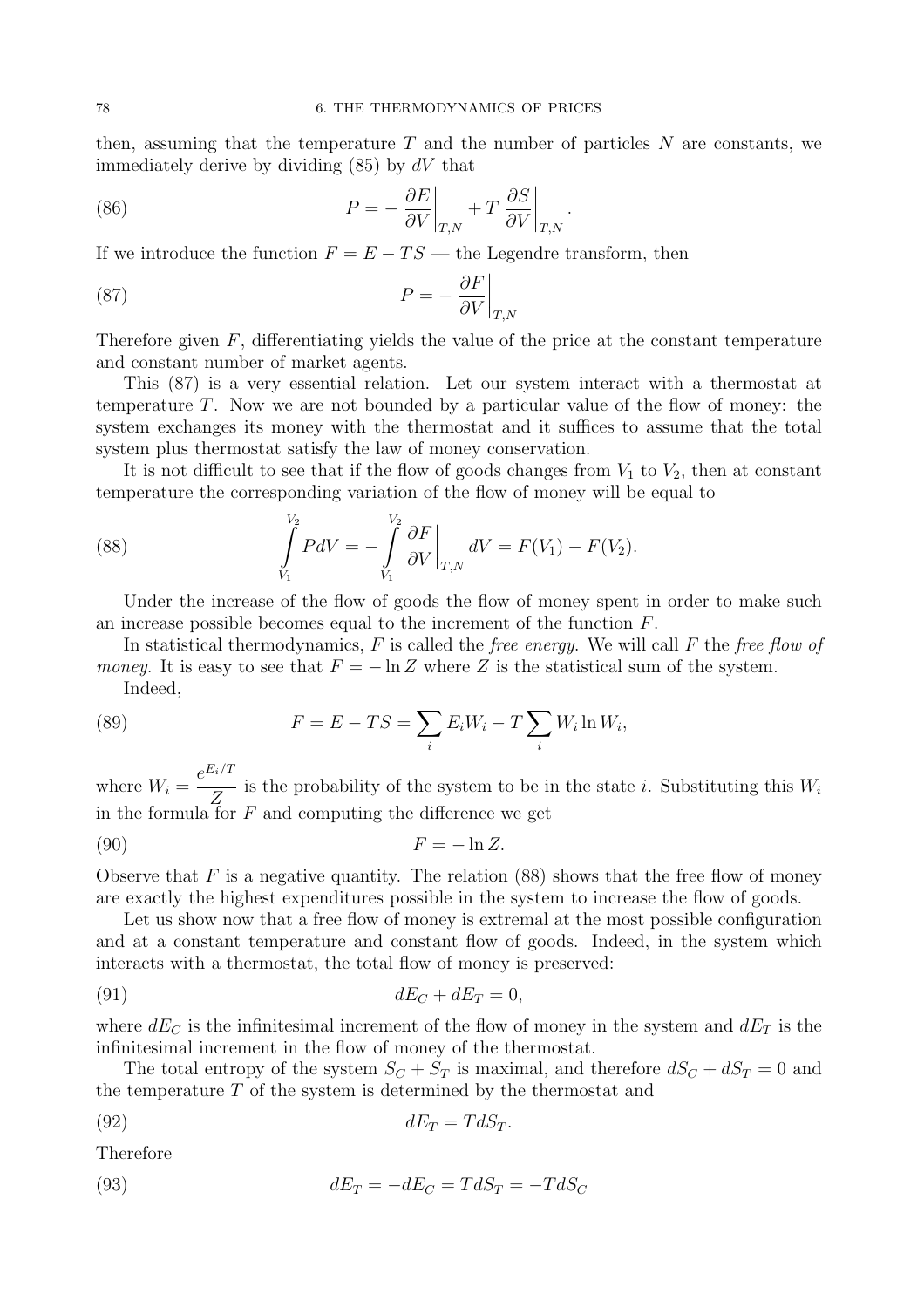then, assuming that the temperature  $T$  and the number of particles  $N$  are constants, we immediately derive by dividing  $(85)$  by  $dV$  that

.

(86) 
$$
P = -\frac{\partial E}{\partial V}\bigg|_{T,N} + T \frac{\partial S}{\partial V}\bigg|_{T,N}
$$

If we introduce the function  $F = E - TS$  — the Legendre transform, then

(87) 
$$
P = -\frac{\partial F}{\partial V}\Big|_{T,N}
$$

Therefore given  $F$ , differentiating yields the value of the price at the constant temperature and constant number of market agents.

This (87) is a very essential relation. Let our system interact with a thermostat at temperature T. Now we are not bounded by a particular value of the flow of money: the system exchanges its money with the thermostat and it suffices to assume that the total system plus thermostat satisfy the law of money conservation.

It is not difficult to see that if the flow of goods changes from  $V_1$  to  $V_2$ , then at constant temperature the corresponding variation of the flow of money will be equal to

(88) 
$$
\int_{V_1}^{V_2} P dV = -\int_{V_1}^{V_2} \frac{\partial F}{\partial V}\Big|_{T,N} dV = F(V_1) - F(V_2).
$$

Under the increase of the flow of goods the flow of money spent in order to make such an increase possible becomes equal to the increment of the function  $F$ .

In statistical thermodynamics,  $F$  is called the *free energy*. We will call  $F$  the *free flow of* money. It is easy to see that  $F = -\ln Z$  where Z is the statistical sum of the system. Indeed,

(89) 
$$
F = E - TS = \sum_{i} E_i W_i - T \sum_{i} W_i \ln W_i,
$$

where  $W_i =$  $e^{E_i/T}$  $\overline{Z}$  is the probability of the system to be in the state *i*. Substituting this  $W_i$ in the formula for  $F$  and computing the difference we get

$$
(90) \t\t\t F = -\ln Z.
$$

Observe that  $F$  is a negative quantity. The relation (88) shows that the free flow of money are exactly the highest expenditures possible in the system to increase the flow of goods.

Let us show now that a free flow of money is extremal at the most possible configuration and at a constant temperature and constant flow of goods. Indeed, in the system which interacts with a thermostat, the total flow of money is preserved:

$$
dE_C + dE_T = 0,
$$

where  $dE_C$  is the infinitesimal increment of the flow of money in the system and  $dE_T$  is the infinitesimal increment in the flow of money of the thermostat.

The total entropy of the system  $S_C + S_T$  is maximal, and therefore  $dS_C + dS_T = 0$  and the temperature  $T$  of the system is determined by the thermostat and

$$
dE_T = T dS_T.
$$

Therefore

(93) 
$$
dE_T = -dE_C = TdS_T = -TdS_C
$$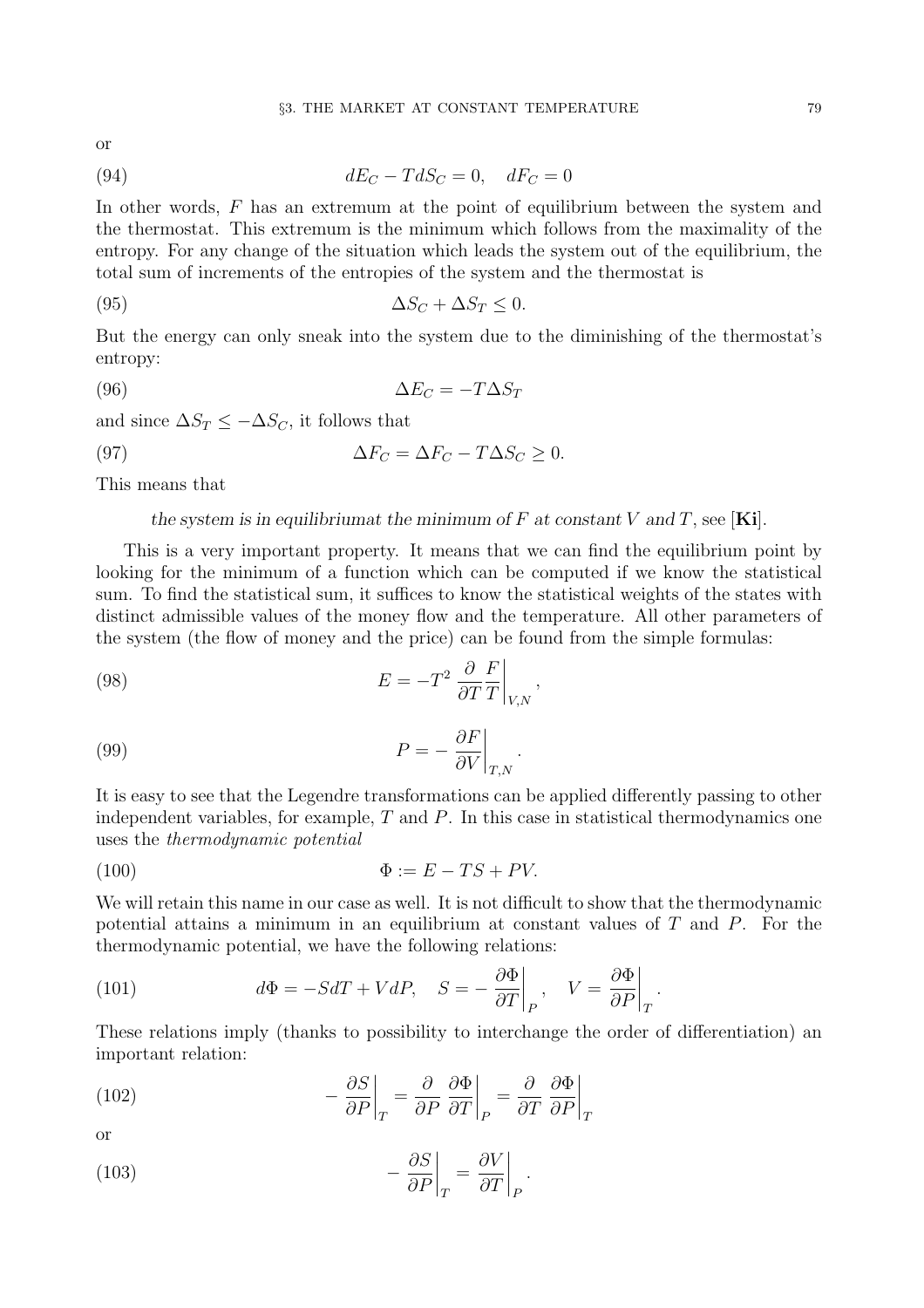or

$$
(94) \t dE_C - T dS_C = 0, \t dF_C = 0
$$

In other words, F has an extremum at the point of equilibrium between the system and the thermostat. This extremum is the minimum which follows from the maximality of the entropy. For any change of the situation which leads the system out of the equilibrium, the total sum of increments of the entropies of the system and the thermostat is

(95) 
$$
\Delta S_C + \Delta S_T \leq 0.
$$

But the energy can only sneak into the system due to the diminishing of the thermostat's entropy:

$$
\Delta E_C = -T\Delta S_T
$$

and since  $\Delta S_T \leq -\Delta S_C$ , it follows that

(97) 
$$
\Delta F_C = \Delta F_C - T \Delta S_C \ge 0.
$$

This means that

the system is in equilibrium t the minimum of F at constant V and T, see [Ki].

This is a very important property. It means that we can find the equilibrium point by looking for the minimum of a function which can be computed if we know the statistical sum. To find the statistical sum, it suffices to know the statistical weights of the states with distinct admissible values of the money flow and the temperature. All other parameters of the system (the flow of money and the price) can be found from the simple formulas:

(98) 
$$
E = -T^2 \left. \frac{\partial}{\partial T} \frac{F}{T} \right|_{V,N},
$$

(99) 
$$
P = -\frac{\partial F}{\partial V}\bigg|_{T,N}.
$$

It is easy to see that the Legendre transformations can be applied differently passing to other independent variables, for example,  $T$  and  $P$ . In this case in statistical thermodynamics one uses the thermodynamic potential

$$
\Phi := E - TS + PV.
$$

We will retain this name in our case as well. It is not difficult to show that the thermodynamic potential attains a minimum in an equilibrium at constant values of T and P. For the thermodynamic potential, we have the following relations:

(101) 
$$
d\Phi = -SdT + VdP, \quad S = -\frac{\partial \Phi}{\partial T}\bigg|_P, \quad V = \frac{\partial \Phi}{\partial P}\bigg|_T.
$$

These relations imply (thanks to possibility to interchange the order of differentiation) an important relation:

(102) 
$$
-\left.\frac{\partial S}{\partial P}\right|_{T} = \left.\frac{\partial}{\partial P}\left.\frac{\partial \Phi}{\partial T}\right|_{P} = \left.\frac{\partial}{\partial T}\left.\frac{\partial \Phi}{\partial P}\right|_{T}
$$

or

(103) 
$$
-\left.\frac{\partial S}{\partial P}\right|_{T} = \left.\frac{\partial V}{\partial T}\right|_{P}.
$$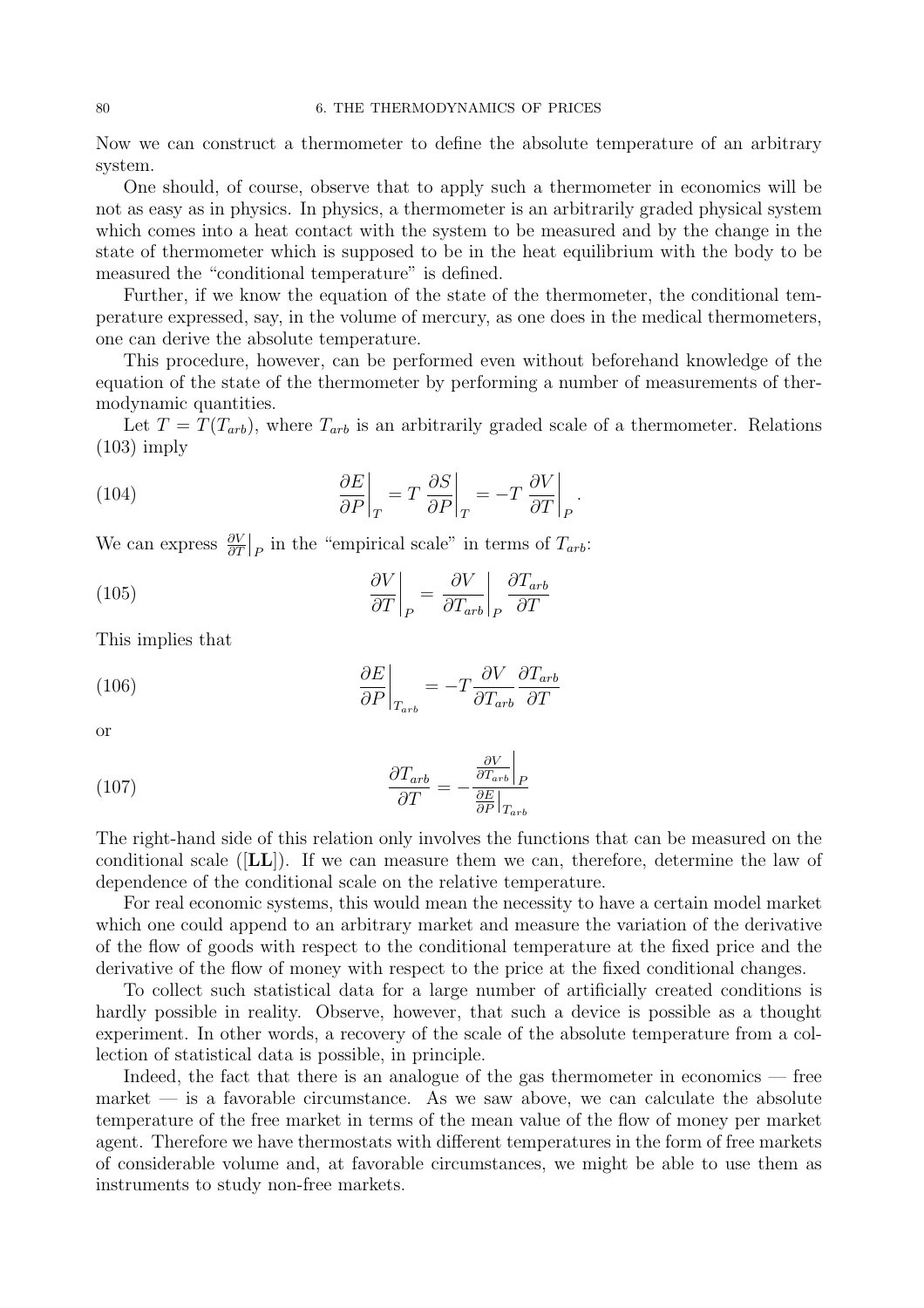Now we can construct a thermometer to define the absolute temperature of an arbitrary system.

One should, of course, observe that to apply such a thermometer in economics will be not as easy as in physics. In physics, a thermometer is an arbitrarily graded physical system which comes into a heat contact with the system to be measured and by the change in the state of thermometer which is supposed to be in the heat equilibrium with the body to be measured the "conditional temperature" is defined.

Further, if we know the equation of the state of the thermometer, the conditional temperature expressed, say, in the volume of mercury, as one does in the medical thermometers, one can derive the absolute temperature.

This procedure, however, can be performed even without beforehand knowledge of the equation of the state of the thermometer by performing a number of measurements of thermodynamic quantities.

Let  $T = T(T_{arb})$ , where  $T_{arb}$  is an arbitrarily graded scale of a thermometer. Relations (103) imply

(104) 
$$
\left. \frac{\partial E}{\partial P} \right|_{T} = T \left. \frac{\partial S}{\partial P} \right|_{T} = -T \left. \frac{\partial V}{\partial T} \right|_{P}.
$$

We can express  $\frac{\partial V}{\partial T}\Big|_P$  in the "empirical scale" in terms of  $T_{arb}$ :

(105) 
$$
\left. \frac{\partial V}{\partial T} \right|_{P} = \left. \frac{\partial V}{\partial T_{arb}} \right|_{P} \frac{\partial T_{arb}}{\partial T}
$$

This implies that

(106) 
$$
\left. \frac{\partial E}{\partial P} \right|_{T_{arb}} = -T \frac{\partial V}{\partial T_{arb}} \frac{\partial T_{arb}}{\partial T}
$$

or

(107) 
$$
\frac{\partial T_{arb}}{\partial T} = -\frac{\frac{\partial V}{\partial T_{arb}}|_P}{\frac{\partial E}{\partial P}|_{T_{arb}}}
$$

The right-hand side of this relation only involves the functions that can be measured on the conditional scale  $([LL])$ . If we can measure them we can, therefore, determine the law of dependence of the conditional scale on the relative temperature.

For real economic systems, this would mean the necessity to have a certain model market which one could append to an arbitrary market and measure the variation of the derivative of the flow of goods with respect to the conditional temperature at the fixed price and the derivative of the flow of money with respect to the price at the fixed conditional changes.

To collect such statistical data for a large number of artificially created conditions is hardly possible in reality. Observe, however, that such a device is possible as a thought experiment. In other words, a recovery of the scale of the absolute temperature from a collection of statistical data is possible, in principle.

Indeed, the fact that there is an analogue of the gas thermometer in economics — free market  $\overline{\phantom{a}}$  is a favorable circumstance. As we saw above, we can calculate the absolute temperature of the free market in terms of the mean value of the flow of money per market agent. Therefore we have thermostats with different temperatures in the form of free markets of considerable volume and, at favorable circumstances, we might be able to use them as instruments to study non-free markets.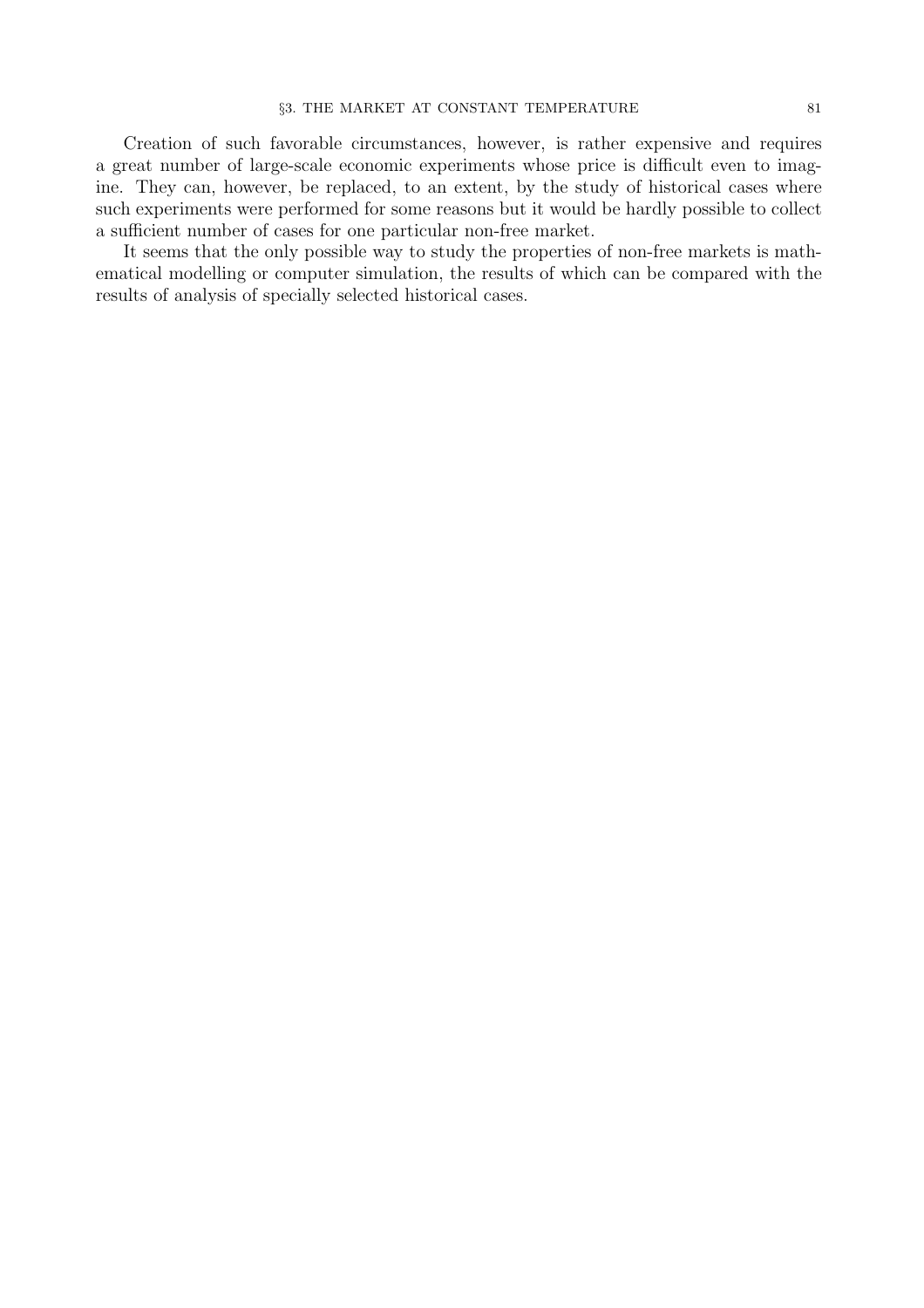Creation of such favorable circumstances, however, is rather expensive and requires a great number of large-scale economic experiments whose price is difficult even to imagine. They can, however, be replaced, to an extent, by the study of historical cases where such experiments were performed for some reasons but it would be hardly possible to collect a sufficient number of cases for one particular non-free market.

It seems that the only possible way to study the properties of non-free markets is mathematical modelling or computer simulation, the results of which can be compared with the results of analysis of specially selected historical cases.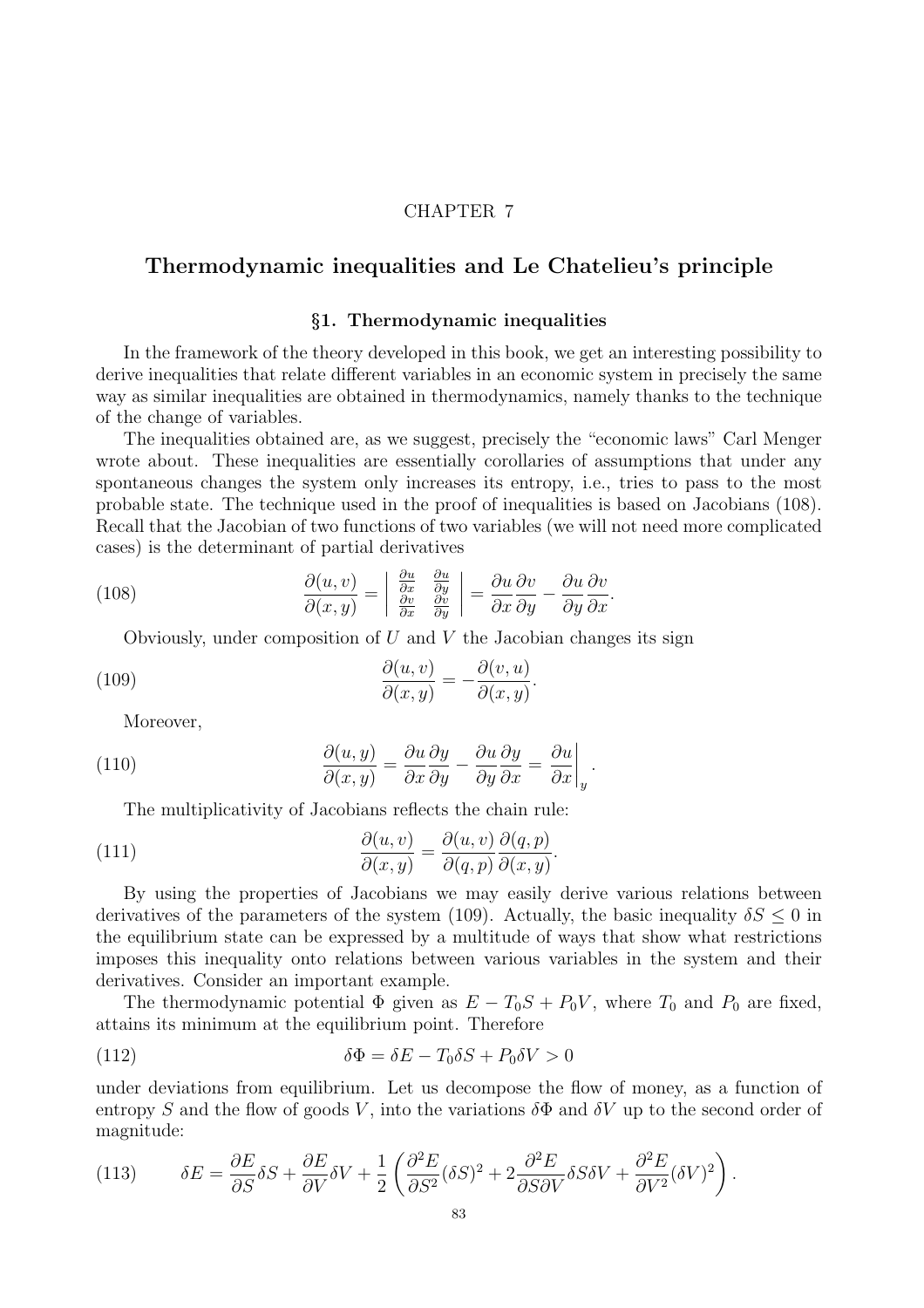### CHAPTER 7

# Thermodynamic inequalities and Le Chatelieu's principle

### §1. Thermodynamic inequalities

In the framework of the theory developed in this book, we get an interesting possibility to derive inequalities that relate different variables in an economic system in precisely the same way as similar inequalities are obtained in thermodynamics, namely thanks to the technique of the change of variables.

The inequalities obtained are, as we suggest, precisely the "economic laws" Carl Menger wrote about. These inequalities are essentially corollaries of assumptions that under any spontaneous changes the system only increases its entropy, i.e., tries to pass to the most probable state. The technique used in the proof of inequalities is based on Jacobians (108). Recall that the Jacobian of two functions of two variables (we will not need more complicated cases) is the determinant of partial derivatives

.

(108) 
$$
\frac{\partial(u,v)}{\partial(x,y)} = \begin{vmatrix} \frac{\partial u}{\partial x} & \frac{\partial u}{\partial y} \\ \frac{\partial v}{\partial x} & \frac{\partial v}{\partial y} \end{vmatrix} = \frac{\partial u}{\partial x} \frac{\partial v}{\partial y} - \frac{\partial u}{\partial y} \frac{\partial v}{\partial x}.
$$

Obviously, under composition of  $U$  and  $V$  the Jacobian changes its sign

(109) 
$$
\frac{\partial(u,v)}{\partial(x,y)} = -\frac{\partial(v,u)}{\partial(x,y)}
$$

Moreover,

(110) 
$$
\frac{\partial(u,y)}{\partial(x,y)} = \frac{\partial u}{\partial x}\frac{\partial y}{\partial y} - \frac{\partial u}{\partial y}\frac{\partial y}{\partial x} = \frac{\partial u}{\partial x}\Big|_{y}.
$$

The multiplicativity of Jacobians reflects the chain rule:

(111) 
$$
\frac{\partial(u,v)}{\partial(x,y)} = \frac{\partial(u,v)}{\partial(q,p)} \frac{\partial(q,p)}{\partial(x,y)}.
$$

By using the properties of Jacobians we may easily derive various relations between derivatives of the parameters of the system (109). Actually, the basic inequality  $\delta S \leq 0$  in the equilibrium state can be expressed by a multitude of ways that show what restrictions imposes this inequality onto relations between various variables in the system and their derivatives. Consider an important example.

The thermodynamic potential  $\Phi$  given as  $E - T_0S + P_0V$ , where  $T_0$  and  $P_0$  are fixed, attains its minimum at the equilibrium point. Therefore

(112) 
$$
\delta \Phi = \delta E - T_0 \delta S + P_0 \delta V > 0
$$

under deviations from equilibrium. Let us decompose the flow of money, as a function of entropy S and the flow of goods V, into the variations  $\delta\Phi$  and  $\delta V$  up to the second order of magnitude:

(113) 
$$
\delta E = \frac{\partial E}{\partial S} \delta S + \frac{\partial E}{\partial V} \delta V + \frac{1}{2} \left( \frac{\partial^2 E}{\partial S^2} (\delta S)^2 + 2 \frac{\partial^2 E}{\partial S \partial V} \delta S \delta V + \frac{\partial^2 E}{\partial V^2} (\delta V)^2 \right).
$$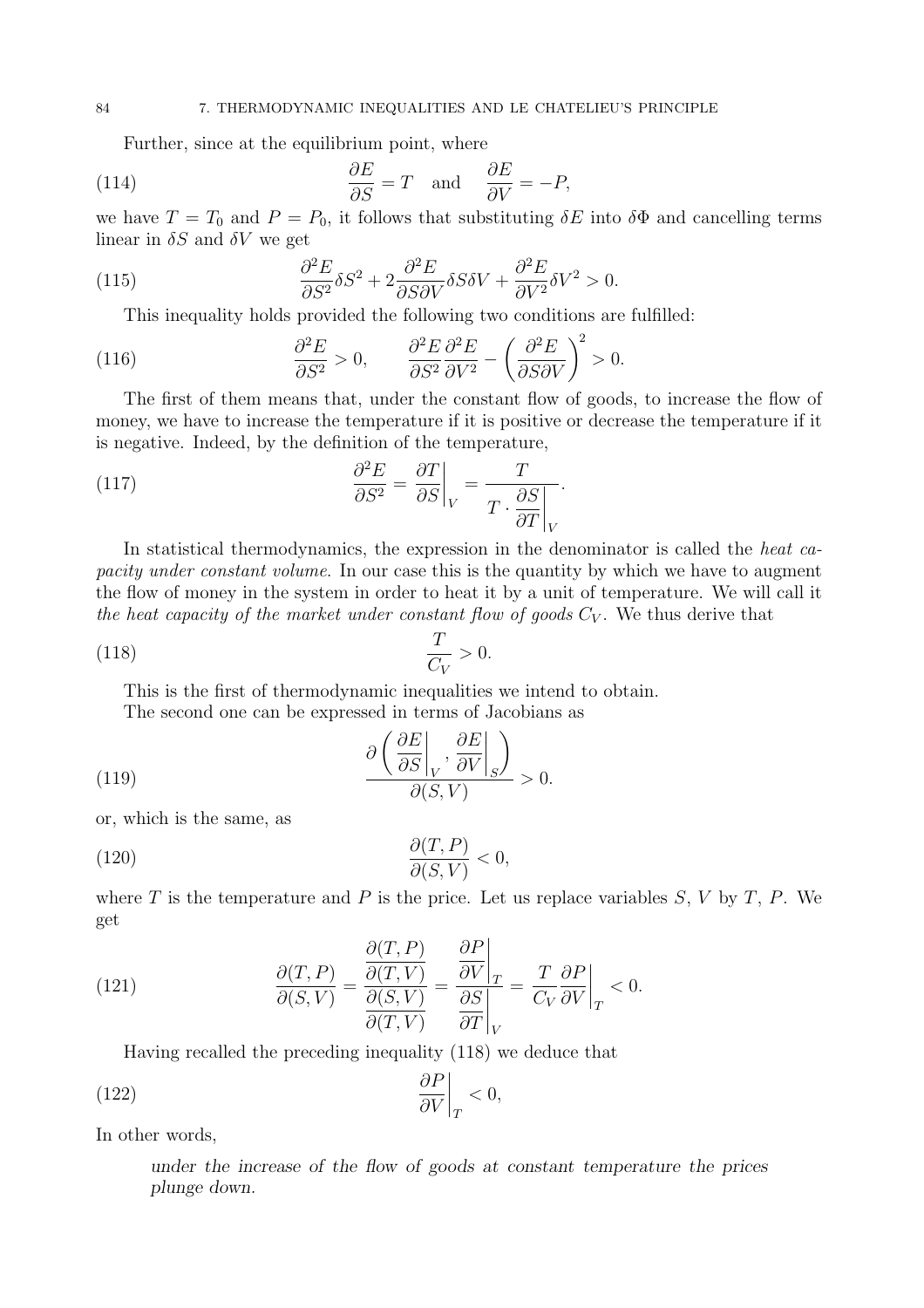Further, since at the equilibrium point, where

(114) 
$$
\frac{\partial E}{\partial S} = T \quad \text{and} \quad \frac{\partial E}{\partial V} = -P,
$$

we have  $T = T_0$  and  $P = P_0$ , it follows that substituting  $\delta E$  into  $\delta \Phi$  and cancelling terms linear in  $\delta S$  and  $\delta V$  we get

(115) 
$$
\frac{\partial^2 E}{\partial S^2} \delta S^2 + 2 \frac{\partial^2 E}{\partial S \partial V} \delta S \delta V + \frac{\partial^2 E}{\partial V^2} \delta V^2 > 0.
$$

This inequality holds provided the following two conditions are fulfilled:

(116) 
$$
\frac{\partial^2 E}{\partial S^2} > 0, \qquad \frac{\partial^2 E}{\partial S^2} \frac{\partial^2 E}{\partial V^2} - \left(\frac{\partial^2 E}{\partial S \partial V}\right)^2 > 0.
$$

The first of them means that, under the constant flow of goods, to increase the flow of money, we have to increase the temperature if it is positive or decrease the temperature if it is negative. Indeed, by the definition of the temperature,

(117) 
$$
\frac{\partial^2 E}{\partial S^2} = \frac{\partial T}{\partial S}\bigg|_V = \frac{T}{T \cdot \frac{\partial S}{\partial T}\bigg|_V}.
$$

In statistical thermodynamics, the expression in the denominator is called the heat capacity under constant volume. In our case this is the quantity by which we have to augment the flow of money in the system in order to heat it by a unit of temperature. We will call it the heat capacity of the market under constant flow of goods  $C_V$ . We thus derive that

$$
\frac{T}{C_V} > 0.
$$

This is the first of thermodynamic inequalities we intend to obtain. The second one can be expressed in terms of Jacobians as

(119) 
$$
\frac{\partial \left( \left. \frac{\partial E}{\partial S} \right|_{V}, \left. \frac{\partial E}{\partial V} \right|_{S} \right)}{\partial (S, V)} > 0.
$$

or, which is the same, as

$$
\frac{\partial(T, P)}{\partial(S, V)} < 0,
$$

where T is the temperature and P is the price. Let us replace variables  $S, V$  by T, P. We get

(121) 
$$
\frac{\partial(T, P)}{\partial(S, V)} = \frac{\frac{\partial(T, P)}{\partial(T, V)}}{\frac{\partial(S, V)}{\partial(T, V)}} = \frac{\frac{\partial P}{\partial V}\bigg|_{T}}{\frac{\partial S}{\partial T}\bigg|_{V}} = \frac{T}{C_{V}}\frac{\partial P}{\partial V}\bigg|_{T} < 0.
$$

Having recalled the preceding inequality (118) we deduce that

$$
\frac{\partial P}{\partial V}\bigg|_{T} < 0,
$$

In other words,

under the increase of the flow of goods at constant temperature the prices plunge down.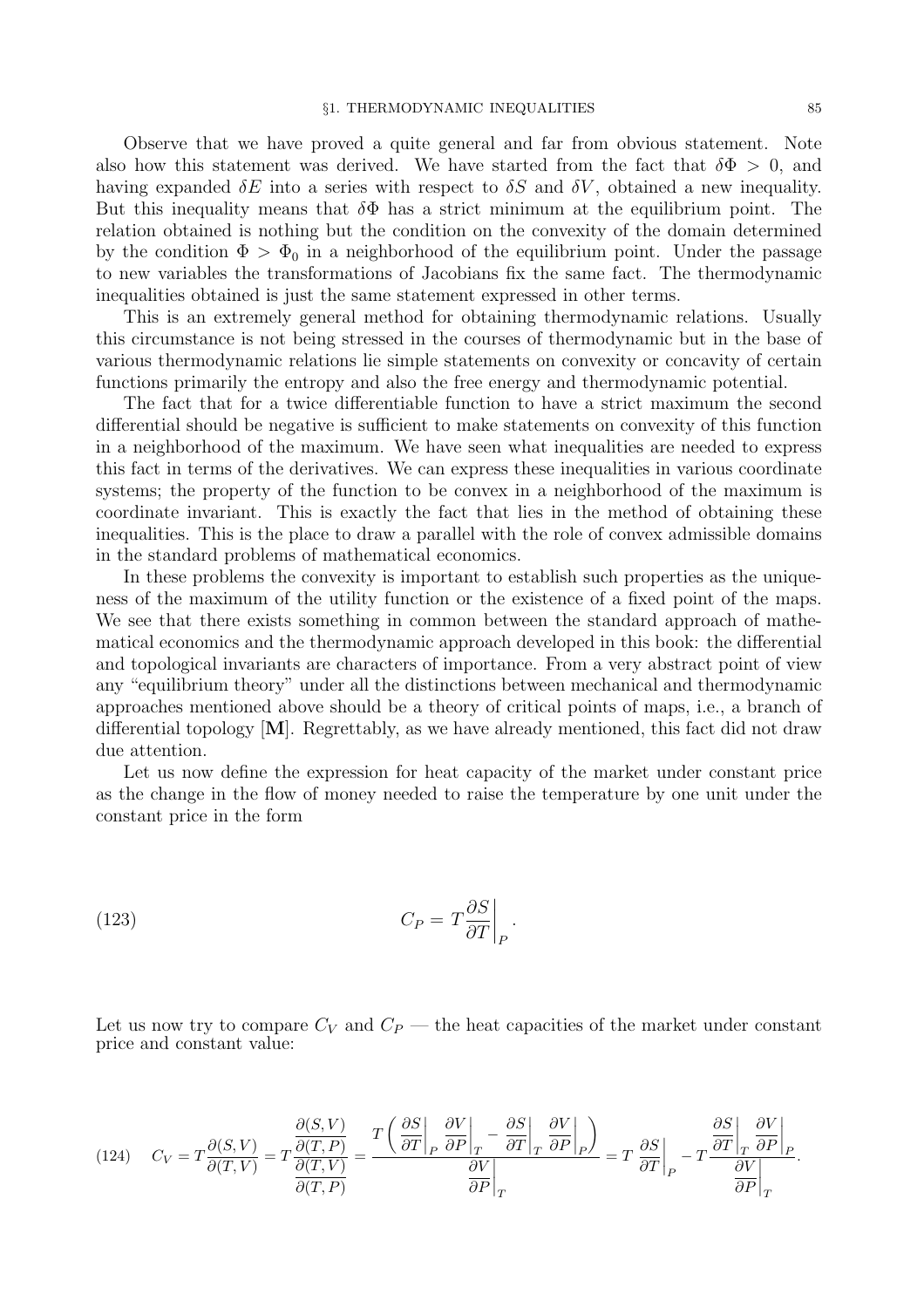Observe that we have proved a quite general and far from obvious statement. Note also how this statement was derived. We have started from the fact that  $\delta\Phi > 0$ , and having expanded  $\delta E$  into a series with respect to  $\delta S$  and  $\delta V$ , obtained a new inequality. But this inequality means that  $\delta\Phi$  has a strict minimum at the equilibrium point. The relation obtained is nothing but the condition on the convexity of the domain determined by the condition  $\Phi > \Phi_0$  in a neighborhood of the equilibrium point. Under the passage to new variables the transformations of Jacobians fix the same fact. The thermodynamic inequalities obtained is just the same statement expressed in other terms.

This is an extremely general method for obtaining thermodynamic relations. Usually this circumstance is not being stressed in the courses of thermodynamic but in the base of various thermodynamic relations lie simple statements on convexity or concavity of certain functions primarily the entropy and also the free energy and thermodynamic potential.

The fact that for a twice differentiable function to have a strict maximum the second differential should be negative is sufficient to make statements on convexity of this function in a neighborhood of the maximum. We have seen what inequalities are needed to express this fact in terms of the derivatives. We can express these inequalities in various coordinate systems; the property of the function to be convex in a neighborhood of the maximum is coordinate invariant. This is exactly the fact that lies in the method of obtaining these inequalities. This is the place to draw a parallel with the role of convex admissible domains in the standard problems of mathematical economics.

In these problems the convexity is important to establish such properties as the uniqueness of the maximum of the utility function or the existence of a fixed point of the maps. We see that there exists something in common between the standard approach of mathematical economics and the thermodynamic approach developed in this book: the differential and topological invariants are characters of importance. From a very abstract point of view any "equilibrium theory" under all the distinctions between mechanical and thermodynamic approaches mentioned above should be a theory of critical points of maps, i.e., a branch of differential topology  $[M]$ . Regrettably, as we have already mentioned, this fact did not draw due attention.

Let us now define the expression for heat capacity of the market under constant price as the change in the flow of money needed to raise the temperature by one unit under the constant price in the form

(123) 
$$
C_P = T \frac{\partial S}{\partial T} \bigg|_P.
$$

Let us now try to compare  $C_V$  and  $C_P$  — the heat capacities of the market under constant price and constant value:

$$
(124) \t C_V = T \frac{\partial(S, V)}{\partial(T, V)} = T \frac{\frac{\partial(S, V)}{\partial(T, P)}}{\frac{\partial(T, V)}{\partial(T, P)}} = \frac{T \left( \frac{\partial S}{\partial T} \bigg|_P \frac{\partial V}{\partial P} \bigg|_T - \frac{\partial S}{\partial T} \bigg|_T \frac{\partial V}{\partial P} \bigg|_P \right)}{\frac{\partial V}{\partial P} \bigg|_T} = T \frac{\partial S}{\partial T} \bigg|_P - T \frac{\frac{\partial S}{\partial T} \bigg|_T \frac{\partial V}{\partial P} \bigg|_P}{\frac{\partial V}{\partial P} \bigg|_T}.
$$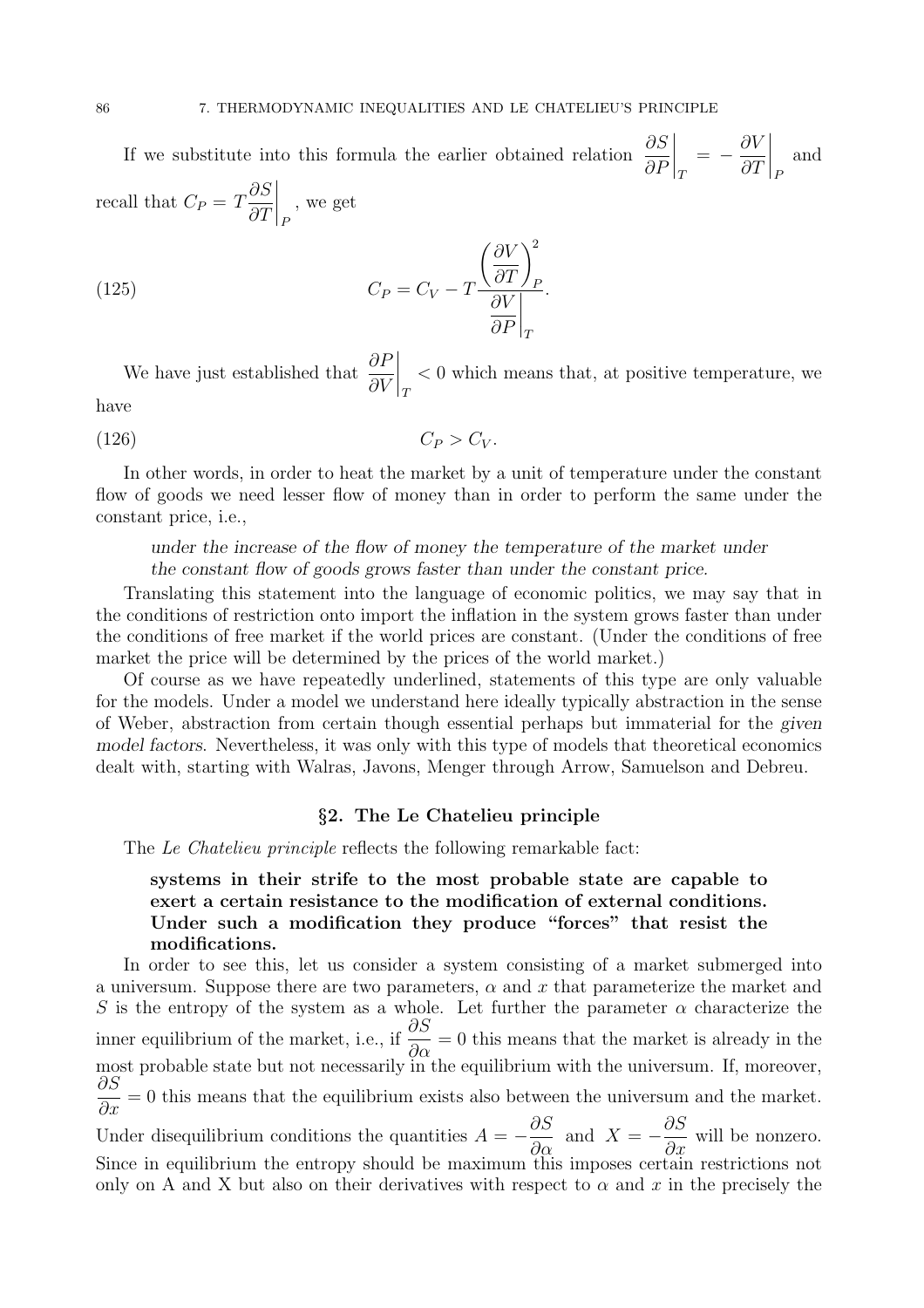If we substitute into this formula the earlier obtained relation  $\frac{\partial S}{\partial \mathbf{E}}$ ∂P  $\Big|_T = -$ ∂V  $\partial T$  $\Bigg|_F$ and recall that  $C_P = T$ ∂S  $\partial T$  $\Bigg|_F$ , we get

(125) 
$$
C_P = C_V - T \frac{\left(\frac{\partial V}{\partial T}\right)_P^2}{\frac{\partial V}{\partial P}\Big|_T}.
$$

We have just established that  $\frac{\partial F}{\partial V}$ ∂V  $\Bigg \vert_T$ < 0 which means that, at positive temperature, we have

$$
(126) \t\t\t C_P > C_V.
$$

In other words, in order to heat the market by a unit of temperature under the constant flow of goods we need lesser flow of money than in order to perform the same under the constant price, i.e.,

### under the increase of the flow of money the temperature of the market under the constant flow of goods grows faster than under the constant price.

Translating this statement into the language of economic politics, we may say that in the conditions of restriction onto import the inflation in the system grows faster than under the conditions of free market if the world prices are constant. (Under the conditions of free market the price will be determined by the prices of the world market.)

Of course as we have repeatedly underlined, statements of this type are only valuable for the models. Under a model we understand here ideally typically abstraction in the sense of Weber, abstraction from certain though essential perhaps but immaterial for the given model factors. Nevertheless, it was only with this type of models that theoretical economics dealt with, starting with Walras, Javons, Menger through Arrow, Samuelson and Debreu.

### §2. The Le Chatelieu principle

The Le Chatelieu principle reflects the following remarkable fact:

## systems in their strife to the most probable state are capable to exert a certain resistance to the modification of external conditions. Under such a modification they produce "forces" that resist the modifications.

In order to see this, let us consider a system consisting of a market submerged into a universum. Suppose there are two parameters,  $\alpha$  and x that parameterize the market and S is the entropy of the system as a whole. Let further the parameter  $\alpha$  characterize the inner equilibrium of the market, i.e., if  $\frac{\partial S}{\partial \zeta}$  $\frac{\partial z}{\partial \alpha} = 0$  this means that the market is already in the most probable state but not necessarily in the equilibrium with the universum. If, moreover, ∂S  $\frac{\partial z}{\partial x} = 0$  this means that the equilibrium exists also between the universum and the market. Under disequilibrium conditions the quantities  $A = -$ ∂S  $rac{\partial \alpha}{\partial \alpha}$  and  $X = -$ ∂S  $\frac{\partial z}{\partial x}$  will be nonzero. Since in equilibrium the entropy should be maximum this imposes certain restrictions not only on A and X but also on their derivatives with respect to  $\alpha$  and x in the precisely the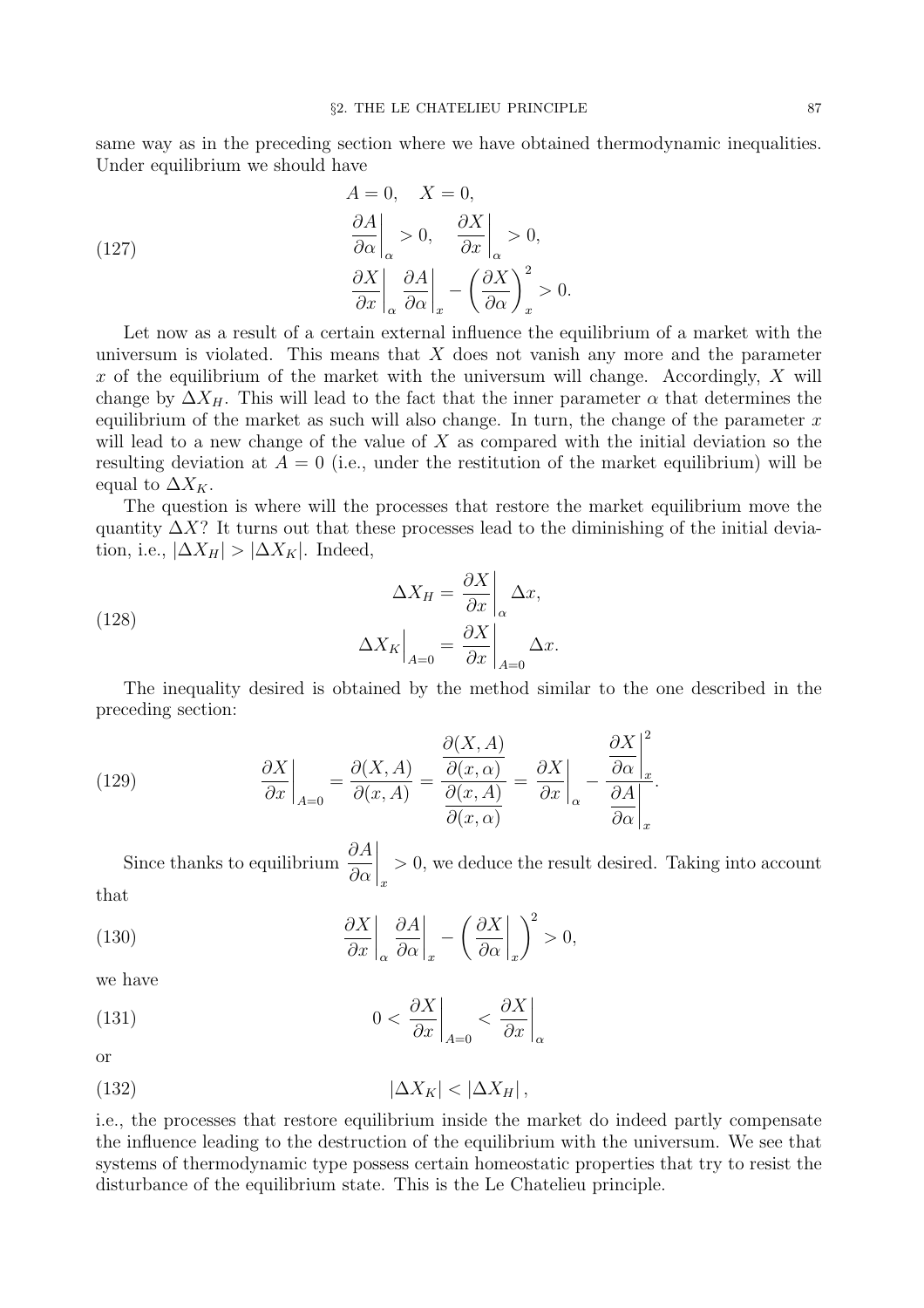same way as in the preceding section where we have obtained thermodynamic inequalities. Under equilibrium we should have

(127)  
\n
$$
\frac{\partial A}{\partial \alpha}\Big|_{\alpha} > 0, \quad \frac{\partial X}{\partial x}\Big|_{\alpha} > 0,
$$
\n
$$
\frac{\partial X}{\partial x}\Big|_{\alpha} \frac{\partial A}{\partial \alpha}\Big|_{x} - \left(\frac{\partial X}{\partial \alpha}\right)_{x}^{2} > 0.
$$

Let now as a result of a certain external influence the equilibrium of a market with the universum is violated. This means that  $X$  does not vanish any more and the parameter x of the equilibrium of the market with the universum will change. Accordingly,  $X$  will change by  $\Delta X_H$ . This will lead to the fact that the inner parameter  $\alpha$  that determines the equilibrium of the market as such will also change. In turn, the change of the parameter  $x$ will lead to a new change of the value of  $X$  as compared with the initial deviation so the resulting deviation at  $A = 0$  (i.e., under the restitution of the market equilibrium) will be equal to  $\Delta X_K$ .

The question is where will the processes that restore the market equilibrium move the quantity  $\Delta X$ ? It turns out that these processes lead to the diminishing of the initial deviation, i.e.,  $|\Delta X_H| > |\Delta X_K|$ . Indeed,

(128) 
$$
\Delta X_H = \frac{\partial X}{\partial x}\bigg|_{\alpha} \Delta x,
$$

$$
\Delta X_K\bigg|_{A=0} = \frac{\partial X}{\partial x}\bigg|_{A=0} \Delta x.
$$

The inequality desired is obtained by the method similar to the one described in the preceding section:

(129) 
$$
\frac{\partial X}{\partial x}\Big|_{A=0} = \frac{\partial(X,A)}{\partial(x,A)} = \frac{\frac{\partial(X,A)}{\partial(x,\alpha)}}{\frac{\partial(x,A)}{\partial(x,\alpha)}} = \frac{\partial X}{\partial x}\Big|_{\alpha} - \frac{\frac{\partial X}{\partial \alpha}\Big|_{x}^{2}}{\frac{\partial A}{\partial \alpha}\Big|_{x}}.
$$

Since thanks to equilibrium  $\frac{\partial A}{\partial \theta}$  $\partial \alpha$  $\Big\vert_x$ > 0, we deduce the result desired. Taking into account that

(130) 
$$
\frac{\partial X}{\partial x}\bigg|_{\alpha} \frac{\partial A}{\partial \alpha}\bigg|_{x} - \left(\frac{\partial X}{\partial \alpha}\bigg|_{x}\right)^{2} > 0,
$$

we have

(131) 
$$
0 < \frac{\partial X}{\partial x}\bigg|_{A=0} < \frac{\partial X}{\partial x}\bigg|_{\alpha}
$$

or

$$
|\Delta X_K| < |\Delta X_H| \,,
$$

i.e., the processes that restore equilibrium inside the market do indeed partly compensate the influence leading to the destruction of the equilibrium with the universum. We see that systems of thermodynamic type possess certain homeostatic properties that try to resist the disturbance of the equilibrium state. This is the Le Chatelieu principle.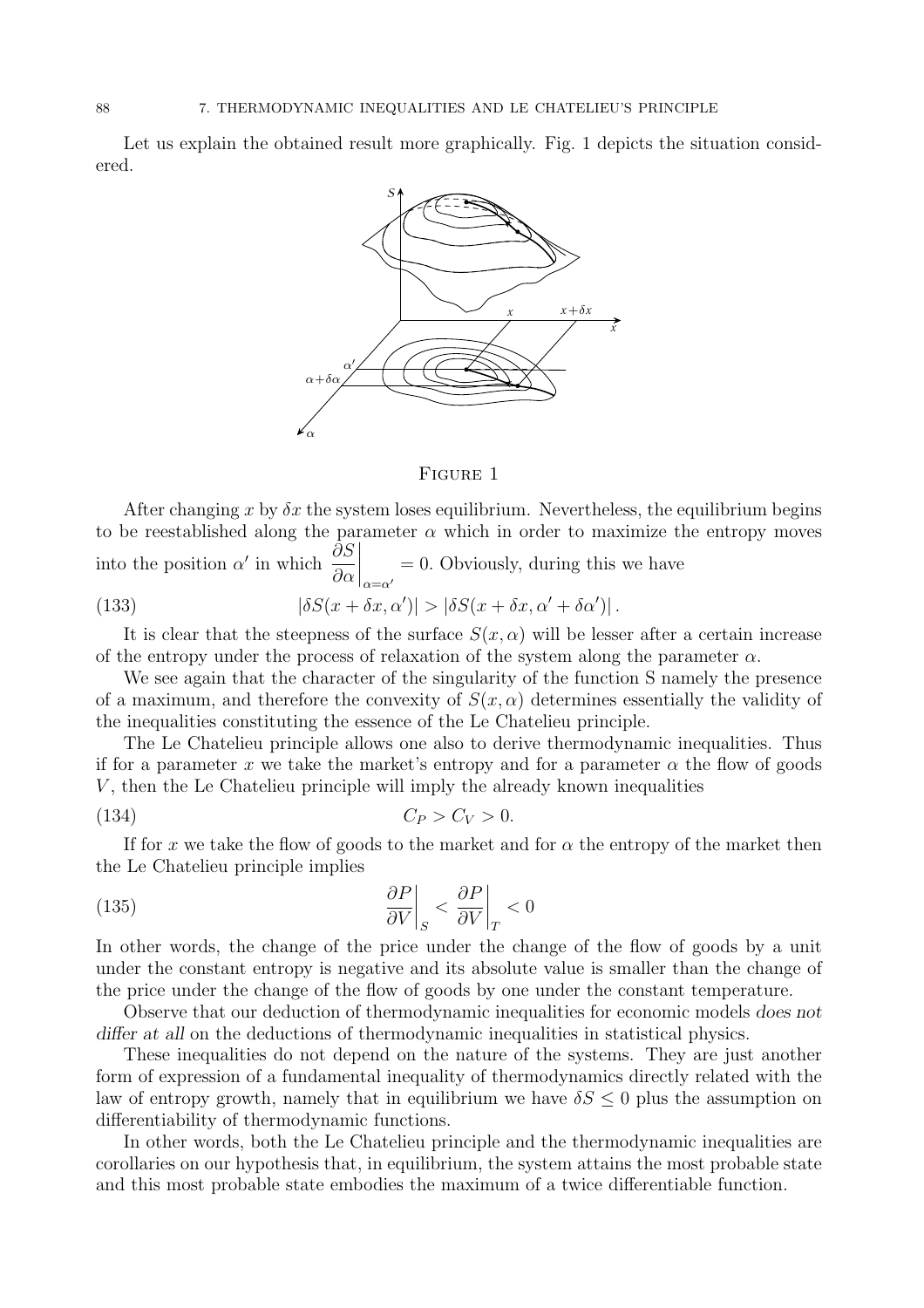Let us explain the obtained result more graphically. Fig. 1 depicts the situation considered.



#### Figure 1

After changing x by  $\delta x$  the system loses equilibrium. Nevertheless, the equilibrium begins to be reestablished along the parameter  $\alpha$  which in order to maximize the entropy moves into the position  $\alpha'$  in which  $\frac{\partial S}{\partial \alpha}$  $\partial \alpha$  $\Bigg|_{\alpha = \alpha'}$ = 0. Obviously, during this we have (133)  $|\delta S(x + \delta x, \alpha')| > |\delta S(x + \delta x, \alpha' + \delta \alpha')|$ .

It is clear that the steepness of the surface  $S(x, \alpha)$  will be lesser after a certain increase of the entropy under the process of relaxation of the system along the parameter  $\alpha$ .

We see again that the character of the singularity of the function S namely the presence of a maximum, and therefore the convexity of  $S(x, \alpha)$  determines essentially the validity of the inequalities constituting the essence of the Le Chatelieu principle.

The Le Chatelieu principle allows one also to derive thermodynamic inequalities. Thus if for a parameter x we take the market's entropy and for a parameter  $\alpha$  the flow of goods  $V$ , then the Le Chatelieu principle will imply the already known inequalities

$$
(134) \tCP > CV > 0.
$$

If for x we take the flow of goods to the market and for  $\alpha$  the entropy of the market then the Le Chatelieu principle implies

(135) 
$$
\left. \frac{\partial P}{\partial V} \right|_{S} < \left. \frac{\partial P}{\partial V} \right|_{T} < 0
$$

In other words, the change of the price under the change of the flow of goods by a unit under the constant entropy is negative and its absolute value is smaller than the change of the price under the change of the flow of goods by one under the constant temperature.

Observe that our deduction of thermodynamic inequalities for economic models does not differ at all on the deductions of thermodynamic inequalities in statistical physics.

These inequalities do not depend on the nature of the systems. They are just another form of expression of a fundamental inequality of thermodynamics directly related with the law of entropy growth, namely that in equilibrium we have  $\delta S \leq 0$  plus the assumption on differentiability of thermodynamic functions.

In other words, both the Le Chatelieu principle and the thermodynamic inequalities are corollaries on our hypothesis that, in equilibrium, the system attains the most probable state and this most probable state embodies the maximum of a twice differentiable function.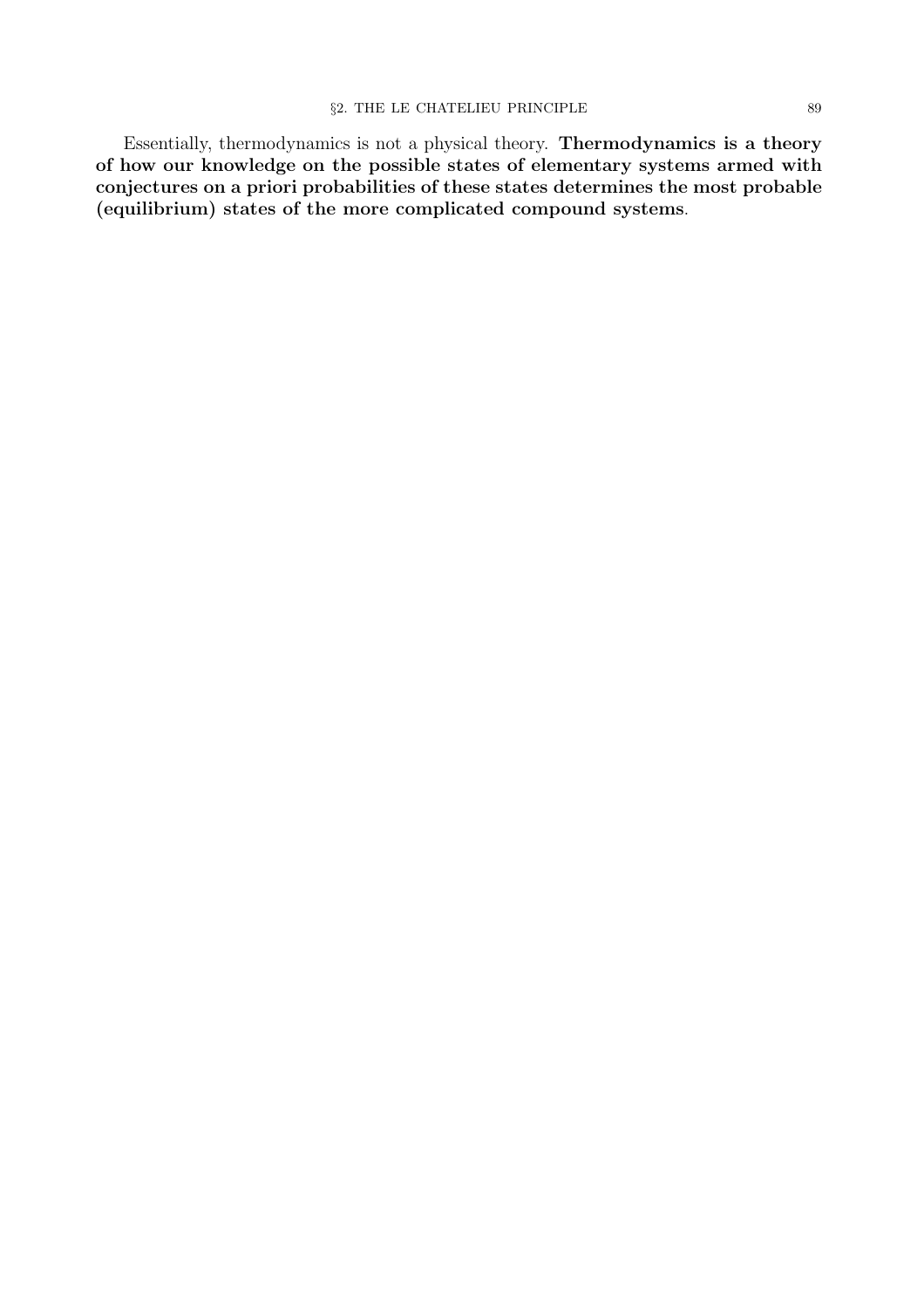Essentially, thermodynamics is not a physical theory. Thermodynamics is a theory of how our knowledge on the possible states of elementary systems armed with conjectures on a priori probabilities of these states determines the most probable (equilibrium) states of the more complicated compound systems.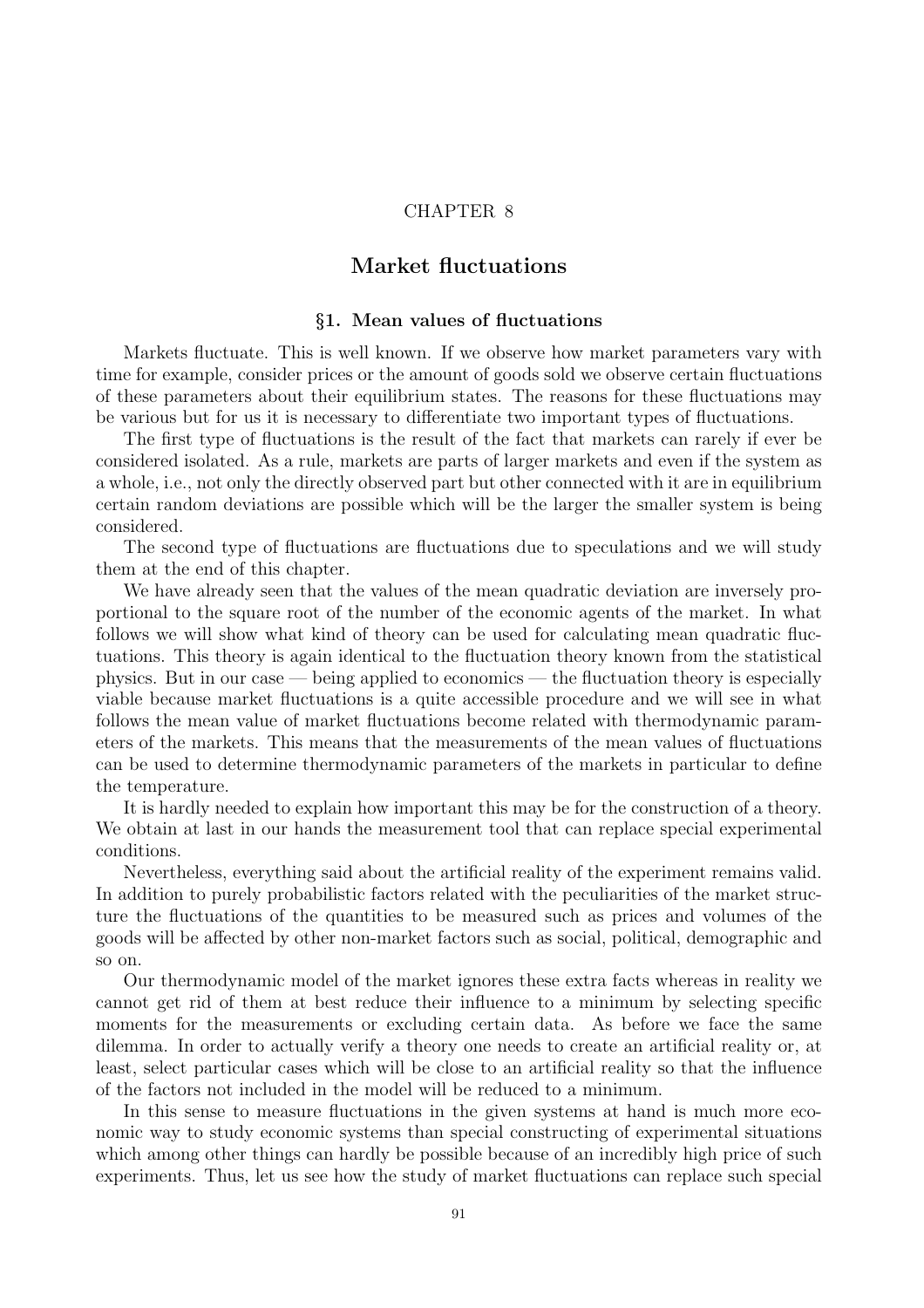## CHAPTER 8

# Market fluctuations

### §1. Mean values of fluctuations

Markets fluctuate. This is well known. If we observe how market parameters vary with time for example, consider prices or the amount of goods sold we observe certain fluctuations of these parameters about their equilibrium states. The reasons for these fluctuations may be various but for us it is necessary to differentiate two important types of fluctuations.

The first type of fluctuations is the result of the fact that markets can rarely if ever be considered isolated. As a rule, markets are parts of larger markets and even if the system as a whole, i.e., not only the directly observed part but other connected with it are in equilibrium certain random deviations are possible which will be the larger the smaller system is being considered.

The second type of fluctuations are fluctuations due to speculations and we will study them at the end of this chapter.

We have already seen that the values of the mean quadratic deviation are inversely proportional to the square root of the number of the economic agents of the market. In what follows we will show what kind of theory can be used for calculating mean quadratic fluctuations. This theory is again identical to the fluctuation theory known from the statistical physics. But in our case — being applied to economics — the fluctuation theory is especially viable because market fluctuations is a quite accessible procedure and we will see in what follows the mean value of market fluctuations become related with thermodynamic parameters of the markets. This means that the measurements of the mean values of fluctuations can be used to determine thermodynamic parameters of the markets in particular to define the temperature.

It is hardly needed to explain how important this may be for the construction of a theory. We obtain at last in our hands the measurement tool that can replace special experimental conditions.

Nevertheless, everything said about the artificial reality of the experiment remains valid. In addition to purely probabilistic factors related with the peculiarities of the market structure the fluctuations of the quantities to be measured such as prices and volumes of the goods will be affected by other non-market factors such as social, political, demographic and so on.

Our thermodynamic model of the market ignores these extra facts whereas in reality we cannot get rid of them at best reduce their influence to a minimum by selecting specific moments for the measurements or excluding certain data. As before we face the same dilemma. In order to actually verify a theory one needs to create an artificial reality or, at least, select particular cases which will be close to an artificial reality so that the influence of the factors not included in the model will be reduced to a minimum.

In this sense to measure fluctuations in the given systems at hand is much more economic way to study economic systems than special constructing of experimental situations which among other things can hardly be possible because of an incredibly high price of such experiments. Thus, let us see how the study of market fluctuations can replace such special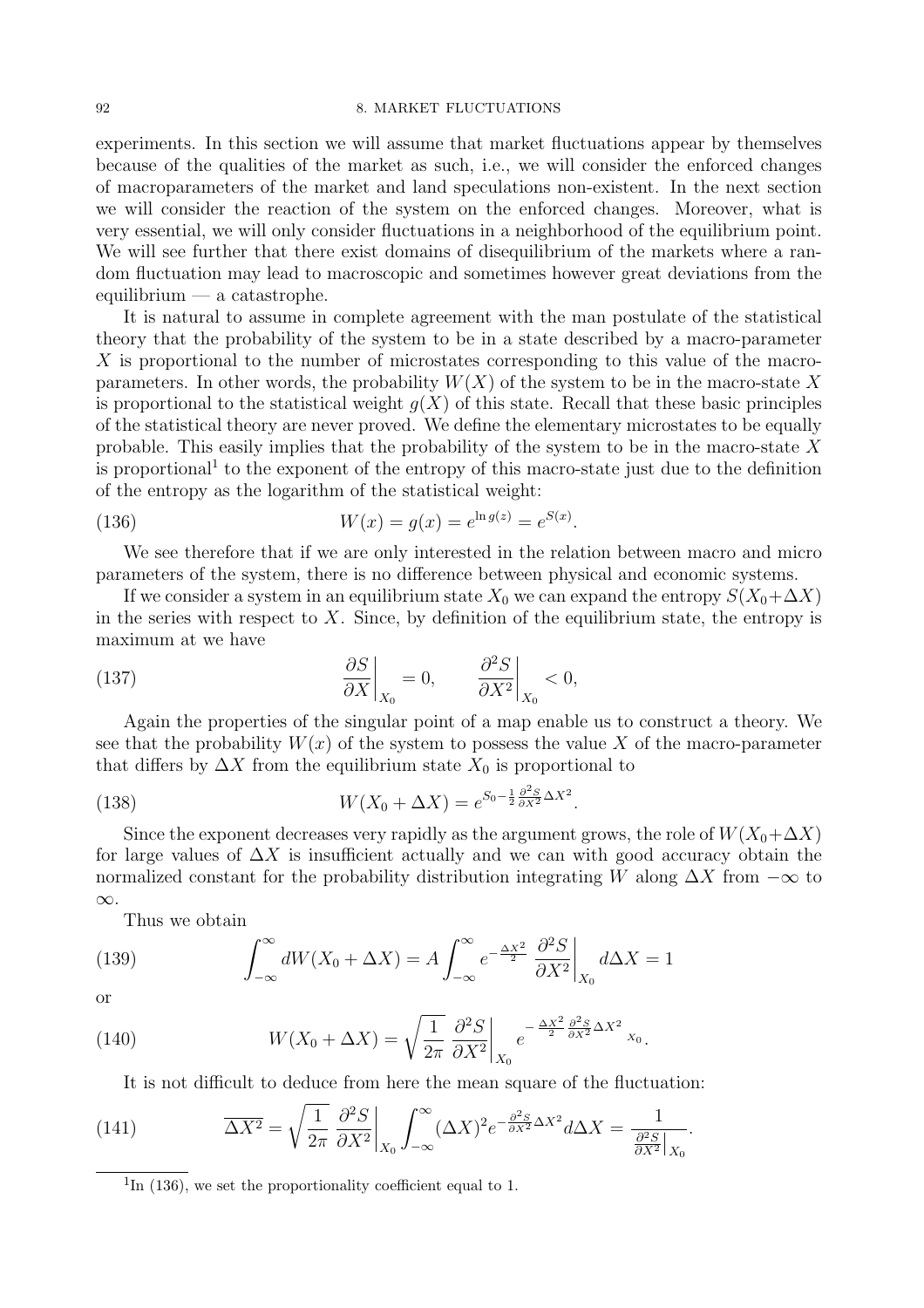experiments. In this section we will assume that market fluctuations appear by themselves because of the qualities of the market as such, i.e., we will consider the enforced changes of macroparameters of the market and land speculations non-existent. In the next section we will consider the reaction of the system on the enforced changes. Moreover, what is very essential, we will only consider fluctuations in a neighborhood of the equilibrium point. We will see further that there exist domains of disequilibrium of the markets where a random fluctuation may lead to macroscopic and sometimes however great deviations from the equilibrium — a catastrophe.

It is natural to assume in complete agreement with the man postulate of the statistical theory that the probability of the system to be in a state described by a macro-parameter X is proportional to the number of microstates corresponding to this value of the macroparameters. In other words, the probability  $W(X)$  of the system to be in the macro-state X is proportional to the statistical weight  $q(X)$  of this state. Recall that these basic principles of the statistical theory are never proved. We define the elementary microstates to be equally probable. This easily implies that the probability of the system to be in the macro-state X is proportional<sup>1</sup> to the exponent of the entropy of this macro-state just due to the definition of the entropy as the logarithm of the statistical weight:

(136) 
$$
W(x) = g(x) = e^{\ln g(z)} = e^{S(x)}.
$$

We see therefore that if we are only interested in the relation between macro and micro parameters of the system, there is no difference between physical and economic systems.

If we consider a system in an equilibrium state  $X_0$  we can expand the entropy  $S(X_0+\Delta X)$ in the series with respect to  $X$ . Since, by definition of the equilibrium state, the entropy is maximum at we have

(137) 
$$
\frac{\partial S}{\partial X}\bigg|_{X_0} = 0, \qquad \frac{\partial^2 S}{\partial X^2}\bigg|_{X_0} < 0,
$$

Again the properties of the singular point of a map enable us to construct a theory. We see that the probability  $W(x)$  of the system to possess the value X of the macro-parameter that differs by  $\Delta X$  from the equilibrium state  $X_0$  is proportional to

(138) 
$$
W(X_0 + \Delta X) = e^{S_0 - \frac{1}{2} \frac{\partial^2 S}{\partial X^2} \Delta X^2}.
$$

Since the exponent decreases very rapidly as the argument grows, the role of  $W(X_0+\Delta X)$ for large values of  $\Delta X$  is insufficient actually and we can with good accuracy obtain the normalized constant for the probability distribution integrating W along  $\Delta X$  from  $-\infty$  to ∞.

Thus we obtain

(139) 
$$
\int_{-\infty}^{\infty} dW(X_0 + \Delta X) = A \int_{-\infty}^{\infty} e^{-\frac{\Delta X^2}{2}} \frac{\partial^2 S}{\partial X^2} \bigg|_{X_0} d\Delta X = 1
$$

or

(140) 
$$
W(X_0 + \Delta X) = \sqrt{\frac{1}{2\pi}} \left. \frac{\partial^2 S}{\partial X^2} \right|_{X_0} e^{-\frac{\Delta X^2}{2} \frac{\partial^2 S}{\partial X^2} \Delta X^2} x_0.
$$

It is not difficult to deduce from here the mean square of the fluctuation:

(141) 
$$
\overline{\Delta X^2} = \sqrt{\frac{1}{2\pi}} \left. \frac{\partial^2 S}{\partial X^2} \right|_{X_0} \int_{-\infty}^{\infty} (\Delta X)^2 e^{-\frac{\partial^2 S}{\partial X^2} \Delta X^2} d\Delta X = \frac{1}{\frac{\partial^2 S}{\partial X^2} \Big|_{X_0}}.
$$

 ${}^{1}\text{In}$  (136), we set the proportionality coefficient equal to 1.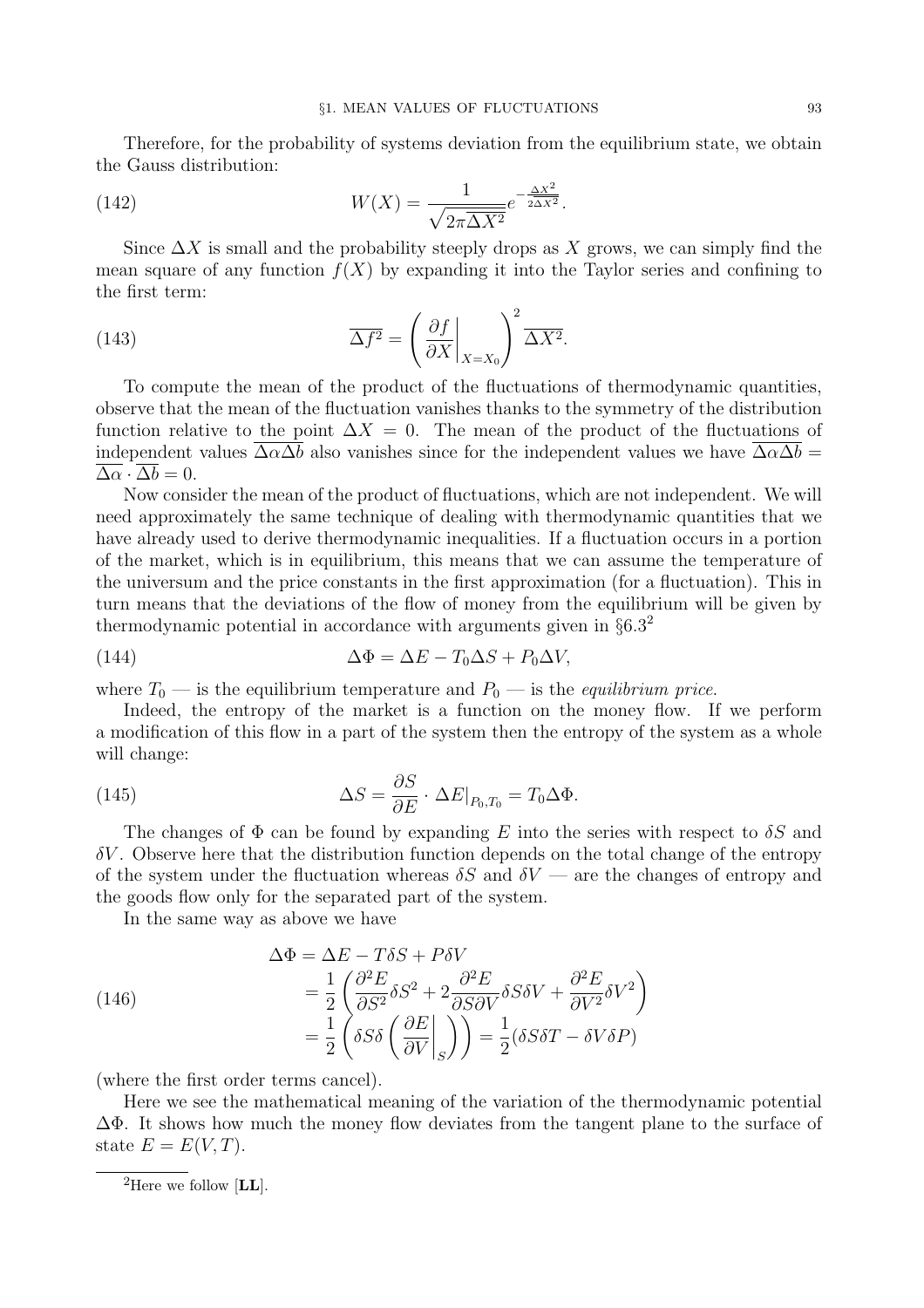Therefore, for the probability of systems deviation from the equilibrium state, we obtain the Gauss distribution:

(142) 
$$
W(X) = \frac{1}{\sqrt{2\pi\overline{\Delta X^2}}}e^{-\frac{\Delta X^2}{2\overline{\Delta X^2}}}.
$$

Since  $\Delta X$  is small and the probability steeply drops as X grows, we can simply find the mean square of any function  $f(X)$  by expanding it into the Taylor series and confining to the first term:

(143) 
$$
\overline{\Delta f^2} = \left(\frac{\partial f}{\partial X}\bigg|_{X=X_0}\right)^2 \overline{\Delta X^2}.
$$

To compute the mean of the product of the fluctuations of thermodynamic quantities, observe that the mean of the fluctuation vanishes thanks to the symmetry of the distribution function relative to the point  $\Delta X = 0$ . The mean of the product of the fluctuations of independent values  $\overline{\Delta \alpha \Delta b}$  also vanishes since for the independent values we have  $\overline{\Delta \alpha \Delta b}$  =  $\overline{\Delta \alpha} \cdot \overline{\Delta b} = 0.$ 

Now consider the mean of the product of fluctuations, which are not independent. We will need approximately the same technique of dealing with thermodynamic quantities that we have already used to derive thermodynamic inequalities. If a fluctuation occurs in a portion of the market, which is in equilibrium, this means that we can assume the temperature of the universum and the price constants in the first approximation (for a fluctuation). This in turn means that the deviations of the flow of money from the equilibrium will be given by thermodynamic potential in accordance with arguments given in  $\S6.3<sup>2</sup>$ 

(144) 
$$
\Delta \Phi = \Delta E - T_0 \Delta S + P_0 \Delta V,
$$

where  $T_0$  — is the equilibrium temperature and  $P_0$  — is the *equilibrium price*.

Indeed, the entropy of the market is a function on the money flow. If we perform a modification of this flow in a part of the system then the entropy of the system as a whole will change:

(145) 
$$
\Delta S = \frac{\partial S}{\partial E} \cdot \Delta E|_{P_0, T_0} = T_0 \Delta \Phi.
$$

The changes of  $\Phi$  can be found by expanding E into the series with respect to  $\delta S$  and  $\delta V$ . Observe here that the distribution function depends on the total change of the entropy of the system under the fluctuation whereas  $\delta S$  and  $\delta V$  — are the changes of entropy and the goods flow only for the separated part of the system.

In the same way as above we have

(146)  
\n
$$
\Delta \Phi = \Delta E - T \delta S + P \delta V
$$
\n
$$
= \frac{1}{2} \left( \frac{\partial^2 E}{\partial S^2} \delta S^2 + 2 \frac{\partial^2 E}{\partial S \partial V} \delta S \delta V + \frac{\partial^2 E}{\partial V^2} \delta V^2 \right)
$$
\n
$$
= \frac{1}{2} \left( \delta S \delta \left( \frac{\partial E}{\partial V} \Big|_S \right) \right) = \frac{1}{2} (\delta S \delta T - \delta V \delta P)
$$

(where the first order terms cancel).

Here we see the mathematical meaning of the variation of the thermodynamic potential ∆Φ. It shows how much the money flow deviates from the tangent plane to the surface of state  $E = E(V,T)$ .

<sup>&</sup>lt;sup>2</sup>Here we follow  $[LL]$ .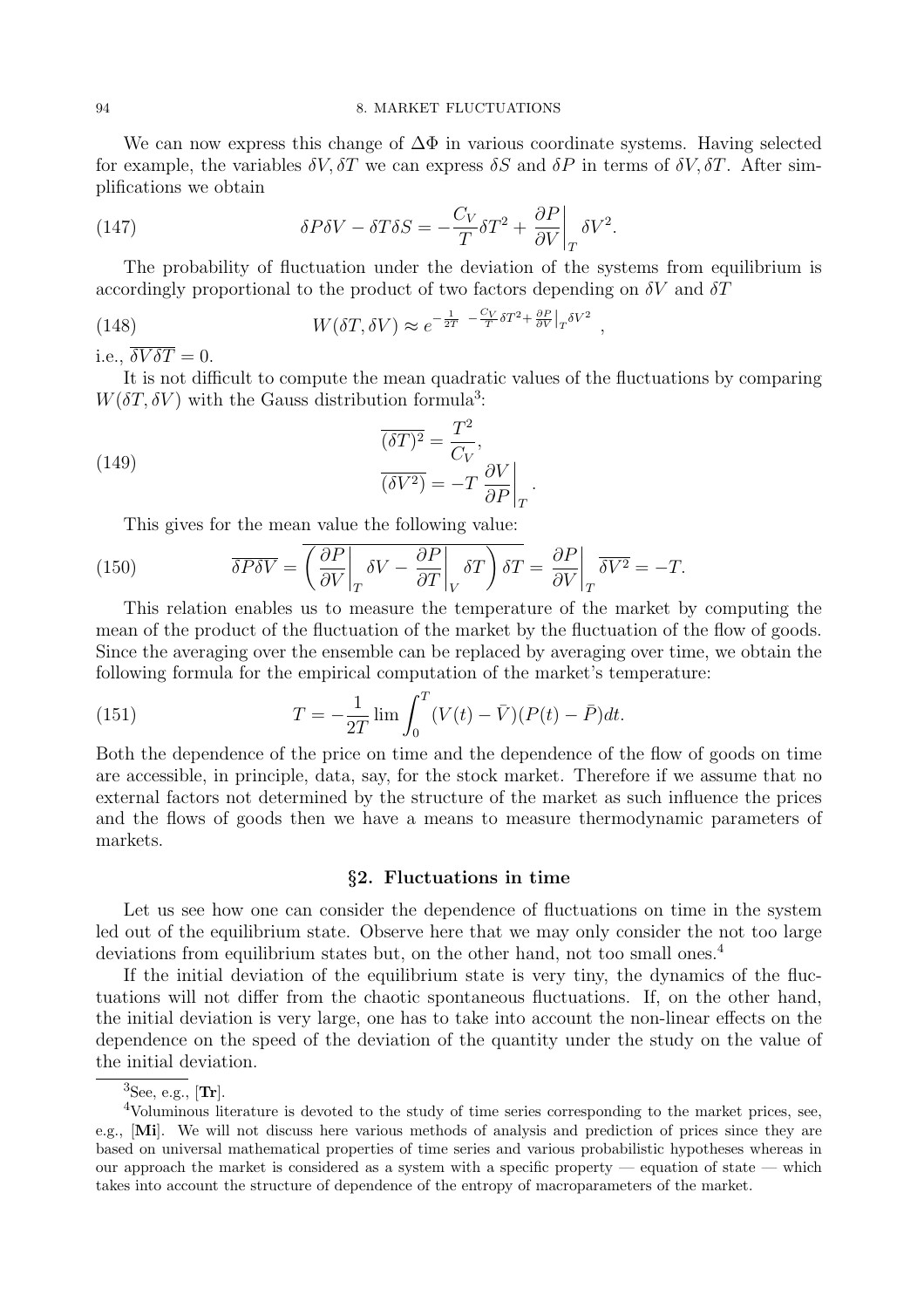We can now express this change of  $\Delta\Phi$  in various coordinate systems. Having selected for example, the variables  $\delta V$ ,  $\delta T$  we can express  $\delta S$  and  $\delta P$  in terms of  $\delta V$ ,  $\delta T$ . After simplifications we obtain

(147) 
$$
\delta P \delta V - \delta T \delta S = -\frac{C_V}{T} \delta T^2 + \frac{\partial P}{\partial V}\bigg|_T \delta V^2.
$$

The probability of fluctuation under the deviation of the systems from equilibrium is accordingly proportional to the product of two factors depending on  $\delta V$  and  $\delta T$ 

(148) 
$$
W(\delta T, \delta V) \approx e^{-\frac{1}{2T} - \frac{C_V}{T} \delta T^2 + \frac{\partial P}{\partial V}|_T \delta V^2},
$$

i.e.,  $\overline{\delta V \delta T} = 0$ .

It is not difficult to compute the mean quadratic values of the fluctuations by comparing  $W(\delta T, \delta V)$  with the Gauss distribution formula<sup>3</sup>:

.

(149) 
$$
\frac{\overline{(\delta T)^2}}{(\delta V^2)} = \frac{T^2}{C_V},
$$

$$
\frac{\partial V}{\partial P}\Big|_T
$$

This gives for the mean value the following value:

(150) 
$$
\overline{\delta P \delta V} = \overline{\left(\frac{\partial P}{\partial V}\bigg|_T \delta V - \frac{\partial P}{\partial T}\bigg|_V \delta T\right) \delta T} = \frac{\partial P}{\partial V}\bigg|_T \overline{\delta V^2} = -T.
$$

This relation enables us to measure the temperature of the market by computing the mean of the product of the fluctuation of the market by the fluctuation of the flow of goods. Since the averaging over the ensemble can be replaced by averaging over time, we obtain the following formula for the empirical computation of the market's temperature:

(151) 
$$
T = -\frac{1}{2T} \lim \int_0^T (V(t) - \bar{V})(P(t) - \bar{P}) dt.
$$

Both the dependence of the price on time and the dependence of the flow of goods on time are accessible, in principle, data, say, for the stock market. Therefore if we assume that no external factors not determined by the structure of the market as such influence the prices and the flows of goods then we have a means to measure thermodynamic parameters of markets.

### §2. Fluctuations in time

Let us see how one can consider the dependence of fluctuations on time in the system led out of the equilibrium state. Observe here that we may only consider the not too large deviations from equilibrium states but, on the other hand, not too small ones.<sup>4</sup>

If the initial deviation of the equilibrium state is very tiny, the dynamics of the fluctuations will not differ from the chaotic spontaneous fluctuations. If, on the other hand, the initial deviation is very large, one has to take into account the non-linear effects on the dependence on the speed of the deviation of the quantity under the study on the value of the initial deviation.

 ${}^{3}$ See, e.g., [Tr].

<sup>&</sup>lt;sup>4</sup>Voluminous literature is devoted to the study of time series corresponding to the market prices, see, e.g., [Mi]. We will not discuss here various methods of analysis and prediction of prices since they are based on universal mathematical properties of time series and various probabilistic hypotheses whereas in our approach the market is considered as a system with a specific property — equation of state — which takes into account the structure of dependence of the entropy of macroparameters of the market.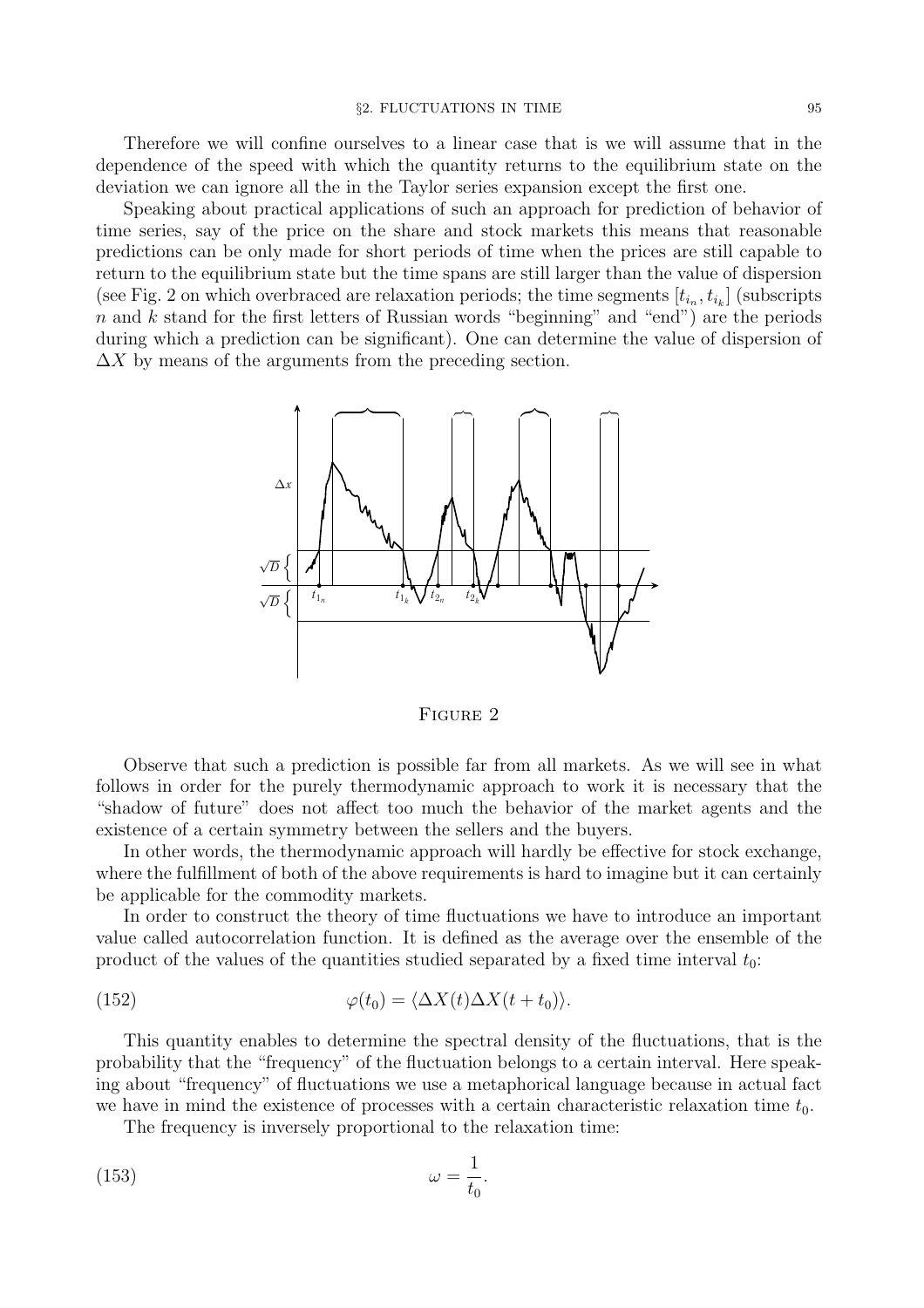Therefore we will confine ourselves to a linear case that is we will assume that in the dependence of the speed with which the quantity returns to the equilibrium state on the deviation we can ignore all the in the Taylor series expansion except the first one.

Speaking about practical applications of such an approach for prediction of behavior of time series, say of the price on the share and stock markets this means that reasonable predictions can be only made for short periods of time when the prices are still capable to return to the equilibrium state but the time spans are still larger than the value of dispersion (see Fig. 2 on which overbraced are relaxation periods; the time segments  $[t_{i_n}, t_{i_k}]$  (subscripts  $n$  and  $k$  stand for the first letters of Russian words "beginning" and "end") are the periods during which a prediction can be significant). One can determine the value of dispersion of  $\Delta X$  by means of the arguments from the preceding section.



FIGURE 2

Observe that such a prediction is possible far from all markets. As we will see in what follows in order for the purely thermodynamic approach to work it is necessary that the "shadow of future" does not affect too much the behavior of the market agents and the existence of a certain symmetry between the sellers and the buyers.

In other words, the thermodynamic approach will hardly be effective for stock exchange, where the fulfillment of both of the above requirements is hard to imagine but it can certainly be applicable for the commodity markets.

In order to construct the theory of time fluctuations we have to introduce an important value called autocorrelation function. It is defined as the average over the ensemble of the product of the values of the quantities studied separated by a fixed time interval  $t_0$ :

(152) 
$$
\varphi(t_0) = \langle \Delta X(t) \Delta X(t+t_0) \rangle.
$$

This quantity enables to determine the spectral density of the fluctuations, that is the probability that the "frequency" of the fluctuation belongs to a certain interval. Here speaking about "frequency" of fluctuations we use a metaphorical language because in actual fact we have in mind the existence of processes with a certain characteristic relaxation time  $t_0$ .

The frequency is inversely proportional to the relaxation time:

$$
\omega = \frac{1}{t_0}.
$$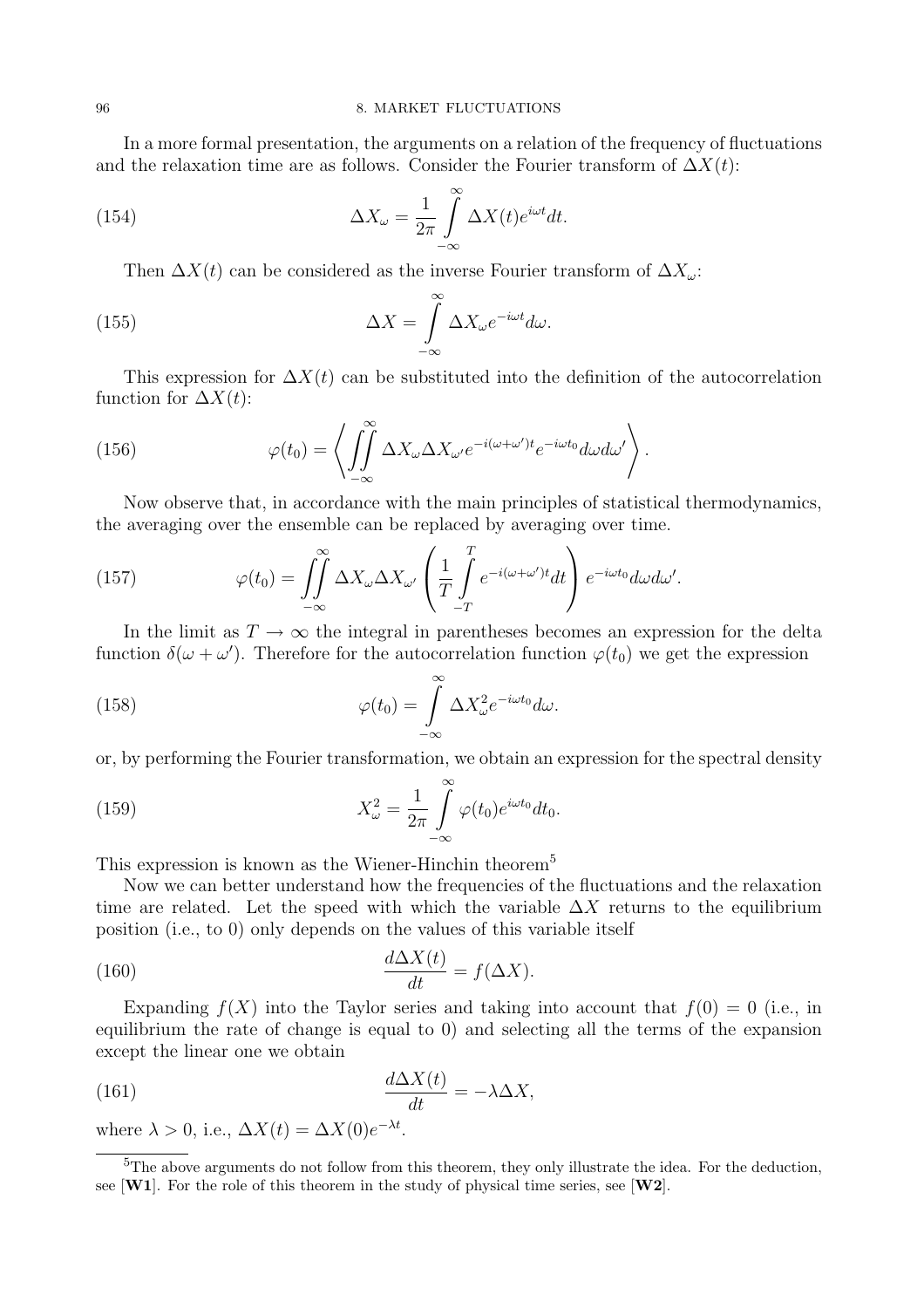In a more formal presentation, the arguments on a relation of the frequency of fluctuations and the relaxation time are as follows. Consider the Fourier transform of  $\Delta X(t)$ :

(154) 
$$
\Delta X_{\omega} = \frac{1}{2\pi} \int_{-\infty}^{\infty} \Delta X(t) e^{i\omega t} dt.
$$

Then  $\Delta X(t)$  can be considered as the inverse Fourier transform of  $\Delta X_{\omega}$ :

(155) 
$$
\Delta X = \int_{-\infty}^{\infty} \Delta X_{\omega} e^{-i\omega t} d\omega.
$$

This expression for  $\Delta X(t)$  can be substituted into the definition of the autocorrelation function for  $\Delta X(t)$ :

(156) 
$$
\varphi(t_0) = \left\langle \iint_{-\infty}^{\infty} \Delta X_{\omega} \Delta X_{\omega'} e^{-i(\omega + \omega')t} e^{-i\omega t_0} d\omega d\omega' \right\rangle.
$$

Now observe that, in accordance with the main principles of statistical thermodynamics, the averaging over the ensemble can be replaced by averaging over time.

(157) 
$$
\varphi(t_0) = \iint_{-\infty}^{\infty} \Delta X_{\omega} \Delta X_{\omega'} \left( \frac{1}{T} \int_{-T}^{T} e^{-i(\omega + \omega')t} dt \right) e^{-i\omega t_0} d\omega d\omega'.
$$

In the limit as  $T \to \infty$  the integral in parentheses becomes an expression for the delta function  $\delta(\omega + \omega')$ . Therefore for the autocorrelation function  $\varphi(t_0)$  we get the expression

(158) 
$$
\varphi(t_0) = \int_{-\infty}^{\infty} \Delta X_{\omega}^2 e^{-i\omega t_0} d\omega.
$$

or, by performing the Fourier transformation, we obtain an expression for the spectral density

(159) 
$$
X_{\omega}^{2} = \frac{1}{2\pi} \int_{-\infty}^{\infty} \varphi(t_{0}) e^{i\omega t_{0}} dt_{0}.
$$

This expression is known as the Wiener-Hinchin theorem<sup>5</sup>

Now we can better understand how the frequencies of the fluctuations and the relaxation time are related. Let the speed with which the variable  $\Delta X$  returns to the equilibrium position (i.e., to 0) only depends on the values of this variable itself

(160) 
$$
\frac{d\Delta X(t)}{dt} = f(\Delta X).
$$

Expanding  $f(X)$  into the Taylor series and taking into account that  $f(0) = 0$  (i.e., in equilibrium the rate of change is equal to 0) and selecting all the terms of the expansion except the linear one we obtain

(161) 
$$
\frac{d\Delta X(t)}{dt} = -\lambda \Delta X,
$$

where  $\lambda > 0$ , i.e.,  $\Delta X(t) = \Delta X(0)e^{-\lambda t}$ .

<sup>&</sup>lt;sup>5</sup>The above arguments do not follow from this theorem, they only illustrate the idea. For the deduction, see  $[\mathbf{W1}]$ . For the role of this theorem in the study of physical time series, see  $[\mathbf{W2}]$ .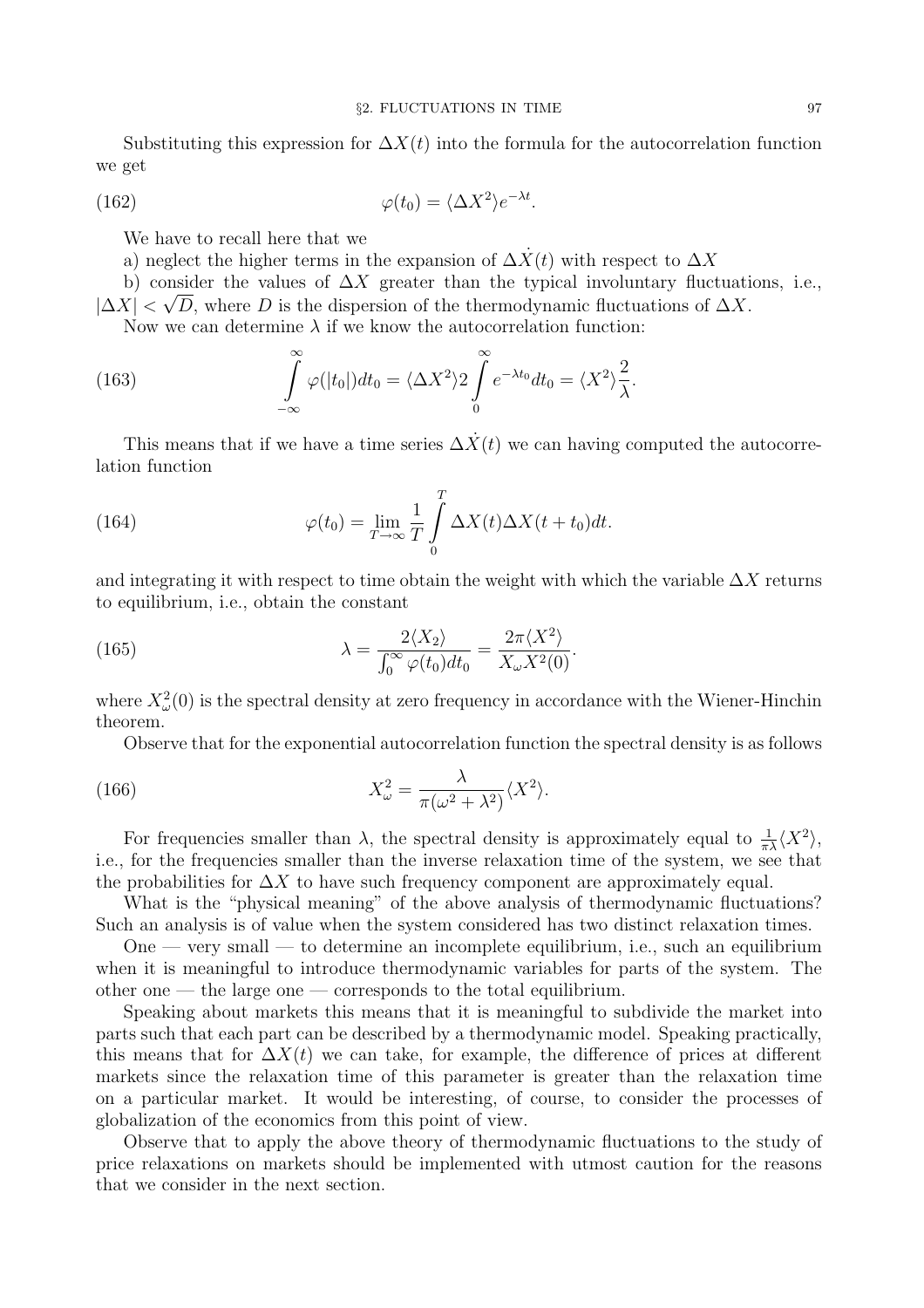Substituting this expression for  $\Delta X(t)$  into the formula for the autocorrelation function we get

(162) 
$$
\varphi(t_0) = \langle \Delta X^2 \rangle e^{-\lambda t}.
$$

We have to recall here that we

a) neglect the higher terms in the expansion of  $\Delta \dot{X}(t)$  with respect to  $\Delta X$ 

b) consider the values of  $\Delta X$  greater than the typical involuntary fluctuations, i.e.,  $|\Delta X| < \sqrt{D}$ , where D is the dispersion of the thermodynamic fluctuations of  $\Delta X$ .

Now we can determine  $\lambda$  if we know the autocorrelation function:

(163) 
$$
\int_{-\infty}^{\infty} \varphi(|t_0|) dt_0 = \langle \Delta X^2 \rangle 2 \int_{0}^{\infty} e^{-\lambda t_0} dt_0 = \langle X^2 \rangle \frac{2}{\lambda}.
$$

This means that if we have a time series  $\Delta \dot{X}(t)$  we can having computed the autocorrelation function

(164) 
$$
\varphi(t_0) = \lim_{T \to \infty} \frac{1}{T} \int_0^T \Delta X(t) \Delta X(t+t_0) dt.
$$

and integrating it with respect to time obtain the weight with which the variable  $\Delta X$  returns to equilibrium, i.e., obtain the constant

(165) 
$$
\lambda = \frac{2\langle X_2 \rangle}{\int_0^\infty \varphi(t_0) dt_0} = \frac{2\pi \langle X^2 \rangle}{X_\omega X^2(0)}.
$$

where  $X^2_\omega(0)$  is the spectral density at zero frequency in accordance with the Wiener-Hinchin theorem.

Observe that for the exponential autocorrelation function the spectral density is as follows

(166) 
$$
X_{\omega}^2 = \frac{\lambda}{\pi(\omega^2 + \lambda^2)} \langle X^2 \rangle.
$$

For frequencies smaller than  $\lambda$ , the spectral density is approximately equal to  $\frac{1}{\pi\lambda}\langle X^2 \rangle$ , i.e., for the frequencies smaller than the inverse relaxation time of the system, we see that the probabilities for  $\Delta X$  to have such frequency component are approximately equal.

What is the "physical meaning" of the above analysis of thermodynamic fluctuations? Such an analysis is of value when the system considered has two distinct relaxation times.

One — very small — to determine an incomplete equilibrium, i.e., such an equilibrium when it is meaningful to introduce thermodynamic variables for parts of the system. The other one — the large one — corresponds to the total equilibrium.

Speaking about markets this means that it is meaningful to subdivide the market into parts such that each part can be described by a thermodynamic model. Speaking practically, this means that for  $\Delta X(t)$  we can take, for example, the difference of prices at different markets since the relaxation time of this parameter is greater than the relaxation time on a particular market. It would be interesting, of course, to consider the processes of globalization of the economics from this point of view.

Observe that to apply the above theory of thermodynamic fluctuations to the study of price relaxations on markets should be implemented with utmost caution for the reasons that we consider in the next section.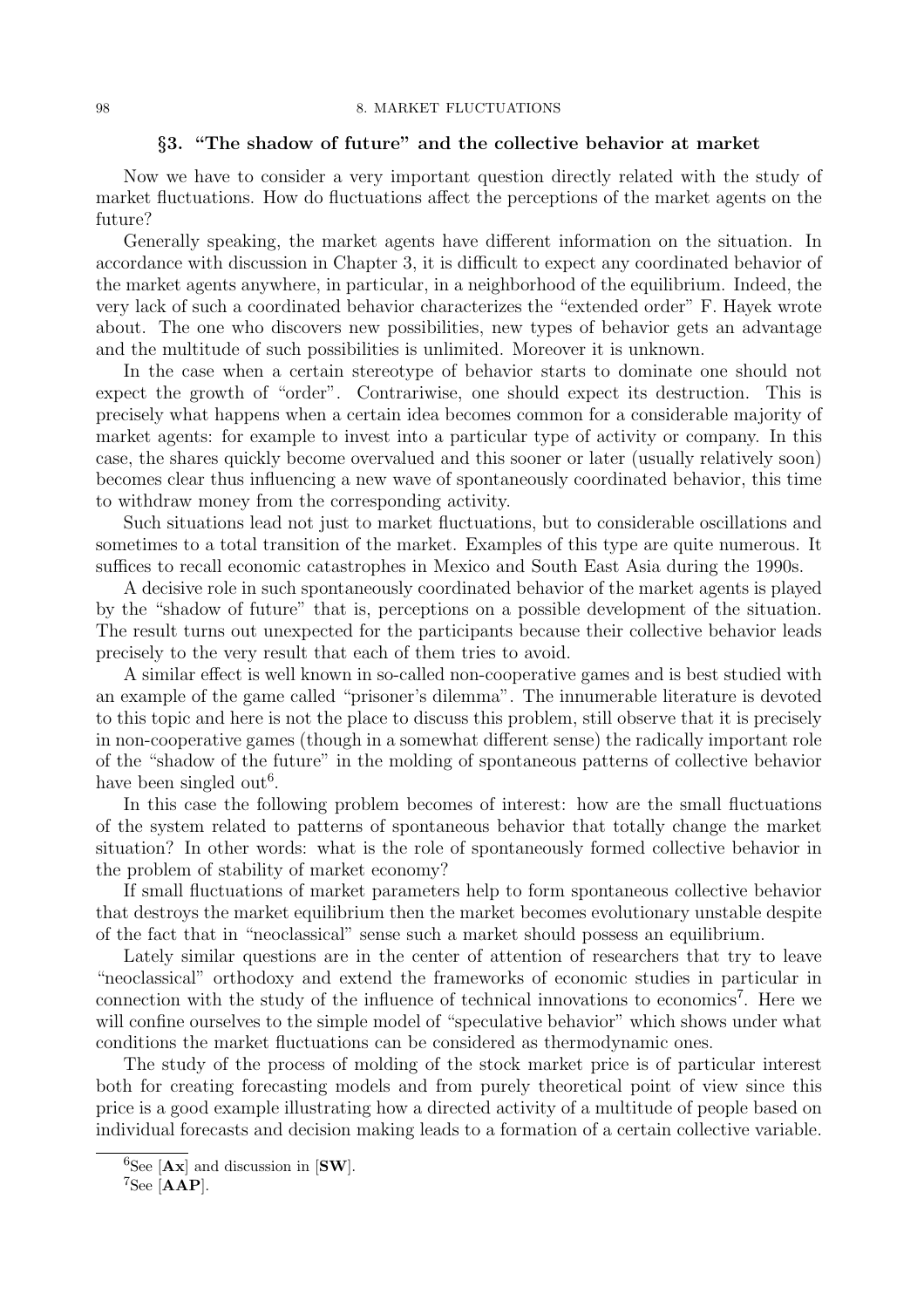### §3. "The shadow of future" and the collective behavior at market

Now we have to consider a very important question directly related with the study of market fluctuations. How do fluctuations affect the perceptions of the market agents on the future?

Generally speaking, the market agents have different information on the situation. In accordance with discussion in Chapter 3, it is difficult to expect any coordinated behavior of the market agents anywhere, in particular, in a neighborhood of the equilibrium. Indeed, the very lack of such a coordinated behavior characterizes the "extended order" F. Hayek wrote about. The one who discovers new possibilities, new types of behavior gets an advantage and the multitude of such possibilities is unlimited. Moreover it is unknown.

In the case when a certain stereotype of behavior starts to dominate one should not expect the growth of "order". Contrariwise, one should expect its destruction. This is precisely what happens when a certain idea becomes common for a considerable majority of market agents: for example to invest into a particular type of activity or company. In this case, the shares quickly become overvalued and this sooner or later (usually relatively soon) becomes clear thus influencing a new wave of spontaneously coordinated behavior, this time to withdraw money from the corresponding activity.

Such situations lead not just to market fluctuations, but to considerable oscillations and sometimes to a total transition of the market. Examples of this type are quite numerous. It suffices to recall economic catastrophes in Mexico and South East Asia during the 1990s.

A decisive role in such spontaneously coordinated behavior of the market agents is played by the "shadow of future" that is, perceptions on a possible development of the situation. The result turns out unexpected for the participants because their collective behavior leads precisely to the very result that each of them tries to avoid.

A similar effect is well known in so-called non-cooperative games and is best studied with an example of the game called "prisoner's dilemma". The innumerable literature is devoted to this topic and here is not the place to discuss this problem, still observe that it is precisely in non-cooperative games (though in a somewhat different sense) the radically important role of the "shadow of the future" in the molding of spontaneous patterns of collective behavior have been singled out<sup>6</sup>.

In this case the following problem becomes of interest: how are the small fluctuations of the system related to patterns of spontaneous behavior that totally change the market situation? In other words: what is the role of spontaneously formed collective behavior in the problem of stability of market economy?

If small fluctuations of market parameters help to form spontaneous collective behavior that destroys the market equilibrium then the market becomes evolutionary unstable despite of the fact that in "neoclassical" sense such a market should possess an equilibrium.

Lately similar questions are in the center of attention of researchers that try to leave "neoclassical" orthodoxy and extend the frameworks of economic studies in particular in connection with the study of the influence of technical innovations to economics<sup>7</sup>. Here we will confine ourselves to the simple model of "speculative behavior" which shows under what conditions the market fluctuations can be considered as thermodynamic ones.

The study of the process of molding of the stock market price is of particular interest both for creating forecasting models and from purely theoretical point of view since this price is a good example illustrating how a directed activity of a multitude of people based on individual forecasts and decision making leads to a formation of a certain collective variable.

 ${}^{6}$ See [Ax] and discussion in [SW].

 $7$ See [AAP].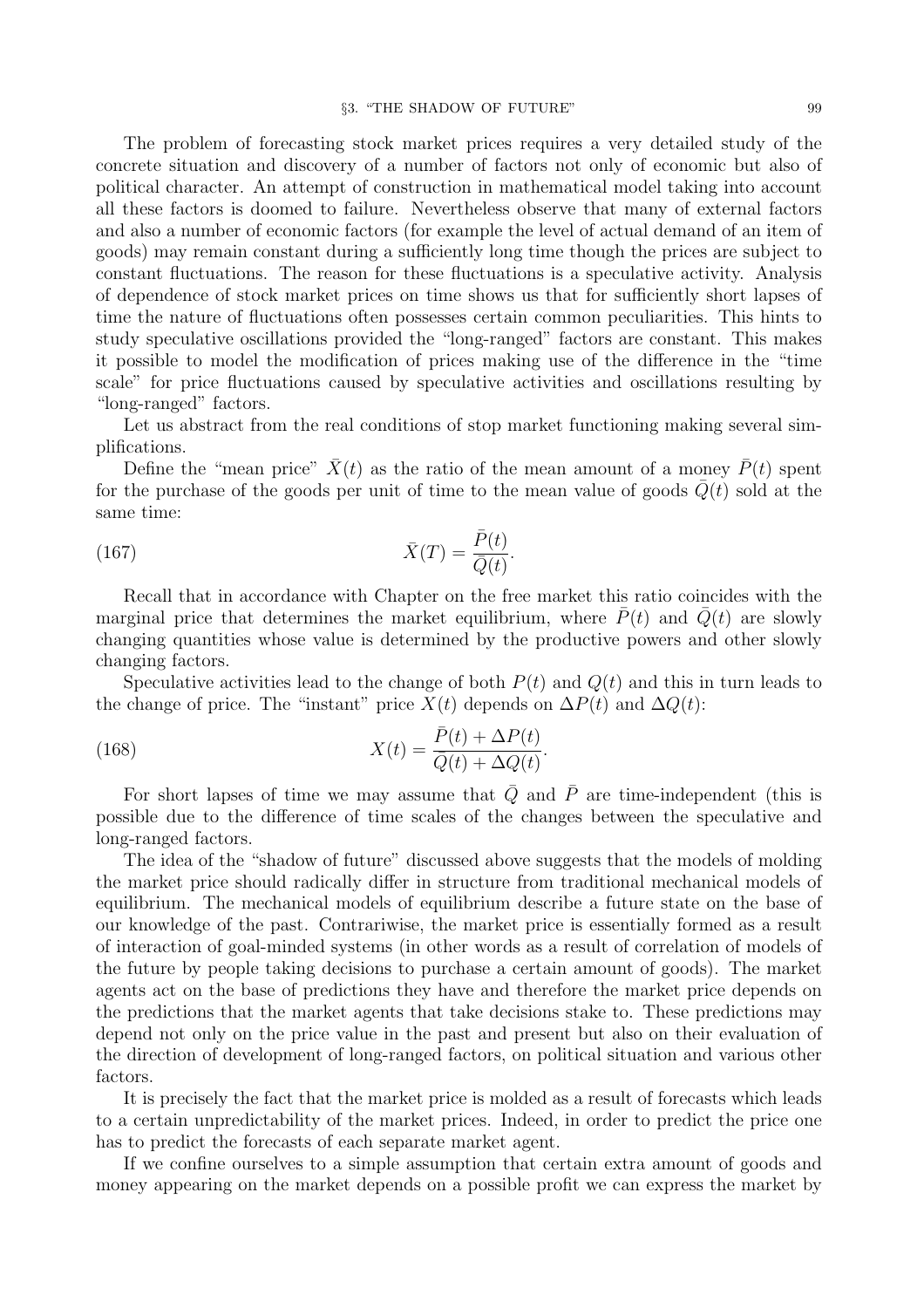The problem of forecasting stock market prices requires a very detailed study of the concrete situation and discovery of a number of factors not only of economic but also of political character. An attempt of construction in mathematical model taking into account all these factors is doomed to failure. Nevertheless observe that many of external factors and also a number of economic factors (for example the level of actual demand of an item of goods) may remain constant during a sufficiently long time though the prices are subject to constant fluctuations. The reason for these fluctuations is a speculative activity. Analysis of dependence of stock market prices on time shows us that for sufficiently short lapses of time the nature of fluctuations often possesses certain common peculiarities. This hints to study speculative oscillations provided the "long-ranged" factors are constant. This makes it possible to model the modification of prices making use of the difference in the "time scale" for price fluctuations caused by speculative activities and oscillations resulting by "long-ranged" factors.

Let us abstract from the real conditions of stop market functioning making several simplifications.

Define the "mean price"  $\bar{X}(t)$  as the ratio of the mean amount of a money  $\bar{P}(t)$  spent for the purchase of the goods per unit of time to the mean value of goods  $\overline{Q}(t)$  sold at the same time:

(167) 
$$
\bar{X}(T) = \frac{\bar{P}(t)}{\bar{Q}(t)}.
$$

Recall that in accordance with Chapter on the free market this ratio coincides with the marginal price that determines the market equilibrium, where  $\bar{P}(t)$  and  $\bar{Q}(t)$  are slowly changing quantities whose value is determined by the productive powers and other slowly changing factors.

Speculative activities lead to the change of both  $P(t)$  and  $Q(t)$  and this in turn leads to the change of price. The "instant" price  $X(t)$  depends on  $\Delta P(t)$  and  $\Delta Q(t)$ :

(168) 
$$
X(t) = \frac{\bar{P}(t) + \Delta P(t)}{\bar{Q}(t) + \Delta Q(t)}.
$$

For short lapses of time we may assume that  $\overline{Q}$  and  $\overline{P}$  are time-independent (this is possible due to the difference of time scales of the changes between the speculative and long-ranged factors.

The idea of the "shadow of future" discussed above suggests that the models of molding the market price should radically differ in structure from traditional mechanical models of equilibrium. The mechanical models of equilibrium describe a future state on the base of our knowledge of the past. Contrariwise, the market price is essentially formed as a result of interaction of goal-minded systems (in other words as a result of correlation of models of the future by people taking decisions to purchase a certain amount of goods). The market agents act on the base of predictions they have and therefore the market price depends on the predictions that the market agents that take decisions stake to. These predictions may depend not only on the price value in the past and present but also on their evaluation of the direction of development of long-ranged factors, on political situation and various other factors.

It is precisely the fact that the market price is molded as a result of forecasts which leads to a certain unpredictability of the market prices. Indeed, in order to predict the price one has to predict the forecasts of each separate market agent.

If we confine ourselves to a simple assumption that certain extra amount of goods and money appearing on the market depends on a possible profit we can express the market by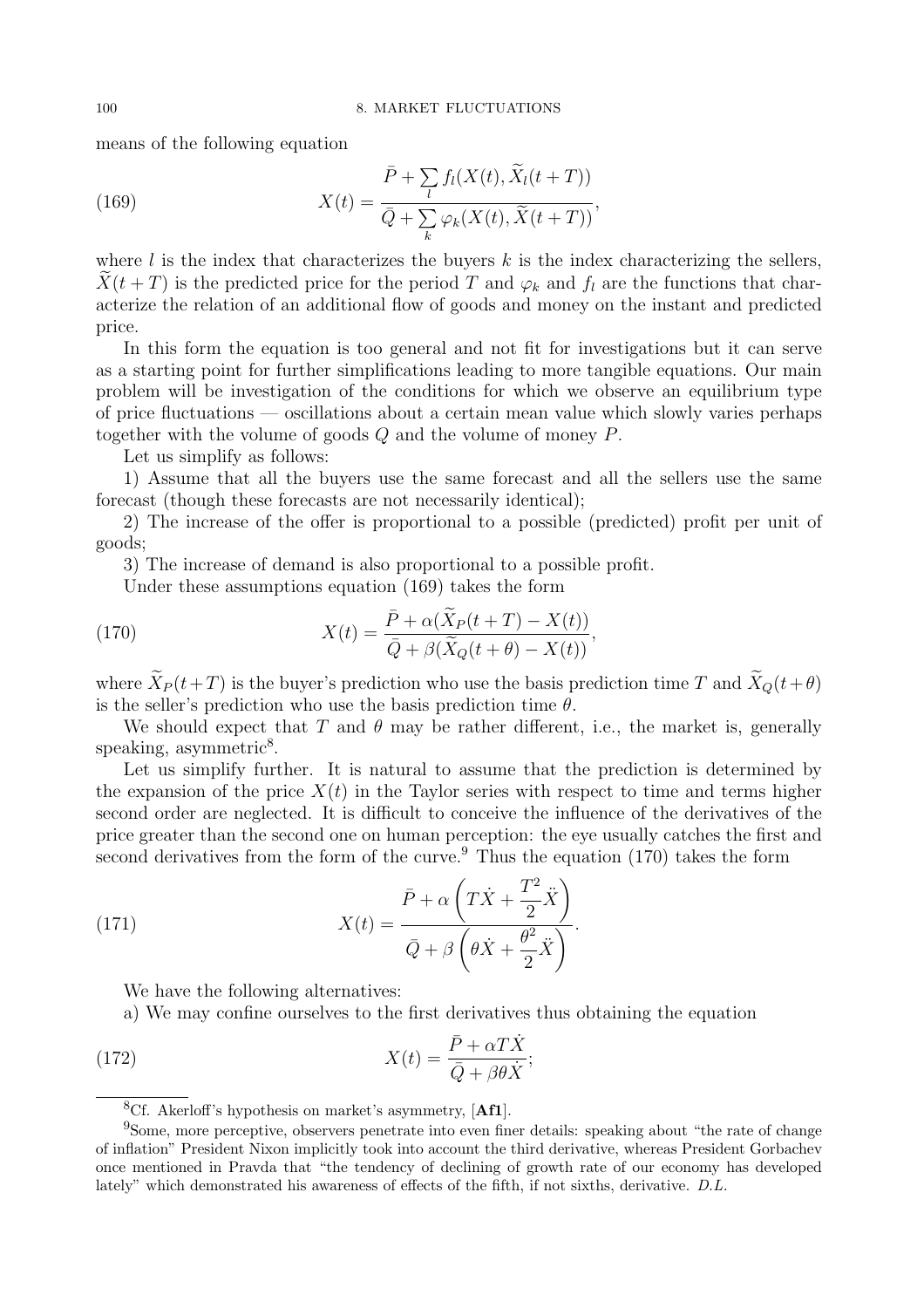means of the following equation

(169) 
$$
X(t) = \frac{\bar{P} + \sum_{l} f_l(X(t), \tilde{X}_l(t+T))}{\bar{Q} + \sum_{k} \varphi_k(X(t), \tilde{X}(t+T))},
$$

where  $l$  is the index that characterizes the buyers  $k$  is the index characterizing the sellers,  $X(t + T)$  is the predicted price for the period T and  $\varphi_k$  and  $f_l$  are the functions that characterize the relation of an additional flow of goods and money on the instant and predicted price.

In this form the equation is too general and not fit for investigations but it can serve as a starting point for further simplifications leading to more tangible equations. Our main problem will be investigation of the conditions for which we observe an equilibrium type of price fluctuations — oscillations about a certain mean value which slowly varies perhaps together with the volume of goods Q and the volume of money P.

Let us simplify as follows:

1) Assume that all the buyers use the same forecast and all the sellers use the same forecast (though these forecasts are not necessarily identical);

2) The increase of the offer is proportional to a possible (predicted) profit per unit of goods;

3) The increase of demand is also proportional to a possible profit.

Under these assumptions equation (169) takes the form

(170) 
$$
X(t) = \frac{\bar{P} + \alpha(\tilde{X}_P(t+T) - X(t))}{\bar{Q} + \beta(\tilde{X}_Q(t+\theta) - X(t))},
$$

where  $\widetilde{X}_P (t+T)$  is the buyer's prediction who use the basis prediction time T and  $\widetilde{X}_Q(t+\theta)$ is the seller's prediction who use the basis prediction time  $\theta$ .

We should expect that T and  $\theta$  may be rather different, i.e., the market is, generally speaking, asymmetric<sup>8</sup>.

Let us simplify further. It is natural to assume that the prediction is determined by the expansion of the price  $X(t)$  in the Taylor series with respect to time and terms higher second order are neglected. It is difficult to conceive the influence of the derivatives of the price greater than the second one on human perception: the eye usually catches the first and second derivatives from the form of the curve.<sup>9</sup> Thus the equation  $(170)$  takes the form

(171) 
$$
X(t) = \frac{\bar{P} + \alpha \left( T\dot{X} + \frac{T^2}{2}\ddot{X} \right)}{\bar{Q} + \beta \left( \theta \dot{X} + \frac{\theta^2}{2}\ddot{X} \right)}.
$$

We have the following alternatives:

a) We may confine ourselves to the first derivatives thus obtaining the equation

(172) 
$$
X(t) = \frac{\bar{P} + \alpha T \dot{X}}{\bar{Q} + \beta \theta \dot{X}};
$$

 ${}^{8}$ Cf. Akerloff's hypothesis on market's asymmetry, [Af1].

<sup>9</sup>Some, more perceptive, observers penetrate into even finer details: speaking about "the rate of change of inflation" President Nixon implicitly took into account the third derivative, whereas President Gorbachev once mentioned in Pravda that "the tendency of declining of growth rate of our economy has developed lately" which demonstrated his awareness of effects of the fifth, if not sixths, derivative. D.L.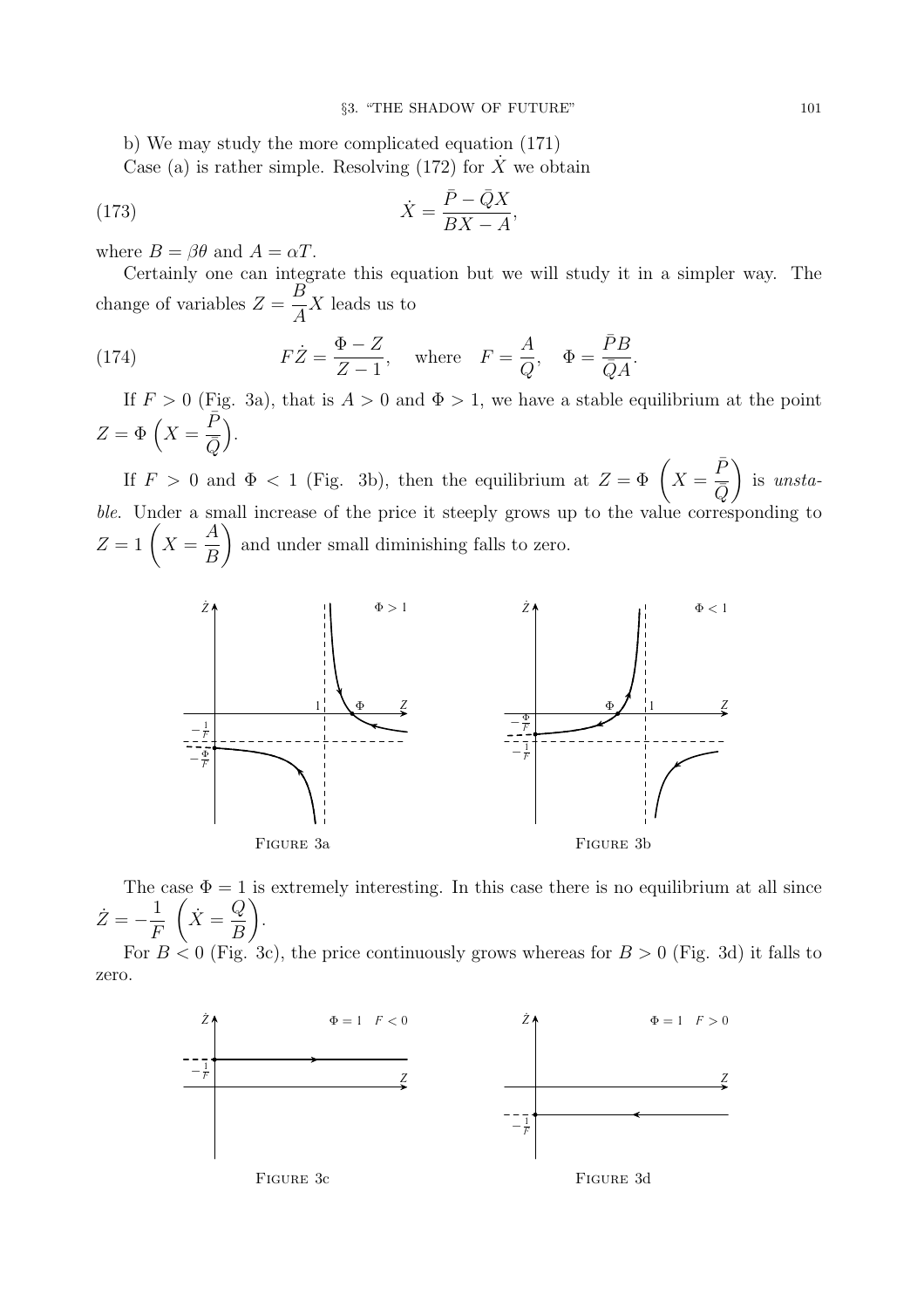b) We may study the more complicated equation (171)

Case (a) is rather simple. Resolving (172) for  $\dot{X}$  we obtain

(173) 
$$
\dot{X} = \frac{\bar{P} - \bar{Q}X}{BX - A},
$$

where  $B = \beta \theta$  and  $A = \alpha T$ .

Certainly one can integrate this equation but we will study it in a simpler way. The change of variables  $Z =$ B A X leads us to

(174) 
$$
F\dot{Z} = \frac{\Phi - Z}{Z - 1}, \text{ where } F = \frac{A}{Q}, \Phi = \frac{\bar{P}B}{\bar{Q}A}.
$$

If  $F > 0$  (Fig. 3a), that is  $A > 0$  and  $\Phi > 1$ , we have a stable equilibrium at the point  $Z = \Phi\left(X\right)$  $\bar{P}$  $\overline{\bar{Q}}$ ´ .

If  $F > 0$  and  $\Phi < 1$  (Fig. 3b), then the equilibrium at  $Z = \Phi \left( X = \emptyset \right)$  $\bar{P}$  $\overline{\bar{Q}}$  $\setminus$ is unstable. Under a small increase of the price it steeply grows up to the value corresponding to  $Z = 1 \left( X = \right)$ A B  $\setminus$ and under small diminishing falls to zero.



The case  $\Phi = 1$  is extremely interesting. In this case there is no equilibrium at all since  $\dot{Z}=-\frac{1}{F}$ F  $\left(\dot{X}=\frac{Q}{D}\right)$ B  $\setminus$ .

For  $B \le 0$  (Fig. 3c), the price continuously grows whereas for  $B > 0$  (Fig. 3d) it falls to zero.

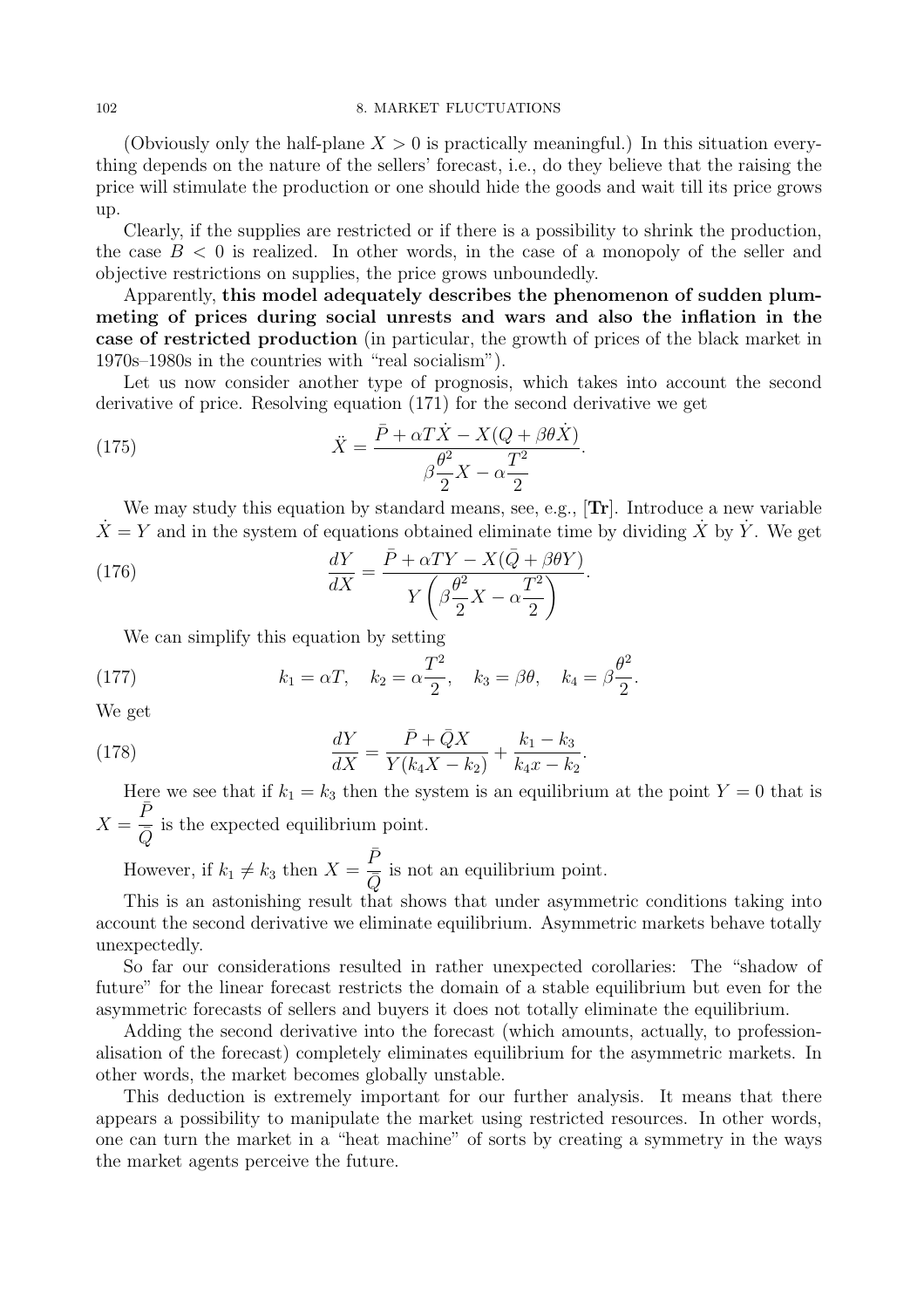(Obviously only the half-plane  $X > 0$  is practically meaningful.) In this situation everything depends on the nature of the sellers' forecast, i.e., do they believe that the raising the price will stimulate the production or one should hide the goods and wait till its price grows up.

Clearly, if the supplies are restricted or if there is a possibility to shrink the production, the case  $B < 0$  is realized. In other words, in the case of a monopoly of the seller and objective restrictions on supplies, the price grows unboundedly.

Apparently, this model adequately describes the phenomenon of sudden plummeting of prices during social unrests and wars and also the inflation in the case of restricted production (in particular, the growth of prices of the black market in 1970s–1980s in the countries with "real socialism").

Let us now consider another type of prognosis, which takes into account the second derivative of price. Resolving equation (171) for the second derivative we get

(175) 
$$
\ddot{X} = \frac{\bar{P} + \alpha T \dot{X} - X(Q + \beta \theta \dot{X})}{\beta \frac{\theta^2}{2} X - \alpha \frac{T^2}{2}}.
$$

We may study this equation by standard means, see, e.g., **Tr**. Introduce a new variable  $\dot{X} = Y$  and in the system of equations obtained eliminate time by dividing  $\dot{X}$  by  $\dot{Y}$ . We get

(176) 
$$
\frac{dY}{dX} = \frac{\bar{P} + \alpha TY - X(\bar{Q} + \beta \theta Y)}{Y(\beta \frac{\theta^2}{2}X - \alpha \frac{T^2}{2})}.
$$

We can simplify this equation by setting

(177) 
$$
k_1 = \alpha T, \quad k_2 = \alpha \frac{T^2}{2}, \quad k_3 = \beta \theta, \quad k_4 = \beta \frac{\theta^2}{2}.
$$

We get

(178) 
$$
\frac{dY}{dX} = \frac{\bar{P} + \bar{Q}X}{Y(k_4X - k_2)} + \frac{k_1 - k_3}{k_4x - k_2}.
$$

Here we see that if  $k_1 = k_3$  then the system is an equilibrium at the point  $Y = 0$  that is  $X =$  $\bar{P}$  $\overline{\overline{Q}}$  is the expected equilibrium point.

However, if  $k_1 \neq k_3$  then  $X =$  $\bar{P}$  $\frac{1}{\overline{Q}}$  is not an equilibrium point.

This is an astonishing result that shows that under asymmetric conditions taking into account the second derivative we eliminate equilibrium. Asymmetric markets behave totally unexpectedly.

So far our considerations resulted in rather unexpected corollaries: The "shadow of future" for the linear forecast restricts the domain of a stable equilibrium but even for the asymmetric forecasts of sellers and buyers it does not totally eliminate the equilibrium.

Adding the second derivative into the forecast (which amounts, actually, to professionalisation of the forecast) completely eliminates equilibrium for the asymmetric markets. In other words, the market becomes globally unstable.

This deduction is extremely important for our further analysis. It means that there appears a possibility to manipulate the market using restricted resources. In other words, one can turn the market in a "heat machine" of sorts by creating a symmetry in the ways the market agents perceive the future.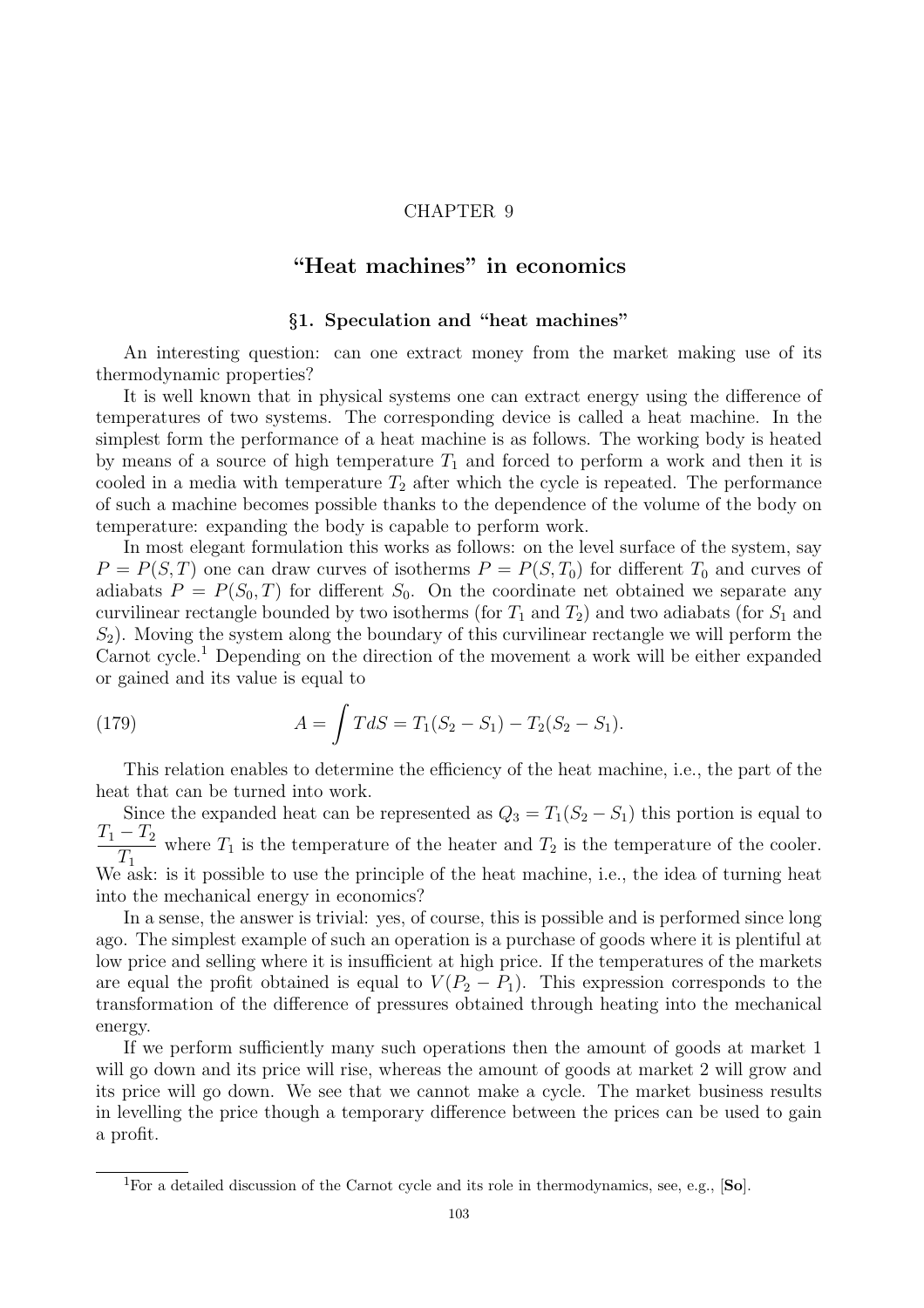### CHAPTER 9

# "Heat machines" in economics

### §1. Speculation and "heat machines"

An interesting question: can one extract money from the market making use of its thermodynamic properties?

It is well known that in physical systems one can extract energy using the difference of temperatures of two systems. The corresponding device is called a heat machine. In the simplest form the performance of a heat machine is as follows. The working body is heated by means of a source of high temperature  $T_1$  and forced to perform a work and then it is cooled in a media with temperature  $T_2$  after which the cycle is repeated. The performance of such a machine becomes possible thanks to the dependence of the volume of the body on temperature: expanding the body is capable to perform work.

In most elegant formulation this works as follows: on the level surface of the system, say  $P = P(S,T)$  one can draw curves of isotherms  $P = P(S,T_0)$  for different  $T_0$  and curves of adiabats  $P = P(S_0, T)$  for different  $S_0$ . On the coordinate net obtained we separate any curvilinear rectangle bounded by two isotherms (for  $T_1$  and  $T_2$ ) and two adiabats (for  $S_1$  and  $S_2$ ). Moving the system along the boundary of this curvilinear rectangle we will perform the Carnot cycle.<sup>1</sup> Depending on the direction of the movement a work will be either expanded or gained and its value is equal to

(179) 
$$
A = \int T dS = T_1(S_2 - S_1) - T_2(S_2 - S_1).
$$

This relation enables to determine the efficiency of the heat machine, i.e., the part of the heat that can be turned into work.

Since the expanded heat can be represented as  $Q_3 = T_1(S_2 - S_1)$  this portion is equal to  $T_1 - T_2$  $T_1$ where  $T_1$  is the temperature of the heater and  $T_2$  is the temperature of the cooler. We ask: is it possible to use the principle of the heat machine, i.e., the idea of turning heat into the mechanical energy in economics?

In a sense, the answer is trivial: yes, of course, this is possible and is performed since long ago. The simplest example of such an operation is a purchase of goods where it is plentiful at low price and selling where it is insufficient at high price. If the temperatures of the markets are equal the profit obtained is equal to  $V(P_2 - P_1)$ . This expression corresponds to the transformation of the difference of pressures obtained through heating into the mechanical energy.

If we perform sufficiently many such operations then the amount of goods at market 1 will go down and its price will rise, whereas the amount of goods at market 2 will grow and its price will go down. We see that we cannot make a cycle. The market business results in levelling the price though a temporary difference between the prices can be used to gain a profit.

 $\overline{^{1}$ For a detailed discussion of the Carnot cycle and its role in thermodynamics, see, e.g., [So].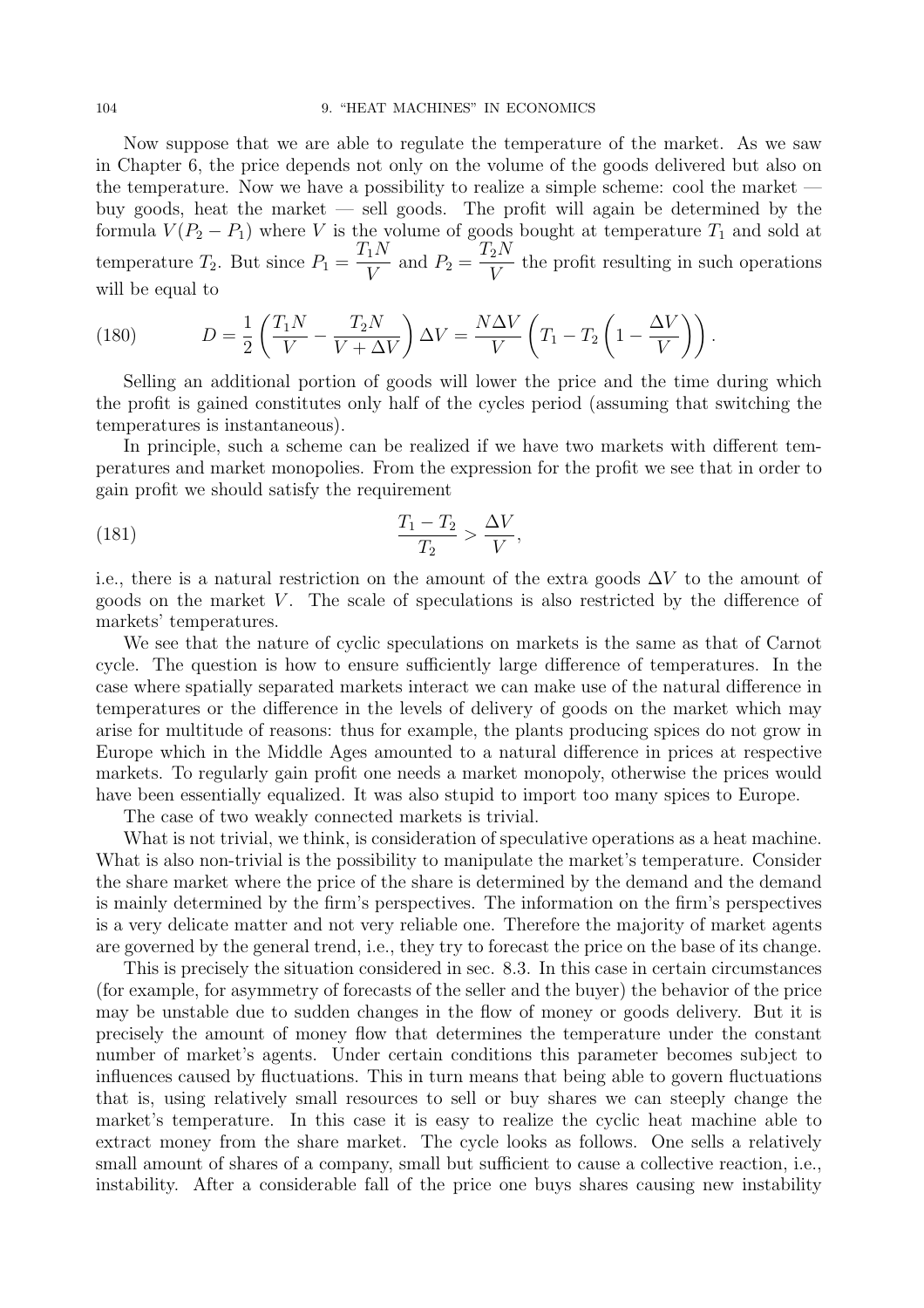Now suppose that we are able to regulate the temperature of the market. As we saw in Chapter 6, the price depends not only on the volume of the goods delivered but also on the temperature. Now we have a possibility to realize a simple scheme: cool the market buy goods, heat the market — sell goods. The profit will again be determined by the formula  $V(P_2 - P_1)$  where V is the volume of goods bought at temperature  $T_1$  and sold at temperature  $T_2$ . But since  $P_1 =$  $T_1N$  $\frac{1}{V}$  and  $P_2 =$  $T_2N$ V the profit resulting in such operations will be equal to

(180) 
$$
D = \frac{1}{2} \left( \frac{T_1 N}{V} - \frac{T_2 N}{V + \Delta V} \right) \Delta V = \frac{N \Delta V}{V} \left( T_1 - T_2 \left( 1 - \frac{\Delta V}{V} \right) \right).
$$

Selling an additional portion of goods will lower the price and the time during which the profit is gained constitutes only half of the cycles period (assuming that switching the temperatures is instantaneous).

In principle, such a scheme can be realized if we have two markets with different temperatures and market monopolies. From the expression for the profit we see that in order to gain profit we should satisfy the requirement

(181) 
$$
\frac{T_1 - T_2}{T_2} > \frac{\Delta V}{V},
$$

i.e., there is a natural restriction on the amount of the extra goods  $\Delta V$  to the amount of goods on the market  $V$ . The scale of speculations is also restricted by the difference of markets' temperatures.

We see that the nature of cyclic speculations on markets is the same as that of Carnot cycle. The question is how to ensure sufficiently large difference of temperatures. In the case where spatially separated markets interact we can make use of the natural difference in temperatures or the difference in the levels of delivery of goods on the market which may arise for multitude of reasons: thus for example, the plants producing spices do not grow in Europe which in the Middle Ages amounted to a natural difference in prices at respective markets. To regularly gain profit one needs a market monopoly, otherwise the prices would have been essentially equalized. It was also stupid to import too many spices to Europe.

The case of two weakly connected markets is trivial.

What is not trivial, we think, is consideration of speculative operations as a heat machine. What is also non-trivial is the possibility to manipulate the market's temperature. Consider the share market where the price of the share is determined by the demand and the demand is mainly determined by the firm's perspectives. The information on the firm's perspectives is a very delicate matter and not very reliable one. Therefore the majority of market agents are governed by the general trend, i.e., they try to forecast the price on the base of its change.

This is precisely the situation considered in sec. 8.3. In this case in certain circumstances (for example, for asymmetry of forecasts of the seller and the buyer) the behavior of the price may be unstable due to sudden changes in the flow of money or goods delivery. But it is precisely the amount of money flow that determines the temperature under the constant number of market's agents. Under certain conditions this parameter becomes subject to influences caused by fluctuations. This in turn means that being able to govern fluctuations that is, using relatively small resources to sell or buy shares we can steeply change the market's temperature. In this case it is easy to realize the cyclic heat machine able to extract money from the share market. The cycle looks as follows. One sells a relatively small amount of shares of a company, small but sufficient to cause a collective reaction, i.e., instability. After a considerable fall of the price one buys shares causing new instability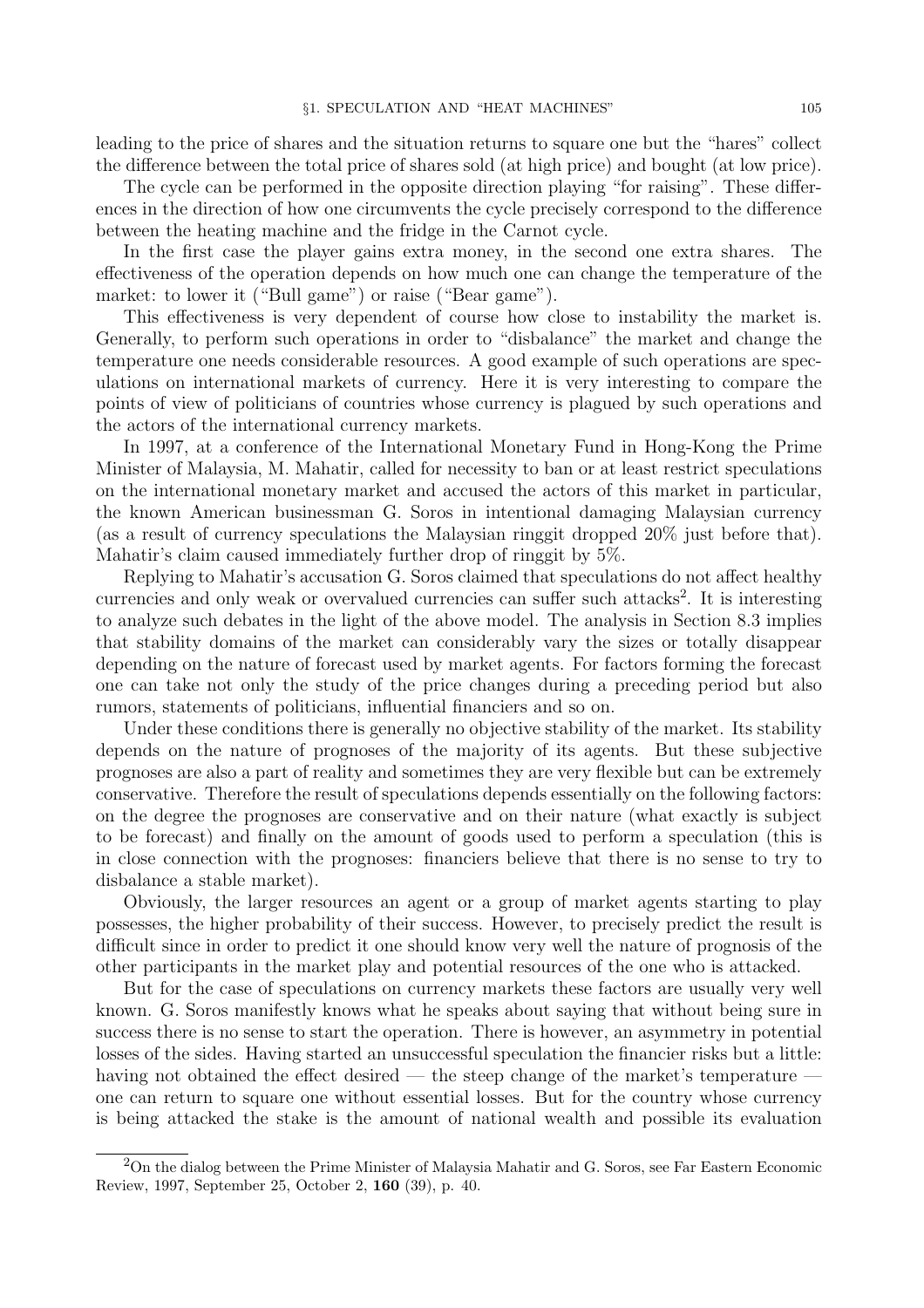leading to the price of shares and the situation returns to square one but the "hares" collect the difference between the total price of shares sold (at high price) and bought (at low price).

The cycle can be performed in the opposite direction playing "for raising". These differences in the direction of how one circumvents the cycle precisely correspond to the difference between the heating machine and the fridge in the Carnot cycle.

In the first case the player gains extra money, in the second one extra shares. The effectiveness of the operation depends on how much one can change the temperature of the market: to lower it ("Bull game") or raise ("Bear game").

This effectiveness is very dependent of course how close to instability the market is. Generally, to perform such operations in order to "disbalance" the market and change the temperature one needs considerable resources. A good example of such operations are speculations on international markets of currency. Here it is very interesting to compare the points of view of politicians of countries whose currency is plagued by such operations and the actors of the international currency markets.

In 1997, at a conference of the International Monetary Fund in Hong-Kong the Prime Minister of Malaysia, M. Mahatir, called for necessity to ban or at least restrict speculations on the international monetary market and accused the actors of this market in particular, the known American businessman G. Soros in intentional damaging Malaysian currency (as a result of currency speculations the Malaysian ringgit dropped 20% just before that). Mahatir's claim caused immediately further drop of ringgit by 5%.

Replying to Mahatir's accusation G. Soros claimed that speculations do not affect healthy currencies and only weak or overvalued currencies can suffer such attacks<sup>2</sup>. It is interesting to analyze such debates in the light of the above model. The analysis in Section 8.3 implies that stability domains of the market can considerably vary the sizes or totally disappear depending on the nature of forecast used by market agents. For factors forming the forecast one can take not only the study of the price changes during a preceding period but also rumors, statements of politicians, influential financiers and so on.

Under these conditions there is generally no objective stability of the market. Its stability depends on the nature of prognoses of the majority of its agents. But these subjective prognoses are also a part of reality and sometimes they are very flexible but can be extremely conservative. Therefore the result of speculations depends essentially on the following factors: on the degree the prognoses are conservative and on their nature (what exactly is subject to be forecast) and finally on the amount of goods used to perform a speculation (this is in close connection with the prognoses: financiers believe that there is no sense to try to disbalance a stable market).

Obviously, the larger resources an agent or a group of market agents starting to play possesses, the higher probability of their success. However, to precisely predict the result is difficult since in order to predict it one should know very well the nature of prognosis of the other participants in the market play and potential resources of the one who is attacked.

But for the case of speculations on currency markets these factors are usually very well known. G. Soros manifestly knows what he speaks about saying that without being sure in success there is no sense to start the operation. There is however, an asymmetry in potential losses of the sides. Having started an unsuccessful speculation the financier risks but a little: having not obtained the effect desired — the steep change of the market's temperature – one can return to square one without essential losses. But for the country whose currency is being attacked the stake is the amount of national wealth and possible its evaluation

<sup>&</sup>lt;sup>2</sup>On the dialog between the Prime Minister of Malaysia Mahatir and G. Soros, see Far Eastern Economic Review, 1997, September 25, October 2, 160 (39), p. 40.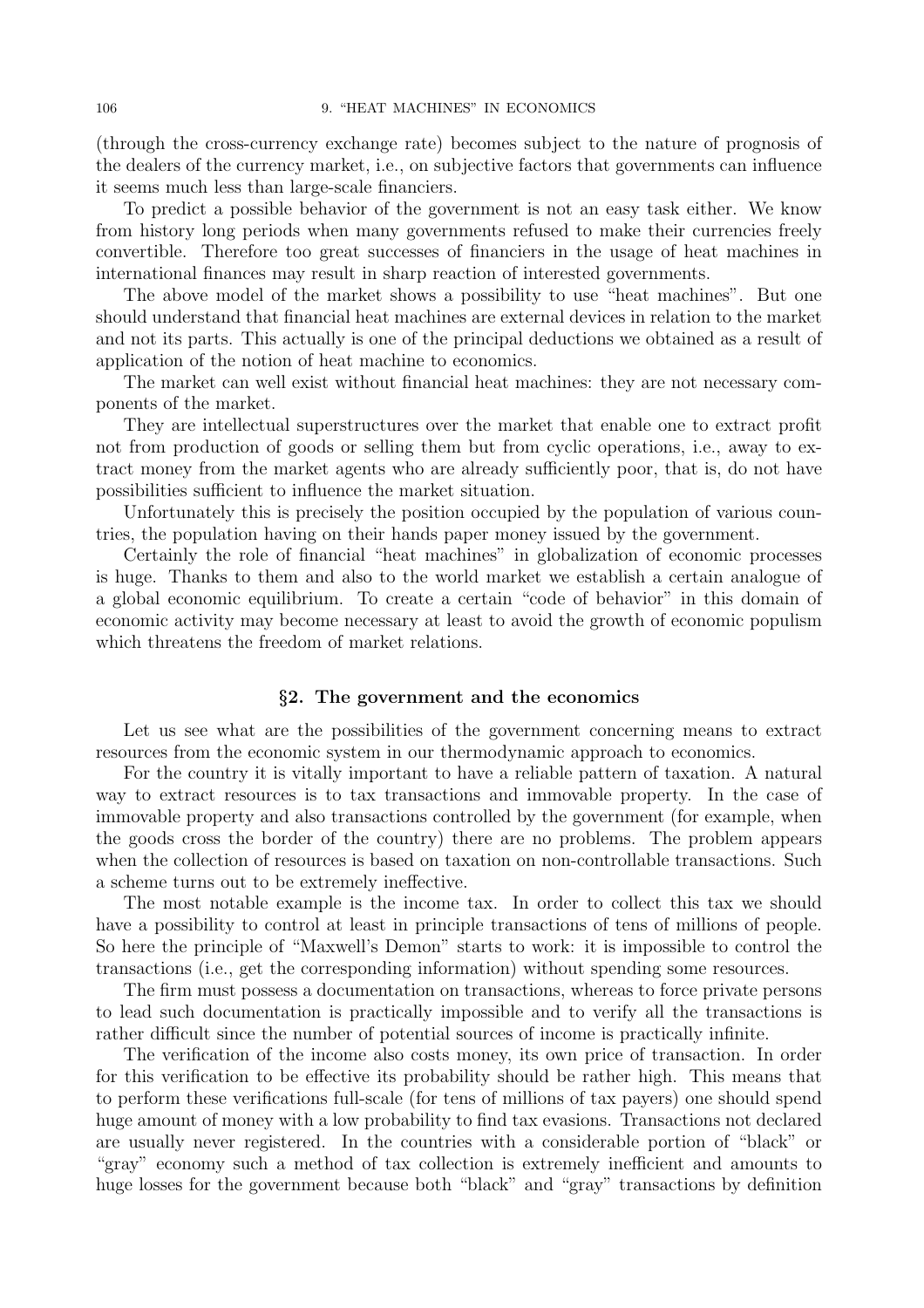(through the cross-currency exchange rate) becomes subject to the nature of prognosis of the dealers of the currency market, i.e., on subjective factors that governments can influence it seems much less than large-scale financiers.

To predict a possible behavior of the government is not an easy task either. We know from history long periods when many governments refused to make their currencies freely convertible. Therefore too great successes of financiers in the usage of heat machines in international finances may result in sharp reaction of interested governments.

The above model of the market shows a possibility to use "heat machines". But one should understand that financial heat machines are external devices in relation to the market and not its parts. This actually is one of the principal deductions we obtained as a result of application of the notion of heat machine to economics.

The market can well exist without financial heat machines: they are not necessary components of the market.

They are intellectual superstructures over the market that enable one to extract profit not from production of goods or selling them but from cyclic operations, i.e., away to extract money from the market agents who are already sufficiently poor, that is, do not have possibilities sufficient to influence the market situation.

Unfortunately this is precisely the position occupied by the population of various countries, the population having on their hands paper money issued by the government.

Certainly the role of financial "heat machines" in globalization of economic processes is huge. Thanks to them and also to the world market we establish a certain analogue of a global economic equilibrium. To create a certain "code of behavior" in this domain of economic activity may become necessary at least to avoid the growth of economic populism which threatens the freedom of market relations.

#### §2. The government and the economics

Let us see what are the possibilities of the government concerning means to extract resources from the economic system in our thermodynamic approach to economics.

For the country it is vitally important to have a reliable pattern of taxation. A natural way to extract resources is to tax transactions and immovable property. In the case of immovable property and also transactions controlled by the government (for example, when the goods cross the border of the country) there are no problems. The problem appears when the collection of resources is based on taxation on non-controllable transactions. Such a scheme turns out to be extremely ineffective.

The most notable example is the income tax. In order to collect this tax we should have a possibility to control at least in principle transactions of tens of millions of people. So here the principle of "Maxwell's Demon" starts to work: it is impossible to control the transactions (i.e., get the corresponding information) without spending some resources.

The firm must possess a documentation on transactions, whereas to force private persons to lead such documentation is practically impossible and to verify all the transactions is rather difficult since the number of potential sources of income is practically infinite.

The verification of the income also costs money, its own price of transaction. In order for this verification to be effective its probability should be rather high. This means that to perform these verifications full-scale (for tens of millions of tax payers) one should spend huge amount of money with a low probability to find tax evasions. Transactions not declared are usually never registered. In the countries with a considerable portion of "black" or "gray" economy such a method of tax collection is extremely inefficient and amounts to huge losses for the government because both "black" and "gray" transactions by definition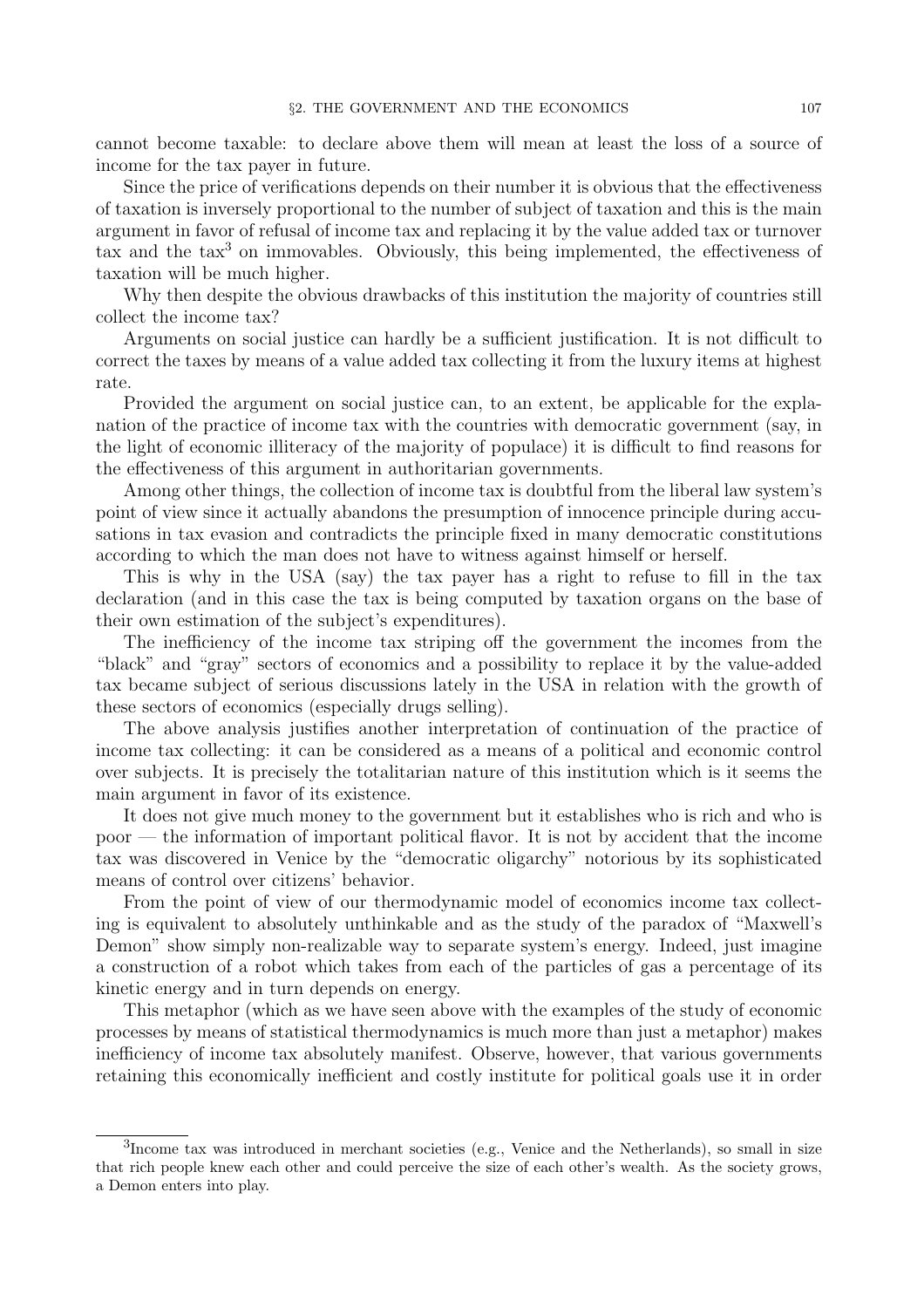cannot become taxable: to declare above them will mean at least the loss of a source of income for the tax payer in future.

Since the price of verifications depends on their number it is obvious that the effectiveness of taxation is inversely proportional to the number of subject of taxation and this is the main argument in favor of refusal of income tax and replacing it by the value added tax or turnover tax and the tax<sup>3</sup> on immovables. Obviously, this being implemented, the effectiveness of taxation will be much higher.

Why then despite the obvious drawbacks of this institution the majority of countries still collect the income tax?

Arguments on social justice can hardly be a sufficient justification. It is not difficult to correct the taxes by means of a value added tax collecting it from the luxury items at highest rate.

Provided the argument on social justice can, to an extent, be applicable for the explanation of the practice of income tax with the countries with democratic government (say, in the light of economic illiteracy of the majority of populace) it is difficult to find reasons for the effectiveness of this argument in authoritarian governments.

Among other things, the collection of income tax is doubtful from the liberal law system's point of view since it actually abandons the presumption of innocence principle during accusations in tax evasion and contradicts the principle fixed in many democratic constitutions according to which the man does not have to witness against himself or herself.

This is why in the USA (say) the tax payer has a right to refuse to fill in the tax declaration (and in this case the tax is being computed by taxation organs on the base of their own estimation of the subject's expenditures).

The inefficiency of the income tax striping off the government the incomes from the "black" and "gray" sectors of economics and a possibility to replace it by the value-added tax became subject of serious discussions lately in the USA in relation with the growth of these sectors of economics (especially drugs selling).

The above analysis justifies another interpretation of continuation of the practice of income tax collecting: it can be considered as a means of a political and economic control over subjects. It is precisely the totalitarian nature of this institution which is it seems the main argument in favor of its existence.

It does not give much money to the government but it establishes who is rich and who is poor — the information of important political flavor. It is not by accident that the income tax was discovered in Venice by the "democratic oligarchy" notorious by its sophisticated means of control over citizens' behavior.

From the point of view of our thermodynamic model of economics income tax collecting is equivalent to absolutely unthinkable and as the study of the paradox of "Maxwell's Demon" show simply non-realizable way to separate system's energy. Indeed, just imagine a construction of a robot which takes from each of the particles of gas a percentage of its kinetic energy and in turn depends on energy.

This metaphor (which as we have seen above with the examples of the study of economic processes by means of statistical thermodynamics is much more than just a metaphor) makes inefficiency of income tax absolutely manifest. Observe, however, that various governments retaining this economically inefficient and costly institute for political goals use it in order

<sup>&</sup>lt;sup>3</sup>Income tax was introduced in merchant societies (e.g., Venice and the Netherlands), so small in size that rich people knew each other and could perceive the size of each other's wealth. As the society grows, a Demon enters into play.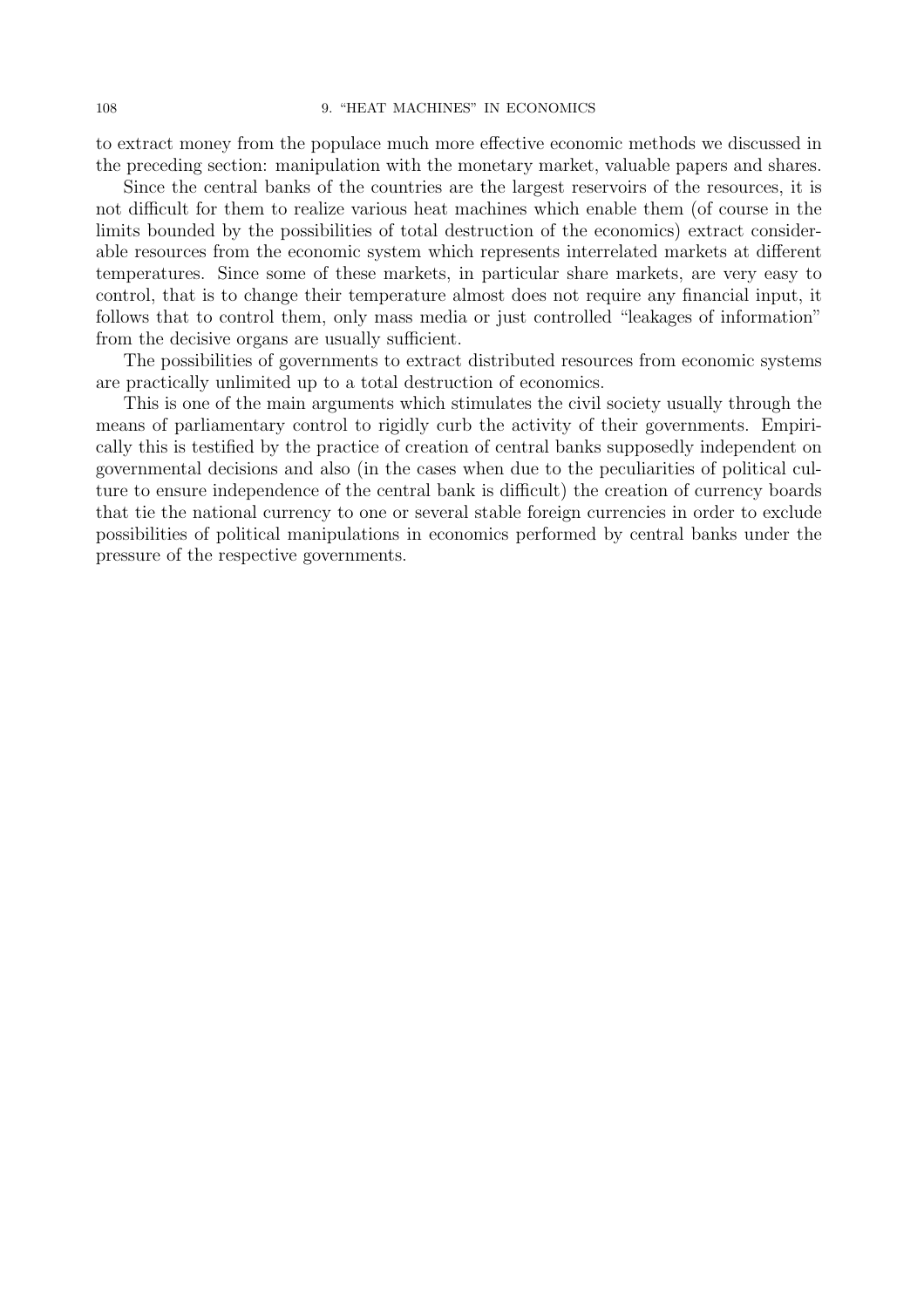to extract money from the populace much more effective economic methods we discussed in the preceding section: manipulation with the monetary market, valuable papers and shares.

Since the central banks of the countries are the largest reservoirs of the resources, it is not difficult for them to realize various heat machines which enable them (of course in the limits bounded by the possibilities of total destruction of the economics) extract considerable resources from the economic system which represents interrelated markets at different temperatures. Since some of these markets, in particular share markets, are very easy to control, that is to change their temperature almost does not require any financial input, it follows that to control them, only mass media or just controlled "leakages of information" from the decisive organs are usually sufficient.

The possibilities of governments to extract distributed resources from economic systems are practically unlimited up to a total destruction of economics.

This is one of the main arguments which stimulates the civil society usually through the means of parliamentary control to rigidly curb the activity of their governments. Empirically this is testified by the practice of creation of central banks supposedly independent on governmental decisions and also (in the cases when due to the peculiarities of political culture to ensure independence of the central bank is difficult) the creation of currency boards that tie the national currency to one or several stable foreign currencies in order to exclude possibilities of political manipulations in economics performed by central banks under the pressure of the respective governments.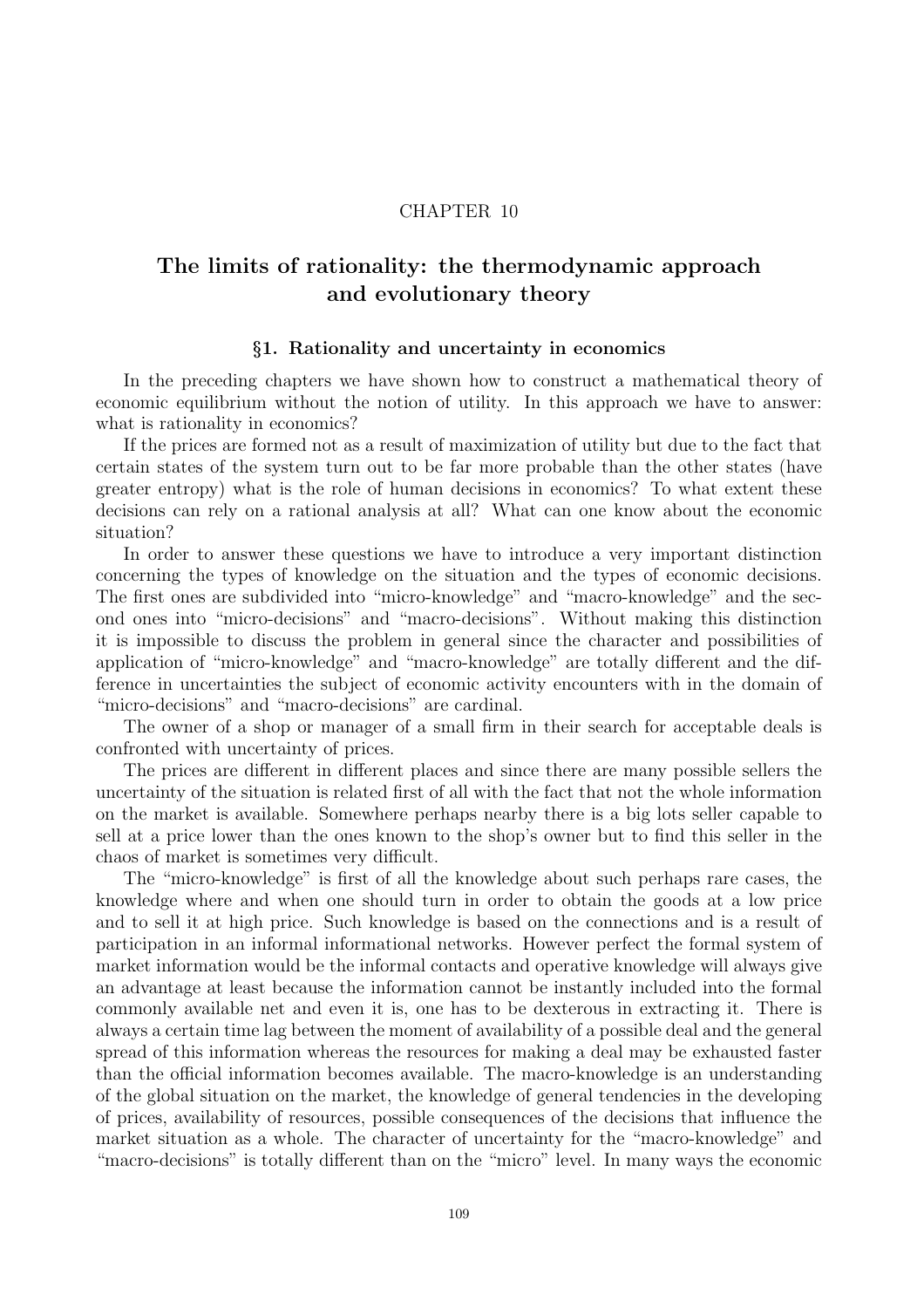### CHAPTER 10

# The limits of rationality: the thermodynamic approach and evolutionary theory

### §1. Rationality and uncertainty in economics

In the preceding chapters we have shown how to construct a mathematical theory of economic equilibrium without the notion of utility. In this approach we have to answer: what is rationality in economics?

If the prices are formed not as a result of maximization of utility but due to the fact that certain states of the system turn out to be far more probable than the other states (have greater entropy) what is the role of human decisions in economics? To what extent these decisions can rely on a rational analysis at all? What can one know about the economic situation?

In order to answer these questions we have to introduce a very important distinction concerning the types of knowledge on the situation and the types of economic decisions. The first ones are subdivided into "micro-knowledge" and "macro-knowledge" and the second ones into "micro-decisions" and "macro-decisions". Without making this distinction it is impossible to discuss the problem in general since the character and possibilities of application of "micro-knowledge" and "macro-knowledge" are totally different and the difference in uncertainties the subject of economic activity encounters with in the domain of "micro-decisions" and "macro-decisions" are cardinal.

The owner of a shop or manager of a small firm in their search for acceptable deals is confronted with uncertainty of prices.

The prices are different in different places and since there are many possible sellers the uncertainty of the situation is related first of all with the fact that not the whole information on the market is available. Somewhere perhaps nearby there is a big lots seller capable to sell at a price lower than the ones known to the shop's owner but to find this seller in the chaos of market is sometimes very difficult.

The "micro-knowledge" is first of all the knowledge about such perhaps rare cases, the knowledge where and when one should turn in order to obtain the goods at a low price and to sell it at high price. Such knowledge is based on the connections and is a result of participation in an informal informational networks. However perfect the formal system of market information would be the informal contacts and operative knowledge will always give an advantage at least because the information cannot be instantly included into the formal commonly available net and even it is, one has to be dexterous in extracting it. There is always a certain time lag between the moment of availability of a possible deal and the general spread of this information whereas the resources for making a deal may be exhausted faster than the official information becomes available. The macro-knowledge is an understanding of the global situation on the market, the knowledge of general tendencies in the developing of prices, availability of resources, possible consequences of the decisions that influence the market situation as a whole. The character of uncertainty for the "macro-knowledge" and "macro-decisions" is totally different than on the "micro" level. In many ways the economic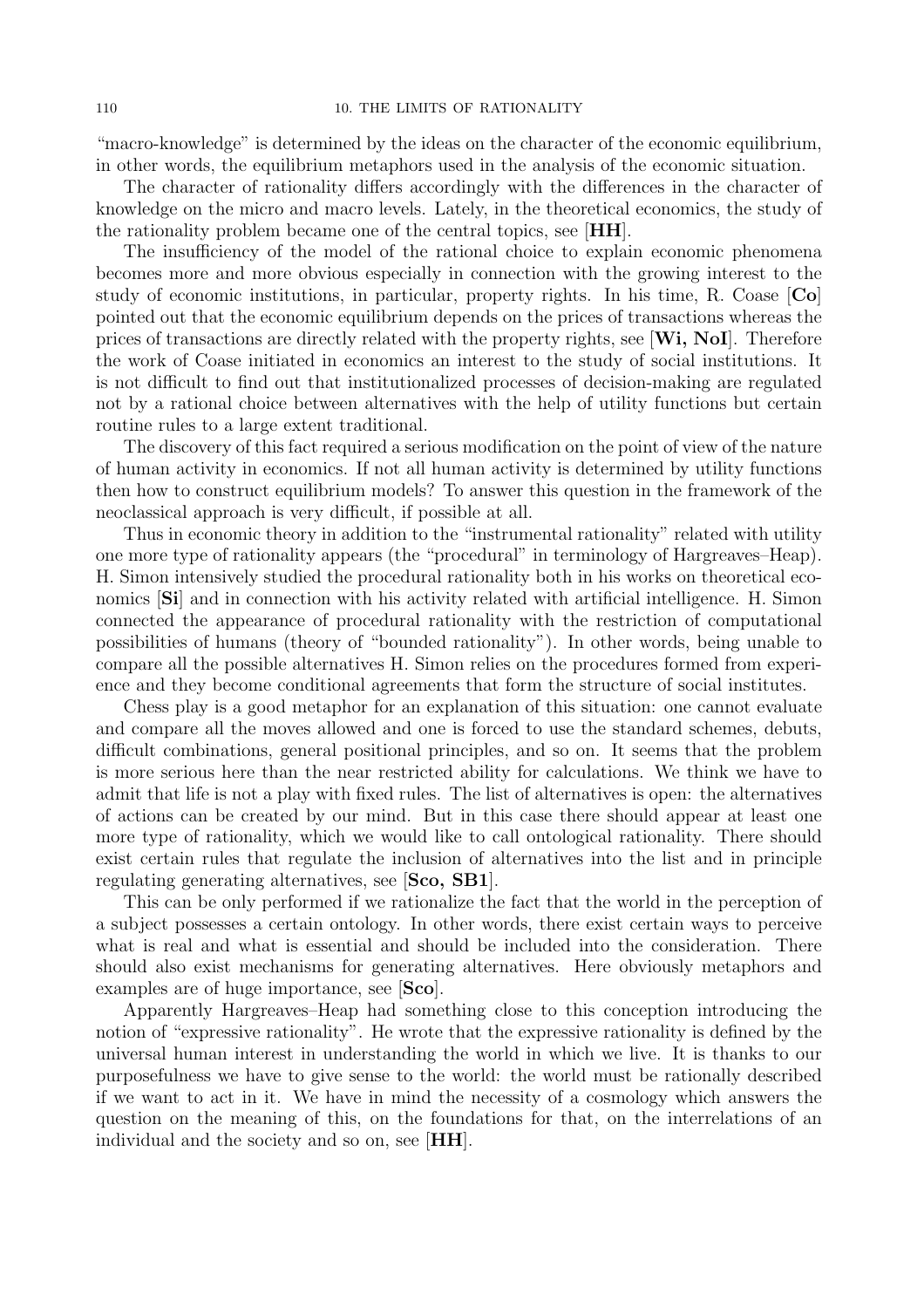"macro-knowledge" is determined by the ideas on the character of the economic equilibrium, in other words, the equilibrium metaphors used in the analysis of the economic situation.

The character of rationality differs accordingly with the differences in the character of knowledge on the micro and macro levels. Lately, in the theoretical economics, the study of the rationality problem became one of the central topics, see [HH].

The insufficiency of the model of the rational choice to explain economic phenomena becomes more and more obvious especially in connection with the growing interest to the study of economic institutions, in particular, property rights. In his time, R. Coase [Co] pointed out that the economic equilibrium depends on the prices of transactions whereas the prices of transactions are directly related with the property rights, see  $[\mathbf{W}_i, \mathbf{NoI}]$ . Therefore the work of Coase initiated in economics an interest to the study of social institutions. It is not difficult to find out that institutionalized processes of decision-making are regulated not by a rational choice between alternatives with the help of utility functions but certain routine rules to a large extent traditional.

The discovery of this fact required a serious modification on the point of view of the nature of human activity in economics. If not all human activity is determined by utility functions then how to construct equilibrium models? To answer this question in the framework of the neoclassical approach is very difficult, if possible at all.

Thus in economic theory in addition to the "instrumental rationality" related with utility one more type of rationality appears (the "procedural" in terminology of Hargreaves–Heap). H. Simon intensively studied the procedural rationality both in his works on theoretical economics  $|\textbf{Si}|$  and in connection with his activity related with artificial intelligence. H. Simon connected the appearance of procedural rationality with the restriction of computational possibilities of humans (theory of "bounded rationality"). In other words, being unable to compare all the possible alternatives H. Simon relies on the procedures formed from experience and they become conditional agreements that form the structure of social institutes.

Chess play is a good metaphor for an explanation of this situation: one cannot evaluate and compare all the moves allowed and one is forced to use the standard schemes, debuts, difficult combinations, general positional principles, and so on. It seems that the problem is more serious here than the near restricted ability for calculations. We think we have to admit that life is not a play with fixed rules. The list of alternatives is open: the alternatives of actions can be created by our mind. But in this case there should appear at least one more type of rationality, which we would like to call ontological rationality. There should exist certain rules that regulate the inclusion of alternatives into the list and in principle regulating generating alternatives, see [Sco, SB1].

This can be only performed if we rationalize the fact that the world in the perception of a subject possesses a certain ontology. In other words, there exist certain ways to perceive what is real and what is essential and should be included into the consideration. There should also exist mechanisms for generating alternatives. Here obviously metaphors and examples are of huge importance, see [Sco].

Apparently Hargreaves–Heap had something close to this conception introducing the notion of "expressive rationality". He wrote that the expressive rationality is defined by the universal human interest in understanding the world in which we live. It is thanks to our purposefulness we have to give sense to the world: the world must be rationally described if we want to act in it. We have in mind the necessity of a cosmology which answers the question on the meaning of this, on the foundations for that, on the interrelations of an individual and the society and so on, see [HH].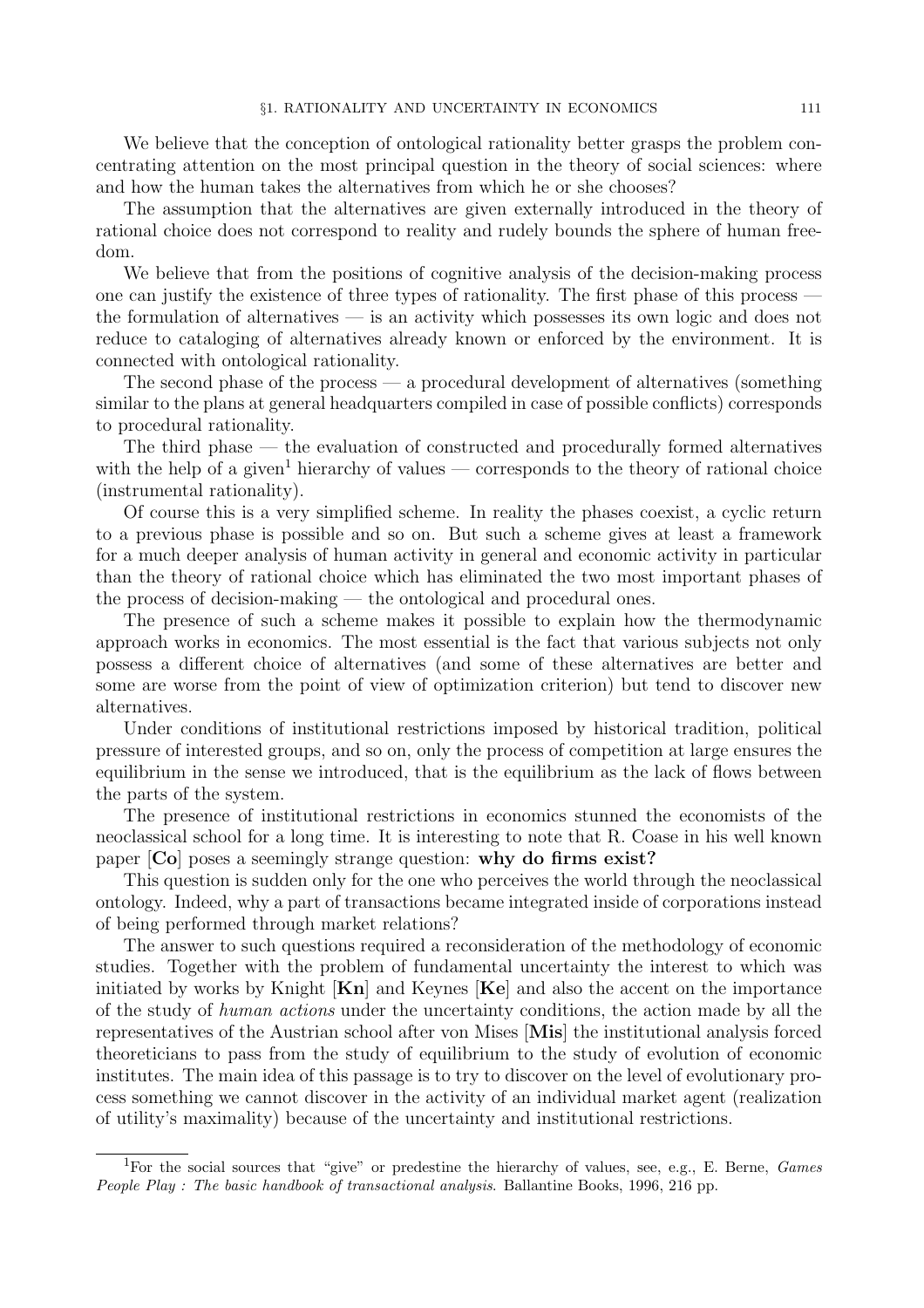We believe that the conception of ontological rationality better grasps the problem concentrating attention on the most principal question in the theory of social sciences: where and how the human takes the alternatives from which he or she chooses?

The assumption that the alternatives are given externally introduced in the theory of rational choice does not correspond to reality and rudely bounds the sphere of human freedom.

We believe that from the positions of cognitive analysis of the decision-making process one can justify the existence of three types of rationality. The first phase of this process the formulation of alternatives — is an activity which possesses its own logic and does not reduce to cataloging of alternatives already known or enforced by the environment. It is connected with ontological rationality.

The second phase of the process — a procedural development of alternatives (something similar to the plans at general headquarters compiled in case of possible conflicts) corresponds to procedural rationality.

The third phase — the evaluation of constructed and procedurally formed alternatives with the help of a given<sup>1</sup> hierarchy of values — corresponds to the theory of rational choice (instrumental rationality).

Of course this is a very simplified scheme. In reality the phases coexist, a cyclic return to a previous phase is possible and so on. But such a scheme gives at least a framework for a much deeper analysis of human activity in general and economic activity in particular than the theory of rational choice which has eliminated the two most important phases of the process of decision-making — the ontological and procedural ones.

The presence of such a scheme makes it possible to explain how the thermodynamic approach works in economics. The most essential is the fact that various subjects not only possess a different choice of alternatives (and some of these alternatives are better and some are worse from the point of view of optimization criterion) but tend to discover new alternatives.

Under conditions of institutional restrictions imposed by historical tradition, political pressure of interested groups, and so on, only the process of competition at large ensures the equilibrium in the sense we introduced, that is the equilibrium as the lack of flows between the parts of the system.

The presence of institutional restrictions in economics stunned the economists of the neoclassical school for a long time. It is interesting to note that R. Coase in his well known paper [Co] poses a seemingly strange question: why do firms exist?

This question is sudden only for the one who perceives the world through the neoclassical ontology. Indeed, why a part of transactions became integrated inside of corporations instead of being performed through market relations?

The answer to such questions required a reconsideration of the methodology of economic studies. Together with the problem of fundamental uncertainty the interest to which was initiated by works by Knight  $\mathbf{K}n$  and Keynes  $\mathbf{K}e$  and also the accent on the importance of the study of human actions under the uncertainty conditions, the action made by all the representatives of the Austrian school after von Mises [Mis] the institutional analysis forced theoreticians to pass from the study of equilibrium to the study of evolution of economic institutes. The main idea of this passage is to try to discover on the level of evolutionary process something we cannot discover in the activity of an individual market agent (realization of utility's maximality) because of the uncertainty and institutional restrictions.

<sup>&</sup>lt;sup>1</sup>For the social sources that "give" or predestine the hierarchy of values, see, e.g., E. Berne, *Games* People Play : The basic handbook of transactional analysis. Ballantine Books, 1996, 216 pp.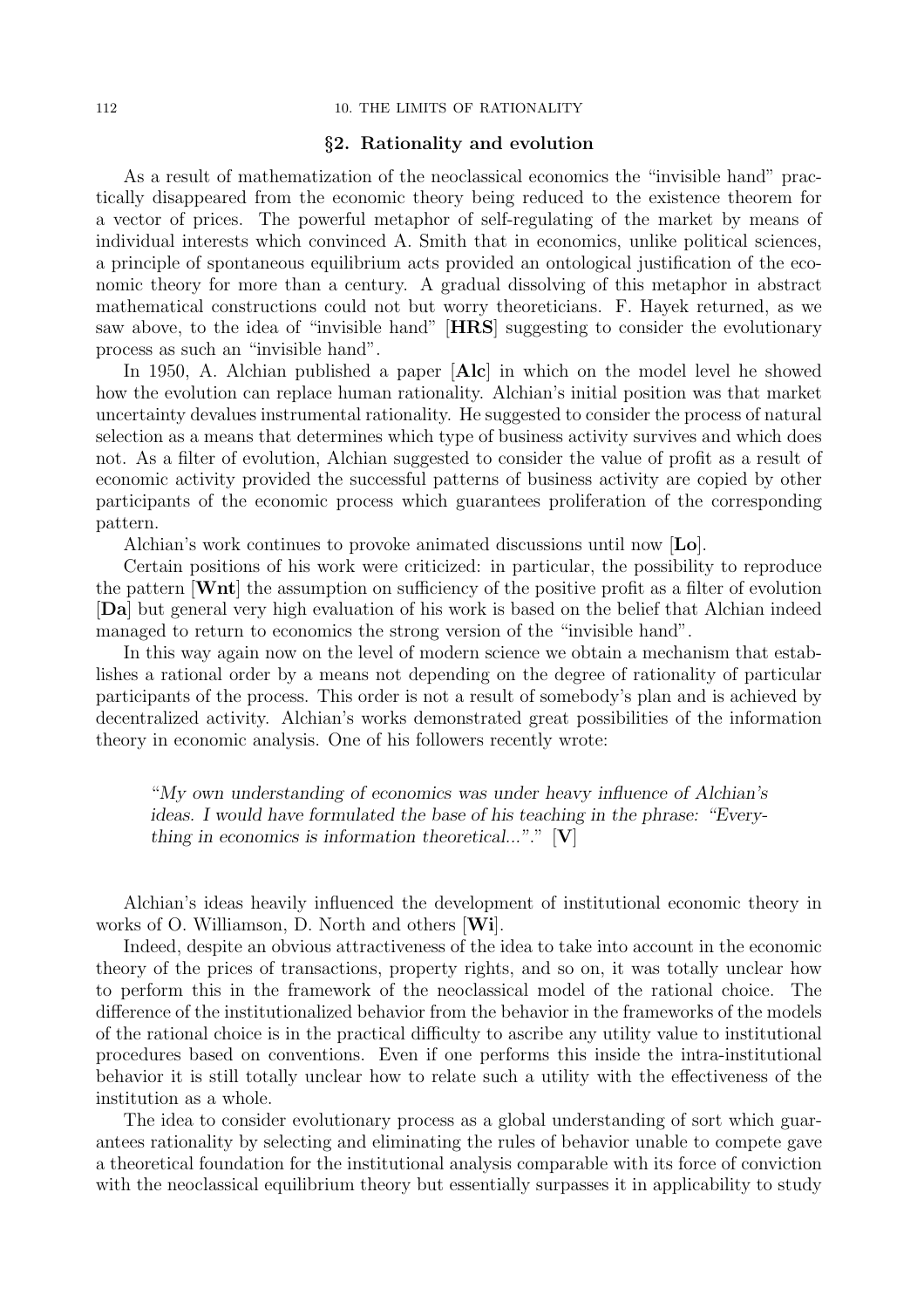#### 112 10. THE LIMITS OF RATIONALITY

#### §2. Rationality and evolution

As a result of mathematization of the neoclassical economics the "invisible hand" practically disappeared from the economic theory being reduced to the existence theorem for a vector of prices. The powerful metaphor of self-regulating of the market by means of individual interests which convinced A. Smith that in economics, unlike political sciences, a principle of spontaneous equilibrium acts provided an ontological justification of the economic theory for more than a century. A gradual dissolving of this metaphor in abstract mathematical constructions could not but worry theoreticians. F. Hayek returned, as we saw above, to the idea of "invisible hand" [HRS] suggesting to consider the evolutionary process as such an "invisible hand".

In 1950, A. Alchian published a paper [Alc] in which on the model level he showed how the evolution can replace human rationality. Alchian's initial position was that market uncertainty devalues instrumental rationality. He suggested to consider the process of natural selection as a means that determines which type of business activity survives and which does not. As a filter of evolution, Alchian suggested to consider the value of profit as a result of economic activity provided the successful patterns of business activity are copied by other participants of the economic process which guarantees proliferation of the corresponding pattern.

Alchian's work continues to provoke animated discussions until now  $\mathbf{L}\mathbf{o}$ .

Certain positions of his work were criticized: in particular, the possibility to reproduce the pattern [Wnt] the assumption on sufficiency of the positive profit as a filter of evolution [Da] but general very high evaluation of his work is based on the belief that Alchian indeed managed to return to economics the strong version of the "invisible hand".

In this way again now on the level of modern science we obtain a mechanism that establishes a rational order by a means not depending on the degree of rationality of particular participants of the process. This order is not a result of somebody's plan and is achieved by decentralized activity. Alchian's works demonstrated great possibilities of the information theory in economic analysis. One of his followers recently wrote:

"My own understanding of economics was under heavy influence of Alchian's ideas. I would have formulated the base of his teaching in the phrase: "Everything in economics is information theoretical..."."  $[V]$ 

Alchian's ideas heavily influenced the development of institutional economic theory in works of O. Williamson, D. North and others [Wi].

Indeed, despite an obvious attractiveness of the idea to take into account in the economic theory of the prices of transactions, property rights, and so on, it was totally unclear how to perform this in the framework of the neoclassical model of the rational choice. The difference of the institutionalized behavior from the behavior in the frameworks of the models of the rational choice is in the practical difficulty to ascribe any utility value to institutional procedures based on conventions. Even if one performs this inside the intra-institutional behavior it is still totally unclear how to relate such a utility with the effectiveness of the institution as a whole.

The idea to consider evolutionary process as a global understanding of sort which guarantees rationality by selecting and eliminating the rules of behavior unable to compete gave a theoretical foundation for the institutional analysis comparable with its force of conviction with the neoclassical equilibrium theory but essentially surpasses it in applicability to study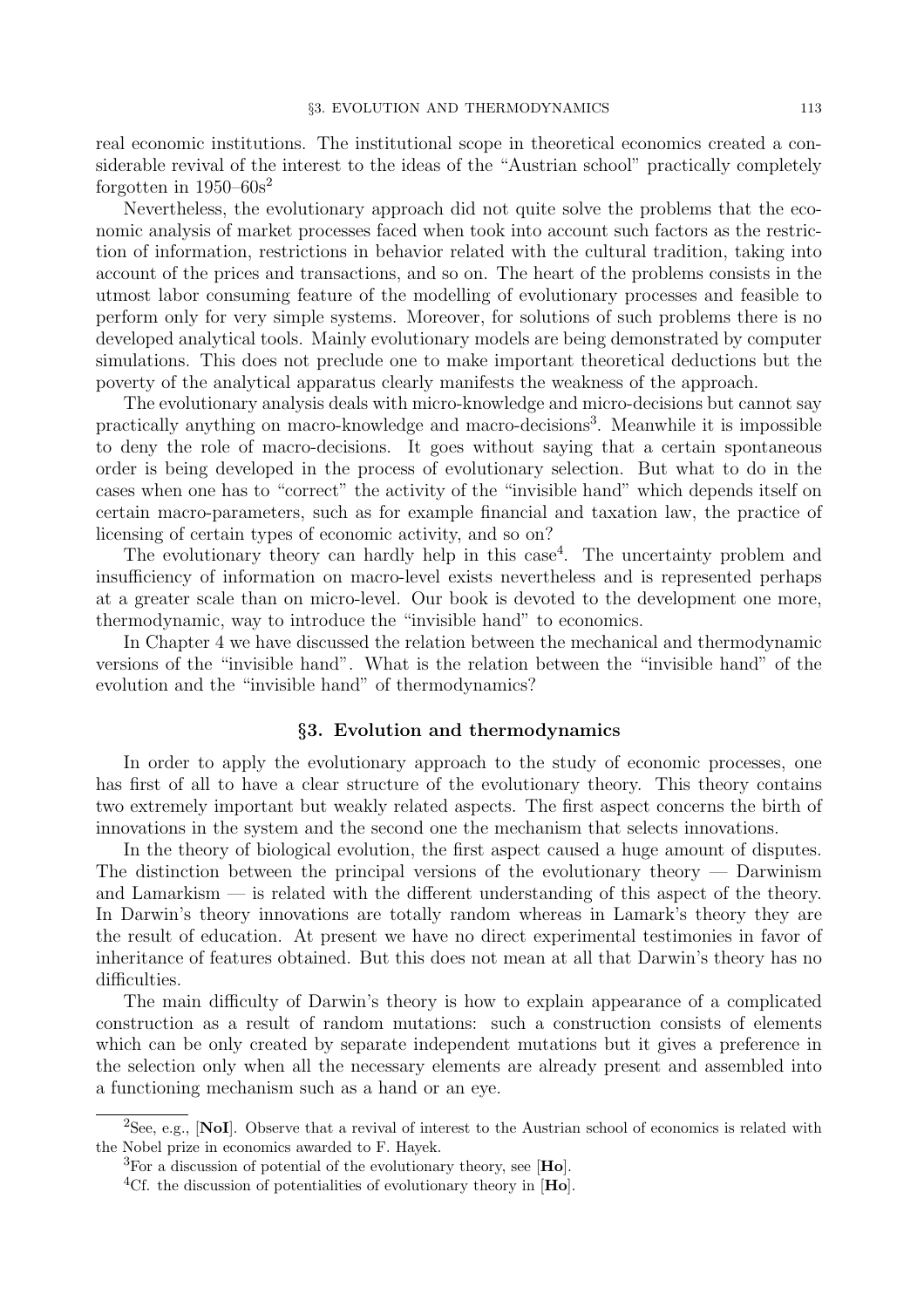real economic institutions. The institutional scope in theoretical economics created a considerable revival of the interest to the ideas of the "Austrian school" practically completely forgotten in  $1950-60s^2$ 

Nevertheless, the evolutionary approach did not quite solve the problems that the economic analysis of market processes faced when took into account such factors as the restriction of information, restrictions in behavior related with the cultural tradition, taking into account of the prices and transactions, and so on. The heart of the problems consists in the utmost labor consuming feature of the modelling of evolutionary processes and feasible to perform only for very simple systems. Moreover, for solutions of such problems there is no developed analytical tools. Mainly evolutionary models are being demonstrated by computer simulations. This does not preclude one to make important theoretical deductions but the poverty of the analytical apparatus clearly manifests the weakness of the approach.

The evolutionary analysis deals with micro-knowledge and micro-decisions but cannot say practically anything on macro-knowledge and macro-decisions<sup>3</sup>. Meanwhile it is impossible to deny the role of macro-decisions. It goes without saying that a certain spontaneous order is being developed in the process of evolutionary selection. But what to do in the cases when one has to "correct" the activity of the "invisible hand" which depends itself on certain macro-parameters, such as for example financial and taxation law, the practice of licensing of certain types of economic activity, and so on?

The evolutionary theory can hardly help in this case<sup>4</sup>. The uncertainty problem and insufficiency of information on macro-level exists nevertheless and is represented perhaps at a greater scale than on micro-level. Our book is devoted to the development one more, thermodynamic, way to introduce the "invisible hand" to economics.

In Chapter 4 we have discussed the relation between the mechanical and thermodynamic versions of the "invisible hand". What is the relation between the "invisible hand" of the evolution and the "invisible hand" of thermodynamics?

#### §3. Evolution and thermodynamics

In order to apply the evolutionary approach to the study of economic processes, one has first of all to have a clear structure of the evolutionary theory. This theory contains two extremely important but weakly related aspects. The first aspect concerns the birth of innovations in the system and the second one the mechanism that selects innovations.

In the theory of biological evolution, the first aspect caused a huge amount of disputes. The distinction between the principal versions of the evolutionary theory — Darwinism and Lamarkism  $\frac{1}{\sqrt{2}}$  is related with the different understanding of this aspect of the theory. In Darwin's theory innovations are totally random whereas in Lamark's theory they are the result of education. At present we have no direct experimental testimonies in favor of inheritance of features obtained. But this does not mean at all that Darwin's theory has no difficulties.

The main difficulty of Darwin's theory is how to explain appearance of a complicated construction as a result of random mutations: such a construction consists of elements which can be only created by separate independent mutations but it gives a preference in the selection only when all the necessary elements are already present and assembled into a functioning mechanism such as a hand or an eye.

<sup>&</sup>lt;sup>2</sup>See, e.g., [NoI]. Observe that a revival of interest to the Austrian school of economics is related with the Nobel prize in economics awarded to F. Hayek.

 ${}^{3}$ For a discussion of potential of the evolutionary theory, see [Ho].

<sup>&</sup>lt;sup>4</sup>Cf. the discussion of potentialities of evolutionary theory in  $[Ho]$ .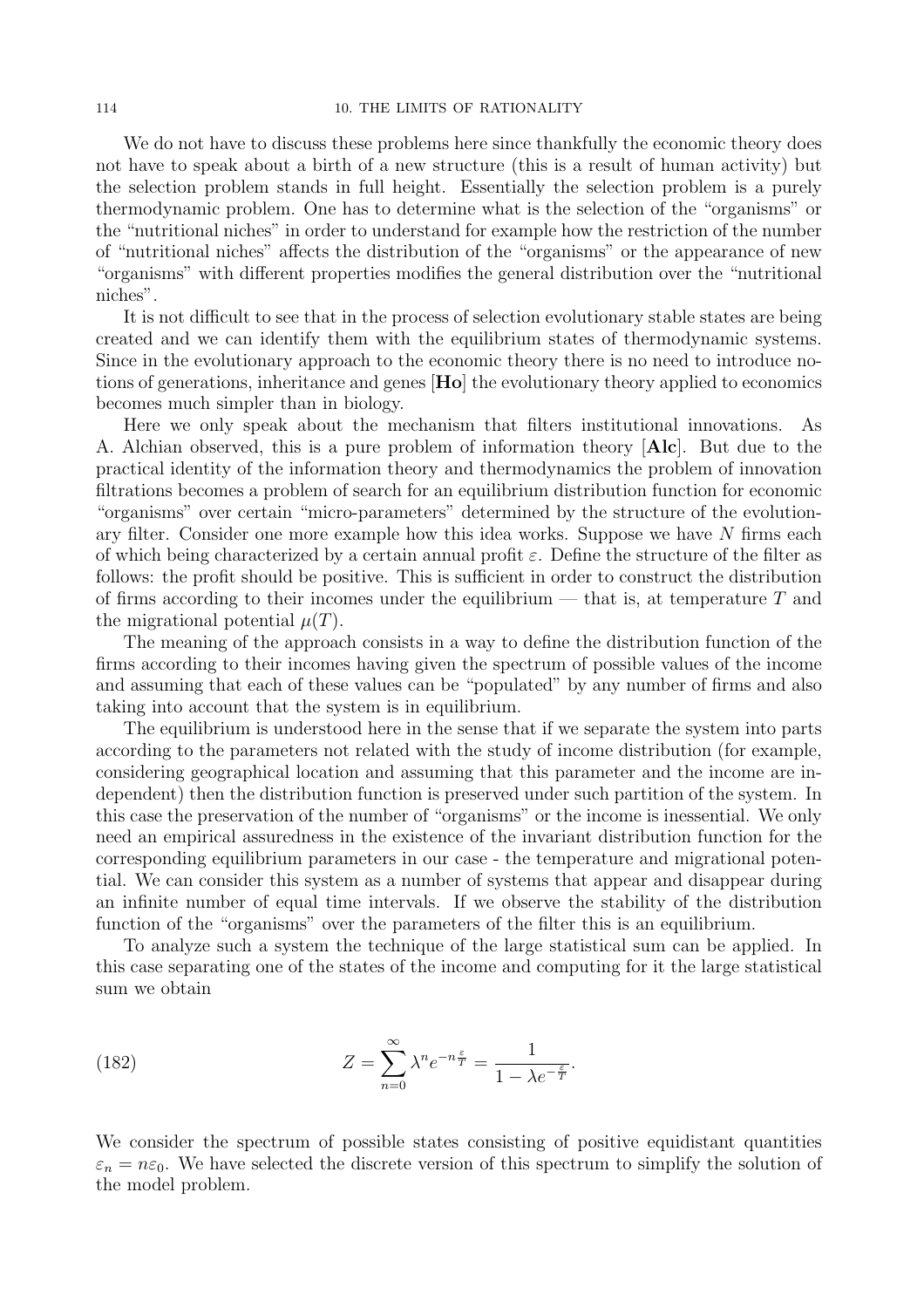We do not have to discuss these problems here since thankfully the economic theory does not have to speak about a birth of a new structure (this is a result of human activity) but the selection problem stands in full height. Essentially the selection problem is a purely thermodynamic problem. One has to determine what is the selection of the "organisms" or the "nutritional niches" in order to understand for example how the restriction of the number of "nutritional niches" affects the distribution of the "organisms" or the appearance of new "organisms" with different properties modifies the general distribution over the "nutritional niches".

It is not difficult to see that in the process of selection evolutionary stable states are being created and we can identify them with the equilibrium states of thermodynamic systems. Since in the evolutionary approach to the economic theory there is no need to introduce notions of generations, inheritance and genes [Ho] the evolutionary theory applied to economics becomes much simpler than in biology.

Here we only speak about the mechanism that filters institutional innovations. As A. Alchian observed, this is a pure problem of information theory [Alc]. But due to the practical identity of the information theory and thermodynamics the problem of innovation filtrations becomes a problem of search for an equilibrium distribution function for economic "organisms" over certain "micro-parameters" determined by the structure of the evolutionary filter. Consider one more example how this idea works. Suppose we have N firms each of which being characterized by a certain annual profit  $\varepsilon$ . Define the structure of the filter as follows: the profit should be positive. This is sufficient in order to construct the distribution of firms according to their incomes under the equilibrium — that is, at temperature  $T$  and the migrational potential  $\mu(T)$ .

The meaning of the approach consists in a way to define the distribution function of the firms according to their incomes having given the spectrum of possible values of the income and assuming that each of these values can be "populated" by any number of firms and also taking into account that the system is in equilibrium.

The equilibrium is understood here in the sense that if we separate the system into parts according to the parameters not related with the study of income distribution (for example, considering geographical location and assuming that this parameter and the income are independent) then the distribution function is preserved under such partition of the system. In this case the preservation of the number of "organisms" or the income is inessential. We only need an empirical assuredness in the existence of the invariant distribution function for the corresponding equilibrium parameters in our case - the temperature and migrational potential. We can consider this system as a number of systems that appear and disappear during an infinite number of equal time intervals. If we observe the stability of the distribution function of the "organisms" over the parameters of the filter this is an equilibrium.

To analyze such a system the technique of the large statistical sum can be applied. In this case separating one of the states of the income and computing for it the large statistical sum we obtain

.

(182) 
$$
Z = \sum_{n=0}^{\infty} \lambda^n e^{-n\frac{\varepsilon}{T}} = \frac{1}{1 - \lambda e^{-\frac{\varepsilon}{T}}}
$$

We consider the spectrum of possible states consisting of positive equidistant quantities  $\varepsilon_n = n\varepsilon_0$ . We have selected the discrete version of this spectrum to simplify the solution of the model problem.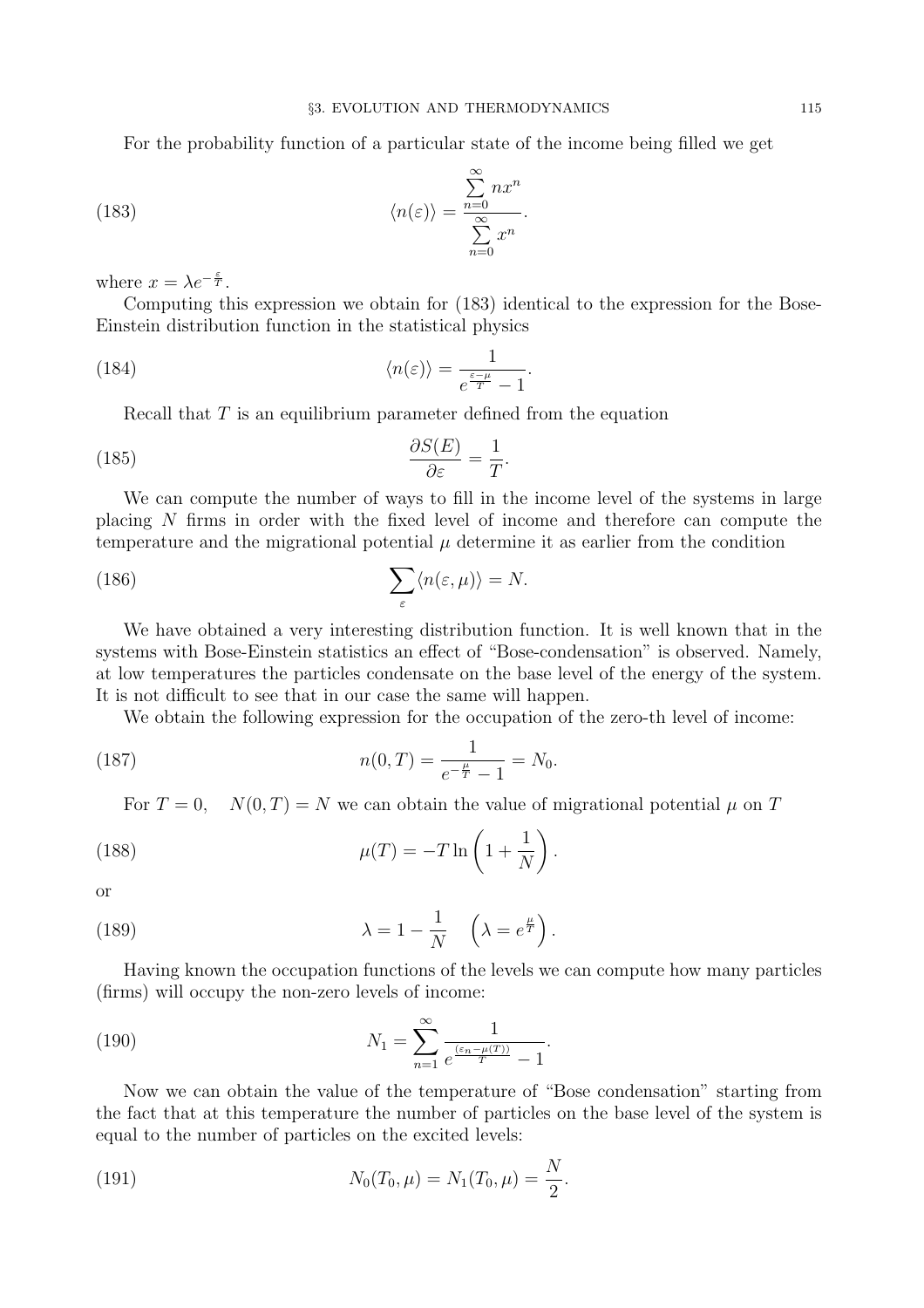For the probability function of a particular state of the income being filled we get

(183) 
$$
\langle n(\varepsilon) \rangle = \frac{\sum_{n=0}^{\infty} nx^n}{\sum_{n=0}^{\infty} x^n}.
$$

where  $x = \lambda e^{-\frac{\varepsilon}{T}}$ .

Computing this expression we obtain for (183) identical to the expression for the Bose-Einstein distribution function in the statistical physics

(184) 
$$
\langle n(\varepsilon) \rangle = \frac{1}{e^{\frac{\varepsilon - \mu}{T}} - 1}.
$$

Recall that  $T$  is an equilibrium parameter defined from the equation

(185) 
$$
\frac{\partial S(E)}{\partial \varepsilon} = \frac{1}{T}.
$$

We can compute the number of ways to fill in the income level of the systems in large placing N firms in order with the fixed level of income and therefore can compute the temperature and the migrational potential  $\mu$  determine it as earlier from the condition

(186) 
$$
\sum_{\varepsilon} \langle n(\varepsilon, \mu) \rangle = N.
$$

We have obtained a very interesting distribution function. It is well known that in the systems with Bose-Einstein statistics an effect of "Bose-condensation" is observed. Namely, at low temperatures the particles condensate on the base level of the energy of the system. It is not difficult to see that in our case the same will happen.

We obtain the following expression for the occupation of the zero-th level of income:

(187) 
$$
n(0,T) = \frac{1}{e^{-\frac{\mu}{T}} - 1} = N_0.
$$

For  $T = 0$ ,  $N(0,T) = N$  we can obtain the value of migrational potential  $\mu$  on T

(188) 
$$
\mu(T) = -T \ln \left( 1 + \frac{1}{N} \right).
$$

or

(189) 
$$
\lambda = 1 - \frac{1}{N} \quad \left(\lambda = e^{\frac{\mu}{T}}\right).
$$

Having known the occupation functions of the levels we can compute how many particles (firms) will occupy the non-zero levels of income:

(190) 
$$
N_1 = \sum_{n=1}^{\infty} \frac{1}{e^{\frac{(\varepsilon_n - \mu(T))}{T}} - 1}.
$$

Now we can obtain the value of the temperature of "Bose condensation" starting from the fact that at this temperature the number of particles on the base level of the system is equal to the number of particles on the excited levels:

(191) 
$$
N_0(T_0,\mu) = N_1(T_0,\mu) = \frac{N}{2}.
$$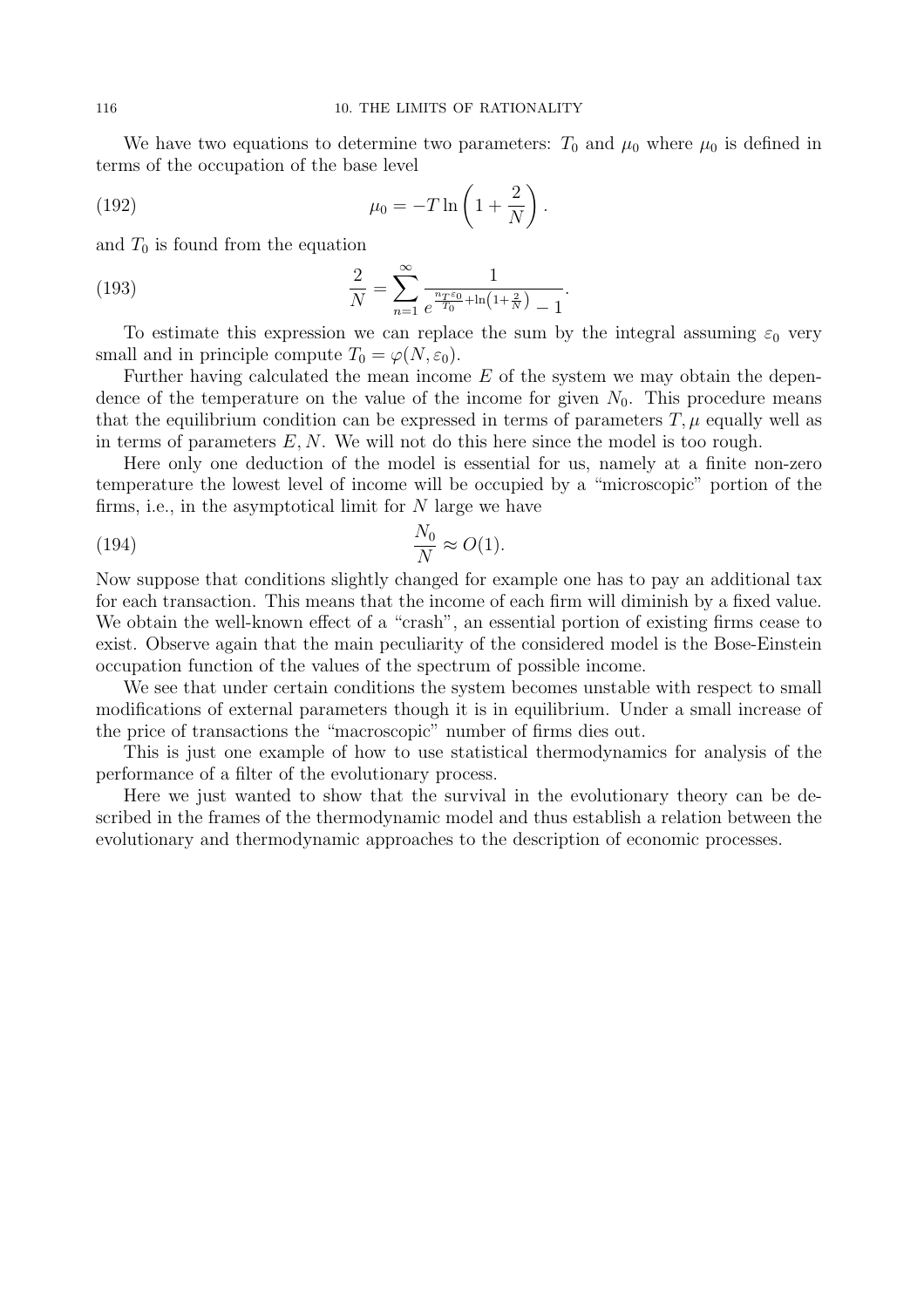We have two equations to determine two parameters:  $T_0$  and  $\mu_0$  where  $\mu_0$  is defined in terms of the occupation of the base level

(192) 
$$
\mu_0 = -T \ln \left( 1 + \frac{2}{N} \right).
$$

and  $T_0$  is found from the equation

(193) 
$$
\frac{2}{N} = \sum_{n=1}^{\infty} \frac{1}{e^{\frac{n_T \varepsilon_0}{T_0} + \ln\left(1 + \frac{2}{N}\right)} - 1}.
$$

To estimate this expression we can replace the sum by the integral assuming  $\varepsilon_0$  very small and in principle compute  $T_0 = \varphi(N, \varepsilon_0)$ .

Further having calculated the mean income  $E$  of the system we may obtain the dependence of the temperature on the value of the income for given  $N_0$ . This procedure means that the equilibrium condition can be expressed in terms of parameters  $T, \mu$  equally well as in terms of parameters  $E, N$ . We will not do this here since the model is too rough.

Here only one deduction of the model is essential for us, namely at a finite non-zero temperature the lowest level of income will be occupied by a "microscopic" portion of the firms, i.e., in the asymptotical limit for  $N$  large we have

$$
\frac{N_0}{N} \approx O(1).
$$

Now suppose that conditions slightly changed for example one has to pay an additional tax for each transaction. This means that the income of each firm will diminish by a fixed value. We obtain the well-known effect of a "crash", an essential portion of existing firms cease to exist. Observe again that the main peculiarity of the considered model is the Bose-Einstein occupation function of the values of the spectrum of possible income.

We see that under certain conditions the system becomes unstable with respect to small modifications of external parameters though it is in equilibrium. Under a small increase of the price of transactions the "macroscopic" number of firms dies out.

This is just one example of how to use statistical thermodynamics for analysis of the performance of a filter of the evolutionary process.

Here we just wanted to show that the survival in the evolutionary theory can be described in the frames of the thermodynamic model and thus establish a relation between the evolutionary and thermodynamic approaches to the description of economic processes.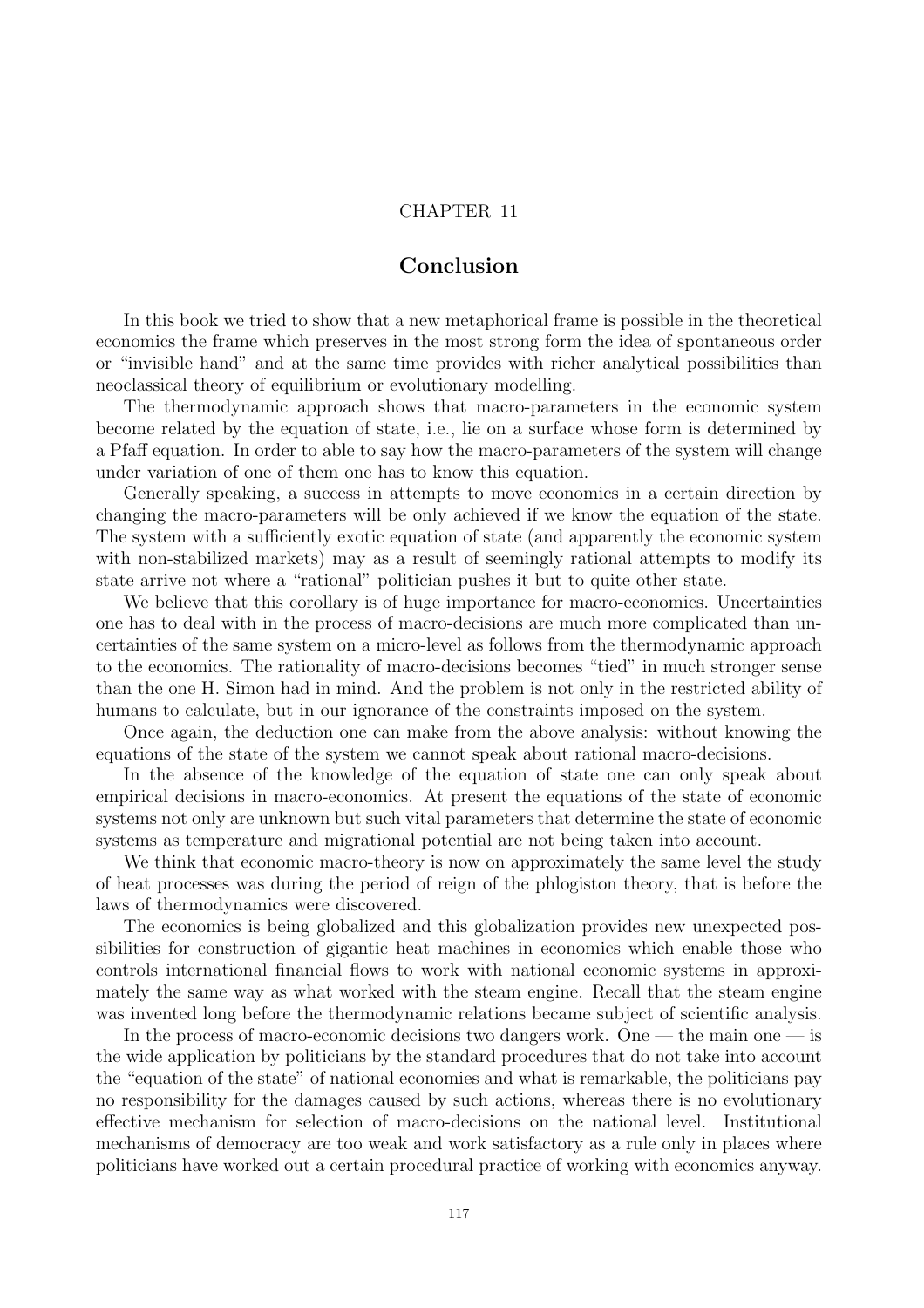## CHAPTER 11

## Conclusion

In this book we tried to show that a new metaphorical frame is possible in the theoretical economics the frame which preserves in the most strong form the idea of spontaneous order or "invisible hand" and at the same time provides with richer analytical possibilities than neoclassical theory of equilibrium or evolutionary modelling.

The thermodynamic approach shows that macro-parameters in the economic system become related by the equation of state, i.e., lie on a surface whose form is determined by a Pfaff equation. In order to able to say how the macro-parameters of the system will change under variation of one of them one has to know this equation.

Generally speaking, a success in attempts to move economics in a certain direction by changing the macro-parameters will be only achieved if we know the equation of the state. The system with a sufficiently exotic equation of state (and apparently the economic system with non-stabilized markets) may as a result of seemingly rational attempts to modify its state arrive not where a "rational" politician pushes it but to quite other state.

We believe that this corollary is of huge importance for macro-economics. Uncertainties one has to deal with in the process of macro-decisions are much more complicated than uncertainties of the same system on a micro-level as follows from the thermodynamic approach to the economics. The rationality of macro-decisions becomes "tied" in much stronger sense than the one H. Simon had in mind. And the problem is not only in the restricted ability of humans to calculate, but in our ignorance of the constraints imposed on the system.

Once again, the deduction one can make from the above analysis: without knowing the equations of the state of the system we cannot speak about rational macro-decisions.

In the absence of the knowledge of the equation of state one can only speak about empirical decisions in macro-economics. At present the equations of the state of economic systems not only are unknown but such vital parameters that determine the state of economic systems as temperature and migrational potential are not being taken into account.

We think that economic macro-theory is now on approximately the same level the study of heat processes was during the period of reign of the phlogiston theory, that is before the laws of thermodynamics were discovered.

The economics is being globalized and this globalization provides new unexpected possibilities for construction of gigantic heat machines in economics which enable those who controls international financial flows to work with national economic systems in approximately the same way as what worked with the steam engine. Recall that the steam engine was invented long before the thermodynamic relations became subject of scientific analysis.

In the process of macro-economic decisions two dangers work. One — the main one — is the wide application by politicians by the standard procedures that do not take into account the "equation of the state" of national economies and what is remarkable, the politicians pay no responsibility for the damages caused by such actions, whereas there is no evolutionary effective mechanism for selection of macro-decisions on the national level. Institutional mechanisms of democracy are too weak and work satisfactory as a rule only in places where politicians have worked out a certain procedural practice of working with economics anyway.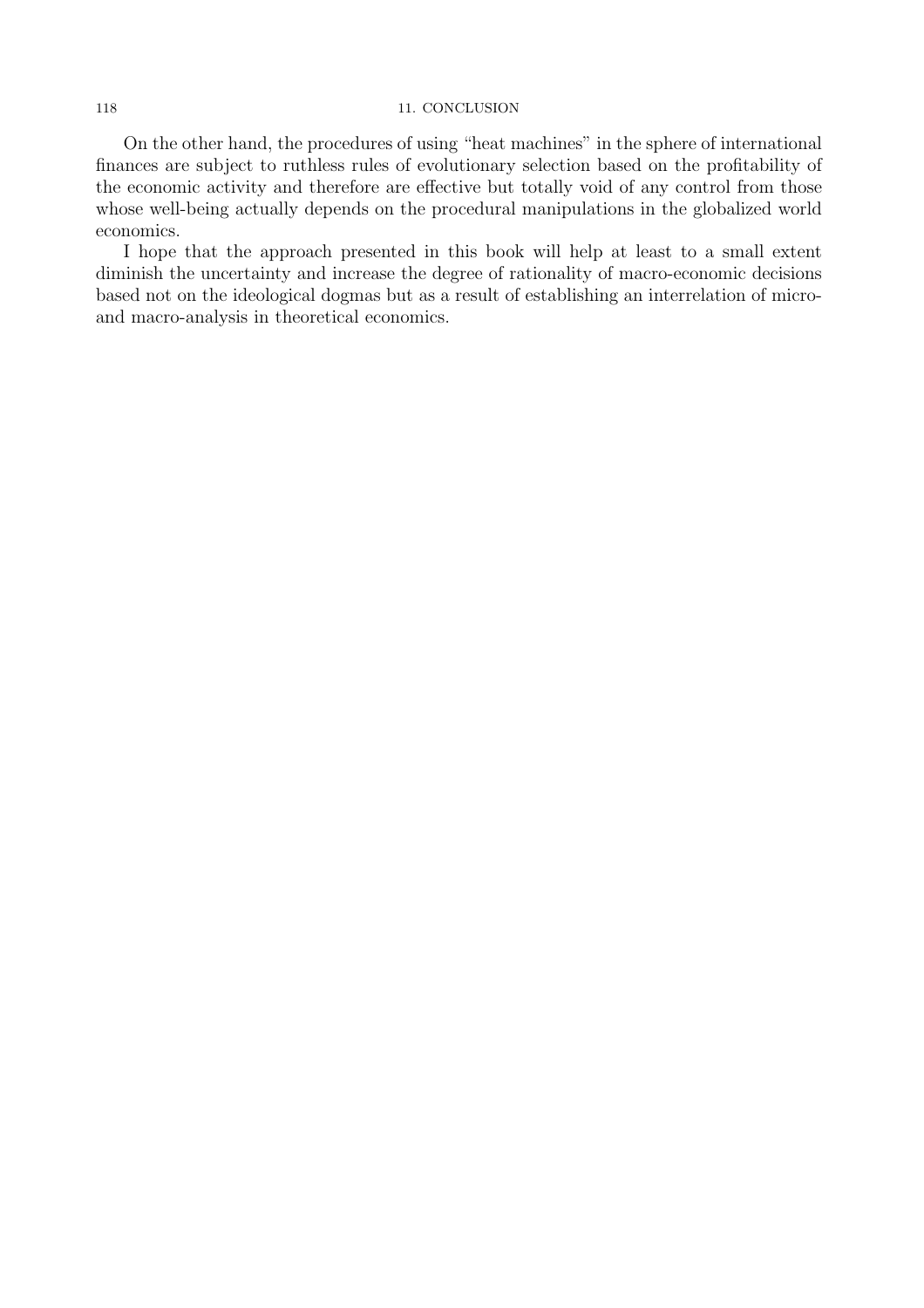#### 118 11. CONCLUSION

On the other hand, the procedures of using "heat machines" in the sphere of international finances are subject to ruthless rules of evolutionary selection based on the profitability of the economic activity and therefore are effective but totally void of any control from those whose well-being actually depends on the procedural manipulations in the globalized world economics.

I hope that the approach presented in this book will help at least to a small extent diminish the uncertainty and increase the degree of rationality of macro-economic decisions based not on the ideological dogmas but as a result of establishing an interrelation of microand macro-analysis in theoretical economics.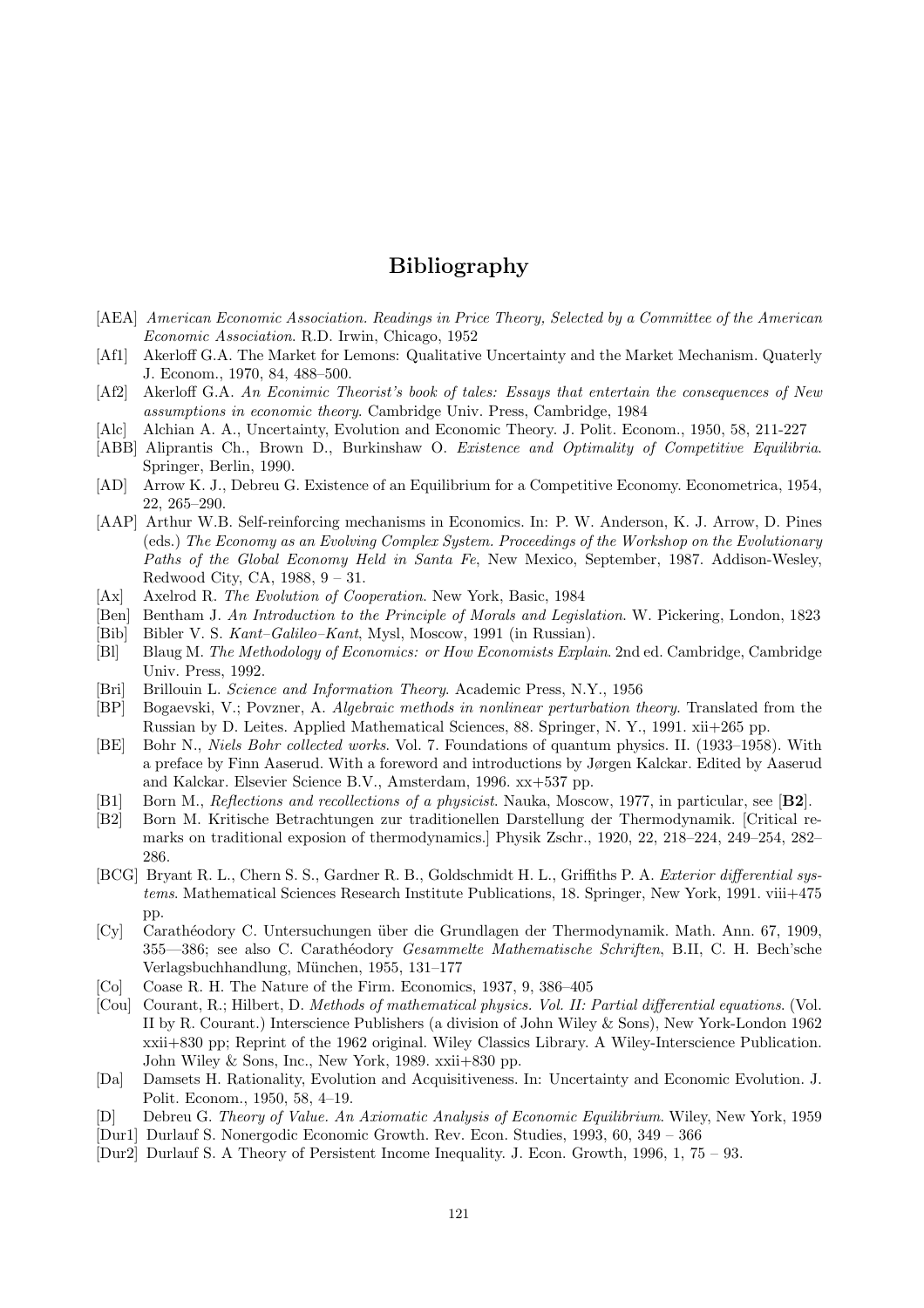# Bibliography

- [AEA] American Economic Association. Readings in Price Theory, Selected by a Committee of the American Economic Association. R.D. Irwin, Chicago, 1952
- [Af1] Akerloff G.A. The Market for Lemons: Qualitative Uncertainty and the Market Mechanism. Quaterly J. Econom., 1970, 84, 488–500.
- [Af2] Akerloff G.A. An Econimic Theorist's book of tales: Essays that entertain the consequences of New assumptions in economic theory. Cambridge Univ. Press, Cambridge, 1984
- [Alc] Alchian A. A., Uncertainty, Evolution and Economic Theory. J. Polit. Econom., 1950, 58, 211-227
- [ABB] Aliprantis Ch., Brown D., Burkinshaw O. Existence and Optimality of Competitive Equilibria. Springer, Berlin, 1990.
- [AD] Arrow K. J., Debreu G. Existence of an Equilibrium for a Competitive Economy. Econometrica, 1954, 22, 265–290.
- [AAP] Arthur W.B. Self-reinforcing mechanisms in Economics. In: P. W. Anderson, K. J. Arrow, D. Pines (eds.) The Economy as an Evolving Complex System. Proceedings of the Workshop on the Evolutionary Paths of the Global Economy Held in Santa Fe, New Mexico, September, 1987. Addison-Wesley, Redwood City, CA, 1988, 9 – 31.
- [Ax] Axelrod R. The Evolution of Cooperation. New York, Basic, 1984
- [Ben] Bentham J. An Introduction to the Principle of Morals and Legislation. W. Pickering, London, 1823
- [Bib] Bibler V. S. Kant–Galileo–Kant, Mysl, Moscow, 1991 (in Russian).
- [Bl] Blaug M. The Methodology of Economics: or How Economists Explain. 2nd ed. Cambridge, Cambridge Univ. Press, 1992.
- [Bri] Brillouin L. Science and Information Theory. Academic Press, N.Y., 1956
- [BP] Bogaevski, V.; Povzner, A. Algebraic methods in nonlinear perturbation theory. Translated from the Russian by D. Leites. Applied Mathematical Sciences, 88. Springer, N. Y., 1991. xii+265 pp.
- [BE] Bohr N., Niels Bohr collected works. Vol. 7. Foundations of quantum physics. II. (1933–1958). With a preface by Finn Aaserud. With a foreword and introductions by Jørgen Kalckar. Edited by Aaserud and Kalckar. Elsevier Science B.V., Amsterdam, 1996. xx+537 pp.
- [B1] Born M., Reflections and recollections of a physicist. Nauka, Moscow, 1977, in particular, see [B2].
- [B2] Born M. Kritische Betrachtungen zur traditionellen Darstellung der Thermodynamik. [Critical remarks on traditional exposion of thermodynamics.] Physik Zschr., 1920, 22, 218–224, 249–254, 282– 286.
- [BCG] Bryant R. L., Chern S. S., Gardner R. B., Goldschmidt H. L., Griffiths P. A. Exterior differential systems. Mathematical Sciences Research Institute Publications, 18. Springer, New York, 1991. viii+475 pp.
- [Cy] Carath´eodory C. Untersuchungen ¨uber die Grundlagen der Thermodynamik. Math. Ann. 67, 1909, 355—386; see also C. Carathéodory *Gesammelte Mathematische Schriften*, B.II, C. H. Bech'sche Verlagsbuchhandlung, M¨unchen, 1955, 131–177
- [Co] Coase R. H. The Nature of the Firm. Economics, 1937, 9, 386–405
- [Cou] Courant, R.; Hilbert, D. Methods of mathematical physics. Vol. II: Partial differential equations. (Vol. II by R. Courant.) Interscience Publishers (a division of John Wiley & Sons), New York-London 1962 xxii+830 pp; Reprint of the 1962 original. Wiley Classics Library. A Wiley-Interscience Publication. John Wiley & Sons, Inc., New York, 1989. xxii+830 pp.
- [Da] Damsets H. Rationality, Evolution and Acquisitiveness. In: Uncertainty and Economic Evolution. J. Polit. Econom., 1950, 58, 4–19.
- [D] Debreu G. Theory of Value. An Axiomatic Analysis of Economic Equilibrium. Wiley, New York, 1959
- [Dur1] Durlauf S. Nonergodic Economic Growth. Rev. Econ. Studies, 1993, 60, 349 366
- [Dur2] Durlauf S. A Theory of Persistent Income Inequality. J. Econ. Growth, 1996, 1, 75 93.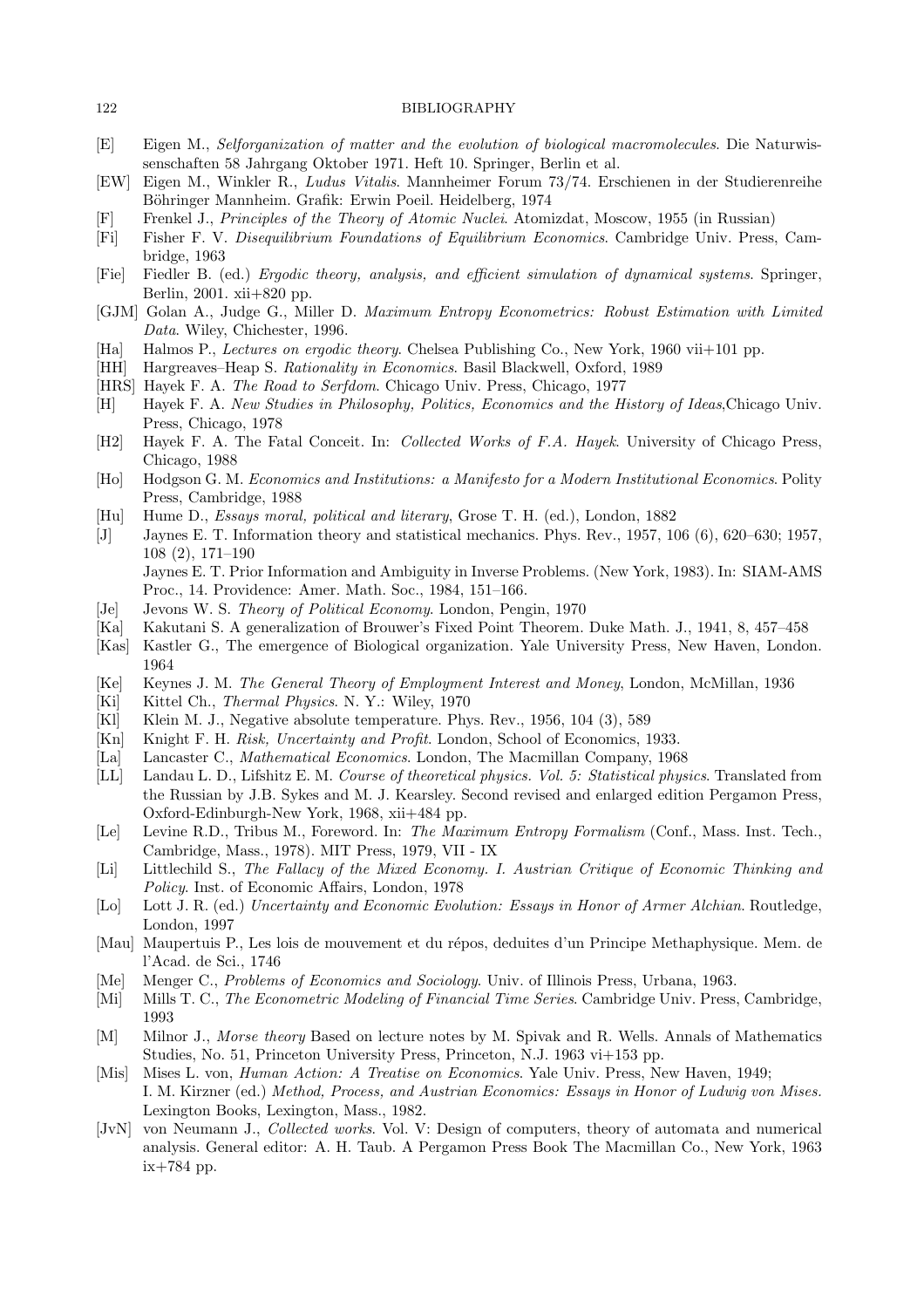- [E] Eigen M., Selforganization of matter and the evolution of biological macromolecules. Die Naturwissenschaften 58 Jahrgang Oktober 1971. Heft 10. Springer, Berlin et al.
- [EW] Eigen M., Winkler R., Ludus Vitalis. Mannheimer Forum 73/74. Erschienen in der Studierenreihe Böhringer Mannheim. Grafik: Erwin Poeil. Heidelberg, 1974
- [F] Frenkel J., Principles of the Theory of Atomic Nuclei. Atomizdat, Moscow, 1955 (in Russian)
- [Fi] Fisher F. V. Disequilibrium Foundations of Equilibrium Economics. Cambridge Univ. Press, Cambridge, 1963
- [Fie] Fiedler B. (ed.) Ergodic theory, analysis, and efficient simulation of dynamical systems. Springer, Berlin, 2001. xii+820 pp.
- [GJM] Golan A., Judge G., Miller D. Maximum Entropy Econometrics: Robust Estimation with Limited Data. Wiley, Chichester, 1996.
- [Ha] Halmos P., Lectures on ergodic theory. Chelsea Publishing Co., New York, 1960 vii+101 pp.
- [HH] Hargreaves–Heap S. Rationality in Economics. Basil Blackwell, Oxford, 1989
- [HRS] Hayek F. A. The Road to Serfdom. Chicago Univ. Press, Chicago, 1977
- [H] Hayek F. A. New Studies in Philosophy, Politics, Economics and the History of Ideas,Chicago Univ. Press, Chicago, 1978
- [H2] Hayek F. A. The Fatal Conceit. In: Collected Works of F.A. Hayek. University of Chicago Press, Chicago, 1988
- [Ho] Hodgson G. M. Economics and Institutions: a Manifesto for a Modern Institutional Economics. Polity Press, Cambridge, 1988
- [Hu] Hume D., Essays moral, political and literary, Grose T. H. (ed.), London, 1882
- [J] Jaynes E. T. Information theory and statistical mechanics. Phys. Rev., 1957, 106 (6), 620–630; 1957, 108 (2), 171–190 Jaynes E. T. Prior Information and Ambiguity in Inverse Problems. (New York, 1983). In: SIAM-AMS Proc., 14. Providence: Amer. Math. Soc., 1984, 151–166.
- [Je] Jevons W. S. Theory of Political Economy. London, Pengin, 1970
- [Ka] Kakutani S. A generalization of Brouwer's Fixed Point Theorem. Duke Math. J., 1941, 8, 457–458
- [Kas] Kastler G., The emergence of Biological organization. Yale University Press, New Haven, London. 1964
- [Ke] Keynes J. M. The General Theory of Employment Interest and Money, London, McMillan, 1936
- [Ki] Kittel Ch., *Thermal Physics*. N. Y.: Wiley, 1970
- [Kl] Klein M. J., Negative absolute temperature. Phys. Rev., 1956, 104 (3), 589
- [Kn] Knight F. H. Risk, Uncertainty and Profit. London, School of Economics, 1933.
- [La] Lancaster C., Mathematical Economics. London, The Macmillan Company, 1968
- [LL] Landau L. D., Lifshitz E. M. Course of theoretical physics. Vol. 5: Statistical physics. Translated from the Russian by J.B. Sykes and M. J. Kearsley. Second revised and enlarged edition Pergamon Press, Oxford-Edinburgh-New York, 1968, xii+484 pp.
- [Le] Levine R.D., Tribus M., Foreword. In: The Maximum Entropy Formalism (Conf., Mass. Inst. Tech., Cambridge, Mass., 1978). MIT Press, 1979, VII - IX
- [Li] Littlechild S., The Fallacy of the Mixed Economy. I. Austrian Critique of Economic Thinking and Policy. Inst. of Economic Affairs, London, 1978
- [Lo] Lott J. R. (ed.) Uncertainty and Economic Evolution: Essays in Honor of Armer Alchian. Routledge, London, 1997
- [Mau] Maupertuis P., Les lois de mouvement et du r´epos, deduites d'un Principe Methaphysique. Mem. de l'Acad. de Sci., 1746
- [Me] Menger C., Problems of Economics and Sociology. Univ. of Illinois Press, Urbana, 1963.
- [Mi] Mills T. C., The Econometric Modeling of Financial Time Series. Cambridge Univ. Press, Cambridge, 1993
- [M] Milnor J., Morse theory Based on lecture notes by M. Spivak and R. Wells. Annals of Mathematics Studies, No. 51, Princeton University Press, Princeton, N.J. 1963 vi+153 pp.
- [Mis] Mises L. von, Human Action: A Treatise on Economics. Yale Univ. Press, New Haven, 1949; I. M. Kirzner (ed.) Method, Process, and Austrian Economics: Essays in Honor of Ludwig von Mises. Lexington Books, Lexington, Mass., 1982.
- [JvN] von Neumann J., Collected works. Vol. V: Design of computers, theory of automata and numerical analysis. General editor: A. H. Taub. A Pergamon Press Book The Macmillan Co., New York, 1963 ix+784 pp.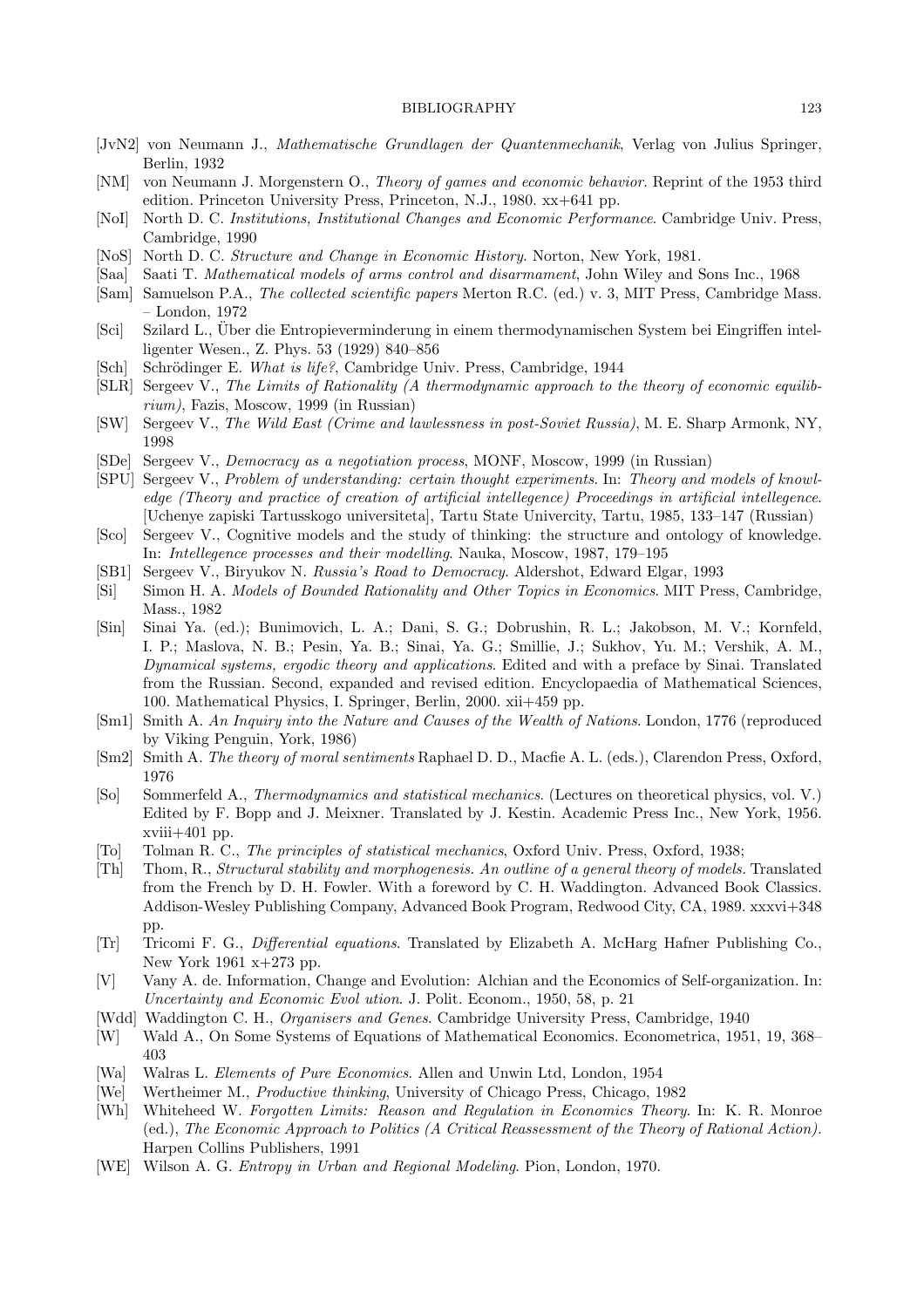- [JvN2] von Neumann J., Mathematische Grundlagen der Quantenmechanik, Verlag von Julius Springer, Berlin, 1932
- [NM] von Neumann J. Morgenstern O., Theory of games and economic behavior. Reprint of the 1953 third edition. Princeton University Press, Princeton, N.J., 1980. xx+641 pp.
- [NoI] North D. C. Institutions, Institutional Changes and Economic Performance. Cambridge Univ. Press, Cambridge, 1990
- [NoS] North D. C. Structure and Change in Economic History. Norton, New York, 1981.
- [Saa] Saati T. Mathematical models of arms control and disarmament, John Wiley and Sons Inc., 1968
- [Sam] Samuelson P.A., The collected scientific papers Merton R.C. (ed.) v. 3, MIT Press, Cambridge Mass. – London, 1972
- [Sci] Szilard L., Uber die Entropieverminderung in einem thermodynamischen System bei Eingriffen intel- ¨ ligenter Wesen., Z. Phys. 53 (1929) 840–856
- [Sch] Schrödinger E. What is life?, Cambridge Univ. Press, Cambridge, 1944
- [SLR] Sergeev V., The Limits of Rationality (A thermodynamic approach to the theory of economic equilibrium), Fazis, Moscow, 1999 (in Russian)
- [SW] Sergeev V., The Wild East (Crime and lawlessness in post-Soviet Russia), M. E. Sharp Armonk, NY, 1998
- [SDe] Sergeev V., Democracy as a negotiation process, MONF, Moscow, 1999 (in Russian)
- [SPU] Sergeev V., Problem of understanding: certain thought experiments. In: Theory and models of knowledge (Theory and practice of creation of artificial intellegence) Proceedings in artificial intellegence. [Uchenye zapiski Tartusskogo universiteta], Tartu State Univercity, Tartu, 1985, 133–147 (Russian)
- [Sco] Sergeev V., Cognitive models and the study of thinking: the structure and ontology of knowledge. In: Intellegence processes and their modelling. Nauka, Moscow, 1987, 179–195
- [SB1] Sergeev V., Biryukov N. Russia's Road to Democracy. Aldershot, Edward Elgar, 1993
- [Si] Simon H. A. Models of Bounded Rationality and Other Topics in Economics. MIT Press, Cambridge, Mass., 1982
- [Sin] Sinai Ya. (ed.); Bunimovich, L. A.; Dani, S. G.; Dobrushin, R. L.; Jakobson, M. V.; Kornfeld, I. P.; Maslova, N. B.; Pesin, Ya. B.; Sinai, Ya. G.; Smillie, J.; Sukhov, Yu. M.; Vershik, A. M., Dynamical systems, ergodic theory and applications. Edited and with a preface by Sinai. Translated from the Russian. Second, expanded and revised edition. Encyclopaedia of Mathematical Sciences, 100. Mathematical Physics, I. Springer, Berlin, 2000. xii+459 pp.
- [Sm1] Smith A. An Inquiry into the Nature and Causes of the Wealth of Nations. London, 1776 (reproduced by Viking Penguin, York, 1986)
- [Sm2] Smith A. The theory of moral sentiments Raphael D. D., Macfie A. L. (eds.), Clarendon Press, Oxford, 1976
- [So] Sommerfeld A., Thermodynamics and statistical mechanics. (Lectures on theoretical physics, vol. V.) Edited by F. Bopp and J. Meixner. Translated by J. Kestin. Academic Press Inc., New York, 1956.  $xviii+401$  pp.
- [To] Tolman R. C., The principles of statistical mechanics, Oxford Univ. Press, Oxford, 1938;
- [Th] Thom, R., Structural stability and morphogenesis. An outline of a general theory of models. Translated from the French by D. H. Fowler. With a foreword by C. H. Waddington. Advanced Book Classics. Addison-Wesley Publishing Company, Advanced Book Program, Redwood City, CA, 1989. xxxvi+348 pp.
- [Tr] Tricomi F. G., Differential equations. Translated by Elizabeth A. McHarg Hafner Publishing Co., New York 1961 x+273 pp.
- [V] Vany A. de. Information, Change and Evolution: Alchian and the Economics of Self-organization. In: Uncertainty and Economic Evol ution. J. Polit. Econom., 1950, 58, p. 21
- [Wdd] Waddington C. H., Organisers and Genes. Cambridge University Press, Cambridge, 1940
- [W] Wald A., On Some Systems of Equations of Mathematical Economics. Econometrica, 1951, 19, 368– 403
- [Wa] Walras L. Elements of Pure Economics. Allen and Unwin Ltd, London, 1954
- [We] Wertheimer M., Productive thinking, University of Chicago Press, Chicago, 1982
- [Wh] Whiteheed W. Forgotten Limits: Reason and Regulation in Economics Theory. In: K. R. Monroe (ed.), The Economic Approach to Politics (A Critical Reassessment of the Theory of Rational Action). Harpen Collins Publishers, 1991
- [WE] Wilson A. G. Entropy in Urban and Regional Modeling. Pion, London, 1970.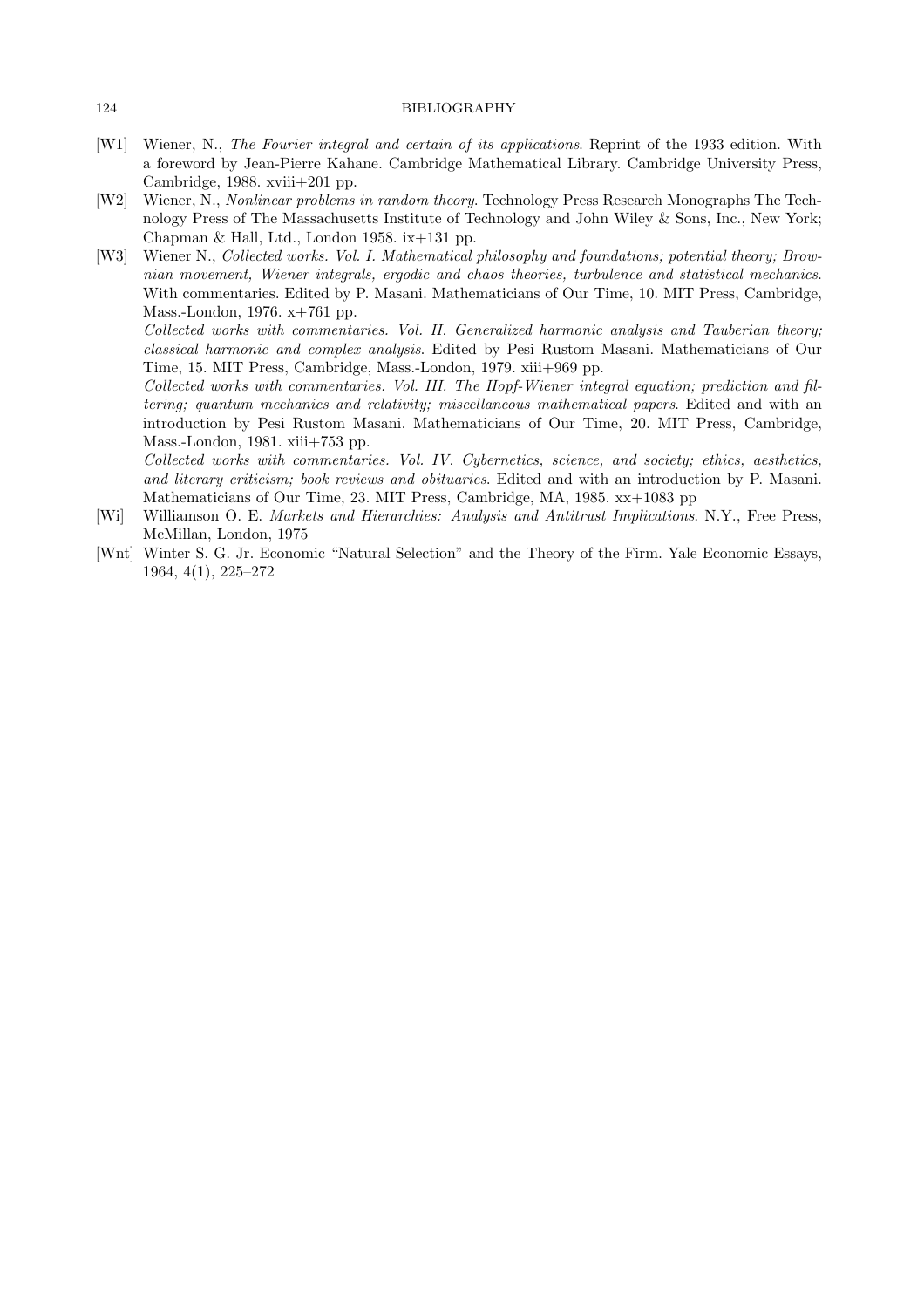- [W1] Wiener, N., The Fourier integral and certain of its applications. Reprint of the 1933 edition. With a foreword by Jean-Pierre Kahane. Cambridge Mathematical Library. Cambridge University Press, Cambridge, 1988. xviii+201 pp.
- [W2] Wiener, N., Nonlinear problems in random theory. Technology Press Research Monographs The Technology Press of The Massachusetts Institute of Technology and John Wiley & Sons, Inc., New York; Chapman & Hall, Ltd., London 1958. ix+131 pp.
- [W3] Wiener N., Collected works. Vol. I. Mathematical philosophy and foundations; potential theory; Brownian movement, Wiener integrals, ergodic and chaos theories, turbulence and statistical mechanics. With commentaries. Edited by P. Masani. Mathematicians of Our Time, 10. MIT Press, Cambridge, Mass.-London, 1976. x+761 pp. Collected works with commentaries. Vol. II. Generalized harmonic analysis and Tauberian theory;

classical harmonic and complex analysis. Edited by Pesi Rustom Masani. Mathematicians of Our Time, 15. MIT Press, Cambridge, Mass.-London, 1979. xiii+969 pp.

Collected works with commentaries. Vol. III. The Hopf-Wiener integral equation; prediction and filtering; quantum mechanics and relativity; miscellaneous mathematical papers. Edited and with an introduction by Pesi Rustom Masani. Mathematicians of Our Time, 20. MIT Press, Cambridge, Mass.-London, 1981. xiii+753 pp.

Collected works with commentaries. Vol. IV. Cybernetics, science, and society; ethics, aesthetics, and literary criticism; book reviews and obituaries. Edited and with an introduction by P. Masani. Mathematicians of Our Time, 23. MIT Press, Cambridge, MA, 1985. xx+1083 pp

- [Wi] Williamson O. E. Markets and Hierarchies: Analysis and Antitrust Implications. N.Y., Free Press, McMillan, London, 1975
- [Wnt] Winter S. G. Jr. Economic "Natural Selection" and the Theory of the Firm. Yale Economic Essays, 1964, 4(1), 225–272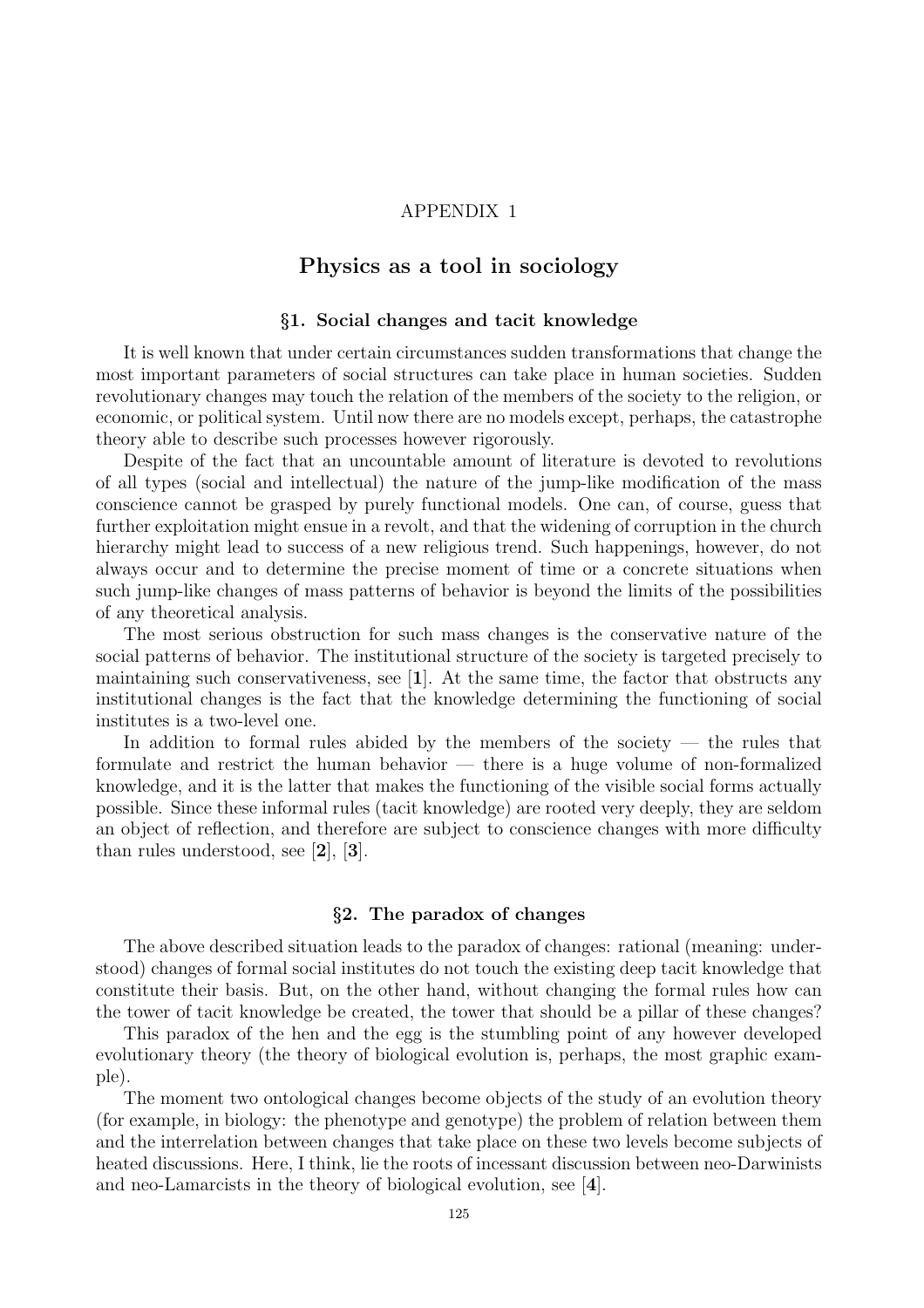### APPENDIX 1

## Physics as a tool in sociology

### §1. Social changes and tacit knowledge

It is well known that under certain circumstances sudden transformations that change the most important parameters of social structures can take place in human societies. Sudden revolutionary changes may touch the relation of the members of the society to the religion, or economic, or political system. Until now there are no models except, perhaps, the catastrophe theory able to describe such processes however rigorously.

Despite of the fact that an uncountable amount of literature is devoted to revolutions of all types (social and intellectual) the nature of the jump-like modification of the mass conscience cannot be grasped by purely functional models. One can, of course, guess that further exploitation might ensue in a revolt, and that the widening of corruption in the church hierarchy might lead to success of a new religious trend. Such happenings, however, do not always occur and to determine the precise moment of time or a concrete situations when such jump-like changes of mass patterns of behavior is beyond the limits of the possibilities of any theoretical analysis.

The most serious obstruction for such mass changes is the conservative nature of the social patterns of behavior. The institutional structure of the society is targeted precisely to maintaining such conservativeness, see [1]. At the same time, the factor that obstructs any institutional changes is the fact that the knowledge determining the functioning of social institutes is a two-level one.

In addition to formal rules abided by the members of the society  $-$  the rules that formulate and restrict the human behavior — there is a huge volume of non-formalized knowledge, and it is the latter that makes the functioning of the visible social forms actually possible. Since these informal rules (tacit knowledge) are rooted very deeply, they are seldom an object of reflection, and therefore are subject to conscience changes with more difficulty than rules understood, see [2], [3].

### §2. The paradox of changes

The above described situation leads to the paradox of changes: rational (meaning: understood) changes of formal social institutes do not touch the existing deep tacit knowledge that constitute their basis. But, on the other hand, without changing the formal rules how can the tower of tacit knowledge be created, the tower that should be a pillar of these changes?

This paradox of the hen and the egg is the stumbling point of any however developed evolutionary theory (the theory of biological evolution is, perhaps, the most graphic example).

The moment two ontological changes become objects of the study of an evolution theory (for example, in biology: the phenotype and genotype) the problem of relation between them and the interrelation between changes that take place on these two levels become subjects of heated discussions. Here, I think, lie the roots of incessant discussion between neo-Darwinists and neo-Lamarcists in the theory of biological evolution, see [4].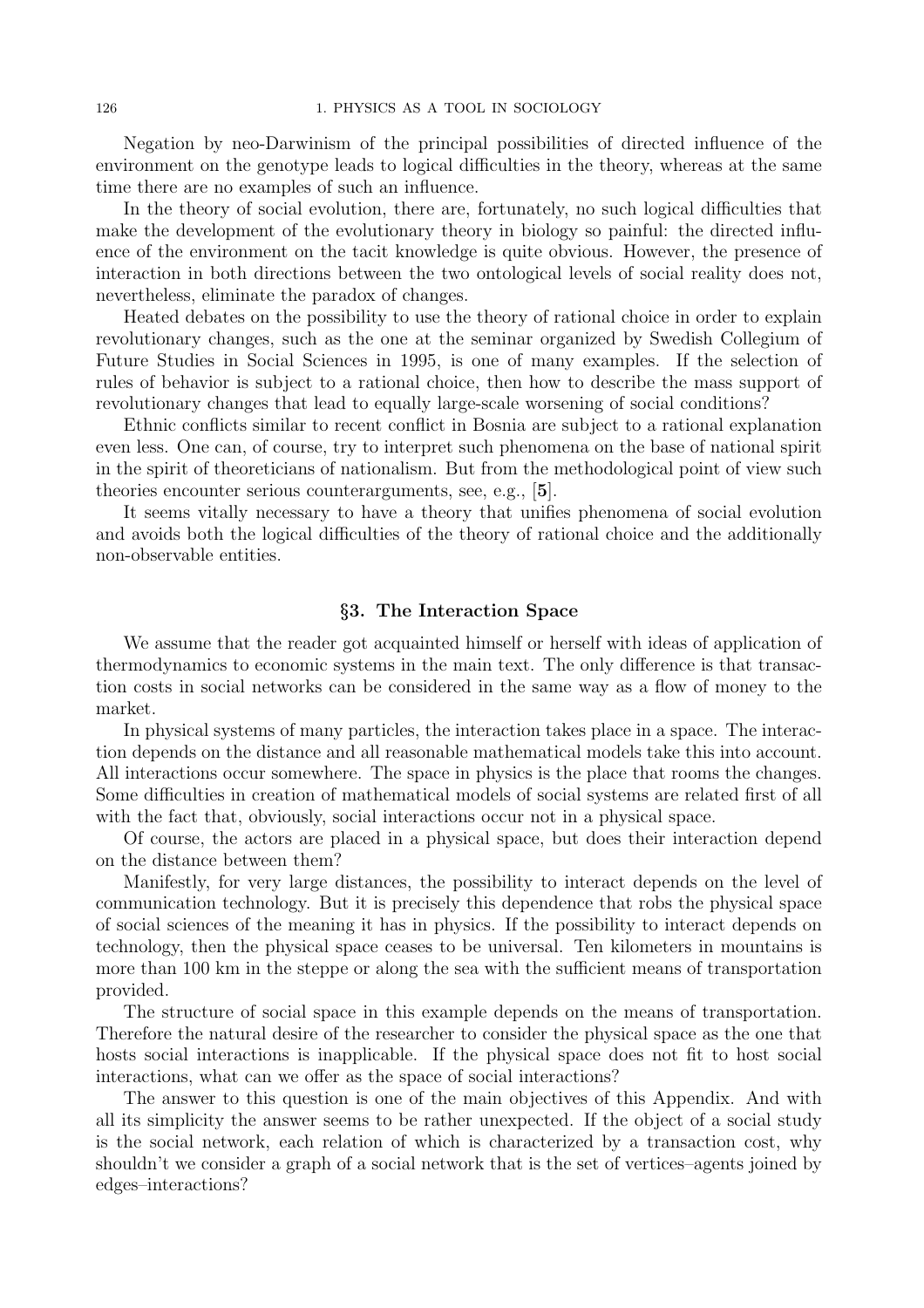Negation by neo-Darwinism of the principal possibilities of directed influence of the environment on the genotype leads to logical difficulties in the theory, whereas at the same time there are no examples of such an influence.

In the theory of social evolution, there are, fortunately, no such logical difficulties that make the development of the evolutionary theory in biology so painful: the directed influence of the environment on the tacit knowledge is quite obvious. However, the presence of interaction in both directions between the two ontological levels of social reality does not, nevertheless, eliminate the paradox of changes.

Heated debates on the possibility to use the theory of rational choice in order to explain revolutionary changes, such as the one at the seminar organized by Swedish Collegium of Future Studies in Social Sciences in 1995, is one of many examples. If the selection of rules of behavior is subject to a rational choice, then how to describe the mass support of revolutionary changes that lead to equally large-scale worsening of social conditions?

Ethnic conflicts similar to recent conflict in Bosnia are subject to a rational explanation even less. One can, of course, try to interpret such phenomena on the base of national spirit in the spirit of theoreticians of nationalism. But from the methodological point of view such theories encounter serious counterarguments, see, e.g., [5].

It seems vitally necessary to have a theory that unifies phenomena of social evolution and avoids both the logical difficulties of the theory of rational choice and the additionally non-observable entities.

### §3. The Interaction Space

We assume that the reader got acquainted himself or herself with ideas of application of thermodynamics to economic systems in the main text. The only difference is that transaction costs in social networks can be considered in the same way as a flow of money to the market.

In physical systems of many particles, the interaction takes place in a space. The interaction depends on the distance and all reasonable mathematical models take this into account. All interactions occur somewhere. The space in physics is the place that rooms the changes. Some difficulties in creation of mathematical models of social systems are related first of all with the fact that, obviously, social interactions occur not in a physical space.

Of course, the actors are placed in a physical space, but does their interaction depend on the distance between them?

Manifestly, for very large distances, the possibility to interact depends on the level of communication technology. But it is precisely this dependence that robs the physical space of social sciences of the meaning it has in physics. If the possibility to interact depends on technology, then the physical space ceases to be universal. Ten kilometers in mountains is more than 100 km in the steppe or along the sea with the sufficient means of transportation provided.

The structure of social space in this example depends on the means of transportation. Therefore the natural desire of the researcher to consider the physical space as the one that hosts social interactions is inapplicable. If the physical space does not fit to host social interactions, what can we offer as the space of social interactions?

The answer to this question is one of the main objectives of this Appendix. And with all its simplicity the answer seems to be rather unexpected. If the object of a social study is the social network, each relation of which is characterized by a transaction cost, why shouldn't we consider a graph of a social network that is the set of vertices–agents joined by edges–interactions?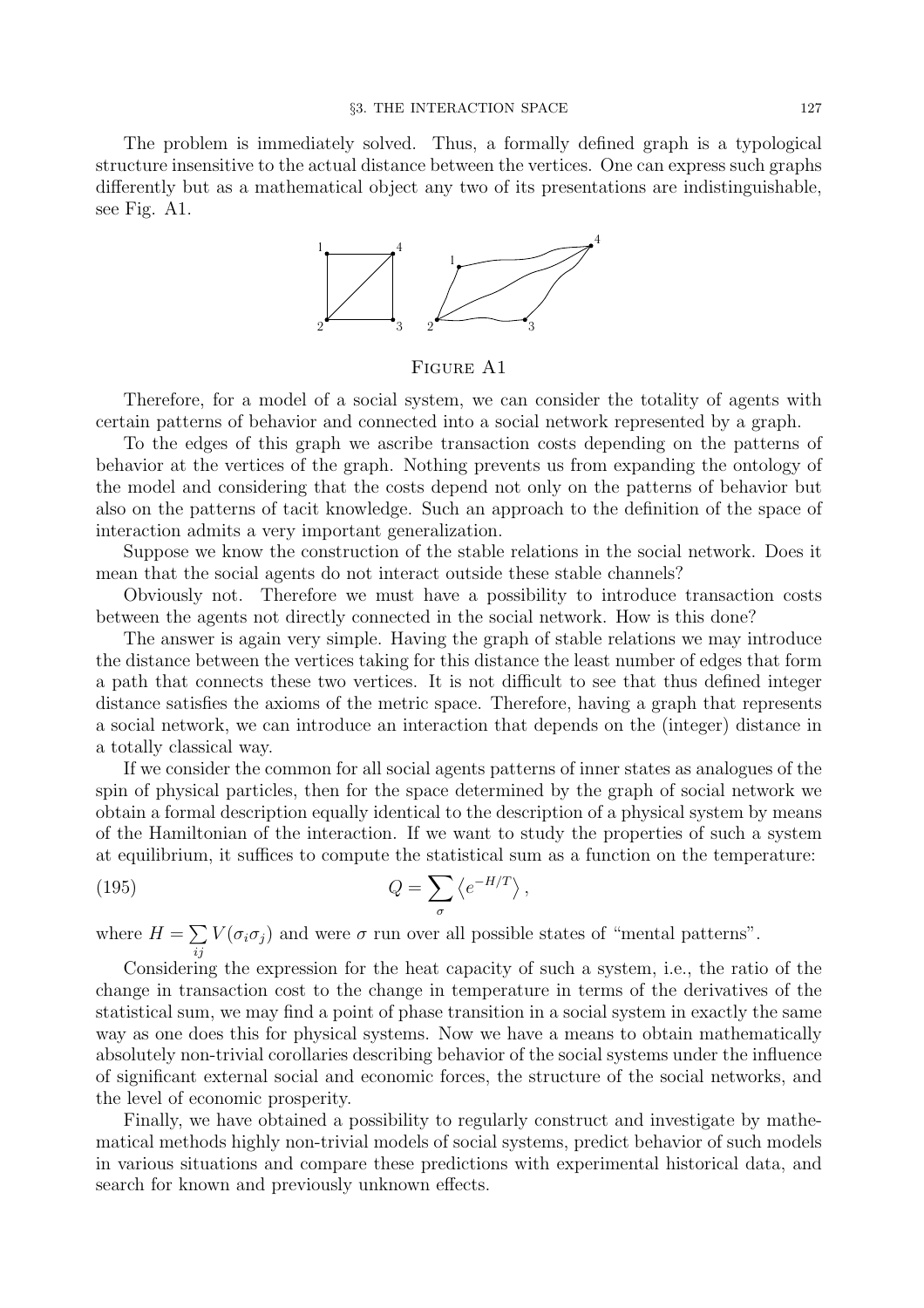The problem is immediately solved. Thus, a formally defined graph is a typological structure insensitive to the actual distance between the vertices. One can express such graphs differently but as a mathematical object any two of its presentations are indistinguishable, see Fig. A1.



FIGURE A1

Therefore, for a model of a social system, we can consider the totality of agents with certain patterns of behavior and connected into a social network represented by a graph.

To the edges of this graph we ascribe transaction costs depending on the patterns of behavior at the vertices of the graph. Nothing prevents us from expanding the ontology of the model and considering that the costs depend not only on the patterns of behavior but also on the patterns of tacit knowledge. Such an approach to the definition of the space of interaction admits a very important generalization.

Suppose we know the construction of the stable relations in the social network. Does it mean that the social agents do not interact outside these stable channels?

Obviously not. Therefore we must have a possibility to introduce transaction costs between the agents not directly connected in the social network. How is this done?

The answer is again very simple. Having the graph of stable relations we may introduce the distance between the vertices taking for this distance the least number of edges that form a path that connects these two vertices. It is not difficult to see that thus defined integer distance satisfies the axioms of the metric space. Therefore, having a graph that represents a social network, we can introduce an interaction that depends on the (integer) distance in a totally classical way.

If we consider the common for all social agents patterns of inner states as analogues of the spin of physical particles, then for the space determined by the graph of social network we obtain a formal description equally identical to the description of a physical system by means of the Hamiltonian of the interaction. If we want to study the properties of such a system at equilibrium, it suffices to compute the statistical sum as a function on the temperature:

(195) 
$$
Q = \sum_{\sigma} \left\langle e^{-H/T} \right\rangle,
$$

where  $H = \sum$  $V(\sigma_i \sigma_j)$  and were  $\sigma$  run over all possible states of "mental patterns".

ij Considering the expression for the heat capacity of such a system, i.e., the ratio of the change in transaction cost to the change in temperature in terms of the derivatives of the statistical sum, we may find a point of phase transition in a social system in exactly the same way as one does this for physical systems. Now we have a means to obtain mathematically absolutely non-trivial corollaries describing behavior of the social systems under the influence of significant external social and economic forces, the structure of the social networks, and the level of economic prosperity.

Finally, we have obtained a possibility to regularly construct and investigate by mathematical methods highly non-trivial models of social systems, predict behavior of such models in various situations and compare these predictions with experimental historical data, and search for known and previously unknown effects.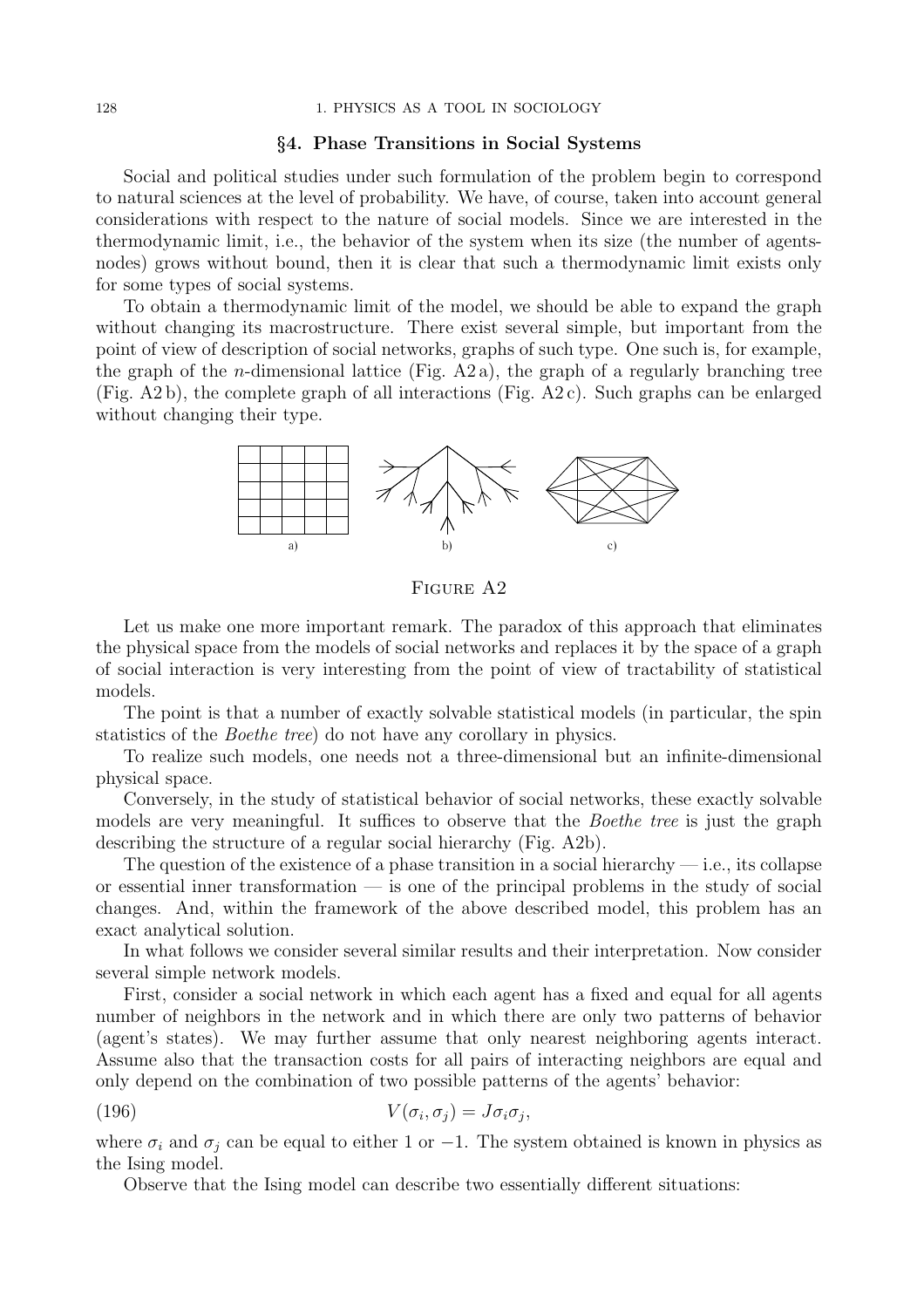#### §4. Phase Transitions in Social Systems

Social and political studies under such formulation of the problem begin to correspond to natural sciences at the level of probability. We have, of course, taken into account general considerations with respect to the nature of social models. Since we are interested in the thermodynamic limit, i.e., the behavior of the system when its size (the number of agentsnodes) grows without bound, then it is clear that such a thermodynamic limit exists only for some types of social systems.

To obtain a thermodynamic limit of the model, we should be able to expand the graph without changing its macrostructure. There exist several simple, but important from the point of view of description of social networks, graphs of such type. One such is, for example, the graph of the *n*-dimensional lattice (Fig. A2 a), the graph of a regularly branching tree (Fig. A2 b), the complete graph of all interactions (Fig. A2 c). Such graphs can be enlarged without changing their type.



Figure A2

Let us make one more important remark. The paradox of this approach that eliminates the physical space from the models of social networks and replaces it by the space of a graph of social interaction is very interesting from the point of view of tractability of statistical models.

The point is that a number of exactly solvable statistical models (in particular, the spin statistics of the Boethe tree) do not have any corollary in physics.

To realize such models, one needs not a three-dimensional but an infinite-dimensional physical space.

Conversely, in the study of statistical behavior of social networks, these exactly solvable models are very meaningful. It suffices to observe that the *Boethe tree* is just the graph describing the structure of a regular social hierarchy (Fig. A2b).

The question of the existence of a phase transition in a social hierarchy  $-$  i.e., its collapse or essential inner transformation — is one of the principal problems in the study of social changes. And, within the framework of the above described model, this problem has an exact analytical solution.

In what follows we consider several similar results and their interpretation. Now consider several simple network models.

First, consider a social network in which each agent has a fixed and equal for all agents number of neighbors in the network and in which there are only two patterns of behavior (agent's states). We may further assume that only nearest neighboring agents interact. Assume also that the transaction costs for all pairs of interacting neighbors are equal and only depend on the combination of two possible patterns of the agents' behavior:

(196) 
$$
V(\sigma_i, \sigma_j) = J\sigma_i \sigma_j,
$$

where  $\sigma_i$  and  $\sigma_j$  can be equal to either 1 or -1. The system obtained is known in physics as the Ising model.

Observe that the Ising model can describe two essentially different situations: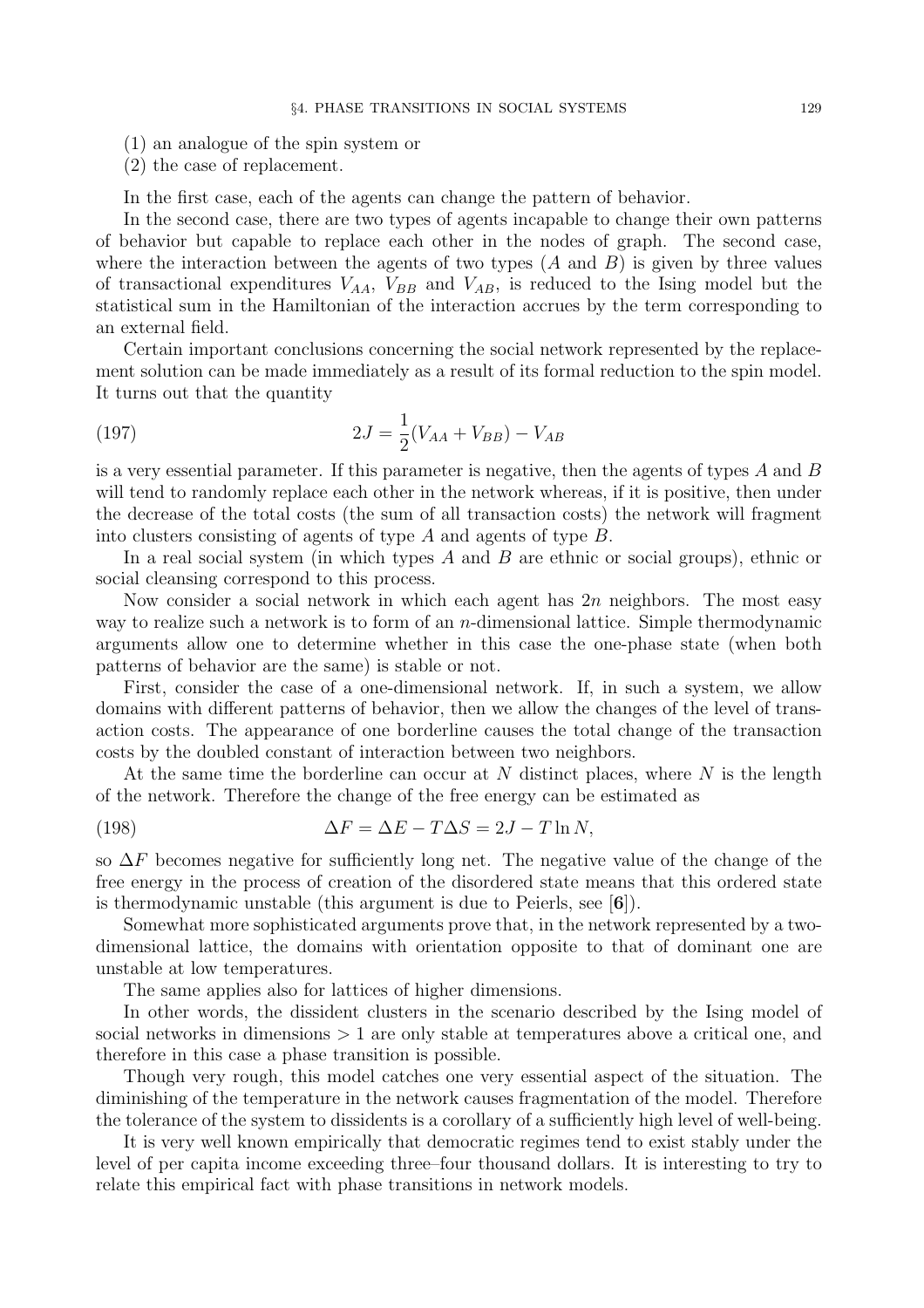- (1) an analogue of the spin system or
- (2) the case of replacement.

In the first case, each of the agents can change the pattern of behavior.

In the second case, there are two types of agents incapable to change their own patterns of behavior but capable to replace each other in the nodes of graph. The second case, where the interaction between the agents of two types  $(A \text{ and } B)$  is given by three values of transactional expenditures  $V_{AA}$ ,  $V_{BB}$  and  $V_{AB}$ , is reduced to the Ising model but the statistical sum in the Hamiltonian of the interaction accrues by the term corresponding to an external field.

Certain important conclusions concerning the social network represented by the replacement solution can be made immediately as a result of its formal reduction to the spin model. It turns out that the quantity

(197) 
$$
2J = \frac{1}{2}(V_{AA} + V_{BB}) - V_{AB}
$$

is a very essential parameter. If this parameter is negative, then the agents of types A and B will tend to randomly replace each other in the network whereas, if it is positive, then under the decrease of the total costs (the sum of all transaction costs) the network will fragment into clusters consisting of agents of type A and agents of type B.

In a real social system (in which types  $A$  and  $B$  are ethnic or social groups), ethnic or social cleansing correspond to this process.

Now consider a social network in which each agent has  $2n$  neighbors. The most easy way to realize such a network is to form of an n-dimensional lattice. Simple thermodynamic arguments allow one to determine whether in this case the one-phase state (when both patterns of behavior are the same) is stable or not.

First, consider the case of a one-dimensional network. If, in such a system, we allow domains with different patterns of behavior, then we allow the changes of the level of transaction costs. The appearance of one borderline causes the total change of the transaction costs by the doubled constant of interaction between two neighbors.

At the same time the borderline can occur at  $N$  distinct places, where  $N$  is the length of the network. Therefore the change of the free energy can be estimated as

(198) 
$$
\Delta F = \Delta E - T\Delta S = 2J - T\ln N,
$$

so  $\Delta F$  becomes negative for sufficiently long net. The negative value of the change of the free energy in the process of creation of the disordered state means that this ordered state is thermodynamic unstable (this argument is due to Peierls, see [6]).

Somewhat more sophisticated arguments prove that, in the network represented by a twodimensional lattice, the domains with orientation opposite to that of dominant one are unstable at low temperatures.

The same applies also for lattices of higher dimensions.

In other words, the dissident clusters in the scenario described by the Ising model of social networks in dimensions  $> 1$  are only stable at temperatures above a critical one, and therefore in this case a phase transition is possible.

Though very rough, this model catches one very essential aspect of the situation. The diminishing of the temperature in the network causes fragmentation of the model. Therefore the tolerance of the system to dissidents is a corollary of a sufficiently high level of well-being.

It is very well known empirically that democratic regimes tend to exist stably under the level of per capita income exceeding three–four thousand dollars. It is interesting to try to relate this empirical fact with phase transitions in network models.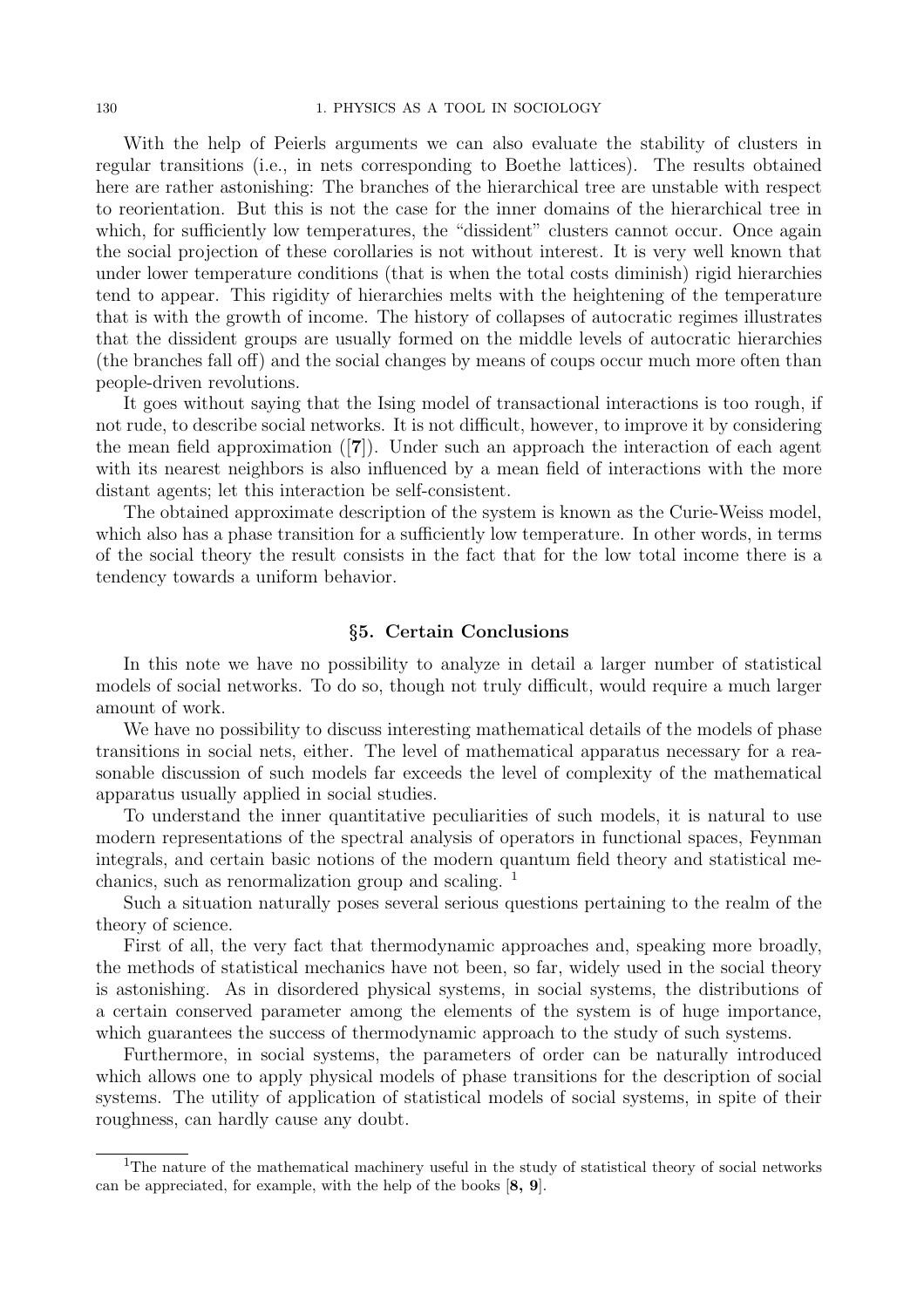With the help of Peierls arguments we can also evaluate the stability of clusters in regular transitions (i.e., in nets corresponding to Boethe lattices). The results obtained here are rather astonishing: The branches of the hierarchical tree are unstable with respect to reorientation. But this is not the case for the inner domains of the hierarchical tree in which, for sufficiently low temperatures, the "dissident" clusters cannot occur. Once again the social projection of these corollaries is not without interest. It is very well known that under lower temperature conditions (that is when the total costs diminish) rigid hierarchies tend to appear. This rigidity of hierarchies melts with the heightening of the temperature that is with the growth of income. The history of collapses of autocratic regimes illustrates that the dissident groups are usually formed on the middle levels of autocratic hierarchies (the branches fall off) and the social changes by means of coups occur much more often than people-driven revolutions.

It goes without saying that the Ising model of transactional interactions is too rough, if not rude, to describe social networks. It is not difficult, however, to improve it by considering the mean field approximation ([7]). Under such an approach the interaction of each agent with its nearest neighbors is also influenced by a mean field of interactions with the more distant agents; let this interaction be self-consistent.

The obtained approximate description of the system is known as the Curie-Weiss model, which also has a phase transition for a sufficiently low temperature. In other words, in terms of the social theory the result consists in the fact that for the low total income there is a tendency towards a uniform behavior.

### §5. Certain Conclusions

In this note we have no possibility to analyze in detail a larger number of statistical models of social networks. To do so, though not truly difficult, would require a much larger amount of work.

We have no possibility to discuss interesting mathematical details of the models of phase transitions in social nets, either. The level of mathematical apparatus necessary for a reasonable discussion of such models far exceeds the level of complexity of the mathematical apparatus usually applied in social studies.

To understand the inner quantitative peculiarities of such models, it is natural to use modern representations of the spectral analysis of operators in functional spaces, Feynman integrals, and certain basic notions of the modern quantum field theory and statistical mechanics, such as renormalization group and scaling.  $\frac{1}{1}$ 

Such a situation naturally poses several serious questions pertaining to the realm of the theory of science.

First of all, the very fact that thermodynamic approaches and, speaking more broadly, the methods of statistical mechanics have not been, so far, widely used in the social theory is astonishing. As in disordered physical systems, in social systems, the distributions of a certain conserved parameter among the elements of the system is of huge importance, which guarantees the success of thermodynamic approach to the study of such systems.

Furthermore, in social systems, the parameters of order can be naturally introduced which allows one to apply physical models of phase transitions for the description of social systems. The utility of application of statistical models of social systems, in spite of their roughness, can hardly cause any doubt.

<sup>&</sup>lt;sup>1</sup>The nature of the mathematical machinery useful in the study of statistical theory of social networks can be appreciated, for example, with the help of the books [8, 9].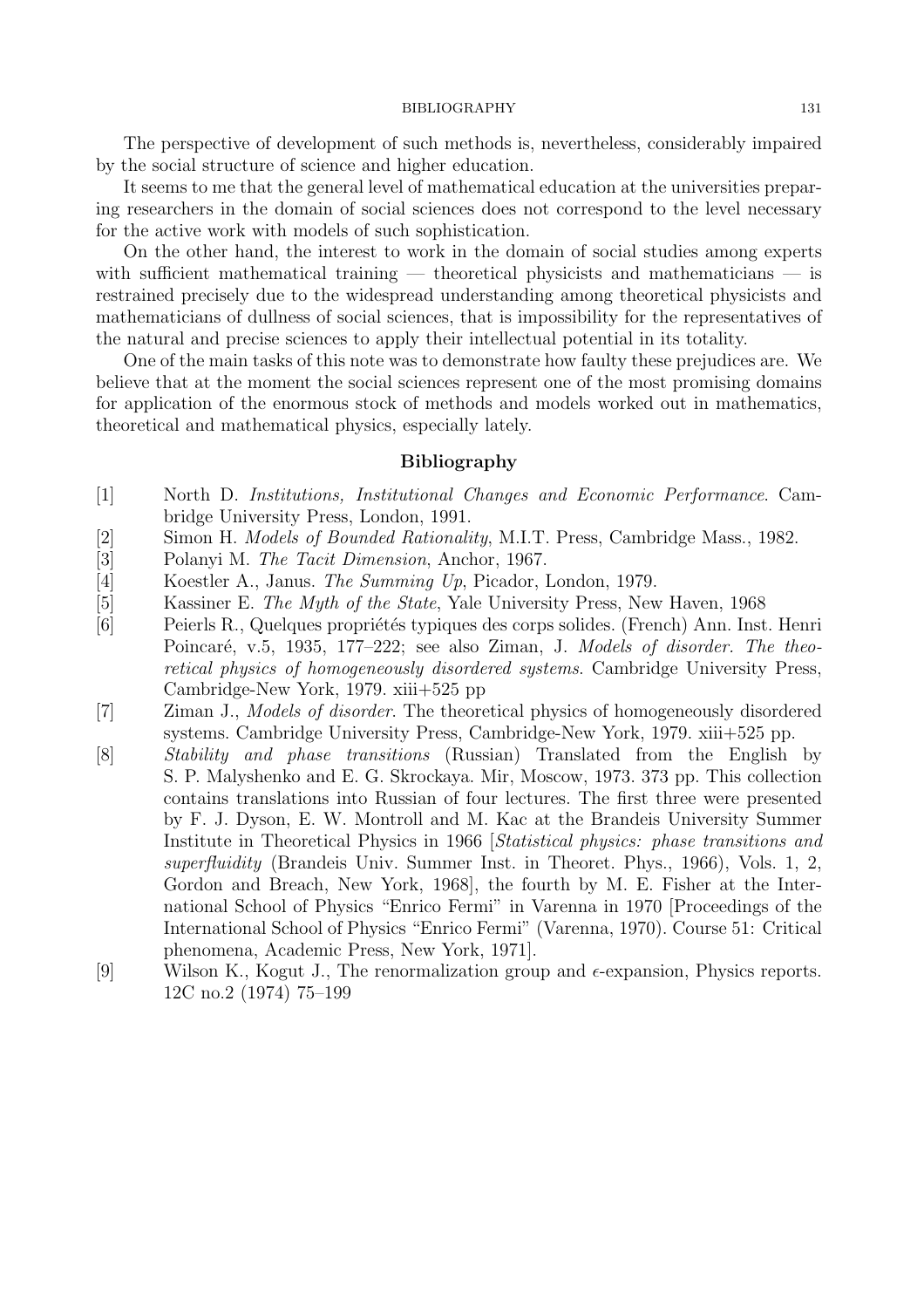The perspective of development of such methods is, nevertheless, considerably impaired by the social structure of science and higher education.

It seems to me that the general level of mathematical education at the universities preparing researchers in the domain of social sciences does not correspond to the level necessary for the active work with models of such sophistication.

On the other hand, the interest to work in the domain of social studies among experts with sufficient mathematical training  $-$  theoretical physicists and mathematicians  $-$  is restrained precisely due to the widespread understanding among theoretical physicists and mathematicians of dullness of social sciences, that is impossibility for the representatives of the natural and precise sciences to apply their intellectual potential in its totality.

One of the main tasks of this note was to demonstrate how faulty these prejudices are. We believe that at the moment the social sciences represent one of the most promising domains for application of the enormous stock of methods and models worked out in mathematics, theoretical and mathematical physics, especially lately.

### Bibliography

- [1] North D. Institutions, Institutional Changes and Economic Performance. Cambridge University Press, London, 1991.
- [2] Simon H. Models of Bounded Rationality, M.I.T. Press, Cambridge Mass., 1982.
- [3] Polanyi M. The Tacit Dimension, Anchor, 1967.
- [4] Koestler A., Janus. The Summing Up, Picador, London, 1979.
- [5] Kassiner E. The Myth of the State, Yale University Press, New Haven, 1968
- [6] Peierls R., Quelques propriétés typiques des corps solides. (French) Ann. Inst. Henri Poincaré, v.5, 1935, 177–222; see also Ziman, J. Models of disorder. The theoretical physics of homogeneously disordered systems. Cambridge University Press, Cambridge-New York, 1979. xiii+525 pp
- [7] Ziman J., Models of disorder. The theoretical physics of homogeneously disordered systems. Cambridge University Press, Cambridge-New York, 1979. xiii+525 pp.
- [8] Stability and phase transitions (Russian) Translated from the English by S. P. Malyshenko and E. G. Skrockaya. Mir, Moscow, 1973. 373 pp. This collection contains translations into Russian of four lectures. The first three were presented by F. J. Dyson, E. W. Montroll and M. Kac at the Brandeis University Summer Institute in Theoretical Physics in 1966 [Statistical physics: phase transitions and superfluidity (Brandeis Univ. Summer Inst. in Theoret. Phys., 1966), Vols. 1, 2, Gordon and Breach, New York, 1968], the fourth by M. E. Fisher at the International School of Physics "Enrico Fermi" in Varenna in 1970 [Proceedings of the International School of Physics "Enrico Fermi" (Varenna, 1970). Course 51: Critical phenomena, Academic Press, New York, 1971].
- [9] Wilson K., Kogut J., The renormalization group and  $\epsilon$ -expansion, Physics reports. 12C no.2 (1974) 75–199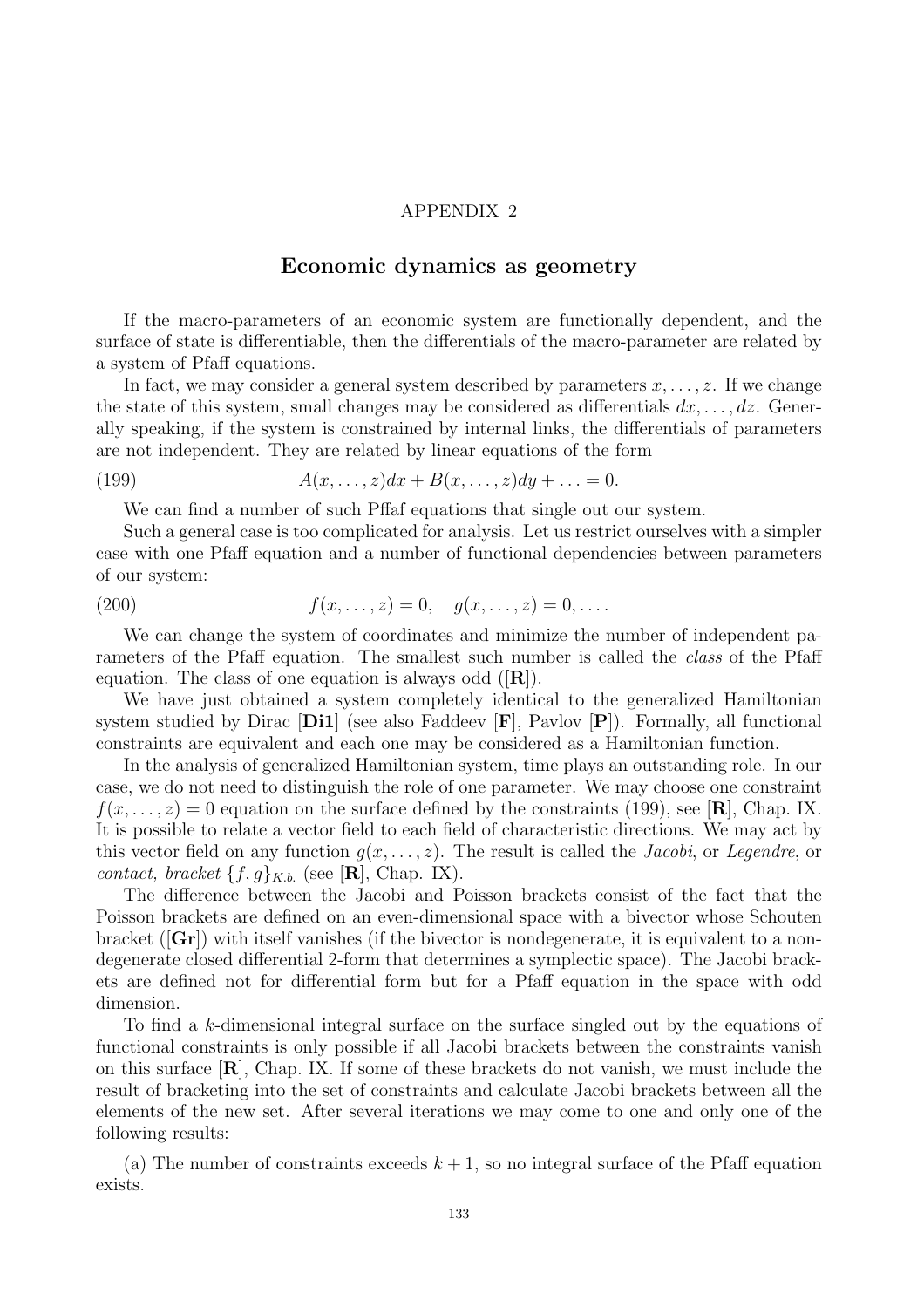### APPENDIX 2

## Economic dynamics as geometry

If the macro-parameters of an economic system are functionally dependent, and the surface of state is differentiable, then the differentials of the macro-parameter are related by a system of Pfaff equations.

In fact, we may consider a general system described by parameters  $x, \ldots, z$ . If we change the state of this system, small changes may be considered as differentials  $dx, \ldots, dz$ . Generally speaking, if the system is constrained by internal links, the differentials of parameters are not independent. They are related by linear equations of the form

$$
(199) \qquad A(x,\ldots,z)dx + B(x,\ldots,z)dy + \ldots = 0.
$$

We can find a number of such Pffaf equations that single out our system.

Such a general case is too complicated for analysis. Let us restrict ourselves with a simpler case with one Pfaff equation and a number of functional dependencies between parameters of our system:

(200) 
$$
f(x, ..., z) = 0, \quad g(x, ..., z) = 0, ...
$$

We can change the system of coordinates and minimize the number of independent parameters of the Pfaff equation. The smallest such number is called the class of the Pfaff equation. The class of one equation is always odd  $(|\mathbf{R}|)$ .

We have just obtained a system completely identical to the generalized Hamiltonian system studied by Dirac  $[D11]$  (see also Faddeev  $[F]$ , Pavlov  $[P]$ ). Formally, all functional constraints are equivalent and each one may be considered as a Hamiltonian function.

In the analysis of generalized Hamiltonian system, time plays an outstanding role. In our case, we do not need to distinguish the role of one parameter. We may choose one constraint  $f(x,\ldots,z) = 0$  equation on the surface defined by the constraints (199), see [**R**], Chap. IX. It is possible to relate a vector field to each field of characteristic directions. We may act by this vector field on any function  $g(x, \ldots, z)$ . The result is called the *Jacobi*, or *Legendre*, or contact, bracket  $\{f,g\}_{K.b.}$  (see [**R**], Chap. IX).

The difference between the Jacobi and Poisson brackets consist of the fact that the Poisson brackets are defined on an even-dimensional space with a bivector whose Schouten bracket  $({\bf Gr})$  with itself vanishes (if the bivector is nondegenerate, it is equivalent to a nondegenerate closed differential 2-form that determines a symplectic space). The Jacobi brackets are defined not for differential form but for a Pfaff equation in the space with odd dimension.

To find a k-dimensional integral surface on the surface singled out by the equations of functional constraints is only possible if all Jacobi brackets between the constraints vanish on this surface  $[\mathbf{R}]$ , Chap. IX. If some of these brackets do not vanish, we must include the result of bracketing into the set of constraints and calculate Jacobi brackets between all the elements of the new set. After several iterations we may come to one and only one of the following results:

(a) The number of constraints exceeds  $k + 1$ , so no integral surface of the Pfaff equation exists.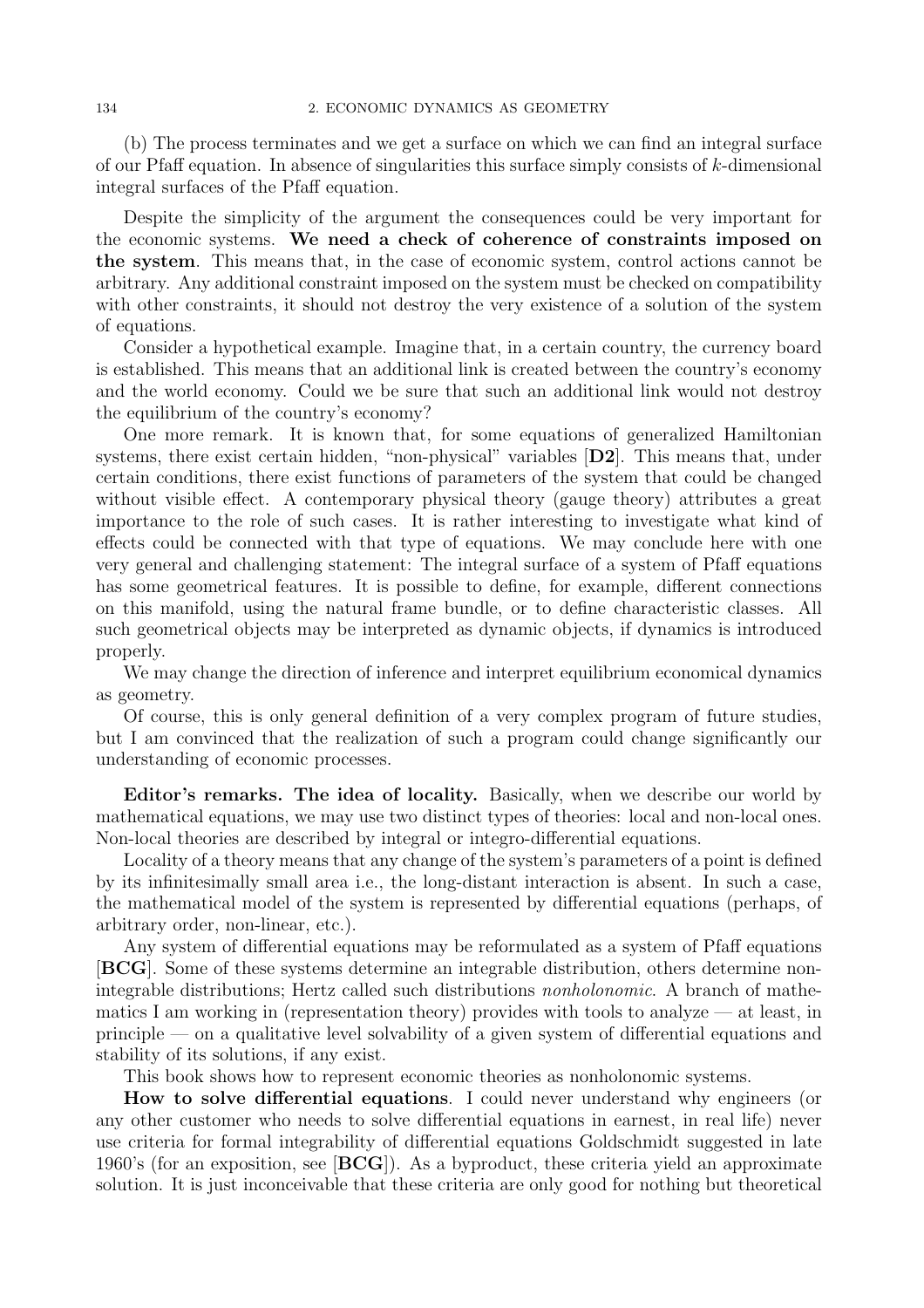(b) The process terminates and we get a surface on which we can find an integral surface of our Pfaff equation. In absence of singularities this surface simply consists of  $k$ -dimensional integral surfaces of the Pfaff equation.

Despite the simplicity of the argument the consequences could be very important for the economic systems. We need a check of coherence of constraints imposed on the system. This means that, in the case of economic system, control actions cannot be arbitrary. Any additional constraint imposed on the system must be checked on compatibility with other constraints, it should not destroy the very existence of a solution of the system of equations.

Consider a hypothetical example. Imagine that, in a certain country, the currency board is established. This means that an additional link is created between the country's economy and the world economy. Could we be sure that such an additional link would not destroy the equilibrium of the country's economy?

One more remark. It is known that, for some equations of generalized Hamiltonian systems, there exist certain hidden, "non-physical" variables [D2]. This means that, under certain conditions, there exist functions of parameters of the system that could be changed without visible effect. A contemporary physical theory (gauge theory) attributes a great importance to the role of such cases. It is rather interesting to investigate what kind of effects could be connected with that type of equations. We may conclude here with one very general and challenging statement: The integral surface of a system of Pfaff equations has some geometrical features. It is possible to define, for example, different connections on this manifold, using the natural frame bundle, or to define characteristic classes. All such geometrical objects may be interpreted as dynamic objects, if dynamics is introduced properly.

We may change the direction of inference and interpret equilibrium economical dynamics as geometry.

Of course, this is only general definition of a very complex program of future studies, but I am convinced that the realization of such a program could change significantly our understanding of economic processes.

Editor's remarks. The idea of locality. Basically, when we describe our world by mathematical equations, we may use two distinct types of theories: local and non-local ones. Non-local theories are described by integral or integro-differential equations.

Locality of a theory means that any change of the system's parameters of a point is defined by its infinitesimally small area i.e., the long-distant interaction is absent. In such a case, the mathematical model of the system is represented by differential equations (perhaps, of arbitrary order, non-linear, etc.).

Any system of differential equations may be reformulated as a system of Pfaff equations [BCG]. Some of these systems determine an integrable distribution, others determine nonintegrable distributions; Hertz called such distributions nonholonomic. A branch of mathematics I am working in (representation theory) provides with tools to analyze — at least, in principle — on a qualitative level solvability of a given system of differential equations and stability of its solutions, if any exist.

This book shows how to represent economic theories as nonholonomic systems.

How to solve differential equations. I could never understand why engineers (or any other customer who needs to solve differential equations in earnest, in real life) never use criteria for formal integrability of differential equations Goldschmidt suggested in late 1960's (for an exposition, see  $[\text{BCG}]$ ). As a byproduct, these criteria yield an approximate solution. It is just inconceivable that these criteria are only good for nothing but theoretical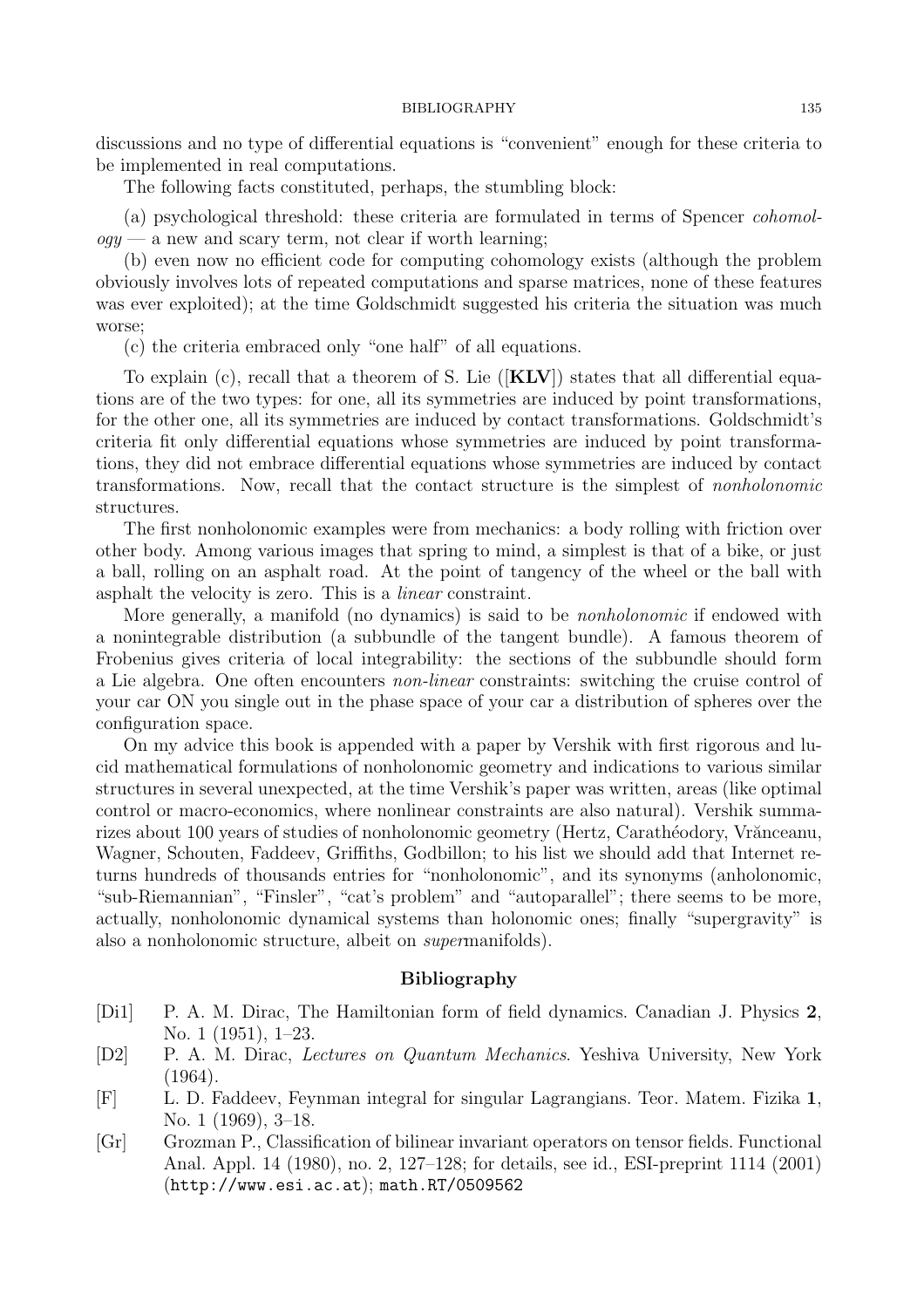discussions and no type of differential equations is "convenient" enough for these criteria to be implemented in real computations.

The following facts constituted, perhaps, the stumbling block:

(a) psychological threshold: these criteria are formulated in terms of Spencer cohomol $qqy \sim a$  new and scary term, not clear if worth learning;

(b) even now no efficient code for computing cohomology exists (although the problem obviously involves lots of repeated computations and sparse matrices, none of these features was ever exploited); at the time Goldschmidt suggested his criteria the situation was much worse;

(c) the criteria embraced only "one half" of all equations.

To explain (c), recall that a theorem of S. Lie  $([KLV])$  states that all differential equations are of the two types: for one, all its symmetries are induced by point transformations, for the other one, all its symmetries are induced by contact transformations. Goldschmidt's criteria fit only differential equations whose symmetries are induced by point transformations, they did not embrace differential equations whose symmetries are induced by contact transformations. Now, recall that the contact structure is the simplest of nonholonomic structures.

The first nonholonomic examples were from mechanics: a body rolling with friction over other body. Among various images that spring to mind, a simplest is that of a bike, or just a ball, rolling on an asphalt road. At the point of tangency of the wheel or the ball with asphalt the velocity is zero. This is a linear constraint.

More generally, a manifold (no dynamics) is said to be *nonholonomic* if endowed with a nonintegrable distribution (a subbundle of the tangent bundle). A famous theorem of Frobenius gives criteria of local integrability: the sections of the subbundle should form a Lie algebra. One often encounters non-linear constraints: switching the cruise control of your car ON you single out in the phase space of your car a distribution of spheres over the configuration space.

On my advice this book is appended with a paper by Vershik with first rigorous and lucid mathematical formulations of nonholonomic geometry and indications to various similar structures in several unexpected, at the time Vershik's paper was written, areas (like optimal control or macro-economics, where nonlinear constraints are also natural). Vershik summarizes about 100 years of studies of nonholonomic geometry (Hertz, Carathéodory, Vrănceanu, Wagner, Schouten, Faddeev, Griffiths, Godbillon; to his list we should add that Internet returns hundreds of thousands entries for "nonholonomic", and its synonyms (anholonomic, "sub-Riemannian", "Finsler", "cat's problem" and "autoparallel"; there seems to be more, actually, nonholonomic dynamical systems than holonomic ones; finally "supergravity" is also a nonholonomic structure, albeit on supermanifolds).

### Bibliography

- [Di1] P. A. M. Dirac, The Hamiltonian form of field dynamics. Canadian J. Physics 2, No. 1 (1951), 1–23.
- [D2] P. A. M. Dirac, Lectures on Quantum Mechanics. Yeshiva University, New York (1964).
- [F] L. D. Faddeev, Feynman integral for singular Lagrangians. Teor. Matem. Fizika 1, No. 1 (1969), 3–18.
- [Gr] Grozman P., Classification of bilinear invariant operators on tensor fields. Functional Anal. Appl. 14 (1980), no. 2, 127–128; for details, see id., ESI-preprint 1114 (2001) (http://www.esi.ac.at); math.RT/0509562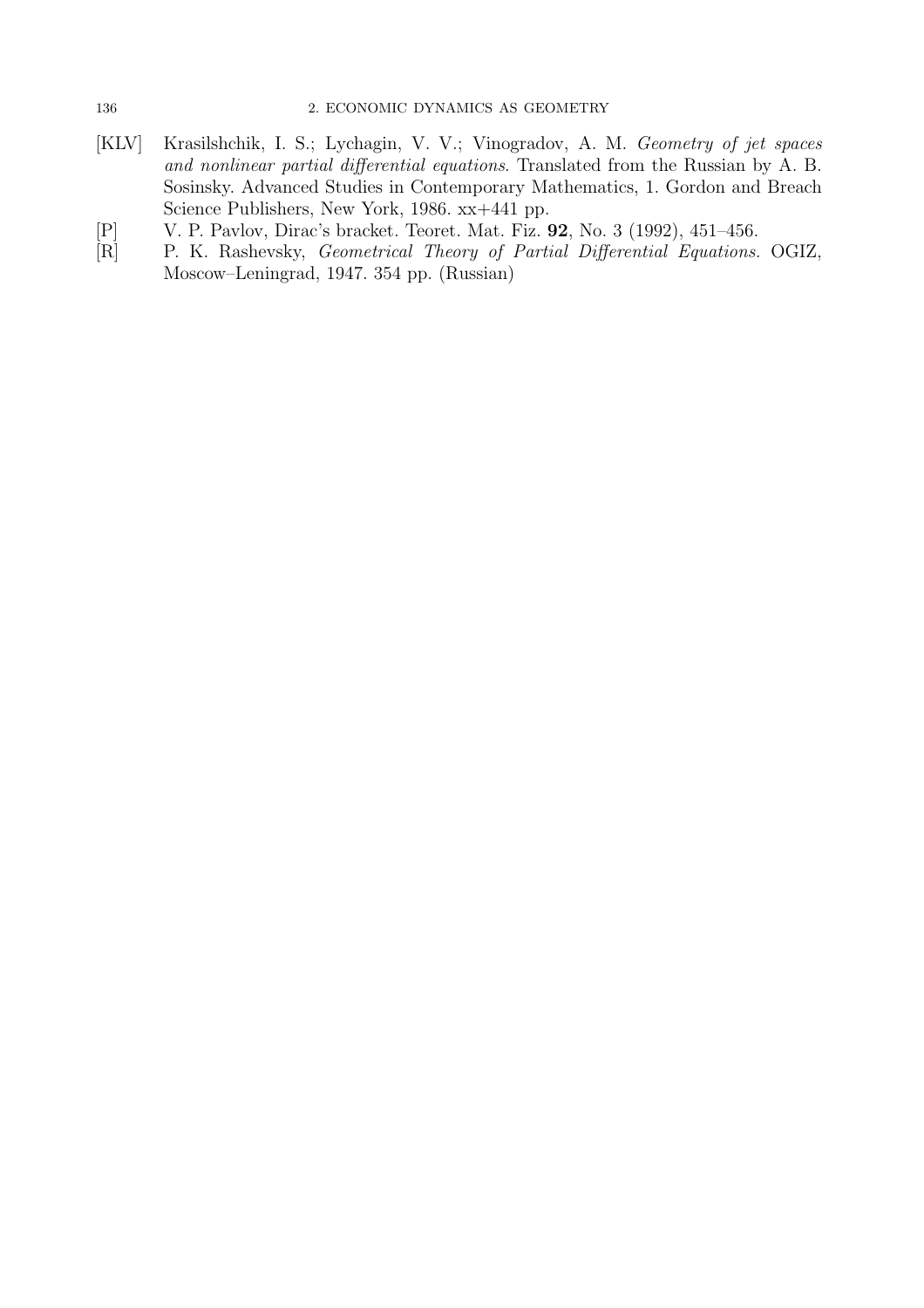- [KLV] Krasilshchik, I. S.; Lychagin, V. V.; Vinogradov, A. M. Geometry of jet spaces and nonlinear partial differential equations. Translated from the Russian by A. B. Sosinsky. Advanced Studies in Contemporary Mathematics, 1. Gordon and Breach Science Publishers, New York, 1986. xx+441 pp.
- [P] V. P. Pavlov, Dirac's bracket. Teoret. Mat. Fiz. 92, No. 3 (1992), 451–456.
- [R] P. K. Rashevsky, Geometrical Theory of Partial Differential Equations. OGIZ, Moscow–Leningrad, 1947. 354 pp. (Russian)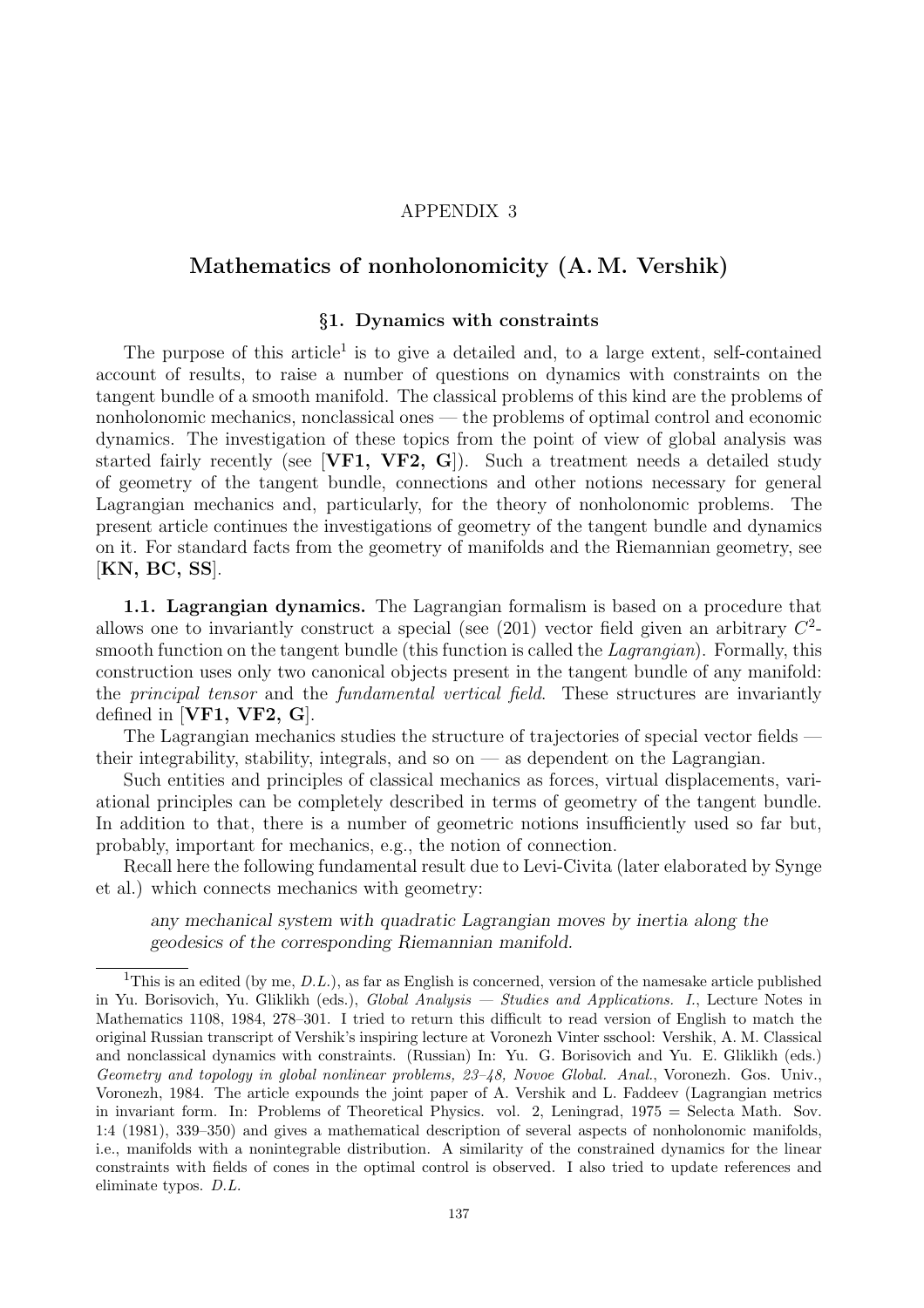### APPENDIX 3

## Mathematics of nonholonomicity (A. M. Vershik)

## §1. Dynamics with constraints

The purpose of this article<sup>1</sup> is to give a detailed and, to a large extent, self-contained account of results, to raise a number of questions on dynamics with constraints on the tangent bundle of a smooth manifold. The classical problems of this kind are the problems of nonholonomic mechanics, nonclassical ones — the problems of optimal control and economic dynamics. The investigation of these topics from the point of view of global analysis was started fairly recently (see [VF1, VF2, G]). Such a treatment needs a detailed study of geometry of the tangent bundle, connections and other notions necessary for general Lagrangian mechanics and, particularly, for the theory of nonholonomic problems. The present article continues the investigations of geometry of the tangent bundle and dynamics on it. For standard facts from the geometry of manifolds and the Riemannian geometry, see [KN, BC, SS].

1.1. Lagrangian dynamics. The Lagrangian formalism is based on a procedure that allows one to invariantly construct a special (see  $(201)$  vector field given an arbitrary  $C<sup>2</sup>$ smooth function on the tangent bundle (this function is called the *Lagrangian*). Formally, this construction uses only two canonical objects present in the tangent bundle of any manifold: the principal tensor and the fundamental vertical field. These structures are invariantly defined in [VF1, VF2,  $G$ ].

The Lagrangian mechanics studies the structure of trajectories of special vector fields their integrability, stability, integrals, and so on — as dependent on the Lagrangian.

Such entities and principles of classical mechanics as forces, virtual displacements, variational principles can be completely described in terms of geometry of the tangent bundle. In addition to that, there is a number of geometric notions insufficiently used so far but, probably, important for mechanics, e.g., the notion of connection.

Recall here the following fundamental result due to Levi-Civita (later elaborated by Synge et al.) which connects mechanics with geometry:

any mechanical system with quadratic Lagrangian moves by inertia along the geodesics of the corresponding Riemannian manifold.

<sup>&</sup>lt;sup>1</sup>This is an edited (by me,  $D.L.$ ), as far as English is concerned, version of the namesake article published in Yu. Borisovich, Yu. Gliklikh (eds.), Global Analysis — Studies and Applications. I., Lecture Notes in Mathematics 1108, 1984, 278–301. I tried to return this difficult to read version of English to match the original Russian transcript of Vershik's inspiring lecture at Voronezh Vinter sschool: Vershik, A. M. Classical and nonclassical dynamics with constraints. (Russian) In: Yu. G. Borisovich and Yu. E. Gliklikh (eds.) Geometry and topology in global nonlinear problems, 23–48, Novoe Global. Anal., Voronezh. Gos. Univ., Voronezh, 1984. The article expounds the joint paper of A. Vershik and L. Faddeev (Lagrangian metrics in invariant form. In: Problems of Theoretical Physics. vol. 2, Leningrad, 1975 = Selecta Math. Sov. 1:4 (1981), 339–350) and gives a mathematical description of several aspects of nonholonomic manifolds, i.e., manifolds with a nonintegrable distribution. A similarity of the constrained dynamics for the linear constraints with fields of cones in the optimal control is observed. I also tried to update references and eliminate typos. D.L.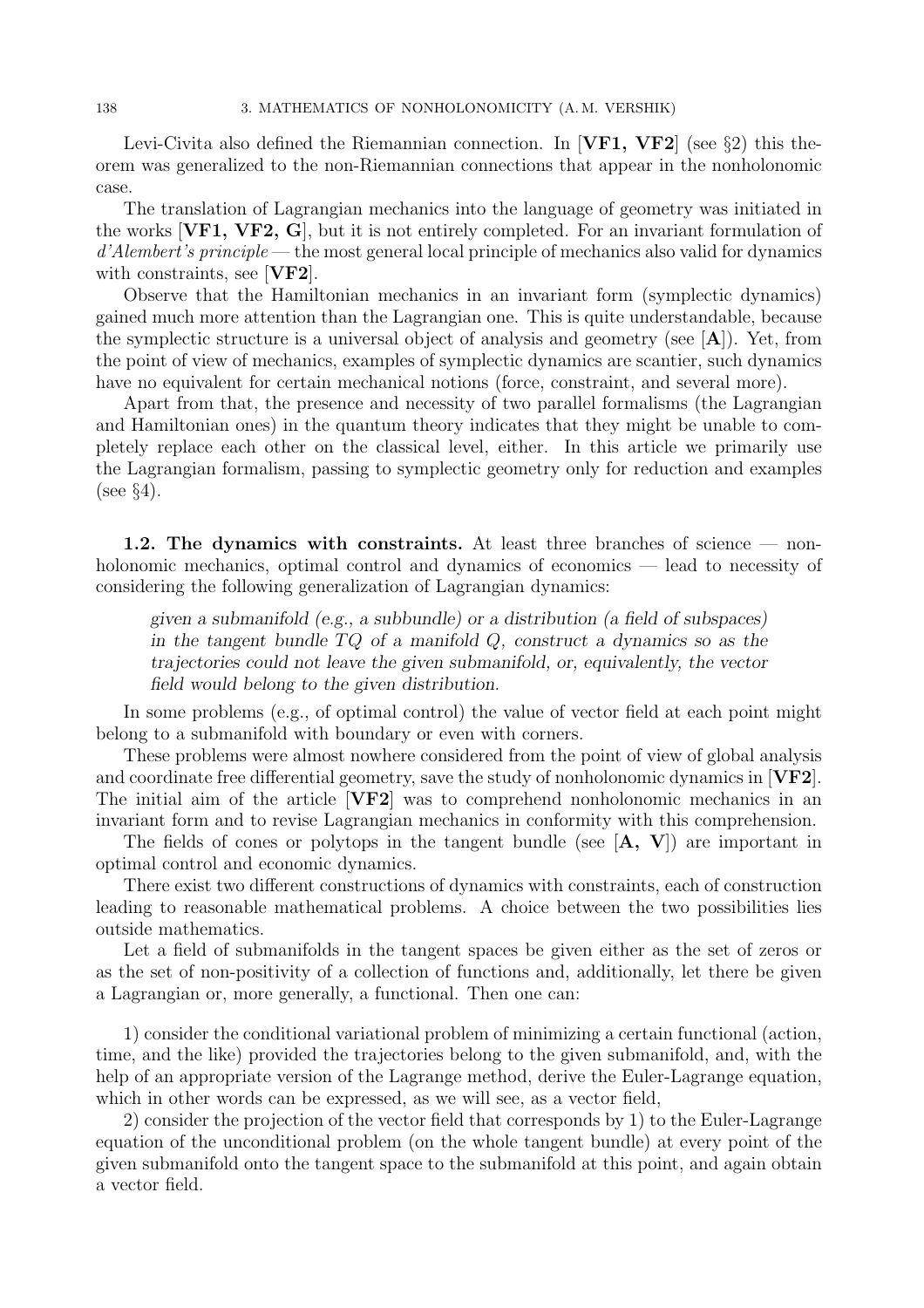Levi-Civita also defined the Riemannian connection. In [VF1, VF2] (see §2) this theorem was generalized to the non-Riemannian connections that appear in the nonholonomic case.

The translation of Lagrangian mechanics into the language of geometry was initiated in the works  $[\mathbf{V}\mathbf{F1}, \mathbf{V}\mathbf{F2}, \mathbf{G}]$ , but it is not entirely completed. For an invariant formulation of  $d'Alembert's principle$  — the most general local principle of mechanics also valid for dynamics with constraints, see [VF2].

Observe that the Hamiltonian mechanics in an invariant form (symplectic dynamics) gained much more attention than the Lagrangian one. This is quite understandable, because the symplectic structure is a universal object of analysis and geometry (see  $|A|$ ). Yet, from the point of view of mechanics, examples of symplectic dynamics are scantier, such dynamics have no equivalent for certain mechanical notions (force, constraint, and several more).

Apart from that, the presence and necessity of two parallel formalisms (the Lagrangian and Hamiltonian ones) in the quantum theory indicates that they might be unable to completely replace each other on the classical level, either. In this article we primarily use the Lagrangian formalism, passing to symplectic geometry only for reduction and examples  $(see §4).$ 

1.2. The dynamics with constraints. At least three branches of science — nonholonomic mechanics, optimal control and dynamics of economics — lead to necessity of considering the following generalization of Lagrangian dynamics:

given a submanifold (e.g., a subbundle) or a distribution (a field of subspaces) in the tangent bundle  $TQ$  of a manifold  $Q$ , construct a dynamics so as the trajectories could not leave the given submanifold, or, equivalently, the vector field would belong to the given distribution.

In some problems (e.g., of optimal control) the value of vector field at each point might belong to a submanifold with boundary or even with corners.

These problems were almost nowhere considered from the point of view of global analysis and coordinate free differential geometry, save the study of nonholonomic dynamics in [VF2]. The initial aim of the article  $[\mathbf{V} \mathbf{F} \mathbf{2}]$  was to comprehend nonholonomic mechanics in an invariant form and to revise Lagrangian mechanics in conformity with this comprehension.

The fields of cones or polytops in the tangent bundle (see  $[A, V]$ ) are important in optimal control and economic dynamics.

There exist two different constructions of dynamics with constraints, each of construction leading to reasonable mathematical problems. A choice between the two possibilities lies outside mathematics.

Let a field of submanifolds in the tangent spaces be given either as the set of zeros or as the set of non-positivity of a collection of functions and, additionally, let there be given a Lagrangian or, more generally, a functional. Then one can:

1) consider the conditional variational problem of minimizing a certain functional (action, time, and the like) provided the trajectories belong to the given submanifold, and, with the help of an appropriate version of the Lagrange method, derive the Euler-Lagrange equation, which in other words can be expressed, as we will see, as a vector field,

2) consider the projection of the vector field that corresponds by 1) to the Euler-Lagrange equation of the unconditional problem (on the whole tangent bundle) at every point of the given submanifold onto the tangent space to the submanifold at this point, and again obtain a vector field.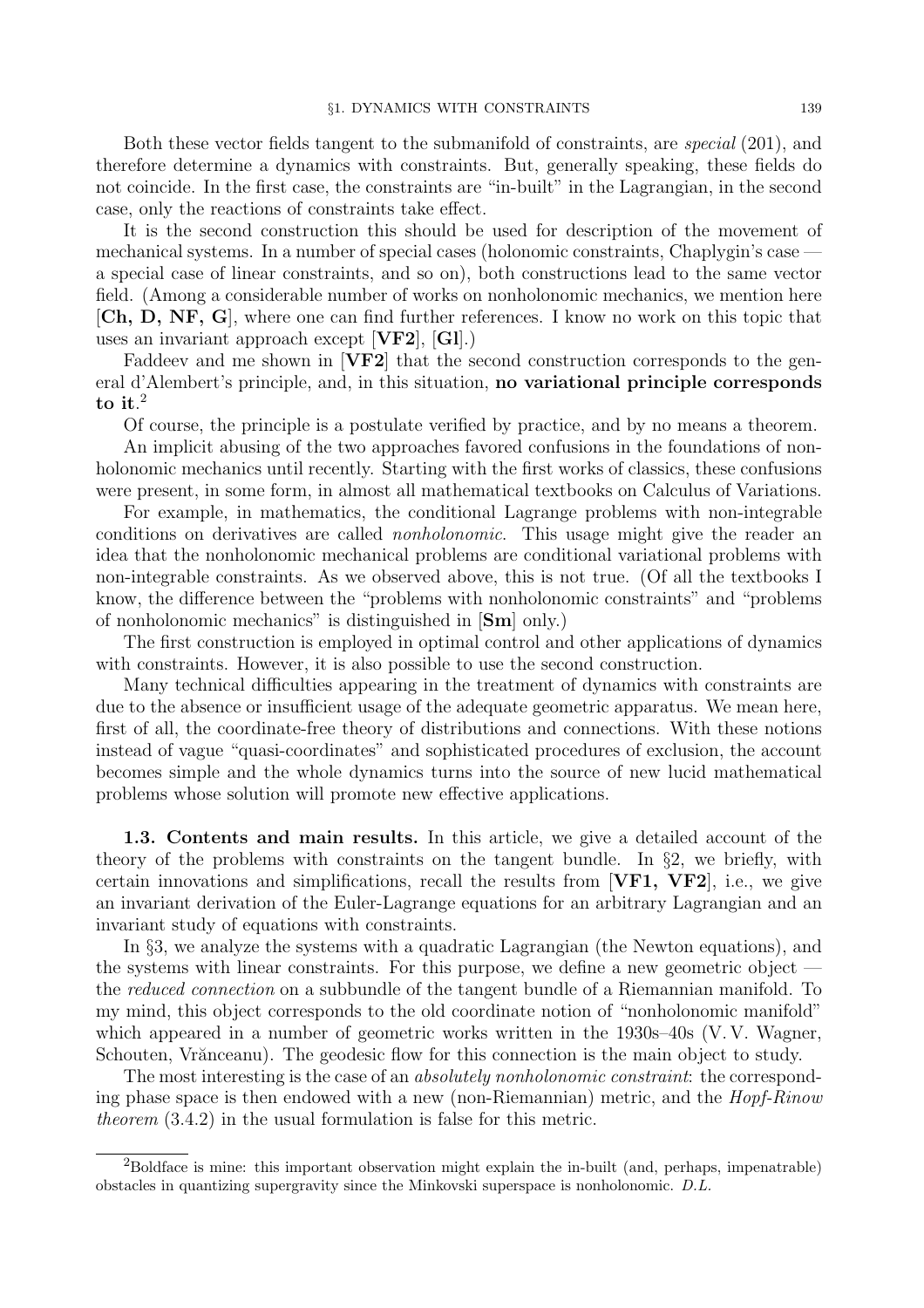Both these vector fields tangent to the submanifold of constraints, are special (201), and therefore determine a dynamics with constraints. But, generally speaking, these fields do not coincide. In the first case, the constraints are "in-built" in the Lagrangian, in the second case, only the reactions of constraints take effect.

It is the second construction this should be used for description of the movement of mechanical systems. In a number of special cases (holonomic constraints, Chaplygin's case a special case of linear constraints, and so on), both constructions lead to the same vector field. (Among a considerable number of works on nonholonomic mechanics, we mention here [Ch, D, NF, G], where one can find further references. I know no work on this topic that uses an invariant approach except [VF2], [Gl].)

Faddeev and me shown in  $|\nabla F2|$  that the second construction corresponds to the general d'Alembert's principle, and, in this situation, no variational principle corresponds to it. $^2$ 

Of course, the principle is a postulate verified by practice, and by no means a theorem.

An implicit abusing of the two approaches favored confusions in the foundations of nonholonomic mechanics until recently. Starting with the first works of classics, these confusions were present, in some form, in almost all mathematical textbooks on Calculus of Variations.

For example, in mathematics, the conditional Lagrange problems with non-integrable conditions on derivatives are called nonholonomic. This usage might give the reader an idea that the nonholonomic mechanical problems are conditional variational problems with non-integrable constraints. As we observed above, this is not true. (Of all the textbooks I know, the difference between the "problems with nonholonomic constraints" and "problems of nonholonomic mechanics" is distinguished in [Sm] only.)

The first construction is employed in optimal control and other applications of dynamics with constraints. However, it is also possible to use the second construction.

Many technical difficulties appearing in the treatment of dynamics with constraints are due to the absence or insufficient usage of the adequate geometric apparatus. We mean here, first of all, the coordinate-free theory of distributions and connections. With these notions instead of vague "quasi-coordinates" and sophisticated procedures of exclusion, the account becomes simple and the whole dynamics turns into the source of new lucid mathematical problems whose solution will promote new effective applications.

1.3. Contents and main results. In this article, we give a detailed account of the theory of the problems with constraints on the tangent bundle. In §2, we briefly, with certain innovations and simplifications, recall the results from  $[\mathbf{V}\mathbf{F1}, \mathbf{V}\mathbf{F2}]$ , i.e., we give an invariant derivation of the Euler-Lagrange equations for an arbitrary Lagrangian and an invariant study of equations with constraints.

In §3, we analyze the systems with a quadratic Lagrangian (the Newton equations), and the systems with linear constraints. For this purpose, we define a new geometric object the reduced connection on a subbundle of the tangent bundle of a Riemannian manifold. To my mind, this object corresponds to the old coordinate notion of "nonholonomic manifold" which appeared in a number of geometric works written in the 1930s–40s (V.V. Wagner, Schouten, Vrănceanu). The geodesic flow for this connection is the main object to study.

The most interesting is the case of an *absolutely nonholonomic constraint*: the corresponding phase space is then endowed with a new (non-Riemannian) metric, and the  $Hopf-Rinow$ theorem (3.4.2) in the usual formulation is false for this metric.

<sup>&</sup>lt;sup>2</sup>Boldface is mine: this important observation might explain the in-built (and, perhaps, impenatrable) obstacles in quantizing supergravity since the Minkovski superspace is nonholonomic. D.L.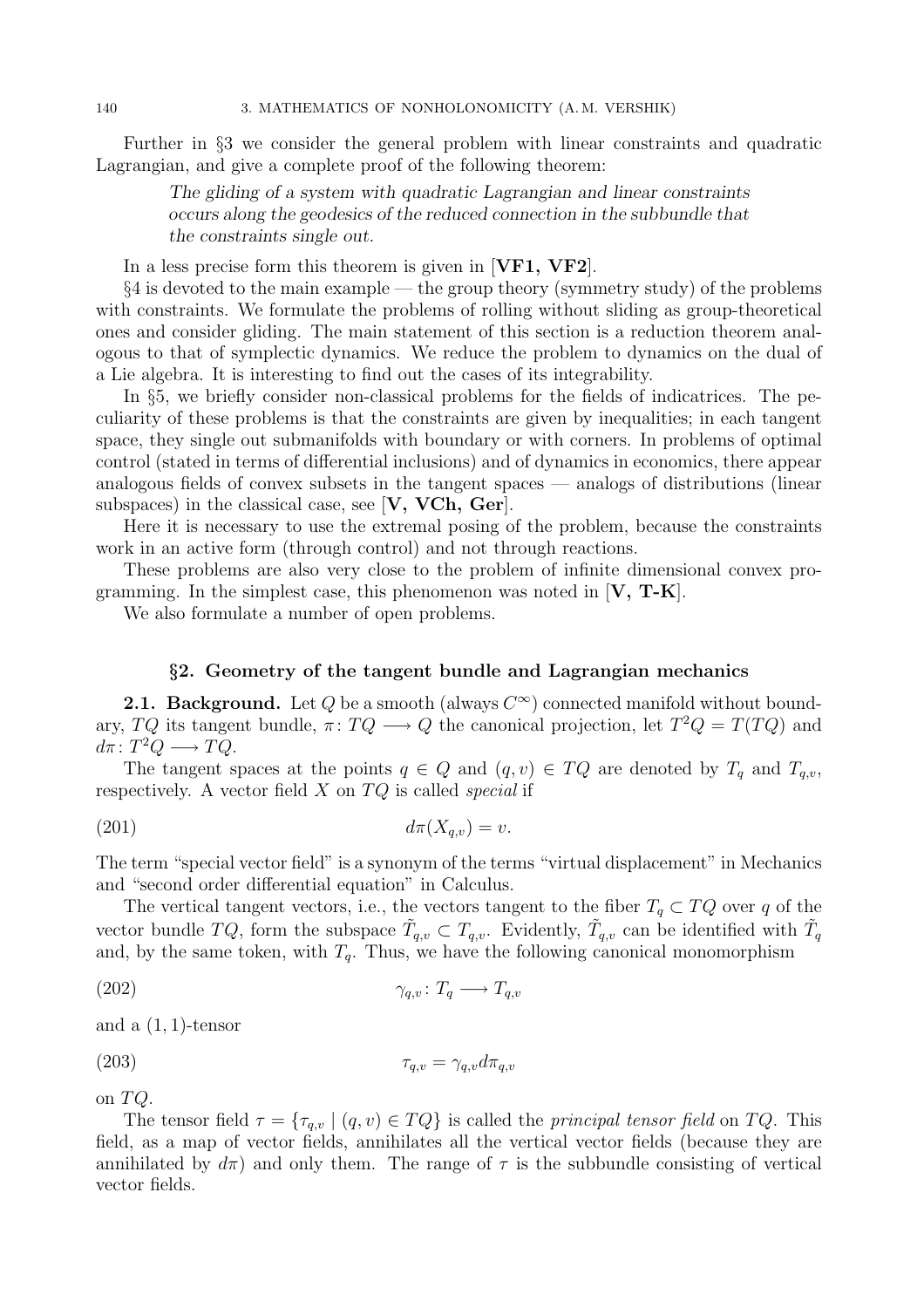Further in §3 we consider the general problem with linear constraints and quadratic Lagrangian, and give a complete proof of the following theorem:

> The gliding of a system with quadratic Lagrangian and linear constraints occurs along the geodesics of the reduced connection in the subbundle that the constraints single out.

In a less precise form this theorem is given in [VF1, VF2].

§4 is devoted to the main example — the group theory (symmetry study) of the problems with constraints. We formulate the problems of rolling without sliding as group-theoretical ones and consider gliding. The main statement of this section is a reduction theorem analogous to that of symplectic dynamics. We reduce the problem to dynamics on the dual of a Lie algebra. It is interesting to find out the cases of its integrability.

In §5, we briefly consider non-classical problems for the fields of indicatrices. The peculiarity of these problems is that the constraints are given by inequalities; in each tangent space, they single out submanifolds with boundary or with corners. In problems of optimal control (stated in terms of differential inclusions) and of dynamics in economics, there appear analogous fields of convex subsets in the tangent spaces — analogs of distributions (linear subspaces) in the classical case, see [V, VCh, Ger].

Here it is necessary to use the extremal posing of the problem, because the constraints work in an active form (through control) and not through reactions.

These problems are also very close to the problem of infinite dimensional convex programming. In the simplest case, this phenomenon was noted in  $[V, T-K]$ .

We also formulate a number of open problems.

### §2. Geometry of the tangent bundle and Lagrangian mechanics

**2.1. Background.** Let Q be a smooth (always  $C^{\infty}$ ) connected manifold without boundary,  $TQ$  its tangent bundle,  $\pi: TQ \longrightarrow Q$  the canonical projection, let  $T^2Q = T(TQ)$  and  $d\pi\colon T^2Q\longrightarrow TQ.$ 

The tangent spaces at the points  $q \in Q$  and  $(q, v) \in TQ$  are denoted by  $T_q$  and  $T_{q,v}$ , respectively. A vector field  $X$  on  $TQ$  is called *special* if

$$
d\pi(X_{q,v}) = v.
$$

The term "special vector field" is a synonym of the terms "virtual displacement" in Mechanics and "second order differential equation" in Calculus.

The vertical tangent vectors, i.e., the vectors tangent to the fiber  $T_q \subset TQ$  over q of the vector bundle TQ, form the subspace  $\tilde{T}_{q,v} \subset T_{q,v}$ . Evidently,  $\tilde{T}_{q,v}$  can be identified with  $\tilde{T}_q$ and, by the same token, with  $T_q$ . Thus, we have the following canonical monomorphism

$$
\gamma_{q,v} \colon T_q \longrightarrow T_{q,v}
$$

and a  $(1, 1)$ -tensor

$$
\tau_{q,v} = \gamma_{q,v} d\pi_{q,v}
$$

on TQ.

The tensor field  $\tau = {\tau_{q,v} | (q, v) \in TQ}$  is called the *principal tensor field* on TQ. This field, as a map of vector fields, annihilates all the vertical vector fields (because they are annihilated by  $d\pi$ ) and only them. The range of  $\tau$  is the subbundle consisting of vertical vector fields.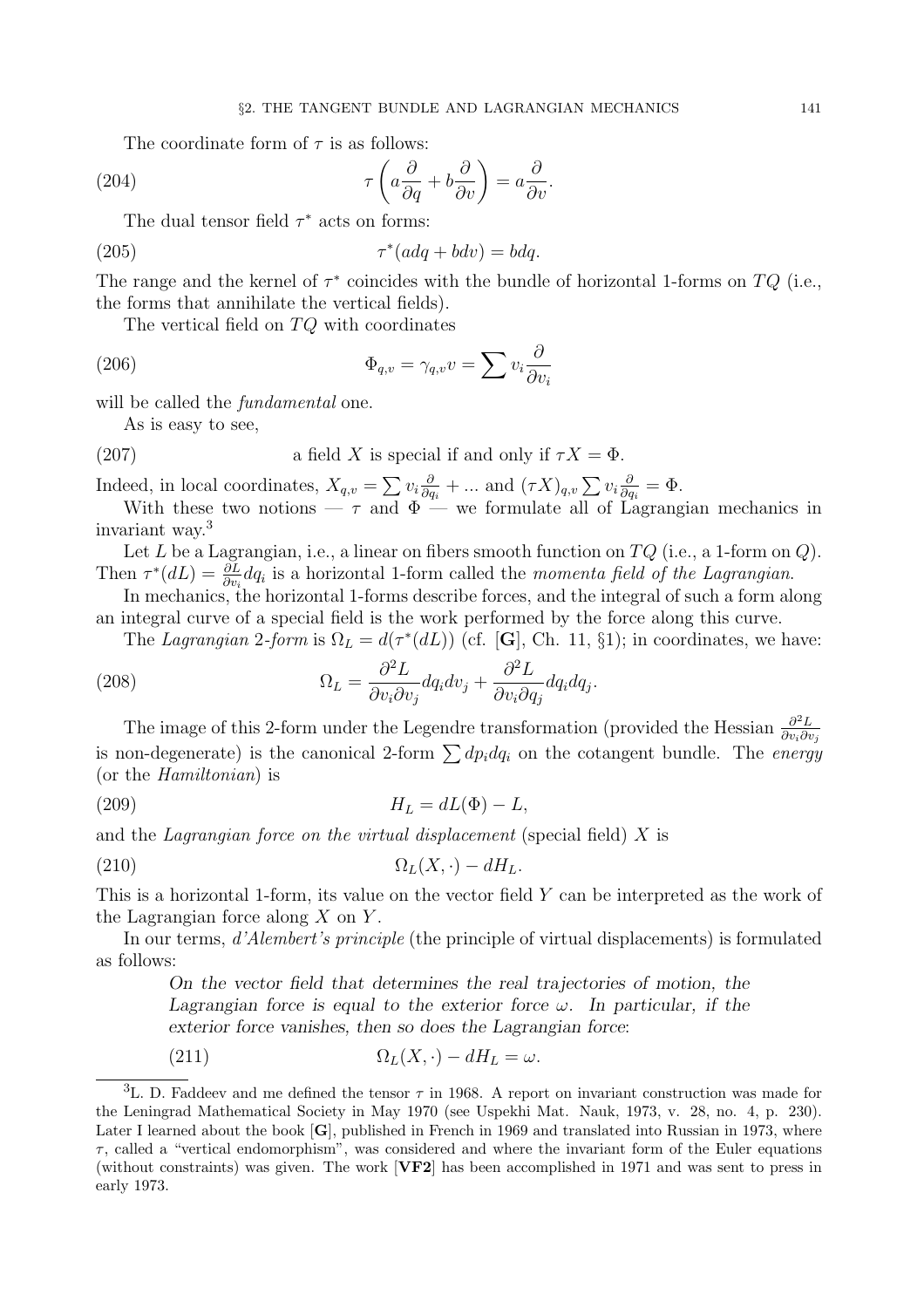The coordinate form of  $\tau$  is as follows:

(204) 
$$
\tau \left( a \frac{\partial}{\partial q} + b \frac{\partial}{\partial v} \right) = a \frac{\partial}{\partial v}.
$$

The dual tensor field  $\tau^*$  acts on forms:

(205) τ ∗ (adq + bdv) = bdq.

The range and the kernel of  $\tau^*$  coincides with the bundle of horizontal 1-forms on  $TQ$  (i.e., the forms that annihilate the vertical fields).

The vertical field on TQ with coordinates

(206) 
$$
\Phi_{q,v} = \gamma_{q,v} v = \sum v_i \frac{\partial}{\partial v_i}
$$

will be called the *fundamental* one.

As is easy to see,

(207) a field X is special if and only if 
$$
\tau X = \Phi
$$
.

Indeed, in local coordinates,  $X_{q,v} = \sum v_i \frac{\partial}{\partial q_i}$  $\frac{\partial}{\partial q_i} + \dots$  and  $(\tau X)_{q,v} \sum_i v_i \frac{\partial}{\partial q_i}$  $\frac{\partial}{\partial q_i} = \Phi.$ 

With these two notions  $-\tau$  and  $\Phi$  — we formulate all of Lagrangian mechanics in invariant way.<sup>3</sup>

Let L be a Lagrangian, i.e., a linear on fibers smooth function on  $TQ$  (i.e., a 1-form on  $Q$ ). Then  $\tau^*(dL) = \frac{\partial L}{\partial v_i} dq_i$  is a horizontal 1-form called the momenta field of the Lagrangian.

In mechanics, the horizontal 1-forms describe forces, and the integral of such a form along an integral curve of a special field is the work performed by the force along this curve.

The Lagrangian 2-form is  $\Omega_L = d(\tau^*(dL))$  (cf. [**G**], Ch. 11, §1); in coordinates, we have:

.

(208) 
$$
\Omega_L = \frac{\partial^2 L}{\partial v_i \partial v_j} dq_i dv_j + \frac{\partial^2 L}{\partial v_i \partial q_j} dq_i dq_j
$$

The image of this 2-form under the Legendre transformation (provided the Hessian  $\frac{\partial^2 L}{\partial x \cdot \partial t}$  $\partial v_i\partial v_j$ is non-degenerate) is the canonical 2-form  $\sum dp_i dq_i$  on the cotangent bundle. The energy (or the Hamiltonian) is

$$
(209) \t\t\t H_L = dL(\Phi) - L,
$$

and the Lagrangian force on the virtual displacement (special field)  $X$  is

$$
\Omega_L(X,\cdot) - dH_L.
$$

This is a horizontal 1-form, its value on the vector field Y can be interpreted as the work of the Lagrangian force along  $X$  on  $Y$ .

In our terms, d'Alembert's principle (the principle of virtual displacements) is formulated as follows:

On the vector field that determines the real trajectories of motion, the Lagrangian force is equal to the exterior force  $\omega$ . In particular, if the exterior force vanishes, then so does the Lagrangian force:

(211) 
$$
\Omega_L(X,\cdot) - dH_L = \omega.
$$

<sup>&</sup>lt;sup>3</sup>L. D. Faddeev and me defined the tensor  $\tau$  in 1968. A report on invariant construction was made for the Leningrad Mathematical Society in May 1970 (see Uspekhi Mat. Nauk, 1973, v. 28, no. 4, p. 230). Later I learned about the book [G], published in French in 1969 and translated into Russian in 1973, where  $\tau$ , called a "vertical endomorphism", was considered and where the invariant form of the Euler equations (without constraints) was given. The work [VF2] has been accomplished in 1971 and was sent to press in early 1973.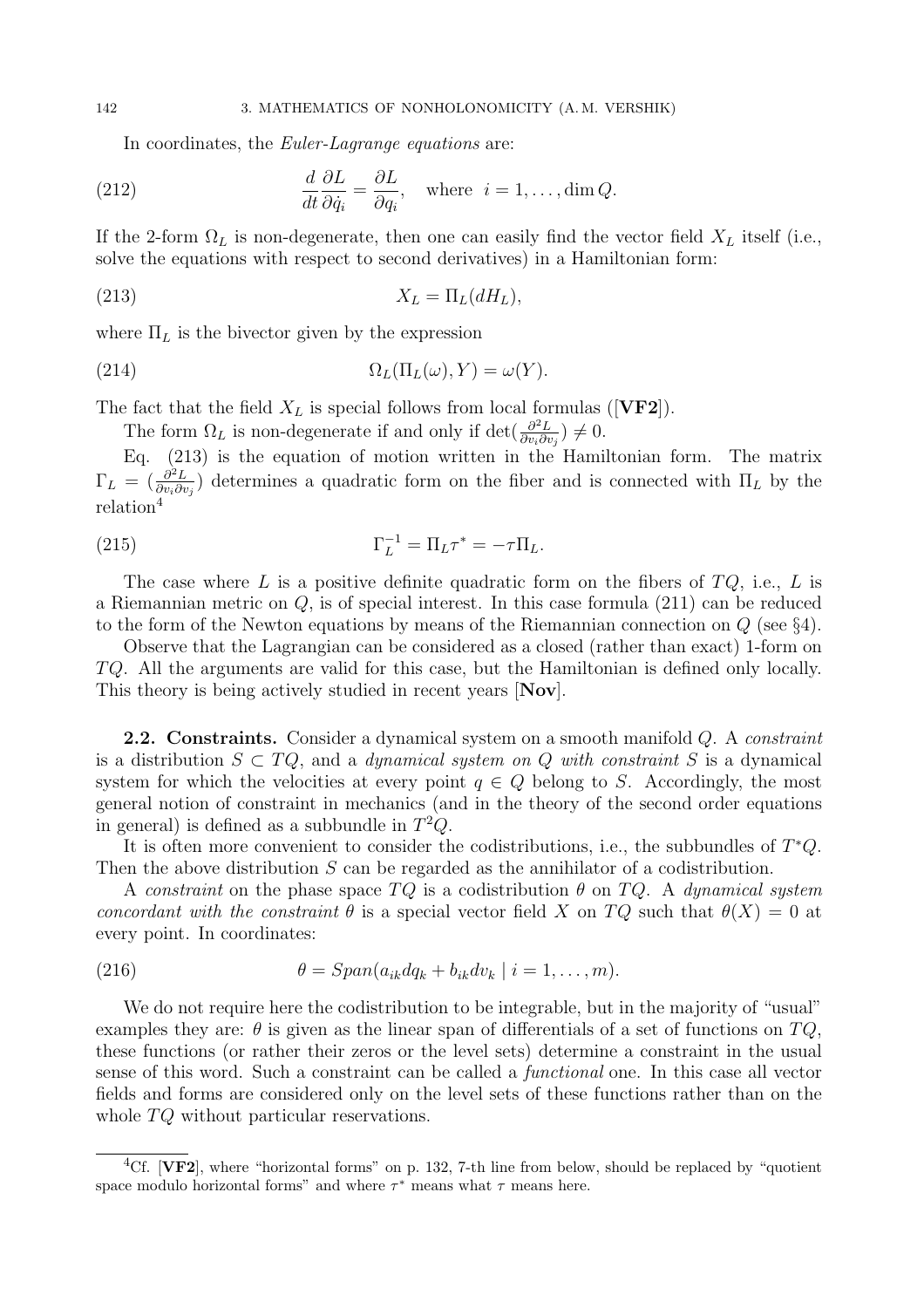In coordinates, the *Euler-Lagrange equations* are:

(212) 
$$
\frac{d}{dt}\frac{\partial L}{\partial \dot{q}_i} = \frac{\partial L}{\partial q_i}, \text{ where } i = 1, ..., \dim Q.
$$

If the 2-form  $\Omega_L$  is non-degenerate, then one can easily find the vector field  $X_L$  itself (i.e., solve the equations with respect to second derivatives) in a Hamiltonian form:

$$
(213) \t\t X_L = \Pi_L(dH_L),
$$

where  $\Pi_L$  is the bivector given by the expression

(214) 
$$
\Omega_L(\Pi_L(\omega), Y) = \omega(Y).
$$

The fact that the field  $X_L$  is special follows from local formulas ([VF2]).

The form  $\Omega_L$  is non-degenerate if and only if det $\left(\frac{\partial^2 L}{\partial w \partial v}\right)$  $\frac{\partial^2 L}{\partial v_i \partial v_j}$   $\neq 0$ .

Eq. (213) is the equation of motion written in the Hamiltonian form. The matrix  $\Gamma_L = \left(\frac{\partial^2 L}{\partial v_i \partial v_j}\right)$  $\frac{\partial^2 L}{\partial v_i \partial v_j}$  determines a quadratic form on the fiber and is connected with  $\Pi_L$  by the relation<sup>4</sup>

(215) 
$$
\Gamma_L^{-1} = \Pi_L \tau^* = -\tau \Pi_L.
$$

The case where L is a positive definite quadratic form on the fibers of  $TQ$ , i.e., L is a Riemannian metric on  $Q$ , is of special interest. In this case formula  $(211)$  can be reduced to the form of the Newton equations by means of the Riemannian connection on  $Q$  (see §4).

Observe that the Lagrangian can be considered as a closed (rather than exact) 1-form on TQ. All the arguments are valid for this case, but the Hamiltonian is defined only locally. This theory is being actively studied in recent years [Nov].

**2.2. Constraints.** Consider a dynamical system on a smooth manifold  $Q$ . A *constraint* is a distribution  $S \subset TQ$ , and a *dynamical system on Q with constraint* S is a dynamical system for which the velocities at every point  $q \in Q$  belong to S. Accordingly, the most general notion of constraint in mechanics (and in the theory of the second order equations in general) is defined as a subbundle in  $T^2Q$ .

It is often more convenient to consider the codistributions, i.e., the subbundles of T <sup>∗</sup>Q. Then the above distribution S can be regarded as the annihilator of a codistribution.

A constraint on the phase space  $TQ$  is a codistribution  $\theta$  on  $TQ$ . A dynamical system concordant with the constraint  $\theta$  is a special vector field X on TQ such that  $\theta(X) = 0$  at every point. In coordinates:

(216) 
$$
\theta = Span(a_{ik}dq_k + b_{ik}dv_k \mid i = 1,\ldots,m).
$$

We do not require here the codistribution to be integrable, but in the majority of "usual" examples they are:  $\theta$  is given as the linear span of differentials of a set of functions on  $TQ$ , these functions (or rather their zeros or the level sets) determine a constraint in the usual sense of this word. Such a constraint can be called a functional one. In this case all vector fields and forms are considered only on the level sets of these functions rather than on the whole  $TQ$  without particular reservations.

<sup>&</sup>lt;sup>4</sup>Cf. **[VF2]**, where "horizontal forms" on p. 132, 7-th line from below, should be replaced by "quotient" space modulo horizontal forms" and where  $\tau^*$  means what  $\tau$  means here.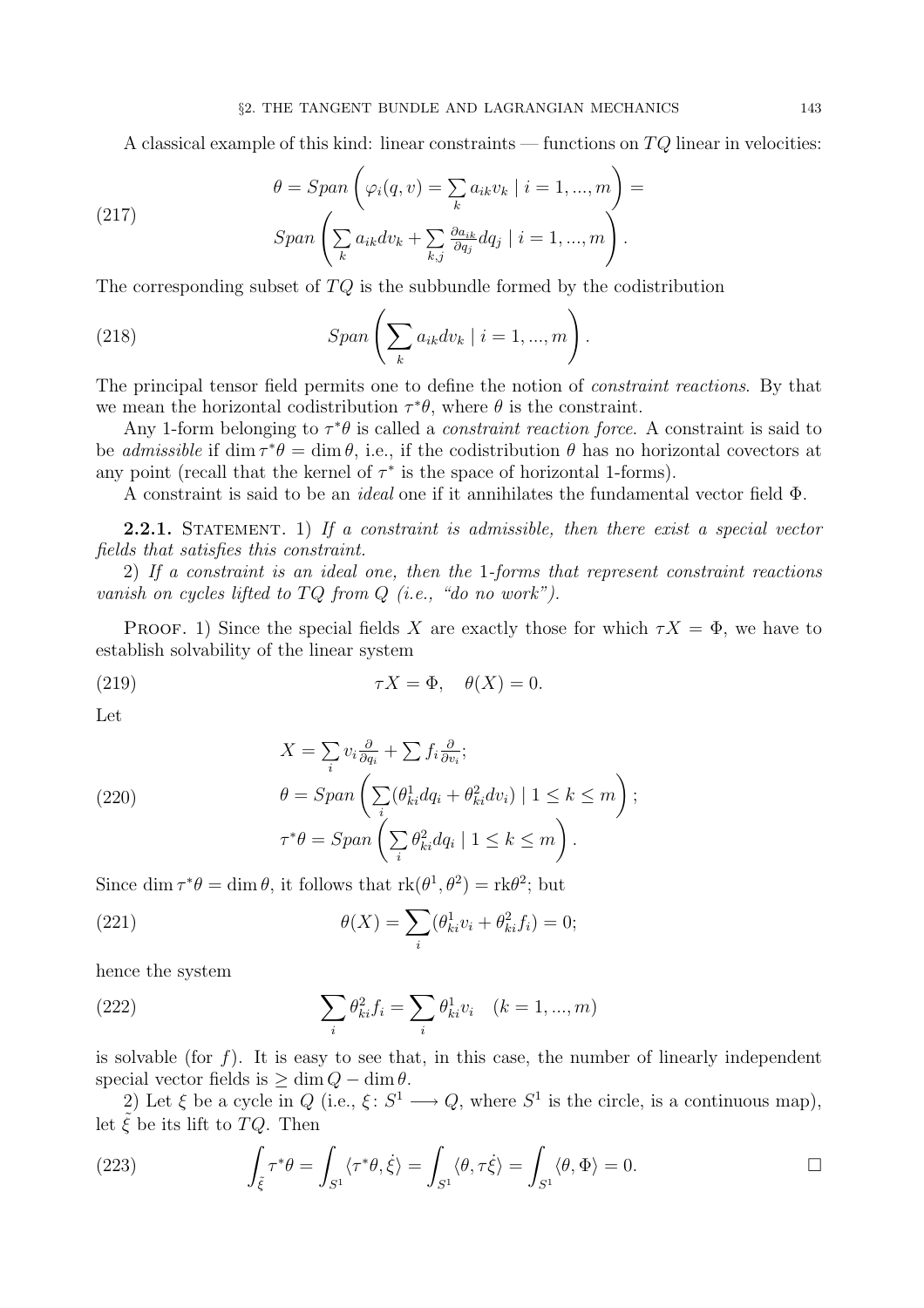A classical example of this kind: linear constraints — functions on  $TQ$  linear in velocities:

(217) 
$$
\theta = Span\left(\varphi_i(q, v) = \sum_k a_{ik} v_k \mid i = 1, ..., m\right) =
$$

$$
Span\left(\sum_k a_{ik} dv_k + \sum_{k,j} \frac{\partial a_{ik}}{\partial q_j} dq_j \mid i = 1, ..., m\right).
$$

The corresponding subset of TQ is the subbundle formed by the codistribution

(218) 
$$
Span\left(\sum_{k} a_{ik} dv_k \mid i = 1, ..., m\right).
$$

The principal tensor field permits one to define the notion of constraint reactions. By that we mean the horizontal codistribution  $\tau^*\theta$ , where  $\theta$  is the constraint.

Any 1-form belonging to  $\tau^*\theta$  is called a *constraint reaction force*. A constraint is said to be *admissible* if dim  $\tau^*\theta = \dim \theta$ , i.e., if the codistribution  $\theta$  has no horizontal covectors at any point (recall that the kernel of  $\tau^*$  is the space of horizontal 1-forms).

A constraint is said to be an ideal one if it annihilates the fundamental vector field Φ.

**2.2.1.** STATEMENT. 1) If a constraint is admissible, then there exist a special vector fields that satisfies this constraint.

2) If a constraint is an ideal one, then the 1-forms that represent constraint reactions vanish on cycles lifted to  $TQ$  from  $Q$  (i.e., "do no work").

**PROOF.** 1) Since the special fields X are exactly those for which  $\tau X = \Phi$ , we have to establish solvability of the linear system

(219) 
$$
\tau X = \Phi, \quad \theta(X) = 0.
$$

Let

(220)  
\n
$$
X = \sum_{i} v_{i} \frac{\partial}{\partial q_{i}} + \sum f_{i} \frac{\partial}{\partial v_{i}};
$$
\n
$$
\theta = Span\left(\sum_{i} (\theta_{ki}^{1} dq_{i} + \theta_{ki}^{2} dv_{i}) \mid 1 \leq k \leq m\right);
$$
\n
$$
\tau^{*}\theta = Span\left(\sum_{i} \theta_{ki}^{2} dq_{i} \mid 1 \leq k \leq m\right).
$$

Since  $\dim \tau^* \theta = \dim \theta$ , it follows that  $\text{rk}(\theta^1, \theta^2) = \text{rk}\theta^2$ ; but

(221) 
$$
\theta(X) = \sum_{i} (\theta_{ki}^{1} v_i + \theta_{ki}^{2} f_i) = 0;
$$

hence the system

(222) 
$$
\sum_{i} \theta_{ki}^{2} f_{i} = \sum_{i} \theta_{ki}^{1} v_{i} \quad (k = 1, ..., m)
$$

is solvable (for  $f$ ). It is easy to see that, in this case, the number of linearly independent special vector fields is  $\geq \dim Q - \dim \theta$ .

2) Let  $\xi$  be a cycle in  $Q$  (i.e.,  $\xi: S^1 \longrightarrow Q$ , where  $S^1$  is the circle, is a continuous map), let  $\tilde{\xi}$  be its lift to TQ. Then

(223) 
$$
\int_{\tilde{\xi}} \tau^* \theta = \int_{S^1} \langle \tau^* \theta, \dot{\xi} \rangle = \int_{S^1} \langle \theta, \tau \dot{\xi} \rangle = \int_{S^1} \langle \theta, \Phi \rangle = 0.
$$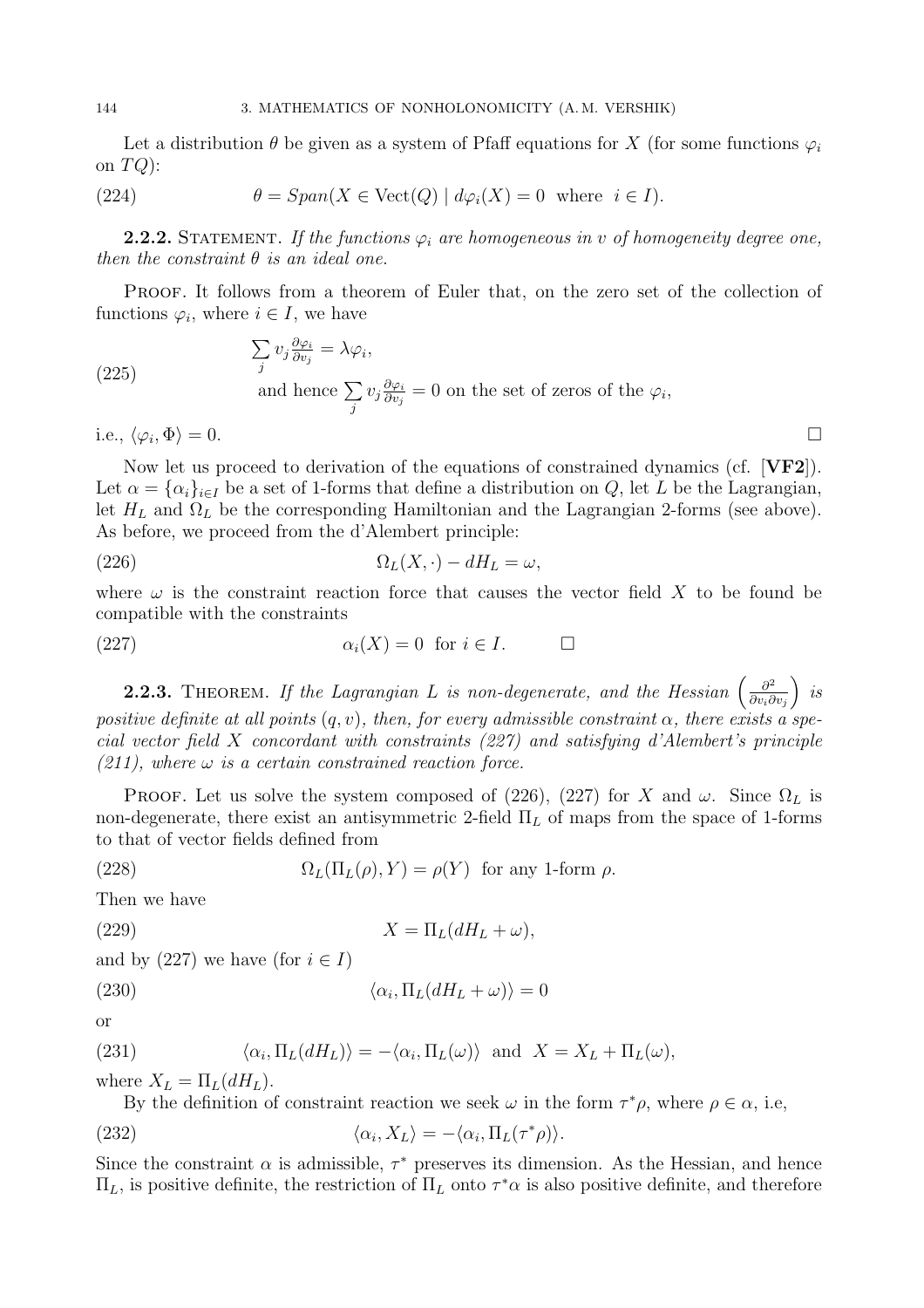Let a distribution  $\theta$  be given as a system of Pfaff equations for X (for some functions  $\varphi_i$ on  $TQ$ :

(224) 
$$
\theta = Span(X \in \text{Vect}(Q) \mid d\varphi_i(X) = 0 \text{ where } i \in I).
$$

**2.2.2.** STATEMENT. If the functions  $\varphi_i$  are homogeneous in v of homogeneity degree one, then the constraint  $\theta$  is an ideal one.

PROOF. It follows from a theorem of Euler that, on the zero set of the collection of functions  $\varphi_i$ , where  $i \in I$ , we have

(225) 
$$
\sum_{j} v_{j} \frac{\partial \varphi_{i}}{\partial v_{j}} = \lambda \varphi_{i},
$$
  
and hence 
$$
\sum_{j} v_{j} \frac{\partial \varphi_{i}}{\partial v_{j}} = 0
$$
 on the set of zeros of the  $\varphi_{i}$ ,

i.e.,  $\langle \varphi_i, \Phi \rangle = 0$ .  $\langle \Phi \rangle = 0.$ 

Now let us proceed to derivation of the equations of constrained dynamics (cf. [VF2]). Let  $\alpha = {\alpha_i}_{i\in I}$  be a set of 1-forms that define a distribution on Q, let L be the Lagrangian, let  $H_L$  and  $\Omega_L$  be the corresponding Hamiltonian and the Lagrangian 2-forms (see above). As before, we proceed from the d'Alembert principle:

(226) 
$$
\Omega_L(X,\cdot) - dH_L = \omega,
$$

where  $\omega$  is the constraint reaction force that causes the vector field X to be found be compatible with the constraints

(227) 
$$
\alpha_i(X) = 0 \text{ for } i \in I. \qquad \Box
$$

**2.2.3.** THEOREM. If the Lagrangian L is non-degenerate, and the Hessian  $\left(\frac{\partial^2}{\partial w \partial w}\right)^2$  $\partial v_i\partial v_j$  $\big)$  is positive definite at all points  $(q, v)$ , then, for every admissible constraint  $\alpha$ , there exists a special vector field X concordant with constraints (227) and satisfying d'Alembert's principle  $(211)$ , where  $\omega$  is a certain constrained reaction force.

**PROOF.** Let us solve the system composed of (226), (227) for X and  $\omega$ . Since  $\Omega_L$  is non-degenerate, there exist an antisymmetric 2-field  $\Pi_L$  of maps from the space of 1-forms to that of vector fields defined from

(228) 
$$
\Omega_L(\Pi_L(\rho), Y) = \rho(Y) \text{ for any 1-form } \rho.
$$

Then we have

(229) 
$$
X = \Pi_L(dH_L + \omega),
$$

and by (227) we have (for  $i \in I$ )

(230) 
$$
\langle \alpha_i, \Pi_L(dH_L + \omega) \rangle = 0
$$

or

(231) 
$$
\langle \alpha_i, \Pi_L(dH_L) \rangle = -\langle \alpha_i, \Pi_L(\omega) \rangle \text{ and } X = X_L + \Pi_L(\omega),
$$

where  $X_L = \Pi_L(dH_L)$ .

By the definition of constraint reaction we seek  $\omega$  in the form  $\tau^*\rho$ , where  $\rho \in \alpha$ , i.e,

(232) 
$$
\langle \alpha_i, X_L \rangle = -\langle \alpha_i, \Pi_L(\tau^* \rho) \rangle.
$$

Since the constraint  $\alpha$  is admissible,  $\tau^*$  preserves its dimension. As the Hessian, and hence  $\Pi_L$ , is positive definite, the restriction of  $\Pi_L$  onto  $\tau^*\alpha$  is also positive definite, and therefore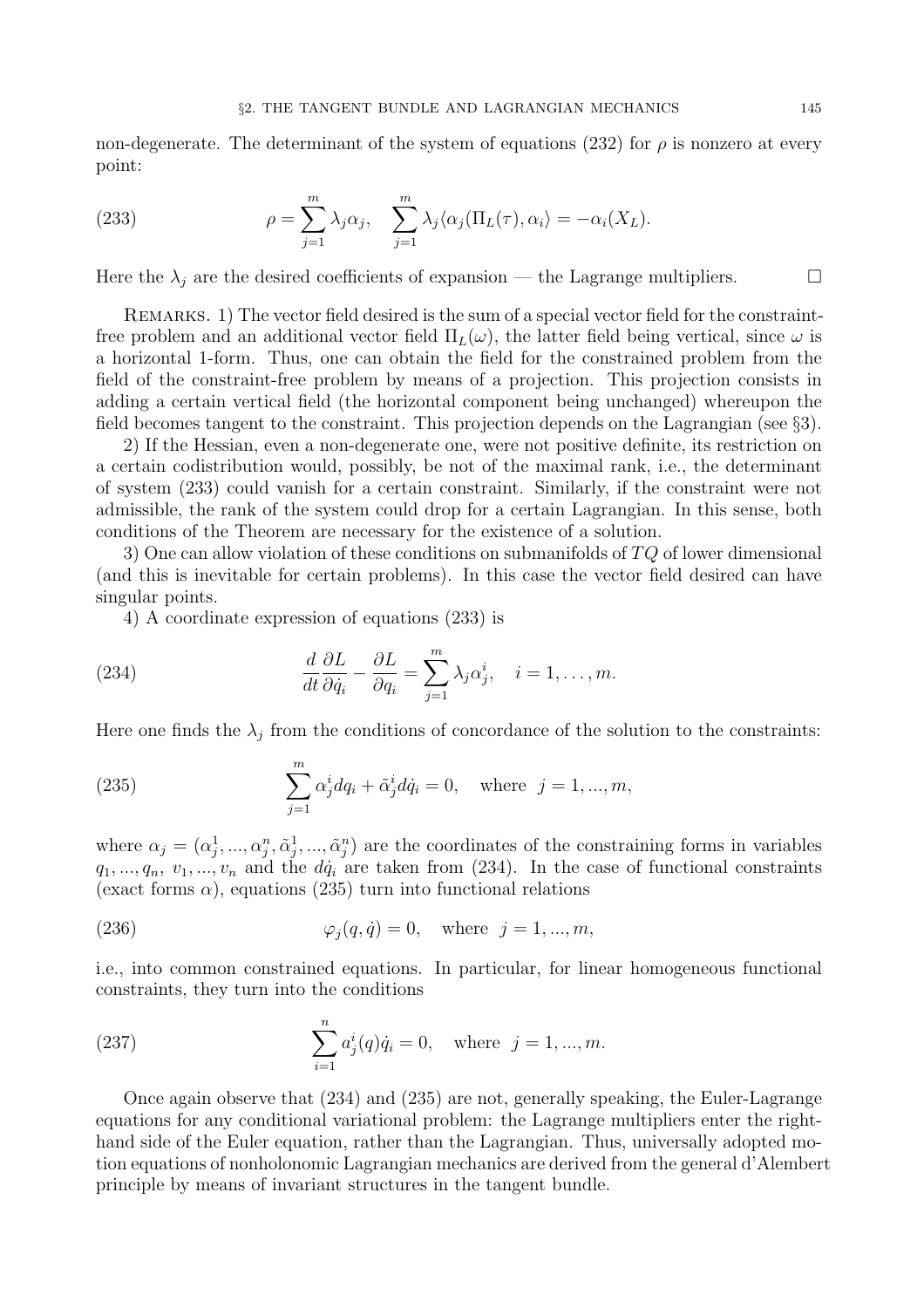non-degenerate. The determinant of the system of equations (232) for  $\rho$  is nonzero at every point:

(233) 
$$
\rho = \sum_{j=1}^{m} \lambda_j \alpha_j, \quad \sum_{j=1}^{m} \lambda_j \langle \alpha_j (\Pi_L(\tau), \alpha_i \rangle = -\alpha_i(X_L).
$$

Here the  $\lambda_j$  are the desired coefficients of expansion — the Lagrange multipliers.  $\Box$ 

Remarks. 1) The vector field desired is the sum of a special vector field for the constraintfree problem and an additional vector field  $\Pi_L(\omega)$ , the latter field being vertical, since  $\omega$  is a horizontal 1-form. Thus, one can obtain the field for the constrained problem from the field of the constraint-free problem by means of a projection. This projection consists in adding a certain vertical field (the horizontal component being unchanged) whereupon the field becomes tangent to the constraint. This projection depends on the Lagrangian (see §3).

2) If the Hessian, even a non-degenerate one, were not positive definite, its restriction on a certain codistribution would, possibly, be not of the maximal rank, i.e., the determinant of system (233) could vanish for a certain constraint. Similarly, if the constraint were not admissible, the rank of the system could drop for a certain Lagrangian. In this sense, both conditions of the Theorem are necessary for the existence of a solution.

3) One can allow violation of these conditions on submanifolds of TQ of lower dimensional (and this is inevitable for certain problems). In this case the vector field desired can have singular points.

4) A coordinate expression of equations (233) is

(234) 
$$
\frac{d}{dt}\frac{\partial L}{\partial \dot{q}_i} - \frac{\partial L}{\partial q_i} = \sum_{j=1}^m \lambda_j \alpha_j^i, \quad i = 1, \dots, m.
$$

Here one finds the  $\lambda_j$  from the conditions of concordance of the solution to the constraints:

(235) 
$$
\sum_{j=1}^{m} \alpha_j^i dq_i + \tilde{\alpha}_j^i d\dot{q}_i = 0, \text{ where } j = 1, ..., m,
$$

where  $\alpha_j = (\alpha_j^1, ..., \alpha_j^n, \tilde{\alpha}_j^1, ..., \tilde{\alpha}_j^n)$  are the coordinates of the constraining forms in variables  $q_1, ..., q_n, v_1, ..., v_n$  and the  $d\dot{q}_i$  are taken from (234). In the case of functional constraints (exact forms  $\alpha$ ), equations (235) turn into functional relations

(236) 
$$
\varphi_j(q, \dot{q}) = 0
$$
, where  $j = 1, ..., m$ ,

i.e., into common constrained equations. In particular, for linear homogeneous functional constraints, they turn into the conditions

(237) 
$$
\sum_{i=1}^{n} a_j^i(q)\dot{q}_i = 0, \text{ where } j = 1, ..., m.
$$

Once again observe that (234) and (235) are not, generally speaking, the Euler-Lagrange equations for any conditional variational problem: the Lagrange multipliers enter the righthand side of the Euler equation, rather than the Lagrangian. Thus, universally adopted motion equations of nonholonomic Lagrangian mechanics are derived from the general d'Alembert principle by means of invariant structures in the tangent bundle.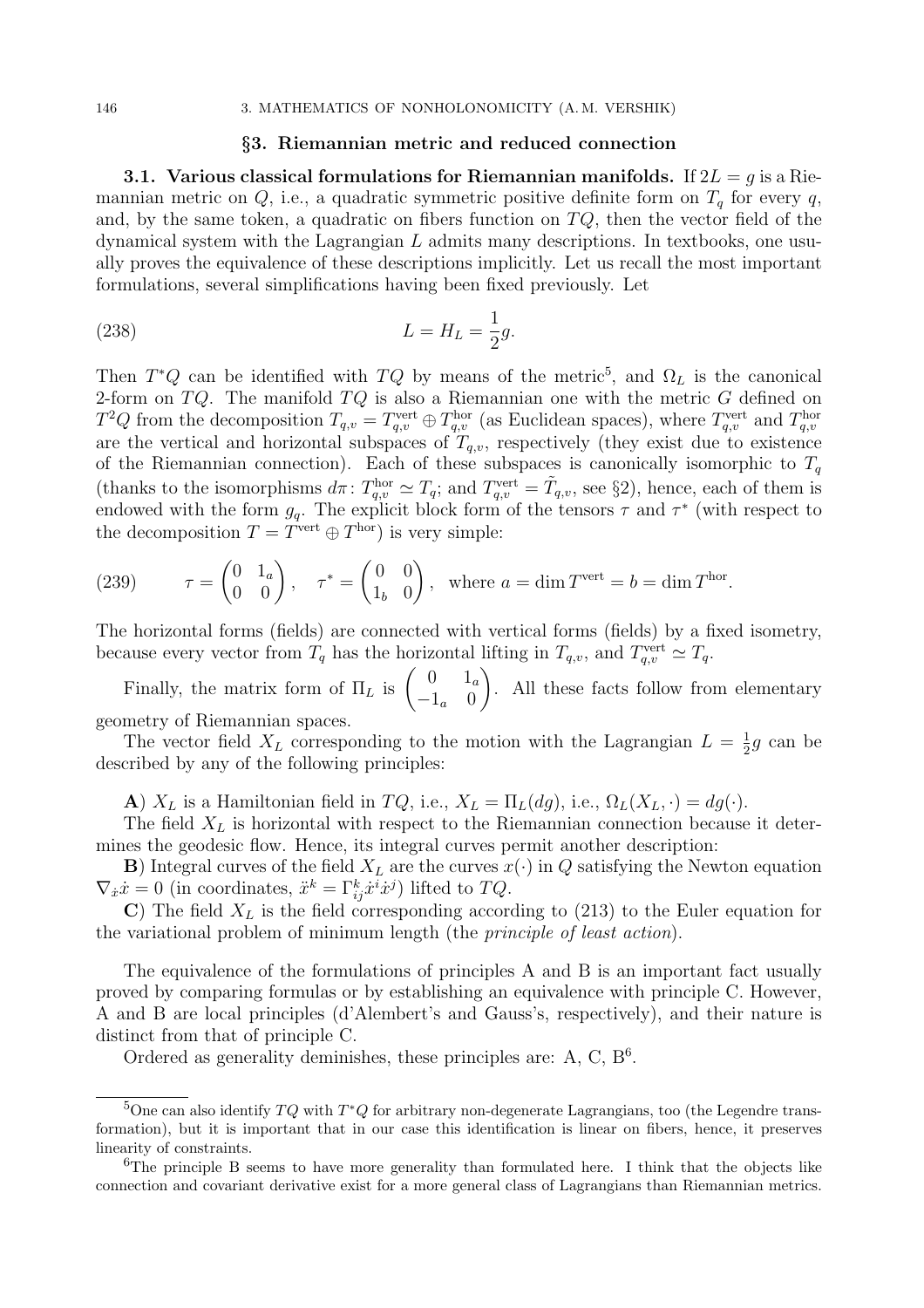## §3. Riemannian metric and reduced connection

3.1. Various classical formulations for Riemannian manifolds. If  $2L = g$  is a Riemannian metric on Q, i.e., a quadratic symmetric positive definite form on  $T<sub>a</sub>$  for every q, and, by the same token, a quadratic on fibers function on  $TQ$ , then the vector field of the dynamical system with the Lagrangian  $L$  admits many descriptions. In textbooks, one usually proves the equivalence of these descriptions implicitly. Let us recall the most important formulations, several simplifications having been fixed previously. Let

(238) 
$$
L = H_L = \frac{1}{2}g.
$$

Then  $T^*Q$  can be identified with  $TQ$  by means of the metric<sup>5</sup>, and  $\Omega_L$  is the canonical 2-form on  $TQ$ . The manifold  $TQ$  is also a Riemannian one with the metric G defined on  $T^2Q$  from the decomposition  $T_{q,v} = T_{q,v}^{\text{vert}} \oplus T_{q,v}^{\text{hor}}$  (as Euclidean spaces), where  $T_{q,v}^{\text{vert}}$  and  $T_{q,v}^{\text{hor}}$ are the vertical and horizontal subspaces of  $T_{q,v}$ , respectively (they exist due to existence of the Riemannian connection). Each of these subspaces is canonically isomorphic to  $T<sub>q</sub>$ (thanks to the isomorphisms  $d\pi$ :  $T_{q,v}^{\text{hor}} \simeq T_q$ ; and  $T_{q,v}^{\text{vert}} = \tilde{T}_{q,v}$ , see §2), hence, each of them is endowed with the form  $g_q$ . The explicit block form of the tensors  $\tau$  and  $\tau^*$  (with respect to the decomposition  $T = T^{\text{vert}} \oplus T^{\text{hor}}$  is very simple:

(239) 
$$
\tau = \begin{pmatrix} 0 & 1_a \\ 0 & 0 \end{pmatrix}, \quad \tau^* = \begin{pmatrix} 0 & 0 \\ 1_b & 0 \end{pmatrix}, \text{ where } a = \dim T^{\text{vert}} = b = \dim T^{\text{hor}}.
$$

The horizontal forms (fields) are connected with vertical forms (fields) by a fixed isometry, because every vector from  $T_q$  has the horizontal lifting in  $T_{q,v}$ , and  $T_{q,v}^{\text{vert}} \simeq T_q$ .

Finally, the matrix form of  $\Pi_L$  is  $\begin{pmatrix} 0 & 1_a \\ -1 & 0 \end{pmatrix}$  $-1_a$  0  $\setminus$ . All these facts follow from elementary geometry of Riemannian spaces.

The vector field  $X_L$  corresponding to the motion with the Lagrangian  $L = \frac{1}{2}$  $\frac{1}{2}g$  can be described by any of the following principles:

A)  $X_L$  is a Hamiltonian field in  $TQ$ , i.e.,  $X_L = \Pi_L(dg)$ , i.e.,  $\Omega_L(X_L, \cdot) = dg(\cdot)$ .

The field  $X_L$  is horizontal with respect to the Riemannian connection because it determines the geodesic flow. Hence, its integral curves permit another description:

**B**) Integral curves of the field  $X_L$  are the curves  $x(\cdot)$  in Q satisfying the Newton equation  $\nabla_{\dot{x}}\dot{x} = 0$  (in coordinates,  $\ddot{x}^k = \Gamma^k_{ij}\dot{x}^i\dot{x}^j$ ) lifted to  $TQ$ .

C) The field  $X_L$  is the field corresponding according to (213) to the Euler equation for the variational problem of minimum length (the principle of least action).

The equivalence of the formulations of principles A and B is an important fact usually proved by comparing formulas or by establishing an equivalence with principle C. However, A and B are local principles (d'Alembert's and Gauss's, respectively), and their nature is distinct from that of principle C.

Ordered as generality deminishes, these principles are: A, C,  $B<sup>6</sup>$ .

<sup>&</sup>lt;sup>5</sup>One can also identify  $TQ$  with  $T^*Q$  for arbitrary non-degenerate Lagrangians, too (the Legendre transformation), but it is important that in our case this identification is linear on fibers, hence, it preserves linearity of constraints.

<sup>&</sup>lt;sup>6</sup>The principle B seems to have more generality than formulated here. I think that the objects like connection and covariant derivative exist for a more general class of Lagrangians than Riemannian metrics.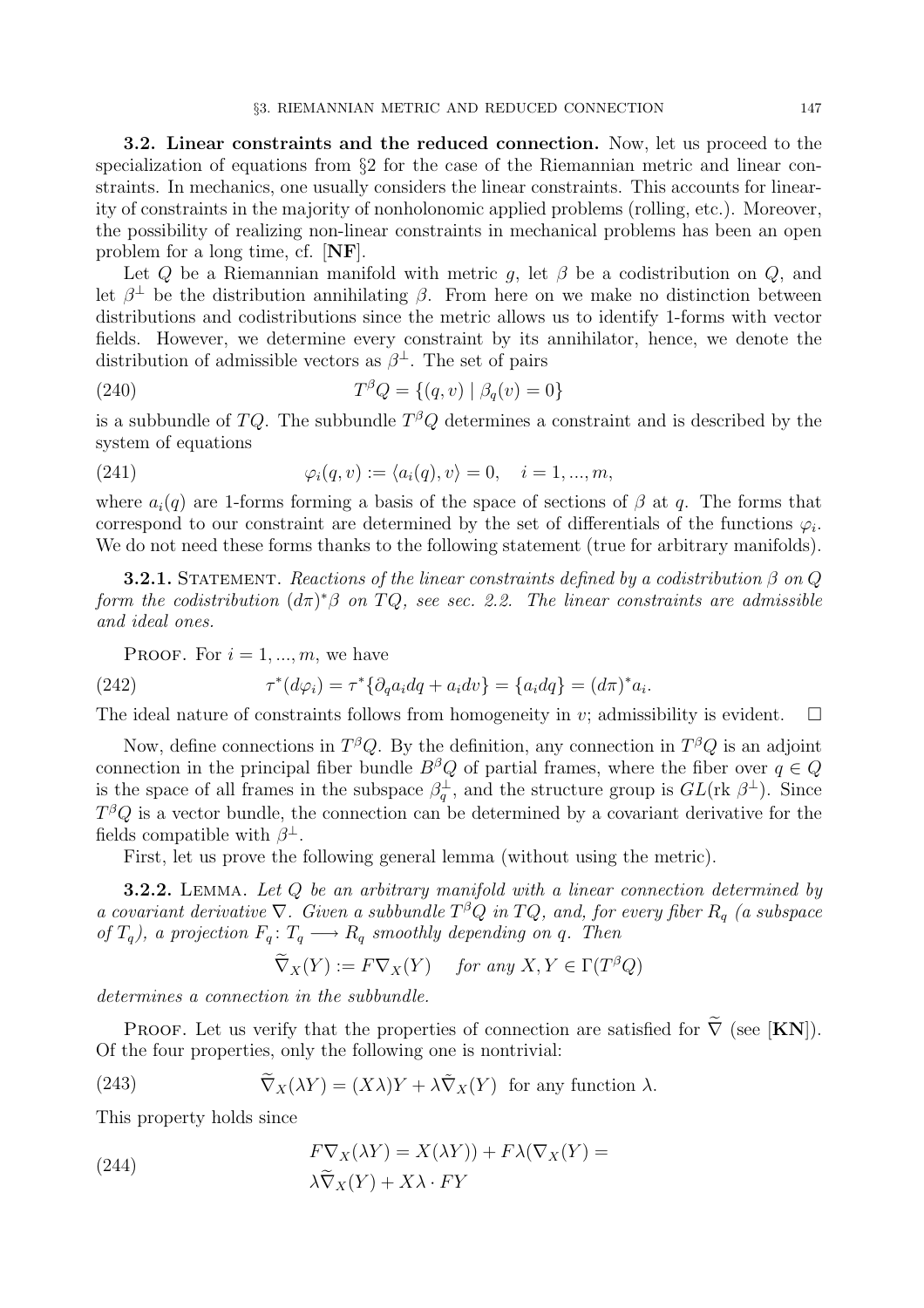3.2. Linear constraints and the reduced connection. Now, let us proceed to the specialization of equations from §2 for the case of the Riemannian metric and linear constraints. In mechanics, one usually considers the linear constraints. This accounts for linearity of constraints in the majority of nonholonomic applied problems (rolling, etc.). Moreover, the possibility of realizing non-linear constraints in mechanical problems has been an open problem for a long time, cf. [NF].

Let  $Q$  be a Riemannian manifold with metric  $g$ , let  $\beta$  be a codistribution on  $Q$ , and let  $\beta^{\perp}$  be the distribution annihilating  $\beta$ . From here on we make no distinction between distributions and codistributions since the metric allows us to identify 1-forms with vector fields. However, we determine every constraint by its annihilator, hence, we denote the distribution of admissible vectors as  $\beta^{\perp}$ . The set of pairs

(240) 
$$
T^{\beta}Q = \{(q, v) | \beta_q(v) = 0\}
$$

is a subbundle of TQ. The subbundle  $T^{\beta}Q$  determines a constraint and is described by the system of equations

(241) 
$$
\varphi_i(q, v) := \langle a_i(q), v \rangle = 0, \quad i = 1, ..., m,
$$

where  $a_i(q)$  are 1-forms forming a basis of the space of sections of  $\beta$  at q. The forms that correspond to our constraint are determined by the set of differentials of the functions  $\varphi_i$ . We do not need these forms thanks to the following statement (true for arbitrary manifolds).

**3.2.1.** STATEMENT. Reactions of the linear constraints defined by a codistribution  $\beta$  on  $Q$ form the codistribution  $(d\pi)^*\beta$  on  $TQ$ , see sec. 2.2. The linear constraints are admissible and ideal ones.

PROOF. For  $i = 1, ..., m$ , we have

(242) 
$$
\tau^*(d\varphi_i) = \tau^*\{\partial_q a_i dq + a_i dv\} = \{a_i dq\} = (d\pi)^* a_i.
$$

The ideal nature of constraints follows from homogeneity in v; admissibility is evident.  $\Box$ 

Now, define connections in  $T^{\beta}Q$ . By the definition, any connection in  $T^{\beta}Q$  is an adjoint connection in the principal fiber bundle  $B^{\beta}Q$  of partial frames, where the fiber over  $q \in Q$ is the space of all frames in the subspace  $\beta_q^{\perp}$ , and the structure group is  $GL(\text{rk }\beta^{\perp})$ . Since  $T^{\beta}Q$  is a vector bundle, the connection can be determined by a covariant derivative for the fields compatible with  $\beta^{\perp}$ .

First, let us prove the following general lemma (without using the metric).

**3.2.2.** LEMMA. Let Q be an arbitrary manifold with a linear connection determined by a covariant derivative  $\nabla$ . Given a subbundle  $T^{\beta}Q$  in  $TQ$ , and, for every fiber  $R_q$  (a subspace of  $T_q$ ), a projection  $F_q: T_q \longrightarrow R_q$  smoothly depending on q. Then

$$
\widetilde{\nabla}_X(Y) := F \nabla_X(Y) \quad \text{ for any } X, Y \in \Gamma(T^{\beta}Q)
$$

determines a connection in the subbundle.

PROOF. Let us verify that the properties of connection are satisfied for  $\tilde{\nabla}$  (see [KN]). Of the four properties, only the following one is nontrivial:

(243) 
$$
\widetilde{\nabla}_X(\lambda Y) = (X\lambda)Y + \lambda \widetilde{\nabla}_X(Y) \text{ for any function } \lambda.
$$

This property holds since

(244) 
$$
F\nabla_X(\lambda Y) = X(\lambda Y)) + F\lambda(\nabla_X(Y)) = \lambda \widetilde{\nabla}_X(Y) + X\lambda \cdot FY
$$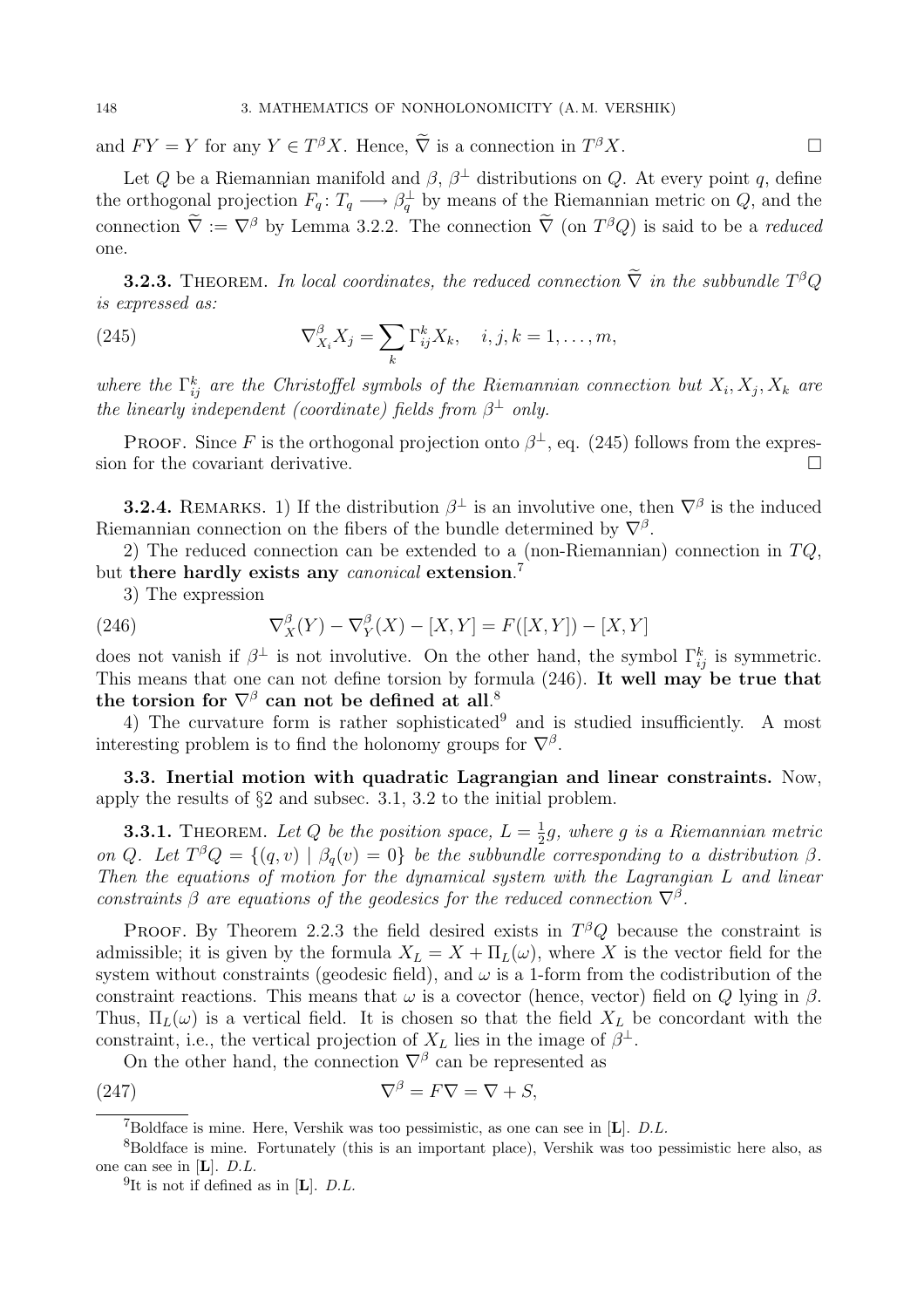and  $FY = Y$  for any  $Y \in T^{\beta}X$ . Hence,  $\tilde{\nabla}$  is a connection in  $T^{\beta}X$ .

Let Q be a Riemannian manifold and  $\beta$ ,  $\beta^{\perp}$  distributions on Q. At every point q, define the orthogonal projection  $F_q: T_q \longrightarrow \beta_q^{\perp}$  by means of the Riemannian metric on Q, and the connection  $\overline{\nabla} := \nabla^{\beta}$  by Lemma 3.2.2. The connection  $\overline{\nabla}$  (on  $T^{\beta}Q$ ) is said to be a *reduced* one.

**3.2.3.** THEOREM. In local coordinates, the reduced connection  $\widetilde{\nabla}$  in the subbundle  $T^{\beta}Q$ is expressed as:

(245) 
$$
\nabla_{X_i}^{\beta} X_j = \sum_k \Gamma_{ij}^k X_k, \quad i, j, k = 1, \dots, m,
$$

where the  $\Gamma_{ij}^k$  are the Christoffel symbols of the Riemannian connection but  $X_i, X_j, X_k$  are the linearly independent (coordinate) fields from  $\beta^{\perp}$  only.

**PROOF.** Since F is the orthogonal projection onto  $\beta^{\perp}$ , eq. (245) follows from the expression for the covariant derivative.  $\Box$ 

**3.2.4.** REMARKS. 1) If the distribution  $\beta^{\perp}$  is an involutive one, then  $\nabla^{\beta}$  is the induced Riemannian connection on the fibers of the bundle determined by  $\nabla^{\beta}$ .

2) The reduced connection can be extended to a (non-Riemannian) connection in  $TQ$ , but there hardly exists any canonical extension.<sup>7</sup>

3) The expression

(246) 
$$
\nabla_X^{\beta}(Y) - \nabla_Y^{\beta}(X) - [X, Y] = F([X, Y]) - [X, Y]
$$

does not vanish if  $\beta^{\perp}$  is not involutive. On the other hand, the symbol  $\Gamma_{ij}^{k}$  is symmetric. This means that one can not define torsion by formula (246). It well may be true that the torsion for  $\nabla^{\beta}$  can not be defined at all.<sup>8</sup>

4) The curvature form is rather sophisticated<sup>9</sup> and is studied insufficiently. A most interesting problem is to find the holonomy groups for  $\nabla^{\beta}$ .

3.3. Inertial motion with quadratic Lagrangian and linear constraints. Now, apply the results of §2 and subsec. 3.1, 3.2 to the initial problem.

**3.3.1.** THEOREM. Let Q be the position space,  $L = \frac{1}{2}$  $\frac{1}{2}g$ , where g is a Riemannian metric on Q. Let  $T^{\beta}Q = \{(q, v) \mid \beta_q(v) = 0\}$  be the subbundle corresponding to a distribution  $\beta$ . Then the equations of motion for the dynamical system with the Lagrangian L and linear constraints  $\beta$  are equations of the geodesics for the reduced connection  $\nabla^{\beta}$ .

PROOF. By Theorem 2.2.3 the field desired exists in  $T^{\beta}Q$  because the constraint is admissible; it is given by the formula  $X_L = X + \Pi_L(\omega)$ , where X is the vector field for the system without constraints (geodesic field), and  $\omega$  is a 1-form from the codistribution of the constraint reactions. This means that  $\omega$  is a covector (hence, vector) field on Q lying in  $\beta$ . Thus,  $\Pi_L(\omega)$  is a vertical field. It is chosen so that the field  $X_L$  be concordant with the constraint, i.e., the vertical projection of  $X_L$  lies in the image of  $\beta^{\perp}$ .

On the other hand, the connection  $\nabla^{\beta}$  can be represented as

(247)  $\nabla^{\beta} = F \nabla = \nabla + S,$ 

<sup>&</sup>lt;sup>7</sup>Boldface is mine. Here, Vershik was too pessimistic, as one can see in  $[L]$ . *D.L.* 

<sup>8</sup>Boldface is mine. Fortunately (this is an important place), Vershik was too pessimistic here also, as one can see in [L]. D.L.

<sup>&</sup>lt;sup>9</sup>It is not if defined as in [**L**].  $D.L$ .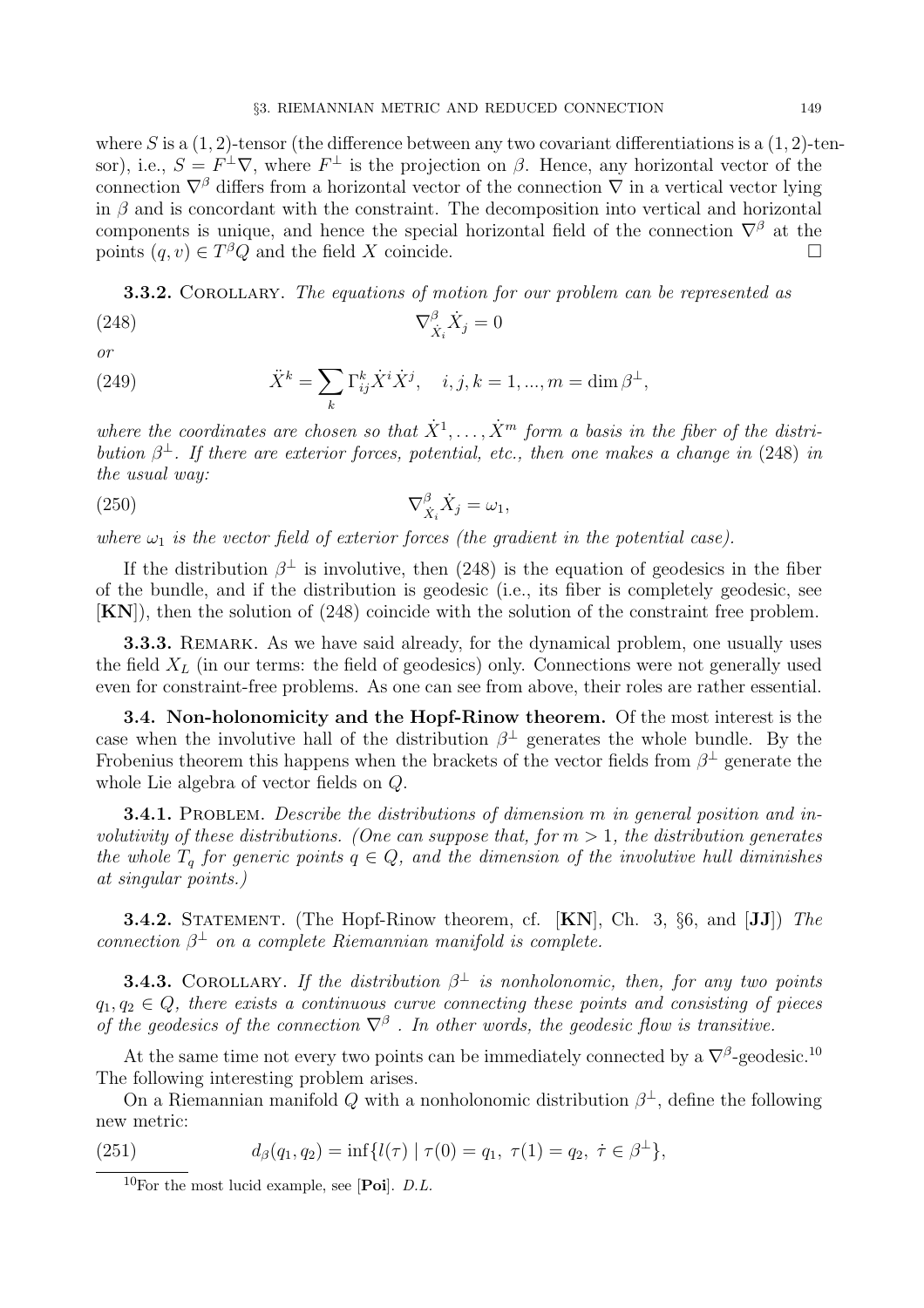where S is a  $(1, 2)$ -tensor (the difference between any two covariant differentiations is a  $(1, 2)$ -tensor), i.e.,  $S = F^{\perp} \nabla$ , where  $F^{\perp}$  is the projection on  $\beta$ . Hence, any horizontal vector of the connection  $\nabla^{\beta}$  differs from a horizontal vector of the connection  $\nabla$  in a vertical vector lying in  $\beta$  and is concordant with the constraint. The decomposition into vertical and horizontal components is unique, and hence the special horizontal field of the connection  $\nabla^{\beta}$  at the points  $(a, v) \in T^{\beta}Q$  and the field X coincide. points  $(q, v) \in T^{\beta}Q$  and the field X coincide.  $\square$ 

**3.3.2.** COROLLARY. The equations of motion for our problem can be represented as

$$
\nabla_{\dot{X}_i}^{\beta} \dot{X}_j = 0
$$

or

(249) 
$$
\ddot{X}^k = \sum_k \Gamma_{ij}^k \dot{X}^i \dot{X}^j, \quad i, j, k = 1, ..., m = \dim \beta^{\perp},
$$

where the coordinates are chosen so that  $\dot{X}^1, \ldots, \dot{X}^m$  form a basis in the fiber of the distribution  $\beta^{\perp}$ . If there are exterior forces, potential, etc., then one makes a change in (248) in the usual way:

$$
\nabla_{\dot{X}_i}^{\beta} \dot{X}_j = \omega_1,
$$

where  $\omega_1$  is the vector field of exterior forces (the gradient in the potential case).

If the distribution  $\beta^{\perp}$  is involutive, then (248) is the equation of geodesics in the fiber of the bundle, and if the distribution is geodesic (i.e., its fiber is completely geodesic, see [KN]), then the solution of (248) coincide with the solution of the constraint free problem.

**3.3.3.** REMARK. As we have said already, for the dynamical problem, one usually uses the field  $X_L$  (in our terms: the field of geodesics) only. Connections were not generally used even for constraint-free problems. As one can see from above, their roles are rather essential.

3.4. Non-holonomicity and the Hopf-Rinow theorem. Of the most interest is the case when the involutive hall of the distribution  $\beta^{\perp}$  generates the whole bundle. By the Frobenius theorem this happens when the brackets of the vector fields from  $\beta^{\perp}$  generate the whole Lie algebra of vector fields on Q.

**3.4.1.** PROBLEM. Describe the distributions of dimension  $m$  in general position and involutivity of these distributions. (One can suppose that, for  $m > 1$ , the distribution generates the whole  $T_q$  for generic points  $q \in Q$ , and the dimension of the involutive hull diminishes at singular points.)

**3.4.2.** STATEMENT. (The Hopf-Rinow theorem, cf. [KN], Ch. 3, §6, and [JJ]) The connection  $\beta^{\perp}$  on a complete Riemannian manifold is complete.

**3.4.3.** COROLLARY. If the distribution  $\beta^{\perp}$  is nonholonomic, then, for any two points  $q_1, q_2 \in Q$ , there exists a continuous curve connecting these points and consisting of pieces of the geodesics of the connection  $\nabla^{\beta}$ . In other words, the geodesic flow is transitive.

At the same time not every two points can be immediately connected by a  $\nabla^{\beta}$ -geodesic.<sup>10</sup> The following interesting problem arises.

On a Riemannian manifold Q with a nonholonomic distribution  $\beta^{\perp}$ , define the following new metric:

(251) 
$$
d_{\beta}(q_1, q_2) = \inf \{ l(\tau) \mid \tau(0) = q_1, \ \tau(1) = q_2, \ \dot{\tau} \in \beta^{\perp} \},
$$

 $10$ For the most lucid example, see [**Poi**]. *D.L.*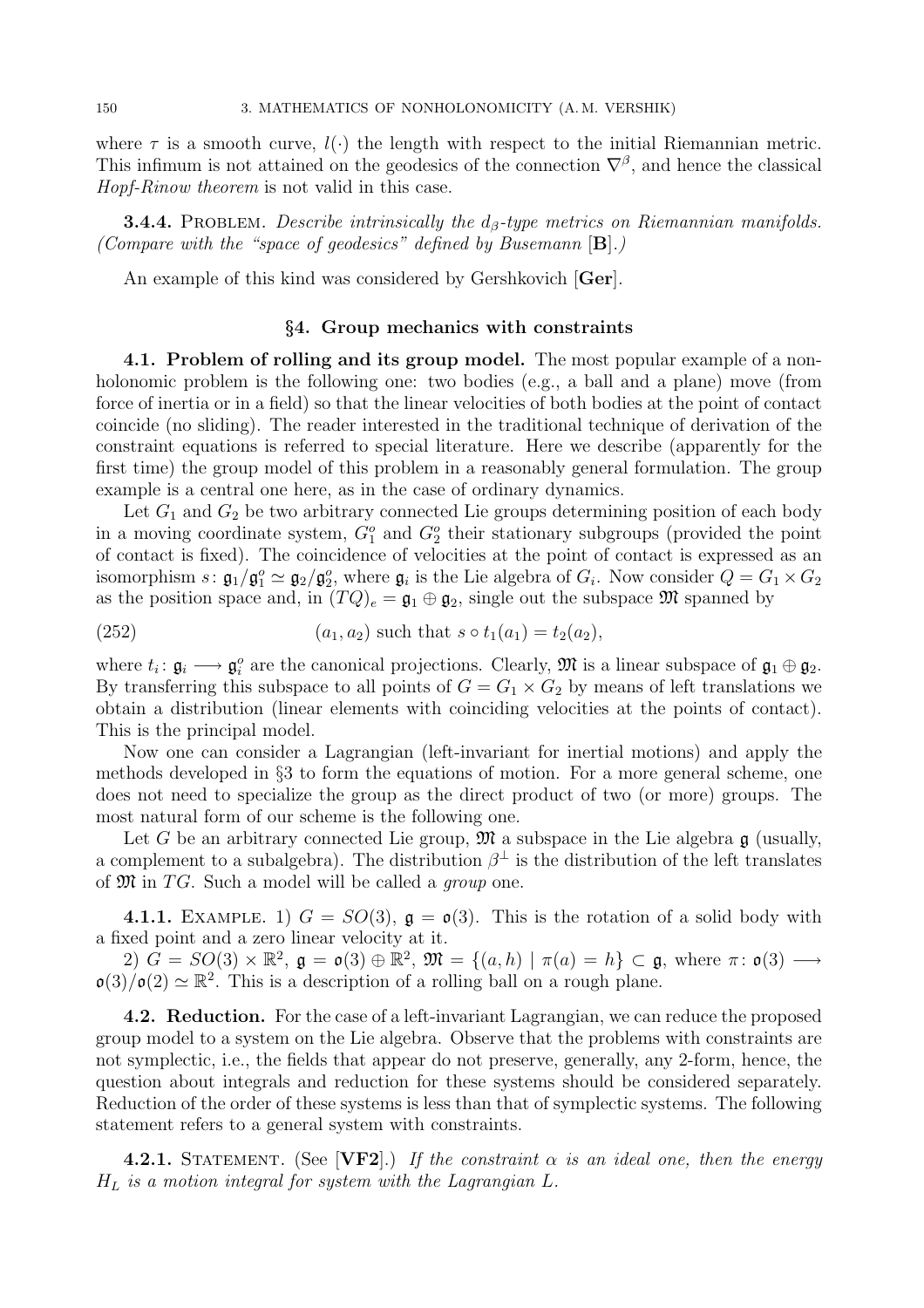where  $\tau$  is a smooth curve,  $l(\cdot)$  the length with respect to the initial Riemannian metric. This infimum is not attained on the geodesics of the connection  $\nabla^{\beta}$ , and hence the classical Hopf-Rinow theorem is not valid in this case.

**3.4.4.** PROBLEM. Describe intrinsically the  $d_{\beta}$ -type metrics on Riemannian manifolds. (Compare with the "space of geodesics" defined by Busemann  $[B]$ .)

An example of this kind was considered by Gershkovich [Ger].

## §4. Group mechanics with constraints

4.1. Problem of rolling and its group model. The most popular example of a nonholonomic problem is the following one: two bodies (e.g., a ball and a plane) move (from force of inertia or in a field) so that the linear velocities of both bodies at the point of contact coincide (no sliding). The reader interested in the traditional technique of derivation of the constraint equations is referred to special literature. Here we describe (apparently for the first time) the group model of this problem in a reasonably general formulation. The group example is a central one here, as in the case of ordinary dynamics.

Let  $G_1$  and  $G_2$  be two arbitrary connected Lie groups determining position of each body in a moving coordinate system,  $G_1^o$  and  $G_2^o$  their stationary subgroups (provided the point of contact is fixed). The coincidence of velocities at the point of contact is expressed as an isomorphism  $s: \mathfrak{g}_1/\mathfrak{g}_1^o \simeq \mathfrak{g}_2/\mathfrak{g}_2^o$ , where  $\mathfrak{g}_i$  is the Lie algebra of  $G_i$ . Now consider  $Q = G_1 \times G_2$ as the position space and, in  $(TQ)_e = \mathfrak{g}_1 \oplus \mathfrak{g}_2$ , single out the subspace  $\mathfrak{M}$  spanned by

(252) 
$$
(a_1, a_2) \text{ such that } s \circ t_1(a_1) = t_2(a_2),
$$

where  $t_i: \mathfrak{g}_i \longrightarrow \mathfrak{g}_i^o$  are the canonical projections. Clearly,  $\mathfrak{M}$  is a linear subspace of  $\mathfrak{g}_1 \oplus \mathfrak{g}_2$ . By transferring this subspace to all points of  $G = G_1 \times G_2$  by means of left translations we obtain a distribution (linear elements with coinciding velocities at the points of contact). This is the principal model.

Now one can consider a Lagrangian (left-invariant for inertial motions) and apply the methods developed in §3 to form the equations of motion. For a more general scheme, one does not need to specialize the group as the direct product of two (or more) groups. The most natural form of our scheme is the following one.

Let G be an arbitrary connected Lie group,  $\mathfrak{M}$  a subspace in the Lie algebra  $\mathfrak{g}$  (usually, a complement to a subalgebra). The distribution  $\beta^{\perp}$  is the distribution of the left translates of  $\mathfrak M$  in TG. Such a model will be called a group one.

4.1.1. EXAMPLE. 1)  $G = SO(3)$ ,  $\mathfrak{g} = \mathfrak{o}(3)$ . This is the rotation of a solid body with a fixed point and a zero linear velocity at it.

 $2)$   $\tilde{G} = SO(3) \times \mathbb{R}^2$ ,  $\mathfrak{g} = \mathfrak{o}(3) \oplus \mathbb{R}^2$ ,  $\mathfrak{M} = \{(a, h) \mid \pi(a) = h\} \subset \mathfrak{g}$ , where  $\pi \colon \mathfrak{o}(3) \longrightarrow$  $\mathfrak{o}(3)/\mathfrak{o}(2) \simeq \mathbb{R}^2$ . This is a description of a rolling ball on a rough plane.

4.2. Reduction. For the case of a left-invariant Lagrangian, we can reduce the proposed group model to a system on the Lie algebra. Observe that the problems with constraints are not symplectic, i.e., the fields that appear do not preserve, generally, any 2-form, hence, the question about integrals and reduction for these systems should be considered separately. Reduction of the order of these systems is less than that of symplectic systems. The following statement refers to a general system with constraints.

**4.2.1.** STATEMENT. (See [VF2].) If the constraint  $\alpha$  is an ideal one, then the energy  $H_L$  is a motion integral for system with the Lagrangian L.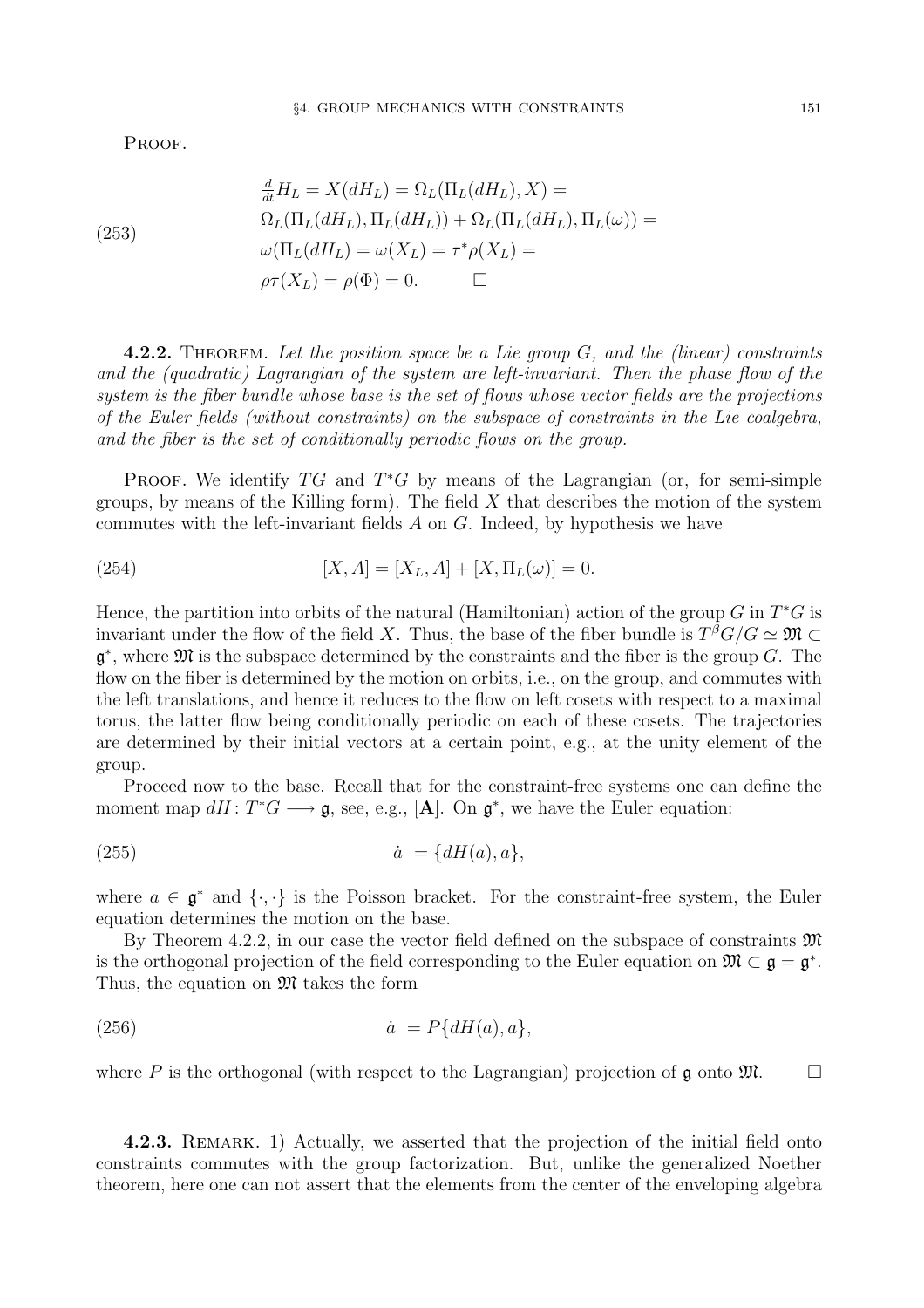PROOF.

(253)  
\n
$$
\frac{d}{dt}H_L = X(dH_L) = \Omega_L(\Pi_L(dH_L), X) =
$$
\n
$$
\Omega_L(\Pi_L(dH_L), \Pi_L(dH_L)) + \Omega_L(\Pi_L(dH_L), \Pi_L(\omega)) =
$$
\n
$$
\omega(\Pi_L(dH_L) = \omega(X_L) = \tau^* \rho(X_L) =
$$
\n
$$
\rho \tau(X_L) = \rho(\Phi) = 0. \qquad \Box
$$

**4.2.2.** THEOREM. Let the position space be a Lie group  $G$ , and the (linear) constraints and the (quadratic) Lagrangian of the system are left-invariant. Then the phase flow of the system is the fiber bundle whose base is the set of flows whose vector fields are the projections of the Euler fields (without constraints) on the subspace of constraints in the Lie coalgebra, and the fiber is the set of conditionally periodic flows on the group.

PROOF. We identify  $TG$  and  $T^*G$  by means of the Lagrangian (or, for semi-simple groups, by means of the Killing form). The field  $X$  that describes the motion of the system commutes with the left-invariant fields  $A$  on  $G$ . Indeed, by hypothesis we have

(254) 
$$
[X, A] = [X_L, A] + [X, \Pi_L(\omega)] = 0.
$$

Hence, the partition into orbits of the natural (Hamiltonian) action of the group G in  $T^*G$  is invariant under the flow of the field X. Thus, the base of the fiber bundle is  $T^{\beta}G/G \simeq \mathfrak{M} \subset$  $\mathfrak{g}^*$ , where  $\mathfrak M$  is the subspace determined by the constraints and the fiber is the group G. The flow on the fiber is determined by the motion on orbits, i.e., on the group, and commutes with the left translations, and hence it reduces to the flow on left cosets with respect to a maximal torus, the latter flow being conditionally periodic on each of these cosets. The trajectories are determined by their initial vectors at a certain point, e.g., at the unity element of the group.

Proceed now to the base. Recall that for the constraint-free systems one can define the moment map  $dH: T^*G \longrightarrow \mathfrak{g}$ , see, e.g., [**A**]. On  $\mathfrak{g}^*$ , we have the Euler equation:

$$
(255) \qquad \qquad \dot{a} = \{dH(a), a\},
$$

where  $a \in \mathfrak{g}^*$  and  $\{\cdot, \cdot\}$  is the Poisson bracket. For the constraint-free system, the Euler equation determines the motion on the base.

By Theorem 4.2.2, in our case the vector field defined on the subspace of constraints  $\mathfrak{M}$ is the orthogonal projection of the field corresponding to the Euler equation on  $\mathfrak{M} \subset \mathfrak{g} = \mathfrak{g}^*$ . Thus, the equation on  $\mathfrak{M}$  takes the form

$$
(256) \qquad \qquad \dot{a} = P\{dH(a), a\},
$$

where P is the orthogonal (with respect to the Lagrangian) projection of  $\mathfrak g$  onto  $\mathfrak M$ .  $\Box$ 

4.2.3. REMARK. 1) Actually, we asserted that the projection of the initial field onto constraints commutes with the group factorization. But, unlike the generalized Noether theorem, here one can not assert that the elements from the center of the enveloping algebra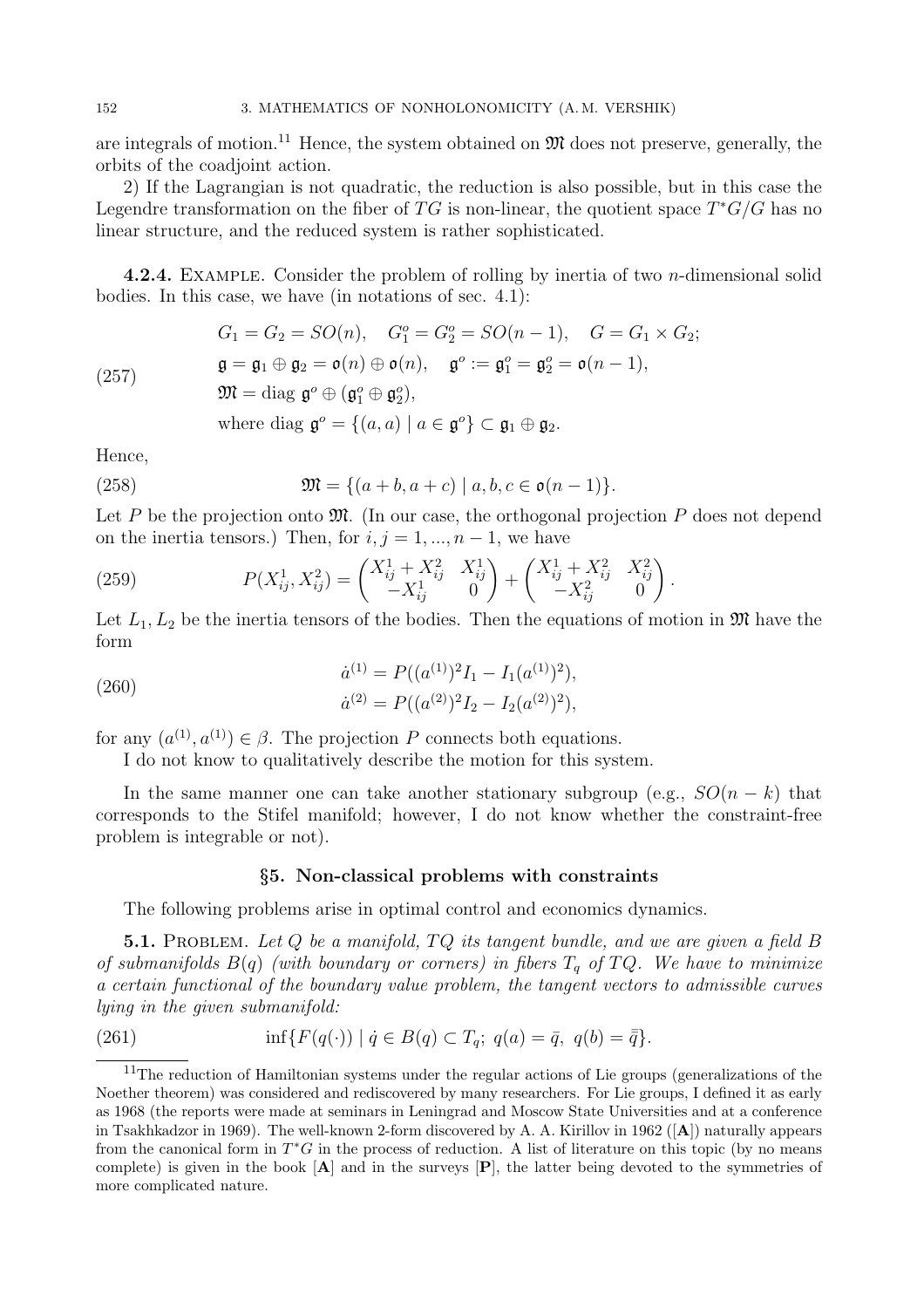are integrals of motion.<sup>11</sup> Hence, the system obtained on  $\mathfrak{M}$  does not preserve, generally, the orbits of the coadjoint action.

2) If the Lagrangian is not quadratic, the reduction is also possible, but in this case the Legendre transformation on the fiber of TG is non-linear, the quotient space  $T^*G/G$  has no linear structure, and the reduced system is rather sophisticated.

**4.2.4.** EXAMPLE. Consider the problem of rolling by inertia of two  $n$ -dimensional solid bodies. In this case, we have (in notations of sec. 4.1):

$$
G_1 = G_2 = SO(n), \quad G_1^o = G_2^o = SO(n-1), \quad G = G_1 \times G_2;
$$
  
\n
$$
\mathfrak{g} = \mathfrak{g}_1 \oplus \mathfrak{g}_2 = \mathfrak{o}(n) \oplus \mathfrak{o}(n), \quad \mathfrak{g}^o := \mathfrak{g}_1^o = \mathfrak{g}_2^o = \mathfrak{o}(n-1),
$$
  
\n
$$
\mathfrak{M} = \text{diag } \mathfrak{g}^o \oplus (\mathfrak{g}_1^o \oplus \mathfrak{g}_2^o),
$$
  
\nwhere diag  $\mathfrak{g}^o = \{(a, a) \mid a \in \mathfrak{g}^o\} \subset \mathfrak{g}_1 \oplus \mathfrak{g}_2.$ 

Hence,

(257)

(258) 
$$
\mathfrak{M} = \{(a+b, a+c) \mid a, b, c \in \mathfrak{o}(n-1)\}.
$$

Let P be the projection onto  $\mathfrak{M}$ . (In our case, the orthogonal projection P does not depend on the inertia tensors.) Then, for  $i, j = 1, ..., n-1$ , we have

(259) 
$$
P(X_{ij}^1, X_{ij}^2) = \begin{pmatrix} X_{ij}^1 + X_{ij}^2 & X_{ij}^1 \ -X_{ij}^1 & 0 \end{pmatrix} + \begin{pmatrix} X_{ij}^1 + X_{ij}^2 & X_{ij}^2 \ -X_{ij}^2 & 0 \end{pmatrix}
$$

Let  $L_1, L_2$  be the inertia tensors of the bodies. Then the equations of motion in  $\mathfrak{M}$  have the form

.

(260)  
\n
$$
\dot{a}^{(1)} = P((a^{(1)})^2 I_1 - I_1(a^{(1)})^2),
$$
\n
$$
\dot{a}^{(2)} = P((a^{(2)})^2 I_2 - I_2(a^{(2)})^2),
$$

for any  $(a^{(1)}, a^{(1)}) \in \beta$ . The projection P connects both equations.

I do not know to qualitatively describe the motion for this system.

In the same manner one can take another stationary subgroup (e.g.,  $SO(n - k)$ ) that corresponds to the Stifel manifold; however, I do not know whether the constraint-free problem is integrable or not).

## §5. Non-classical problems with constraints

The following problems arise in optimal control and economics dynamics.

**5.1.** PROBLEM. Let  $Q$  be a manifold,  $TQ$  its tangent bundle, and we are given a field  $B$ of submanifolds  $B(q)$  (with boundary or corners) in fibers  $T_q$  of  $TQ$ . We have to minimize a certain functional of the boundary value problem, the tangent vectors to admissible curves lying in the given submanifold:

(261) 
$$
\inf \{ F(q(\cdot)) \mid \dot{q} \in B(q) \subset T_q; \ q(a) = \bar{q}, \ q(b) = \bar{\bar{q}} \}.
$$

<sup>&</sup>lt;sup>11</sup>The reduction of Hamiltonian systems under the regular actions of Lie groups (generalizations of the Noether theorem) was considered and rediscovered by many researchers. For Lie groups, I defined it as early as 1968 (the reports were made at seminars in Leningrad and Moscow State Universities and at a conference in Tsakhkadzor in 1969). The well-known 2-form discovered by A. A. Kirillov in 1962 ([A]) naturally appears from the canonical form in  $T^*G$  in the process of reduction. A list of literature on this topic (by no means complete) is given in the book  $[A]$  and in the surveys  $[P]$ , the latter being devoted to the symmetries of more complicated nature.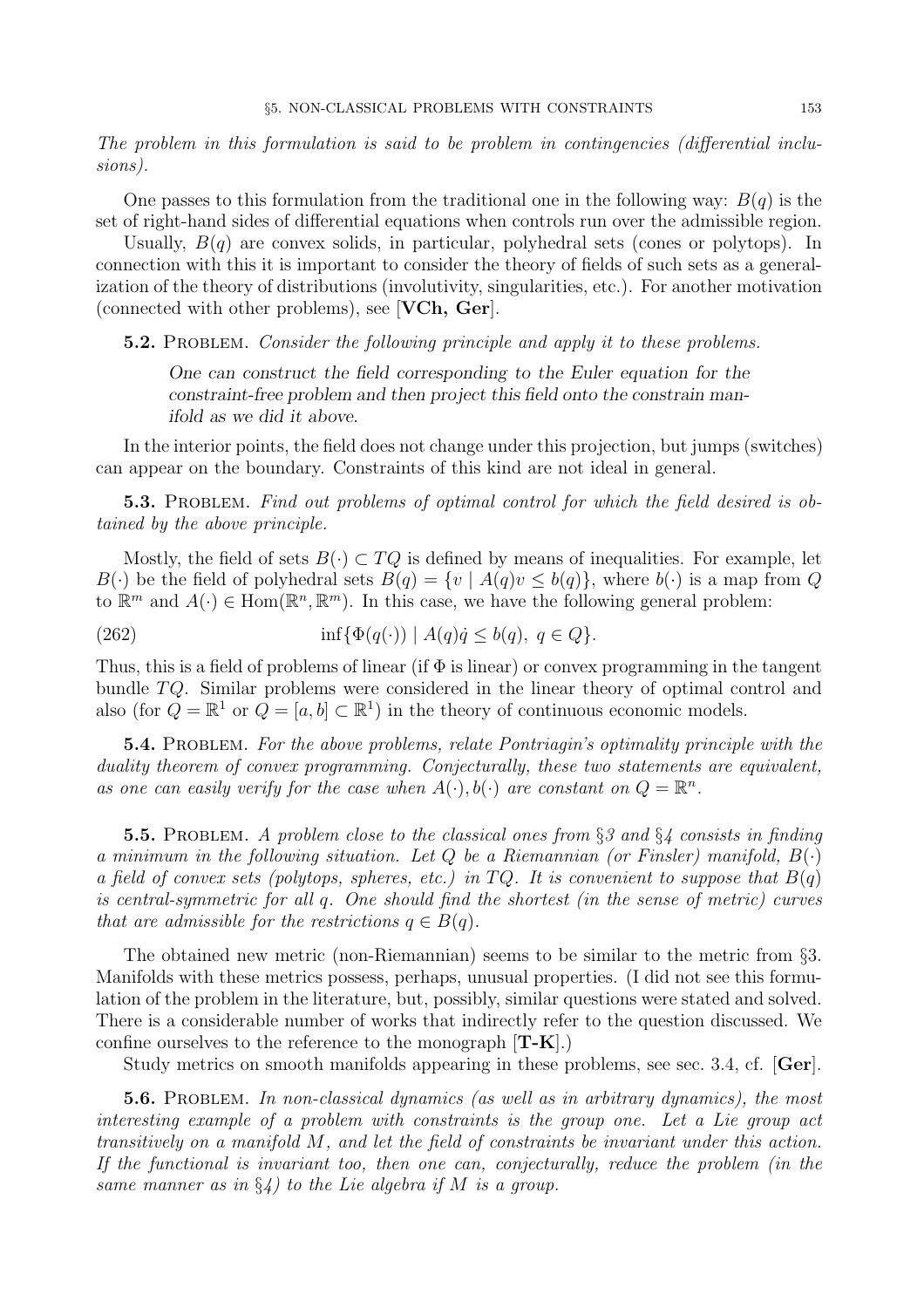The problem in this formulation is said to be problem in contingencies (differential inclusions).

One passes to this formulation from the traditional one in the following way:  $B(q)$  is the set of right-hand sides of differential equations when controls run over the admissible region.

Usually,  $B(q)$  are convex solids, in particular, polyhedral sets (cones or polytops). In connection with this it is important to consider the theory of fields of such sets as a generalization of the theory of distributions (involutivity, singularities, etc.). For another motivation (connected with other problems), see [VCh, Ger].

**5.2.** PROBLEM. Consider the following principle and apply it to these problems.

One can construct the field corresponding to the Euler equation for the constraint-free problem and then project this field onto the constrain manifold as we did it above.

In the interior points, the field does not change under this projection, but jumps (switches) can appear on the boundary. Constraints of this kind are not ideal in general.

5.3. PROBLEM. Find out problems of optimal control for which the field desired is obtained by the above principle.

Mostly, the field of sets  $B(\cdot) \subset TQ$  is defined by means of inequalities. For example, let  $B(\cdot)$  be the field of polyhedral sets  $B(q) = \{v \mid A(q)v \leq b(q)\}\,$ , where  $b(\cdot)$  is a map from Q to  $\mathbb{R}^m$  and  $A(\cdot) \in \text{Hom}(\mathbb{R}^n, \mathbb{R}^m)$ . In this case, we have the following general problem:

(262)  $\inf{\Phi(q(\cdot)) | A(q)q \leq b(q), q \in Q}.$ 

Thus, this is a field of problems of linear (if  $\Phi$  is linear) or convex programming in the tangent bundle TQ. Similar problems were considered in the linear theory of optimal control and also (for  $Q = \mathbb{R}^1$  or  $Q = [a, b] \subset \mathbb{R}^1$ ) in the theory of continuous economic models.

**5.4.** PROBLEM. For the above problems, relate Pontriagin's optimality principle with the duality theorem of convex programming. Conjecturally, these two statements are equivalent, as one can easily verify for the case when  $A(\cdot), b(\cdot)$  are constant on  $Q = \mathbb{R}^n$ .

**5.5.** PROBLEM. A problem close to the classical ones from  $\S 3$  and  $\S 4$  consists in finding a minimum in the following situation. Let  $Q$  be a Riemannian (or Finsler) manifold,  $B(\cdot)$ a field of convex sets (polytops, spheres, etc.) in  $TQ$ . It is convenient to suppose that  $B(q)$ is central-symmetric for all q. One should find the shortest (in the sense of metric) curves that are admissible for the restrictions  $q \in B(q)$ .

The obtained new metric (non-Riemannian) seems to be similar to the metric from §3. Manifolds with these metrics possess, perhaps, unusual properties. (I did not see this formulation of the problem in the literature, but, possibly, similar questions were stated and solved. There is a considerable number of works that indirectly refer to the question discussed. We confine ourselves to the reference to the monograph  $[T-K]$ .)

Study metrics on smooth manifolds appearing in these problems, see sec. 3.4, cf. [Ger].

5.6. PROBLEM. In non-classical dynamics (as well as in arbitrary dynamics), the most interesting example of a problem with constraints is the group one. Let a Lie group act transitively on a manifold M, and let the field of constraints be invariant under this action. If the functional is invariant too, then one can, conjecturally, reduce the problem (in the same manner as in  $\S_4$ ) to the Lie algebra if M is a group.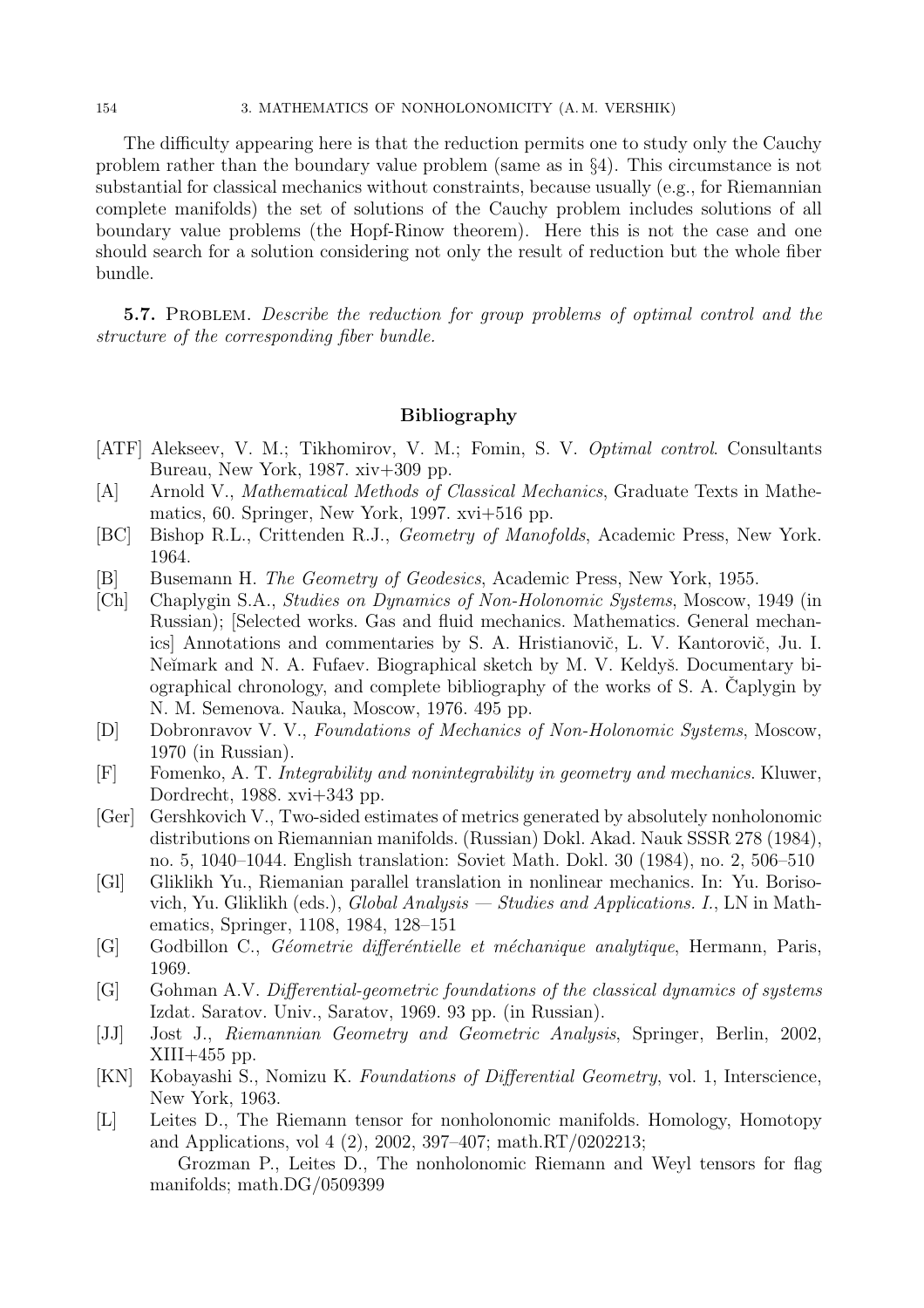#### 154 3. MATHEMATICS OF NONHOLONOMICITY (A. M. VERSHIK)

The difficulty appearing here is that the reduction permits one to study only the Cauchy problem rather than the boundary value problem (same as in  $\S$ 4). This circumstance is not substantial for classical mechanics without constraints, because usually (e.g., for Riemannian complete manifolds) the set of solutions of the Cauchy problem includes solutions of all boundary value problems (the Hopf-Rinow theorem). Here this is not the case and one should search for a solution considering not only the result of reduction but the whole fiber bundle.

5.7. Problem. Describe the reduction for group problems of optimal control and the structure of the corresponding fiber bundle.

## Bibliography

- [ATF] Alekseev, V. M.; Tikhomirov, V. M.; Fomin, S. V. Optimal control. Consultants Bureau, New York, 1987. xiv+309 pp.
- [A] Arnold V., Mathematical Methods of Classical Mechanics, Graduate Texts in Mathematics, 60. Springer, New York, 1997. xvi+516 pp.
- [BC] Bishop R.L., Crittenden R.J., Geometry of Manofolds, Academic Press, New York. 1964.
- [B] Busemann H. The Geometry of Geodesics, Academic Press, New York, 1955.
- [Ch] Chaplygin S.A., Studies on Dynamics of Non-Holonomic Systems, Moscow, 1949 (in Russian); [Selected works. Gas and fluid mechanics. Mathematics. General mechanics] Annotations and commentaries by S. A. Hristianovič, L. V. Kantorovič, Ju. I. Neĭmark and N. A. Fufaev. Biographical sketch by M. V. Keldyš. Documentary biographical chronology, and complete bibliography of the works of  $S$ . A. Caplygin by N. M. Semenova. Nauka, Moscow, 1976. 495 pp.
- [D] Dobronravov V. V., Foundations of Mechanics of Non-Holonomic Systems, Moscow, 1970 (in Russian).
- [F] Fomenko, A. T. Integrability and nonintegrability in geometry and mechanics. Kluwer, Dordrecht, 1988. xvi+343 pp.
- [Ger] Gershkovich V., Two-sided estimates of metrics generated by absolutely nonholonomic distributions on Riemannian manifolds. (Russian) Dokl. Akad. Nauk SSSR 278 (1984), no. 5, 1040–1044. English translation: Soviet Math. Dokl. 30 (1984), no. 2, 506–510
- [Gl] Gliklikh Yu., Riemanian parallel translation in nonlinear mechanics. In: Yu. Borisovich, Yu. Gliklikh (eds.), Global Analysis — Studies and Applications. I., LN in Mathematics, Springer, 1108, 1984, 128–151
- [G] Godbillon C., Géometrie differéntielle et méchanique analytique, Hermann, Paris, 1969.
- [G] Gohman A.V. Differential-geometric foundations of the classical dynamics of systems Izdat. Saratov. Univ., Saratov, 1969. 93 pp. (in Russian).
- [JJ] Jost J., Riemannian Geometry and Geometric Analysis, Springer, Berlin, 2002,  $XIII+455$  pp.
- [KN] Kobayashi S., Nomizu K. Foundations of Differential Geometry, vol. 1, Interscience, New York, 1963.
- [L] Leites D., The Riemann tensor for nonholonomic manifolds. Homology, Homotopy and Applications, vol 4 (2), 2002, 397–407; math.RT/0202213;

Grozman P., Leites D., The nonholonomic Riemann and Weyl tensors for flag manifolds; math.DG/0509399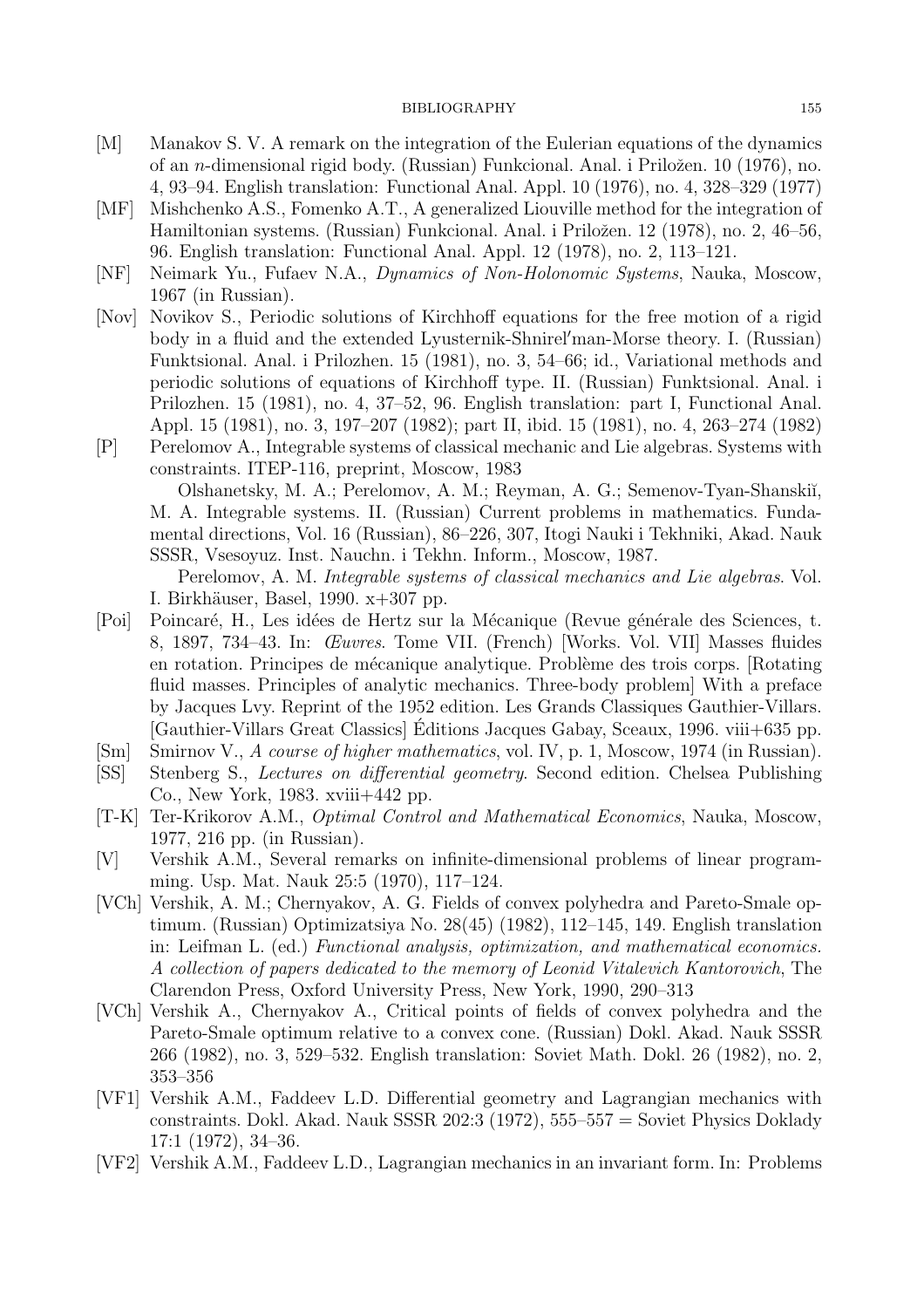#### BIBLIOGRAPHY 155

- [M] Manakov S. V. A remark on the integration of the Eulerian equations of the dynamics of an *n*-dimensional rigid body. (Russian) Funkcional. Anal. i Priložen. 10 (1976), no. 4, 93–94. English translation: Functional Anal. Appl. 10 (1976), no. 4, 328–329 (1977)
- [MF] Mishchenko A.S., Fomenko A.T., A generalized Liouville method for the integration of Hamiltonian systems. (Russian) Funkcional. Anal. i Priložen. 12 (1978), no. 2, 46–56, 96. English translation: Functional Anal. Appl. 12 (1978), no. 2, 113–121.
- [NF] Neimark Yu., Fufaev N.A., Dynamics of Non-Holonomic Systems, Nauka, Moscow, 1967 (in Russian).
- [Nov] Novikov S., Periodic solutions of Kirchhoff equations for the free motion of a rigid body in a fluid and the extended Lyusternik-Shnirel′man-Morse theory. I. (Russian) Funktsional. Anal. i Prilozhen. 15 (1981), no. 3, 54–66; id., Variational methods and periodic solutions of equations of Kirchhoff type. II. (Russian) Funktsional. Anal. i Prilozhen. 15 (1981), no. 4, 37–52, 96. English translation: part I, Functional Anal. Appl. 15 (1981), no. 3, 197–207 (1982); part II, ibid. 15 (1981), no. 4, 263–274 (1982)
- [P] Perelomov A., Integrable systems of classical mechanic and Lie algebras. Systems with constraints. ITEP-116, preprint, Moscow, 1983 Olshanetsky, M. A.; Perelomov, A. M.; Reyman, A. G.; Semenov-Tyan-Shanski˘ı,

M. A. Integrable systems. II. (Russian) Current problems in mathematics. Fundamental directions, Vol. 16 (Russian), 86–226, 307, Itogi Nauki i Tekhniki, Akad. Nauk SSSR, Vsesoyuz. Inst. Nauchn. i Tekhn. Inform., Moscow, 1987.

Perelomov, A. M. Integrable systems of classical mechanics and Lie algebras. Vol. I. Birkhäuser, Basel, 1990. x+307 pp.

- [Poi] Poincaré, H., Les idées de Hertz sur la Mécanique (Revue générale des Sciences, t. 8, 1897, 734–43. In: Œuvres. Tome VII. (French) [Works. Vol. VII] Masses fluides en rotation. Principes de mécanique analytique. Problème des trois corps. [Rotating] fluid masses. Principles of analytic mechanics. Three-body problem] With a preface by Jacques Lvy. Reprint of the 1952 edition. Les Grands Classiques Gauthier-Villars. [Gauthier-Villars Great Classics] Editions Jacques Gabay, Sceaux, 1996. viii+635 pp. ´
- [Sm] Smirnov V., A course of higher mathematics, vol. IV, p. 1, Moscow, 1974 (in Russian).
- [SS] Stenberg S., Lectures on differential geometry. Second edition. Chelsea Publishing Co., New York, 1983. xviii+442 pp.
- [T-K] Ter-Krikorov A.M., Optimal Control and Mathematical Economics, Nauka, Moscow, 1977, 216 pp. (in Russian).
- [V] Vershik A.M., Several remarks on infinite-dimensional problems of linear programming. Usp. Mat. Nauk 25:5 (1970), 117–124.
- [VCh] Vershik, A. M.; Chernyakov, A. G. Fields of convex polyhedra and Pareto-Smale optimum. (Russian) Optimizatsiya No. 28(45) (1982), 112–145, 149. English translation in: Leifman L. (ed.) Functional analysis, optimization, and mathematical economics. A collection of papers dedicated to the memory of Leonid Vitalevich Kantorovich, The Clarendon Press, Oxford University Press, New York, 1990, 290–313
- [VCh] Vershik A., Chernyakov A., Critical points of fields of convex polyhedra and the Pareto-Smale optimum relative to a convex cone. (Russian) Dokl. Akad. Nauk SSSR 266 (1982), no. 3, 529–532. English translation: Soviet Math. Dokl. 26 (1982), no. 2, 353–356
- [VF1] Vershik A.M., Faddeev L.D. Differential geometry and Lagrangian mechanics with constraints. Dokl. Akad. Nauk SSSR 202:3 (1972), 555–557 = Soviet Physics Doklady 17:1 (1972), 34–36.
- [VF2] Vershik A.M., Faddeev L.D., Lagrangian mechanics in an invariant form. In: Problems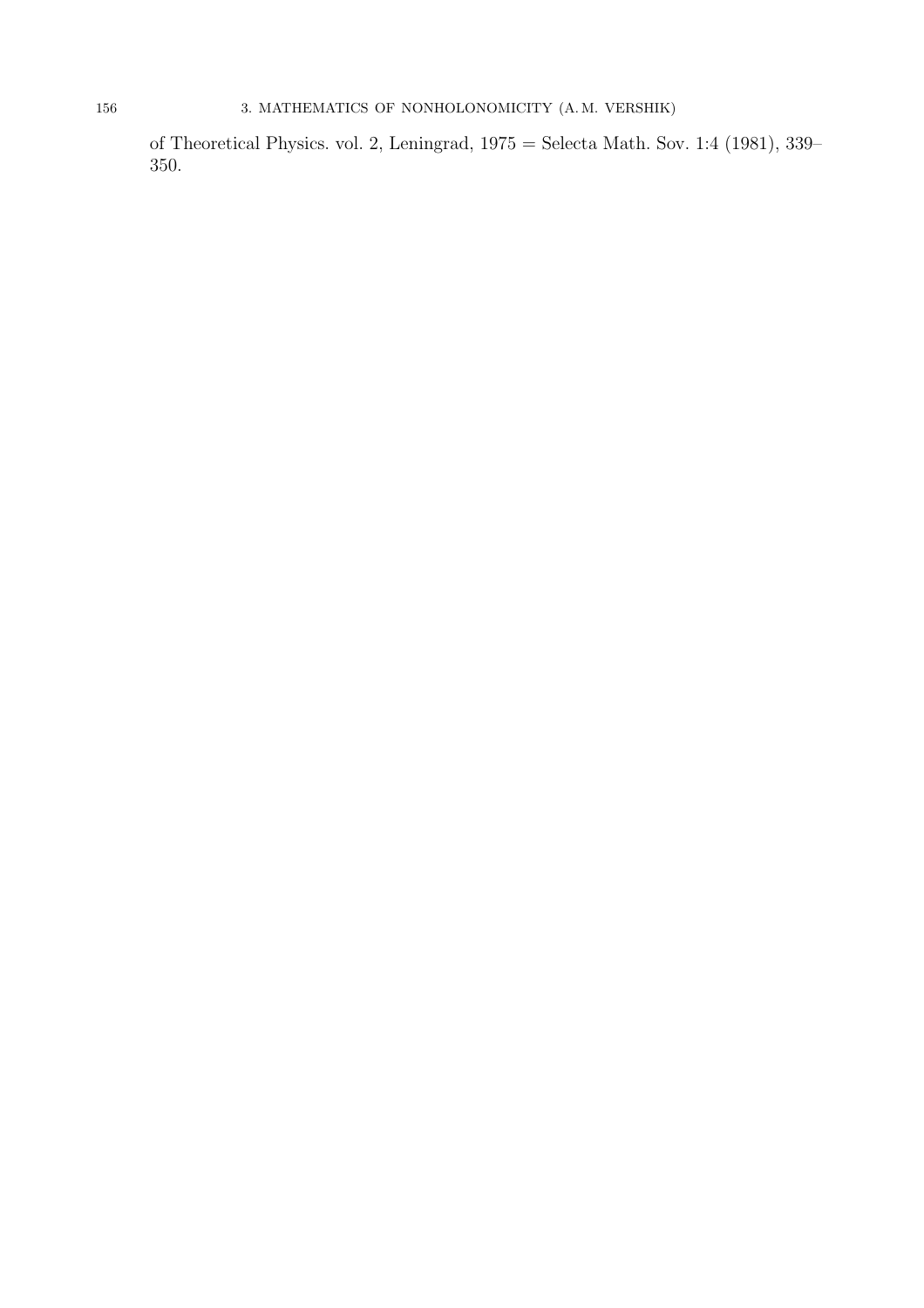of Theoretical Physics. vol. 2, Leningrad, 1975 = Selecta Math. Sov. 1:4 (1981), 339– 350.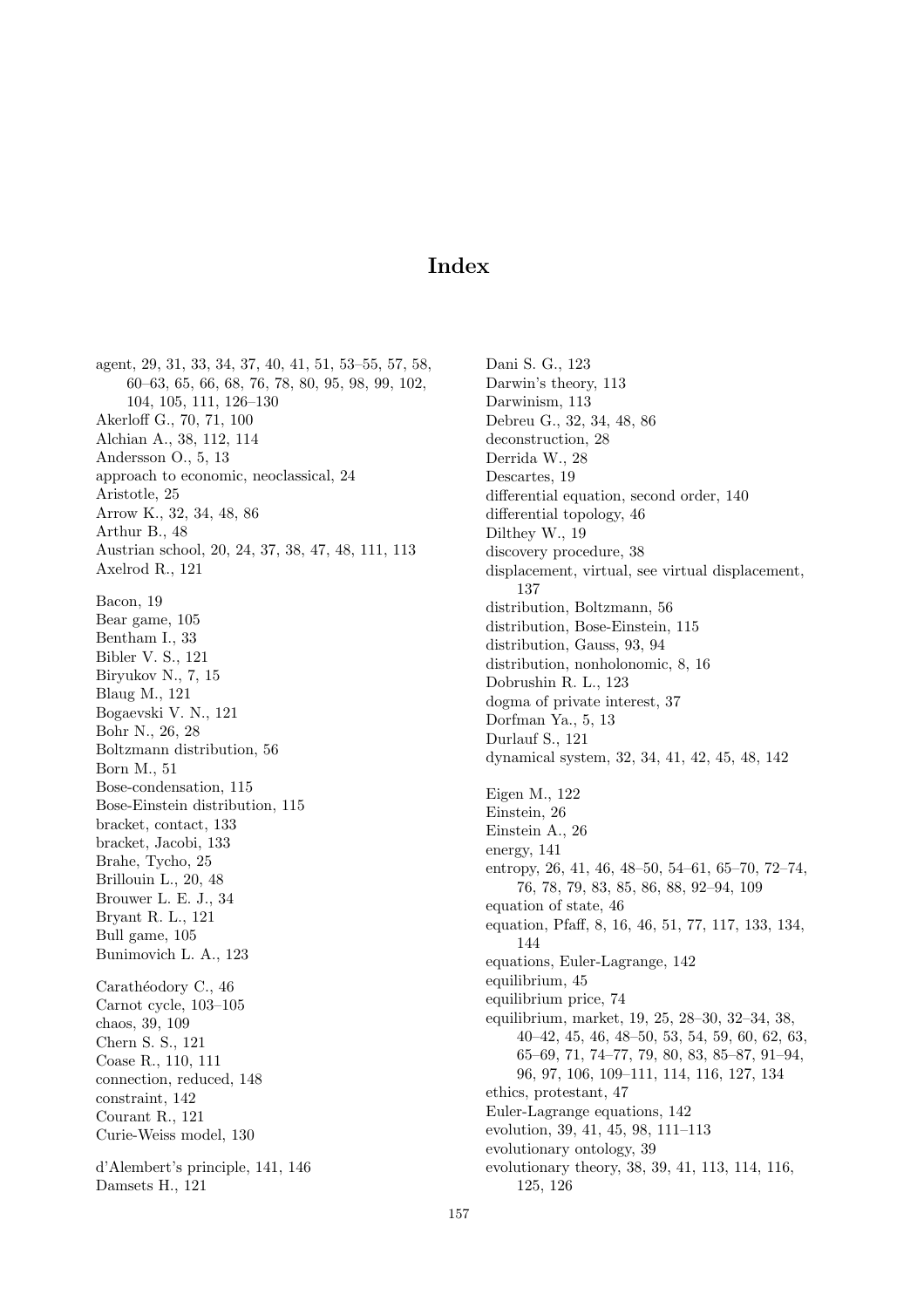# Index

agent, 29, 31, 33, 34, 37, 40, 41, 51, 53–55, 57, 58, 60–63, 65, 66, 68, 76, 78, 80, 95, 98, 99, 102, 104, 105, 111, 126–130 Akerloff G., 70, 71, 100 Alchian A., 38, 112, 114 Andersson O., 5, 13 approach to economic, neoclassical, 24 Aristotle, 25 Arrow K., 32, 34, 48, 86 Arthur B., 48 Austrian school, 20, 24, 37, 38, 47, 48, 111, 113 Axelrod R., 121 Bacon, 19 Bear game, 105 Bentham I., 33 Bibler V. S., 121 Biryukov N., 7, 15 Blaug M., 121 Bogaevski V. N., 121 Bohr N., 26, 28 Boltzmann distribution, 56 Born M., 51 Bose-condensation, 115 Bose-Einstein distribution, 115 bracket, contact, 133 bracket, Jacobi, 133 Brahe, Tycho, 25 Brillouin L., 20, 48 Brouwer L. E. J., 34 Bryant R. L., 121 Bull game, 105 Bunimovich L. A., 123 Carathéodory C., 46 Carnot cycle, 103–105 chaos, 39, 109 Chern S. S., 121 Coase R., 110, 111 connection, reduced, 148 constraint, 142 Courant R., 121 Curie-Weiss model, 130 d'Alembert's principle, 141, 146 Damsets H., 121

Dani S. G., 123 Darwin's theory, 113 Darwinism, 113 Debreu G., 32, 34, 48, 86 deconstruction, 28 Derrida W., 28 Descartes, 19 differential equation, second order, 140 differential topology, 46 Dilthey W., 19 discovery procedure, 38 displacement, virtual, see virtual displacement, 137 distribution, Boltzmann, 56 distribution, Bose-Einstein, 115 distribution, Gauss, 93, 94 distribution, nonholonomic, 8, 16 Dobrushin R. L., 123 dogma of private interest, 37 Dorfman Ya., 5, 13 Durlauf S., 121 dynamical system, 32, 34, 41, 42, 45, 48, 142 Eigen M., 122 Einstein, 26 Einstein A., 26 energy, 141 entropy, 26, 41, 46, 48–50, 54–61, 65–70, 72–74, 76, 78, 79, 83, 85, 86, 88, 92–94, 109 equation of state, 46 equation, Pfaff, 8, 16, 46, 51, 77, 117, 133, 134, 144 equations, Euler-Lagrange, 142 equilibrium, 45 equilibrium price, 74 equilibrium, market, 19, 25, 28–30, 32–34, 38, 40–42, 45, 46, 48–50, 53, 54, 59, 60, 62, 63, 65–69, 71, 74–77, 79, 80, 83, 85–87, 91–94, 96, 97, 106, 109–111, 114, 116, 127, 134 ethics, protestant, 47 Euler-Lagrange equations, 142 evolution, 39, 41, 45, 98, 111–113 evolutionary ontology, 39 evolutionary theory, 38, 39, 41, 113, 114, 116, 125, 126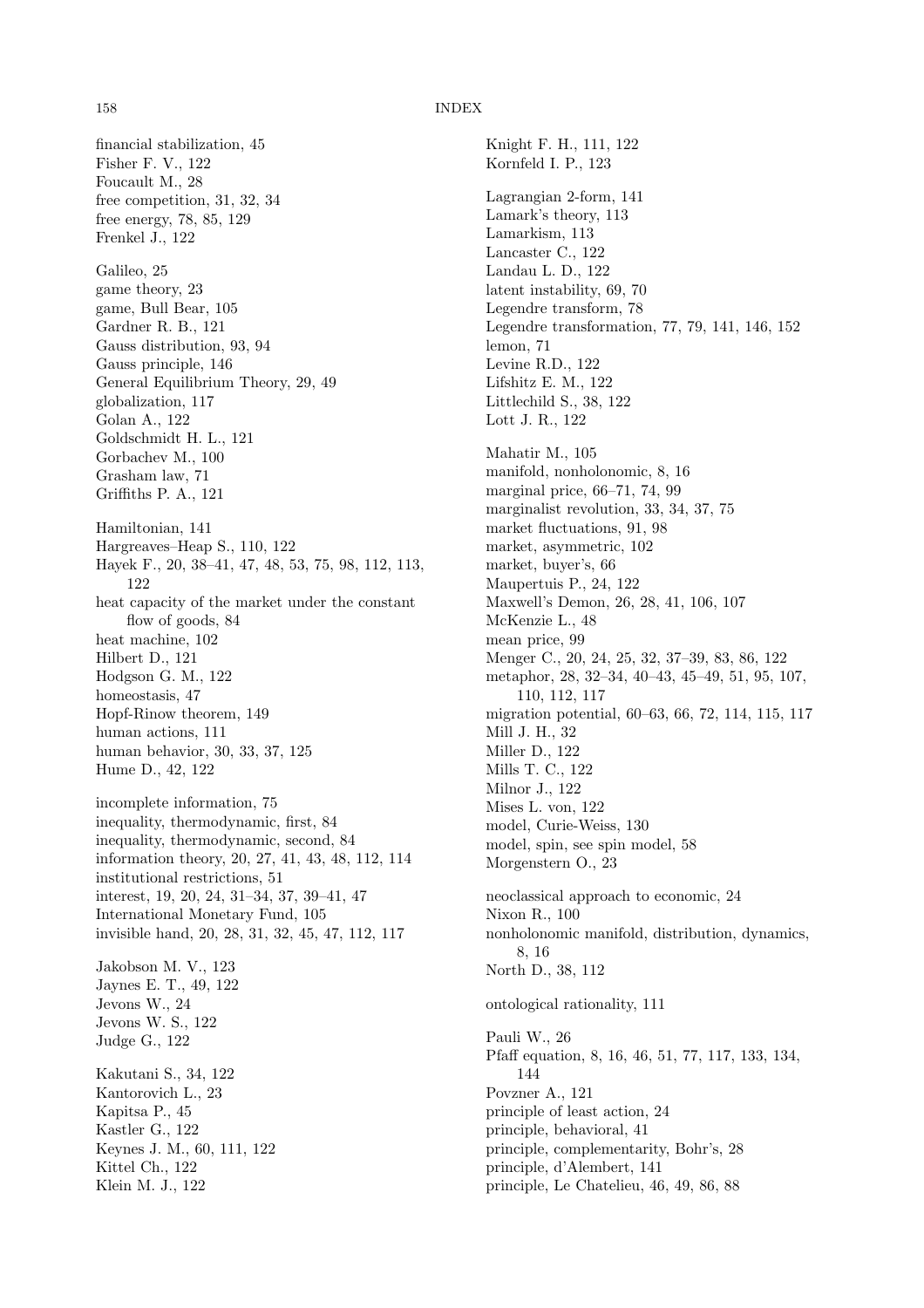#### 158 INDEX

financial stabilization, 45 Fisher F. V., 122 Foucault M., 28 free competition, 31, 32, 34 free energy, 78, 85, 129 Frenkel J., 122 Galileo, 25 game theory, 23 game, Bull Bear, 105 Gardner R. B., 121 Gauss distribution, 93, 94 Gauss principle, 146 General Equilibrium Theory, 29, 49 globalization, 117 Golan A., 122 Goldschmidt H. L., 121 Gorbachev M., 100 Grasham law, 71 Griffiths P. A., 121 Hamiltonian, 141 Hargreaves–Heap S., 110, 122 Hayek F., 20, 38–41, 47, 48, 53, 75, 98, 112, 113, 122 heat capacity of the market under the constant flow of goods, 84 heat machine, 102 Hilbert D., 121 Hodgson G. M., 122 homeostasis, 47 Hopf-Rinow theorem, 149 human actions, 111 human behavior, 30, 33, 37, 125 Hume D., 42, 122 incomplete information, 75 inequality, thermodynamic, first, 84 inequality, thermodynamic, second, 84 information theory, 20, 27, 41, 43, 48, 112, 114 institutional restrictions, 51 interest, 19, 20, 24, 31–34, 37, 39–41, 47 International Monetary Fund, 105 invisible hand, 20, 28, 31, 32, 45, 47, 112, 117 Jakobson M. V., 123 Jaynes E. T., 49, 122 Jevons W., 24 Jevons W. S., 122 Judge G., 122 Kakutani S., 34, 122 Kantorovich L., 23 Kapitsa P., 45 Kastler G., 122 Keynes J. M., 60, 111, 122 Kittel Ch., 122 Klein M. J., 122

Knight F. H., 111, 122 Kornfeld I. P., 123 Lagrangian 2-form, 141 Lamark's theory, 113 Lamarkism, 113 Lancaster C., 122 Landau L. D., 122 latent instability, 69, 70 Legendre transform, 78 Legendre transformation, 77, 79, 141, 146, 152 lemon, 71 Levine R.D., 122 Lifshitz E. M., 122 Littlechild S., 38, 122 Lott J. R., 122 Mahatir M., 105 manifold, nonholonomic, 8, 16 marginal price, 66–71, 74, 99 marginalist revolution, 33, 34, 37, 75 market fluctuations, 91, 98 market, asymmetric, 102 market, buyer's, 66 Maupertuis P., 24, 122 Maxwell's Demon, 26, 28, 41, 106, 107 McKenzie L., 48 mean price, 99 Menger C., 20, 24, 25, 32, 37–39, 83, 86, 122 metaphor, 28, 32–34, 40–43, 45–49, 51, 95, 107, 110, 112, 117 migration potential, 60–63, 66, 72, 114, 115, 117 Mill J. H., 32 Miller D., 122 Mills T. C., 122 Milnor J., 122 Mises L. von, 122 model, Curie-Weiss, 130 model, spin, see spin model, 58 Morgenstern O., 23 neoclassical approach to economic, 24 Nixon R., 100 nonholonomic manifold, distribution, dynamics, 8, 16 North D., 38, 112 ontological rationality, 111 Pauli W., 26 Pfaff equation, 8, 16, 46, 51, 77, 117, 133, 134, 144 Povzner A., 121 principle of least action, 24 principle, behavioral, 41 principle, complementarity, Bohr's, 28 principle, d'Alembert, 141 principle, Le Chatelieu, 46, 49, 86, 88